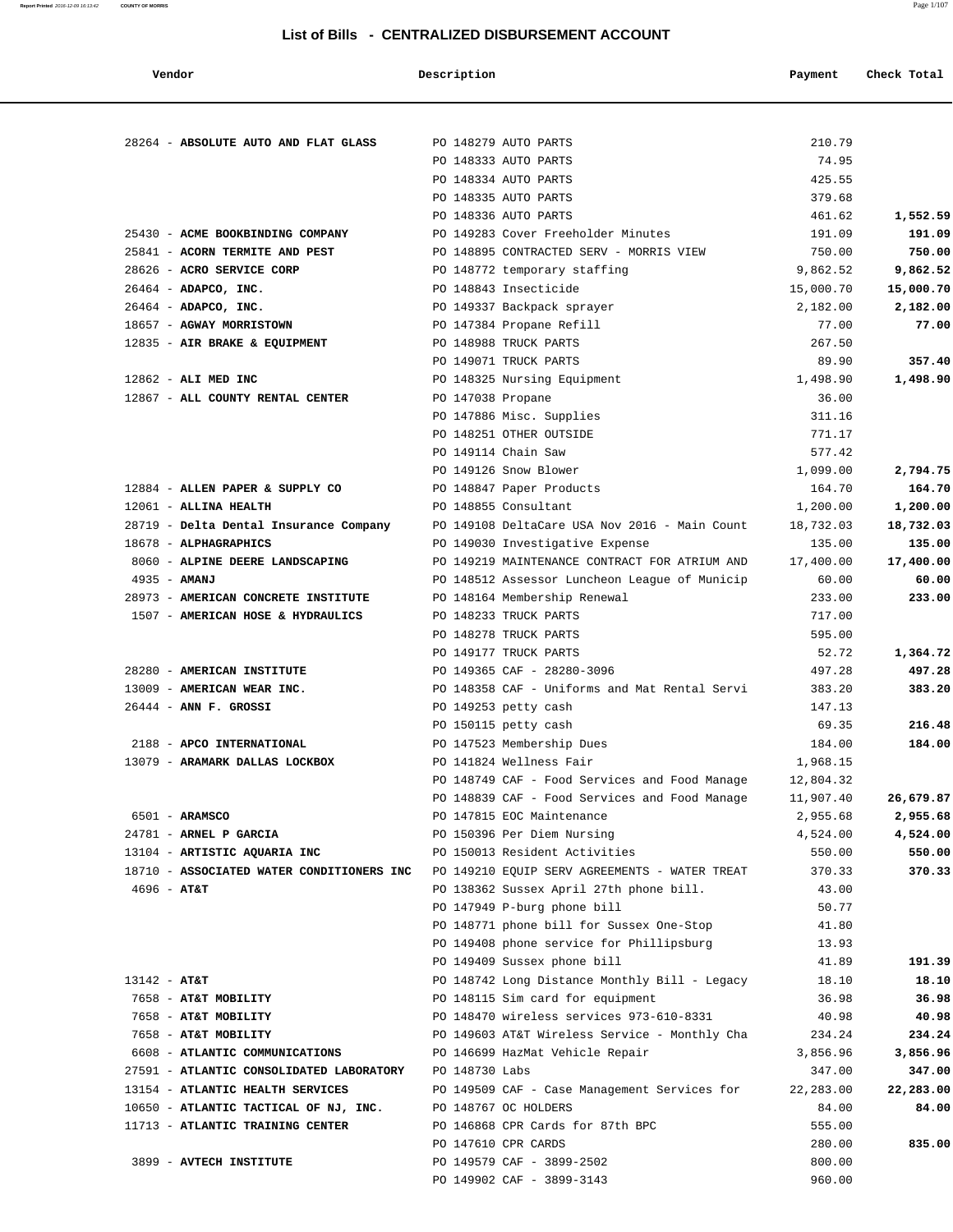| Vendor | Description | Payment Check Total |
|--------|-------------|---------------------|
|--------|-------------|---------------------|

| 28264 - ABSOLUTE AUTO AND FLAT GLASS      | PO 148279 AUTO PARTS                             |                                               | 210.79             |                    |
|-------------------------------------------|--------------------------------------------------|-----------------------------------------------|--------------------|--------------------|
|                                           | PO 148333 AUTO PARTS                             |                                               | 74.95              |                    |
|                                           | PO 148334 AUTO PARTS                             |                                               | 425.55             |                    |
|                                           | PO 148335 AUTO PARTS                             |                                               | 379.68             |                    |
|                                           | PO 148336 AUTO PARTS                             |                                               | 461.62             | 1,552.59           |
| 25430 - ACME BOOKBINDING COMPANY          |                                                  | PO 149283 Cover Freeholder Minutes            | 191.09             | 191.09             |
| 25841 - ACORN TERMITE AND PEST            |                                                  | PO 148895 CONTRACTED SERV - MORRIS VIEW       | 750.00             | 750.00             |
| 28626 - ACRO SERVICE CORP                 | PO 148772 temporary staffing                     |                                               | 9,862.52           | 9,862.52           |
| 26464 - ADAPCO, INC.                      | PO 148843 Insecticide                            |                                               | 15,000.70          | 15,000.70          |
| 26464 - ADAPCO, INC.                      | PO 149337 Backpack sprayer                       |                                               | 2,182.00           | 2,182.00           |
| 18657 - AGWAY MORRISTOWN                  | PO 147384 Propane Refill                         |                                               | 77.00              | 77.00              |
| 12835 - AIR BRAKE & EQUIPMENT             | PO 148988 TRUCK PARTS                            |                                               | 267.50             |                    |
|                                           | PO 149071 TRUCK PARTS                            |                                               | 89.90              | 357.40             |
| 12862 - ALI MED INC                       | PO 148325 Nursing Equipment                      |                                               | 1,498.90           | 1,498.90           |
| 12867 - ALL COUNTY RENTAL CENTER          | PO 147038 Propane                                |                                               | 36.00              |                    |
|                                           | PO 147886 Misc. Supplies                         |                                               | 311.16             |                    |
|                                           | PO 148251 OTHER OUTSIDE                          |                                               | 771.17             |                    |
|                                           | PO 149114 Chain Saw                              |                                               | 577.42             |                    |
|                                           | PO 149126 Snow Blower                            |                                               | 1,099.00           | 2,794.75           |
| 12884 - ALLEN PAPER & SUPPLY CO           | PO 148847 Paper Products                         |                                               | 164.70             | 164.70             |
| $12061$ - ALLINA HEALTH                   | PO 148855 Consultant                             |                                               | 1,200.00           | 1,200.00           |
| 28719 - Delta Dental Insurance Company    |                                                  | PO 149108 DeltaCare USA Nov 2016 - Main Count | 18,732.03          | 18,732.03          |
| 18678 - ALPHAGRAPHICS                     |                                                  | PO 149030 Investigative Expense               | 135.00             | 135.00             |
| 8060 - ALPINE DEERE LANDSCAPING           |                                                  | PO 149219 MAINTENANCE CONTRACT FOR ATRIUM AND | 17,400.00          | 17,400.00          |
| $4935 - AMANJ$                            |                                                  | PO 148512 Assessor Luncheon League of Municip | 60.00              | 60.00              |
| 28973 - AMERICAN CONCRETE INSTITUTE       | PO 148164 Membership Renewal                     |                                               | 233.00             | 233.00             |
| 1507 - AMERICAN HOSE & HYDRAULICS         | PO 148233 TRUCK PARTS                            |                                               | 717.00             |                    |
|                                           | PO 148278 TRUCK PARTS                            |                                               | 595.00             |                    |
|                                           | PO 149177 TRUCK PARTS                            |                                               | 52.72              | 1,364.72           |
| 28280 - AMERICAN INSTITUTE                | PO 149365 CAF - 28280-3096                       |                                               | 497.28             | 497.28             |
| 13009 - AMERICAN WEAR INC.                |                                                  | PO 148358 CAF - Uniforms and Mat Rental Servi | 383.20             | 383.20             |
| $26444$ - ANN F. GROSSI                   | PO 149253 petty cash                             |                                               | 147.13             |                    |
|                                           | PO 150115 petty cash                             |                                               | 69.35              | 216.48             |
| 2188 - APCO INTERNATIONAL                 | PO 147523 Membership Dues                        |                                               | 184.00             | 184.00             |
| 13079 - ARAMARK DALLAS LOCKBOX            | PO 141824 Wellness Fair                          |                                               | 1,968.15           |                    |
|                                           |                                                  | PO 148749 CAF - Food Services and Food Manage | 12,804.32          |                    |
|                                           |                                                  | PO 148839 CAF - Food Services and Food Manage | 11,907.40          | 26,679.87          |
| $6501 - ARAMSCO$                          | PO 147815 EOC Maintenance                        |                                               | 2,955.68           | 2,955.68           |
| 24781 - ARNEL P GARCIA                    | PO 150396 Per Diem Nursing                       |                                               | 4,524.00           | 4,524.00           |
| 13104 - ARTISTIC AQUARIA INC              | PO 150013 Resident Activities                    |                                               | 550.00             | 550.00             |
| 18710 - ASSOCIATED WATER CONDITIONERS INC |                                                  | PO 149210 EQUIP SERV AGREEMENTS - WATER TREAT | 370.33             | 370.33             |
| $4696 - AT&T$                             |                                                  | PO 138362 Sussex April 27th phone bill.       | 43.00              |                    |
|                                           | PO 147949 P-burg phone bill                      |                                               | 50.77              |                    |
|                                           |                                                  | PO 148771 phone bill for Sussex One-Stop      | 41.80              |                    |
|                                           |                                                  | PO 149408 phone service for Phillipsburg      | 13.93              |                    |
|                                           | PO 149409 Sussex phone bill                      |                                               | 41.89              | 191.39             |
| $13142 - AT&T$                            |                                                  | PO 148742 Long Distance Monthly Bill - Legacy | 18.10              | 18.10              |
| 7658 - AT&T MOBILITY                      |                                                  | PO 148115 Sim card for equipment              | 36.98              | 36.98              |
| 7658 - AT&T MOBILITY                      |                                                  | PO 148470 wireless services 973-610-8331      | 40.98              | 40.98              |
| 7658 - AT&T MOBILITY                      |                                                  | PO 149603 AT&T Wireless Service - Monthly Cha | 234.24             | 234.24             |
|                                           | PO 148730 Labs                                   | PO 146699 HazMat Vehicle Repair               | 3,856.96<br>347.00 | 3,856.96<br>347.00 |
| 6608 - ATLANTIC COMMUNICATIONS            |                                                  |                                               | 22,283.00          | 22,283.00          |
| 27591 - ATLANTIC CONSOLIDATED LABORATORY  |                                                  |                                               |                    |                    |
| 13154 - ATLANTIC HEALTH SERVICES          |                                                  | PO 149509 CAF - Case Management Services for  |                    |                    |
| 10650 - ATLANTIC TACTICAL OF NJ, INC.     | PO 148767 OC HOLDERS                             |                                               | 84.00              |                    |
| 11713 - ATLANTIC TRAINING CENTER          |                                                  | PO 146868 CPR Cards for 87th BPC              | 555.00             | 84.00              |
| 3899 - AVTECH INSTITUTE                   | PO 147610 CPR CARDS<br>PO 149579 CAF - 3899-2502 |                                               | 280.00<br>800.00   | 835.00             |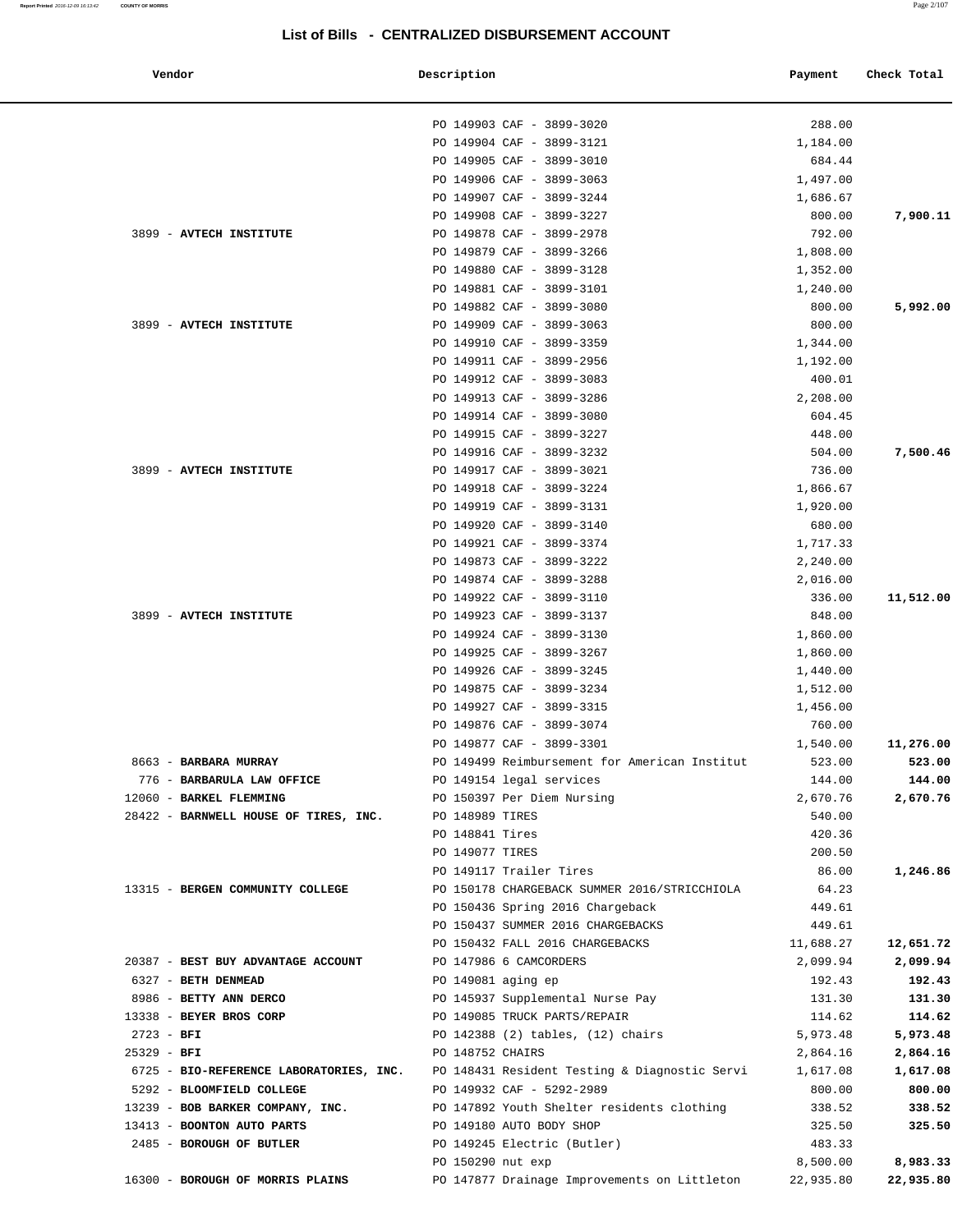|  | Vendor |  |  |
|--|--------|--|--|

| Vendor                                | Description                                                                           | Payment              | Check Total |
|---------------------------------------|---------------------------------------------------------------------------------------|----------------------|-------------|
|                                       | PO 149903 CAF - 3899-3020                                                             | 288.00               |             |
|                                       | PO 149904 CAF - 3899-3121                                                             | 1,184.00             |             |
|                                       | PO 149905 CAF - 3899-3010                                                             | 684.44               |             |
|                                       | PO 149906 CAF - 3899-3063                                                             | 1,497.00             |             |
|                                       | PO 149907 CAF - 3899-3244                                                             | 1,686.67             |             |
|                                       | PO 149908 CAF - 3899-3227                                                             | 800.00               | 7,900.11    |
| 3899 - AVTECH INSTITUTE               | PO 149878 CAF - 3899-2978                                                             | 792.00               |             |
|                                       | PO 149879 CAF - 3899-3266                                                             | 1,808.00             |             |
|                                       | PO 149880 CAF - 3899-3128                                                             | 1,352.00             |             |
|                                       | PO 149881 CAF - 3899-3101                                                             | 1,240.00             |             |
|                                       | PO 149882 CAF - 3899-3080                                                             | 800.00               | 5,992.00    |
| 3899 - AVTECH INSTITUTE               | PO 149909 CAF - 3899-3063                                                             | 800.00               |             |
|                                       | PO 149910 CAF - 3899-3359                                                             | 1,344.00             |             |
|                                       | PO 149911 CAF - 3899-2956                                                             | 1,192.00             |             |
|                                       | PO 149912 CAF - 3899-3083                                                             | 400.01               |             |
|                                       | PO 149913 CAF - 3899-3286                                                             | 2,208.00             |             |
|                                       | PO 149914 CAF - 3899-3080                                                             | 604.45               |             |
|                                       | PO 149915 CAF - 3899-3227                                                             | 448.00               |             |
|                                       | PO 149916 CAF - 3899-3232                                                             | 504.00               | 7,500.46    |
| 3899 - AVTECH INSTITUTE               | PO 149917 CAF - 3899-3021                                                             | 736.00               |             |
|                                       | PO 149918 CAF - 3899-3224                                                             | 1,866.67             |             |
|                                       | PO 149919 CAF - 3899-3131                                                             | 1,920.00             |             |
|                                       | PO 149920 CAF - 3899-3140                                                             | 680.00               |             |
|                                       | PO 149921 CAF - 3899-3374<br>PO 149873 CAF - 3899-3222                                | 1,717.33<br>2,240.00 |             |
|                                       | PO 149874 CAF - 3899-3288                                                             | 2,016.00             |             |
|                                       | PO 149922 CAF - 3899-3110                                                             | 336.00               | 11,512.00   |
| 3899 - AVTECH INSTITUTE               | PO 149923 CAF - 3899-3137                                                             | 848.00               |             |
|                                       | PO 149924 CAF - 3899-3130                                                             | 1,860.00             |             |
|                                       | PO 149925 CAF - 3899-3267                                                             | 1,860.00             |             |
|                                       | PO 149926 CAF - 3899-3245                                                             | 1,440.00             |             |
|                                       | PO 149875 CAF - 3899-3234                                                             | 1,512.00             |             |
|                                       | PO 149927 CAF - 3899-3315                                                             | 1,456.00             |             |
|                                       | PO 149876 CAF - 3899-3074                                                             | 760.00               |             |
|                                       | PO 149877 CAF - 3899-3301                                                             | 1,540.00             | 11,276.00   |
| 8663 - BARBARA MURRAY                 | PO 149499 Reimbursement for American Institut                                         | 523.00               | 523.00      |
| 776 - BARBARULA LAW OFFICE            | PO 149154 legal services                                                              | 144.00               | 144.00      |
| 12060 - BARKEL FLEMMING               | PO 150397 Per Diem Nursing                                                            | 2,670.76             | 2,670.76    |
| 28422 - BARNWELL HOUSE OF TIRES, INC. | PO 148989 TIRES                                                                       | 540.00               |             |
|                                       | PO 148841 Tires                                                                       | 420.36               |             |
|                                       | PO 149077 TIRES                                                                       | 200.50               |             |
|                                       | PO 149117 Trailer Tires                                                               | 86.00                | 1,246.86    |
| 13315 - BERGEN COMMUNITY COLLEGE      | PO 150178 CHARGEBACK SUMMER 2016/STRICCHIOLA                                          | 64.23                |             |
|                                       | PO 150436 Spring 2016 Chargeback                                                      | 449.61               |             |
|                                       | PO 150437 SUMMER 2016 CHARGEBACKS                                                     | 449.61               |             |
|                                       | PO 150432 FALL 2016 CHARGEBACKS                                                       | 11,688.27            | 12,651.72   |
| 20387 - BEST BUY ADVANTAGE ACCOUNT    | PO 147986 6 CAMCORDERS                                                                | 2,099.94             | 2,099.94    |
| 6327 - BETH DENMEAD                   | PO 149081 aging ep                                                                    | 192.43               | 192.43      |
| 8986 - BETTY ANN DERCO                | PO 145937 Supplemental Nurse Pay                                                      | 131.30               | 131.30      |
| 13338 - BEYER BROS CORP               | PO 149085 TRUCK PARTS/REPAIR                                                          | 114.62               | 114.62      |
| $2723 - BFI$                          | PO 142388 (2) tables, (12) chairs                                                     | 5,973.48             | 5,973.48    |
| $25329 - BFI$                         | PO 148752 CHAIRS                                                                      | 2,864.16             | 2,864.16    |
|                                       | 6725 - BIO-REFERENCE LABORATORIES, INC. PO 148431 Resident Testing & Diagnostic Servi | 1,617.08             | 1,617.08    |
| 5292 - BLOOMFIELD COLLEGE             | PO 149932 CAF - 5292-2989                                                             | 800.00               | 800.00      |
| 13239 - BOB BARKER COMPANY, INC.      | PO 147892 Youth Shelter residents clothing                                            | 338.52               | 338.52      |
| 13413 - BOONTON AUTO PARTS            | PO 149180 AUTO BODY SHOP                                                              | 325.50               | 325.50      |
| 2485 - BOROUGH OF BUTLER              | PO 149245 Electric (Butler)                                                           | 483.33               |             |
|                                       | PO 150290 nut exp                                                                     | 8,500.00             | 8,983.33    |
| 16300 - BOROUGH OF MORRIS PLAINS      | PO 147877 Drainage Improvements on Littleton                                          | 22,935.80            | 22,935.80   |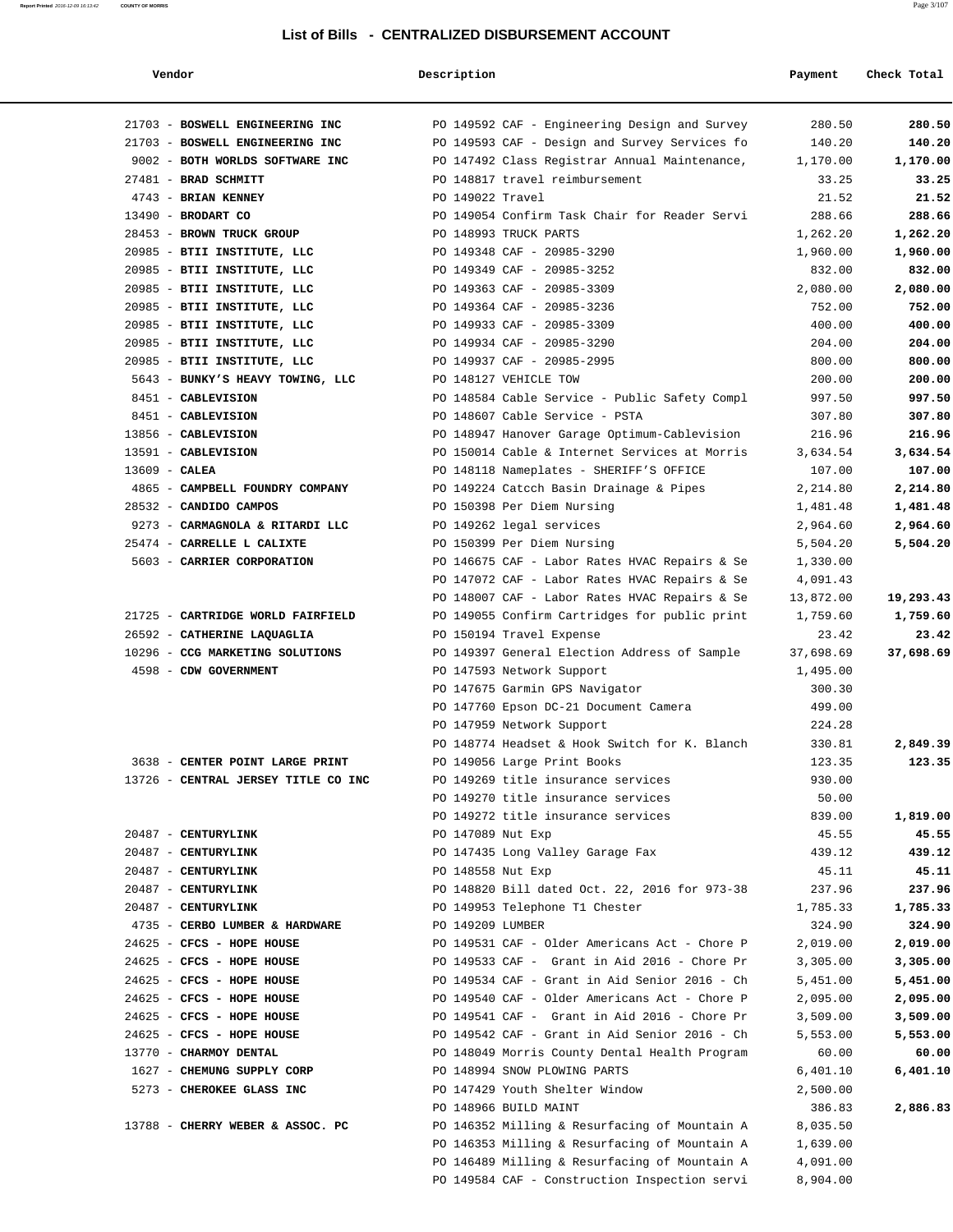**Report Printed** 2016-12-09 16:13:42 **COUNTY OF MORRIS** Page 3/107

| Vendor | Description | Payment | Check Total |
|--------|-------------|---------|-------------|
|        |             |         |             |

| 21703 - BOSWELL ENGINEERING INC                         | PO 149592 CAF - Engineering Design and Survey                                   | 280.50            | 280.50            |
|---------------------------------------------------------|---------------------------------------------------------------------------------|-------------------|-------------------|
| 21703 - BOSWELL ENGINEERING INC                         | PO 149593 CAF - Design and Survey Services fo                                   | 140.20            | 140.20            |
| 9002 - BOTH WORLDS SOFTWARE INC<br>27481 - BRAD SCHMITT | PO 147492 Class Registrar Annual Maintenance,<br>PO 148817 travel reimbursement | 1,170.00<br>33.25 | 1,170.00<br>33.25 |
| 4743 - BRIAN KENNEY                                     | PO 149022 Travel                                                                | 21.52             | 21.52             |
| 13490 - BRODART CO                                      | PO 149054 Confirm Task Chair for Reader Servi                                   | 288.66            | 288.66            |
| 28453 - BROWN TRUCK GROUP                               | PO 148993 TRUCK PARTS                                                           | 1,262.20          | 1,262.20          |
| 20985 - BTII INSTITUTE, LLC                             | PO 149348 CAF - 20985-3290                                                      | 1,960.00          | 1,960.00          |
| 20985 - BTII INSTITUTE, LLC                             | PO 149349 CAF - 20985-3252                                                      | 832.00            | 832.00            |
| 20985 - BTII INSTITUTE, LLC                             | PO 149363 CAF - 20985-3309                                                      | 2,080.00          | 2,080.00          |
| 20985 - BTII INSTITUTE, LLC                             | PO 149364 CAF - 20985-3236                                                      | 752.00            | 752.00            |
| 20985 - BTII INSTITUTE, LLC                             | PO 149933 CAF - 20985-3309                                                      | 400.00            | 400.00            |
| 20985 - BTII INSTITUTE, LLC                             | PO 149934 CAF - 20985-3290                                                      | 204.00            | 204.00            |
| 20985 - BTII INSTITUTE, LLC                             | PO 149937 CAF - 20985-2995                                                      | 800.00            | 800.00            |
| 5643 - BUNKY'S HEAVY TOWING, LLC                        | PO 148127 VEHICLE TOW                                                           | 200.00            | 200.00            |
| 8451 - CABLEVISION                                      | PO 148584 Cable Service - Public Safety Compl                                   | 997.50            | 997.50            |
| 8451 - CABLEVISION                                      | PO 148607 Cable Service - PSTA                                                  | 307.80            | 307.80            |
| 13856 - CABLEVISION                                     | PO 148947 Hanover Garage Optimum-Cablevision                                    | 216.96            | 216.96            |
| 13591 - CABLEVISION                                     | PO 150014 Cable & Internet Services at Morris                                   | 3,634.54          | 3,634.54          |
| $13609$ - CALEA                                         | PO 148118 Nameplates - SHERIFF'S OFFICE                                         | 107.00            | 107.00            |
| 4865 - CAMPBELL FOUNDRY COMPANY                         | PO 149224 Catcch Basin Drainage & Pipes                                         | 2,214.80          | 2,214.80          |
| 28532 - CANDIDO CAMPOS                                  | PO 150398 Per Diem Nursing                                                      | 1,481.48          | 1,481.48          |
| 9273 - CARMAGNOLA & RITARDI LLC                         | PO 149262 legal services                                                        | 2,964.60          | 2,964.60          |
| 25474 - CARRELLE L CALIXTE                              | PO 150399 Per Diem Nursing                                                      | 5,504.20          | 5,504.20          |
| 5603 - CARRIER CORPORATION                              | PO 146675 CAF - Labor Rates HVAC Repairs & Se                                   | 1,330.00          |                   |
|                                                         | PO 147072 CAF - Labor Rates HVAC Repairs & Se                                   | 4,091.43          |                   |
|                                                         | PO 148007 CAF - Labor Rates HVAC Repairs & Se                                   | 13,872.00         | 19,293.43         |
| 21725 - CARTRIDGE WORLD FAIRFIELD                       | PO 149055 Confirm Cartridges for public print                                   | 1,759.60          | 1,759.60          |
| 26592 - CATHERINE LAQUAGLIA                             | PO 150194 Travel Expense                                                        | 23.42             | 23.42             |
| 10296 - CCG MARKETING SOLUTIONS                         | PO 149397 General Election Address of Sample                                    | 37,698.69         | 37,698.69         |
| 4598 - CDW GOVERNMENT                                   | PO 147593 Network Support                                                       | 1,495.00          |                   |
|                                                         | PO 147675 Garmin GPS Navigator                                                  | 300.30            |                   |
|                                                         | PO 147760 Epson DC-21 Document Camera                                           | 499.00            |                   |
|                                                         | PO 147959 Network Support                                                       | 224.28            |                   |
|                                                         | PO 148774 Headset & Hook Switch for K. Blanch                                   | 330.81            | 2,849.39          |
| 3638 - CENTER POINT LARGE PRINT                         | PO 149056 Large Print Books                                                     | 123.35            | 123.35            |
| 13726 - CENTRAL JERSEY TITLE CO INC                     | PO 149269 title insurance services                                              | 930.00            |                   |
|                                                         | PO 149270 title insurance services                                              | 50.00             |                   |
|                                                         | PO 149272 title insurance services                                              | 839.00            | 1,819.00          |
| 20487 - CENTURYLINK                                     | PO 147089 Nut Exp                                                               | 45.55             | 45.55             |
| 20487 - CENTURYLINK                                     | PO 147435 Long Valley Garage Fax                                                | 439.12            | 439.12            |
| 20487 - CENTURYLINK                                     | PO 148558 Nut Exp                                                               | 45.11             | 45.11             |
| 20487 - CENTURYLINK                                     | PO 148820 Bill dated Oct. 22, 2016 for 973-38                                   | 237.96            | 237.96            |
| 20487 - CENTURYLINK                                     | PO 149953 Telephone T1 Chester                                                  | 1,785.33          | 1,785.33          |
| 4735 - CERBO LUMBER & HARDWARE                          | PO 149209 LUMBER                                                                | 324.90            | 324.90            |
| 24625 - CFCS - HOPE HOUSE                               | PO 149531 CAF - Older Americans Act - Chore P                                   | 2,019.00          | 2,019.00          |
| 24625 - CFCS - HOPE HOUSE                               | PO 149533 CAF - Grant in Aid 2016 - Chore Pr                                    | 3,305.00          | 3,305.00          |
| 24625 - CFCS - HOPE HOUSE                               | PO 149534 CAF - Grant in Aid Senior 2016 - Ch                                   | 5,451.00          | 5,451.00          |
| 24625 - CFCS - HOPE HOUSE                               | PO 149540 CAF - Older Americans Act - Chore P                                   | 2,095.00          | 2,095.00          |
| 24625 - CFCS - HOPE HOUSE                               | PO 149541 CAF - Grant in Aid 2016 - Chore Pr                                    | 3,509.00          | 3,509.00          |
| 24625 - CFCS - HOPE HOUSE                               | PO 149542 CAF - Grant in Aid Senior 2016 - Ch                                   | 5,553.00          | 5,553.00          |
| 13770 - CHARMOY DENTAL                                  | PO 148049 Morris County Dental Health Program                                   | 60.00             | 60.00             |
| 1627 - CHEMUNG SUPPLY CORP                              | PO 148994 SNOW PLOWING PARTS                                                    | 6,401.10          | 6,401.10          |
| 5273 - CHEROKEE GLASS INC                               | PO 147429 Youth Shelter Window                                                  | 2,500.00          |                   |
|                                                         | PO 148966 BUILD MAINT                                                           | 386.83            | 2,886.83          |
| 13788 - CHERRY WEBER & ASSOC. PC                        | PO 146352 Milling & Resurfacing of Mountain A                                   | 8,035.50          |                   |
|                                                         | PO 146353 Milling & Resurfacing of Mountain A                                   | 1,639.00          |                   |
|                                                         | PO 146489 Milling & Resurfacing of Mountain A                                   | 4,091.00          |                   |
|                                                         | PO 149584 CAF - Construction Inspection servi                                   | 8,904.00          |                   |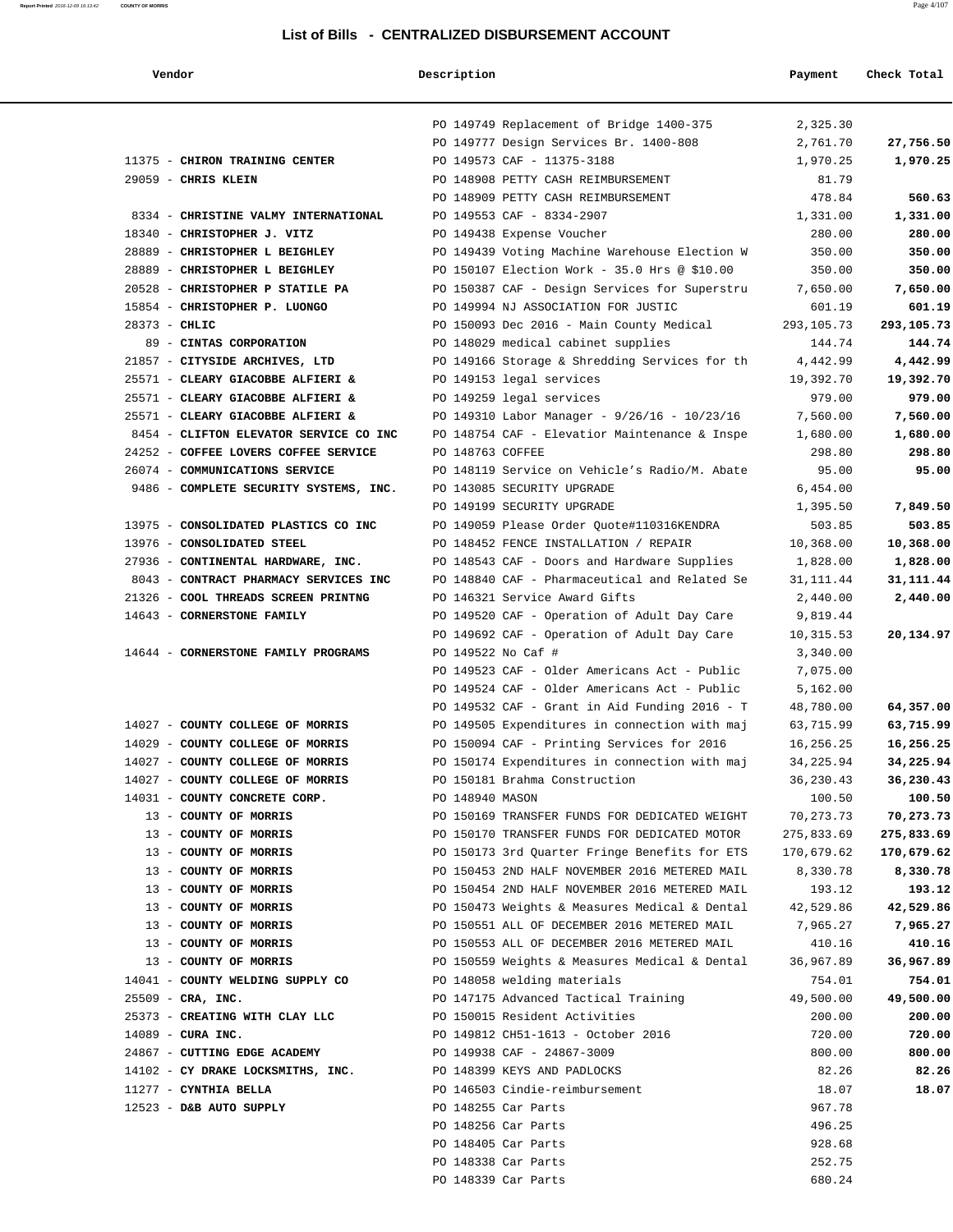| enaor |
|-------|
|-------|

# **Report Printed** 2016-12-09 16:13:42 **COUNTY OF MORRIS** Page 4/107

| Vendor                                 | Description      |                                               | Payment    | Check Total |
|----------------------------------------|------------------|-----------------------------------------------|------------|-------------|
|                                        |                  | PO 149749 Replacement of Bridge 1400-375      | 2,325.30   |             |
|                                        |                  | PO 149777 Design Services Br. 1400-808        | 2,761.70   | 27,756.50   |
| 11375 - CHIRON TRAINING CENTER         |                  | PO 149573 CAF - 11375-3188                    | 1,970.25   | 1,970.25    |
| 29059 - CHRIS KLEIN                    |                  | PO 148908 PETTY CASH REIMBURSEMENT            | 81.79      |             |
|                                        |                  | PO 148909 PETTY CASH REIMBURSEMENT            | 478.84     | 560.63      |
| 8334 - CHRISTINE VALMY INTERNATIONAL   |                  | PO 149553 CAF - 8334-2907                     | 1,331.00   | 1,331.00    |
| 18340 - CHRISTOPHER J. VITZ            |                  | PO 149438 Expense Voucher                     | 280.00     | 280.00      |
| 28889 - CHRISTOPHER L BEIGHLEY         |                  | PO 149439 Voting Machine Warehouse Election W | 350.00     | 350.00      |
| 28889 - CHRISTOPHER L BEIGHLEY         |                  | PO 150107 Election Work - 35.0 Hrs @ \$10.00  | 350.00     | 350.00      |
| 20528 - CHRISTOPHER P STATILE PA       |                  | PO 150387 CAF - Design Services for Superstru | 7,650.00   | 7,650.00    |
| 15854 - CHRISTOPHER P. LUONGO          |                  | PO 149994 NJ ASSOCIATION FOR JUSTIC           | 601.19     | 601.19      |
| 28373 - CHLIC                          |                  | PO 150093 Dec 2016 - Main County Medical      | 293,105.73 | 293,105.73  |
| 89 - CINTAS CORPORATION                |                  | PO 148029 medical cabinet supplies            | 144.74     | 144.74      |
| 21857 - CITYSIDE ARCHIVES, LTD         |                  | PO 149166 Storage & Shredding Services for th | 4,442.99   | 4,442.99    |
| 25571 - CLEARY GIACOBBE ALFIERI &      |                  | PO 149153 legal services                      | 19,392.70  | 19,392.70   |
| 25571 - CLEARY GIACOBBE ALFIERI &      |                  | PO 149259 legal services                      | 979.00     | 979.00      |
| 25571 - CLEARY GIACOBBE ALFIERI &      |                  | PO 149310 Labor Manager - 9/26/16 - 10/23/16  | 7,560.00   | 7,560.00    |
| 8454 - CLIFTON ELEVATOR SERVICE CO INC |                  | PO 148754 CAF - Elevatior Maintenance & Inspe | 1,680.00   | 1,680.00    |
| 24252 - COFFEE LOVERS COFFEE SERVICE   | PO 148763 COFFEE |                                               | 298.80     | 298.80      |
| 26074 - COMMUNICATIONS SERVICE         |                  | PO 148119 Service on Vehicle's Radio/M. Abate | 95.00      | 95.00       |
| 9486 - COMPLETE SECURITY SYSTEMS, INC. |                  | PO 143085 SECURITY UPGRADE                    | 6,454.00   |             |
|                                        |                  | PO 149199 SECURITY UPGRADE                    | 1,395.50   | 7,849.50    |
| 13975 - CONSOLIDATED PLASTICS CO INC   |                  | PO 149059 Please Order Quote#110316KENDRA     | 503.85     | 503.85      |
| 13976 - CONSOLIDATED STEEL             |                  | PO 148452 FENCE INSTALLATION / REPAIR         | 10,368.00  | 10,368.00   |
| 27936 - CONTINENTAL HARDWARE, INC.     |                  | PO 148543 CAF - Doors and Hardware Supplies   | 1,828.00   | 1,828.00    |
| 8043 - CONTRACT PHARMACY SERVICES INC  |                  | PO 148840 CAF - Pharmaceutical and Related Se | 31,111.44  | 31, 111.44  |
| 21326 - COOL THREADS SCREEN PRINTNG    |                  | PO 146321 Service Award Gifts                 | 2,440.00   | 2,440.00    |
| 14643 - CORNERSTONE FAMILY             |                  | PO 149520 CAF - Operation of Adult Day Care   | 9,819.44   |             |
|                                        |                  | PO 149692 CAF - Operation of Adult Day Care   | 10,315.53  | 20,134.97   |
| 14644 - CORNERSTONE FAMILY PROGRAMS    |                  | PO 149522 No Caf #                            | 3,340.00   |             |
|                                        |                  | PO 149523 CAF - Older Americans Act - Public  | 7,075.00   |             |
|                                        |                  | PO 149524 CAF - Older Americans Act - Public  | 5,162.00   |             |
|                                        |                  | PO 149532 CAF - Grant in Aid Funding 2016 - T | 48,780.00  | 64,357.00   |
| 14027 - COUNTY COLLEGE OF MORRIS       |                  | PO 149505 Expenditures in connection with maj | 63,715.99  | 63,715.99   |
| 14029 - COUNTY COLLEGE OF MORRIS       |                  | PO 150094 CAF - Printing Services for 2016    | 16,256.25  | 16,256.25   |
| 14027 - COUNTY COLLEGE OF MORRIS       |                  | PO 150174 Expenditures in connection with maj | 34,225.94  | 34,225.94   |
| 14027 - COUNTY COLLEGE OF MORRIS       |                  | PO 150181 Brahma Construction                 | 36,230.43  | 36,230.43   |
| 14031 - COUNTY CONCRETE CORP.          | PO 148940 MASON  |                                               | 100.50     | 100.50      |
| 13 - COUNTY OF MORRIS                  |                  | PO 150169 TRANSFER FUNDS FOR DEDICATED WEIGHT | 70,273.73  | 70,273.73   |
| 13 - COUNTY OF MORRIS                  |                  | PO 150170 TRANSFER FUNDS FOR DEDICATED MOTOR  | 275,833.69 | 275,833.69  |
| 13 - COUNTY OF MORRIS                  |                  | PO 150173 3rd Quarter Fringe Benefits for ETS | 170,679.62 | 170,679.62  |
| 13 - COUNTY OF MORRIS                  |                  | PO 150453 2ND HALF NOVEMBER 2016 METERED MAIL | 8,330.78   | 8,330.78    |
| 13 - COUNTY OF MORRIS                  |                  | PO 150454 2ND HALF NOVEMBER 2016 METERED MAIL | 193.12     | 193.12      |
| 13 - COUNTY OF MORRIS                  |                  | PO 150473 Weights & Measures Medical & Dental | 42,529.86  | 42,529.86   |
| 13 - COUNTY OF MORRIS                  |                  | PO 150551 ALL OF DECEMBER 2016 METERED MAIL   | 7,965.27   | 7,965.27    |
| 13 - COUNTY OF MORRIS                  |                  | PO 150553 ALL OF DECEMBER 2016 METERED MAIL   | 410.16     | 410.16      |
| 13 - COUNTY OF MORRIS                  |                  | PO 150559 Weights & Measures Medical & Dental | 36,967.89  | 36,967.89   |
| 14041 - COUNTY WELDING SUPPLY CO       |                  | PO 148058 welding materials                   | 754.01     | 754.01      |
| $25509 - CRA$ , INC.                   |                  | PO 147175 Advanced Tactical Training          | 49,500.00  | 49,500.00   |
| 25373 - CREATING WITH CLAY LLC         |                  | PO 150015 Resident Activities                 | 200.00     | 200.00      |
| $14089$ - CURA INC.                    |                  | PO 149812 CH51-1613 - October 2016            | 720.00     | 720.00      |
| 24867 - CUTTING EDGE ACADEMY           |                  | PO 149938 CAF - 24867-3009                    | 800.00     | 800.00      |
| 14102 - CY DRAKE LOCKSMITHS, INC.      |                  | PO 148399 KEYS AND PADLOCKS                   | 82.26      | 82.26       |
| 11277 - CYNTHIA BELLA                  |                  | PO 146503 Cindie-reimbursement                | 18.07      | 18.07       |
| 12523 - D&B AUTO SUPPLY                |                  | PO 148255 Car Parts                           | 967.78     |             |
|                                        |                  | PO 148256 Car Parts                           | 496.25     |             |
|                                        |                  | PO 148405 Car Parts                           | 928.68     |             |
|                                        |                  | PO 148338 Car Parts                           | 252.75     |             |
|                                        |                  | PO 148339 Car Parts                           | 680.24     |             |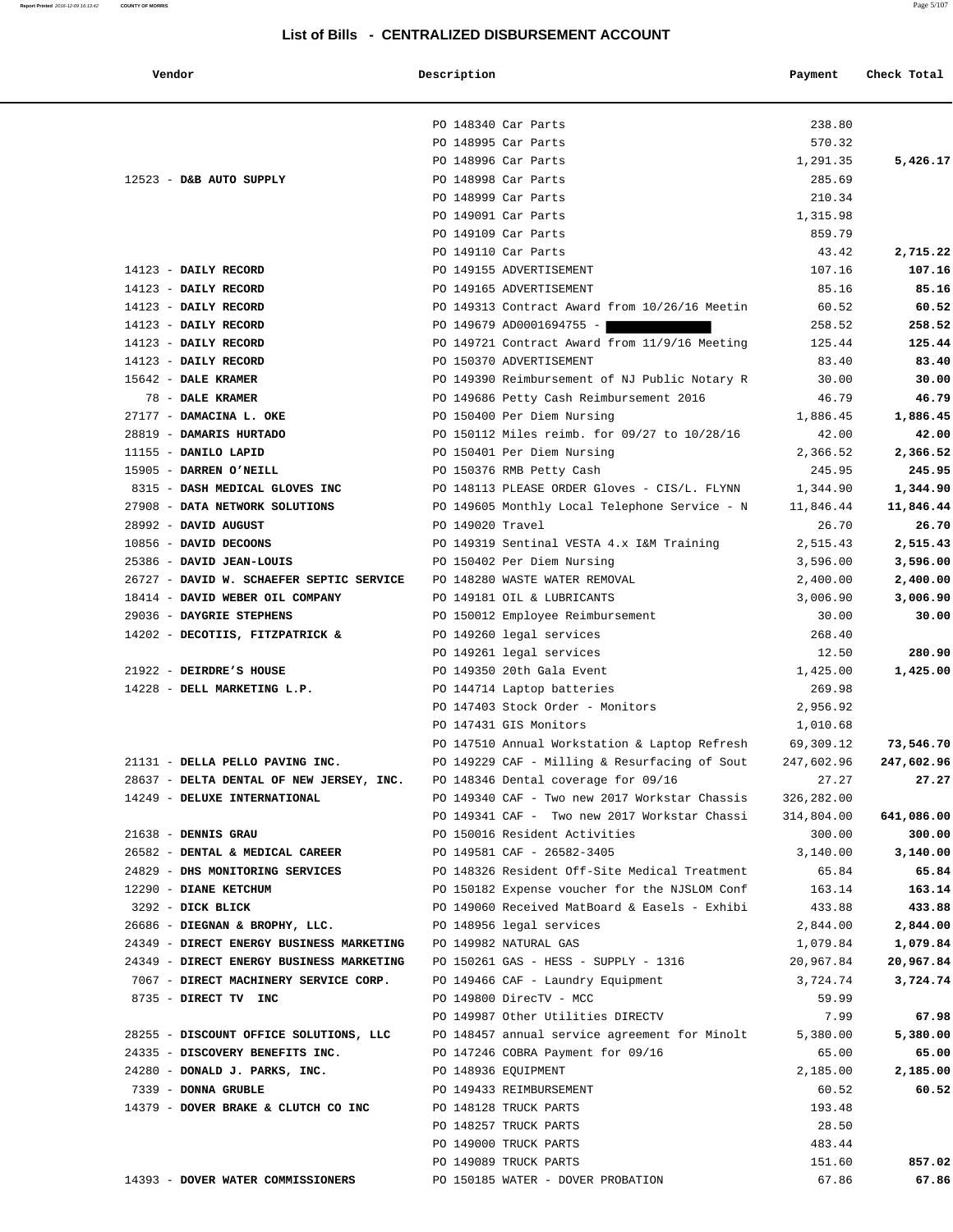**Vendor Description Payment Check Total**

|                                            | PO 148340 Car Parts<br>PO 148995 Car Parts                                                     | 238.80<br>570.32 |                  |
|--------------------------------------------|------------------------------------------------------------------------------------------------|------------------|------------------|
|                                            | PO 148996 Car Parts                                                                            | 1,291.35         | 5,426.17         |
| 12523 - D&B AUTO SUPPLY                    | PO 148998 Car Parts                                                                            | 285.69           |                  |
|                                            | PO 148999 Car Parts                                                                            | 210.34           |                  |
|                                            | PO 149091 Car Parts                                                                            | 1,315.98         |                  |
|                                            | PO 149109 Car Parts                                                                            | 859.79           |                  |
|                                            | PO 149110 Car Parts                                                                            | 43.42            | 2,715.22         |
| 14123 - DAILY RECORD                       | PO 149155 ADVERTISEMENT                                                                        | 107.16           | 107.16           |
| 14123 - DAILY RECORD                       | PO 149165 ADVERTISEMENT                                                                        | 85.16            | 85.16            |
| 14123 - DAILY RECORD                       | PO 149313 Contract Award from 10/26/16 Meetin                                                  | 60.52            | 60.52            |
| 14123 - DAILY RECORD                       | PO 149679 AD0001694755 -                                                                       | 258.52           | 258.52           |
| 14123 - DAILY RECORD                       | PO 149721 Contract Award from 11/9/16 Meeting                                                  | 125.44           | 125.44           |
| 14123 - DAILY RECORD                       | PO 150370 ADVERTISEMENT                                                                        | 83.40            | 83.40            |
| $15642$ - DALE KRAMER                      | PO 149390 Reimbursement of NJ Public Notary R                                                  | 30.00            | 30.00            |
| 78 - DALE KRAMER                           | PO 149686 Petty Cash Reimbursement 2016                                                        | 46.79            | 46.79            |
| 27177 - DAMACINA L. OKE                    | PO 150400 Per Diem Nursing                                                                     | 1,886.45         | 1,886.45         |
| 28819 - DAMARIS HURTADO                    | PO 150112 Miles reimb. for 09/27 to 10/28/16                                                   | 42.00            | 42.00            |
| 11155 - DANILO LAPID                       | PO 150401 Per Diem Nursing                                                                     | 2,366.52         | 2,366.52         |
| 15905 - DARREN O'NEILL                     | PO 150376 RMB Petty Cash                                                                       | 245.95           | 245.95           |
| 8315 - DASH MEDICAL GLOVES INC             | PO 148113 PLEASE ORDER Gloves - CIS/L. FLYNN                                                   | 1,344.90         | 1,344.90         |
| 27908 - DATA NETWORK SOLUTIONS             | PO 149605 Monthly Local Telephone Service - N                                                  | 11,846.44        | 11,846.44        |
| 28992 - DAVID AUGUST                       | PO 149020 Travel                                                                               | 26.70            | 26.70            |
| 10856 - DAVID DECOONS                      | PO 149319 Sentinal VESTA 4.x I&M Training                                                      | 2,515.43         | 2,515.43         |
| 25386 - DAVID JEAN-LOUIS                   | PO 150402 Per Diem Nursing                                                                     | 3,596.00         | 3,596.00         |
| 26727 - DAVID W. SCHAEFER SEPTIC SERVICE   | PO 148280 WASTE WATER REMOVAL                                                                  | 2,400.00         | 2,400.00         |
| 18414 - DAVID WEBER OIL COMPANY            | PO 149181 OIL & LUBRICANTS                                                                     | 3,006.90         | 3,006.90         |
| 29036 - DAYGRIE STEPHENS                   | PO 150012 Employee Reimbursement                                                               | 30.00            | 30.00            |
| 14202 - DECOTIIS, FITZPATRICK &            | PO 149260 legal services                                                                       | 268.40           |                  |
|                                            | PO 149261 legal services                                                                       | 12.50            | 280.90           |
| 21922 - DEIRDRE'S HOUSE                    | PO 149350 20th Gala Event                                                                      | 1,425.00         | 1,425.00         |
| 14228 - DELL MARKETING L.P.                | PO 144714 Laptop batteries                                                                     | 269.98           |                  |
|                                            | PO 147403 Stock Order - Monitors                                                               | 2,956.92         |                  |
|                                            | PO 147431 GIS Monitors                                                                         | 1,010.68         |                  |
|                                            | PO 147510 Annual Workstation & Laptop Refresh                                                  | 69,309.12        | 73,546.70        |
| 21131 - DELLA PELLO PAVING INC.            | PO 149229 CAF - Milling & Resurfacing of Sout                                                  | 247,602.96       | 247,602.96       |
| 28637 - DELTA DENTAL OF NEW JERSEY, INC.   | PO 148346 Dental coverage for 09/16                                                            | 27.27            | 27.27            |
| 14249 - DELUXE INTERNATIONAL               | PO 149340 CAF - Two new 2017 Workstar Chassis                                                  | 326,282.00       |                  |
|                                            | PO 149341 CAF - Two new 2017 Workstar Chassi 314,804.00                                        |                  | 641,086.00       |
| 21638 - DENNIS GRAU                        | PO 150016 Resident Activities                                                                  | 300.00           | 300.00           |
| 26582 - DENTAL & MEDICAL CAREER            | PO 149581 CAF - 26582-3405                                                                     | 3,140.00         | 3,140.00         |
| 24829 - DHS MONITORING SERVICES            | PO 148326 Resident Off-Site Medical Treatment<br>PO 150182 Expense voucher for the NJSLOM Conf | 65.84            | 65.84            |
| 12290 - DIANE KETCHUM<br>3292 - DICK BLICK | PO 149060 Received MatBoard & Easels - Exhibi                                                  | 163.14<br>433.88 | 163.14<br>433.88 |
| 26686 - DIEGNAN & BROPHY, LLC.             | PO 148956 legal services                                                                       | 2,844.00         | 2,844.00         |
| 24349 - DIRECT ENERGY BUSINESS MARKETING   | PO 149982 NATURAL GAS                                                                          | 1,079.84         | 1,079.84         |
| 24349 - DIRECT ENERGY BUSINESS MARKETING   | PO 150261 GAS - HESS - SUPPLY - 1316                                                           | 20,967.84        | 20,967.84        |
| 7067 - DIRECT MACHINERY SERVICE CORP.      | PO 149466 CAF - Laundry Equipment                                                              | 3,724.74         | 3,724.74         |
| 8735 - DIRECT TV INC                       | PO 149800 DirecTV - MCC                                                                        | 59.99            |                  |
|                                            | PO 149987 Other Utilities DIRECTV                                                              | 7.99             | 67.98            |
| 28255 - DISCOUNT OFFICE SOLUTIONS, LLC     | PO 148457 annual service agreement for Minolt                                                  | 5,380.00         | 5,380.00         |
| 24335 - DISCOVERY BENEFITS INC.            | PO 147246 COBRA Payment for 09/16                                                              | 65.00            | 65.00            |
| 24280 - DONALD J. PARKS, INC.              | PO 148936 EQUIPMENT                                                                            | 2,185.00         | 2,185.00         |
| 7339 - DONNA GRUBLE                        | PO 149433 REIMBURSEMENT                                                                        | 60.52            | 60.52            |
| 14379 - DOVER BRAKE & CLUTCH CO INC        | PO 148128 TRUCK PARTS                                                                          | 193.48           |                  |
|                                            | PO 148257 TRUCK PARTS                                                                          | 28.50            |                  |
|                                            | PO 149000 TRUCK PARTS                                                                          | 483.44           |                  |
|                                            | PO 149089 TRUCK PARTS                                                                          | 151.60           | 857.02           |
| 14393 - DOVER WATER COMMISSIONERS          | PO 150185 WATER - DOVER PROBATION                                                              | 67.86            | 67.86            |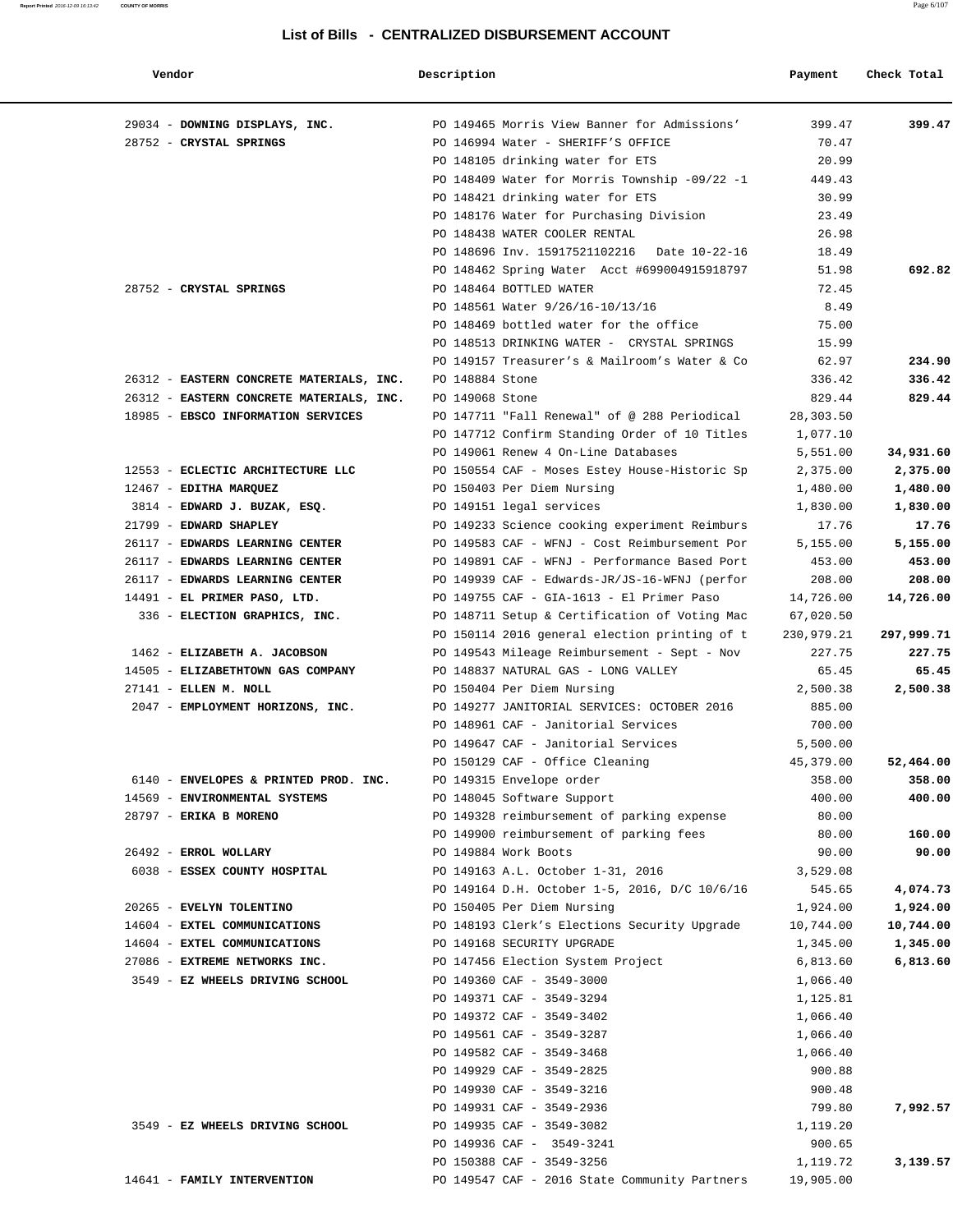| Vendor                                   | Description     |                                               | Payment    | Check Total |
|------------------------------------------|-----------------|-----------------------------------------------|------------|-------------|
| 29034 - DOWNING DISPLAYS, INC.           |                 | PO 149465 Morris View Banner for Admissions'  | 399.47     | 399.47      |
| 28752 - CRYSTAL SPRINGS                  |                 | PO 146994 Water - SHERIFF'S OFFICE            | 70.47      |             |
|                                          |                 | PO 148105 drinking water for ETS              | 20.99      |             |
|                                          |                 | PO 148409 Water for Morris Township -09/22 -1 | 449.43     |             |
|                                          |                 | PO 148421 drinking water for ETS              | 30.99      |             |
|                                          |                 | PO 148176 Water for Purchasing Division       | 23.49      |             |
|                                          |                 | PO 148438 WATER COOLER RENTAL                 | 26.98      |             |
|                                          |                 | PO 148696 Inv. 15917521102216 Date 10-22-16   | 18.49      |             |
|                                          |                 | PO 148462 Spring Water Acct #699004915918797  | 51.98      | 692.82      |
| 28752 - CRYSTAL SPRINGS                  |                 | PO 148464 BOTTLED WATER                       | 72.45      |             |
|                                          |                 | PO 148561 Water 9/26/16-10/13/16              | 8.49       |             |
|                                          |                 | PO 148469 bottled water for the office        | 75.00      |             |
|                                          |                 | PO 148513 DRINKING WATER - CRYSTAL SPRINGS    | 15.99      |             |
|                                          |                 | PO 149157 Treasurer's & Mailroom's Water & Co | 62.97      | 234.90      |
| 26312 - EASTERN CONCRETE MATERIALS, INC. | PO 148884 Stone |                                               | 336.42     | 336.42      |
| 26312 - EASTERN CONCRETE MATERIALS, INC. | PO 149068 Stone |                                               | 829.44     | 829.44      |
| 18985 - EBSCO INFORMATION SERVICES       |                 | PO 147711 "Fall Renewal" of @ 288 Periodical  | 28,303.50  |             |
|                                          |                 | PO 147712 Confirm Standing Order of 10 Titles | 1,077.10   |             |
|                                          |                 | PO 149061 Renew 4 On-Line Databases           | 5,551.00   | 34,931.60   |
| 12553 - ECLECTIC ARCHITECTURE LLC        |                 | PO 150554 CAF - Moses Estey House-Historic Sp | 2,375.00   | 2,375.00    |
| 12467 - EDITHA MARQUEZ                   |                 | PO 150403 Per Diem Nursing                    | 1,480.00   | 1,480.00    |
| 3814 - EDWARD J. BUZAK, ESQ.             |                 | PO 149151 legal services                      | 1,830.00   | 1,830.00    |
| 21799 - EDWARD SHAPLEY                   |                 | PO 149233 Science cooking experiment Reimburs | 17.76      | 17.76       |
| 26117 - EDWARDS LEARNING CENTER          |                 | PO 149583 CAF - WFNJ - Cost Reimbursement Por | 5,155.00   | 5,155.00    |
| 26117 - EDWARDS LEARNING CENTER          |                 | PO 149891 CAF - WFNJ - Performance Based Port | 453.00     | 453.00      |
| 26117 - EDWARDS LEARNING CENTER          |                 | PO 149939 CAF - Edwards-JR/JS-16-WFNJ (perfor | 208.00     | 208.00      |
| 14491 - EL PRIMER PASO, LTD.             |                 | PO 149755 CAF - GIA-1613 - El Primer Paso     | 14,726.00  | 14,726.00   |
| 336 - ELECTION GRAPHICS, INC.            |                 | PO 148711 Setup & Certification of Voting Mac | 67,020.50  |             |
|                                          |                 | PO 150114 2016 general election printing of t | 230,979.21 | 297,999.71  |
| 1462 - ELIZABETH A. JACOBSON             |                 | PO 149543 Mileage Reimbursement - Sept - Nov  | 227.75     | 227.75      |
| 14505 - ELIZABETHTOWN GAS COMPANY        |                 | PO 148837 NATURAL GAS - LONG VALLEY           | 65.45      | 65.45       |
| 27141 - ELLEN M. NOLL                    |                 | PO 150404 Per Diem Nursing                    | 2,500.38   | 2,500.38    |
| 2047 - EMPLOYMENT HORIZONS, INC.         |                 | PO 149277 JANITORIAL SERVICES: OCTOBER 2016   | 885.00     |             |
|                                          |                 | PO 148961 CAF - Janitorial Services           | 700.00     |             |
|                                          |                 | PO 149647 CAF - Janitorial Services           | 5,500.00   |             |
|                                          |                 | PO 150129 CAF - Office Cleaning               | 45,379.00  | 52,464.00   |
| 6140 - ENVELOPES & PRINTED PROD. INC.    |                 | PO 149315 Envelope order                      | 358.00     | 358.00      |
| 14569 - ENVIRONMENTAL SYSTEMS            |                 | PO 148045 Software Support                    | 400.00     | 400.00      |
| 28797 - ERIKA B MORENO                   |                 | PO 149328 reimbursement of parking expense    | 80.00      |             |
|                                          |                 | PO 149900 reimbursement of parking fees       | 80.00      | 160.00      |
| 26492 - ERROL WOLLARY                    |                 | PO 149884 Work Boots                          | 90.00      | 90.00       |
| 6038 - ESSEX COUNTY HOSPITAL             |                 | PO 149163 A.L. October 1-31, 2016             | 3,529.08   |             |
|                                          |                 | PO 149164 D.H. October 1-5, 2016, D/C 10/6/16 | 545.65     | 4,074.73    |
| 20265 - EVELYN TOLENTINO                 |                 | PO 150405 Per Diem Nursing                    | 1,924.00   | 1,924.00    |
| 14604 - EXTEL COMMUNICATIONS             |                 | PO 148193 Clerk's Elections Security Upgrade  | 10,744.00  | 10,744.00   |
| 14604 - EXTEL COMMUNICATIONS             |                 | PO 149168 SECURITY UPGRADE                    | 1,345.00   | 1,345.00    |
| 27086 - EXTREME NETWORKS INC.            |                 | PO 147456 Election System Project             | 6,813.60   | 6,813.60    |
| 3549 - EZ WHEELS DRIVING SCHOOL          |                 | PO 149360 CAF - 3549-3000                     | 1,066.40   |             |
|                                          |                 | PO 149371 CAF - 3549-3294                     | 1,125.81   |             |
|                                          |                 | PO 149372 CAF - 3549-3402                     | 1,066.40   |             |
|                                          |                 | PO 149561 CAF - 3549-3287                     | 1,066.40   |             |
|                                          |                 | PO 149582 CAF - 3549-3468                     | 1,066.40   |             |
|                                          |                 | PO 149929 CAF - 3549-2825                     | 900.88     |             |
|                                          |                 | PO 149930 CAF - 3549-3216                     | 900.48     |             |
|                                          |                 | PO 149931 CAF - 3549-2936                     | 799.80     | 7,992.57    |
| 3549 - EZ WHEELS DRIVING SCHOOL          |                 | PO 149935 CAF - 3549-3082                     | 1,119.20   |             |
|                                          |                 | PO 149936 CAF - 3549-3241                     | 900.65     |             |
|                                          |                 | PO 150388 CAF - 3549-3256                     | 1,119.72   | 3,139.57    |
| 14641 - FAMILY INTERVENTION              |                 | PO 149547 CAF - 2016 State Community Partners | 19,905.00  |             |

**Report Printed** 2016-12-09 16:13:42 **COUNTY OF MORRIS** Page 6/107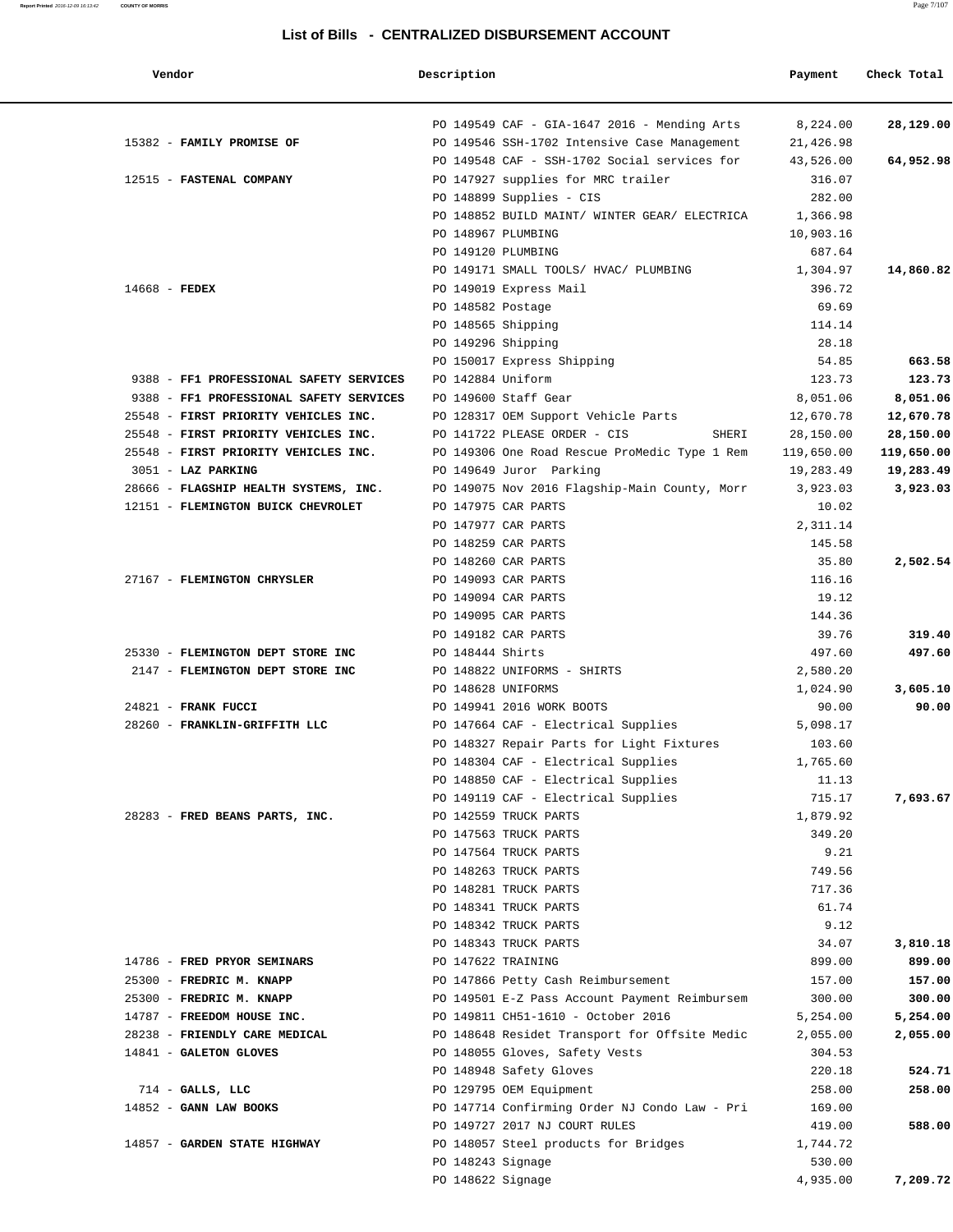| Vendor                                  | Description        |                                                | Payment             | Check Total |
|-----------------------------------------|--------------------|------------------------------------------------|---------------------|-------------|
|                                         |                    | PO 149549 CAF - GIA-1647 2016 - Mending Arts   | 8,224.00            | 28,129.00   |
| 15382 - FAMILY PROMISE OF               |                    | PO 149546 SSH-1702 Intensive Case Management   | 21,426.98           |             |
|                                         |                    | PO 149548 CAF - SSH-1702 Social services for   | 43,526.00           | 64,952.98   |
| 12515 - FASTENAL COMPANY                |                    | PO 147927 supplies for MRC trailer             | 316.07              |             |
|                                         |                    | PO 148899 Supplies - CIS                       | 282.00              |             |
|                                         | PO 148967 PLUMBING | PO 148852 BUILD MAINT/ WINTER GEAR/ ELECTRICA  | 1,366.98            |             |
|                                         | PO 149120 PLUMBING |                                                | 10,903.16<br>687.64 |             |
|                                         |                    | PO 149171 SMALL TOOLS/ HVAC/ PLUMBING          | 1,304.97            | 14,860.82   |
| $14668$ - FEDEX                         |                    | PO 149019 Express Mail                         | 396.72              |             |
|                                         | PO 148582 Postage  |                                                | 69.69               |             |
|                                         |                    | PO 148565 Shipping                             | 114.14              |             |
|                                         | PO 149296 Shipping |                                                | 28.18               |             |
|                                         |                    | PO 150017 Express Shipping                     | 54.85               | 663.58      |
| 9388 - FF1 PROFESSIONAL SAFETY SERVICES | PO 142884 Uniform  |                                                | 123.73              | 123.73      |
| 9388 - FF1 PROFESSIONAL SAFETY SERVICES |                    | PO 149600 Staff Gear                           | 8,051.06            | 8,051.06    |
| 25548 - FIRST PRIORITY VEHICLES INC.    |                    | PO 128317 OEM Support Vehicle Parts            | 12,670.78           | 12,670.78   |
| 25548 - FIRST PRIORITY VEHICLES INC.    |                    | PO 141722 PLEASE ORDER - CIS<br>SHERI          | 28,150.00           | 28,150.00   |
| 25548 - FIRST PRIORITY VEHICLES INC.    |                    | PO 149306 One Road Rescue ProMedic Type 1 Rem  | 119,650.00          | 119,650.00  |
| 3051 - LAZ PARKING                      |                    | PO 149649 Juror Parking                        | 19,283.49           | 19,283.49   |
| 28666 - FLAGSHIP HEALTH SYSTEMS, INC.   |                    | PO 149075 Nov 2016 Flagship-Main County, Morr  | 3,923.03            | 3,923.03    |
| 12151 - FLEMINGTON BUICK CHEVROLET      |                    | PO 147975 CAR PARTS                            | 10.02               |             |
|                                         |                    | PO 147977 CAR PARTS<br>PO 148259 CAR PARTS     | 2,311.14<br>145.58  |             |
|                                         |                    | PO 148260 CAR PARTS                            | 35.80               | 2,502.54    |
| 27167 - FLEMINGTON CHRYSLER             |                    | PO 149093 CAR PARTS                            | 116.16              |             |
|                                         |                    | PO 149094 CAR PARTS                            | 19.12               |             |
|                                         |                    | PO 149095 CAR PARTS                            | 144.36              |             |
|                                         |                    | PO 149182 CAR PARTS                            | 39.76               | 319.40      |
| 25330 - FLEMINGTON DEPT STORE INC       | PO 148444 Shirts   |                                                | 497.60              | 497.60      |
| 2147 - FLEMINGTON DEPT STORE INC        |                    | PO 148822 UNIFORMS - SHIRTS                    | 2,580.20            |             |
|                                         | PO 148628 UNIFORMS |                                                | 1,024.90            | 3,605.10    |
| 24821 - FRANK FUCCI                     |                    | PO 149941 2016 WORK BOOTS                      | 90.00               | 90.00       |
| 28260 - FRANKLIN-GRIFFITH LLC           |                    | PO 147664 CAF - Electrical Supplies            | 5,098.17            |             |
|                                         |                    | PO 148327 Repair Parts for Light Fixtures      | 103.60              |             |
|                                         |                    | PO 148304 CAF - Electrical Supplies            | 1,765.60            |             |
|                                         |                    | PO 148850 CAF - Electrical Supplies            | 11.13               |             |
|                                         |                    | PO 149119 CAF - Electrical Supplies            | 715.17              | 7,693.67    |
| 28283 - FRED BEANS PARTS, INC.          |                    | PO 142559 TRUCK PARTS                          | 1,879.92            |             |
|                                         |                    | PO 147563 TRUCK PARTS                          | 349.20              |             |
|                                         |                    | PO 147564 TRUCK PARTS                          | 9.21                |             |
|                                         |                    | PO 148263 TRUCK PARTS<br>PO 148281 TRUCK PARTS | 749.56<br>717.36    |             |
|                                         |                    | PO 148341 TRUCK PARTS                          | 61.74               |             |
|                                         |                    | PO 148342 TRUCK PARTS                          | 9.12                |             |
|                                         |                    | PO 148343 TRUCK PARTS                          | 34.07               | 3,810.18    |
| 14786 - FRED PRYOR SEMINARS             | PO 147622 TRAINING |                                                | 899.00              | 899.00      |
| 25300 - FREDRIC M. KNAPP                |                    | PO 147866 Petty Cash Reimbursement             | 157.00              | 157.00      |
| 25300 - FREDRIC M. KNAPP                |                    | PO 149501 E-Z Pass Account Payment Reimbursem  | 300.00              | 300.00      |
| 14787 - FREEDOM HOUSE INC.              |                    | PO 149811 CH51-1610 - October 2016             | 5,254.00            | 5,254.00    |
| 28238 - FRIENDLY CARE MEDICAL           |                    | PO 148648 Residet Transport for Offsite Medic  | 2,055.00            | 2,055.00    |
| 14841 - GALETON GLOVES                  |                    | PO 148055 Gloves, Safety Vests                 | 304.53              |             |
|                                         |                    | PO 148948 Safety Gloves                        | 220.18              | 524.71      |
| $714$ - GALLS, LLC                      |                    | PO 129795 OEM Equipment                        | 258.00              | 258.00      |
| 14852 - GANN LAW BOOKS                  |                    | PO 147714 Confirming Order NJ Condo Law - Pri  | 169.00              |             |
|                                         |                    | PO 149727 2017 NJ COURT RULES                  | 419.00              | 588.00      |
| 14857 - GARDEN STATE HIGHWAY            |                    | PO 148057 Steel products for Bridges           | 1,744.72            |             |
|                                         | PO 148243 Signage  |                                                | 530.00              |             |
|                                         | PO 148622 Signage  |                                                | 4,935.00            | 7,209.72    |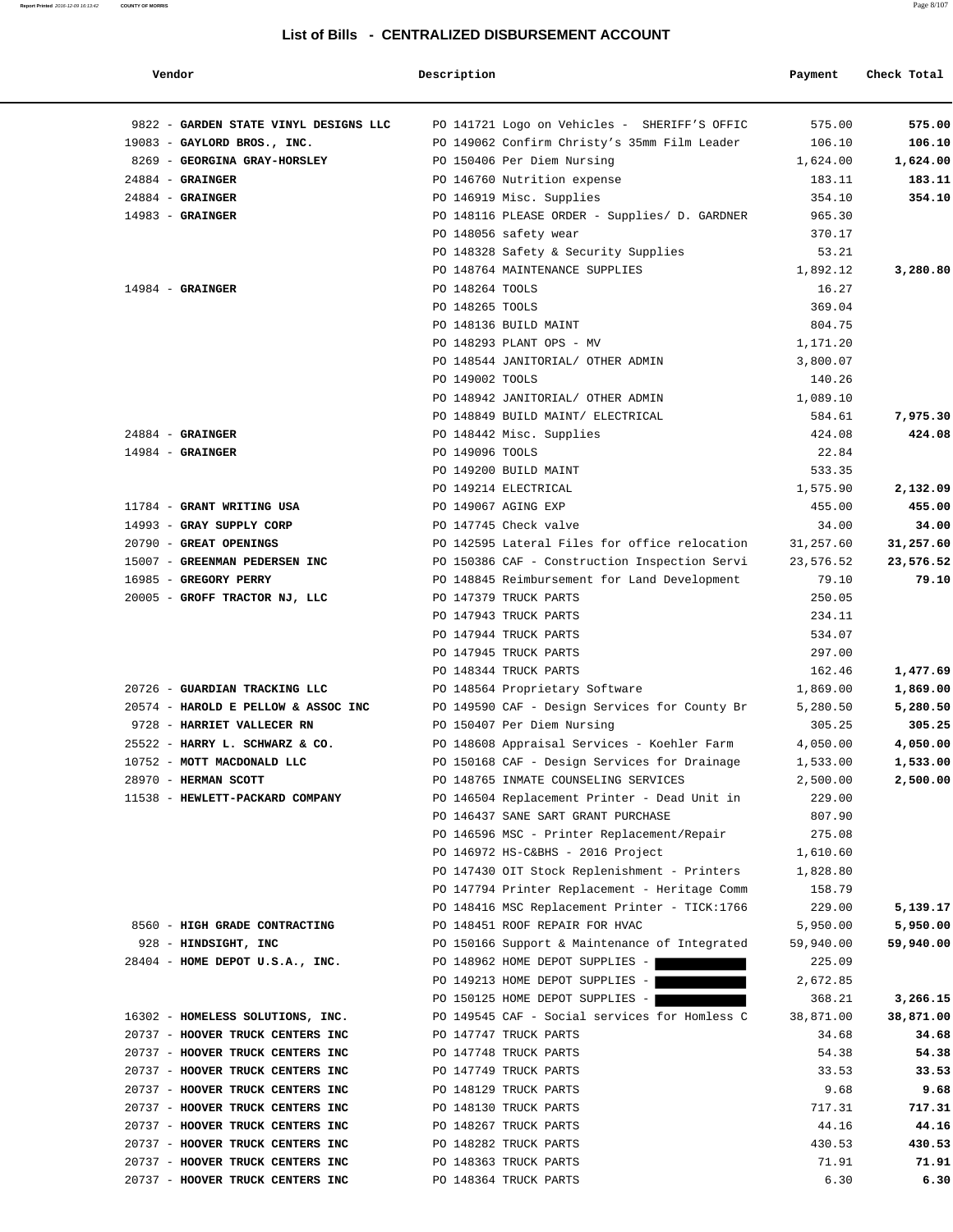| Vendor                                | Description     |                                                | Payment   | Check Total |
|---------------------------------------|-----------------|------------------------------------------------|-----------|-------------|
| 9822 - GARDEN STATE VINYL DESIGNS LLC |                 | PO 141721 Logo on Vehicles - SHERIFF'S OFFIC   | 575.00    | 575.00      |
| 19083 - GAYLORD BROS., INC.           |                 | PO 149062 Confirm Christy's 35mm Film Leader   | 106.10    | 106.10      |
| 8269 - GEORGINA GRAY-HORSLEY          |                 | PO 150406 Per Diem Nursing                     | 1,624.00  | 1,624.00    |
| $24884$ - GRAINGER                    |                 | PO 146760 Nutrition expense                    | 183.11    | 183.11      |
| $24884$ - GRAINGER                    |                 | PO 146919 Misc. Supplies                       | 354.10    | 354.10      |
| $14983$ - GRAINGER                    |                 | PO 148116 PLEASE ORDER - Supplies/ D. GARDNER  | 965.30    |             |
|                                       |                 | PO 148056 safety wear                          | 370.17    |             |
|                                       |                 | PO 148328 Safety & Security Supplies           | 53.21     |             |
|                                       |                 | PO 148764 MAINTENANCE SUPPLIES                 | 1,892.12  | 3,280.80    |
| $14984$ - GRAINGER                    | PO 148264 TOOLS |                                                | 16.27     |             |
|                                       | PO 148265 TOOLS |                                                | 369.04    |             |
|                                       |                 | PO 148136 BUILD MAINT                          | 804.75    |             |
|                                       |                 | PO 148293 PLANT OPS - MV                       | 1,171.20  |             |
|                                       |                 | PO 148544 JANITORIAL/ OTHER ADMIN              | 3,800.07  |             |
|                                       | PO 149002 TOOLS |                                                | 140.26    |             |
|                                       |                 | PO 148942 JANITORIAL/ OTHER ADMIN              | 1,089.10  |             |
|                                       |                 | PO 148849 BUILD MAINT/ ELECTRICAL              | 584.61    | 7,975.30    |
| $24884$ - GRAINGER                    |                 | PO 148442 Misc. Supplies                       | 424.08    | 424.08      |
| $14984$ - GRAINGER                    | PO 149096 TOOLS |                                                | 22.84     |             |
|                                       |                 | PO 149200 BUILD MAINT                          | 533.35    |             |
|                                       |                 | PO 149214 ELECTRICAL                           | 1,575.90  | 2,132.09    |
| 11784 - GRANT WRITING USA             |                 | PO 149067 AGING EXP                            | 455.00    | 455.00      |
| 14993 - GRAY SUPPLY CORP              |                 | PO 147745 Check valve                          | 34.00     | 34.00       |
| 20790 - GREAT OPENINGS                |                 | PO 142595 Lateral Files for office relocation  | 31,257.60 | 31,257.60   |
| 15007 - GREENMAN PEDERSEN INC         |                 | PO 150386 CAF - Construction Inspection Servi  | 23,576.52 | 23,576.52   |
| 16985 - GREGORY PERRY                 |                 | PO 148845 Reimbursement for Land Development   | 79.10     | 79.10       |
| 20005 - GROFF TRACTOR NJ, LLC         |                 | PO 147379 TRUCK PARTS                          | 250.05    |             |
|                                       |                 | PO 147943 TRUCK PARTS                          | 234.11    |             |
|                                       |                 | PO 147944 TRUCK PARTS                          | 534.07    |             |
|                                       |                 | PO 147945 TRUCK PARTS                          | 297.00    |             |
|                                       |                 | PO 148344 TRUCK PARTS                          | 162.46    | 1,477.69    |
| 20726 - GUARDIAN TRACKING LLC         |                 | PO 148564 Proprietary Software                 | 1,869.00  | 1,869.00    |
| 20574 - HAROLD E PELLOW & ASSOC INC   |                 | PO 149590 CAF - Design Services for County Br  | 5,280.50  | 5,280.50    |
| 9728 - HARRIET VALLECER RN            |                 | PO 150407 Per Diem Nursing                     | 305.25    | 305.25      |
| 25522 - HARRY L. SCHWARZ & CO.        |                 | PO 148608 Appraisal Services - Koehler Farm    | 4,050.00  | 4,050.00    |
| 10752 - MOTT MACDONALD LLC            |                 | PO 150168 CAF - Design Services for Drainage   | 1,533.00  | 1,533.00    |
| 28970 - HERMAN SCOTT                  |                 | PO 148765 INMATE COUNSELING SERVICES           | 2,500.00  | 2,500.00    |
| 11538 - HEWLETT-PACKARD COMPANY       |                 | PO 146504 Replacement Printer - Dead Unit in   | 229.00    |             |
|                                       |                 | PO 146437 SANE SART GRANT PURCHASE             | 807.90    |             |
|                                       |                 | PO 146596 MSC - Printer Replacement/Repair     | 275.08    |             |
|                                       |                 | PO 146972 HS-C&BHS - 2016 Project              |           |             |
|                                       |                 |                                                | 1,610.60  |             |
|                                       |                 | PO 147430 OIT Stock Replenishment - Printers   | 1,828.80  |             |
|                                       |                 | PO 147794 Printer Replacement - Heritage Comm  | 158.79    |             |
|                                       |                 | PO 148416 MSC Replacement Printer - TICK: 1766 | 229.00    | 5,139.17    |
| 8560 - HIGH GRADE CONTRACTING         |                 | PO 148451 ROOF REPAIR FOR HVAC                 | 5,950.00  | 5,950.00    |
| 928 - HINDSIGHT, INC                  |                 | PO 150166 Support & Maintenance of Integrated  | 59,940.00 | 59,940.00   |
| 28404 - HOME DEPOT U.S.A., INC.       |                 | PO 148962 HOME DEPOT SUPPLIES -                | 225.09    |             |
|                                       |                 | PO 149213 HOME DEPOT SUPPLIES -                | 2,672.85  |             |
|                                       |                 | PO 150125 HOME DEPOT SUPPLIES -                | 368.21    | 3,266.15    |
| 16302 - HOMELESS SOLUTIONS, INC.      |                 | PO 149545 CAF - Social services for Homless C  | 38,871.00 | 38,871.00   |
| 20737 - HOOVER TRUCK CENTERS INC      |                 | PO 147747 TRUCK PARTS                          | 34.68     | 34.68       |
| 20737 - HOOVER TRUCK CENTERS INC      |                 | PO 147748 TRUCK PARTS                          | 54.38     | 54.38       |
| 20737 - HOOVER TRUCK CENTERS INC      |                 | PO 147749 TRUCK PARTS                          | 33.53     | 33.53       |
| 20737 - HOOVER TRUCK CENTERS INC      |                 | PO 148129 TRUCK PARTS                          | 9.68      | 9.68        |
| 20737 - HOOVER TRUCK CENTERS INC      |                 | PO 148130 TRUCK PARTS                          | 717.31    | 717.31      |
| 20737 - HOOVER TRUCK CENTERS INC      |                 | PO 148267 TRUCK PARTS                          | 44.16     | 44.16       |
| 20737 - HOOVER TRUCK CENTERS INC      |                 | PO 148282 TRUCK PARTS                          | 430.53    | 430.53      |
| 20737 - HOOVER TRUCK CENTERS INC      |                 | PO 148363 TRUCK PARTS                          | 71.91     | 71.91       |
| 20737 - HOOVER TRUCK CENTERS INC      |                 | PO 148364 TRUCK PARTS                          | 6.30      | 6.30        |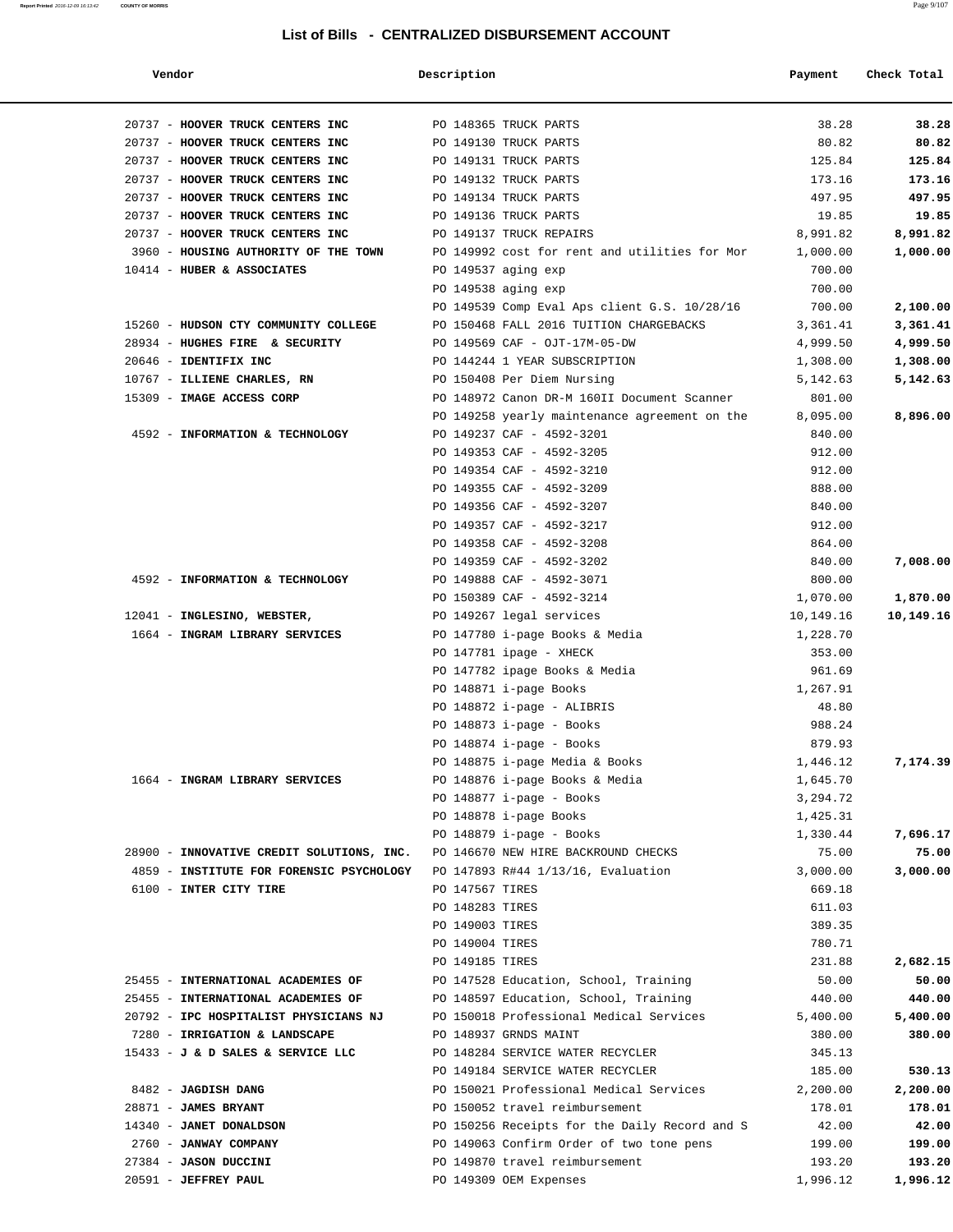| Vendor                                    | Description     |                                               | Payment   | Check Total |
|-------------------------------------------|-----------------|-----------------------------------------------|-----------|-------------|
| 20737 - HOOVER TRUCK CENTERS INC          |                 | PO 148365 TRUCK PARTS                         | 38.28     | 38.28       |
| 20737 - HOOVER TRUCK CENTERS INC          |                 | PO 149130 TRUCK PARTS                         | 80.82     | 80.82       |
| 20737 - HOOVER TRUCK CENTERS INC          |                 | PO 149131 TRUCK PARTS                         | 125.84    | 125.84      |
| 20737 - HOOVER TRUCK CENTERS INC          |                 | PO 149132 TRUCK PARTS                         | 173.16    | 173.16      |
| 20737 - HOOVER TRUCK CENTERS INC          |                 | PO 149134 TRUCK PARTS                         | 497.95    | 497.95      |
| 20737 - HOOVER TRUCK CENTERS INC          |                 | PO 149136 TRUCK PARTS                         | 19.85     | 19.85       |
| 20737 - HOOVER TRUCK CENTERS INC          |                 | PO 149137 TRUCK REPAIRS                       | 8,991.82  | 8,991.82    |
| 3960 - HOUSING AUTHORITY OF THE TOWN      |                 | PO 149992 cost for rent and utilities for Mor | 1,000.00  | 1,000.00    |
| 10414 - HUBER & ASSOCIATES                |                 | PO 149537 aging exp                           | 700.00    |             |
|                                           |                 | PO 149538 aging exp                           | 700.00    |             |
|                                           |                 | PO 149539 Comp Eval Aps client G.S. 10/28/16  | 700.00    | 2,100.00    |
| 15260 - HUDSON CTY COMMUNITY COLLEGE      |                 | PO 150468 FALL 2016 TUITION CHARGEBACKS       | 3,361.41  | 3,361.41    |
| 28934 - HUGHES FIRE & SECURITY            |                 | PO 149569 CAF - OJT-17M-05-DW                 | 4,999.50  | 4,999.50    |
| 20646 - IDENTIFIX INC                     |                 | PO 144244 1 YEAR SUBSCRIPTION                 | 1,308.00  | 1,308.00    |
| 10767 - ILLIENE CHARLES, RN               |                 | PO 150408 Per Diem Nursing                    | 5,142.63  | 5,142.63    |
| 15309 - IMAGE ACCESS CORP                 |                 | PO 148972 Canon DR-M 160II Document Scanner   | 801.00    |             |
|                                           |                 | PO 149258 yearly maintenance agreement on the | 8,095.00  | 8,896.00    |
| 4592 - INFORMATION & TECHNOLOGY           |                 | PO 149237 CAF - 4592-3201                     | 840.00    |             |
|                                           |                 | PO 149353 CAF - 4592-3205                     | 912.00    |             |
|                                           |                 | PO 149354 CAF - 4592-3210                     | 912.00    |             |
|                                           |                 | PO 149355 CAF - 4592-3209                     | 888.00    |             |
|                                           |                 | PO 149356 CAF - 4592-3207                     | 840.00    |             |
|                                           |                 | PO 149357 CAF - 4592-3217                     | 912.00    |             |
|                                           |                 | PO 149358 CAF - 4592-3208                     | 864.00    |             |
|                                           |                 | PO 149359 CAF - 4592-3202                     | 840.00    | 7,008.00    |
| 4592 - INFORMATION & TECHNOLOGY           |                 | PO 149888 CAF - 4592-3071                     | 800.00    |             |
|                                           |                 | PO 150389 CAF - 4592-3214                     | 1,070.00  | 1,870.00    |
| 12041 - INGLESINO, WEBSTER,               |                 | PO 149267 legal services                      | 10,149.16 | 10,149.16   |
| 1664 - INGRAM LIBRARY SERVICES            |                 | PO 147780 i-page Books & Media                | 1,228.70  |             |
|                                           |                 | PO 147781 ipage - XHECK                       | 353.00    |             |
|                                           |                 | PO 147782 ipage Books & Media                 | 961.69    |             |
|                                           |                 | PO 148871 i-page Books                        | 1,267.91  |             |
|                                           |                 | PO 148872 i-page - ALIBRIS                    | 48.80     |             |
|                                           |                 | PO 148873 i-page - Books                      | 988.24    |             |
|                                           |                 | PO 148874 i-page - Books                      | 879.93    |             |
|                                           |                 | PO 148875 i-page Media & Books                | 1,446.12  | 7,174.39    |
| 1664 - INGRAM LIBRARY SERVICES            |                 | PO 148876 i-page Books & Media                | 1,645.70  |             |
|                                           |                 | PO 148877 i-page - Books                      | 3,294.72  |             |
|                                           |                 | PO 148878 i-page Books                        | 1,425.31  |             |
|                                           |                 | PO 148879 i-page - Books                      | 1,330.44  | 7,696.17    |
| 28900 - INNOVATIVE CREDIT SOLUTIONS, INC. |                 | PO 146670 NEW HIRE BACKROUND CHECKS           | 75.00     | 75.00       |
| 4859 - INSTITUTE FOR FORENSIC PSYCHOLOGY  |                 | PO 147893 R#44 1/13/16, Evaluation            | 3,000.00  | 3,000.00    |
| 6100 - INTER CITY TIRE                    | PO 147567 TIRES |                                               | 669.18    |             |
|                                           | PO 148283 TIRES |                                               | 611.03    |             |
|                                           | PO 149003 TIRES |                                               | 389.35    |             |
|                                           | PO 149004 TIRES |                                               | 780.71    |             |
|                                           | PO 149185 TIRES |                                               | 231.88    | 2,682.15    |
| 25455 - INTERNATIONAL ACADEMIES OF        |                 | PO 147528 Education, School, Training         | 50.00     | 50.00       |
| 25455 - INTERNATIONAL ACADEMIES OF        |                 | PO 148597 Education, School, Training         | 440.00    | 440.00      |
| 20792 - IPC HOSPITALIST PHYSICIANS NJ     |                 | PO 150018 Professional Medical Services       | 5,400.00  | 5,400.00    |
| 7280 - IRRIGATION & LANDSCAPE             |                 | PO 148937 GRNDS MAINT                         | 380.00    | 380.00      |
| 15433 - J & D SALES & SERVICE LLC         |                 | PO 148284 SERVICE WATER RECYCLER              | 345.13    |             |
|                                           |                 | PO 149184 SERVICE WATER RECYCLER              | 185.00    | 530.13      |
| 8482 - JAGDISH DANG                       |                 | PO 150021 Professional Medical Services       | 2,200.00  | 2,200.00    |
| 28871 - JAMES BRYANT                      |                 | PO 150052 travel reimbursement                | 178.01    | 178.01      |
| 14340 - JANET DONALDSON                   |                 | PO 150256 Receipts for the Daily Record and S | 42.00     | 42.00       |
| 2760 - JANWAY COMPANY                     |                 | PO 149063 Confirm Order of two tone pens      | 199.00    | 199.00      |
| 27384 - JASON DUCCINI                     |                 | PO 149870 travel reimbursement                | 193.20    | 193.20      |
| 20591 - JEFFREY PAUL                      |                 | PO 149309 OEM Expenses                        | 1,996.12  | 1,996.12    |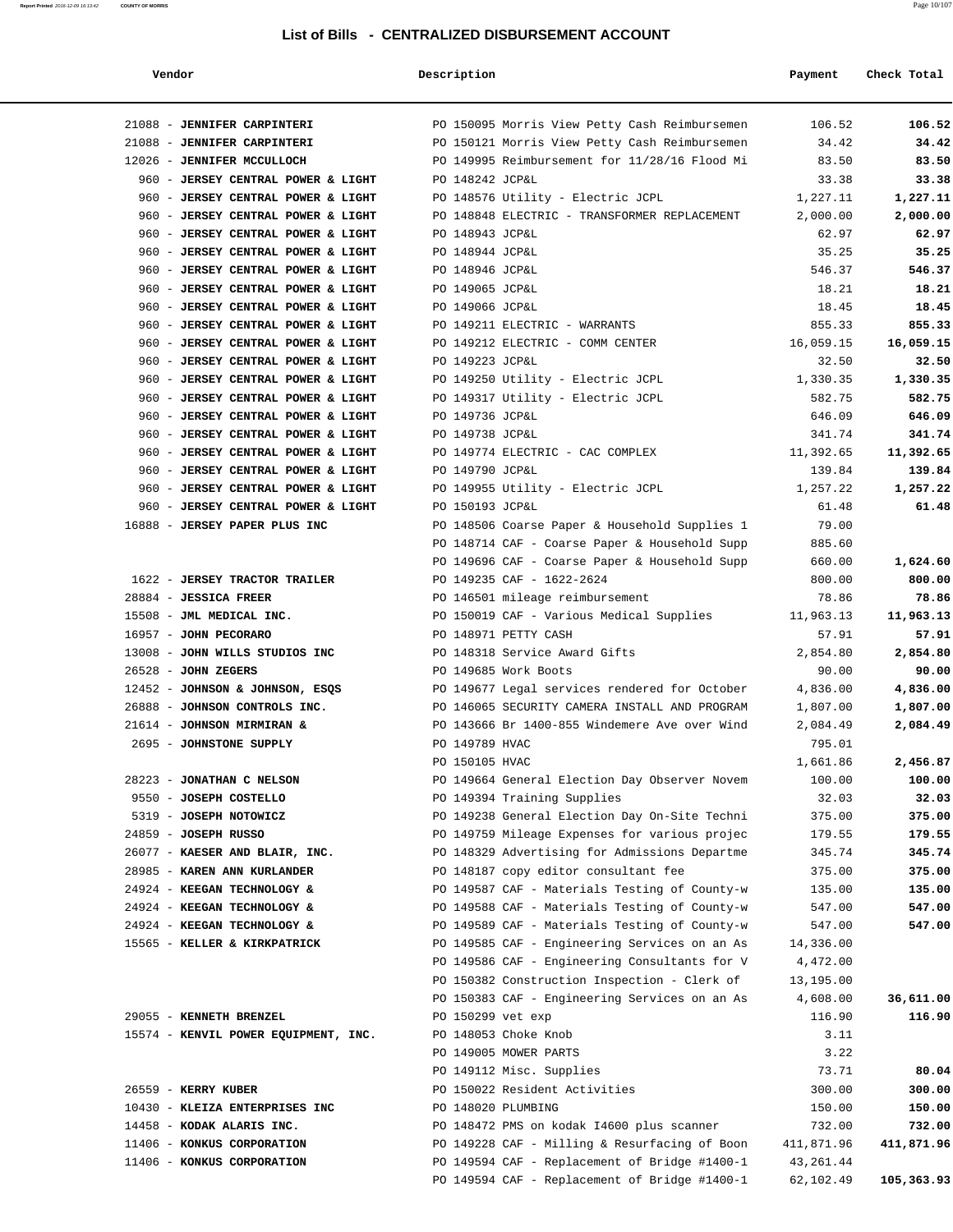#### **Vendor Description Payment Check Total**

| Report Printed 2016-12-09 16:13:42 | <b>COUNTY OF MORRIS</b> |  |  | Page 10/107 |
|------------------------------------|-------------------------|--|--|-------------|
|                                    |                         |  |  |             |
|                                    |                         |  |  |             |

| 21088 - JENNIFER CARPINTERI          |                      | PO 150095 Morris View Petty Cash Reimbursemen | 106.52     | 106.52     |
|--------------------------------------|----------------------|-----------------------------------------------|------------|------------|
| 21088 - JENNIFER CARPINTERI          |                      | PO 150121 Morris View Petty Cash Reimbursemen | 34.42      | 34.42      |
| 12026 - JENNIFER MCCULLOCH           |                      | PO 149995 Reimbursement for 11/28/16 Flood Mi | 83.50      | 83.50      |
| 960 - JERSEY CENTRAL POWER & LIGHT   | PO 148242 JCP&L      |                                               | 33.38      | 33.38      |
| 960 - JERSEY CENTRAL POWER & LIGHT   |                      | PO 148576 Utility - Electric JCPL             | 1,227.11   | 1,227.11   |
| 960 - JERSEY CENTRAL POWER & LIGHT   |                      | PO 148848 ELECTRIC - TRANSFORMER REPLACEMENT  | 2,000.00   | 2,000.00   |
| 960 - JERSEY CENTRAL POWER & LIGHT   | PO 148943 JCP&L      |                                               | 62.97      | 62.97      |
| 960 - JERSEY CENTRAL POWER & LIGHT   | PO 148944 JCP&L      |                                               | 35.25      | 35.25      |
| 960 - JERSEY CENTRAL POWER & LIGHT   | PO 148946 JCP&L      |                                               | 546.37     | 546.37     |
| 960 - JERSEY CENTRAL POWER & LIGHT   | PO 149065 JCP&L      |                                               | 18.21      | 18.21      |
| 960 - JERSEY CENTRAL POWER & LIGHT   | PO 149066 JCP&L      |                                               | 18.45      | 18.45      |
| 960 - JERSEY CENTRAL POWER & LIGHT   |                      | PO 149211 ELECTRIC - WARRANTS                 | 855.33     | 855.33     |
| 960 - JERSEY CENTRAL POWER & LIGHT   |                      | PO 149212 ELECTRIC - COMM CENTER              | 16,059.15  | 16,059.15  |
| 960 - JERSEY CENTRAL POWER & LIGHT   | PO 149223 JCP&L      |                                               | 32.50      | 32.50      |
| 960 - JERSEY CENTRAL POWER & LIGHT   |                      | PO 149250 Utility - Electric JCPL             | 1,330.35   | 1,330.35   |
| 960 - JERSEY CENTRAL POWER & LIGHT   |                      | PO 149317 Utility - Electric JCPL             | 582.75     | 582.75     |
| 960 - JERSEY CENTRAL POWER & LIGHT   | PO 149736 JCP&L      |                                               | 646.09     | 646.09     |
| 960 - JERSEY CENTRAL POWER & LIGHT   | PO 149738 JCP&L      |                                               | 341.74     | 341.74     |
| 960 - JERSEY CENTRAL POWER & LIGHT   |                      | PO 149774 ELECTRIC - CAC COMPLEX              | 11,392.65  | 11,392.65  |
| 960 - JERSEY CENTRAL POWER & LIGHT   | PO 149790 JCP&L      |                                               | 139.84     | 139.84     |
| 960 - JERSEY CENTRAL POWER & LIGHT   |                      | PO 149955 Utility - Electric JCPL             | 1,257.22   | 1,257.22   |
| 960 - JERSEY CENTRAL POWER & LIGHT   | PO 150193 JCP&L      |                                               | 61.48      | 61.48      |
| 16888 - JERSEY PAPER PLUS INC        |                      | PO 148506 Coarse Paper & Household Supplies 1 | 79.00      |            |
|                                      |                      | PO 148714 CAF - Coarse Paper & Household Supp | 885.60     |            |
|                                      |                      | PO 149696 CAF - Coarse Paper & Household Supp | 660.00     | 1,624.60   |
| 1622 - JERSEY TRACTOR TRAILER        |                      | PO 149235 CAF - 1622-2624                     | 800.00     | 800.00     |
| 28884 - JESSICA FREER                |                      | PO 146501 mileage reimbursement               | 78.86      | 78.86      |
| 15508 - JML MEDICAL INC.             |                      | PO 150019 CAF - Various Medical Supplies      | 11,963.13  | 11,963.13  |
| 16957 - JOHN PECORARO                | PO 148971 PETTY CASH |                                               | 57.91      | 57.91      |
| 13008 - JOHN WILLS STUDIOS INC       |                      | PO 148318 Service Award Gifts                 | 2,854.80   | 2,854.80   |
| $26528$ - JOHN ZEGERS                | PO 149685 Work Boots |                                               | 90.00      | 90.00      |
| 12452 - JOHNSON & JOHNSON, ESQS      |                      | PO 149677 Legal services rendered for October | 4,836.00   | 4,836.00   |
| 26888 - JOHNSON CONTROLS INC.        |                      | PO 146065 SECURITY CAMERA INSTALL AND PROGRAM | 1,807.00   | 1,807.00   |
| 21614 - JOHNSON MIRMIRAN &           |                      | PO 143666 Br 1400-855 Windemere Ave over Wind | 2,084.49   | 2,084.49   |
| 2695 - JOHNSTONE SUPPLY              | PO 149789 HVAC       |                                               | 795.01     |            |
|                                      | PO 150105 HVAC       |                                               | 1,661.86   | 2,456.87   |
| 28223 - JONATHAN C NELSON            |                      | PO 149664 General Election Day Observer Novem | 100.00     | 100.00     |
| 9550 - JOSEPH COSTELLO               |                      | PO 149394 Training Supplies                   | 32.03      | 32.03      |
| 5319 - JOSEPH NOTOWICZ               |                      | PO 149238 General Election Day On-Site Techni | 375.00     | 375.00     |
| 24859 - JOSEPH RUSSO                 |                      | PO 149759 Mileage Expenses for various projec | 179.55     | 179.55     |
| 26077 - KAESER AND BLAIR, INC.       |                      | PO 148329 Advertising for Admissions Departme | 345.74     | 345.74     |
| 28985 - KAREN ANN KURLANDER          |                      | PO 148187 copy editor consultant fee          | 375.00     | 375.00     |
| 24924 - KEEGAN TECHNOLOGY &          |                      | PO 149587 CAF - Materials Testing of County-w | 135.00     | 135.00     |
| 24924 - KEEGAN TECHNOLOGY &          |                      | PO 149588 CAF - Materials Testing of County-w | 547.00     | 547.00     |
| 24924 - KEEGAN TECHNOLOGY &          |                      | PO 149589 CAF - Materials Testing of County-w | 547.00     | 547.00     |
| 15565 - KELLER & KIRKPATRICK         |                      | PO 149585 CAF - Engineering Services on an As | 14,336.00  |            |
|                                      |                      | PO 149586 CAF - Engineering Consultants for V | 4,472.00   |            |
|                                      |                      | PO 150382 Construction Inspection - Clerk of  | 13,195.00  |            |
|                                      |                      | PO 150383 CAF - Engineering Services on an As | 4,608.00   | 36,611.00  |
| 29055 - KENNETH BRENZEL              | PO 150299 vet exp    |                                               | 116.90     | 116.90     |
| 15574 - KENVIL POWER EQUIPMENT, INC. | PO 148053 Choke Knob |                                               | 3.11       |            |
|                                      |                      | PO 149005 MOWER PARTS                         | 3.22       |            |
|                                      |                      |                                               |            |            |
|                                      |                      | PO 149112 Misc. Supplies                      | 73.71      | 80.04      |
| 26559 - KERRY KUBER                  |                      | PO 150022 Resident Activities                 | 300.00     | 300.00     |
| 10430 - KLEIZA ENTERPRISES INC       | PO 148020 PLUMBING   |                                               | 150.00     | 150.00     |
| 14458 - KODAK ALARIS INC.            |                      | PO 148472 PMS on kodak I4600 plus scanner     | 732.00     | 732.00     |
| 11406 - KONKUS CORPORATION           |                      | PO 149228 CAF - Milling & Resurfacing of Boon | 411,871.96 | 411,871.96 |
| 11406 - KONKUS CORPORATION           |                      | PO 149594 CAF - Replacement of Bridge #1400-1 | 43, 261.44 |            |
|                                      |                      | PO 149594 CAF - Replacement of Bridge #1400-1 | 62,102.49  | 105,363.93 |

|  | 960 - JERSEY CENTRAL POWER & LIG    |
|--|-------------------------------------|
|  | 960 - JERSEY CENTRAL POWER & LIG    |
|  | 960 - JERSEY CENTRAL POWER & LIG    |
|  | 960 - JERSEY CENTRAL POWER & LIG    |
|  | 960 - JERSEY CENTRAL POWER & LIG    |
|  | 960 - JERSEY CENTRAL POWER & LIG    |
|  | 960 - JERSEY CENTRAL POWER & LIG    |
|  | 960 - JERSEY CENTRAL POWER & LIG    |
|  | 960 - JERSEY CENTRAL POWER & LIG    |
|  | 16888 - JERSEY PAPER PLUS INC       |
|  |                                     |
|  | 1622 - JERSEY TRACTOR TRAILER       |
|  | $28884$ - JESSICA FREER             |
|  | 15508 - JML MEDICAL INC.            |
|  | 16957 - JOHN PECORARO               |
|  | 13008 - JOHN WILLS STUDIOS INC      |
|  | $26528$ - JOHN ZEGERS               |
|  | 12452 - JOHNSON & JOHNSON, ESOS     |
|  | 26888 - JOHNSON CONTROLS INC.       |
|  | 21614 - JOHNSON MIRMIRAN &          |
|  | 2695 - JOHNSTONE SUPPLY             |
|  |                                     |
|  | 28223 - JONATHAN C NELSON           |
|  | 9550 - JOSEPH COSTELLO              |
|  | 5319 - JOSEPH NOTOWICZ              |
|  | 24859 - JOSEPH RUSSO                |
|  | $26077$ <i>VARGED AND DIATE</i> TMC |

|  | $24859$ - JOSEPH RUSSO        |
|--|-------------------------------|
|  | 26077 - KAESER AND BLAIR, INC |
|  | 28985 - KAREN ANN KURLANDER   |
|  | 24924 - KEEGAN TECHNOLOGY &   |
|  | 24924 - KEEGAN TECHNOLOGY &   |
|  | 24924 - KEEGAN TECHNOLOGY &   |
|  | 15565 - KELLER & KIRKPATRICK  |
|  |                               |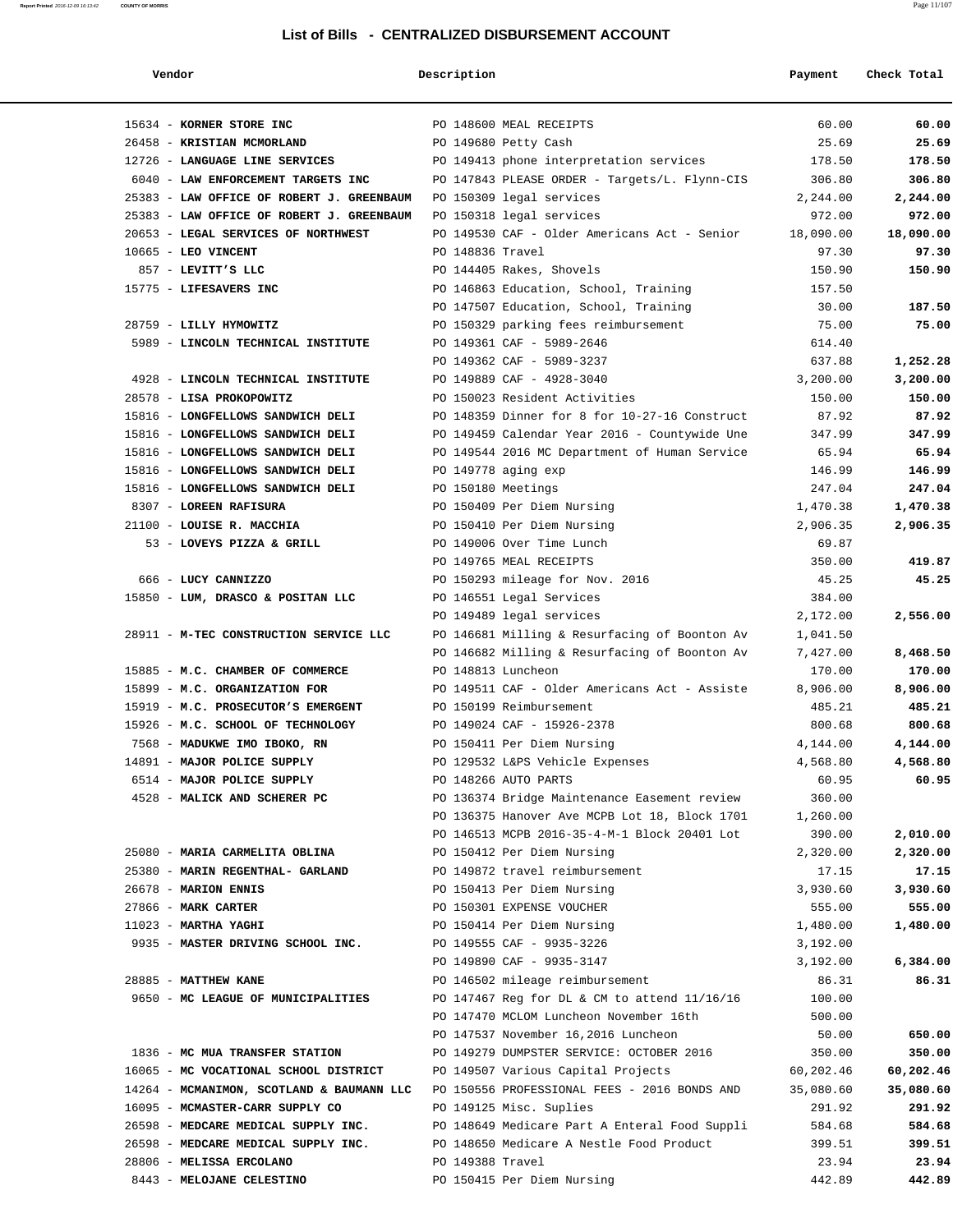| Vendor                                    | Description        |                                               | Payment   | Check Total |
|-------------------------------------------|--------------------|-----------------------------------------------|-----------|-------------|
| 15634 - KORNER STORE INC                  |                    | PO 148600 MEAL RECEIPTS                       | 60.00     | 60.00       |
| 26458 - KRISTIAN MCMORLAND                |                    | PO 149680 Petty Cash                          | 25.69     | 25.69       |
| 12726 - LANGUAGE LINE SERVICES            |                    | PO 149413 phone interpretation services       | 178.50    | 178.50      |
| 6040 - LAW ENFORCEMENT TARGETS INC        |                    | PO 147843 PLEASE ORDER - Targets/L. Flynn-CIS | 306.80    | 306.80      |
| 25383 - LAW OFFICE OF ROBERT J. GREENBAUM |                    | PO 150309 legal services                      | 2,244.00  | 2,244.00    |
| 25383 - LAW OFFICE OF ROBERT J. GREENBAUM |                    | PO 150318 legal services                      | 972.00    | 972.00      |
| 20653 - LEGAL SERVICES OF NORTHWEST       |                    | PO 149530 CAF - Older Americans Act - Senior  | 18,090.00 | 18,090.00   |
| $10665$ - LEO VINCENT                     | PO 148836 Travel   |                                               | 97.30     | 97.30       |
| 857 - LEVITT'S LLC                        |                    | PO 144405 Rakes, Shovels                      | 150.90    | 150.90      |
| 15775 - LIFESAVERS INC                    |                    | PO 146863 Education, School, Training         | 157.50    |             |
|                                           |                    | PO 147507 Education, School, Training         | 30.00     | 187.50      |
| 28759 - LILLY HYMOWITZ                    |                    | PO 150329 parking fees reimbursement          | 75.00     | 75.00       |
| 5989 - LINCOLN TECHNICAL INSTITUTE        |                    | PO 149361 CAF - 5989-2646                     | 614.40    |             |
|                                           |                    | PO 149362 CAF - 5989-3237                     | 637.88    | 1,252.28    |
| 4928 - LINCOLN TECHNICAL INSTITUTE        |                    | PO 149889 CAF - 4928-3040                     | 3,200.00  | 3,200.00    |
| 28578 - LISA PROKOPOWITZ                  |                    | PO 150023 Resident Activities                 | 150.00    | 150.00      |
| 15816 - LONGFELLOWS SANDWICH DELI         |                    | PO 148359 Dinner for 8 for 10-27-16 Construct | 87.92     | 87.92       |
| 15816 - LONGFELLOWS SANDWICH DELI         |                    | PO 149459 Calendar Year 2016 - Countywide Une | 347.99    | 347.99      |
| 15816 - LONGFELLOWS SANDWICH DELI         |                    | PO 149544 2016 MC Department of Human Service | 65.94     | 65.94       |
| 15816 - LONGFELLOWS SANDWICH DELI         |                    | PO 149778 aging exp                           | 146.99    | 146.99      |
| 15816 - LONGFELLOWS SANDWICH DELI         | PO 150180 Meetings |                                               | 247.04    | 247.04      |
| 8307 - LOREEN RAFISURA                    |                    | PO 150409 Per Diem Nursing                    | 1,470.38  | 1,470.38    |
| 21100 - LOUISE R. MACCHIA                 |                    | PO 150410 Per Diem Nursing                    | 2,906.35  | 2,906.35    |
| 53 - LOVEYS PIZZA & GRILL                 |                    | PO 149006 Over Time Lunch                     | 69.87     |             |
|                                           |                    | PO 149765 MEAL RECEIPTS                       | 350.00    | 419.87      |
| 666 - LUCY CANNIZZO                       |                    | PO 150293 mileage for Nov. 2016               | 45.25     | 45.25       |
| 15850 - LUM, DRASCO & POSITAN LLC         |                    | PO 146551 Legal Services                      | 384.00    |             |
|                                           |                    | PO 149489 legal services                      | 2,172.00  | 2,556.00    |
| 28911 - M-TEC CONSTRUCTION SERVICE LLC    |                    | PO 146681 Milling & Resurfacing of Boonton Av | 1,041.50  |             |
|                                           |                    | PO 146682 Milling & Resurfacing of Boonton Av | 7,427.00  | 8,468.50    |
| 15885 - M.C. CHAMBER OF COMMERCE          | PO 148813 Luncheon |                                               | 170.00    | 170.00      |
| 15899 - M.C. ORGANIZATION FOR             |                    | PO 149511 CAF - Older Americans Act - Assiste | 8,906.00  | 8,906.00    |
| 15919 - M.C. PROSECUTOR'S EMERGENT        |                    | PO 150199 Reimbursement                       | 485.21    | 485.21      |
| 15926 - M.C. SCHOOL OF TECHNOLOGY         |                    | PO 149024 CAF - 15926-2378                    | 800.68    | 800.68      |
| 7568 - MADUKWE IMO IBOKO, RN              |                    | PO 150411 Per Diem Nursing                    | 4,144.00  | 4,144.00    |
| 14891 - MAJOR POLICE SUPPLY               |                    | PO 129532 L&PS Vehicle Expenses               | 4,568.80  | 4,568.80    |
| 6514 - MAJOR POLICE SUPPLY                |                    | PO 148266 AUTO PARTS                          | 60.95     | 60.95       |
| 4528 - MALICK AND SCHERER PC              |                    | PO 136374 Bridge Maintenance Easement review  | 360.00    |             |
|                                           |                    | PO 136375 Hanover Ave MCPB Lot 18, Block 1701 | 1,260.00  |             |
|                                           |                    | PO 146513 MCPB 2016-35-4-M-1 Block 20401 Lot  | 390.00    | 2,010.00    |
| 25080 - MARIA CARMELITA OBLINA            |                    | PO 150412 Per Diem Nursing                    | 2,320.00  | 2,320.00    |
| 25380 - MARIN REGENTHAL- GARLAND          |                    | PO 149872 travel reimbursement                | 17.15     | 17.15       |
| 26678 - MARION ENNIS                      |                    | PO 150413 Per Diem Nursing                    | 3,930.60  | 3,930.60    |
| 27866 - MARK CARTER                       |                    | PO 150301 EXPENSE VOUCHER                     | 555.00    | 555.00      |
| $11023$ - MARTHA YAGHI                    |                    | PO 150414 Per Diem Nursing                    | 1,480.00  | 1,480.00    |
| 9935 - MASTER DRIVING SCHOOL INC.         |                    | PO 149555 CAF - 9935-3226                     | 3,192.00  |             |
|                                           |                    | PO 149890 CAF - 9935-3147                     | 3,192.00  | 6,384.00    |
| 28885 - MATTHEW KANE                      |                    | PO 146502 mileage reimbursement               | 86.31     | 86.31       |
| 9650 - MC LEAGUE OF MUNICIPALITIES        |                    | PO 147467 Reg for DL & CM to attend 11/16/16  | 100.00    |             |
|                                           |                    | PO 147470 MCLOM Luncheon November 16th        | 500.00    |             |
|                                           |                    | PO 147537 November 16,2016 Luncheon           | 50.00     | 650.00      |
| 1836 - MC MUA TRANSFER STATION            |                    | PO 149279 DUMPSTER SERVICE: OCTOBER 2016      | 350.00    | 350.00      |
| 16065 - MC VOCATIONAL SCHOOL DISTRICT     |                    | PO 149507 Various Capital Projects            | 60,202.46 | 60,202.46   |
| 14264 - MCMANIMON, SCOTLAND & BAUMANN LLC |                    | PO 150556 PROFESSIONAL FEES - 2016 BONDS AND  | 35,080.60 | 35,080.60   |
| 16095 - MCMASTER-CARR SUPPLY CO           |                    | PO 149125 Misc. Suplies                       | 291.92    | 291.92      |
| 26598 - MEDCARE MEDICAL SUPPLY INC.       |                    | PO 148649 Medicare Part A Enteral Food Suppli | 584.68    | 584.68      |
| 26598 - MEDCARE MEDICAL SUPPLY INC.       |                    | PO 148650 Medicare A Nestle Food Product      | 399.51    | 399.51      |
| 28806 - MELISSA ERCOLANO                  | PO 149388 Travel   |                                               | 23.94     | 23.94       |
| 8443 - MELOJANE CELESTINO                 |                    | PO 150415 Per Diem Nursing                    | 442.89    | 442.89      |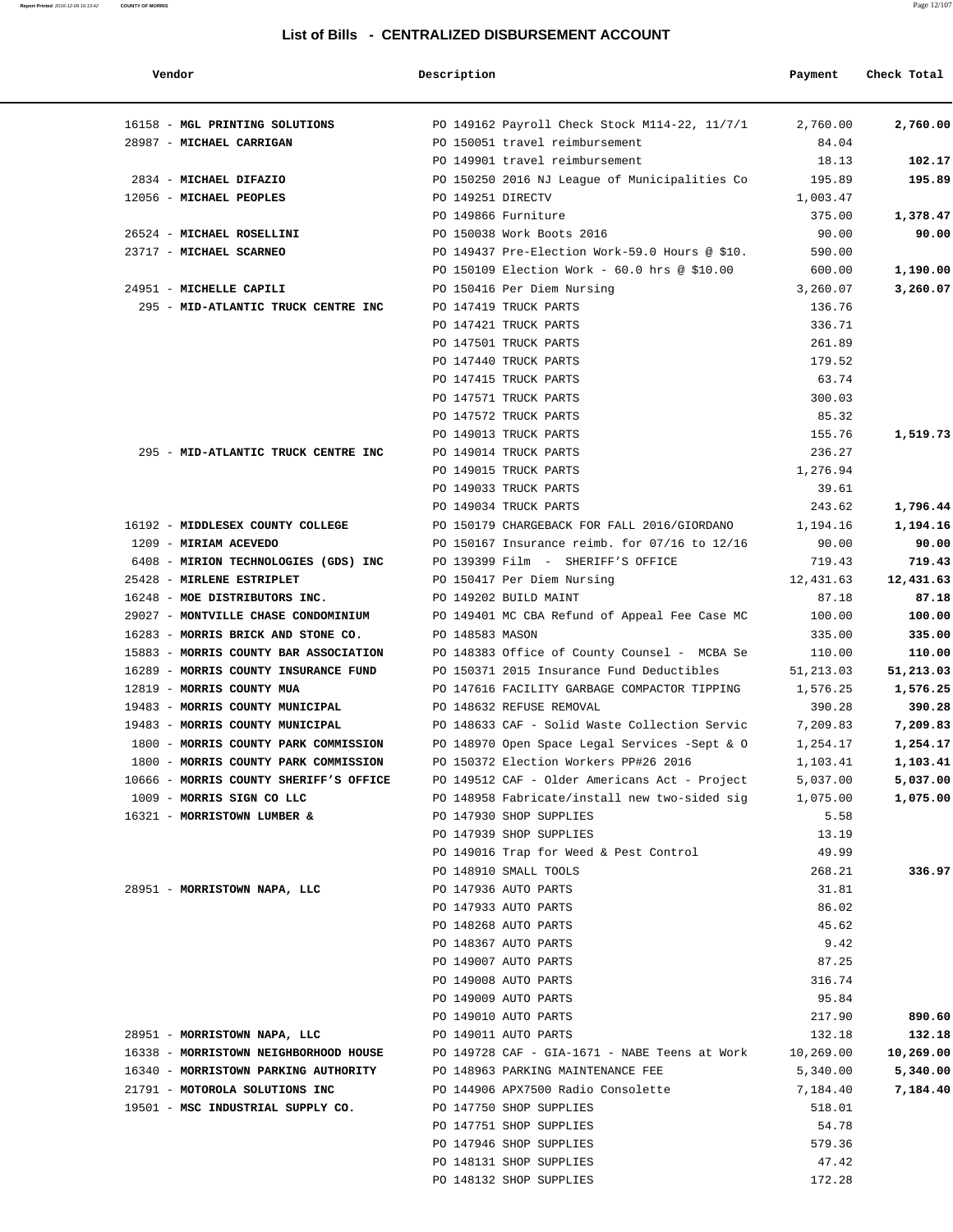| Vendor                                                   | Description       |                                                                          | Payment       | Check Total |
|----------------------------------------------------------|-------------------|--------------------------------------------------------------------------|---------------|-------------|
| 16158 - MGL PRINTING SOLUTIONS                           |                   | PO 149162 Payroll Check Stock M114-22, 11/7/1                            | 2,760.00      | 2,760.00    |
| 28987 - MICHAEL CARRIGAN                                 |                   | PO 150051 travel reimbursement                                           | 84.04         |             |
|                                                          |                   | PO 149901 travel reimbursement                                           | 18.13         | 102.17      |
| 2834 - MICHAEL DIFAZIO                                   |                   | PO 150250 2016 NJ League of Municipalities Co                            | 195.89        | 195.89      |
| 12056 - MICHAEL PEOPLES                                  | PO 149251 DIRECTV |                                                                          | 1,003.47      |             |
|                                                          |                   | PO 149866 Furniture                                                      | 375.00        | 1,378.47    |
| 26524 - MICHAEL ROSELLINI                                |                   | PO 150038 Work Boots 2016                                                | 90.00         | 90.00       |
| 23717 - MICHAEL SCARNEO                                  |                   | PO 149437 Pre-Election Work-59.0 Hours @ \$10.                           | 590.00        |             |
|                                                          |                   | PO 150109 Election Work - 60.0 hrs @ \$10.00                             | 600.00        | 1,190.00    |
| 24951 - MICHELLE CAPILI                                  |                   | PO 150416 Per Diem Nursing                                               | 3,260.07      | 3,260.07    |
| 295 - MID-ATLANTIC TRUCK CENTRE INC                      |                   | PO 147419 TRUCK PARTS                                                    | 136.76        |             |
|                                                          |                   | PO 147421 TRUCK PARTS                                                    | 336.71        |             |
|                                                          |                   | PO 147501 TRUCK PARTS                                                    | 261.89        |             |
|                                                          |                   | PO 147440 TRUCK PARTS                                                    | 179.52        |             |
|                                                          |                   | PO 147415 TRUCK PARTS                                                    | 63.74         |             |
|                                                          |                   | PO 147571 TRUCK PARTS                                                    | 300.03        |             |
|                                                          |                   | PO 147572 TRUCK PARTS                                                    | 85.32         |             |
|                                                          |                   | PO 149013 TRUCK PARTS                                                    | 155.76        | 1,519.73    |
| 295 - MID-ATLANTIC TRUCK CENTRE INC                      |                   | PO 149014 TRUCK PARTS                                                    | 236.27        |             |
|                                                          |                   | PO 149015 TRUCK PARTS                                                    | 1,276.94      |             |
|                                                          |                   | PO 149033 TRUCK PARTS                                                    | 39.61         |             |
|                                                          |                   | PO 149034 TRUCK PARTS                                                    | 243.62        | 1,796.44    |
| 16192 - MIDDLESEX COUNTY COLLEGE                         |                   | PO 150179 CHARGEBACK FOR FALL 2016/GIORDANO                              | 1,194.16      | 1,194.16    |
| 1209 - MIRIAM ACEVEDO                                    |                   | PO 150167 Insurance reimb. for $07/16$ to $12/16$                        | 90.00         | 90.00       |
| 6408 - MIRION TECHNOLOGIES (GDS) INC                     |                   | PO 139399 Film - SHERIFF'S OFFICE                                        | 719.43        | 719.43      |
| 25428 - MIRLENE ESTRIPLET                                |                   | PO 150417 Per Diem Nursing                                               | 12,431.63     | 12,431.63   |
| 16248 - MOE DISTRIBUTORS INC.                            |                   | PO 149202 BUILD MAINT                                                    | 87.18         | 87.18       |
| 29027 - MONTVILLE CHASE CONDOMINIUM                      |                   | PO 149401 MC CBA Refund of Appeal Fee Case MC                            | 100.00        | 100.00      |
| 16283 - MORRIS BRICK AND STONE CO.                       | PO 148583 MASON   |                                                                          | 335.00        | 335.00      |
| 15883 - MORRIS COUNTY BAR ASSOCIATION                    |                   | PO 148383 Office of County Counsel - MCBA Se                             | 110.00        | 110.00      |
| 16289 - MORRIS COUNTY INSURANCE FUND                     |                   | PO 150371 2015 Insurance Fund Deductibles                                | 51, 213.03    | 51,213.03   |
| 12819 - MORRIS COUNTY MUA                                |                   | PO 147616 FACILITY GARBAGE COMPACTOR TIPPING                             | 1,576.25      | 1,576.25    |
| 19483 - MORRIS COUNTY MUNICIPAL                          |                   | PO 148632 REFUSE REMOVAL                                                 | 390.28        | 390.28      |
| 19483 - MORRIS COUNTY MUNICIPAL                          |                   | PO 148633 CAF - Solid Waste Collection Servic                            | 7,209.83      | 7,209.83    |
| 1800 - MORRIS COUNTY PARK COMMISSION                     |                   | PO 148970 Open Space Legal Services -Sept & O                            | 1,254.17      | 1,254.17    |
| 1800 - MORRIS COUNTY PARK COMMISSION                     |                   | PO 150372 Election Workers PP#26 2016                                    | 1,103.41      | 1,103.41    |
| 10666 - MORRIS COUNTY SHERIFF'S OFFICE                   |                   | PO 149512 CAF - Older Americans Act - Project                            | 5,037.00      | 5,037.00    |
| 1009 - MORRIS SIGN CO LLC<br>16321 - MORRISTOWN LUMBER & |                   | PO 148958 Fabricate/install new two-sided sig<br>PO 147930 SHOP SUPPLIES | 1,075.00      | 1,075.00    |
|                                                          |                   | PO 147939 SHOP SUPPLIES                                                  | 5.58<br>13.19 |             |
|                                                          |                   | PO 149016 Trap for Weed & Pest Control                                   | 49.99         |             |
|                                                          |                   | PO 148910 SMALL TOOLS                                                    | 268.21        | 336.97      |
| 28951 - MORRISTOWN NAPA, LLC                             |                   | PO 147936 AUTO PARTS                                                     | 31.81         |             |
|                                                          |                   | PO 147933 AUTO PARTS                                                     | 86.02         |             |
|                                                          |                   | PO 148268 AUTO PARTS                                                     | 45.62         |             |
|                                                          |                   | PO 148367 AUTO PARTS                                                     | 9.42          |             |
|                                                          |                   | PO 149007 AUTO PARTS                                                     | 87.25         |             |
|                                                          |                   | PO 149008 AUTO PARTS                                                     | 316.74        |             |
|                                                          |                   | PO 149009 AUTO PARTS                                                     | 95.84         |             |
|                                                          |                   | PO 149010 AUTO PARTS                                                     | 217.90        | 890.60      |
| 28951 - MORRISTOWN NAPA, LLC                             |                   | PO 149011 AUTO PARTS                                                     | 132.18        | 132.18      |
| 16338 - MORRISTOWN NEIGHBORHOOD HOUSE                    |                   | PO 149728 CAF - GIA-1671 - NABE Teens at Work                            | 10,269.00     | 10,269.00   |
| 16340 - MORRISTOWN PARKING AUTHORITY                     |                   | PO 148963 PARKING MAINTENANCE FEE                                        | 5,340.00      | 5,340.00    |
| 21791 - MOTOROLA SOLUTIONS INC                           |                   | PO 144906 APX7500 Radio Consolette                                       | 7,184.40      | 7,184.40    |
| 19501 - MSC INDUSTRIAL SUPPLY CO.                        |                   | PO 147750 SHOP SUPPLIES                                                  | 518.01        |             |
|                                                          |                   | PO 147751 SHOP SUPPLIES                                                  | 54.78         |             |
|                                                          |                   | PO 147946 SHOP SUPPLIES                                                  | 579.36        |             |
|                                                          |                   | PO 148131 SHOP SUPPLIES                                                  | 47.42         |             |
|                                                          |                   | PO 148132 SHOP SUPPLIES                                                  | 172.28        |             |

**Report Printed** 2016-12-09 16:13:42 **COUNTY OF MORRIS** Page 12/107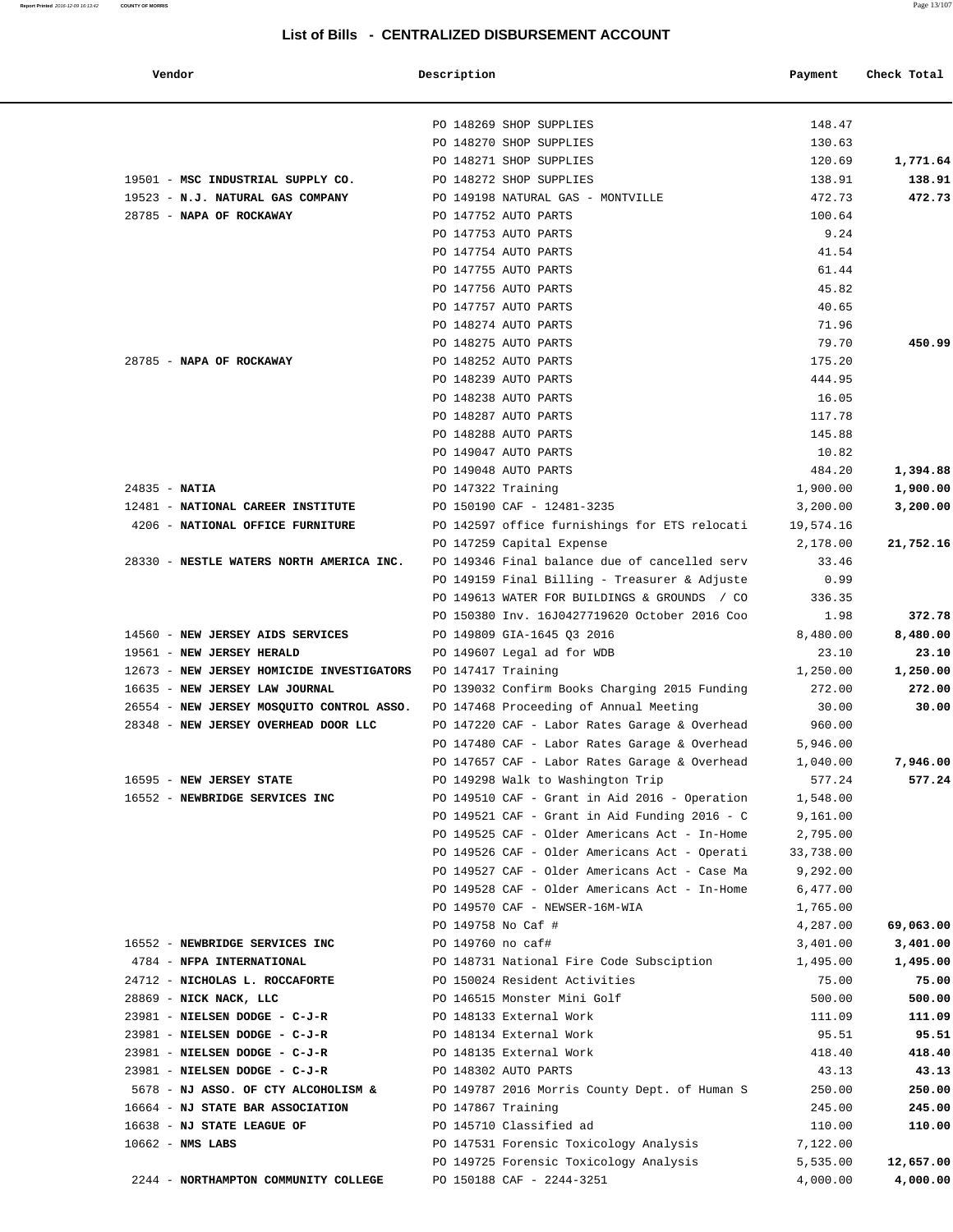#### **Report Printed** 2016-12-09 16:13:42 **COUNTY OF MORRIS** Page 13/107

### **List of Bills - CENTRALIZED DISBURSEMENT ACCOUNT**

| Vendor                                                                           | Description        |                                                              | Payment         | Check Total     |
|----------------------------------------------------------------------------------|--------------------|--------------------------------------------------------------|-----------------|-----------------|
|                                                                                  |                    | PO 148269 SHOP SUPPLIES                                      | 148.47          |                 |
|                                                                                  |                    | PO 148270 SHOP SUPPLIES                                      | 130.63          |                 |
|                                                                                  |                    | PO 148271 SHOP SUPPLIES                                      | 120.69          | 1,771.64        |
| 19501 - MSC INDUSTRIAL SUPPLY CO.                                                |                    | PO 148272 SHOP SUPPLIES                                      | 138.91          | 138.91          |
| 19523 - N.J. NATURAL GAS COMPANY                                                 |                    | PO 149198 NATURAL GAS - MONTVILLE                            | 472.73          | 472.73          |
| 28785 - NAPA OF ROCKAWAY                                                         |                    | PO 147752 AUTO PARTS                                         | 100.64          |                 |
|                                                                                  |                    | PO 147753 AUTO PARTS                                         | 9.24            |                 |
|                                                                                  |                    | PO 147754 AUTO PARTS                                         | 41.54           |                 |
|                                                                                  |                    | PO 147755 AUTO PARTS                                         | 61.44           |                 |
|                                                                                  |                    | PO 147756 AUTO PARTS                                         | 45.82           |                 |
|                                                                                  |                    | PO 147757 AUTO PARTS                                         | 40.65           |                 |
|                                                                                  |                    | PO 148274 AUTO PARTS                                         | 71.96           |                 |
|                                                                                  |                    | PO 148275 AUTO PARTS                                         | 79.70           | 450.99          |
| 28785 - NAPA OF ROCKAWAY                                                         |                    | PO 148252 AUTO PARTS                                         | 175.20          |                 |
|                                                                                  |                    | PO 148239 AUTO PARTS<br>PO 148238 AUTO PARTS                 | 444.95          |                 |
|                                                                                  |                    | PO 148287 AUTO PARTS                                         | 16.05<br>117.78 |                 |
|                                                                                  |                    | PO 148288 AUTO PARTS                                         | 145.88          |                 |
|                                                                                  |                    | PO 149047 AUTO PARTS                                         | 10.82           |                 |
|                                                                                  |                    | PO 149048 AUTO PARTS                                         | 484.20          | 1,394.88        |
| $24835 - NATIA$                                                                  | PO 147322 Training |                                                              | 1,900.00        | 1,900.00        |
| 12481 - NATIONAL CAREER INSTITUTE                                                |                    | PO 150190 CAF - 12481-3235                                   | 3,200.00        | 3,200.00        |
| 4206 - NATIONAL OFFICE FURNITURE                                                 |                    | PO 142597 office furnishings for ETS relocati                | 19,574.16       |                 |
|                                                                                  |                    | PO 147259 Capital Expense                                    | 2,178.00        | 21,752.16       |
| 28330 - NESTLE WATERS NORTH AMERICA INC.                                         |                    | PO 149346 Final balance due of cancelled serv                | 33.46           |                 |
|                                                                                  |                    | PO 149159 Final Billing - Treasurer & Adjuste                | 0.99            |                 |
|                                                                                  |                    | PO 149613 WATER FOR BUILDINGS & GROUNDS / CO                 | 336.35          |                 |
|                                                                                  |                    | PO 150380 Inv. 16J0427719620 October 2016 Coo                | 1.98            | 372.78          |
| 14560 - NEW JERSEY AIDS SERVICES                                                 |                    | PO 149809 GIA-1645 Q3 2016                                   | 8,480.00        | 8,480.00        |
| 19561 - NEW JERSEY HERALD                                                        |                    | PO 149607 Legal ad for WDB                                   | 23.10           | 23.10           |
| 12673 - NEW JERSEY HOMICIDE INVESTIGATORS PO 147417 Training                     |                    |                                                              | 1,250.00        | 1,250.00        |
| 16635 - NEW JERSEY LAW JOURNAL                                                   |                    | PO 139032 Confirm Books Charging 2015 Funding                | 272.00          | 272.00          |
| 26554 - NEW JERSEY MOSQUITO CONTROL ASSO. PO 147468 Proceeding of Annual Meeting |                    |                                                              | 30.00           | 30.00           |
| 28348 - NEW JERSEY OVERHEAD DOOR LLC                                             |                    | PO 147220 CAF - Labor Rates Garage & Overhead                | 960.00          |                 |
|                                                                                  |                    | PO 147480 CAF - Labor Rates Garage & Overhead                | 5,946.00        |                 |
|                                                                                  |                    | PO 147657 CAF - Labor Rates Garage & Overhead                | 1,040.00        | 7,946.00        |
| 16595 - NEW JERSEY STATE                                                         |                    | PO 149298 Walk to Washington Trip                            | 577.24          | 577.24          |
| 16552 - NEWBRIDGE SERVICES INC                                                   |                    | PO 149510 CAF - Grant in Aid 2016 - Operation                | 1,548.00        |                 |
|                                                                                  |                    | PO 149521 CAF - Grant in Aid Funding 2016 - C                | 9,161.00        |                 |
|                                                                                  |                    | PO 149525 CAF - Older Americans Act - In-Home                | 2,795.00        |                 |
|                                                                                  |                    | PO 149526 CAF - Older Americans Act - Operati                | 33,738.00       |                 |
|                                                                                  |                    | PO 149527 CAF - Older Americans Act - Case Ma                | 9,292.00        |                 |
|                                                                                  |                    | PO 149528 CAF - Older Americans Act - In-Home                | 6,477.00        |                 |
|                                                                                  |                    | PO 149570 CAF - NEWSER-16M-WIA                               | 1,765.00        |                 |
|                                                                                  |                    | PO 149758 No Caf #                                           | 4,287.00        | 69,063.00       |
| 16552 - NEWBRIDGE SERVICES INC                                                   | PO 149760 no caf#  |                                                              | 3,401.00        | 3,401.00        |
| 4784 - NFPA INTERNATIONAL                                                        |                    | PO 148731 National Fire Code Subsciption                     | 1,495.00        | 1,495.00        |
| 24712 - NICHOLAS L. ROCCAFORTE<br>28869 - NICK NACK, LLC                         |                    | PO 150024 Resident Activities<br>PO 146515 Monster Mini Golf | 75.00<br>500.00 | 75.00<br>500.00 |
| 23981 - NIELSEN DODGE - C-J-R                                                    |                    | PO 148133 External Work                                      |                 | 111.09          |
| 23981 - NIELSEN DODGE - C-J-R                                                    |                    | PO 148134 External Work                                      | 111.09<br>95.51 | 95.51           |
| 23981 - NIELSEN DODGE - C-J-R                                                    |                    | PO 148135 External Work                                      | 418.40          | 418.40          |
| 23981 - NIELSEN DODGE - C-J-R                                                    |                    | PO 148302 AUTO PARTS                                         | 43.13           | 43.13           |
| 5678 - NJ ASSO. OF CTY ALCOHOLISM &                                              |                    | PO 149787 2016 Morris County Dept. of Human S                | 250.00          | 250.00          |
| 16664 - NJ STATE BAR ASSOCIATION                                                 | PO 147867 Training |                                                              | 245.00          | 245.00          |
| 16638 - NJ STATE LEAGUE OF                                                       |                    | PO 145710 Classified ad                                      | 110.00          | 110.00          |
| $10662$ - NMS LABS                                                               |                    | PO 147531 Forensic Toxicology Analysis                       | 7,122.00        |                 |
|                                                                                  |                    | PO 149725 Forensic Toxicology Analysis                       | 5,535.00        | 12,657.00       |
| 2244 - NORTHAMPTON COMMUNITY COLLEGE                                             |                    | PO 150188 CAF - 2244-3251                                    | 4,000.00        | 4,000.00        |
|                                                                                  |                    |                                                              |                 |                 |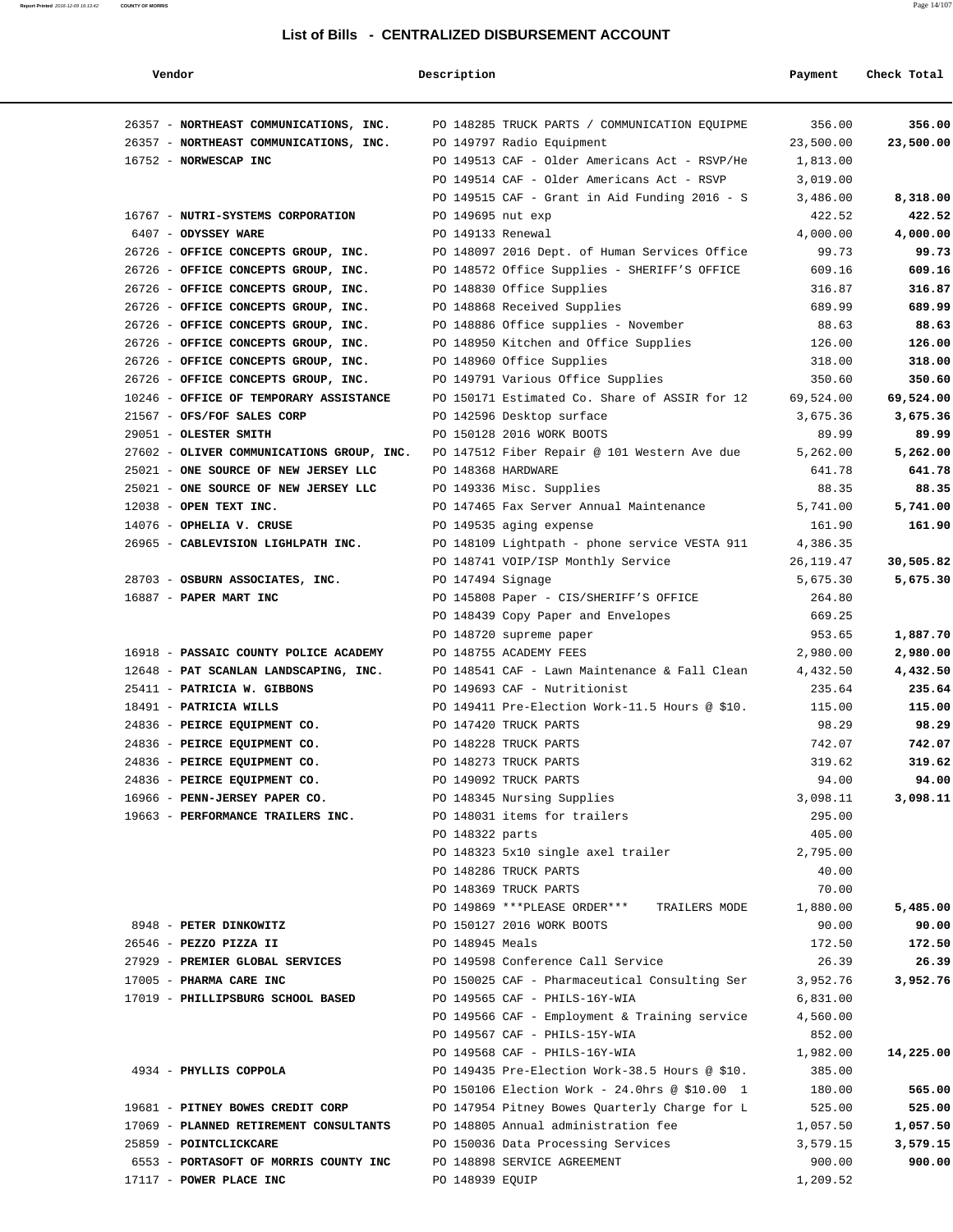#### **Report Printed** 2016-12-09 16:13:42 **COUNTY OF MORRIS** Page 14/107

### **List of Bills - CENTRALIZED DISBURSEMENT ACCOUNT**

| Vendor                                                                               | Description        |                                                                                    | Payment            | Check Total        |
|--------------------------------------------------------------------------------------|--------------------|------------------------------------------------------------------------------------|--------------------|--------------------|
| 26357 - NORTHEAST COMMUNICATIONS, INC. PO 148285 TRUCK PARTS / COMMUNICATION EQUIPME |                    |                                                                                    | 356.00             | 356.00             |
| 26357 - NORTHEAST COMMUNICATIONS, INC. PO 149797 Radio Equipment                     |                    |                                                                                    | 23,500.00          | 23,500.00          |
| 16752 - NORWESCAP INC                                                                |                    | PO 149513 CAF - Older Americans Act - RSVP/He                                      | 1,813.00           |                    |
|                                                                                      |                    | PO 149514 CAF - Older Americans Act - RSVP                                         | 3,019.00           |                    |
|                                                                                      |                    | PO 149515 CAF - Grant in Aid Funding 2016 - S                                      | 3,486.00           | 8,318.00           |
| 16767 - NUTRI-SYSTEMS CORPORATION                                                    | PO 149695 nut exp  |                                                                                    | 422.52             | 422.52             |
| 6407 - ODYSSEY WARE                                                                  | PO 149133 Renewal  |                                                                                    | 4,000.00           | 4,000.00           |
| 26726 - OFFICE CONCEPTS GROUP, INC.                                                  |                    | PO 148097 2016 Dept. of Human Services Office                                      | 99.73              | 99.73              |
| 26726 - OFFICE CONCEPTS GROUP, INC.                                                  |                    | PO 148572 Office Supplies - SHERIFF'S OFFICE                                       | 609.16             | 609.16             |
| 26726 - OFFICE CONCEPTS GROUP, INC.                                                  |                    | PO 148830 Office Supplies                                                          | 316.87             | 316.87             |
| 26726 - OFFICE CONCEPTS GROUP, INC.                                                  |                    | PO 148868 Received Supplies                                                        | 689.99             | 689.99             |
| 26726 - OFFICE CONCEPTS GROUP, INC.                                                  |                    | PO 148886 Office supplies - November                                               | 88.63              | 88.63              |
| 26726 - OFFICE CONCEPTS GROUP, INC.                                                  |                    | PO 148950 Kitchen and Office Supplies                                              | 126.00             | 126.00             |
| 26726 - OFFICE CONCEPTS GROUP, INC.                                                  |                    | PO 148960 Office Supplies                                                          | 318.00             | 318.00             |
| 26726 - OFFICE CONCEPTS GROUP, INC.<br>10246 - OFFICE OF TEMPORARY ASSISTANCE        |                    | PO 149791 Various Office Supplies<br>PO 150171 Estimated Co. Share of ASSIR for 12 | 350.60             | 350.60             |
| 21567 - OFS/FOF SALES CORP                                                           |                    |                                                                                    | 69,524.00          | 69,524.00          |
| 29051 - OLESTER SMITH                                                                |                    | PO 142596 Desktop surface<br>PO 150128 2016 WORK BOOTS                             | 3,675.36<br>89.99  | 3,675.36<br>89.99  |
| 27602 - OLIVER COMMUNICATIONS GROUP, INC.                                            |                    | PO 147512 Fiber Repair @ 101 Western Ave due                                       | 5,262.00           | 5,262.00           |
| 25021 - ONE SOURCE OF NEW JERSEY LLC                                                 | PO 148368 HARDWARE |                                                                                    | 641.78             | 641.78             |
| 25021 - ONE SOURCE OF NEW JERSEY LLC                                                 |                    | PO 149336 Misc. Supplies                                                           | 88.35              | 88.35              |
| $12038$ - OPEN TEXT INC.                                                             |                    | PO 147465 Fax Server Annual Maintenance                                            | 5,741.00           | 5,741.00           |
| 14076 - OPHELIA V. CRUSE                                                             |                    | PO 149535 aging expense                                                            | 161.90             | 161.90             |
| 26965 - CABLEVISION LIGHLPATH INC.                                                   |                    | PO 148109 Lightpath - phone service VESTA 911                                      | 4,386.35           |                    |
|                                                                                      |                    | PO 148741 VOIP/ISP Monthly Service                                                 | 26,119.47          | 30,505.82          |
| 28703 - OSBURN ASSOCIATES, INC.                                                      | PO 147494 Signage  |                                                                                    | 5,675.30           | 5,675.30           |
| 16887 - PAPER MART INC                                                               |                    | PO 145808 Paper - CIS/SHERIFF'S OFFICE                                             | 264.80             |                    |
|                                                                                      |                    | PO 148439 Copy Paper and Envelopes                                                 | 669.25             |                    |
|                                                                                      |                    | PO 148720 supreme paper                                                            | 953.65             | 1,887.70           |
| 16918 - PASSAIC COUNTY POLICE ACADEMY                                                |                    | PO 148755 ACADEMY FEES                                                             | 2,980.00           | 2,980.00           |
| 12648 - PAT SCANLAN LANDSCAPING, INC.                                                |                    | PO 148541 CAF - Lawn Maintenance & Fall Clean                                      | 4,432.50           | 4,432.50           |
| 25411 - PATRICIA W. GIBBONS                                                          |                    | PO 149693 CAF - Nutritionist                                                       | 235.64             | 235.64             |
| 18491 - PATRICIA WILLS                                                               |                    | PO 149411 Pre-Election Work-11.5 Hours @ \$10.                                     | 115.00             | 115.00             |
| 24836 - PEIRCE EQUIPMENT CO.                                                         |                    | PO 147420 TRUCK PARTS                                                              | 98.29              | 98.29              |
| 24836 - PEIRCE EQUIPMENT CO.                                                         |                    | PO 148228 TRUCK PARTS                                                              | 742.07             | 742.07             |
| 24836 - PEIRCE EQUIPMENT CO.                                                         |                    | PO 148273 TRUCK PARTS                                                              | 319.62             | 319.62             |
| 24836 - PEIRCE EQUIPMENT CO.                                                         |                    | PO 149092 TRUCK PARTS                                                              | 94.00              | 94.00              |
| 16966 - PENN-JERSEY PAPER CO.                                                        |                    | PO 148345 Nursing Supplies                                                         | 3,098.11           | 3,098.11           |
| 19663 - PERFORMANCE TRAILERS INC.                                                    |                    | PO 148031 items for trailers                                                       | 295.00             |                    |
|                                                                                      | PO 148322 parts    |                                                                                    | 405.00             |                    |
|                                                                                      |                    | PO 148323 5x10 single axel trailer                                                 | 2,795.00           |                    |
|                                                                                      |                    | PO 148286 TRUCK PARTS                                                              | 40.00              |                    |
|                                                                                      |                    | PO 148369 TRUCK PARTS                                                              | 70.00              |                    |
|                                                                                      |                    | PO 149869 ***PLEASE ORDER***<br>TRAILERS MODE                                      | 1,880.00           | 5,485.00           |
| 8948 - PETER DINKOWITZ                                                               |                    | PO 150127 2016 WORK BOOTS                                                          | 90.00              | 90.00              |
| 26546 - PEZZO PIZZA II                                                               | PO 148945 Meals    |                                                                                    | 172.50             | 172.50             |
| 27929 - PREMIER GLOBAL SERVICES                                                      |                    | PO 149598 Conference Call Service                                                  | 26.39              | 26.39              |
| 17005 - PHARMA CARE INC                                                              |                    | PO 150025 CAF - Pharmaceutical Consulting Ser                                      | 3,952.76           | 3,952.76           |
| 17019 - PHILLIPSBURG SCHOOL BASED                                                    |                    | PO 149565 CAF - PHILS-16Y-WIA                                                      | 6,831.00           |                    |
|                                                                                      |                    | PO 149566 CAF - Employment & Training service                                      | 4,560.00           |                    |
|                                                                                      |                    | PO 149567 CAF - PHILS-15Y-WIA                                                      | 852.00             |                    |
|                                                                                      |                    | PO 149568 CAF - PHILS-16Y-WIA                                                      | 1,982.00           | 14,225.00          |
| 4934 - PHYLLIS COPPOLA                                                               |                    | PO 149435 Pre-Election Work-38.5 Hours @ \$10.                                     | 385.00             |                    |
|                                                                                      |                    | PO 150106 Election Work - 24.0hrs @ \$10.00 1                                      | 180.00             | 565.00             |
| 19681 - PITNEY BOWES CREDIT CORP                                                     |                    | PO 147954 Pitney Bowes Quarterly Charge for L                                      | 525.00             | 525.00             |
| 17069 - PLANNED RETIREMENT CONSULTANTS                                               |                    | PO 148805 Annual administration fee                                                | 1,057.50           | 1,057.50           |
| 25859 - POINTCLICKCARE<br>6553 - PORTASOFT OF MORRIS COUNTY INC                      |                    | PO 150036 Data Processing Services<br>PO 148898 SERVICE AGREEMENT                  | 3,579.15<br>900.00 | 3,579.15<br>900.00 |
| 17117 - POWER PLACE INC                                                              | PO 148939 EQUIP    |                                                                                    | 1,209.52           |                    |
|                                                                                      |                    |                                                                                    |                    |                    |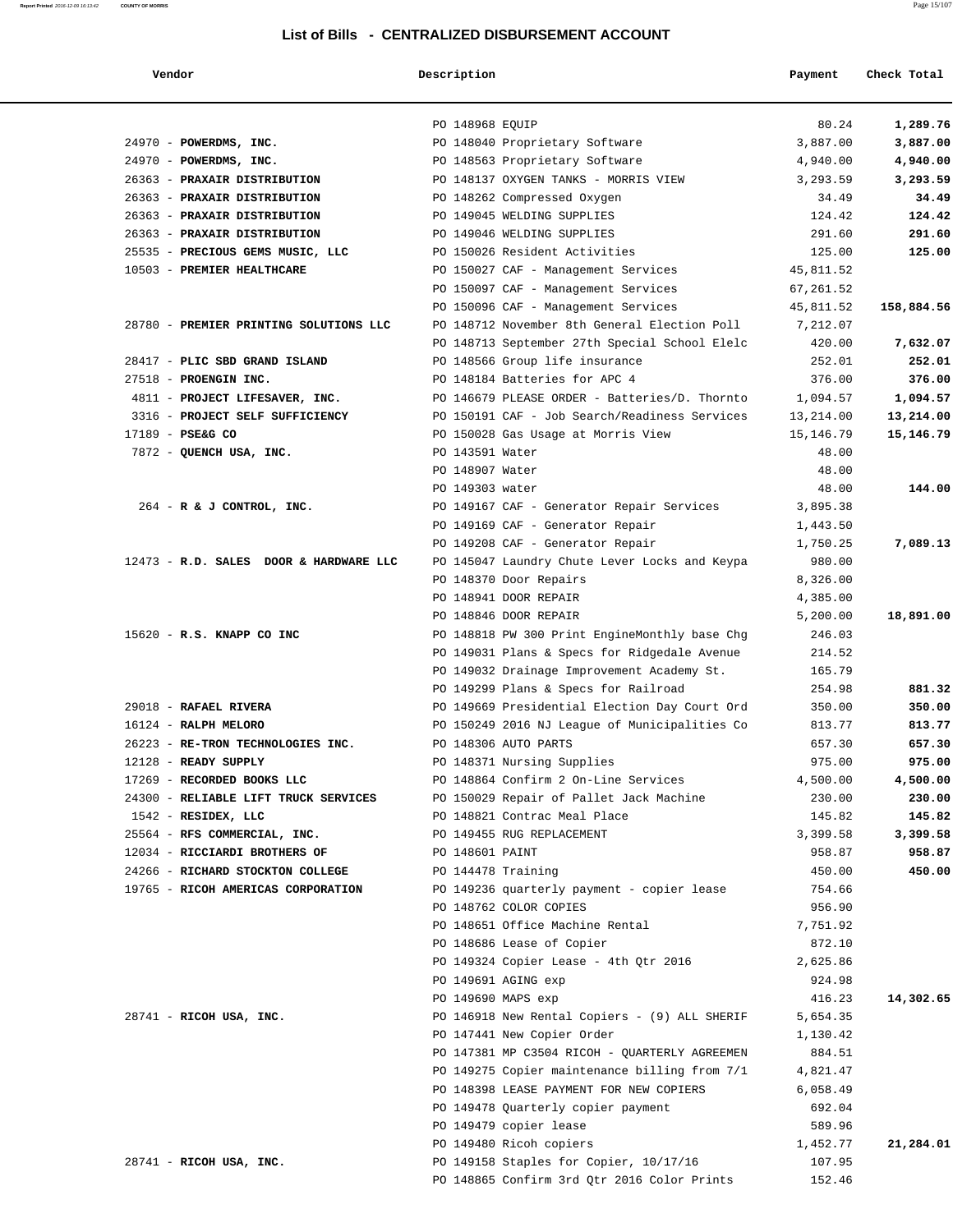| Vendor                                 | Description        |                                                           | Payment   | Check Total      |
|----------------------------------------|--------------------|-----------------------------------------------------------|-----------|------------------|
|                                        | PO 148968 EQUIP    |                                                           | 80.24     | 1,289.76         |
| 24970 - POWERDMS, INC.                 |                    | PO 148040 Proprietary Software                            | 3,887.00  | 3,887.00         |
| 24970 - POWERDMS, INC.                 |                    | PO 148563 Proprietary Software                            | 4,940.00  | 4,940.00         |
| 26363 - PRAXAIR DISTRIBUTION           |                    | PO 148137 OXYGEN TANKS - MORRIS VIEW                      | 3,293.59  | 3,293.59         |
| 26363 - PRAXAIR DISTRIBUTION           |                    | PO 148262 Compressed Oxygen                               | 34.49     | 34.49            |
| 26363 - PRAXAIR DISTRIBUTION           |                    | PO 149045 WELDING SUPPLIES                                | 124.42    | 124.42           |
| 26363 - PRAXAIR DISTRIBUTION           |                    | PO 149046 WELDING SUPPLIES                                | 291.60    | 291.60           |
| 25535 - PRECIOUS GEMS MUSIC, LLC       |                    | PO 150026 Resident Activities                             | 125.00    | 125.00           |
| 10503 - PREMIER HEALTHCARE             |                    | PO 150027 CAF - Management Services                       | 45,811.52 |                  |
|                                        |                    | PO 150097 CAF - Management Services                       | 67,261.52 |                  |
|                                        |                    | PO 150096 CAF - Management Services                       | 45,811.52 | 158,884.56       |
| 28780 - PREMIER PRINTING SOLUTIONS LLC |                    | PO 148712 November 8th General Election Poll              | 7,212.07  |                  |
|                                        |                    | PO 148713 September 27th Special School Elelc             | 420.00    | 7,632.07         |
| 28417 - PLIC SBD GRAND ISLAND          |                    | PO 148566 Group life insurance                            | 252.01    | 252.01           |
| 27518 - PROENGIN INC.                  |                    | PO 148184 Batteries for APC 4                             | 376.00    | 376.00           |
| 4811 - PROJECT LIFESAVER, INC.         |                    | PO 146679 PLEASE ORDER - Batteries/D. Thornto             | 1,094.57  | 1,094.57         |
| 3316 - PROJECT SELF SUFFICIENCY        |                    | PO 150191 CAF - Job Search/Readiness Services             | 13,214.00 | 13,214.00        |
| 17189 - PSE&G CO                       |                    | PO 150028 Gas Usage at Morris View                        | 15,146.79 | 15,146.79        |
| 7872 - QUENCH USA, INC.                | PO 143591 Water    |                                                           | 48.00     |                  |
|                                        | PO 148907 Water    |                                                           | 48.00     |                  |
|                                        | PO 149303 water    |                                                           | 48.00     | 144.00           |
| $264$ - R & J CONTROL, INC.            |                    | PO 149167 CAF - Generator Repair Services                 | 3,895.38  |                  |
|                                        |                    | PO 149169 CAF - Generator Repair                          | 1,443.50  |                  |
|                                        |                    | PO 149208 CAF - Generator Repair                          | 1,750.25  | 7,089.13         |
| 12473 - R.D. SALES DOOR & HARDWARE LLC |                    | PO 145047 Laundry Chute Lever Locks and Keypa             | 980.00    |                  |
|                                        |                    | PO 148370 Door Repairs                                    | 8,326.00  |                  |
|                                        |                    | PO 148941 DOOR REPAIR                                     | 4,385.00  |                  |
|                                        |                    | PO 148846 DOOR REPAIR                                     | 5,200.00  | 18,891.00        |
| 15620 - R.S. KNAPP CO INC              |                    | PO 148818 PW 300 Print EngineMonthly base Chg             | 246.03    |                  |
|                                        |                    | PO 149031 Plans & Specs for Ridgedale Avenue              | 214.52    |                  |
|                                        |                    | PO 149032 Drainage Improvement Academy St.                | 165.79    |                  |
|                                        |                    | PO 149299 Plans & Specs for Railroad                      | 254.98    | 881.32           |
| 29018 - RAFAEL RIVERA                  |                    | PO 149669 Presidential Election Day Court Ord             | 350.00    | 350.00           |
| 16124 - RALPH MELORO                   |                    | PO 150249 2016 NJ League of Municipalities Co             | 813.77    | 813.77           |
| 26223 - RE-TRON TECHNOLOGIES INC.      |                    | PO 148306 AUTO PARTS                                      | 657.30    | 657.30           |
| $12128$ - READY SUPPLY                 |                    | PO 148371 Nursing Supplies                                | 975.00    | 975.00           |
| 17269 - RECORDED BOOKS LLC             |                    | PO 148864 Confirm 2 On-Line Services                      | 4,500.00  | 4,500.00         |
| 24300 - RELIABLE LIFT TRUCK SERVICES   |                    | PO 150029 Repair of Pallet Jack Machine                   | 230.00    | 230.00           |
| $1542$ - RESIDEX, LLC                  |                    | PO 148821 Contrac Meal Place                              | 145.82    | 145.82           |
| 25564 - RFS COMMERCIAL, INC.           |                    | PO 149455 RUG REPLACEMENT                                 |           |                  |
| 12034 - RICCIARDI BROTHERS OF          |                    |                                                           | 3,399.58  | 3,399.58         |
| 24266 - RICHARD STOCKTON COLLEGE       | PO 148601 PAINT    |                                                           | 958.87    | 958.87<br>450.00 |
|                                        | PO 144478 Training |                                                           | 450.00    |                  |
| 19765 - RICOH AMERICAS CORPORATION     |                    | PO 149236 quarterly payment - copier lease                | 754.66    |                  |
|                                        |                    | PO 148762 COLOR COPIES<br>PO 148651 Office Machine Rental | 956.90    |                  |
|                                        |                    |                                                           | 7,751.92  |                  |
|                                        |                    | PO 148686 Lease of Copier                                 | 872.10    |                  |
|                                        |                    | PO 149324 Copier Lease - 4th Qtr 2016                     | 2,625.86  |                  |
|                                        |                    | PO 149691 AGING exp                                       | 924.98    |                  |
|                                        |                    | PO 149690 MAPS exp                                        | 416.23    | 14,302.65        |
| $28741$ - RICOH USA, INC.              |                    | PO 146918 New Rental Copiers - (9) ALL SHERIF             | 5,654.35  |                  |
|                                        |                    | PO 147441 New Copier Order                                | 1,130.42  |                  |
|                                        |                    | PO 147381 MP C3504 RICOH - QUARTERLY AGREEMEN             | 884.51    |                  |
|                                        |                    | PO 149275 Copier maintenance billing from 7/1             | 4,821.47  |                  |
|                                        |                    | PO 148398 LEASE PAYMENT FOR NEW COPIERS                   | 6,058.49  |                  |
|                                        |                    | PO 149478 Quarterly copier payment                        | 692.04    |                  |
|                                        |                    | PO 149479 copier lease                                    | 589.96    |                  |
|                                        |                    | PO 149480 Ricoh copiers                                   | 1,452.77  | 21,284.01        |
| 28741 - RICOH USA, INC.                |                    | PO 149158 Staples for Copier, 10/17/16                    | 107.95    |                  |
|                                        |                    | PO 148865 Confirm 3rd Qtr 2016 Color Prints               | 152.46    |                  |

**Report Printed** 2016-12-09 16:13:42 **COUNTY OF MORRIS** Page 15/107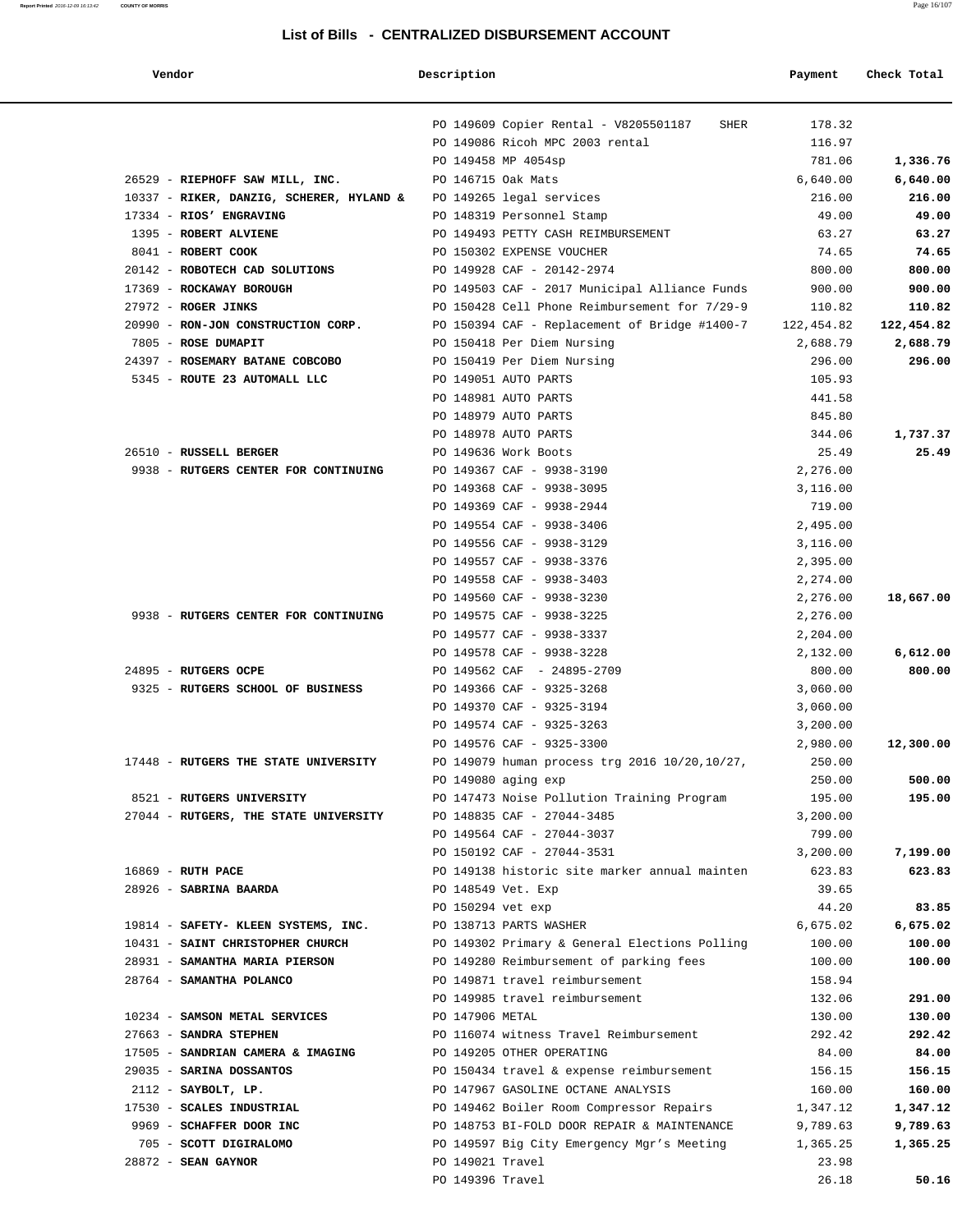#### **Report Printed** 2016-12-09 16:13:42 **COUNTY OF MORRIS** Page 16/107

### **List of Bills - CENTRALIZED DISBURSEMENT ACCOUNT**

| Vendor | Description | Payment Check Total |
|--------|-------------|---------------------|
|--------|-------------|---------------------|

|                                                                   | PO 149609 Copier Rental - V8205501187<br>SHER                            | 178.32             |                      |
|-------------------------------------------------------------------|--------------------------------------------------------------------------|--------------------|----------------------|
|                                                                   | PO 149086 Ricoh MPC 2003 rental                                          | 116.97             |                      |
| 26529 - RIEPHOFF SAW MILL, INC.                                   | PO 149458 MP 4054sp<br>PO 146715 Oak Mats                                | 781.06<br>6,640.00 | 1,336.76<br>6,640.00 |
| 10337 - RIKER, DANZIG, SCHERER, HYLAND & PO 149265 legal services |                                                                          | 216.00             | 216.00               |
| 17334 - RIOS' ENGRAVING                                           | PO 148319 Personnel Stamp                                                | 49.00              | 49.00                |
| 1395 - ROBERT ALVIENE                                             | PO 149493 PETTY CASH REIMBURSEMENT                                       | 63.27              | 63.27                |
| 8041 - ROBERT COOK                                                | PO 150302 EXPENSE VOUCHER                                                | 74.65              | 74.65                |
| 20142 - ROBOTECH CAD SOLUTIONS                                    | PO 149928 CAF - 20142-2974                                               | 800.00             | 800.00               |
| 17369 - ROCKAWAY BOROUGH                                          | PO 149503 CAF - 2017 Municipal Alliance Funds                            | 900.00             | 900.00               |
| $27972$ - ROGER JINKS                                             | PO 150428 Cell Phone Reimbursement for 7/29-9                            | 110.82             | 110.82               |
| 20990 - RON-JON CONSTRUCTION CORP.                                | PO 150394 CAF - Replacement of Bridge #1400-7 122,454.82                 |                    | 122,454.82           |
| 7805 - ROSE DUMAPIT                                               | PO 150418 Per Diem Nursing                                               | 2,688.79           | 2,688.79             |
| 24397 - ROSEMARY BATANE COBCOBO                                   | PO 150419 Per Diem Nursing                                               | 296.00             | 296.00               |
| 5345 - ROUTE 23 AUTOMALL LLC                                      | PO 149051 AUTO PARTS                                                     | 105.93             |                      |
|                                                                   | PO 148981 AUTO PARTS                                                     | 441.58             |                      |
|                                                                   | PO 148979 AUTO PARTS                                                     | 845.80             |                      |
|                                                                   | PO 148978 AUTO PARTS                                                     | 344.06             | 1,737.37             |
| 26510 - RUSSELL BERGER                                            | PO 149636 Work Boots                                                     | 25.49<br>2,276.00  | 25.49                |
| 9938 - RUTGERS CENTER FOR CONTINUING                              | PO 149367 CAF - 9938-3190<br>PO 149368 CAF - 9938-3095                   | 3,116.00           |                      |
|                                                                   | PO 149369 CAF - 9938-2944                                                | 719.00             |                      |
|                                                                   | PO 149554 CAF - 9938-3406                                                | 2,495.00           |                      |
|                                                                   | PO 149556 CAF - 9938-3129                                                | 3,116.00           |                      |
|                                                                   | PO 149557 CAF - 9938-3376                                                | 2,395.00           |                      |
|                                                                   | PO 149558 CAF - 9938-3403                                                | 2,274.00           |                      |
|                                                                   | PO 149560 CAF - 9938-3230                                                | 2,276.00           | 18,667.00            |
| 9938 - RUTGERS CENTER FOR CONTINUING                              | PO 149575 CAF - 9938-3225                                                | 2,276.00           |                      |
|                                                                   | PO 149577 CAF - 9938-3337                                                | 2,204.00           |                      |
|                                                                   | PO 149578 CAF - 9938-3228                                                | 2,132.00           | 6,612.00             |
| 24895 - RUTGERS OCPE                                              | PO 149562 CAF - 24895-2709                                               | 800.00             | 800.00               |
| 9325 - RUTGERS SCHOOL OF BUSINESS                                 | PO 149366 CAF - 9325-3268                                                | 3,060.00           |                      |
|                                                                   | PO 149370 CAF - 9325-3194                                                | 3,060.00           |                      |
|                                                                   | PO 149574 CAF - 9325-3263                                                | 3,200.00           |                      |
|                                                                   | PO 149576 CAF - 9325-3300                                                | 2,980.00           | 12,300.00            |
| 17448 - RUTGERS THE STATE UNIVERSITY                              | PO 149079 human process trg 2016 10/20, 10/27,                           | 250.00             |                      |
| 8521 - RUTGERS UNIVERSITY                                         | PO 149080 aging exp                                                      | 250.00<br>195.00   | 500.00               |
| 27044 - RUTGERS, THE STATE UNIVERSITY                             | PO 147473 Noise Pollution Training Program<br>PO 148835 CAF - 27044-3485 | 3,200.00           | 195.00               |
|                                                                   | PO 149564 CAF - 27044-3037                                               | 799.00             |                      |
|                                                                   | PO 150192 CAF - 27044-3531                                               | 3,200.00           | 7,199.00             |
| $16869$ - RUTH PACE                                               | PO 149138 historic site marker annual mainten                            | 623.83             | 623.83               |
| 28926 - SABRINA BAARDA                                            | PO 148549 Vet. Exp                                                       | 39.65              |                      |
|                                                                   | PO 150294 vet exp                                                        | 44.20              | 83.85                |
| 19814 - SAFETY- KLEEN SYSTEMS, INC.                               | PO 138713 PARTS WASHER                                                   | 6,675.02           | 6,675.02             |
| 10431 - SAINT CHRISTOPHER CHURCH                                  | PO 149302 Primary & General Elections Polling                            | 100.00             | 100.00               |
| 28931 - SAMANTHA MARIA PIERSON                                    | PO 149280 Reimbursement of parking fees                                  | 100.00             | 100.00               |
| 28764 - SAMANTHA POLANCO                                          | PO 149871 travel reimbursement                                           | 158.94             |                      |
|                                                                   | PO 149985 travel reimbursement                                           | 132.06             | 291.00               |
| 10234 - SAMSON METAL SERVICES                                     | PO 147906 METAL                                                          | 130.00             | 130.00               |
| 27663 - SANDRA STEPHEN                                            | PO 116074 witness Travel Reimbursement                                   | 292.42             | 292.42               |
| 17505 - SANDRIAN CAMERA & IMAGING                                 | PO 149205 OTHER OPERATING                                                | 84.00              | 84.00                |
| 29035 - SARINA DOSSANTOS                                          | PO 150434 travel & expense reimbursement                                 | 156.15             | 156.15               |
| $2112$ - SAYBOLT, LP.                                             | PO 147967 GASOLINE OCTANE ANALYSIS                                       | 160.00             | 160.00               |
| 17530 - SCALES INDUSTRIAL                                         | PO 149462 Boiler Room Compressor Repairs                                 | 1,347.12           | 1,347.12             |
| 9969 - SCHAFFER DOOR INC                                          | PO 148753 BI-FOLD DOOR REPAIR & MAINTENANCE                              | 9,789.63           | 9,789.63             |
| 705 - SCOTT DIGIRALOMO<br>$28872 -$ SEAN GAYNOR                   | PO 149597 Big City Emergency Mgr's Meeting<br>PO 149021 Travel           | 1,365.25<br>23.98  | 1,365.25             |
|                                                                   | PO 149396 Travel                                                         | 26.18              | 50.16                |
|                                                                   |                                                                          |                    |                      |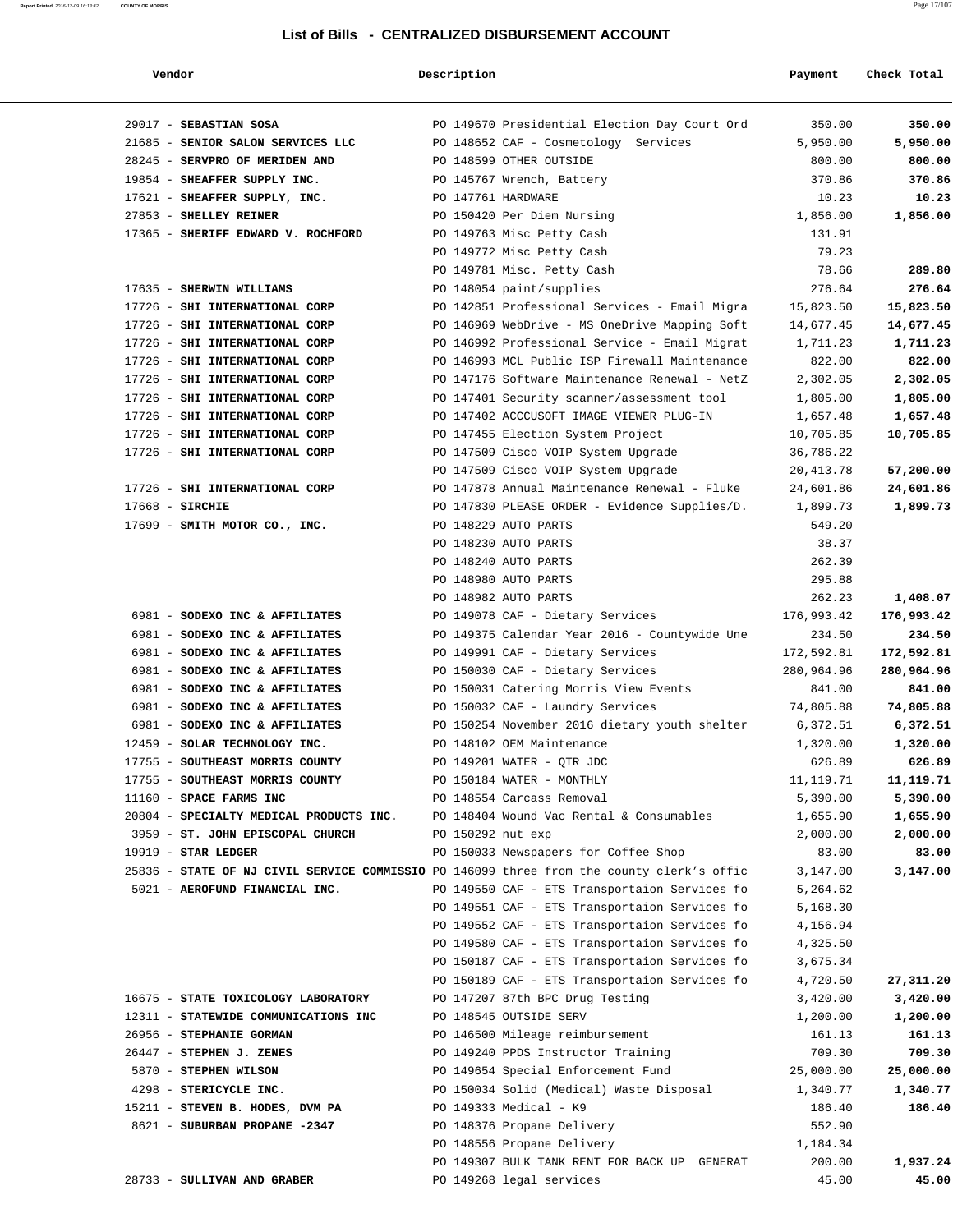#### **Vendor Description Payment Check Total**

**Report Printed** 2016-12-09 16:13:42 **COUNTY OF MORRIS** Page 17/107

| 29017 - SEBASTIAN SOSA                                                                    |  | PO 149670 Presidential Election Day Court Ord | 350.00     | 350.00     |
|-------------------------------------------------------------------------------------------|--|-----------------------------------------------|------------|------------|
| 21685 - SENIOR SALON SERVICES LLC                                                         |  | PO 148652 CAF - Cosmetology Services          | 5,950.00   | 5,950.00   |
| 28245 - SERVPRO OF MERIDEN AND                                                            |  | PO 148599 OTHER OUTSIDE                       | 800.00     | 800.00     |
| 19854 - SHEAFFER SUPPLY INC.                                                              |  | PO 145767 Wrench, Battery                     | 370.86     | 370.86     |
| 17621 - SHEAFFER SUPPLY, INC.                                                             |  | PO 147761 HARDWARE                            | 10.23      | 10.23      |
| 27853 - SHELLEY REINER                                                                    |  | PO 150420 Per Diem Nursing                    | 1,856.00   | 1,856.00   |
| 17365 - SHERIFF EDWARD V. ROCHFORD                                                        |  | PO 149763 Misc Petty Cash                     | 131.91     |            |
|                                                                                           |  | PO 149772 Misc Petty Cash                     | 79.23      |            |
|                                                                                           |  | PO 149781 Misc. Petty Cash                    | 78.66      | 289.80     |
| 17635 - SHERWIN WILLIAMS                                                                  |  | PO 148054 paint/supplies                      | 276.64     | 276.64     |
| 17726 - SHI INTERNATIONAL CORP                                                            |  | PO 142851 Professional Services - Email Migra | 15,823.50  | 15,823.50  |
| 17726 - SHI INTERNATIONAL CORP                                                            |  | PO 146969 WebDrive - MS OneDrive Mapping Soft | 14,677.45  | 14,677.45  |
| 17726 - SHI INTERNATIONAL CORP                                                            |  | PO 146992 Professional Service - Email Migrat | 1,711.23   | 1,711.23   |
| 17726 - SHI INTERNATIONAL CORP                                                            |  | PO 146993 MCL Public ISP Firewall Maintenance | 822.00     | 822.00     |
| 17726 - SHI INTERNATIONAL CORP                                                            |  | PO 147176 Software Maintenance Renewal - NetZ | 2,302.05   | 2,302.05   |
| 17726 - SHI INTERNATIONAL CORP                                                            |  | PO 147401 Security scanner/assessment tool    | 1,805.00   | 1,805.00   |
| 17726 - SHI INTERNATIONAL CORP                                                            |  | PO 147402 ACCCUSOFT IMAGE VIEWER PLUG-IN      | 1,657.48   | 1,657.48   |
| 17726 - SHI INTERNATIONAL CORP                                                            |  | PO 147455 Election System Project             | 10,705.85  | 10,705.85  |
| 17726 - SHI INTERNATIONAL CORP                                                            |  | PO 147509 Cisco VOIP System Upgrade           | 36,786.22  |            |
|                                                                                           |  | PO 147509 Cisco VOIP System Upgrade           | 20,413.78  | 57,200.00  |
| 17726 - SHI INTERNATIONAL CORP                                                            |  | PO 147878 Annual Maintenance Renewal - Fluke  | 24,601.86  | 24,601.86  |
| $17668$ - SIRCHIE                                                                         |  | PO 147830 PLEASE ORDER - Evidence Supplies/D. | 1,899.73   | 1,899.73   |
| 17699 - SMITH MOTOR CO., INC.                                                             |  | PO 148229 AUTO PARTS                          | 549.20     |            |
|                                                                                           |  | PO 148230 AUTO PARTS                          | 38.37      |            |
|                                                                                           |  | PO 148240 AUTO PARTS                          | 262.39     |            |
|                                                                                           |  | PO 148980 AUTO PARTS                          | 295.88     |            |
|                                                                                           |  | PO 148982 AUTO PARTS                          | 262.23     | 1,408.07   |
| 6981 - SODEXO INC & AFFILIATES                                                            |  | PO 149078 CAF - Dietary Services              | 176,993.42 | 176,993.42 |
| 6981 - SODEXO INC & AFFILIATES                                                            |  | PO 149375 Calendar Year 2016 - Countywide Une | 234.50     | 234.50     |
| 6981 - SODEXO INC & AFFILIATES                                                            |  | PO 149991 CAF - Dietary Services              | 172,592.81 | 172,592.81 |
| 6981 - SODEXO INC & AFFILIATES                                                            |  | PO 150030 CAF - Dietary Services              | 280,964.96 | 280,964.96 |
| 6981 - SODEXO INC & AFFILIATES                                                            |  | PO 150031 Catering Morris View Events         | 841.00     | 841.00     |
| 6981 - SODEXO INC & AFFILIATES                                                            |  | PO 150032 CAF - Laundry Services              | 74,805.88  | 74,805.88  |
| 6981 - SODEXO INC & AFFILIATES                                                            |  | PO 150254 November 2016 dietary youth shelter | 6,372.51   | 6,372.51   |
| 12459 - SOLAR TECHNOLOGY INC.                                                             |  | PO 148102 OEM Maintenance                     | 1,320.00   | 1,320.00   |
| 17755 - SOUTHEAST MORRIS COUNTY                                                           |  | PO 149201 WATER - QTR JDC                     | 626.89     | 626.89     |
| 17755 - SOUTHEAST MORRIS COUNTY                                                           |  | PO 150184 WATER - MONTHLY                     | 11,119.71  | 11,119.71  |
| 11160 - SPACE FARMS INC                                                                   |  |                                               |            |            |
|                                                                                           |  | PO 148554 Carcass Removal                     | 5,390.00   | 5,390.00   |
| 20804 - SPECIALTY MEDICAL PRODUCTS INC.<br>3959 - ST. JOHN EPISCOPAL CHURCH               |  | PO 148404 Wound Vac Rental & Consumables      | 1,655.90   | 1,655.90   |
|                                                                                           |  | PO 150292 nut exp                             | 2,000.00   | 2,000.00   |
| $19919$ - STAR LEDGER                                                                     |  | PO 150033 Newspapers for Coffee Shop          | 83.00      | 83.00      |
| 25836 - STATE OF NJ CIVIL SERVICE COMMISSIO PO 146099 three from the county clerk's offic |  |                                               | 3,147.00   | 3,147.00   |
| 5021 - AEROFUND FINANCIAL INC.                                                            |  | PO 149550 CAF - ETS Transportaion Services fo | 5,264.62   |            |
|                                                                                           |  | PO 149551 CAF - ETS Transportaion Services fo | 5,168.30   |            |
|                                                                                           |  | PO 149552 CAF - ETS Transportaion Services fo | 4,156.94   |            |
|                                                                                           |  | PO 149580 CAF - ETS Transportaion Services fo | 4,325.50   |            |
|                                                                                           |  | PO 150187 CAF - ETS Transportaion Services fo | 3,675.34   |            |
|                                                                                           |  | PO 150189 CAF - ETS Transportaion Services fo | 4,720.50   | 27,311.20  |
| 16675 - STATE TOXICOLOGY LABORATORY                                                       |  | PO 147207 87th BPC Drug Testing               | 3,420.00   | 3,420.00   |
| 12311 - STATEWIDE COMMUNICATIONS INC                                                      |  | PO 148545 OUTSIDE SERV                        | 1,200.00   | 1,200.00   |
| 26956 - STEPHANIE GORMAN                                                                  |  | PO 146500 Mileage reimbursement               | 161.13     | 161.13     |
| 26447 - STEPHEN J. ZENES                                                                  |  | PO 149240 PPDS Instructor Training            | 709.30     | 709.30     |
| 5870 - STEPHEN WILSON                                                                     |  | PO 149654 Special Enforcement Fund            | 25,000.00  | 25,000.00  |
| 4298 - STERICYCLE INC.                                                                    |  | PO 150034 Solid (Medical) Waste Disposal      | 1,340.77   | 1,340.77   |
| 15211 - STEVEN B. HODES, DVM PA                                                           |  | PO 149333 Medical - K9                        | 186.40     | 186.40     |
| 8621 - SUBURBAN PROPANE -2347                                                             |  | PO 148376 Propane Delivery                    | 552.90     |            |
|                                                                                           |  |                                               |            |            |
|                                                                                           |  | PO 148556 Propane Delivery                    | 1,184.34   |            |
|                                                                                           |  | PO 149307 BULK TANK RENT FOR BACK UP GENERAT  | 200.00     | 1,937.24   |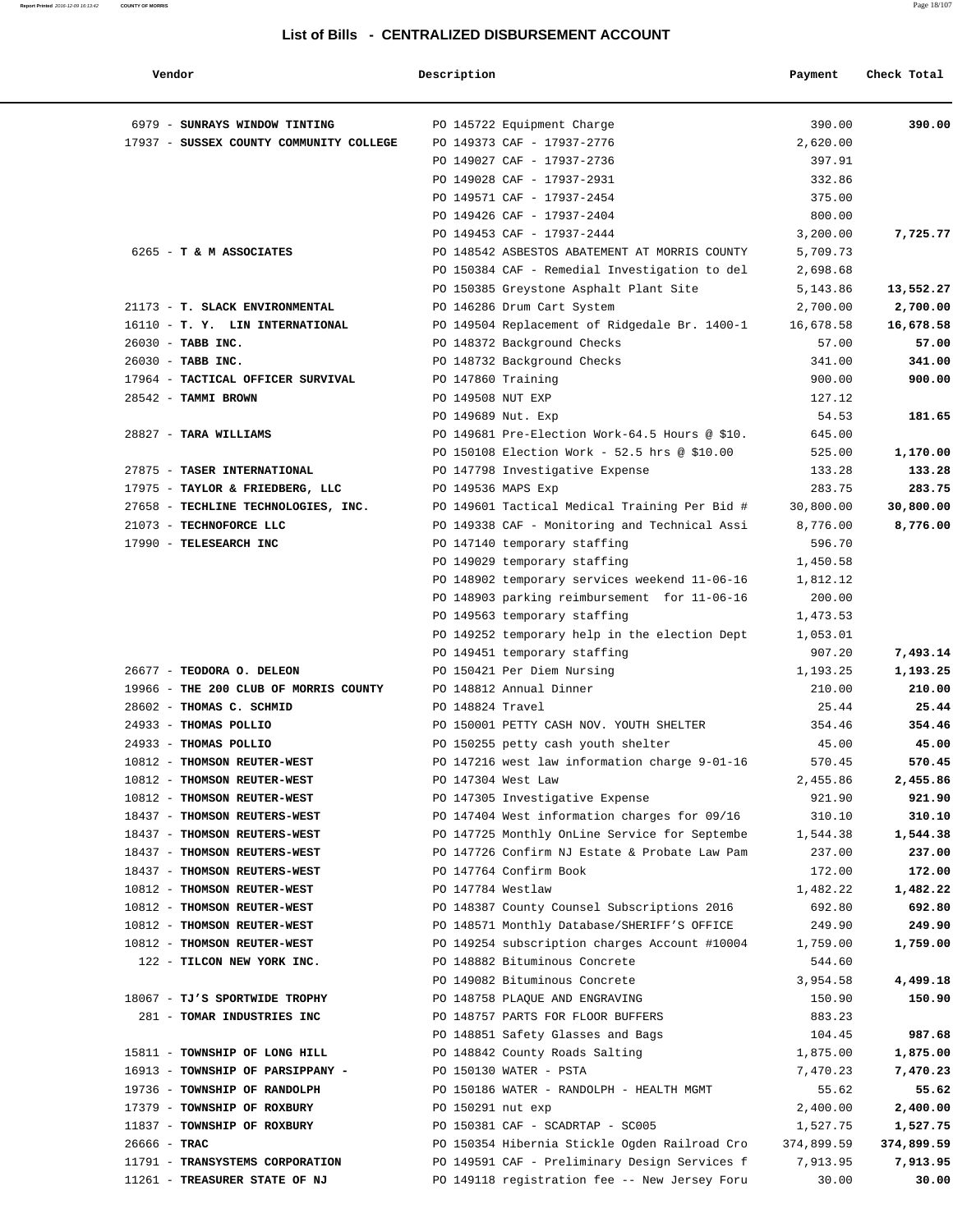| Vendor                                  | Description       |                                                | Payment    | Check Total |
|-----------------------------------------|-------------------|------------------------------------------------|------------|-------------|
| 6979 - SUNRAYS WINDOW TINTING           |                   | PO 145722 Equipment Charge                     | 390.00     | 390.00      |
| 17937 - SUSSEX COUNTY COMMUNITY COLLEGE |                   | PO 149373 CAF - 17937-2776                     | 2,620.00   |             |
|                                         |                   | PO 149027 CAF - 17937-2736                     | 397.91     |             |
|                                         |                   | PO 149028 CAF - 17937-2931                     | 332.86     |             |
|                                         |                   | PO 149571 CAF - 17937-2454                     | 375.00     |             |
|                                         |                   | PO 149426 CAF - 17937-2404                     | 800.00     |             |
|                                         |                   | PO 149453 CAF - 17937-2444                     | 3,200.00   | 7,725.77    |
| 6265 - T & M ASSOCIATES                 |                   | PO 148542 ASBESTOS ABATEMENT AT MORRIS COUNTY  | 5,709.73   |             |
|                                         |                   | PO 150384 CAF - Remedial Investigation to del  | 2,698.68   |             |
|                                         |                   | PO 150385 Greystone Asphalt Plant Site         | 5,143.86   | 13,552.27   |
| 21173 - T. SLACK ENVIRONMENTAL          |                   | PO 146286 Drum Cart System                     | 2,700.00   | 2,700.00    |
| 16110 - T. Y. LIN INTERNATIONAL         |                   | PO 149504 Replacement of Ridgedale Br. 1400-1  | 16,678.58  | 16,678.58   |
| 26030 - TABB INC.                       |                   | PO 148372 Background Checks                    | 57.00      | 57.00       |
| 26030 - TABB INC.                       |                   | PO 148732 Background Checks                    | 341.00     | 341.00      |
| 17964 - TACTICAL OFFICER SURVIVAL       |                   | PO 147860 Training                             | 900.00     | 900.00      |
| 28542 - TAMMI BROWN                     | PO 149508 NUT EXP |                                                | 127.12     |             |
|                                         |                   | PO 149689 Nut. Exp                             | 54.53      | 181.65      |
| 28827 - TARA WILLIAMS                   |                   | PO 149681 Pre-Election Work-64.5 Hours @ \$10. | 645.00     |             |
|                                         |                   | PO 150108 Election Work - 52.5 hrs @ \$10.00   | 525.00     | 1,170.00    |
| 27875 - TASER INTERNATIONAL             |                   | PO 147798 Investigative Expense                | 133.28     | 133.28      |
| 17975 - TAYLOR & FRIEDBERG, LLC         |                   | PO 149536 MAPS Exp                             | 283.75     | 283.75      |
| 27658 - TECHLINE TECHNOLOGIES, INC.     |                   | PO 149601 Tactical Medical Training Per Bid #  | 30,800.00  | 30,800.00   |
| 21073 - TECHNOFORCE LLC                 |                   | PO 149338 CAF - Monitoring and Technical Assi  | 8,776.00   | 8,776.00    |
| 17990 - TELESEARCH INC                  |                   | PO 147140 temporary staffing                   | 596.70     |             |
|                                         |                   | PO 149029 temporary staffing                   | 1,450.58   |             |
|                                         |                   | PO 148902 temporary services weekend 11-06-16  | 1,812.12   |             |
|                                         |                   | PO 148903 parking reimbursement for 11-06-16   | 200.00     |             |
|                                         |                   | PO 149563 temporary staffing                   | 1,473.53   |             |
|                                         |                   | PO 149252 temporary help in the election Dept  | 1,053.01   |             |
|                                         |                   | PO 149451 temporary staffing                   | 907.20     | 7,493.14    |
| 26677 - TEODORA O. DELEON               |                   | PO 150421 Per Diem Nursing                     | 1,193.25   | 1,193.25    |
| 19966 - THE 200 CLUB OF MORRIS COUNTY   |                   | PO 148812 Annual Dinner                        | 210.00     | 210.00      |
| 28602 - THOMAS C. SCHMID                | PO 148824 Travel  |                                                | 25.44      | 25.44       |
| 24933 - THOMAS POLLIO                   |                   | PO 150001 PETTY CASH NOV. YOUTH SHELTER        | 354.46     | 354.46      |
| 24933 - THOMAS POLLIO                   |                   | PO 150255 petty cash youth shelter             | 45.00      | 45.00       |
| 10812 - THOMSON REUTER-WEST             |                   | PO 147216 west law information charge 9-01-16  | 570.45     | 570.45      |
| 10812 - THOMSON REUTER-WEST             |                   | PO 147304 West Law                             | 2,455.86   | 2,455.86    |
| 10812 - THOMSON REUTER-WEST             |                   | PO 147305 Investigative Expense                | 921.90     | 921.90      |
| 18437 - THOMSON REUTERS-WEST            |                   | PO 147404 West information charges for 09/16   | 310.10     | 310.10      |
| 18437 - THOMSON REUTERS-WEST            |                   | PO 147725 Monthly OnLine Service for Septembe  | 1,544.38   | 1,544.38    |
| 18437 - THOMSON REUTERS-WEST            |                   | PO 147726 Confirm NJ Estate & Probate Law Pam  | 237.00     | 237.00      |
| 18437 - THOMSON REUTERS-WEST            |                   | PO 147764 Confirm Book                         | 172.00     | 172.00      |
| 10812 - THOMSON REUTER-WEST             | PO 147784 Westlaw |                                                | 1,482.22   | 1,482.22    |
| 10812 - THOMSON REUTER-WEST             |                   | PO 148387 County Counsel Subscriptions 2016    | 692.80     | 692.80      |
| 10812 - THOMSON REUTER-WEST             |                   | PO 148571 Monthly Database/SHERIFF'S OFFICE    | 249.90     | 249.90      |
| 10812 - THOMSON REUTER-WEST             |                   | PO 149254 subscription charges Account #10004  | 1,759.00   | 1,759.00    |
| 122 - TILCON NEW YORK INC.              |                   | PO 148882 Bituminous Concrete                  | 544.60     |             |
|                                         |                   | PO 149082 Bituminous Concrete                  | 3,954.58   | 4,499.18    |
| 18067 - TJ'S SPORTWIDE TROPHY           |                   | PO 148758 PLAQUE AND ENGRAVING                 | 150.90     | 150.90      |
| 281 - TOMAR INDUSTRIES INC              |                   | PO 148757 PARTS FOR FLOOR BUFFERS              | 883.23     |             |
|                                         |                   | PO 148851 Safety Glasses and Bags              | 104.45     | 987.68      |
| 15811 - TOWNSHIP OF LONG HILL           |                   | PO 148842 County Roads Salting                 | 1,875.00   | 1,875.00    |
| 16913 - TOWNSHIP OF PARSIPPANY -        |                   | PO 150130 WATER - PSTA                         | 7,470.23   | 7,470.23    |
| 19736 - TOWNSHIP OF RANDOLPH            |                   | PO 150186 WATER - RANDOLPH - HEALTH MGMT       | 55.62      | 55.62       |
| 17379 - TOWNSHIP OF ROXBURY             | PO 150291 nut exp |                                                | 2,400.00   | 2,400.00    |
| 11837 - TOWNSHIP OF ROXBURY             |                   | PO 150381 CAF - SCADRTAP - SC005               | 1,527.75   | 1,527.75    |
| $26666 - TRAC$                          |                   | PO 150354 Hibernia Stickle Ogden Railroad Cro  | 374,899.59 | 374,899.59  |
| 11791 - TRANSYSTEMS CORPORATION         |                   | PO 149591 CAF - Preliminary Design Services f  | 7,913.95   | 7,913.95    |
| 11261 - TREASURER STATE OF NJ           |                   | PO 149118 registration fee -- New Jersey Foru  | 30.00      | 30.00       |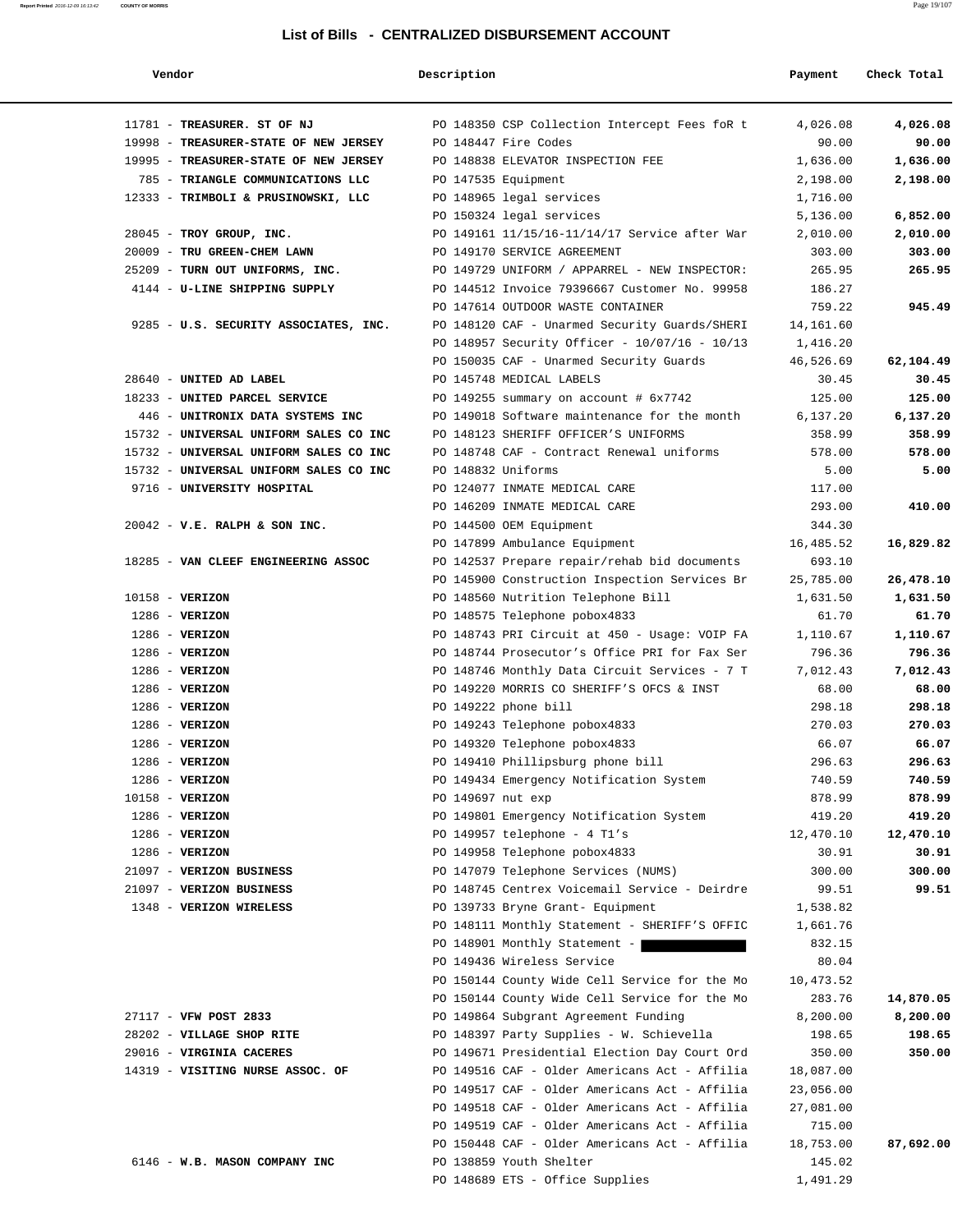| TT.<br>-<br>$\sim$ | - |
|--------------------|---|

**Report Printed** 2016-12-09 16:13:42 **COUNTY OF MORRIS** Page 19/107

| Vendor                                 | Description                                                                                    | Payment             | Check Total |
|----------------------------------------|------------------------------------------------------------------------------------------------|---------------------|-------------|
| 11781 - TREASURER. ST OF NJ            | PO 148350 CSP Collection Intercept Fees foR t                                                  | 4,026.08            | 4,026.08    |
| 19998 - TREASURER-STATE OF NEW JERSEY  | PO 148447 Fire Codes                                                                           | 90.00               | 90.00       |
| 19995 - TREASURER-STATE OF NEW JERSEY  | PO 148838 ELEVATOR INSPECTION FEE                                                              | 1,636.00            | 1,636.00    |
| 785 - TRIANGLE COMMUNICATIONS LLC      | PO 147535 Equipment                                                                            | 2,198.00            | 2,198.00    |
| 12333 - TRIMBOLI & PRUSINOWSKI, LLC    | PO 148965 legal services                                                                       | 1,716.00            |             |
|                                        | PO 150324 legal services                                                                       | 5,136.00            | 6,852.00    |
| $28045$ - TROY GROUP, INC.             | PO 149161 11/15/16-11/14/17 Service after War                                                  | 2,010.00            | 2,010.00    |
| 20009 - TRU GREEN-CHEM LAWN            | PO 149170 SERVICE AGREEMENT                                                                    | 303.00              | 303.00      |
| 25209 - TURN OUT UNIFORMS, INC.        | PO 149729 UNIFORM / APPARREL - NEW INSPECTOR:                                                  | 265.95              | 265.95      |
| 4144 - U-LINE SHIPPING SUPPLY          | PO 144512 Invoice 79396667 Customer No. 99958                                                  | 186.27              |             |
|                                        | PO 147614 OUTDOOR WASTE CONTAINER                                                              | 759.22              | 945.49      |
| 9285 - U.S. SECURITY ASSOCIATES, INC.  | PO 148120 CAF - Unarmed Security Guards/SHERI                                                  | 14,161.60           |             |
|                                        | PO 148957 Security Officer - 10/07/16 - 10/13                                                  | 1,416.20            |             |
|                                        | PO 150035 CAF - Unarmed Security Guards                                                        | 46,526.69           | 62,104.49   |
| 28640 - UNITED AD LABEL                | PO 145748 MEDICAL LABELS                                                                       | 30.45               | 30.45       |
| 18233 - UNITED PARCEL SERVICE          | PO 149255 summary on account # 6x7742                                                          | 125.00              | 125.00      |
| 446 - UNITRONIX DATA SYSTEMS INC       | PO 149018 Software maintenance for the month                                                   | 6,137.20            | 6,137.20    |
| 15732 - UNIVERSAL UNIFORM SALES CO INC | PO 148123 SHERIFF OFFICER'S UNIFORMS                                                           | 358.99              | 358.99      |
| 15732 - UNIVERSAL UNIFORM SALES CO INC | PO 148748 CAF - Contract Renewal uniforms                                                      | 578.00              | 578.00      |
| 15732 - UNIVERSAL UNIFORM SALES CO INC | PO 148832 Uniforms                                                                             | 5.00                | 5.00        |
| 9716 - UNIVERSITY HOSPITAL             | PO 124077 INMATE MEDICAL CARE                                                                  | 117.00              |             |
|                                        | PO 146209 INMATE MEDICAL CARE                                                                  | 293.00              | 410.00      |
| $20042$ - V.E. RALPH & SON INC.        | PO 144500 OEM Equipment                                                                        | 344.30              |             |
|                                        | PO 147899 Ambulance Equipment                                                                  | 16,485.52           | 16,829.82   |
| 18285 - VAN CLEEF ENGINEERING ASSOC    | PO 142537 Prepare repair/rehab bid documents                                                   | 693.10              |             |
|                                        | PO 145900 Construction Inspection Services Br                                                  | 25,785.00           | 26,478.10   |
| $10158 - VERTZON$                      | PO 148560 Nutrition Telephone Bill                                                             | 1,631.50            | 1,631.50    |
| $1286$ - VERIZON                       | PO 148575 Telephone pobox4833                                                                  | 61.70               | 61.70       |
| $1286$ - VERIZON                       | PO 148743 PRI Circuit at 450 - Usage: VOIP FA                                                  | 1,110.67            | 1,110.67    |
| $1286$ - VERIZON                       | PO 148744 Prosecutor's Office PRI for Fax Ser                                                  | 796.36              | 796.36      |
| $1286$ - VERIZON                       | PO 148746 Monthly Data Circuit Services - 7 T                                                  | 7,012.43            | 7,012.43    |
| $1286$ - VERIZON                       | PO 149220 MORRIS CO SHERIFF'S OFCS & INST                                                      | 68.00               | 68.00       |
| $1286$ - VERIZON                       | PO 149222 phone bill                                                                           | 298.18              | 298.18      |
| $1286$ - VERIZON                       | PO 149243 Telephone pobox4833                                                                  | 270.03              | 270.03      |
| $1286$ - VERIZON                       | PO 149320 Telephone pobox4833                                                                  | 66.07               | 66.07       |
| 1286 - VERIZON                         | PO 149410 Phillipsburg phone bill                                                              | 296.63              | 296.63      |
| $1286$ - VERIZON                       | PO 149434 Emergency Notification System                                                        | 740.59              | 740.59      |
| $10158 - VERTZON$                      | PO 149697 nut exp                                                                              | 878.99              | 878.99      |
| $1286 - VERIZON$                       | PO 149801 Emergency Notification System                                                        | 419.20              | 419.20      |
| $1286$ - VERIZON                       | PO 149957 telephone - 4 T1's                                                                   | 12,470.10           | 12,470.10   |
| $1286$ - VERIZON                       | PO 149958 Telephone pobox4833                                                                  | 30.91               | 30.91       |
| 21097 - VERIZON BUSINESS               | PO 147079 Telephone Services (NUMS)                                                            | 300.00              | 300.00      |
| 21097 - VERIZON BUSINESS               | PO 148745 Centrex Voicemail Service - Deirdre                                                  | 99.51               | 99.51       |
| 1348 - VERIZON WIRELESS                | PO 139733 Bryne Grant- Equipment                                                               | 1,538.82            |             |
|                                        | PO 148111 Monthly Statement - SHERIFF'S OFFIC<br>PO 148901 Monthly Statement -                 | 1,661.76            |             |
|                                        | PO 149436 Wireless Service                                                                     | 832.15<br>80.04     |             |
|                                        |                                                                                                |                     |             |
|                                        | PO 150144 County Wide Cell Service for the Mo<br>PO 150144 County Wide Cell Service for the Mo | 10,473.52<br>283.76 | 14,870.05   |
| 27117 - VFW POST 2833                  | PO 149864 Subgrant Agreement Funding                                                           | 8,200.00            | 8,200.00    |
|                                        | PO 148397 Party Supplies - W. Schievella                                                       |                     |             |
| 28202 - VILLAGE SHOP RITE              |                                                                                                | 198.65              | 198.65      |
| 29016 - VIRGINIA CACERES               | PO 149671 Presidential Election Day Court Ord                                                  | 350.00              | 350.00      |
| 14319 - VISITING NURSE ASSOC. OF       | PO 149516 CAF - Older Americans Act - Affilia                                                  | 18,087.00           |             |
|                                        | PO 149517 CAF - Older Americans Act - Affilia                                                  | 23,056.00           |             |
|                                        | PO 149518 CAF - Older Americans Act - Affilia                                                  | 27,081.00           |             |
|                                        | PO 149519 CAF - Older Americans Act - Affilia                                                  | 715.00              |             |
|                                        | PO 150448 CAF - Older Americans Act - Affilia                                                  | 18,753.00           | 87,692.00   |
| 6146 - W.B. MASON COMPANY INC          | PO 138859 Youth Shelter                                                                        | 145.02              |             |
|                                        | PO 148689 ETS - Office Supplies                                                                | 1,491.29            |             |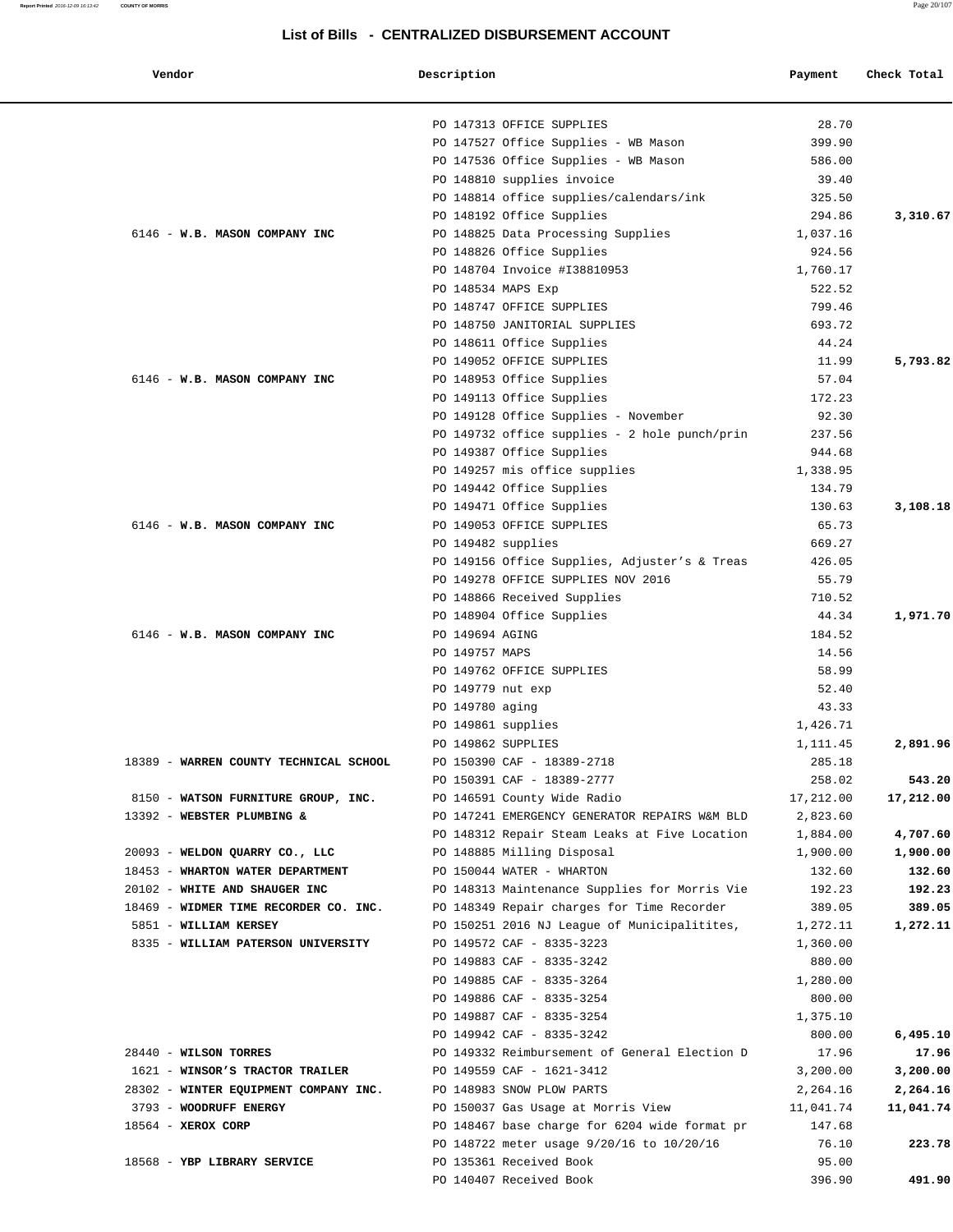**Report Printed** 2016-12-09 16:13:42 **COUNTY OF MORRIS** Page 20/107

#### **List of Bills - CENTRALIZED DISBURSEMENT ACCOUNT**

 **Vendor Description Payment Check Total** PO 147313 OFFICE SUPPLIES 28.70 PO 147527 Office Supplies - WB Mason 399.90 PO 147536 Office Supplies - WB Mason 586.00 PO 148810 supplies invoice 39.40 PO 148814 office supplies/calendars/ink 325.50 PO 148192 Office Supplies 294.86 **3,310.67** 6146 - **W.B. MASON COMPANY INC PO 148825 Data Processing Supplies** 1,037.16 PO 148826 Office Supplies 924.56 PO 148704 Invoice #I38810953 1,760.17 PO 148534 MAPS Exp 522.52 PO 148747 OFFICE SUPPLIES 799.46 PO 148750 JANITORIAL SUPPLIES 693.72 PO 148611 Office Supplies 44.24 PO 149052 OFFICE SUPPLIES 11.99 **5,793.82** 6146 - **W.B. MASON COMPANY INC** PO 148953 Office Supplies 57.04 PO 149113 Office Supplies 172.23 PO 149128 Office Supplies - November 92.30 PO 149732 office supplies - 2 hole punch/prin 237.56 PO 149387 Office Supplies 944.68 PO 149257 mis office supplies 1,338.95 PO 149442 Office Supplies 134.79 PO 149471 Office Supplies 130.63 **3,108.18** 6146 - **W.B. MASON COMPANY INC** PO 149053 OFFICE SUPPLIES 65.73 PO 149482 supplies 669.27 PO 149156 Office Supplies, Adjuster's & Treas 426.05 PO 149278 OFFICE SUPPLIES NOV 2016 55.79 PO 148866 Received Supplies 710.52 PO 148904 Office Supplies 44.34 **1,971.70** 6146 - **W.B. MASON COMPANY INC** PO 149694 AGING 184.52 PO 149757 MAPS 14.56 PO 149762 OFFICE SUPPLIES 58.99 PO 149779 nut exp 52.40 PO 149780 aging 43.33 PO 149861 supplies 1,426.71 PO 149862 SUPPLIES 1,111.45 **2,891.96**  18389 - **WARREN COUNTY TECHNICAL SCHOOL** PO 150390 CAF - 18389-2718 285.18 PO 150391 CAF - 18389-2777 258.02 **543.20** 8150 - **WATSON FURNITURE GROUP, INC.** PO 146591 County Wide Radio 17,212.00 **17,212.00** 13392 - **WEBSTER PLUMBING &** PO 147241 EMERGENCY GENERATOR REPAIRS W&M BLD 2,823.60 PO 148312 Repair Steam Leaks at Five Location 1,884.00 **4,707.60** 20093 - **WELDON QUARRY CO., LLC** PO 148885 Milling Disposal 1,900.00 **1,900.00** 18453 - **WHARTON WATER DEPARTMENT** PO 150044 WATER - WHARTON 132.60 **132.60** 20102 - **WHITE AND SHAUGER INC** PO 148313 Maintenance Supplies for Morris Vie 192.23 **192.23** 18469 - **WIDMER TIME RECORDER CO. INC.** PO 148349 Repair charges for Time Recorder 389.05 **389.05** 5851 - **WILLIAM KERSEY** PO 150251 2016 NJ League of Municipalitites, 1,272.11 **1,272.11** 8335 - WILLIAM PATERSON UNIVERSITY **PO 149572 CAF - 8335-3223** 1,360.00 PO 149883 CAF - 8335-3242 880.00 PO 149885 CAF - 8335-3264 1,280.00 PO 149886 CAF - 8335-3254 800.00 PO 149887 CAF - 8335-3254 1,375.10 PO 149942 CAF - 8335-3242 800.00 **6,495.10** 28440 - **WILSON TORRES** PO 149332 Reimbursement of General Election D 17.96 **17.96** 1621 - **WINSOR'S TRACTOR TRAILER** PO 149559 CAF - 1621-3412 3,200.00 **3,200.00** 28302 - **WINTER EQUIPMENT COMPANY INC.** PO 148983 SNOW PLOW PARTS 2,264.16 **2,264.16** 3793 - **WOODRUFF ENERGY** PO 150037 Gas Usage at Morris View 11,041.74 **11,041.74** 18564 - **XEROX CORP** PO 148467 base charge for 6204 wide format pr 147.68 PO 148722 meter usage 9/20/16 to 10/20/16 76.10 **223.78** 18568 - **YBP LIBRARY SERVICE** PO 135361 Received Book 95.00 PO 140407 Received Book 396.90 **491.90**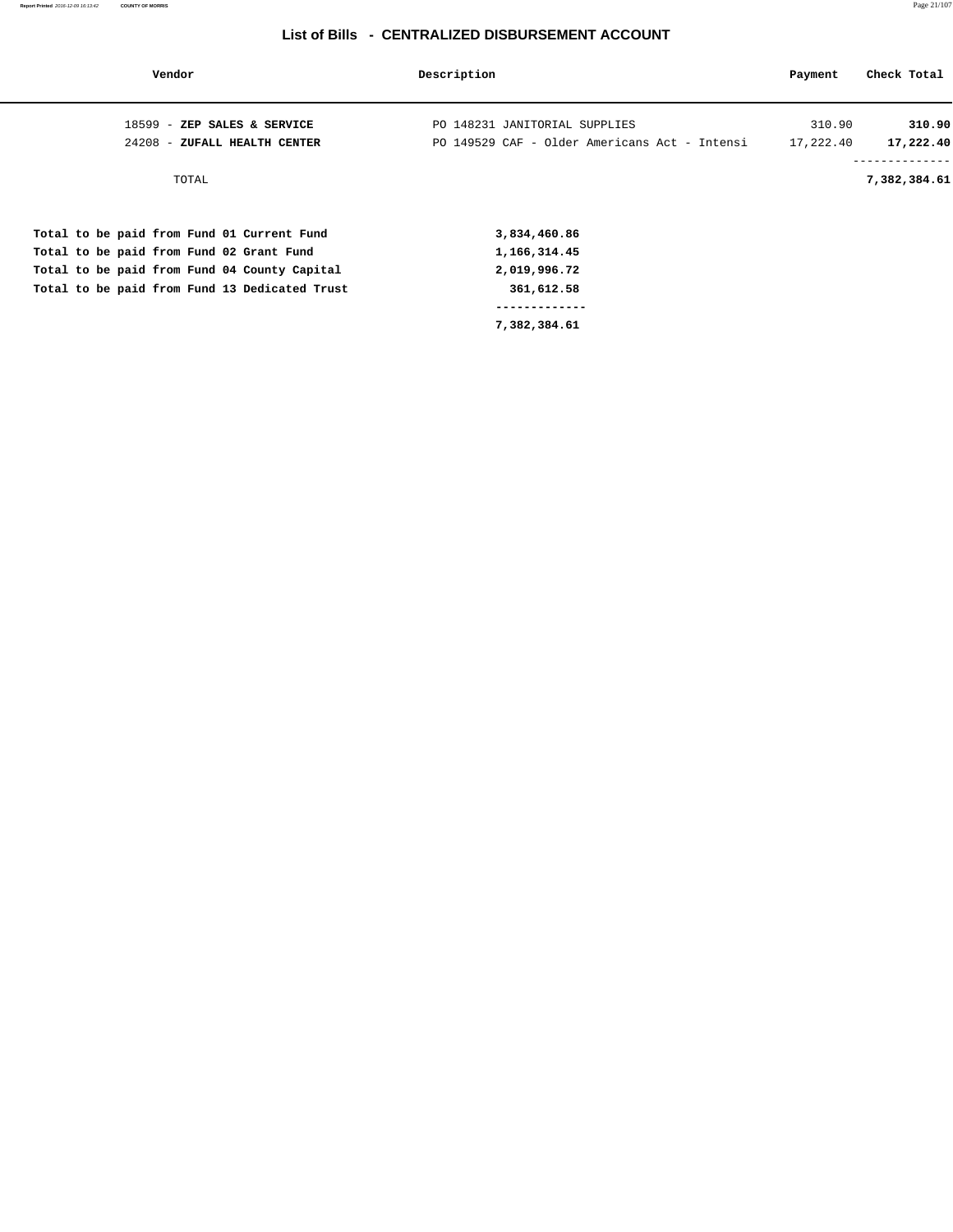| Vendor                                        | Description                                   | Payment   | Check Total  |
|-----------------------------------------------|-----------------------------------------------|-----------|--------------|
| 18599 - ZEP SALES & SERVICE                   | PO 148231 JANITORIAL SUPPLIES                 | 310.90    | 310.90       |
| 24208 - ZUFALL HEALTH CENTER                  | PO 149529 CAF - Older Americans Act - Intensi | 17,222.40 | 17,222.40    |
| TOTAL                                         |                                               |           | 7,382,384.61 |
| Total to be paid from Fund 01 Current Fund    | 3,834,460.86                                  |           |              |
| Total to be paid from Fund 02 Grant Fund      | 1,166,314.45                                  |           |              |
| Total to be paid from Fund 04 County Capital  | 2,019,996.72                                  |           |              |
| Total to be paid from Fund 13 Dedicated Trust | 361,612.58                                    |           |              |
|                                               | ------------                                  |           |              |
|                                               | 7,382,384.61                                  |           |              |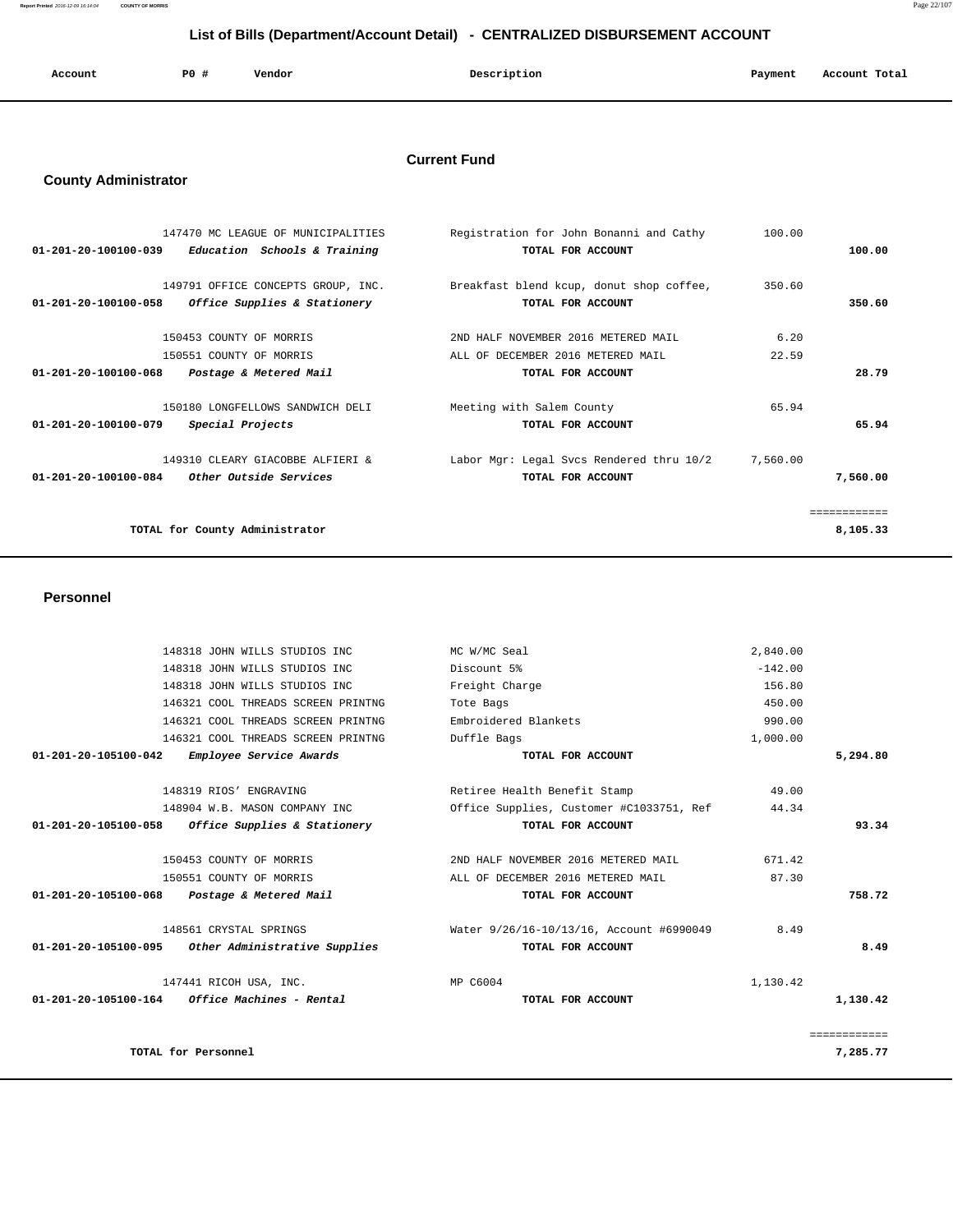**List of Bills (Department/Account Detail) - CENTRALIZED DISBURSEMENT ACCOUNT**

| Account | PO# | Vendor | Description | Payment | Account Total |
|---------|-----|--------|-------------|---------|---------------|
|         |     |        |             |         |               |

# **Current Fund**

# **County Administrator**

|                                | 147470 MC LEAGUE OF MUNICIPALITIES | Registration for John Bonanni and Cathy  | 100.00   |              |
|--------------------------------|------------------------------------|------------------------------------------|----------|--------------|
| $01 - 201 - 20 - 100100 - 039$ | Education Schools & Training       | TOTAL FOR ACCOUNT                        |          | 100.00       |
|                                | 149791 OFFICE CONCEPTS GROUP, INC. | Breakfast blend kcup, donut shop coffee, | 350.60   |              |
| 01-201-20-100100-058           | Office Supplies & Stationery       | TOTAL FOR ACCOUNT                        |          | 350.60       |
|                                | 150453 COUNTY OF MORRIS            | 2ND HALF NOVEMBER 2016 METERED MAIL      | 6.20     |              |
|                                | 150551 COUNTY OF MORRIS            | ALL OF DECEMBER 2016 METERED MAIL        | 22.59    |              |
| $01 - 201 - 20 - 100100 - 068$ | Postage & Metered Mail             | TOTAL FOR ACCOUNT                        |          | 28.79        |
|                                | 150180 LONGFELLOWS SANDWICH DELI   | Meeting with Salem County                | 65.94    |              |
| $01 - 201 - 20 - 100100 - 079$ | <i>Special Projects</i>            | TOTAL FOR ACCOUNT                        |          | 65.94        |
|                                | 149310 CLEARY GIACOBBE ALFIERI &   | Labor Mgr: Legal Svcs Rendered thru 10/2 | 7,560.00 |              |
| 01-201-20-100100-084           | <i>Other Outside Services</i>      | TOTAL FOR ACCOUNT                        |          | 7,560.00     |
|                                |                                    |                                          |          | ============ |
|                                | TOTAL for County Administrator     |                                          |          | 8,105.33     |
|                                |                                    |                                          |          |              |

### **Personnel**

|                                | 148318 JOHN WILLS STUDIOS INC                     | MC W/MC Seal                             | 2,840.00  |              |
|--------------------------------|---------------------------------------------------|------------------------------------------|-----------|--------------|
|                                | 148318 JOHN WILLS STUDIOS INC                     | Discount 5%                              | $-142.00$ |              |
|                                | 148318 JOHN WILLS STUDIOS INC                     | Freight Charge                           | 156.80    |              |
|                                | 146321 COOL THREADS SCREEN PRINTNG                | Tote Bags                                | 450.00    |              |
|                                | 146321 COOL THREADS SCREEN PRINTNG                | Embroidered Blankets                     | 990.00    |              |
|                                | 146321 COOL THREADS SCREEN PRINTNG                | Duffle Bags                              | 1,000.00  |              |
| 01-201-20-105100-042           | Employee Service Awards                           | TOTAL FOR ACCOUNT                        |           | 5,294.80     |
|                                | 148319 RIOS' ENGRAVING                            | Retiree Health Benefit Stamp             | 49.00     |              |
|                                | 148904 W.B. MASON COMPANY INC                     | Office Supplies, Customer #C1033751, Ref | 44.34     |              |
|                                | 01-201-20-105100-058 Office Supplies & Stationery | TOTAL FOR ACCOUNT                        |           | 93.34        |
|                                | 150453 COUNTY OF MORRIS                           | 2ND HALF NOVEMBER 2016 METERED MAIL      | 671.42    |              |
|                                | 150551 COUNTY OF MORRIS                           | ALL OF DECEMBER 2016 METERED MAIL        | 87.30     |              |
| $01 - 201 - 20 - 105100 - 068$ | Postage & Metered Mail                            | TOTAL FOR ACCOUNT                        |           | 758.72       |
|                                | 148561 CRYSTAL SPRINGS                            | Water 9/26/16-10/13/16, Account #6990049 | 8.49      |              |
| 01-201-20-105100-095           | Other Administrative Supplies                     | TOTAL FOR ACCOUNT                        |           | 8.49         |
|                                | 147441 RICOH USA, INC.                            | MP C6004                                 | 1,130.42  |              |
|                                | $01-201-20-105100-164$ Office Machines - Rental   | TOTAL FOR ACCOUNT                        |           | 1,130.42     |
|                                |                                                   |                                          |           | ============ |
|                                | TOTAL for Personnel                               |                                          |           | 7,285.77     |
|                                |                                                   |                                          |           |              |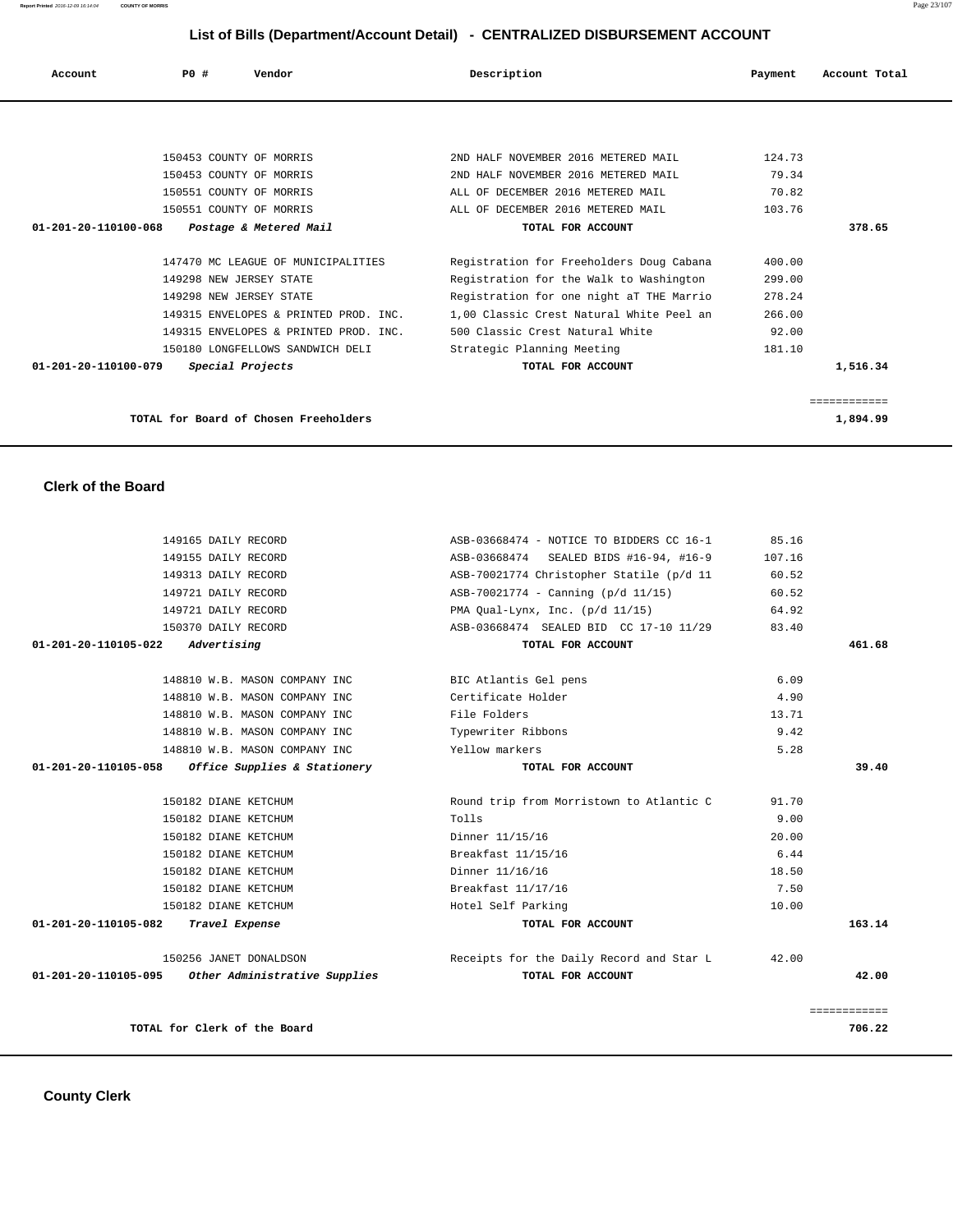### **County Clerk**

| 149313 DAILY RECORD                                   | ASB-70021774 Christopher Statile (p/d 11 | 60.52 |              |
|-------------------------------------------------------|------------------------------------------|-------|--------------|
| 149721 DAILY RECORD                                   | ASB-70021774 - Canning (p/d 11/15)       | 60.52 |              |
| 149721 DAILY RECORD                                   | PMA Qual-Lynx, Inc. (p/d 11/15)          | 64.92 |              |
| 150370 DAILY RECORD                                   | ASB-03668474 SEALED BID CC 17-10 11/29   | 83.40 |              |
| 01-201-20-110105-022<br>Advertising                   | TOTAL FOR ACCOUNT                        |       | 461.68       |
| 148810 W.B. MASON COMPANY INC                         | BIC Atlantis Gel pens                    | 6.09  |              |
| 148810 W.B. MASON COMPANY INC                         | Certificate Holder                       | 4.90  |              |
| 148810 W.B. MASON COMPANY INC                         | File Folders                             | 13.71 |              |
| 148810 W.B. MASON COMPANY INC                         | Typewriter Ribbons                       | 9.42  |              |
| 148810 W.B. MASON COMPANY INC                         | Yellow markers                           | 5.28  |              |
| Office Supplies & Stationery<br>01-201-20-110105-058  | TOTAL FOR ACCOUNT                        |       | 39.40        |
| 150182 DIANE KETCHUM                                  | Round trip from Morristown to Atlantic C | 91.70 |              |
| 150182 DIANE KETCHUM                                  | Tolls                                    | 9.00  |              |
| 150182 DIANE KETCHUM                                  | Dinner 11/15/16                          | 20.00 |              |
| 150182 DIANE KETCHUM                                  | Breakfast 11/15/16                       | 6.44  |              |
| 150182 DIANE KETCHUM                                  | Dinner 11/16/16                          | 18.50 |              |
| 150182 DIANE KETCHUM                                  | Breakfast 11/17/16                       | 7.50  |              |
| 150182 DIANE KETCHUM                                  | Hotel Self Parking                       | 10.00 |              |
| 01-201-20-110105-082<br>Travel Expense                | TOTAL FOR ACCOUNT                        |       | 163.14       |
| 150256 JANET DONALDSON                                | Receipts for the Daily Record and Star L | 42.00 |              |
| 01-201-20-110105-095<br>Other Administrative Supplies | TOTAL FOR ACCOUNT                        |       | 42.00        |
|                                                       |                                          |       | ============ |
| TOTAL for Clerk of the Board                          |                                          |       | 706.22       |

### **Clerk of the Board**

|                      | 150453 COUNTY OF MORRIS               | 2ND HALF NOVEMBER 2016 METERED MAIL      | 124.73 |          |
|----------------------|---------------------------------------|------------------------------------------|--------|----------|
|                      | 150453 COUNTY OF MORRIS               | 2ND HALF NOVEMBER 2016 METERED MAIL      | 79.34  |          |
|                      | 150551 COUNTY OF MORRIS               | ALL OF DECEMBER 2016 METERED MAIL        | 70.82  |          |
|                      | 150551 COUNTY OF MORRIS               | ALL OF DECEMBER 2016 METERED MAIL        | 103.76 |          |
| 01-201-20-110100-068 | Postage & Metered Mail                | TOTAL FOR ACCOUNT                        |        | 378.65   |
|                      |                                       |                                          |        |          |
|                      | 147470 MC LEAGUE OF MUNICIPALITIES    | Registration for Freeholders Doug Cabana | 400.00 |          |
|                      | 149298 NEW JERSEY STATE               | Registration for the Walk to Washington  | 299.00 |          |
|                      | 149298 NEW JERSEY STATE               | Registration for one night aT THE Marrio | 278.24 |          |
|                      | 149315 ENVELOPES & PRINTED PROD. INC. | 1,00 Classic Crest Natural White Peel an | 266.00 |          |
|                      | 149315 ENVELOPES & PRINTED PROD. INC. | 500 Classic Crest Natural White          | 92.00  |          |
|                      | 150180 LONGFELLOWS SANDWICH DELI      | Strategic Planning Meeting               | 181.10 |          |
| 01-201-20-110100-079 | Special Projects                      | TOTAL FOR ACCOUNT                        |        | 1,516.34 |
|                      |                                       |                                          |        |          |
|                      |                                       |                                          |        |          |

============

 149165 DAILY RECORD ASB-03668474 - NOTICE TO BIDDERS CC 16-1 85.16 149155 DAILY RECORD ASB-03668474 SEALED BIDS #16-94, #16-9 107.16

**TOTAL for Board of Chosen Freeholders 1,894.99**

 **Account P0 # Vendor Description Payment Account Total**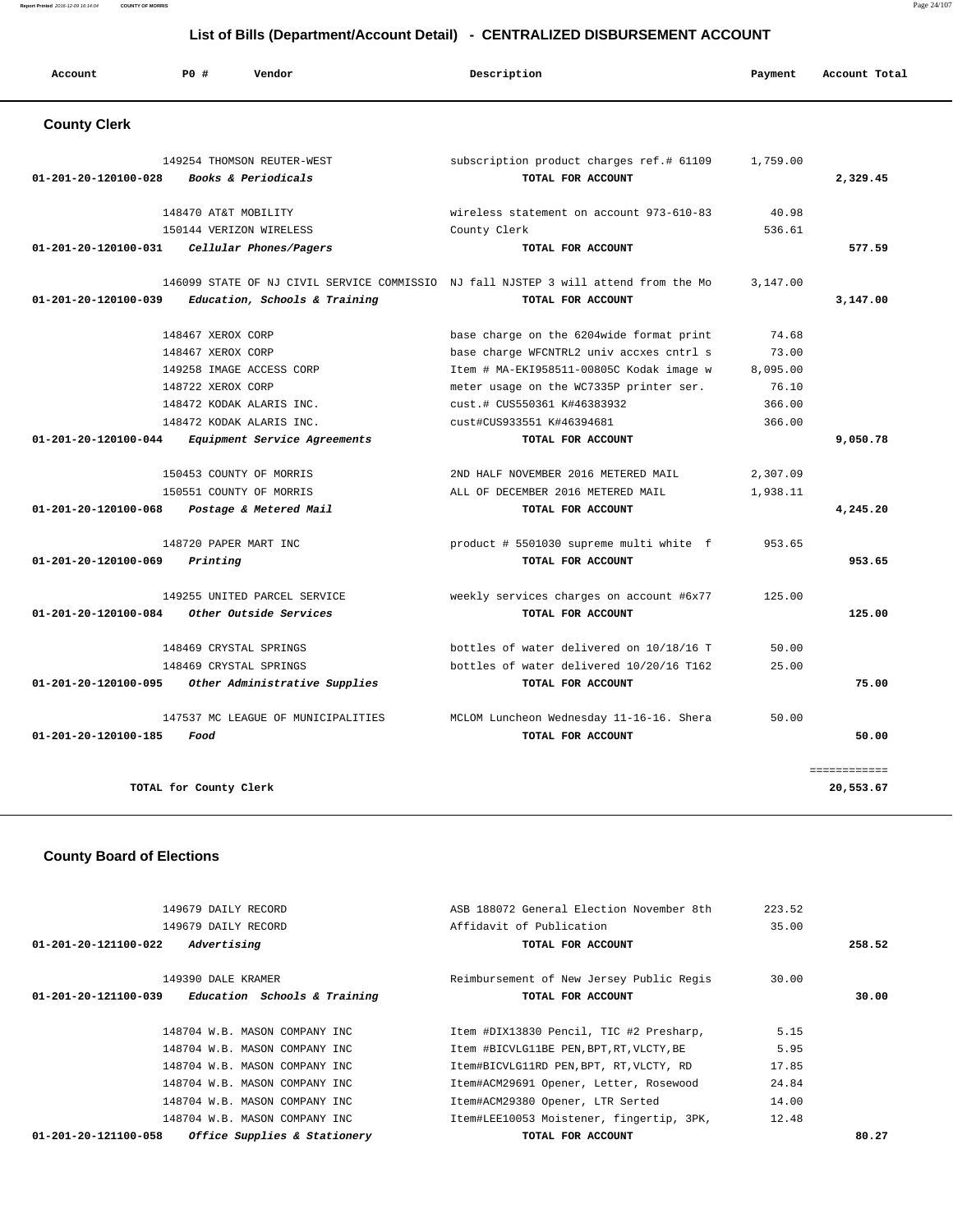# **List of Bills (Department/Account Detail) - CENTRALIZED DISBURSEMENT ACCOUNT**

| Account              | PO#                    | Vendor                             | Description                                                                         | Payment  | Account Total |
|----------------------|------------------------|------------------------------------|-------------------------------------------------------------------------------------|----------|---------------|
| <b>County Clerk</b>  |                        |                                    |                                                                                     |          |               |
|                      |                        | 149254 THOMSON REUTER-WEST         | subscription product charges ref.# 61109                                            | 1,759.00 |               |
| 01-201-20-120100-028 |                        | Books & Periodicals                | TOTAL FOR ACCOUNT                                                                   |          | 2,329.45      |
|                      | 148470 AT&T MOBILITY   |                                    | wireless statement on account 973-610-83                                            | 40.98    |               |
|                      |                        | 150144 VERIZON WIRELESS            | County Clerk                                                                        | 536.61   |               |
| 01-201-20-120100-031 |                        | Cellular Phones/Pagers             | TOTAL FOR ACCOUNT                                                                   |          | 577.59        |
|                      |                        |                                    | 146099 STATE OF NJ CIVIL SERVICE COMMISSIO NJ fall NJSTEP 3 will attend from the Mo | 3,147.00 |               |
| 01-201-20-120100-039 |                        | Education, Schools & Training      | TOTAL FOR ACCOUNT                                                                   |          | 3,147.00      |
|                      | 148467 XEROX CORP      |                                    | base charge on the 6204wide format print                                            | 74.68    |               |
|                      | 148467 XEROX CORP      |                                    | base charge WFCNTRL2 univ accxes cntrl s                                            | 73.00    |               |
|                      |                        | 149258 IMAGE ACCESS CORP           | Item # MA-EKI958511-00805C Kodak image w                                            | 8,095.00 |               |
|                      | 148722 XEROX CORP      |                                    | meter usage on the WC7335P printer ser.                                             | 76.10    |               |
|                      |                        | 148472 KODAK ALARIS INC.           | cust.# CUS550361 K#46383932                                                         | 366.00   |               |
|                      |                        | 148472 KODAK ALARIS INC.           | cust#CUS933551 K#46394681                                                           | 366.00   |               |
| 01-201-20-120100-044 |                        | Equipment Service Agreements       | TOTAL FOR ACCOUNT                                                                   |          | 9,050.78      |
|                      |                        | 150453 COUNTY OF MORRIS            | 2ND HALF NOVEMBER 2016 METERED MAIL                                                 | 2,307.09 |               |
|                      |                        | 150551 COUNTY OF MORRIS            | ALL OF DECEMBER 2016 METERED MAIL                                                   | 1,938.11 |               |
| 01-201-20-120100-068 |                        | Postage & Metered Mail             | TOTAL FOR ACCOUNT                                                                   |          | 4,245.20      |
|                      |                        | 148720 PAPER MART INC              | product # 5501030 supreme multi white f                                             | 953.65   |               |
| 01-201-20-120100-069 | Printing               |                                    | TOTAL FOR ACCOUNT                                                                   |          | 953.65        |
|                      |                        | 149255 UNITED PARCEL SERVICE       | weekly services charges on account #6x77                                            | 125.00   |               |
| 01-201-20-120100-084 |                        | Other Outside Services             | TOTAL FOR ACCOUNT                                                                   |          | 125.00        |
|                      |                        | 148469 CRYSTAL SPRINGS             | bottles of water delivered on 10/18/16 T                                            | 50.00    |               |
|                      |                        | 148469 CRYSTAL SPRINGS             | bottles of water delivered 10/20/16 T162                                            | 25.00    |               |
| 01-201-20-120100-095 |                        | Other Administrative Supplies      | TOTAL FOR ACCOUNT                                                                   |          | 75.00         |
|                      |                        | 147537 MC LEAGUE OF MUNICIPALITIES | MCLOM Luncheon Wednesday 11-16-16. Shera                                            | 50.00    |               |
| 01-201-20-120100-185 | Food                   |                                    | TOTAL FOR ACCOUNT                                                                   |          | 50.00         |
|                      |                        |                                    |                                                                                     |          | ============  |
|                      | TOTAL for County Clerk |                                    |                                                                                     |          | 20,553.67     |

## **County Board of Elections**

|        | 223.52 | ASB 188072 General Election November 8th | 149679 DAILY RECORD                                  |
|--------|--------|------------------------------------------|------------------------------------------------------|
|        | 35.00  | Affidavit of Publication                 | 149679 DAILY RECORD                                  |
| 258.52 |        | TOTAL FOR ACCOUNT                        | Advertising<br>$01 - 201 - 20 - 121100 - 022$        |
|        | 30.00  | Reimbursement of New Jersey Public Regis | 149390 DALE KRAMER                                   |
| 30.00  |        | TOTAL FOR ACCOUNT                        | $01-201-20-121100-039$ Education Schools & Training  |
|        | 5.15   | Item #DIX13830 Pencil, TIC #2 Presharp,  | 148704 W.B. MASON COMPANY INC                        |
|        | 5.95   | Item #BICVLG11BE PEN, BPT, RT, VLCTY, BE | 148704 W.B. MASON COMPANY INC                        |
|        | 17.85  | Item#BICVLG11RD PEN, BPT, RT, VLCTY, RD  | 148704 W.B. MASON COMPANY INC                        |
|        | 24.84  | Item#ACM29691 Opener, Letter, Rosewood   | 148704 W.B. MASON COMPANY INC                        |
|        | 14.00  | Item#ACM29380 Opener, LTR Serted         | 148704 W.B. MASON COMPANY INC                        |
|        | 12.48  | Item#LEE10053 Moistener, fingertip, 3PK, | 148704 W.B. MASON COMPANY INC                        |
| 80.27  |        | TOTAL FOR ACCOUNT                        | Office Supplies & Stationery<br>01-201-20-121100-058 |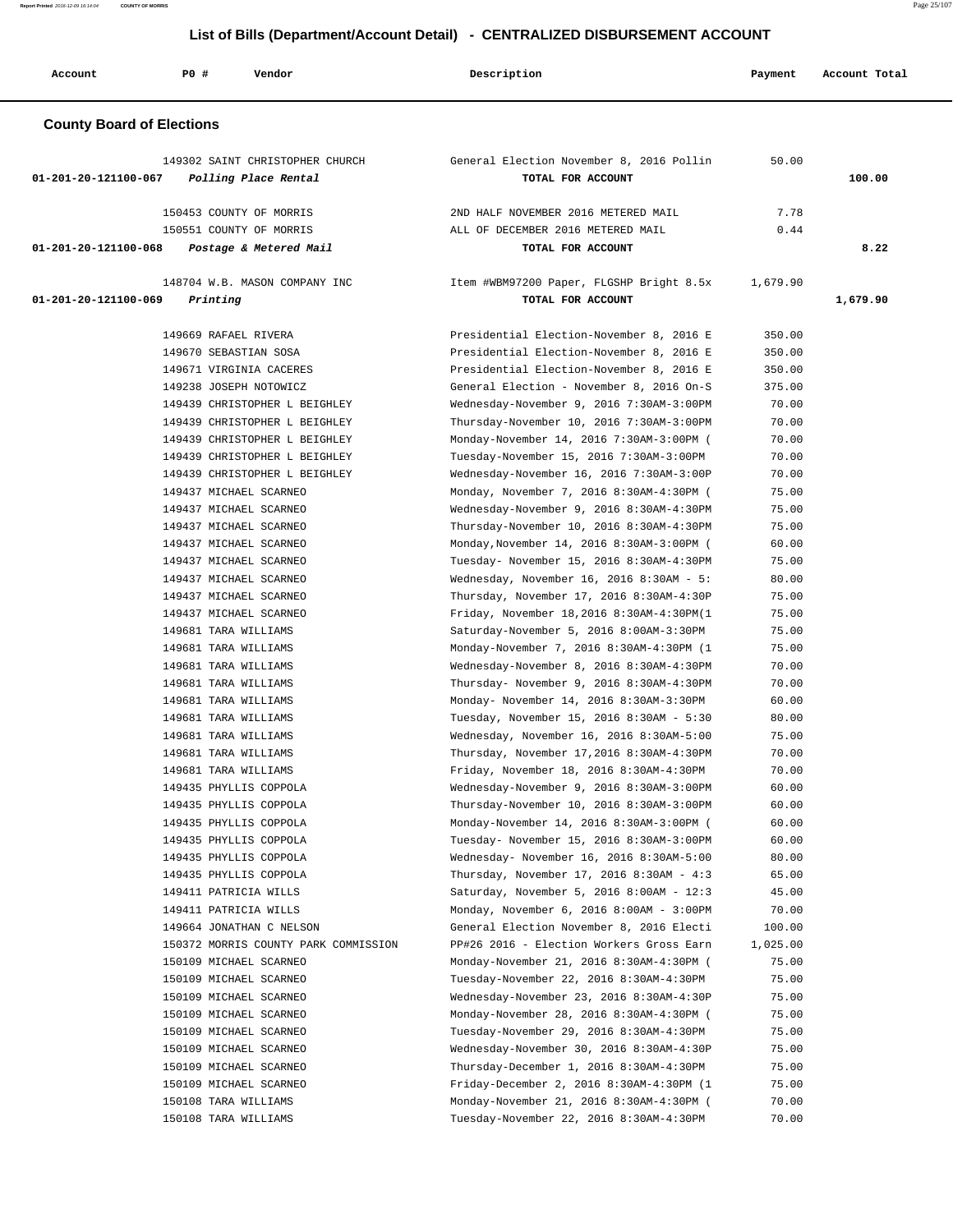**Report Printed** 2016-12-09 16:14:04 **COUNTY OF MORRIS** Page 25/107

# **List of Bills (Department/Account Detail) - CENTRALIZED DISBURSEMENT ACCOUNT**

| Account                          | P0 # | Vendor                                                  | Description                                                                         | Payment           | Account Total |
|----------------------------------|------|---------------------------------------------------------|-------------------------------------------------------------------------------------|-------------------|---------------|
| <b>County Board of Elections</b> |      |                                                         |                                                                                     |                   |               |
| 01-201-20-121100-067             |      | 149302 SAINT CHRISTOPHER CHURCH<br>Polling Place Rental | General Election November 8, 2016 Pollin<br>TOTAL FOR ACCOUNT                       | 50.00             | 100.00        |
|                                  |      | 150453 COUNTY OF MORRIS                                 | 2ND HALF NOVEMBER 2016 METERED MAIL                                                 | 7.78              |               |
|                                  |      | 150551 COUNTY OF MORRIS                                 | ALL OF DECEMBER 2016 METERED MAIL                                                   | 0.44              |               |
| 01-201-20-121100-068             |      | Postage & Metered Mail                                  | TOTAL FOR ACCOUNT                                                                   |                   | 8.22          |
|                                  |      | 148704 W.B. MASON COMPANY INC                           | Item #WBM97200 Paper, FLGSHP Bright 8.5x                                            | 1,679.90          |               |
| 01-201-20-121100-069             |      | Printing                                                | TOTAL FOR ACCOUNT                                                                   |                   | 1,679.90      |
|                                  |      | 149669 RAFAEL RIVERA                                    | Presidential Election-November 8, 2016 E                                            | 350.00            |               |
|                                  |      | 149670 SEBASTIAN SOSA                                   | Presidential Election-November 8, 2016 E                                            | 350.00            |               |
|                                  |      | 149671 VIRGINIA CACERES                                 | Presidential Election-November 8, 2016 E                                            | 350.00            |               |
|                                  |      | 149238 JOSEPH NOTOWICZ                                  | General Election - November 8, 2016 On-S                                            | 375.00            |               |
|                                  |      | 149439 CHRISTOPHER L BEIGHLEY                           | Wednesday-November 9, 2016 7:30AM-3:00PM                                            | 70.00             |               |
|                                  |      | 149439 CHRISTOPHER L BEIGHLEY                           | Thursday-November 10, 2016 7:30AM-3:00PM                                            | 70.00             |               |
|                                  |      | 149439 CHRISTOPHER L BEIGHLEY                           | Monday-November 14, 2016 7:30AM-3:00PM (                                            | 70.00             |               |
|                                  |      | 149439 CHRISTOPHER L BEIGHLEY                           | Tuesday-November 15, 2016 7:30AM-3:00PM                                             | 70.00             |               |
|                                  |      | 149439 CHRISTOPHER L BEIGHLEY                           | Wednesday-November 16, 2016 7:30AM-3:00P                                            | 70.00             |               |
|                                  |      | 149437 MICHAEL SCARNEO                                  | Monday, November 7, 2016 8:30AM-4:30PM (                                            | 75.00             |               |
|                                  |      | 149437 MICHAEL SCARNEO                                  | Wednesday-November 9, 2016 8:30AM-4:30PM                                            | 75.00             |               |
|                                  |      | 149437 MICHAEL SCARNEO                                  | Thursday-November 10, 2016 8:30AM-4:30PM                                            | 75.00             |               |
|                                  |      | 149437 MICHAEL SCARNEO                                  | Monday, November 14, 2016 8:30AM-3:00PM (                                           | 60.00             |               |
|                                  |      | 149437 MICHAEL SCARNEO                                  | Tuesday- November 15, 2016 8:30AM-4:30PM                                            | 75.00             |               |
|                                  |      | 149437 MICHAEL SCARNEO                                  | Wednesday, November 16, 2016 $8:30AM - 5$ :                                         | 80.00             |               |
|                                  |      | 149437 MICHAEL SCARNEO                                  | Thursday, November 17, 2016 8:30AM-4:30P                                            | 75.00             |               |
|                                  |      | 149437 MICHAEL SCARNEO                                  | Friday, November 18,2016 8:30AM-4:30PM(1                                            | 75.00             |               |
|                                  |      | 149681 TARA WILLIAMS                                    | Saturday-November 5, 2016 8:00AM-3:30PM                                             | 75.00             |               |
|                                  |      | 149681 TARA WILLIAMS                                    | Monday-November 7, 2016 8:30AM-4:30PM (1                                            | 75.00             |               |
|                                  |      | 149681 TARA WILLIAMS                                    | Wednesday-November 8, 2016 8:30AM-4:30PM                                            | 70.00             |               |
|                                  |      | 149681 TARA WILLIAMS                                    | Thursday- November 9, 2016 8:30AM-4:30PM                                            | 70.00             |               |
|                                  |      | 149681 TARA WILLIAMS                                    | Monday- November 14, 2016 8:30AM-3:30PM                                             | 60.00             |               |
|                                  |      | 149681 TARA WILLIAMS                                    | Tuesday, November 15, 2016 8:30AM - 5:30                                            | 80.00             |               |
|                                  |      | 149681 TARA WILLIAMS                                    | Wednesday, November 16, 2016 8:30AM-5:00                                            | 75.00             |               |
|                                  |      | 149681 TARA WILLIAMS                                    | Thursday, November 17,2016 8:30AM-4:30PM                                            | 70.00             |               |
|                                  |      | 149681 TARA WILLIAMS                                    | Friday, November 18, 2016 8:30AM-4:30PM                                             | 70.00             |               |
|                                  |      | 149435 PHYLLIS COPPOLA                                  | Wednesday-November 9, 2016 8:30AM-3:00PM                                            | 60.00             |               |
|                                  |      | 149435 PHYLLIS COPPOLA                                  | Thursday-November 10, 2016 8:30AM-3:00PM                                            | 60.00             |               |
|                                  |      | 149435 PHYLLIS COPPOLA                                  | Monday-November 14, 2016 8:30AM-3:00PM (                                            | 60.00             |               |
|                                  |      | 149435 PHYLLIS COPPOLA                                  | Tuesday- November 15, 2016 8:30AM-3:00PM                                            | 60.00             |               |
|                                  |      | 149435 PHYLLIS COPPOLA                                  | Wednesday- November 16, 2016 8:30AM-5:00                                            | 80.00             |               |
|                                  |      | 149435 PHYLLIS COPPOLA                                  | Thursday, November 17, 2016 8:30AM - 4:3                                            | 65.00             |               |
|                                  |      | 149411 PATRICIA WILLS                                   | Saturday, November 5, 2016 8:00AM - 12:3                                            | 45.00             |               |
|                                  |      | 149411 PATRICIA WILLS                                   | Monday, November 6, 2016 8:00AM - 3:00PM                                            | 70.00             |               |
|                                  |      | 149664 JONATHAN C NELSON                                | General Election November 8, 2016 Electi                                            | 100.00            |               |
|                                  |      | 150372 MORRIS COUNTY PARK COMMISSION                    | PP#26 2016 - Election Workers Gross Earn                                            | 1,025.00<br>75.00 |               |
|                                  |      | 150109 MICHAEL SCARNEO<br>150109 MICHAEL SCARNEO        | Monday-November 21, 2016 8:30AM-4:30PM (<br>Tuesday-November 22, 2016 8:30AM-4:30PM | 75.00             |               |
|                                  |      | 150109 MICHAEL SCARNEO                                  | Wednesday-November 23, 2016 8:30AM-4:30P                                            | 75.00             |               |
|                                  |      | 150109 MICHAEL SCARNEO                                  | Monday-November 28, 2016 8:30AM-4:30PM (                                            | 75.00             |               |
|                                  |      | 150109 MICHAEL SCARNEO                                  | Tuesday-November 29, 2016 8:30AM-4:30PM                                             | 75.00             |               |
|                                  |      | 150109 MICHAEL SCARNEO                                  | Wednesday-November 30, 2016 8:30AM-4:30P                                            | 75.00             |               |
|                                  |      | 150109 MICHAEL SCARNEO                                  | Thursday-December 1, 2016 8:30AM-4:30PM                                             | 75.00             |               |
|                                  |      | 150109 MICHAEL SCARNEO                                  | Friday-December 2, 2016 8:30AM-4:30PM (1                                            | 75.00             |               |
|                                  |      | 150108 TARA WILLIAMS                                    | Monday-November 21, 2016 8:30AM-4:30PM (                                            | 70.00             |               |
|                                  |      | 150108 TARA WILLIAMS                                    | Tuesday-November 22, 2016 8:30AM-4:30PM                                             | 70.00             |               |
|                                  |      |                                                         |                                                                                     |                   |               |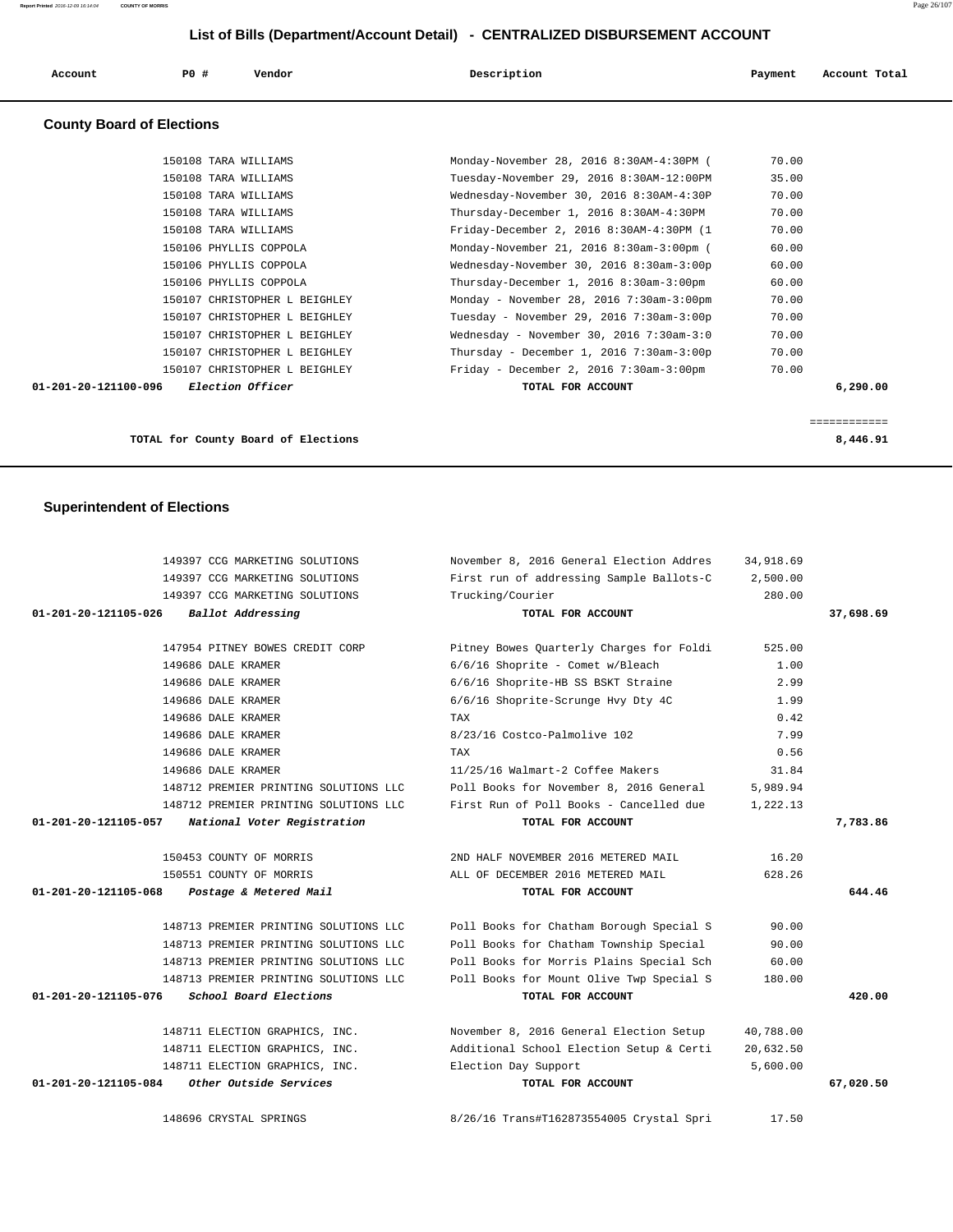**01-201-20-121105-026 Ballot Addressing TOTAL FOR ACCOUNT 37,698.69** 147954 PITNEY BOWES CREDIT CORP Pitney Bowes Quarterly Charges for Foldi 525.00 149686 DALE KRAMER 6/6/16 Shoprite - Comet w/Bleach 1.00 149686 DALE KRAMER 6/6/16 Shoprite-HB SS BSKT Straine 2.99 149686 DALE KRAMER 6/6/16 Shoprite-Scrunge Hvy Dty 4C 1.99  $149686$  DALE KRAMER  $0.42$  149686 DALE KRAMER 8/23/16 Costco-Palmolive 102 7.99 149686 DALE KRAMER TAX 0.56 149686 DALE KRAMER 11/25/16 Walmart-2 Coffee Makers 31.84 148712 PREMIER PRINTING SOLUTIONS LLC Poll Books for November 8, 2016 General 5,989.94 148712 PREMIER PRINTING SOLUTIONS LLC First Run of Poll Books - Cancelled due 1,222.13  **01-201-20-121105-057 National Voter Registration TOTAL FOR ACCOUNT 7,783.86** 150453 COUNTY OF MORRIS 2ND HALF NOVEMBER 2016 METERED MAIL 16.20 150551 COUNTY OF MORRIS ALL OF DECEMBER 2016 METERED MAIL 628.26  **01-201-20-121105-068 Postage & Metered Mail TOTAL FOR ACCOUNT 644.46** 148713 PREMIER PRINTING SOLUTIONS LLC Poll Books for Chatham Borough Special S 90.00 148713 PREMIER PRINTING SOLUTIONS LLC Poll Books for Chatham Township Special 90.00 148713 PREMIER PRINTING SOLUTIONS LLC Poll Books for Morris Plains Special Sch 60.00 148713 PREMIER PRINTING SOLUTIONS LLC Poll Books for Mount Olive Twp Special S 180.00  **01-201-20-121105-076 School Board Elections TOTAL FOR ACCOUNT 420.00** 148711 ELECTION GRAPHICS, INC. November 8, 2016 General Election Setup 40,788.00 148711 ELECTION GRAPHICS, INC. Additional School Election Setup & Certi 20,632.50 148711 ELECTION GRAPHICS, INC. Election Day Support 5,600.00  **01-201-20-121105-084 Other Outside Services TOTAL FOR ACCOUNT 67,020.50** 148696 CRYSTAL SPRINGS 8/26/16 Trans#T162873554005 Crystal Spri 17.50

#### **Superintendent of Elections**

| TOTAL for County Board of Elections      |                                             | 8,446.91 |
|------------------------------------------|---------------------------------------------|----------|
|                                          |                                             |          |
| Election Officer<br>01-201-20-121100-096 | TOTAL FOR ACCOUNT                           | 6,290.00 |
| 150107 CHRISTOPHER L BEIGHLEY            | Friday - December 2, 2016 $7:30$ am-3:00pm  | 70.00    |
| 150107 CHRISTOPHER L BEIGHLEY            | Thursday - December 1, 2016 $7:30$ am-3:00p | 70.00    |
| 150107 CHRISTOPHER L BEIGHLEY            | Wednesday - November 30, 2016 $7:30$ am-3:0 | 70.00    |
| 150107 CHRISTOPHER L BEIGHLEY            | Tuesday - November 29, 2016 7:30am-3:00p    | 70.00    |
| 150107 CHRISTOPHER L BEIGHLEY            | Monday - November 28, 2016 7:30am-3:00pm    | 70.00    |
| 150106 PHYLLIS COPPOLA                   | Thursday-December 1, 2016 8:30am-3:00pm     | 60.00    |
| 150106 PHYLLIS COPPOLA                   | Wednesday-November 30, 2016 8:30am-3:00p    | 60.00    |

 149397 CCG MARKETING SOLUTIONS November 8, 2016 General Election Addres 34,918.69 149397 CCG MARKETING SOLUTIONS First run of addressing Sample Ballots-C 2,500.00 149397 CCG MARKETING SOLUTIONS Trucking/Courier 280.00

# **County Board of Elections**

# **List of Bills (Department/Account Detail) - CENTRALIZED DISBURSEMENT ACCOUNT**

 150108 TARA WILLIAMS Monday-November 28, 2016 8:30AM-4:30PM ( 70.00 150108 TARA WILLIAMS Tuesday-November 29, 2016 8:30AM-12:00PM 35.00 150108 TARA WILLIAMS Wednesday-November 30, 2016 8:30AM-4:30P 70.00 150108 TARA WILLIAMS Thursday-December 1, 2016 8:30AM-4:30PM 70.00 150108 TARA WILLIAMS Friday-December 2, 2016 8:30AM-4:30PM (1 70.00 150106 PHYLLIS COPPOLA Monday-November 21, 2016 8:30am-3:00pm ( 60.00

 **Account P0 # Vendor Description Payment Account Total**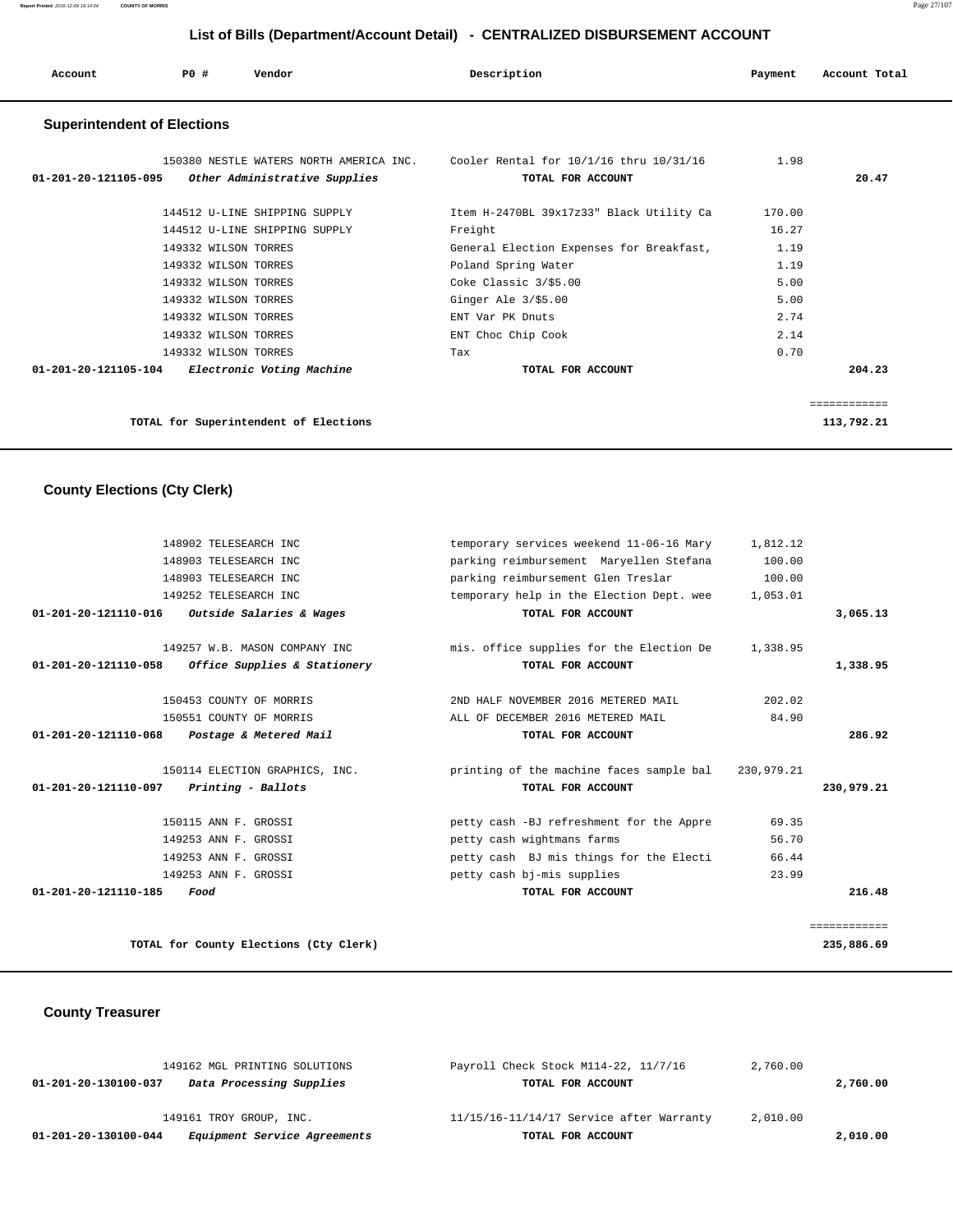### **List of Bills (Department/Account Detail) - CENTRALIZED DISBURSEMENT ACCOUNT**

| List of Bills (Department/Account Detail) - CENTRALIZED DISBURSEMENT ACCOUNT |                      |                                                                          |                                                              |         |               |  |  |
|------------------------------------------------------------------------------|----------------------|--------------------------------------------------------------------------|--------------------------------------------------------------|---------|---------------|--|--|
| Account                                                                      | PO#                  | Vendor                                                                   | Description                                                  | Payment | Account Total |  |  |
| <b>Superintendent of Elections</b>                                           |                      |                                                                          |                                                              |         |               |  |  |
| 01-201-20-121105-095                                                         |                      | 150380 NESTLE WATERS NORTH AMERICA INC.<br>Other Administrative Supplies | Cooler Rental for 10/1/16 thru 10/31/16<br>TOTAL FOR ACCOUNT | 1.98    | 20.47         |  |  |
|                                                                              |                      | 144512 U-LINE SHIPPING SUPPLY                                            | Item H-2470BL 39x17z33" Black Utility Ca                     | 170.00  |               |  |  |
|                                                                              |                      | 144512 U-LINE SHIPPING SUPPLY                                            | Freight                                                      | 16.27   |               |  |  |
|                                                                              | 149332 WILSON TORRES |                                                                          | General Election Expenses for Breakfast,                     | 1.19    |               |  |  |
|                                                                              | 149332 WILSON TORRES |                                                                          | Poland Spring Water                                          | 1.19    |               |  |  |
|                                                                              | 149332 WILSON TORRES |                                                                          | Coke Classic 3/\$5.00                                        | 5.00    |               |  |  |
|                                                                              | 149332 WILSON TORRES |                                                                          | Ginger Ale $3/\$5.00$                                        | 5.00    |               |  |  |
|                                                                              | 149332 WILSON TORRES |                                                                          | ENT Var PK Dnuts                                             | 2.74    |               |  |  |
|                                                                              | 149332 WILSON TORRES |                                                                          | ENT Choc Chip Cook                                           | 2.14    |               |  |  |
|                                                                              | 149332 WILSON TORRES |                                                                          | Tax                                                          | 0.70    |               |  |  |
| 01-201-20-121105-104                                                         |                      | Electronic Voting Machine                                                | TOTAL FOR ACCOUNT                                            |         | 204.23        |  |  |

============

**TOTAL for Superintendent of Elections 113,792.21**

# **County Elections (Cty Clerk)**

|                                | 148902 TELESEARCH INC                  | temporary services weekend 11-06-16 Mary          | 1,812.12   |              |
|--------------------------------|----------------------------------------|---------------------------------------------------|------------|--------------|
|                                | 148903 TELESEARCH INC                  | parking reimbursement Maryellen Stefana           | 100.00     |              |
|                                | 148903 TELESEARCH INC                  | parking reimbursement Glen Treslar                | 100.00     |              |
|                                | 149252 TELESEARCH INC                  | temporary help in the Election Dept. wee 1,053.01 |            |              |
| $01 - 201 - 20 - 121110 - 016$ | Outside Salaries & Wages               | TOTAL FOR ACCOUNT                                 |            | 3,065.13     |
|                                | 149257 W.B. MASON COMPANY INC          | mis. office supplies for the Election De          | 1,338.95   |              |
| 01-201-20-121110-058           | Office Supplies & Stationery           | TOTAL FOR ACCOUNT                                 |            | 1,338.95     |
|                                | 150453 COUNTY OF MORRIS                | 2ND HALF NOVEMBER 2016 METERED MAIL               | 202.02     |              |
|                                | 150551 COUNTY OF MORRIS                | ALL OF DECEMBER 2016 METERED MAIL                 | 84.90      |              |
| 01-201-20-121110-068           | Postage & Metered Mail                 | TOTAL FOR ACCOUNT                                 |            | 286.92       |
|                                | 150114 ELECTION GRAPHICS, INC.         | printing of the machine faces sample bal          | 230,979.21 |              |
| 01-201-20-121110-097           | Printing - Ballots                     | TOTAL FOR ACCOUNT                                 |            | 230,979.21   |
|                                | 150115 ANN F. GROSSI                   | petty cash -BJ refreshment for the Appre          | 69.35      |              |
|                                | 149253 ANN F. GROSSI                   | petty cash wightmans farms                        | 56.70      |              |
|                                | 149253 ANN F. GROSSI                   | petty cash BJ mis things for the Electi           | 66.44      |              |
|                                | 149253 ANN F. GROSSI                   | petty cash bj-mis supplies                        | 23.99      |              |
| 01-201-20-121110-185           | Food                                   | TOTAL FOR ACCOUNT                                 |            | 216.48       |
|                                |                                        |                                                   |            | ============ |
|                                | TOTAL for County Elections (Cty Clerk) |                                                   |            | 235,886.69   |

### **County Treasurer**

| 01-201-20-130100-044 | Equipment Service Agreements  | TOTAL FOR ACCOUNT                        |          | 2,010.00 |
|----------------------|-------------------------------|------------------------------------------|----------|----------|
|                      | 149161 TROY GROUP, INC.       | 11/15/16-11/14/17 Service after Warranty | 2,010.00 |          |
| 01-201-20-130100-037 | Data Processing Supplies      | TOTAL FOR ACCOUNT                        |          | 2,760.00 |
|                      | 149162 MGL PRINTING SOLUTIONS | Payroll Check Stock M114-22, 11/7/16     | 2,760.00 |          |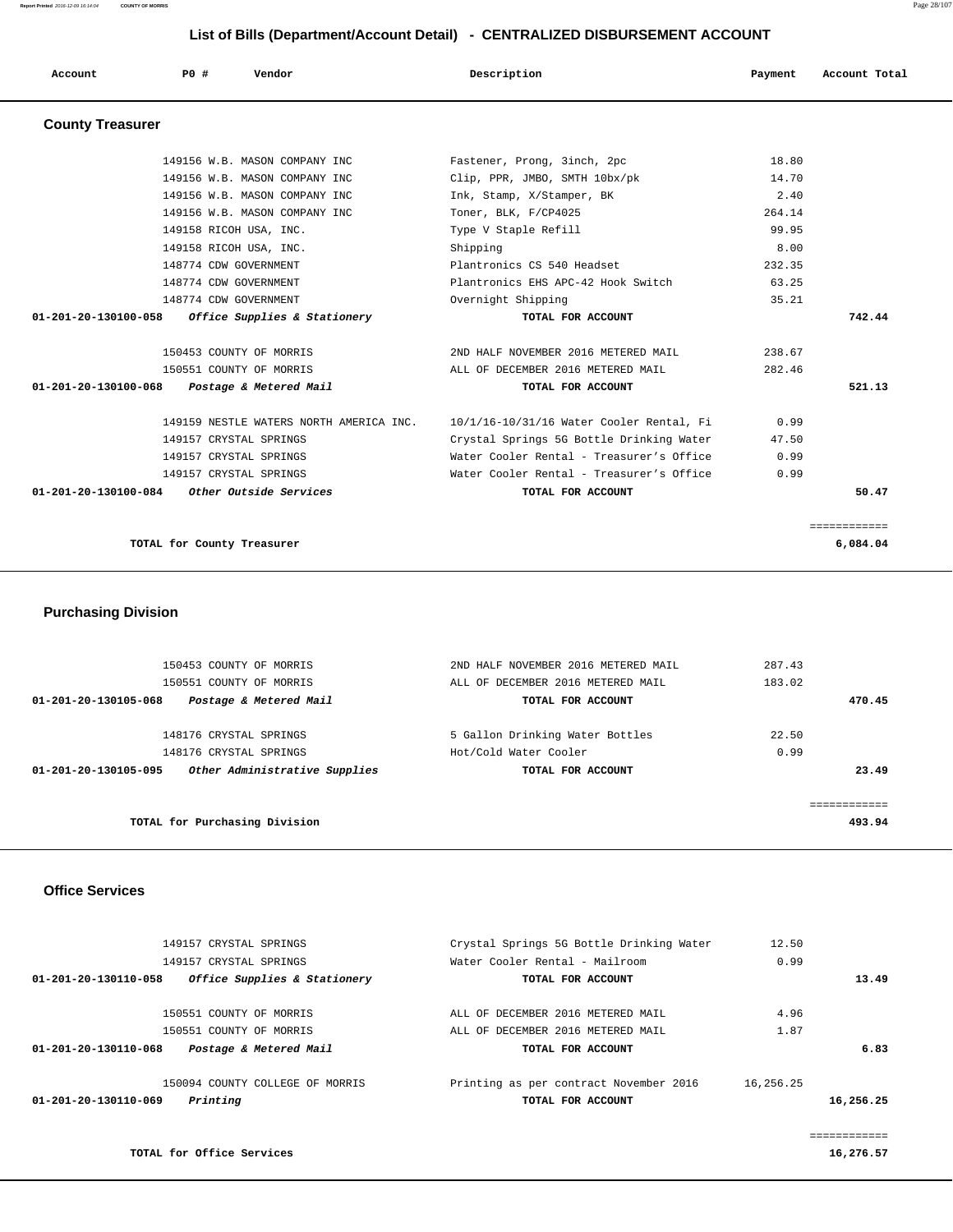**Report Printed** 2016-12-09 16:14:04 **COUNTY OF MORRIS** Page 28/107

| List of Bills (Department/Account Detail) - CENTRALIZED DISBURSEMENT ACCOUNT |     |                                         |                                          |         |               |
|------------------------------------------------------------------------------|-----|-----------------------------------------|------------------------------------------|---------|---------------|
| Account                                                                      | PO# | Vendor                                  | Description                              | Payment | Account Total |
| <b>County Treasurer</b>                                                      |     |                                         |                                          |         |               |
|                                                                              |     | 149156 W.B. MASON COMPANY INC           | Fastener, Prong, 3inch, 2pc              | 18.80   |               |
|                                                                              |     | 149156 W.B. MASON COMPANY INC           | Clip, PPR, JMBO, SMTH 10bx/pk            | 14.70   |               |
|                                                                              |     | 149156 W.B. MASON COMPANY INC           | Ink, Stamp, X/Stamper, BK                | 2.40    |               |
|                                                                              |     | 149156 W.B. MASON COMPANY INC           | Toner, BLK, F/CP4025                     | 264.14  |               |
|                                                                              |     | 149158 RICOH USA, INC.                  | Type V Staple Refill                     | 99.95   |               |
|                                                                              |     | 149158 RICOH USA, INC.                  | Shipping                                 | 8.00    |               |
|                                                                              |     | 148774 CDW GOVERNMENT                   | Plantronics CS 540 Headset               | 232.35  |               |
|                                                                              |     | 148774 CDW GOVERNMENT                   | Plantronics EHS APC-42 Hook Switch       | 63.25   |               |
|                                                                              |     | 148774 CDW GOVERNMENT                   | Overnight Shipping                       | 35.21   |               |
| 01-201-20-130100-058                                                         |     | Office Supplies & Stationery            | TOTAL FOR ACCOUNT                        |         | 742.44        |
|                                                                              |     | 150453 COUNTY OF MORRIS                 | 2ND HALF NOVEMBER 2016 METERED MAIL      | 238.67  |               |
|                                                                              |     | 150551 COUNTY OF MORRIS                 | ALL OF DECEMBER 2016 METERED MAIL        | 282.46  |               |
| 01-201-20-130100-068 Postage & Metered Mail                                  |     |                                         | TOTAL FOR ACCOUNT                        |         | 521.13        |
|                                                                              |     | 149159 NESTLE WATERS NORTH AMERICA INC. | 10/1/16-10/31/16 Water Cooler Rental, Fi | 0.99    |               |
|                                                                              |     | 149157 CRYSTAL SPRINGS                  | Crystal Springs 5G Bottle Drinking Water | 47.50   |               |
|                                                                              |     | 149157 CRYSTAL SPRINGS                  | Water Cooler Rental - Treasurer's Office | 0.99    |               |
|                                                                              |     | 149157 CRYSTAL SPRINGS                  | Water Cooler Rental - Treasurer's Office | 0.99    |               |

|                            | ____________<br>------------ |
|----------------------------|------------------------------|
| TOTAL for County Treasurer | 6,084.04                     |

 **Purchasing Division** 

|                      | 150453 COUNTY OF MORRIS       | 2ND HALF NOVEMBER 2016 METERED MAIL | 287.43 |
|----------------------|-------------------------------|-------------------------------------|--------|
|                      | 150551 COUNTY OF MORRIS       | ALL OF DECEMBER 2016 METERED MAIL   | 183.02 |
| 01-201-20-130105-068 | Postage & Metered Mail        | TOTAL FOR ACCOUNT                   | 470.45 |
|                      |                               |                                     |        |
|                      | 148176 CRYSTAL SPRINGS        | 5 Gallon Drinking Water Bottles     | 22.50  |
|                      | 148176 CRYSTAL SPRINGS        | Hot/Cold Water Cooler               | 0.99   |
| 01-201-20-130105-095 | Other Administrative Supplies | TOTAL FOR ACCOUNT                   | 23.49  |
|                      |                               |                                     |        |
|                      |                               |                                     |        |
|                      | TOTAL for Purchasing Division |                                     | 493.94 |
|                      |                               |                                     |        |

 **01-201-20-130100-084 Other Outside Services TOTAL FOR ACCOUNT 50.47**

### **Office Services**

| 149157 CRYSTAL SPRINGS<br>149157 CRYSTAL SPRINGS     | Crystal Springs 5G Bottle Drinking Water<br>Water Cooler Rental - Mailroom | 12.50<br>0.99 |             |
|------------------------------------------------------|----------------------------------------------------------------------------|---------------|-------------|
| Office Supplies & Stationery<br>01-201-20-130110-058 | TOTAL FOR ACCOUNT                                                          |               | 13.49       |
| 150551 COUNTY OF MORRIS                              | ALL OF DECEMBER 2016 METERED MAIL                                          | 4.96          |             |
| 150551 COUNTY OF MORRIS                              | ALL OF DECEMBER 2016 METERED MAIL                                          | 1.87          |             |
| 01-201-20-130110-068<br>Postage & Metered Mail       | TOTAL FOR ACCOUNT                                                          |               | 6.83        |
| 150094 COUNTY COLLEGE OF MORRIS                      | Printing as per contract November 2016                                     | 16,256.25     |             |
| 01-201-20-130110-069<br>Printing                     | TOTAL FOR ACCOUNT                                                          |               | 16,256.25   |
|                                                      |                                                                            |               |             |
|                                                      |                                                                            |               | ----------- |
| TOTAL for Office Services                            |                                                                            |               | 16,276.57   |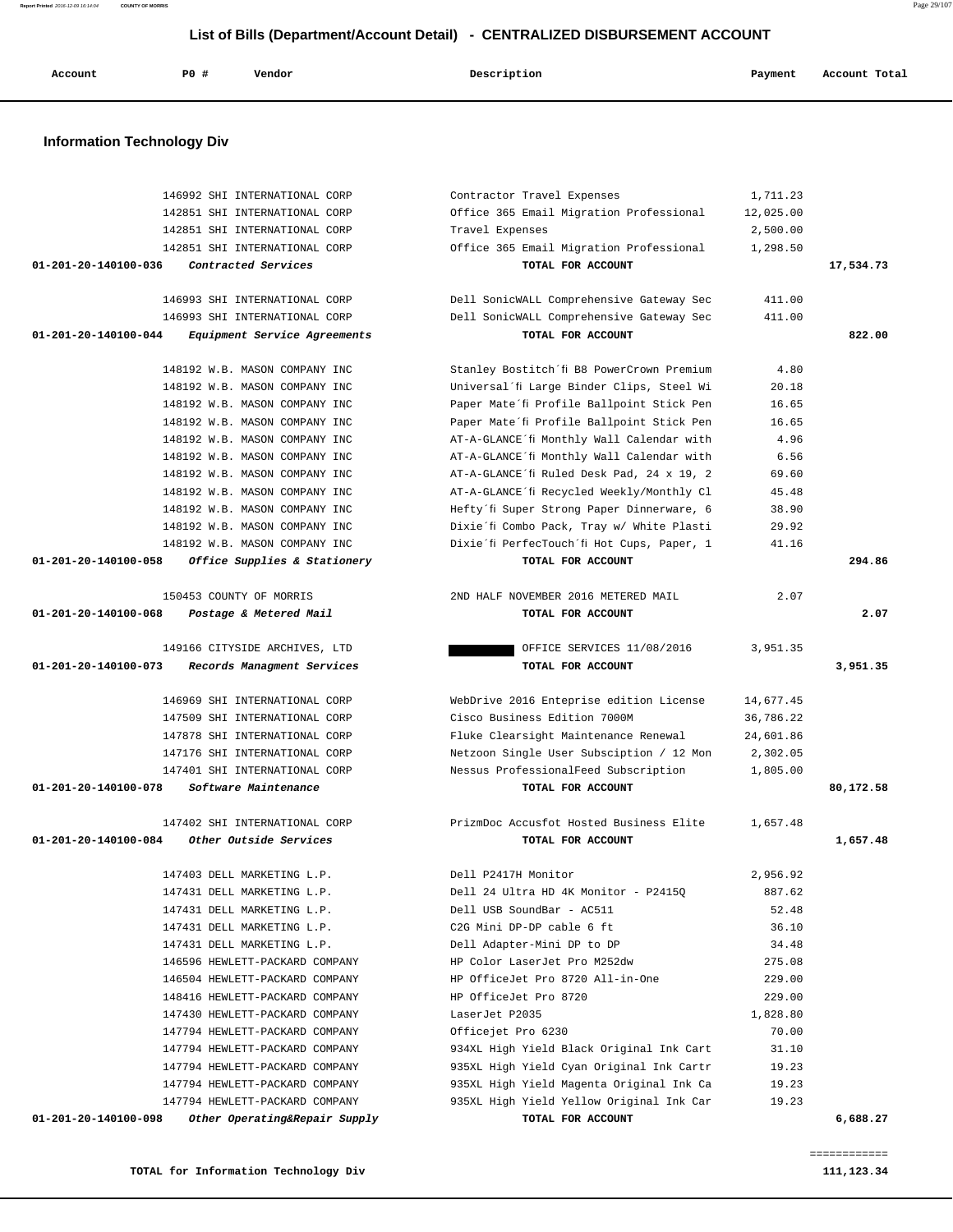146969 SHI INTERNATIONAL CORP WebDrive 2016 Enteprise edition License 14,677.45 147509 SHI INTERNATIONAL CORP Cisco Business Edition 7000M 36,786.22 147878 SHI INTERNATIONAL CORP Fluke Clearsight Maintenance Renewal 24,601.86 147176 SHI INTERNATIONAL CORP Netzoon Single User Subsciption / 12 Mon 2,302.05 147401 SHI INTERNATIONAL CORP Nessus ProfessionalFeed Subscription 1,805.00  **01-201-20-140100-078 Software Maintenance TOTAL FOR ACCOUNT 80,172.58** 147402 SHI INTERNATIONAL CORP PrizmDoc Accusfot Hosted Business Elite 1,657.48  **01-201-20-140100-084 Other Outside Services TOTAL FOR ACCOUNT 1,657.48** 147403 DELL MARKETING L.P. Dell P2417H Monitor 2,956.92 147431 DELL MARKETING L.P. Dell 24 Ultra HD 4K Monitor - P2415Q 887.62 147431 DELL MARKETING L.P. Dell USB SoundBar - AC511 52.48 147431 DELL MARKETING L.P. C2G Mini DP-DP cable 6 ft 36.10 147431 DELL MARKETING L.P. Dell Adapter-Mini DP to DP 34.48 146596 HEWLETT-PACKARD COMPANY HP Color LaserJet Pro M252dw 275.08 146504 HEWLETT-PACKARD COMPANY HP OfficeJet Pro 8720 All-in-One 229.00 148416 HEWLETT-PACKARD COMPANY HP OfficeJet Pro 8720 229.00 147430 HEWLETT-PACKARD COMPANY LaserJet P2035 1,828.80 147794 HEWLETT-PACKARD COMPANY Officejet Pro 6230 70.00 147794 HEWLETT-PACKARD COMPANY 934XL High Yield Black Original Ink Cart 31.10 147794 HEWLETT-PACKARD COMPANY 935XL High Yield Cyan Original Ink Cartr 19.23 147794 HEWLETT-PACKARD COMPANY 935XL High Yield Magenta Original Ink Ca 19.23 147794 HEWLETT-PACKARD COMPANY 935XL High Yield Yellow Original Ink Car 19.23  **01-201-20-140100-098 Other Operating&Repair Supply TOTAL FOR ACCOUNT 6,688.27**

# 149166 CITYSIDE ARCHIVES, LTD OFFICE SERVICES 11/08/2016 3,951.35  **01-201-20-140100-073 Records Managment Services TOTAL FOR ACCOUNT 3,951.35**

 **01-201-20-140100-058 Office Supplies & Stationery TOTAL FOR ACCOUNT 294.86** 150453 COUNTY OF MORRIS 2ND HALF NOVEMBER 2016 METERED MAIL 2.07  **01-201-20-140100-068 Postage & Metered Mail TOTAL FOR ACCOUNT 2.07**

 148192 W.B. MASON COMPANY INC Hefty´fi Super Strong Paper Dinnerware, 6 38.90 148192 W.B. MASON COMPANY INC Dixie´fi Combo Pack, Tray w/ White Plasti 29.92 148192 W.B. MASON COMPANY INC Dixie´fi PerfecTouch´fi Hot Cups, Paper, 1 41.16

# 148192 W.B. MASON COMPANY INC AT-A-GLANCE´fi Recycled Weekly/Monthly Cl 45.48

 **Information Technology Div**

 **Account P0 # Vendor Description Payment Account Total**

 **List of Bills (Department/Account Detail) - CENTRALIZED DISBURSEMENT ACCOUNT**

 142851 SHI INTERNATIONAL CORP Office 365 Email Migration Professional 12,025.00 142851 SHI INTERNATIONAL CORP Travel Expenses 2,500.00 142851 SHI INTERNATIONAL CORP Office 365 Email Migration Professional 1,298.50 148192 W.B. MASON COMPANY INC Stanley Bostitch´fi B8 PowerCrown Premium 4.80 148192 W.B. MASON COMPANY INC Universal´fi Large Binder Clips, Steel Wi 20.18 148192 W.B. MASON COMPANY INC Paper Mate´fi Profile Ballpoint Stick Pen 16.65 148192 W.B. MASON COMPANY INC Paper Mate´fi Profile Ballpoint Stick Pen 16.65 148192 W.B. MASON COMPANY INC AT-A-GLANCE´fi Monthly Wall Calendar with 4.96 148192 W.B. MASON COMPANY INC AT-A-GLANCE´fi Monthly Wall Calendar with 6.56 148192 W.B. MASON COMPANY INC AT-A-GLANCE´fi Ruled Desk Pad, 24 x 19, 2 69.60

 146993 SHI INTERNATIONAL CORP Dell SonicWALL Comprehensive Gateway Sec 411.00 146993 SHI INTERNATIONAL CORP Dell SonicWALL Comprehensive Gateway Sec 411.00  **01-201-20-140100-044 Equipment Service Agreements TOTAL FOR ACCOUNT 822.00**

 **01-201-20-140100-036 Contracted Services TOTAL FOR ACCOUNT 17,534.73**

146992 SHI INTERNATIONAL CORP Contractor Travel Expenses 1,711.23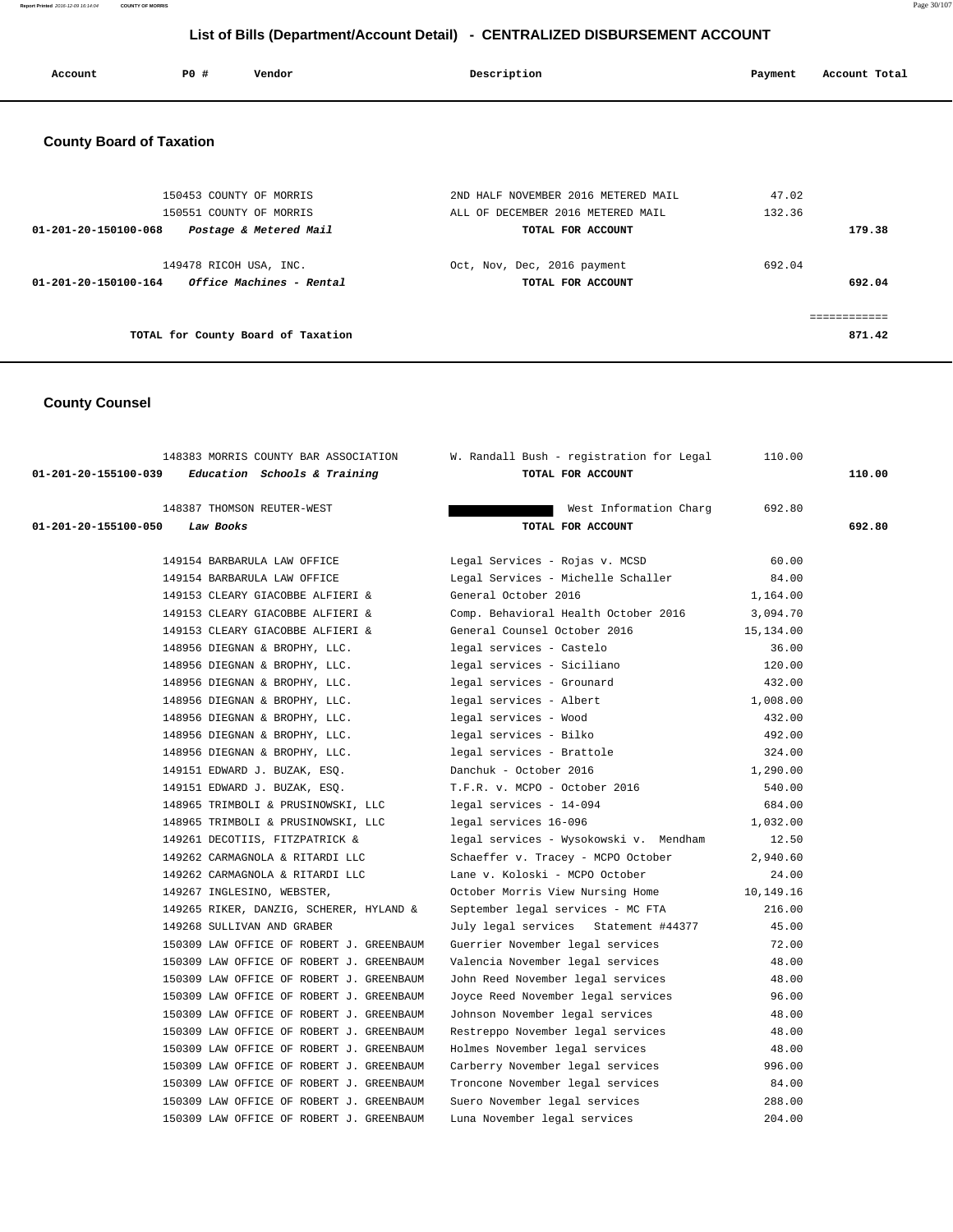**Report Printed** 2016-12-09 16:14:04 **COUNTY OF MORRIS** Page 30/107

# **List of Bills (Department/Account Detail) - CENTRALIZED DISBURSEMENT ACCOUNT**

| PO#<br>Vendor<br>Account        |  | Description                        |                                     |  | Account Total |              |
|---------------------------------|--|------------------------------------|-------------------------------------|--|---------------|--------------|
| <b>County Board of Taxation</b> |  |                                    |                                     |  |               |              |
|                                 |  | 150453 COUNTY OF MORRIS            | 2ND HALF NOVEMBER 2016 METERED MAIL |  | 47.02         |              |
|                                 |  | 150551 COUNTY OF MORRIS            | ALL OF DECEMBER 2016 METERED MAIL   |  | 132.36        |              |
| 01-201-20-150100-068            |  | Postage & Metered Mail             | TOTAL FOR ACCOUNT                   |  |               | 179.38       |
|                                 |  | 149478 RICOH USA, INC.             | Oct, Nov, Dec, 2016 payment         |  | 692.04        |              |
| 01-201-20-150100-164            |  | Office Machines - Rental           | TOTAL FOR ACCOUNT                   |  |               | 692.04       |
|                                 |  |                                    |                                     |  |               | ============ |
|                                 |  | TOTAL for County Board of Taxation |                                     |  |               | 871.42       |
|                                 |  |                                    |                                     |  |               |              |

## **County Counsel**

|                                                              | 148383 MORRIS COUNTY BAR ASSOCIATION W. Randall Bush - registration for Legal | 110.00    |        |
|--------------------------------------------------------------|-------------------------------------------------------------------------------|-----------|--------|
| $01-201-20-155100-039$ Education Schools & Training          | TOTAL FOR ACCOUNT                                                             |           | 110.00 |
| 148387 THOMSON REUTER-WEST<br>01-201-20-155100-050 Law Books | West Information Charg<br>TOTAL FOR ACCOUNT                                   | 692.80    | 692.80 |
| 149154 BARBARULA LAW OFFICE                                  | Legal Services - Rojas v. MCSD                                                | 60.00     |        |
| 149154 BARBARULA LAW OFFICE                                  | Legal Services - Michelle Schaller                                            | 84.00     |        |
| 149153 CLEARY GIACOBBE ALFIERI &                             | General October 2016                                                          | 1,164.00  |        |
| 149153 CLEARY GIACOBBE ALFIERI &                             | Comp. Behavioral Health October 2016 3,094.70                                 |           |        |
| 149153 CLEARY GIACOBBE ALFIERI &                             | General Counsel October 2016                                                  | 15,134.00 |        |
| 148956 DIEGNAN & BROPHY, LLC.                                | legal services - Castelo                                                      | 36.00     |        |
| 148956 DIEGNAN & BROPHY, LLC.                                | legal services - Siciliano                                                    | 120.00    |        |
| 148956 DIEGNAN & BROPHY, LLC.                                | legal services - Grounard                                                     | 432.00    |        |
| 148956 DIEGNAN & BROPHY, LLC.                                | legal services - Albert                                                       | 1,008.00  |        |
| 148956 DIEGNAN & BROPHY, LLC.                                | legal services - Wood                                                         | 432.00    |        |
| 148956 DIEGNAN & BROPHY, LLC.                                | legal services - Bilko                                                        | 492.00    |        |
| 148956 DIEGNAN & BROPHY, LLC.                                | legal services - Brattole                                                     | 324.00    |        |
| 149151 EDWARD J. BUZAK, ESQ.                                 | Danchuk - October 2016                                                        | 1,290.00  |        |
| 149151 EDWARD J. BUZAK, ESQ.                                 | T.F.R. v. MCPO - October 2016                                                 | 540.00    |        |
| 148965 TRIMBOLI & PRUSINOWSKI, LLC                           | legal services - 14-094                                                       | 684.00    |        |
| 148965 TRIMBOLI & PRUSINOWSKI, LLC                           | legal services 16-096                                                         | 1,032.00  |        |
| 149261 DECOTIIS, FITZPATRICK &                               | legal services - Wysokowski v. Mendham                                        | 12.50     |        |
| 149262 CARMAGNOLA & RITARDI LLC                              | Schaeffer v. Tracey - MCPO October                                            | 2,940.60  |        |
| 149262 CARMAGNOLA & RITARDI LLC                              | Lane v. Koloski - MCPO October                                                | 24.00     |        |
| 149267 INGLESINO, WEBSTER,                                   | October Morris View Nursing Home                                              | 10,149.16 |        |
| 149265 RIKER, DANZIG, SCHERER, HYLAND &                      | September legal services - MC FTA                                             | 216.00    |        |
| 149268 SULLIVAN AND GRABER                                   | July legal services Statement #44377                                          | 45.00     |        |
| 150309 LAW OFFICE OF ROBERT J. GREENBAUM                     | Guerrier November legal services                                              | 72.00     |        |
| 150309 LAW OFFICE OF ROBERT J. GREENBAUM                     | Valencia November legal services                                              | 48.00     |        |
| 150309 LAW OFFICE OF ROBERT J. GREENBAUM                     | John Reed November legal services                                             | 48.00     |        |
| 150309 LAW OFFICE OF ROBERT J. GREENBAUM                     | Joyce Reed November legal services                                            | 96.00     |        |
| 150309 LAW OFFICE OF ROBERT J. GREENBAUM                     | Johnson November legal services                                               | 48.00     |        |
| 150309 LAW OFFICE OF ROBERT J. GREENBAUM                     | Restreppo November legal services                                             | 48.00     |        |
| 150309 LAW OFFICE OF ROBERT J. GREENBAUM                     | Holmes November legal services                                                | 48.00     |        |
| 150309 LAW OFFICE OF ROBERT J. GREENBAUM                     | Carberry November legal services                                              | 996.00    |        |
| 150309 LAW OFFICE OF ROBERT J. GREENBAUM                     | Troncone November legal services                                              | 84.00     |        |
| 150309 LAW OFFICE OF ROBERT J. GREENBAUM                     | Suero November legal services                                                 | 288.00    |        |
| 150309 LAW OFFICE OF ROBERT J. GREENBAUM                     | Luna November legal services                                                  | 204.00    |        |
|                                                              |                                                                               |           |        |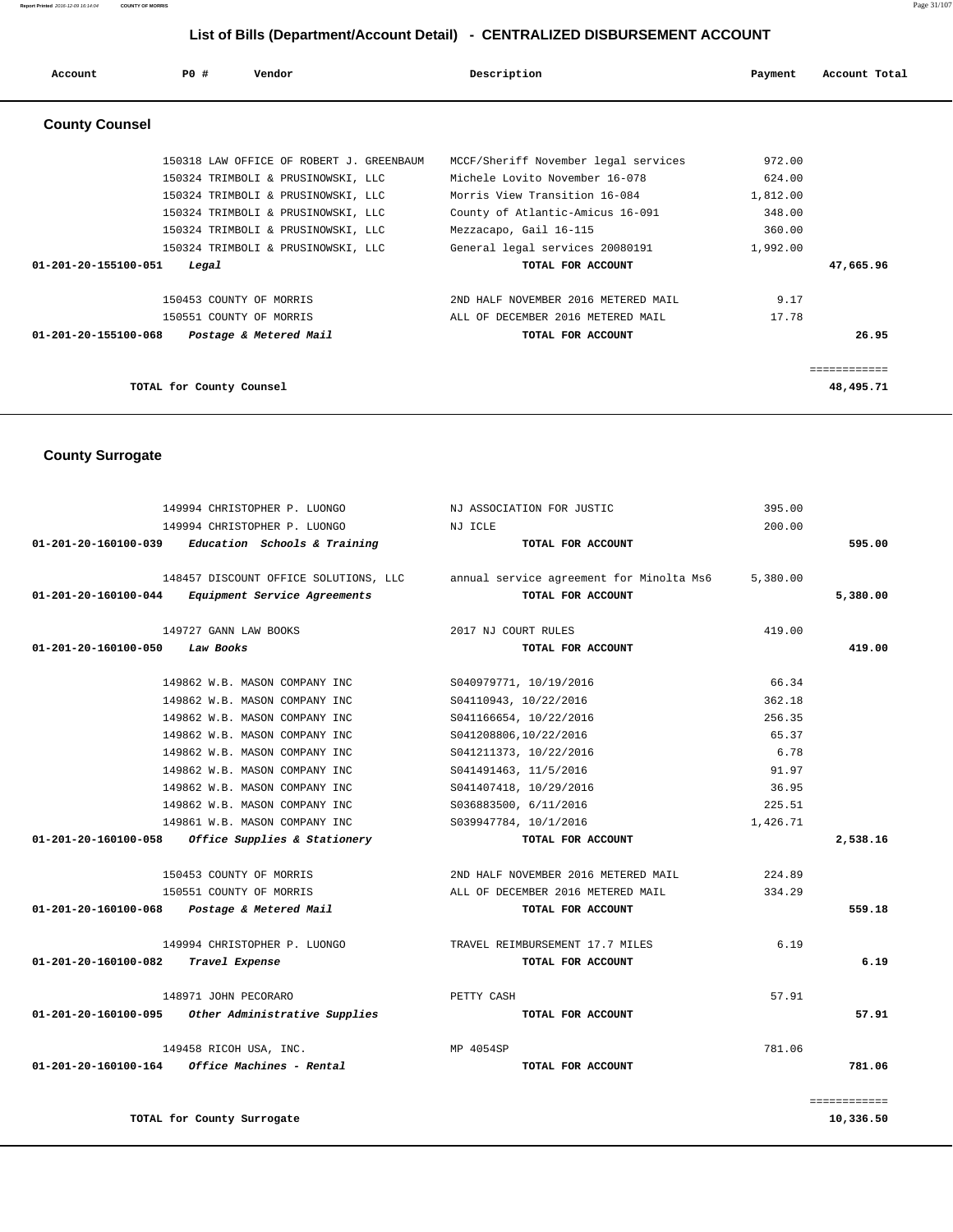# **List of Bills (Department/Account Detail) - CENTRALIZED DISBURSEMENT ACCOUNT**

| Account               | PO#                      | Vendor                                   | Description                          | Payment  | Account Total |
|-----------------------|--------------------------|------------------------------------------|--------------------------------------|----------|---------------|
| <b>County Counsel</b> |                          |                                          |                                      |          |               |
|                       |                          | 150318 LAW OFFICE OF ROBERT J. GREENBAUM | MCCF/Sheriff November legal services | 972.00   |               |
|                       |                          | 150324 TRIMBOLI & PRUSINOWSKI, LLC       | Michele Lovito November 16-078       | 624.00   |               |
|                       |                          | 150324 TRIMBOLI & PRUSINOWSKI, LLC       | Morris View Transition 16-084        | 1,812.00 |               |
|                       |                          | 150324 TRIMBOLI & PRUSINOWSKI, LLC       | County of Atlantic-Amicus 16-091     | 348.00   |               |
|                       |                          | 150324 TRIMBOLI & PRUSINOWSKI, LLC       | Mezzacapo, Gail 16-115               | 360.00   |               |
|                       |                          | 150324 TRIMBOLI & PRUSINOWSKI, LLC       | General legal services 20080191      | 1,992.00 |               |
| 01-201-20-155100-051  | Legal                    |                                          | TOTAL FOR ACCOUNT                    |          | 47,665.96     |
|                       |                          | 150453 COUNTY OF MORRIS                  | 2ND HALF NOVEMBER 2016 METERED MAIL  | 9.17     |               |
|                       |                          | 150551 COUNTY OF MORRIS                  | ALL OF DECEMBER 2016 METERED MAIL    | 17.78    |               |
| 01-201-20-155100-068  |                          | Postage & Metered Mail                   | TOTAL FOR ACCOUNT                    |          | 26.95         |
|                       |                          |                                          |                                      |          | ============  |
|                       | TOTAL for County Counsel |                                          |                                      |          | 48,495.71     |

# **County Surrogate**

|                                | 149994 CHRISTOPHER P. LUONGO                | NJ ASSOCIATION FOR JUSTIC                                                      | 395.00   |           |
|--------------------------------|---------------------------------------------|--------------------------------------------------------------------------------|----------|-----------|
|                                | 149994 CHRISTOPHER P. LUONGO                | NJ ICLE                                                                        | 200.00   |           |
| 01-201-20-160100-039           | Education Schools & Training                | TOTAL FOR ACCOUNT                                                              |          | 595.00    |
|                                |                                             | 148457 DISCOUNT OFFICE SOLUTIONS, LLC annual service agreement for Minolta Ms6 | 5,380.00 |           |
| 01-201-20-160100-044           | <i>Equipment Service Agreements</i>         | TOTAL FOR ACCOUNT                                                              |          | 5,380.00  |
|                                | 149727 GANN LAW BOOKS                       | 2017 NJ COURT RULES                                                            | 419.00   |           |
| 01-201-20-160100-050           | Law Books                                   | TOTAL FOR ACCOUNT                                                              |          | 419.00    |
|                                | 149862 W.B. MASON COMPANY INC               | S040979771, 10/19/2016                                                         | 66.34    |           |
|                                | 149862 W.B. MASON COMPANY INC               | S04110943, 10/22/2016                                                          | 362.18   |           |
|                                | 149862 W.B. MASON COMPANY INC               | S041166654, 10/22/2016                                                         | 256.35   |           |
|                                | 149862 W.B. MASON COMPANY INC               | S041208806,10/22/2016                                                          | 65.37    |           |
|                                | 149862 W.B. MASON COMPANY INC               | S041211373, 10/22/2016                                                         | 6.78     |           |
|                                | 149862 W.B. MASON COMPANY INC               | S041491463, 11/5/2016                                                          | 91.97    |           |
|                                | 149862 W.B. MASON COMPANY INC               | S041407418, 10/29/2016                                                         | 36.95    |           |
|                                | 149862 W.B. MASON COMPANY INC               | S036883500, 6/11/2016                                                          | 225.51   |           |
|                                | 149861 W.B. MASON COMPANY INC               | S039947784, 10/1/2016                                                          | 1,426.71 |           |
| $01 - 201 - 20 - 160100 - 058$ | Office Supplies & Stationery                | TOTAL FOR ACCOUNT                                                              |          | 2,538.16  |
|                                | 150453 COUNTY OF MORRIS                     | 2ND HALF NOVEMBER 2016 METERED MAIL                                            | 224.89   |           |
|                                | 150551 COUNTY OF MORRIS                     | ALL OF DECEMBER 2016 METERED MAIL                                              | 334.29   |           |
|                                | 01-201-20-160100-068 Postage & Metered Mail | TOTAL FOR ACCOUNT                                                              |          | 559.18    |
|                                | 149994 CHRISTOPHER P. LUONGO                | TRAVEL REIMBURSEMENT 17.7 MILES                                                | 6.19     |           |
| 01-201-20-160100-082           | Travel Expense                              | TOTAL FOR ACCOUNT                                                              |          | 6.19      |
|                                | 148971 JOHN PECORARO                        | PETTY CASH                                                                     | 57.91    |           |
| 01-201-20-160100-095           | Other Administrative Supplies               | TOTAL FOR ACCOUNT                                                              |          | 57.91     |
|                                | 149458 RICOH USA, INC.                      | MP 4054SP                                                                      | 781.06   |           |
| 01-201-20-160100-164           | <i>Office Machines - Rental</i>             | TOTAL FOR ACCOUNT                                                              |          | 781.06    |
|                                |                                             |                                                                                |          |           |
|                                | TOTAL for County Surrogate                  |                                                                                |          | 10,336.50 |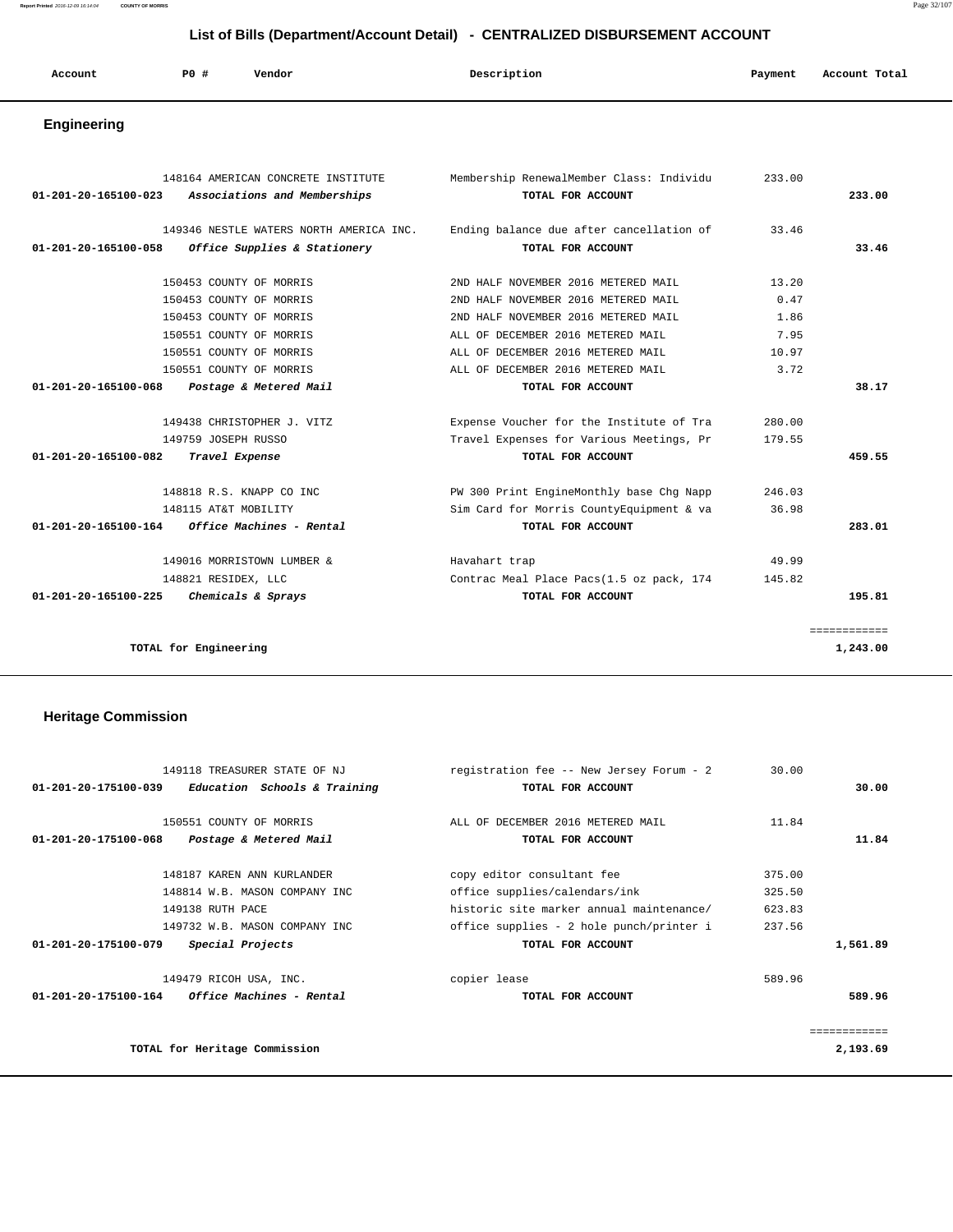**Report Printed** 2016-12-09 16:14:04 **COUNTY OF MORRIS** Page 32/107

# **List of Bills (Department/Account Detail) - CENTRALIZED DISBURSEMENT ACCOUNT**

| Account | PO# | Vendor | Description | Payment | Account Total |
|---------|-----|--------|-------------|---------|---------------|
|         |     |        |             |         |               |

# **Engineering**

| 148164 AMERICAN CONCRETE INSTITUTE<br>$01 - 201 - 20 - 165100 - 023$<br>Associations and Memberships      | Membership RenewalMember Class: Individu<br>TOTAL FOR ACCOUNT | 233.00 | 233.00       |
|-----------------------------------------------------------------------------------------------------------|---------------------------------------------------------------|--------|--------------|
| 149346 NESTLE WATERS NORTH AMERICA INC.<br>$01 - 201 - 20 - 165100 - 058$<br>Office Supplies & Stationery | Ending balance due after cancellation of<br>TOTAL FOR ACCOUNT | 33.46  | 33.46        |
| 150453 COUNTY OF MORRIS                                                                                   | 2ND HALF NOVEMBER 2016 METERED MAIL                           | 13.20  |              |
| 150453 COUNTY OF MORRIS                                                                                   | 2ND HALF NOVEMBER 2016 METERED MAIL                           | 0.47   |              |
| 150453 COUNTY OF MORRIS                                                                                   | 2ND HALF NOVEMBER 2016 METERED MAIL                           | 1.86   |              |
| 150551 COUNTY OF MORRIS                                                                                   | ALL OF DECEMBER 2016 METERED MAIL                             | 7.95   |              |
| 150551 COUNTY OF MORRIS                                                                                   | ALL OF DECEMBER 2016 METERED MAIL                             | 10.97  |              |
| 150551 COUNTY OF MORRIS                                                                                   | ALL OF DECEMBER 2016 METERED MAIL                             | 3.72   |              |
| 01-201-20-165100-068<br>Postage & Metered Mail                                                            | TOTAL FOR ACCOUNT                                             |        | 38.17        |
| 149438 CHRISTOPHER J. VITZ                                                                                | Expense Voucher for the Institute of Tra                      | 280.00 |              |
| 149759 JOSEPH RUSSO                                                                                       | Travel Expenses for Various Meetings, Pr                      | 179.55 |              |
| 01-201-20-165100-082<br>Travel Expense                                                                    | TOTAL FOR ACCOUNT                                             |        | 459.55       |
| 148818 R.S. KNAPP CO INC                                                                                  | PW 300 Print EngineMonthly base Chg Napp                      | 246.03 |              |
| 148115 AT&T MOBILITY                                                                                      | Sim Card for Morris CountyEquipment & va                      | 36.98  |              |
| Office Machines - Rental<br>01-201-20-165100-164                                                          | TOTAL FOR ACCOUNT                                             |        | 283.01       |
| 149016 MORRISTOWN LUMBER &                                                                                | Havahart trap                                                 | 49.99  |              |
| 148821 RESIDEX, LLC                                                                                       | Contrac Meal Place Pacs(1.5 oz pack, 174                      | 145.82 |              |
| $01 - 201 - 20 - 165100 - 225$<br>Chemicals & Sprays                                                      | TOTAL FOR ACCOUNT                                             |        | 195.81       |
|                                                                                                           |                                                               |        | ============ |
| TOTAL for Engineering                                                                                     |                                                               |        | 1,243.00     |

### **Heritage Commission**

| 149118 TREASURER STATE OF NJ                                             | registration fee -- New Jersey Forum - 2 | 30.00  |              |
|--------------------------------------------------------------------------|------------------------------------------|--------|--------------|
| 01-201-20-175100-039<br>Education Schools & Training                     | TOTAL FOR ACCOUNT                        |        | 30.00        |
|                                                                          |                                          |        |              |
| 150551 COUNTY OF MORRIS                                                  | ALL OF DECEMBER 2016 METERED MAIL        | 11.84  |              |
| 01-201-20-175100-068<br>Postage & Metered Mail                           | TOTAL FOR ACCOUNT                        |        | 11.84        |
| 148187 KAREN ANN KURLANDER                                               | copy editor consultant fee               | 375.00 |              |
|                                                                          |                                          |        |              |
| 148814 W.B. MASON COMPANY INC                                            | office supplies/calendars/ink            | 325.50 |              |
| 149138 RUTH PACE                                                         | historic site marker annual maintenance/ | 623.83 |              |
| 149732 W.B. MASON COMPANY INC                                            | office supplies - 2 hole punch/printer i | 237.56 |              |
| 01-201-20-175100-079<br>Special Projects                                 | TOTAL FOR ACCOUNT                        |        | 1,561.89     |
| 149479 RICOH USA, INC.                                                   | copier lease                             | 589.96 |              |
| $01 - 201 - 20 - 175100 - 164$<br><i><b>Office Machines - Rental</b></i> | TOTAL FOR ACCOUNT                        |        | 589.96       |
|                                                                          |                                          |        | ============ |
| TOTAL for Heritage Commission                                            |                                          |        | 2,193.69     |
|                                                                          |                                          |        |              |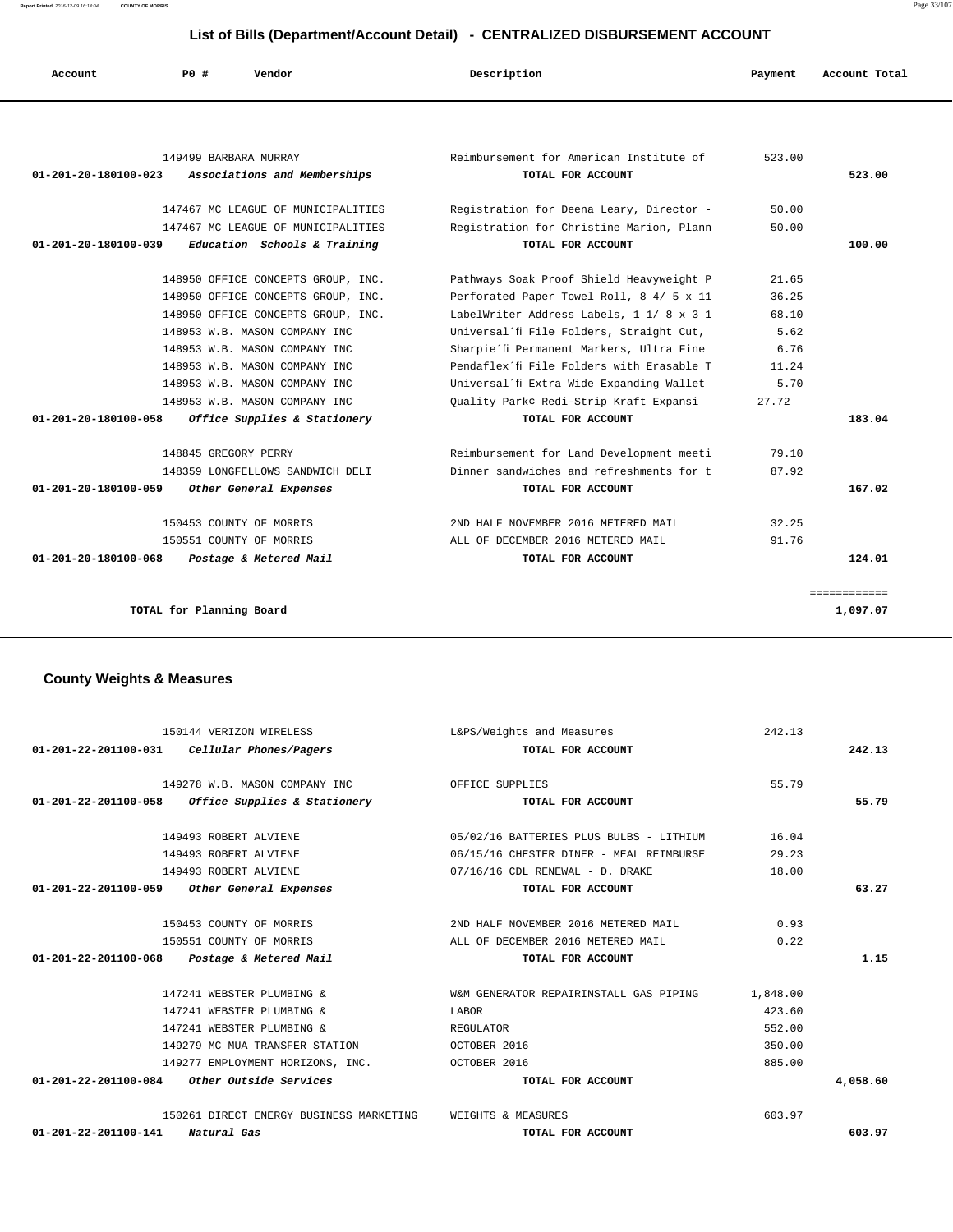**Report Printed** 2016-12-09 16:14:04 **COUNTY OF MORRIS** Page 33/107

| List of Bills (Department/Account Detail) - CENTRALIZED DISBURSEMENT ACCOUNT |                      |                                    |                                           |         |               |
|------------------------------------------------------------------------------|----------------------|------------------------------------|-------------------------------------------|---------|---------------|
| Account                                                                      | PO#                  | Vendor                             | Description                               | Payment | Account Total |
|                                                                              |                      |                                    |                                           |         |               |
|                                                                              |                      | 149499 BARBARA MURRAY              | Reimbursement for American Institute of   | 523.00  |               |
| 01-201-20-180100-023                                                         |                      | Associations and Memberships       | TOTAL FOR ACCOUNT                         |         | 523.00        |
|                                                                              |                      | 147467 MC LEAGUE OF MUNICIPALITIES | Registration for Deena Leary, Director -  | 50.00   |               |
|                                                                              |                      | 147467 MC LEAGUE OF MUNICIPALITIES | Registration for Christine Marion, Plann  | 50.00   |               |
| $01 - 201 - 20 - 180100 - 039$                                               |                      | Education Schools & Training       | TOTAL FOR ACCOUNT                         |         | 100.00        |
|                                                                              |                      | 148950 OFFICE CONCEPTS GROUP, INC. | Pathways Soak Proof Shield Heavyweight P  | 21.65   |               |
|                                                                              |                      | 148950 OFFICE CONCEPTS GROUP, INC. | Perforated Paper Towel Roll, 8 4/ 5 x 11  | 36.25   |               |
|                                                                              |                      | 148950 OFFICE CONCEPTS GROUP, INC. | LabelWriter Address Labels, 1 1/ 8 x 3 1  | 68.10   |               |
|                                                                              |                      | 148953 W.B. MASON COMPANY INC      | Universal'fi File Folders, Straight Cut,  | 5.62    |               |
|                                                                              |                      | 148953 W.B. MASON COMPANY INC      | Sharpie'fi Permanent Markers, Ultra Fine  | 6.76    |               |
|                                                                              |                      | 148953 W.B. MASON COMPANY INC      | Pendaflex'fi File Folders with Erasable T | 11.24   |               |
|                                                                              |                      | 148953 W.B. MASON COMPANY INC      | Universal'fi Extra Wide Expanding Wallet  | 5.70    |               |
|                                                                              |                      | 148953 W.B. MASON COMPANY INC      | Quality Parkâ ¢ Redi-Strip Kraft Expansi  | 27.72   |               |
| 01-201-20-180100-058                                                         |                      | Office Supplies & Stationery       | TOTAL FOR ACCOUNT                         |         | 183.04        |
|                                                                              | 148845 GREGORY PERRY |                                    | Reimbursement for Land Development meeti  | 79.10   |               |
|                                                                              |                      | 148359 LONGFELLOWS SANDWICH DELI   | Dinner sandwiches and refreshments for t  | 87.92   |               |
| 01-201-20-180100-059                                                         |                      | Other General Expenses             | TOTAL FOR ACCOUNT                         |         | 167.02        |
|                                                                              |                      | 150453 COUNTY OF MORRIS            | 2ND HALF NOVEMBER 2016 METERED MAIL       | 32.25   |               |
|                                                                              |                      | 150551 COUNTY OF MORRIS            | ALL OF DECEMBER 2016 METERED MAIL         | 91.76   |               |
| $01 - 201 - 20 - 180100 - 068$                                               |                      | Postage & Metered Mail             | TOTAL FOR ACCOUNT                         |         | 124.01        |
|                                                                              |                      |                                    |                                           |         | ============  |

**TOTAL for Planning Board** 1,097.07

# **County Weights & Measures**

| 150144 VERIZON WIRELESS                                  | L&PS/Weights and Measures               | 242.13   |          |
|----------------------------------------------------------|-----------------------------------------|----------|----------|
| Cellular Phones/Pagers<br>$01 - 201 - 22 - 201100 - 031$ | TOTAL FOR ACCOUNT                       |          | 242.13   |
|                                                          |                                         |          |          |
| 149278 W.B. MASON COMPANY INC                            | OFFICE SUPPLIES                         | 55.79    |          |
| 01-201-22-201100-058<br>Office Supplies & Stationery     | TOTAL FOR ACCOUNT                       |          | 55.79    |
| 149493 ROBERT ALVIENE                                    | 05/02/16 BATTERIES PLUS BULBS - LITHIUM | 16.04    |          |
| 149493 ROBERT ALVIENE                                    | 06/15/16 CHESTER DINER - MEAL REIMBURSE | 29.23    |          |
| 149493 ROBERT ALVIENE                                    | 07/16/16 CDL RENEWAL - D. DRAKE         | 18.00    |          |
| 01-201-22-201100-059<br>Other General Expenses           | TOTAL FOR ACCOUNT                       |          | 63.27    |
| 150453 COUNTY OF MORRIS                                  | 2ND HALF NOVEMBER 2016 METERED MAIL     | 0.93     |          |
| 150551 COUNTY OF MORRIS                                  | ALL OF DECEMBER 2016 METERED MAIL       | 0.22     |          |
| 01-201-22-201100-068 Postage & Metered Mail              | TOTAL FOR ACCOUNT                       |          | 1.15     |
| 147241 WEBSTER PLUMBING &                                | W&M GENERATOR REPAIRINSTALL GAS PIPING  | 1,848.00 |          |
| 147241 WEBSTER PLUMBING &                                | LABOR                                   | 423.60   |          |
| 147241 WEBSTER PLUMBING &                                | REGULATOR                               | 552.00   |          |
| 149279 MC MUA TRANSFER STATION                           | OCTOBER 2016                            | 350.00   |          |
| 149277 EMPLOYMENT HORIZONS, INC.                         | OCTOBER 2016                            | 885.00   |          |
| 01-201-22-201100-084<br><i>Other Outside Services</i>    | TOTAL FOR ACCOUNT                       |          | 4,058.60 |
| 150261 DIRECT ENERGY BUSINESS MARKETING                  | WEIGHTS & MEASURES                      | 603.97   |          |
| $01 - 201 - 22 - 201100 - 141$<br>Natural Gas            | TOTAL FOR ACCOUNT                       |          | 603.97   |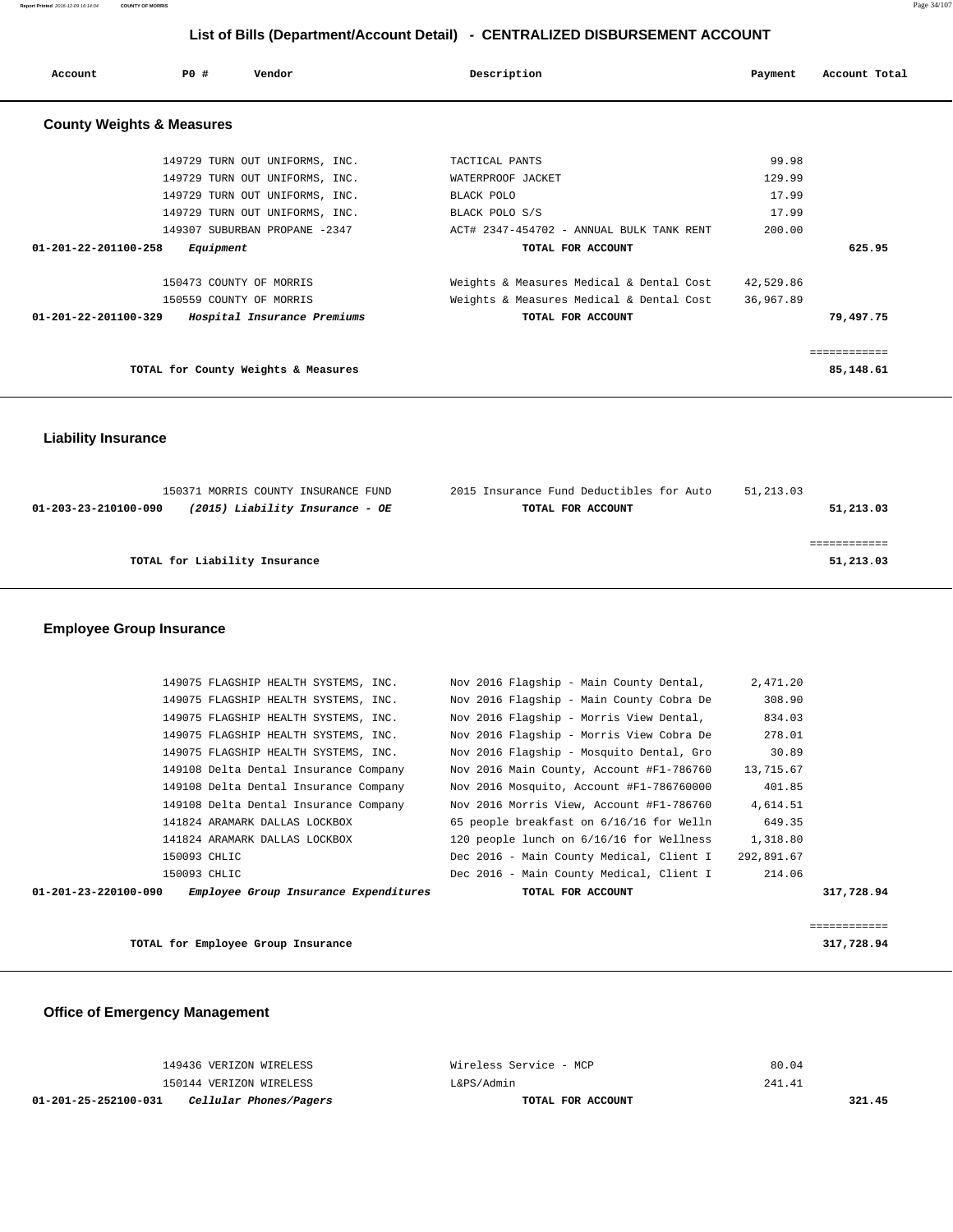**Report Printed** 2016-12-09 16:14:04 **COUNTY OF MORRIS** Page 34/107

# **List of Bills (Department/Account Detail) - CENTRALIZED DISBURSEMENT ACCOUNT**

| Account                              | PO#                     | Vendor                              | Description                                        | Payment   | Account Total |
|--------------------------------------|-------------------------|-------------------------------------|----------------------------------------------------|-----------|---------------|
| <b>County Weights &amp; Measures</b> |                         |                                     |                                                    |           |               |
|                                      |                         | 149729 TURN OUT UNIFORMS, INC.      | TACTICAL PANTS                                     | 99.98     |               |
|                                      |                         | 149729 TURN OUT UNIFORMS, INC.      | WATERPROOF JACKET                                  | 129.99    |               |
|                                      |                         | 149729 TURN OUT UNIFORMS, INC.      | BLACK POLO                                         | 17.99     |               |
|                                      |                         | 149729 TURN OUT UNIFORMS, INC.      | BLACK POLO S/S                                     | 17.99     |               |
|                                      |                         | 149307 SUBURBAN PROPANE -2347       | ACT# 2347-454702 - ANNUAL BULK TANK RENT           | 200.00    |               |
| $01 - 201 - 22 - 201100 - 258$       | Equipment               |                                     | TOTAL FOR ACCOUNT                                  |           | 625.95        |
|                                      | 150473 COUNTY OF MORRIS |                                     | Weights & Measures Medical & Dental Cost 42,529.86 |           |               |
|                                      | 150559 COUNTY OF MORRIS |                                     | Weights & Measures Medical & Dental Cost           | 36,967.89 |               |
| 01-201-22-201100-329                 |                         | Hospital Insurance Premiums         | TOTAL FOR ACCOUNT                                  |           | 79,497.75     |
|                                      |                         |                                     |                                                    |           | ------------  |
|                                      |                         | TOTAL for County Weights & Measures |                                                    |           | 85,148.61     |

 **Liability Insurance** 

|                      | 150371 MORRIS COUNTY INSURANCE FUND |  | 2015 Insurance Fund Deductibles for Auto | 51,213.03 |           |
|----------------------|-------------------------------------|--|------------------------------------------|-----------|-----------|
| 01-203-23-210100-090 | (2015) Liability Insurance - OE     |  | TOTAL FOR ACCOUNT                        |           | 51,213.03 |
|                      |                                     |  |                                          |           |           |
|                      |                                     |  |                                          |           |           |
|                      | TOTAL for Liability Insurance       |  |                                          |           | 51,213.03 |
|                      |                                     |  |                                          |           |           |

# **Employee Group Insurance**

| $01 - 201 - 23 - 220100 - 090$<br>Employee Group Insurance Expenditures | TOTAL FOR ACCOUNT                        |            | 317,728.94 |
|-------------------------------------------------------------------------|------------------------------------------|------------|------------|
| 150093 CHLIC                                                            | Dec 2016 - Main County Medical, Client I | 214.06     |            |
| 150093 CHLIC                                                            | Dec 2016 - Main County Medical, Client I | 292,891.67 |            |
| 141824 ARAMARK DALLAS LOCKBOX                                           | 120 people lunch on 6/16/16 for Wellness | 1,318.80   |            |
| 141824 ARAMARK DALLAS LOCKBOX                                           | 65 people breakfast on 6/16/16 for Welln | 649.35     |            |
| 149108 Delta Dental Insurance Company                                   | Nov 2016 Morris View, Account #F1-786760 | 4,614.51   |            |
| 149108 Delta Dental Insurance Company                                   | Nov 2016 Mosquito, Account #F1-786760000 | 401.85     |            |
| 149108 Delta Dental Insurance Company                                   | Nov 2016 Main County, Account #F1-786760 | 13,715.67  |            |
| 149075 FLAGSHIP HEALTH SYSTEMS, INC.                                    | Nov 2016 Flagship - Mosquito Dental, Gro | 30.89      |            |
| 149075 FLAGSHIP HEALTH SYSTEMS, INC.                                    | Nov 2016 Flagship - Morris View Cobra De | 278.01     |            |
| 149075 FLAGSHIP HEALTH SYSTEMS, INC.                                    | Nov 2016 Flagship - Morris View Dental,  | 834.03     |            |
| 149075 FLAGSHIP HEALTH SYSTEMS, INC.                                    | Nov 2016 Flagship - Main County Cobra De | 308.90     |            |
| 149075 FLAGSHIP HEALTH SYSTEMS, INC.                                    | Nov 2016 Flagship - Main County Dental,  | 2,471.20   |            |

|                                    | ------------<br>----------- |
|------------------------------------|-----------------------------|
| TOTAL for Employee Group Insurance | 317,728.94                  |

 **Office of Emergency Management**

| 01-201-25-252100-031<br>Cellular Phones/Pagers | TOTAL FOR ACCOUNT      | 321.45 |
|------------------------------------------------|------------------------|--------|
| 150144 VERIZON WIRELESS                        | L&PS/Admin             | 241.41 |
| 149436 VERIZON WIRELESS                        | Wireless Service - MCP | 80.04  |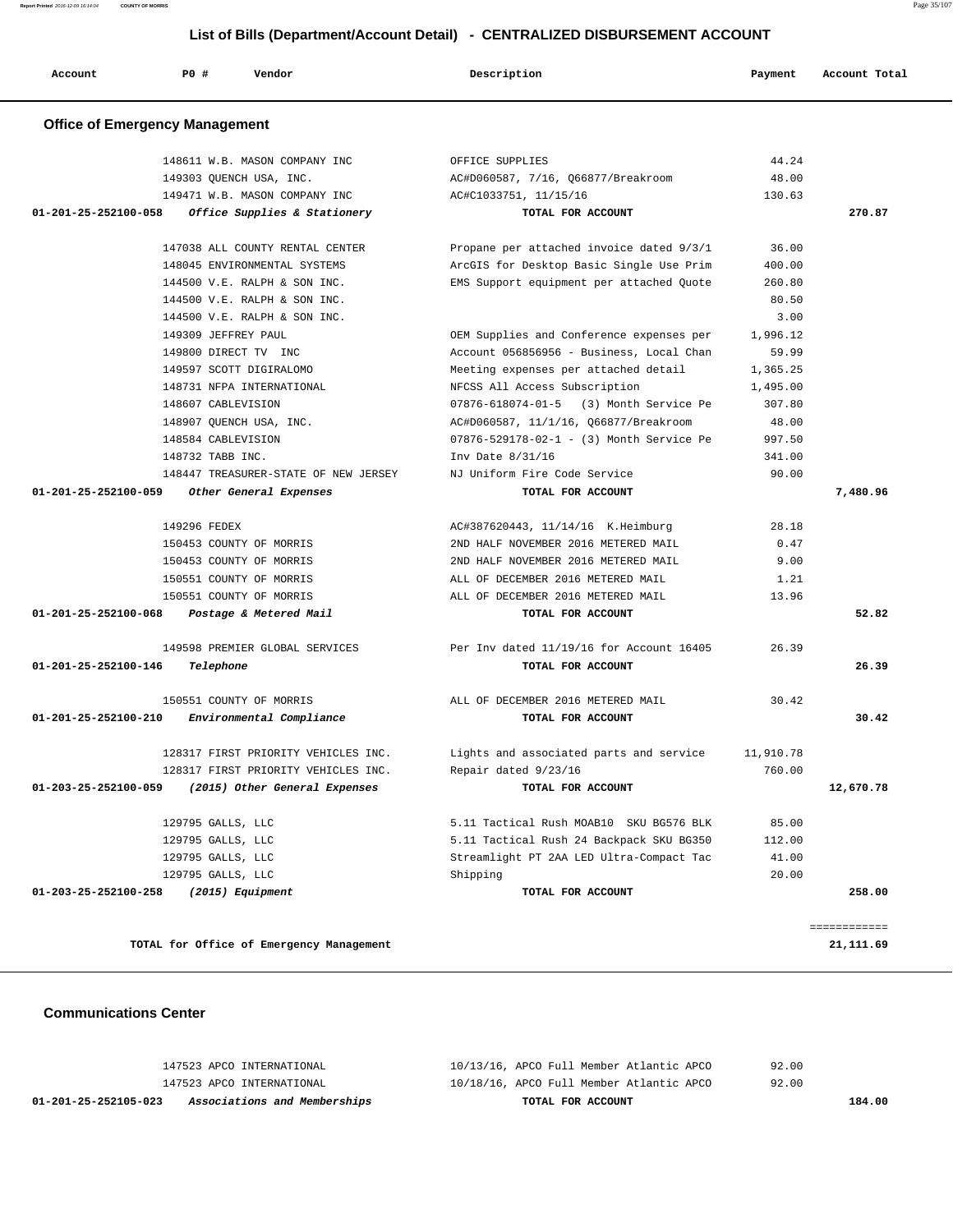**Report Printed** 2016-12-09 16:14:04 **COUNTY OF MORRIS** Page 35/107

| Account<br><b>Office of Emergency Management</b><br>01-201-25-252100-058 | Vendor<br>P0 #<br>148611 W.B. MASON COMPANY INC<br>149303 QUENCH USA, INC.<br>149471 W.B. MASON COMPANY INC<br>Office Supplies & Stationery<br>147038 ALL COUNTY RENTAL CENTER<br>148045 ENVIRONMENTAL SYSTEMS<br>144500 V.E. RALPH & SON INC.<br>144500 V.E. RALPH & SON INC.<br>144500 V.E. RALPH & SON INC.<br>149309 JEFFREY PAUL<br>149800 DIRECT TV INC<br>149597 SCOTT DIGIRALOMO | Description<br>OFFICE SUPPLIES<br>AC#D060587, 7/16, Q66877/Breakroom<br>AC#C1033751, 11/15/16<br>TOTAL FOR ACCOUNT<br>Propane per attached invoice dated 9/3/1<br>ArcGIS for Desktop Basic Single Use Prim<br>EMS Support equipment per attached Quote<br>OEM Supplies and Conference expenses per<br>Account 056856956 - Business, Local Chan<br>Meeting expenses per attached detail | Payment<br>44.24<br>48.00<br>130.63<br>36.00<br>400.00<br>260.80<br>80.50<br>3.00<br>1,996.12<br>59.99 | Account Total<br>270.87 |
|--------------------------------------------------------------------------|------------------------------------------------------------------------------------------------------------------------------------------------------------------------------------------------------------------------------------------------------------------------------------------------------------------------------------------------------------------------------------------|----------------------------------------------------------------------------------------------------------------------------------------------------------------------------------------------------------------------------------------------------------------------------------------------------------------------------------------------------------------------------------------|--------------------------------------------------------------------------------------------------------|-------------------------|
|                                                                          |                                                                                                                                                                                                                                                                                                                                                                                          |                                                                                                                                                                                                                                                                                                                                                                                        |                                                                                                        |                         |
|                                                                          |                                                                                                                                                                                                                                                                                                                                                                                          |                                                                                                                                                                                                                                                                                                                                                                                        |                                                                                                        |                         |
|                                                                          |                                                                                                                                                                                                                                                                                                                                                                                          |                                                                                                                                                                                                                                                                                                                                                                                        |                                                                                                        |                         |
|                                                                          |                                                                                                                                                                                                                                                                                                                                                                                          |                                                                                                                                                                                                                                                                                                                                                                                        |                                                                                                        |                         |
|                                                                          |                                                                                                                                                                                                                                                                                                                                                                                          |                                                                                                                                                                                                                                                                                                                                                                                        |                                                                                                        |                         |
|                                                                          |                                                                                                                                                                                                                                                                                                                                                                                          |                                                                                                                                                                                                                                                                                                                                                                                        |                                                                                                        |                         |
|                                                                          |                                                                                                                                                                                                                                                                                                                                                                                          |                                                                                                                                                                                                                                                                                                                                                                                        |                                                                                                        |                         |
|                                                                          |                                                                                                                                                                                                                                                                                                                                                                                          |                                                                                                                                                                                                                                                                                                                                                                                        |                                                                                                        |                         |
|                                                                          |                                                                                                                                                                                                                                                                                                                                                                                          |                                                                                                                                                                                                                                                                                                                                                                                        |                                                                                                        |                         |
|                                                                          |                                                                                                                                                                                                                                                                                                                                                                                          |                                                                                                                                                                                                                                                                                                                                                                                        |                                                                                                        |                         |
|                                                                          |                                                                                                                                                                                                                                                                                                                                                                                          |                                                                                                                                                                                                                                                                                                                                                                                        |                                                                                                        |                         |
|                                                                          |                                                                                                                                                                                                                                                                                                                                                                                          |                                                                                                                                                                                                                                                                                                                                                                                        |                                                                                                        |                         |
|                                                                          |                                                                                                                                                                                                                                                                                                                                                                                          |                                                                                                                                                                                                                                                                                                                                                                                        |                                                                                                        |                         |
|                                                                          |                                                                                                                                                                                                                                                                                                                                                                                          |                                                                                                                                                                                                                                                                                                                                                                                        | 1,365.25                                                                                               |                         |
|                                                                          | 148731 NFPA INTERNATIONAL                                                                                                                                                                                                                                                                                                                                                                | NFCSS All Access Subscription                                                                                                                                                                                                                                                                                                                                                          | 1,495.00                                                                                               |                         |
|                                                                          | 148607 CABLEVISION                                                                                                                                                                                                                                                                                                                                                                       | 07876-618074-01-5 (3) Month Service Pe                                                                                                                                                                                                                                                                                                                                                 | 307.80                                                                                                 |                         |
|                                                                          | 148907 OUENCH USA, INC.                                                                                                                                                                                                                                                                                                                                                                  | AC#D060587, 11/1/16, Q66877/Breakroom                                                                                                                                                                                                                                                                                                                                                  | 48.00                                                                                                  |                         |
|                                                                          | 148584 CABLEVISION                                                                                                                                                                                                                                                                                                                                                                       | 07876-529178-02-1 - (3) Month Service Pe                                                                                                                                                                                                                                                                                                                                               | 997.50                                                                                                 |                         |
|                                                                          | 148732 TABB INC.                                                                                                                                                                                                                                                                                                                                                                         | Inv Date 8/31/16                                                                                                                                                                                                                                                                                                                                                                       | 341.00                                                                                                 |                         |
|                                                                          | 148447 TREASURER-STATE OF NEW JERSEY                                                                                                                                                                                                                                                                                                                                                     | NJ Uniform Fire Code Service                                                                                                                                                                                                                                                                                                                                                           | 90.00                                                                                                  |                         |
| 01-201-25-252100-059                                                     | Other General Expenses                                                                                                                                                                                                                                                                                                                                                                   | TOTAL FOR ACCOUNT                                                                                                                                                                                                                                                                                                                                                                      |                                                                                                        | 7,480.96                |
|                                                                          | 149296 FEDEX                                                                                                                                                                                                                                                                                                                                                                             | AC#387620443, 11/14/16 K. Heimburg                                                                                                                                                                                                                                                                                                                                                     | 28.18                                                                                                  |                         |
|                                                                          | 150453 COUNTY OF MORRIS                                                                                                                                                                                                                                                                                                                                                                  | 2ND HALF NOVEMBER 2016 METERED MAIL                                                                                                                                                                                                                                                                                                                                                    | 0.47                                                                                                   |                         |
|                                                                          | 150453 COUNTY OF MORRIS                                                                                                                                                                                                                                                                                                                                                                  | 2ND HALF NOVEMBER 2016 METERED MAIL                                                                                                                                                                                                                                                                                                                                                    | 9.00                                                                                                   |                         |
|                                                                          | 150551 COUNTY OF MORRIS                                                                                                                                                                                                                                                                                                                                                                  | ALL OF DECEMBER 2016 METERED MAIL                                                                                                                                                                                                                                                                                                                                                      | 1.21                                                                                                   |                         |
|                                                                          | 150551 COUNTY OF MORRIS                                                                                                                                                                                                                                                                                                                                                                  | ALL OF DECEMBER 2016 METERED MAIL                                                                                                                                                                                                                                                                                                                                                      | 13.96                                                                                                  |                         |
| 01-201-25-252100-068                                                     | Postage & Metered Mail                                                                                                                                                                                                                                                                                                                                                                   | TOTAL FOR ACCOUNT                                                                                                                                                                                                                                                                                                                                                                      |                                                                                                        | 52.82                   |
|                                                                          | 149598 PREMIER GLOBAL SERVICES                                                                                                                                                                                                                                                                                                                                                           | Per Inv dated 11/19/16 for Account 16405                                                                                                                                                                                                                                                                                                                                               | 26.39                                                                                                  |                         |
| 01-201-25-252100-146                                                     | Telephone                                                                                                                                                                                                                                                                                                                                                                                | TOTAL FOR ACCOUNT                                                                                                                                                                                                                                                                                                                                                                      |                                                                                                        | 26.39                   |
|                                                                          | 150551 COUNTY OF MORRIS                                                                                                                                                                                                                                                                                                                                                                  | ALL OF DECEMBER 2016 METERED MAIL                                                                                                                                                                                                                                                                                                                                                      | 30.42                                                                                                  |                         |
| 01-201-25-252100-210                                                     | Environmental Compliance                                                                                                                                                                                                                                                                                                                                                                 | TOTAL FOR ACCOUNT                                                                                                                                                                                                                                                                                                                                                                      |                                                                                                        | 30.42                   |
|                                                                          | 128317 FIRST PRIORITY VEHICLES INC.                                                                                                                                                                                                                                                                                                                                                      | Lights and associated parts and service                                                                                                                                                                                                                                                                                                                                                | 11,910.78                                                                                              |                         |
|                                                                          | 128317 FIRST PRIORITY VEHICLES INC.                                                                                                                                                                                                                                                                                                                                                      | Repair dated 9/23/16                                                                                                                                                                                                                                                                                                                                                                   | 760.00                                                                                                 |                         |
| 01-203-25-252100-059                                                     | (2015) Other General Expenses                                                                                                                                                                                                                                                                                                                                                            | TOTAL FOR ACCOUNT                                                                                                                                                                                                                                                                                                                                                                      |                                                                                                        | 12,670.78               |
|                                                                          | 129795 GALLS, LLC                                                                                                                                                                                                                                                                                                                                                                        | 5.11 Tactical Rush MOAB10 SKU BG576 BLK                                                                                                                                                                                                                                                                                                                                                | 85.00                                                                                                  |                         |
|                                                                          | 129795 GALLS, LLC                                                                                                                                                                                                                                                                                                                                                                        | 5.11 Tactical Rush 24 Backpack SKU BG350                                                                                                                                                                                                                                                                                                                                               | 112.00                                                                                                 |                         |
|                                                                          | 129795 GALLS, LLC                                                                                                                                                                                                                                                                                                                                                                        | Streamlight PT 2AA LED Ultra-Compact Tac                                                                                                                                                                                                                                                                                                                                               | 41.00                                                                                                  |                         |
|                                                                          | 129795 GALLS, LLC                                                                                                                                                                                                                                                                                                                                                                        | Shipping                                                                                                                                                                                                                                                                                                                                                                               | 20.00                                                                                                  |                         |

 **01-203-25-252100-258 (2015) Equipment TOTAL FOR ACCOUNT 258.00**

**TOTAL for Office of Emergency Management 21,111.69**

 **Communications Center** 

| 01-201-25-252105-023 |                                                                                        |  |                   |                                                                                      | 184.00 |
|----------------------|----------------------------------------------------------------------------------------|--|-------------------|--------------------------------------------------------------------------------------|--------|
|                      |                                                                                        |  |                   | 92.00                                                                                |        |
|                      |                                                                                        |  |                   | 92.00                                                                                |        |
|                      | 147523 APCO INTERNATIONAL<br>147523 APCO INTERNATIONAL<br>Associations and Memberships |  | TOTAL FOR ACCOUNT | 10/13/16, APCO Full Member Atlantic APCO<br>10/18/16, APCO Full Member Atlantic APCO |        |

============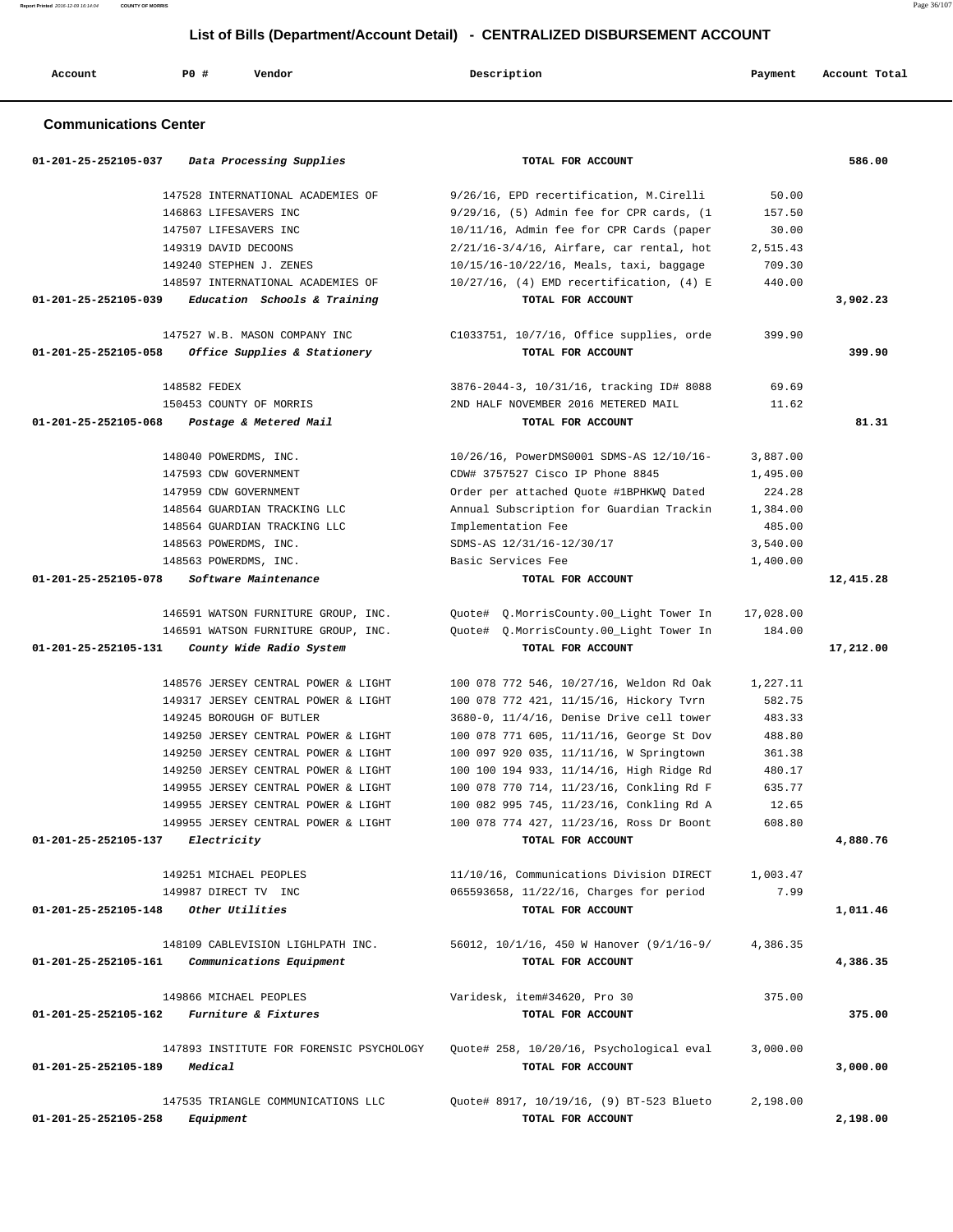**Report Printed** 2016-12-09 16:14:04 **COUNTY OF MORRIS** Page 36/107

# **List of Bills (Department/Account Detail) - CENTRALIZED DISBURSEMENT ACCOUNT**

| Account | <b>PO #</b> | Vendor | Description | Payment | Account Total |
|---------|-------------|--------|-------------|---------|---------------|
|         |             |        |             |         |               |

# **Communications Center**

| 01-201-25-252105-037           | Data Processing Supplies                 | TOTAL FOR ACCOUNT                              |           | 586.00    |
|--------------------------------|------------------------------------------|------------------------------------------------|-----------|-----------|
|                                | 147528 INTERNATIONAL ACADEMIES OF        | 9/26/16, EPD recertification, M.Cirelli        | 50.00     |           |
|                                | 146863 LIFESAVERS INC                    | $9/29/16$ , (5) Admin fee for CPR cards, (1    | 157.50    |           |
|                                | 147507 LIFESAVERS INC                    | 10/11/16, Admin fee for CPR Cards (paper       | 30.00     |           |
|                                | 149319 DAVID DECOONS                     | $2/21/16-3/4/16$ , Airfare, car rental, hot    | 2,515.43  |           |
|                                | 149240 STEPHEN J. ZENES                  | 10/15/16-10/22/16, Meals, taxi, baggage        | 709.30    |           |
|                                | 148597 INTERNATIONAL ACADEMIES OF        | $10/27/16$ , (4) EMD recertification, (4) E    | 440.00    |           |
| 01-201-25-252105-039           | Education Schools & Training             | TOTAL FOR ACCOUNT                              |           | 3,902.23  |
|                                | 147527 W.B. MASON COMPANY INC            | C1033751, 10/7/16, Office supplies, orde       | 399.90    |           |
| 01-201-25-252105-058           | Office Supplies & Stationery             | TOTAL FOR ACCOUNT                              |           | 399.90    |
|                                | 148582 FEDEX                             | 3876-2044-3, 10/31/16, tracking ID# 8088       | 69.69     |           |
|                                | 150453 COUNTY OF MORRIS                  | 2ND HALF NOVEMBER 2016 METERED MAIL            | 11.62     |           |
| 01-201-25-252105-068           | Postage & Metered Mail                   | TOTAL FOR ACCOUNT                              |           | 81.31     |
|                                | 148040 POWERDMS, INC.                    | 10/26/16, PowerDMS0001 SDMS-AS 12/10/16-       | 3,887.00  |           |
|                                | 147593 CDW GOVERNMENT                    | CDW# 3757527 Cisco IP Phone 8845               | 1,495.00  |           |
|                                | 147959 CDW GOVERNMENT                    | Order per attached Quote #1BPHKWQ Dated        | 224.28    |           |
|                                | 148564 GUARDIAN TRACKING LLC             | Annual Subscription for Guardian Trackin       | 1,384.00  |           |
|                                | 148564 GUARDIAN TRACKING LLC             | Implementation Fee                             | 485.00    |           |
|                                | 148563 POWERDMS, INC.                    | SDMS-AS 12/31/16-12/30/17                      | 3,540.00  |           |
|                                | 148563 POWERDMS, INC.                    | Basic Services Fee                             | 1,400.00  |           |
| 01-201-25-252105-078           | Software Maintenance                     | TOTAL FOR ACCOUNT                              |           | 12,415.28 |
|                                |                                          |                                                |           |           |
|                                | 146591 WATSON FURNITURE GROUP, INC.      | Quote# Q.MorrisCounty.00_Light Tower In        | 17,028.00 |           |
|                                | 146591 WATSON FURNITURE GROUP, INC.      | Quote# Q.MorrisCounty.00_Light Tower In        | 184.00    |           |
| 01-201-25-252105-131           | County Wide Radio System                 | TOTAL FOR ACCOUNT                              |           | 17,212.00 |
|                                | 148576 JERSEY CENTRAL POWER & LIGHT      | 100 078 772 546, 10/27/16, Weldon Rd Oak       | 1,227.11  |           |
|                                | 149317 JERSEY CENTRAL POWER & LIGHT      | 100 078 772 421, 11/15/16, Hickory Tvrn        | 582.75    |           |
|                                | 149245 BOROUGH OF BUTLER                 | $3680-0$ , $11/4/16$ , Denise Drive cell tower | 483.33    |           |
|                                | 149250 JERSEY CENTRAL POWER & LIGHT      | 100 078 771 605, 11/11/16, George St Dov       | 488.80    |           |
|                                | 149250 JERSEY CENTRAL POWER & LIGHT      | 100 097 920 035, 11/11/16, W Springtown        | 361.38    |           |
|                                | 149250 JERSEY CENTRAL POWER & LIGHT      | 100 100 194 933, 11/14/16, High Ridge Rd       | 480.17    |           |
|                                | 149955 JERSEY CENTRAL POWER & LIGHT      | 100 078 770 714, 11/23/16, Conkling Rd F       | 635.77    |           |
|                                | 149955 JERSEY CENTRAL POWER & LIGHT      | 100 082 995 745, 11/23/16, Conkling Rd A       | 12.65     |           |
|                                | 149955 JERSEY CENTRAL POWER & LIGHT      | 100 078 774 427, 11/23/16, Ross Dr Boont       | 608.80    |           |
| 01-201-25-252105-137           | Electricity                              | TOTAL FOR ACCOUNT                              |           | 4,880.76  |
|                                | 149251 MICHAEL PEOPLES                   | 11/10/16, Communications Division DIRECT       | 1,003.47  |           |
|                                | 149987 DIRECT TV INC                     | 065593658, 11/22/16, Charges for period        | 7.99      |           |
| $01 - 201 - 25 - 252105 - 148$ | Other Utilities                          | TOTAL FOR ACCOUNT                              |           | 1,011.46  |
|                                | 148109 CABLEVISION LIGHLPATH INC.        | 56012, 10/1/16, 450 W Hanover (9/1/16-9/       | 4,386.35  |           |
| 01-201-25-252105-161           | Communications Equipment                 | TOTAL FOR ACCOUNT                              |           | 4,386.35  |
|                                | 149866 MICHAEL PEOPLES                   | Varidesk, item#34620, Pro 30                   | 375.00    |           |
| $01 - 201 - 25 - 252105 - 162$ | Furniture & Fixtures                     | TOTAL FOR ACCOUNT                              |           | 375.00    |
|                                |                                          |                                                |           |           |
|                                | 147893 INSTITUTE FOR FORENSIC PSYCHOLOGY | Quote# 258, 10/20/16, Psychological eval       | 3,000.00  |           |
| 01-201-25-252105-189           | Medical                                  | TOTAL FOR ACCOUNT                              |           | 3,000.00  |
|                                | 147535 TRIANGLE COMMUNICATIONS LLC       | Quote# 8917, 10/19/16, (9) BT-523 Blueto       | 2,198.00  |           |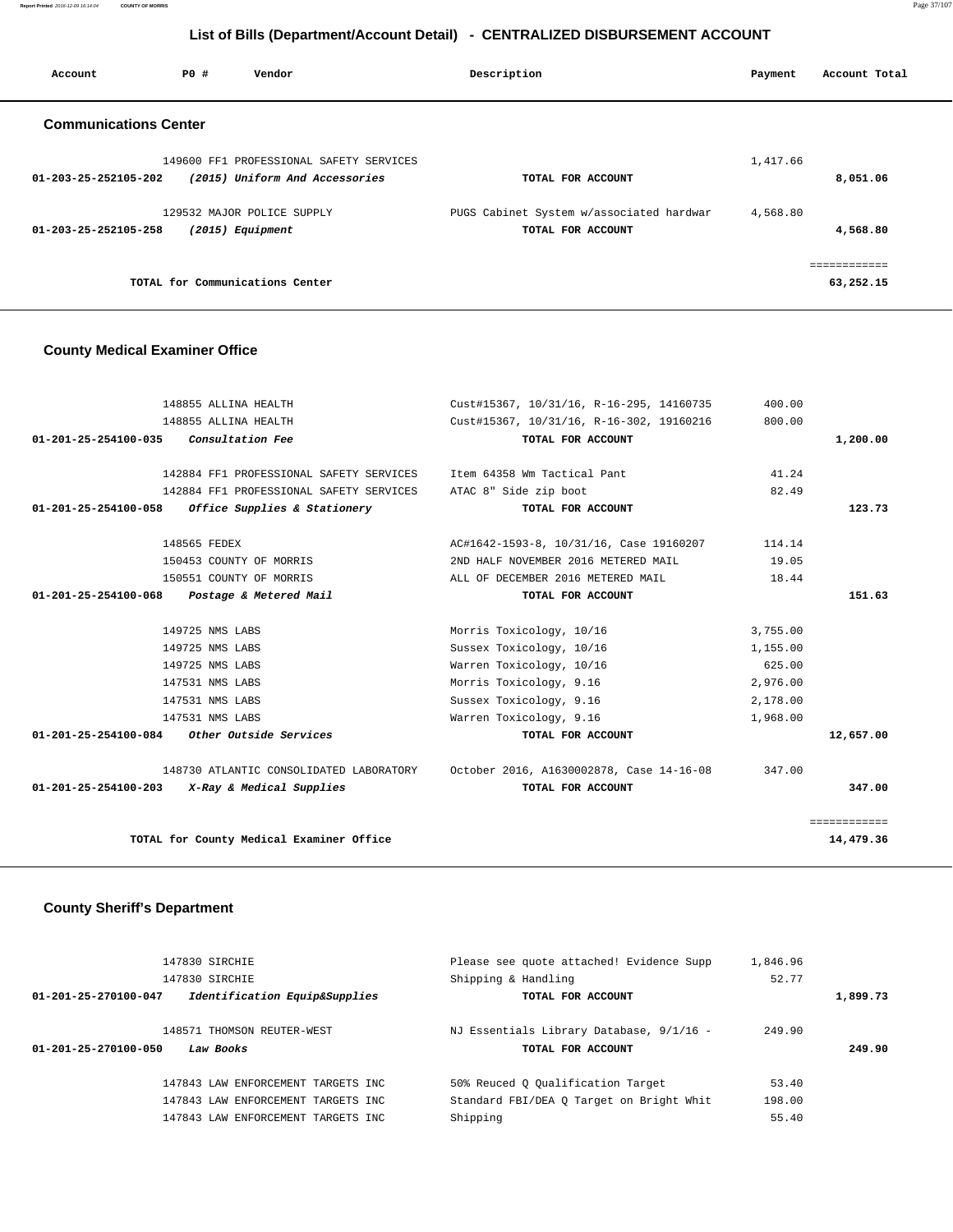**Report Printed** 2016-12-09 16:14:04 **COUNTY OF MORRIS** Page 37/107

## **List of Bills (Department/Account Detail) - CENTRALIZED DISBURSEMENT ACCOUNT**

| Account                      | PO# | Vendor                                                                    | Description                                                   | Payment  | Account Total             |
|------------------------------|-----|---------------------------------------------------------------------------|---------------------------------------------------------------|----------|---------------------------|
| <b>Communications Center</b> |     |                                                                           |                                                               |          |                           |
| 01-203-25-252105-202         |     | 149600 FF1 PROFESSIONAL SAFETY SERVICES<br>(2015) Uniform And Accessories | TOTAL FOR ACCOUNT                                             | 1,417.66 | 8,051.06                  |
| 01-203-25-252105-258         |     | 129532 MAJOR POLICE SUPPLY<br>(2015) Equipment                            | PUGS Cabinet System w/associated hardwar<br>TOTAL FOR ACCOUNT | 4,568.80 | 4,568.80                  |
|                              |     | TOTAL for Communications Center                                           |                                                               |          | ------------<br>63,252.15 |

## **County Medical Examiner Office**

| 148855 ALLINA HEALTH                                            | Cust#15367, 10/31/16, R-16-295, 14160735 | 400.00   |              |
|-----------------------------------------------------------------|------------------------------------------|----------|--------------|
| 148855 ALLINA HEALTH                                            | Cust#15367, 10/31/16, R-16-302, 19160216 | 800.00   |              |
| Consultation Fee<br>01-201-25-254100-035                        | TOTAL FOR ACCOUNT                        |          | 1,200.00     |
|                                                                 |                                          |          |              |
| 142884 FF1 PROFESSIONAL SAFETY SERVICES                         | Item 64358 Wm Tactical Pant              | 41.24    |              |
| 142884 FF1 PROFESSIONAL SAFETY SERVICES                         | ATAC 8" Side zip boot                    | 82.49    |              |
| 01-201-25-254100-058<br><i>Office Supplies &amp; Stationery</i> | TOTAL FOR ACCOUNT                        |          | 123.73       |
| 148565 FEDEX                                                    | AC#1642-1593-8, 10/31/16, Case 19160207  | 114.14   |              |
| 150453 COUNTY OF MORRIS                                         | 2ND HALF NOVEMBER 2016 METERED MAIL      | 19.05    |              |
| 150551 COUNTY OF MORRIS                                         | ALL OF DECEMBER 2016 METERED MAIL        | 18.44    |              |
| 01-201-25-254100-068 Postage & Metered Mail                     | TOTAL FOR ACCOUNT                        |          | 151.63       |
|                                                                 |                                          |          |              |
| 149725 NMS LABS                                                 | Morris Toxicology, 10/16                 | 3,755.00 |              |
| 149725 NMS LABS                                                 | Sussex Toxicology, 10/16                 | 1,155.00 |              |
| 149725 NMS LABS                                                 | Warren Toxicology, 10/16                 | 625.00   |              |
| 147531 NMS LABS                                                 | Morris Toxicology, 9.16                  | 2,976.00 |              |
| 147531 NMS LABS                                                 | Sussex Toxicology, 9.16                  | 2,178.00 |              |
| 147531 NMS LABS                                                 | Warren Toxicology, 9.16                  | 1,968.00 |              |
| 01-201-25-254100-084 Other Outside Services                     | TOTAL FOR ACCOUNT                        |          | 12,657.00    |
| 148730 ATLANTIC CONSOLIDATED LABORATORY                         | October 2016, A1630002878, Case 14-16-08 | 347.00   |              |
| $01 - 201 - 25 - 254100 - 203$<br>X-Ray & Medical Supplies      | TOTAL FOR ACCOUNT                        |          | 347.00       |
|                                                                 |                                          |          | ============ |
| TOTAL for County Medical Examiner Office                        |                                          |          | 14,479.36    |
|                                                                 |                                          |          |              |

## **County Sheriff's Department**

| 147830 SIRCHIE                                                  | Please see quote attached! Evidence Supp                      | 1,846.96 |          |
|-----------------------------------------------------------------|---------------------------------------------------------------|----------|----------|
| 147830 SIRCHIE                                                  | Shipping & Handling                                           | 52.77    |          |
| Identification Equip&Supplies<br>01-201-25-270100-047           | TOTAL FOR ACCOUNT                                             |          | 1,899.73 |
| 148571 THOMSON REUTER-WEST<br>01-201-25-270100-050<br>Law Books | NJ Essentials Library Database, 9/1/16 -<br>TOTAL FOR ACCOUNT | 249.90   | 249.90   |
| 147843 LAW ENFORCEMENT TARGETS INC                              | 50% Reuced O Oualification Target                             | 53.40    |          |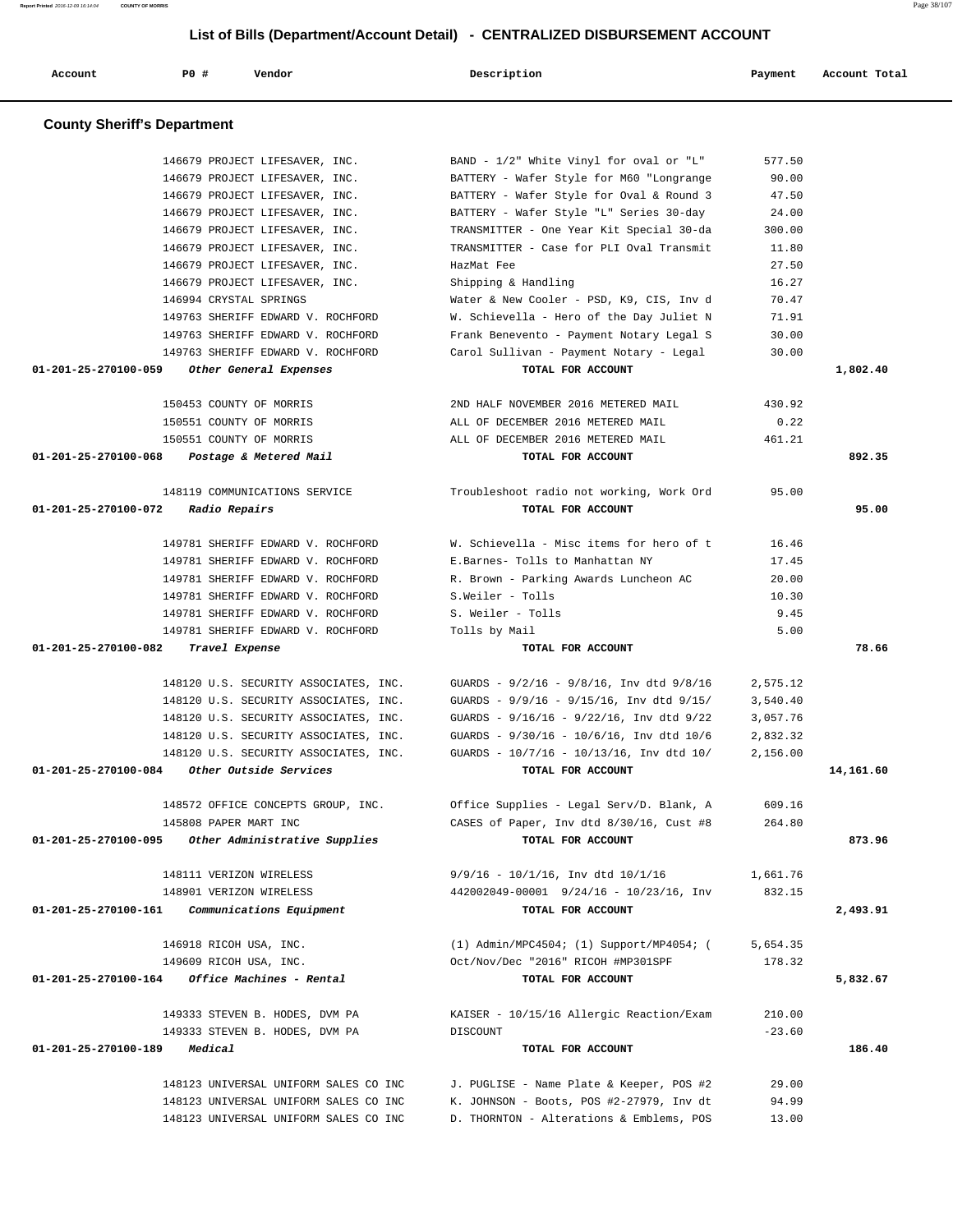| <b>County Sheriff's Department</b>                 |                                                                                      |                    |           |
|----------------------------------------------------|--------------------------------------------------------------------------------------|--------------------|-----------|
| 146679 PROJECT LIFESAVER, INC.                     | BAND - 1/2" White Vinyl for oval or "L"                                              | 577.50             |           |
| 146679 PROJECT LIFESAVER, INC.                     | BATTERY - Wafer Style for M60 "Longrange                                             | 90.00              |           |
| 146679 PROJECT LIFESAVER, INC.                     | BATTERY - Wafer Style for Oval & Round 3                                             | 47.50              |           |
| 146679 PROJECT LIFESAVER, INC.                     | BATTERY - Wafer Style "L" Series 30-day                                              | 24.00              |           |
| 146679 PROJECT LIFESAVER, INC.                     | TRANSMITTER - One Year Kit Special 30-da                                             | 300.00             |           |
| 146679 PROJECT LIFESAVER, INC.                     | TRANSMITTER - Case for PLI Oval Transmit                                             | 11.80              |           |
| 146679 PROJECT LIFESAVER, INC.                     | HazMat Fee                                                                           | 27.50              |           |
| 146679 PROJECT LIFESAVER, INC.                     | Shipping & Handling                                                                  | 16.27              |           |
| 146994 CRYSTAL SPRINGS                             | Water & New Cooler - PSD, K9, CIS, Inv d                                             | 70.47              |           |
| 149763 SHERIFF EDWARD V. ROCHFORD                  | W. Schievella - Hero of the Day Juliet N                                             | 71.91              |           |
| 149763 SHERIFF EDWARD V. ROCHFORD                  | Frank Benevento - Payment Notary Legal S                                             | 30.00              |           |
| 149763 SHERIFF EDWARD V. ROCHFORD                  | Carol Sullivan - Payment Notary - Legal                                              | 30.00              |           |
| 01-201-25-270100-059<br>Other General Expenses     | TOTAL FOR ACCOUNT                                                                    |                    | 1,802.40  |
| 150453 COUNTY OF MORRIS                            | 2ND HALF NOVEMBER 2016 METERED MAIL                                                  | 430.92             |           |
| 150551 COUNTY OF MORRIS                            | ALL OF DECEMBER 2016 METERED MAIL                                                    | 0.22               |           |
| 150551 COUNTY OF MORRIS                            | ALL OF DECEMBER 2016 METERED MAIL                                                    | 461.21             |           |
| 01-201-25-270100-068<br>Postage & Metered Mail     | TOTAL FOR ACCOUNT                                                                    |                    | 892.35    |
| 148119 COMMUNICATIONS SERVICE                      | Troubleshoot radio not working, Work Ord                                             | 95.00              |           |
| 01-201-25-270100-072<br><i>Radio Repairs</i>       | TOTAL FOR ACCOUNT                                                                    |                    | 95.00     |
|                                                    |                                                                                      |                    |           |
| 149781 SHERIFF EDWARD V. ROCHFORD                  | W. Schievella - Misc items for hero of t                                             | 16.46              |           |
| 149781 SHERIFF EDWARD V. ROCHFORD                  | E.Barnes- Tolls to Manhattan NY                                                      | 17.45              |           |
| 149781 SHERIFF EDWARD V. ROCHFORD                  | R. Brown - Parking Awards Luncheon AC                                                | 20.00              |           |
| 149781 SHERIFF EDWARD V. ROCHFORD                  | S.Weiler - Tolls                                                                     | 10.30              |           |
| 149781 SHERIFF EDWARD V. ROCHFORD                  | S. Weiler - Tolls                                                                    | 9.45               |           |
| 149781 SHERIFF EDWARD V. ROCHFORD                  | Tolls by Mail                                                                        | 5.00               |           |
| 01-201-25-270100-082<br>Travel Expense             | TOTAL FOR ACCOUNT                                                                    |                    | 78.66     |
| 148120 U.S. SECURITY ASSOCIATES, INC.              | GUARDS - 9/2/16 - 9/8/16, Inv dtd 9/8/16                                             | 2,575.12           |           |
| 148120 U.S. SECURITY ASSOCIATES, INC.              | GUARDS - $9/9/16$ - $9/15/16$ , Inv dtd $9/15/$                                      | 3,540.40           |           |
| 148120 U.S. SECURITY ASSOCIATES, INC.              | GUARDS - 9/16/16 - 9/22/16, Inv dtd 9/22                                             | 3,057.76           |           |
| 148120 U.S. SECURITY ASSOCIATES, INC.              | GUARDS - 9/30/16 - 10/6/16, Inv dtd 10/6                                             | 2,832.32           |           |
| 148120 U.S. SECURITY ASSOCIATES, INC.              | GUARDS - 10/7/16 - 10/13/16, Inv dtd 10/                                             | 2,156.00           |           |
| Other Outside Services<br>01-201-25-270100-084     | TOTAL FOR ACCOUNT                                                                    |                    | 14,161.60 |
| 148572 OFFICE CONCEPTS GROUP, INC.                 | Office Supplies - Legal Serv/D. Blank, A                                             | 609.16             |           |
| 145808 PAPER MART INC                              | CASES of Paper, Inv dtd 8/30/16, Cust #8                                             | 264.80             |           |
| 01-201-25-270100-095 Other Administrative Supplies | TOTAL FOR ACCOUNT                                                                    |                    | 873.96    |
| 148111 VERIZON WIRELESS                            | $9/9/16$ - $10/1/16$ , Inv dtd $10/1/16$                                             | 1,661.76           |           |
| 148901 VERIZON WIRELESS                            | 442002049-00001 9/24/16 - 10/23/16, Inv                                              | 832.15             |           |
| Communications Equipment<br>01-201-25-270100-161   | TOTAL FOR ACCOUNT                                                                    |                    | 2,493.91  |
|                                                    |                                                                                      |                    |           |
| 146918 RICOH USA, INC.<br>149609 RICOH USA, INC.   | $(1)$ Admin/MPC4504; $(1)$ Support/MP4054; $($<br>Oct/Nov/Dec "2016" RICOH #MP301SPF | 5,654.35<br>178.32 |           |
| Office Machines - Rental<br>01-201-25-270100-164   | TOTAL FOR ACCOUNT                                                                    |                    | 5,832.67  |
| 149333 STEVEN B. HODES, DVM PA                     | KAISER - 10/15/16 Allergic Reaction/Exam                                             | 210.00             |           |
| 149333 STEVEN B. HODES, DVM PA                     | DISCOUNT                                                                             | $-23.60$           |           |
| Medical<br>01-201-25-270100-189                    | TOTAL FOR ACCOUNT                                                                    |                    | 186.40    |
|                                                    |                                                                                      |                    |           |
| 148123 UNIVERSAL UNIFORM SALES CO INC              | J. PUGLISE - Name Plate & Keeper, POS #2                                             | 29.00              |           |
| 148123 UNIVERSAL UNIFORM SALES CO INC              | K. JOHNSON - Boots, POS #2-27979, Inv dt                                             | 94.99              |           |
| 148123 UNIVERSAL UNIFORM SALES CO INC              | D. THORNTON - Alterations & Emblems, POS                                             | 13.00              |           |

 **Account P0 # Vendor Description Payment Account Total**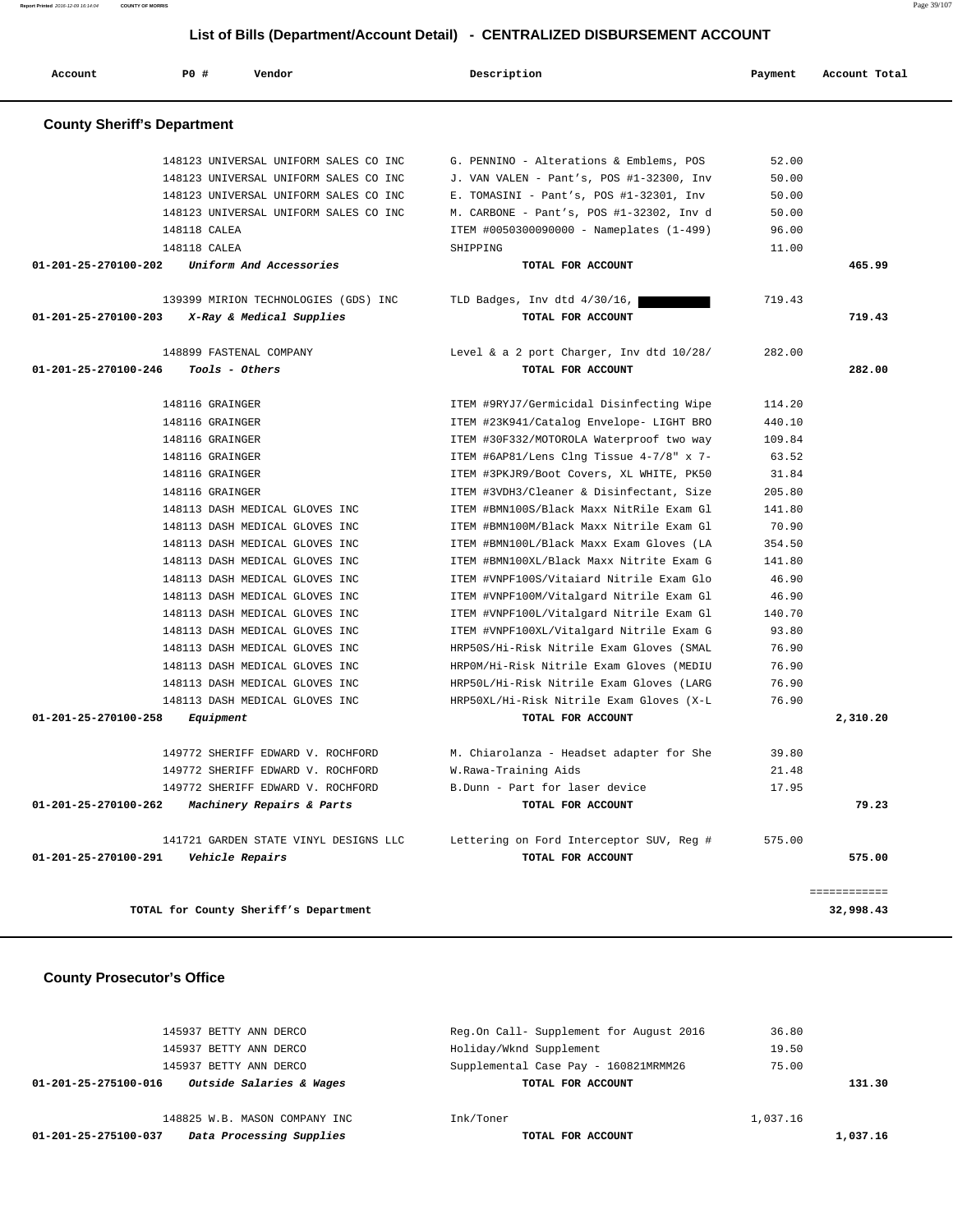**Report Printed** 2016-12-09 16:14:04 **COUNTY OF MORRIS** Page 39/107

# **List of Bills (Department/Account Detail) - CENTRALIZED DISBURSEMENT ACCOUNT**

| Account                        | PO#                                | Vendor                                | Description                              | Payment | Account Total |
|--------------------------------|------------------------------------|---------------------------------------|------------------------------------------|---------|---------------|
|                                | <b>County Sheriff's Department</b> |                                       |                                          |         |               |
|                                |                                    | 148123 UNIVERSAL UNIFORM SALES CO INC | G. PENNINO - Alterations & Emblems, POS  | 52.00   |               |
|                                |                                    | 148123 UNIVERSAL UNIFORM SALES CO INC | J. VAN VALEN - Pant's, POS #1-32300, Inv | 50.00   |               |
|                                |                                    | 148123 UNIVERSAL UNIFORM SALES CO INC | E. TOMASINI - Pant's, POS #1-32301, Inv  | 50.00   |               |
|                                |                                    | 148123 UNIVERSAL UNIFORM SALES CO INC | M. CARBONE - Pant's, POS #1-32302, Inv d | 50.00   |               |
|                                | 148118 CALEA                       |                                       | ITEM #0050300090000 - Nameplates (1-499) | 96.00   |               |
|                                | 148118 CALEA                       |                                       | SHIPPING                                 | 11.00   |               |
| 01-201-25-270100-202           |                                    | Uniform And Accessories               | TOTAL FOR ACCOUNT                        |         | 465.99        |
|                                |                                    | 139399 MIRION TECHNOLOGIES (GDS) INC  | TLD Badges, Inv dtd 4/30/16,             | 719.43  |               |
| 01-201-25-270100-203           |                                    | X-Ray & Medical Supplies              | TOTAL FOR ACCOUNT                        |         | 719.43        |
|                                |                                    | 148899 FASTENAL COMPANY               | Level & a 2 port Charger, Inv dtd 10/28/ | 282.00  |               |
| $01 - 201 - 25 - 270100 - 246$ |                                    | Tools - Others                        | TOTAL FOR ACCOUNT                        |         | 282.00        |
|                                | 148116 GRAINGER                    |                                       | ITEM #9RYJ7/Germicidal Disinfecting Wipe | 114.20  |               |
|                                | 148116 GRAINGER                    |                                       | ITEM #23K941/Catalog Envelope- LIGHT BRO | 440.10  |               |
|                                | 148116 GRAINGER                    |                                       | ITEM #30F332/MOTOROLA Waterproof two way | 109.84  |               |
|                                | 148116 GRAINGER                    |                                       | ITEM #6AP81/Lens Clng Tissue 4-7/8" x 7- | 63.52   |               |
|                                | 148116 GRAINGER                    |                                       | ITEM #3PKJR9/Boot Covers, XL WHITE, PK50 | 31.84   |               |
|                                | 148116 GRAINGER                    |                                       | ITEM #3VDH3/Cleaner & Disinfectant, Size | 205.80  |               |
|                                |                                    | 148113 DASH MEDICAL GLOVES INC        | ITEM #BMN100S/Black Maxx NitRile Exam Gl | 141.80  |               |
|                                |                                    | 148113 DASH MEDICAL GLOVES INC        | ITEM #BMN100M/Black Maxx Nitrile Exam Gl | 70.90   |               |
|                                |                                    | 148113 DASH MEDICAL GLOVES INC        | ITEM #BMN100L/Black Maxx Exam Gloves (LA | 354.50  |               |
|                                |                                    | 148113 DASH MEDICAL GLOVES INC        | ITEM #BMN100XL/Black Maxx Nitrite Exam G | 141.80  |               |
|                                |                                    | 148113 DASH MEDICAL GLOVES INC        | ITEM #VNPF100S/Vitaiard Nitrile Exam Glo | 46.90   |               |
|                                |                                    | 148113 DASH MEDICAL GLOVES INC        | ITEM #VNPF100M/Vitalgard Nitrile Exam Gl | 46.90   |               |
|                                |                                    | 148113 DASH MEDICAL GLOVES INC        | ITEM #VNPF100L/Vitalgard Nitrile Exam Gl | 140.70  |               |
|                                |                                    | 148113 DASH MEDICAL GLOVES INC        | ITEM #VNPF100XL/Vitalgard Nitrile Exam G | 93.80   |               |
|                                |                                    | 148113 DASH MEDICAL GLOVES INC        | HRP50S/Hi-Risk Nitrile Exam Gloves (SMAL | 76.90   |               |
|                                |                                    | 148113 DASH MEDICAL GLOVES INC        | HRPOM/Hi-Risk Nitrile Exam Gloves (MEDIU | 76.90   |               |
|                                |                                    | 148113 DASH MEDICAL GLOVES INC        | HRP50L/Hi-Risk Nitrile Exam Gloves (LARG | 76.90   |               |
|                                |                                    | 148113 DASH MEDICAL GLOVES INC        | HRP50XL/Hi-Risk Nitrile Exam Gloves (X-L | 76.90   |               |
| 01-201-25-270100-258           | Equipment                          |                                       | TOTAL FOR ACCOUNT                        |         | 2,310.20      |
|                                |                                    | 149772 SHERIFF EDWARD V. ROCHFORD     | M. Chiarolanza - Headset adapter for She | 39.80   |               |
|                                |                                    | 149772 SHERIFF EDWARD V. ROCHFORD     | W.Rawa-Training Aids                     | 21.48   |               |
|                                |                                    | 149772 SHERIFF EDWARD V. ROCHFORD     | B.Dunn - Part for laser device           | 17.95   |               |
| 01-201-25-270100-262           |                                    | Machinery Repairs & Parts             | TOTAL FOR ACCOUNT                        |         | 79.23         |
|                                |                                    | 141721 GARDEN STATE VINYL DESIGNS LLC | Lettering on Ford Interceptor SUV, Reg # | 575.00  |               |
| 01-201-25-270100-291           |                                    | Vehicle Repairs                       | TOTAL FOR ACCOUNT                        |         | 575.00        |
|                                |                                    |                                       |                                          |         | ============  |
|                                |                                    | TOTAL for County Sheriff's Department |                                          |         | 32,998.43     |

 **County Prosecutor's Office**

| Data Processing Supplies<br>01-201-25-275100-037 | TOTAL FOR ACCOUNT                       | 1,037.16 |
|--------------------------------------------------|-----------------------------------------|----------|
| 148825 W.B. MASON COMPANY INC                    | Ink/Toner                               | 1,037.16 |
| Outside Salaries & Wages<br>01-201-25-275100-016 | TOTAL FOR ACCOUNT                       | 131.30   |
| 145937 BETTY ANN DERCO                           | Supplemental Case Pay - 160821MRMM26    | 75.00    |
| 145937 BETTY ANN DERCO                           | Holiday/Wknd Supplement                 | 19.50    |
| 145937 BETTY ANN DERCO                           | Reg.On Call- Supplement for August 2016 | 36.80    |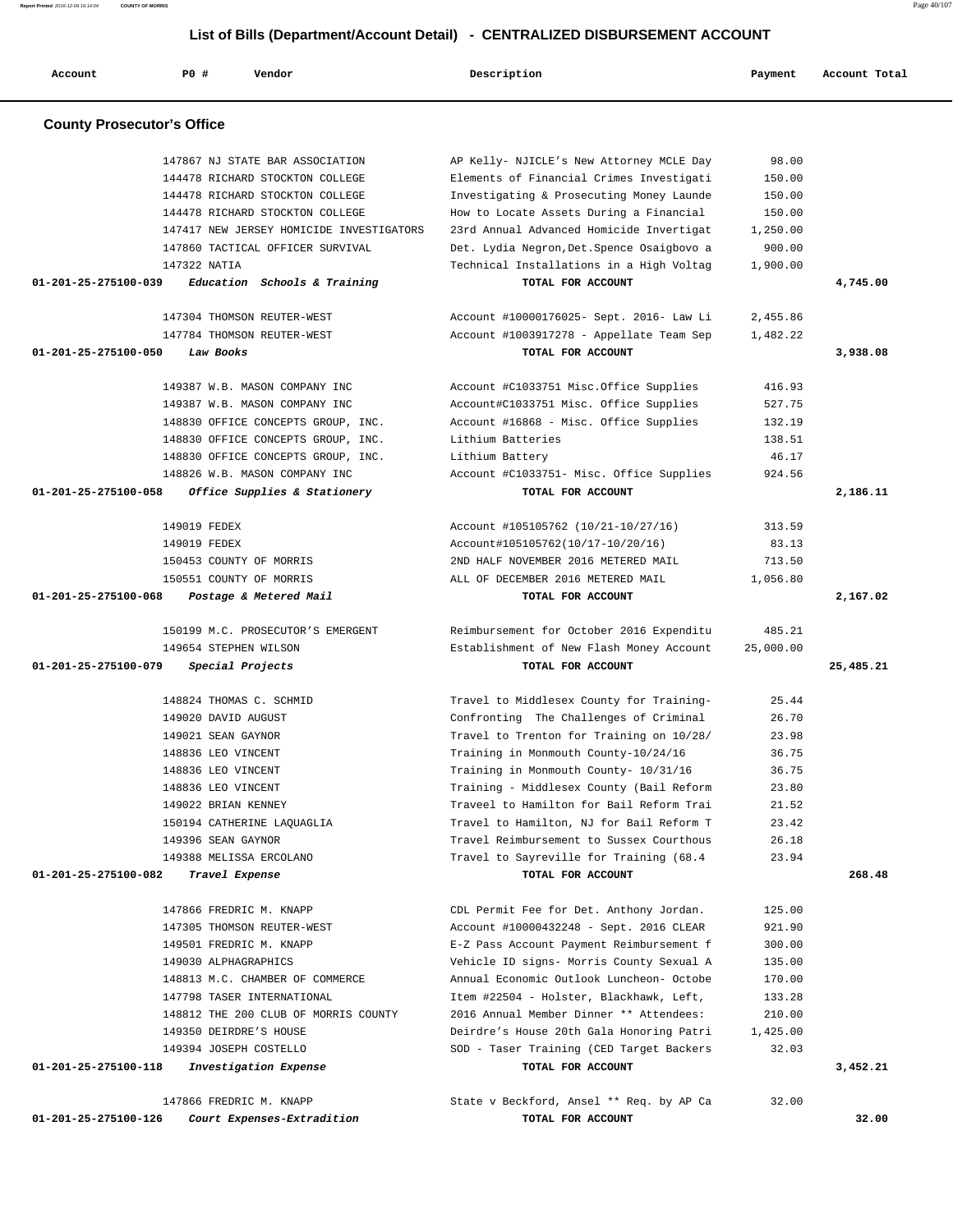**Report Printed** 2016-12-09 16:14:04 **COUNTY OF MORRIS** Page 40/107

# **List of Bills (Department/Account Detail) - CENTRALIZED DISBURSEMENT ACCOUNT**

| Account                           | PO#                   | Vendor                                   | Description                                                                          | Payment        | Account Total |
|-----------------------------------|-----------------------|------------------------------------------|--------------------------------------------------------------------------------------|----------------|---------------|
| <b>County Prosecutor's Office</b> |                       |                                          |                                                                                      |                |               |
|                                   |                       | 147867 NJ STATE BAR ASSOCIATION          | AP Kelly- NJICLE's New Attorney MCLE Day                                             | 98.00          |               |
|                                   |                       | 144478 RICHARD STOCKTON COLLEGE          | Elements of Financial Crimes Investigati                                             | 150.00         |               |
|                                   |                       | 144478 RICHARD STOCKTON COLLEGE          | Investigating & Prosecuting Money Launde                                             | 150.00         |               |
|                                   |                       | 144478 RICHARD STOCKTON COLLEGE          | How to Locate Assets During a Financial                                              | 150.00         |               |
|                                   |                       | 147417 NEW JERSEY HOMICIDE INVESTIGATORS | 23rd Annual Advanced Homicide Invertigat                                             | 1,250.00       |               |
|                                   |                       | 147860 TACTICAL OFFICER SURVIVAL         | Det. Lydia Negron, Det. Spence Osaigbovo a                                           | 900.00         |               |
|                                   | 147322 NATIA          |                                          | Technical Installations in a High Voltag                                             | 1,900.00       |               |
| 01-201-25-275100-039              |                       | Education Schools & Training             | TOTAL FOR ACCOUNT                                                                    |                | 4,745.00      |
|                                   |                       | 147304 THOMSON REUTER-WEST               | Account #10000176025- Sept. 2016- Law Li                                             | 2,455.86       |               |
|                                   |                       | 147784 THOMSON REUTER-WEST               | Account #1003917278 - Appellate Team Sep                                             | 1,482.22       |               |
| 01-201-25-275100-050              | Law Books             |                                          | TOTAL FOR ACCOUNT                                                                    |                | 3,938.08      |
|                                   |                       | 149387 W.B. MASON COMPANY INC            | Account #C1033751 Misc.Office Supplies                                               | 416.93         |               |
|                                   |                       | 149387 W.B. MASON COMPANY INC            | Account#C1033751 Misc. Office Supplies                                               | 527.75         |               |
|                                   |                       | 148830 OFFICE CONCEPTS GROUP, INC.       | Account #16868 - Misc. Office Supplies                                               | 132.19         |               |
|                                   |                       | 148830 OFFICE CONCEPTS GROUP, INC.       | Lithium Batteries                                                                    | 138.51         |               |
|                                   |                       | 148830 OFFICE CONCEPTS GROUP, INC.       | Lithium Battery                                                                      | 46.17          |               |
| 01-201-25-275100-058              |                       | 148826 W.B. MASON COMPANY INC            | Account #C1033751- Misc. Office Supplies                                             | 924.56         |               |
|                                   |                       | Office Supplies & Stationery             | TOTAL FOR ACCOUNT                                                                    |                | 2,186.11      |
|                                   | 149019 FEDEX          |                                          | Account #105105762 (10/21-10/27/16)                                                  | 313.59         |               |
|                                   | 149019 FEDEX          |                                          | Account#105105762(10/17-10/20/16)                                                    | 83.13          |               |
|                                   |                       | 150453 COUNTY OF MORRIS                  | 2ND HALF NOVEMBER 2016 METERED MAIL                                                  | 713.50         |               |
|                                   |                       | 150551 COUNTY OF MORRIS                  | ALL OF DECEMBER 2016 METERED MAIL                                                    | 1,056.80       |               |
| 01-201-25-275100-068              |                       | Postage & Metered Mail                   | TOTAL FOR ACCOUNT                                                                    |                | 2,167.02      |
|                                   |                       | 150199 M.C. PROSECUTOR'S EMERGENT        | Reimbursement for October 2016 Expenditu                                             | 485.21         |               |
|                                   | 149654 STEPHEN WILSON |                                          | Establishment of New Flash Money Account                                             | 25,000.00      |               |
| 01-201-25-275100-079              |                       | Special Projects                         | TOTAL FOR ACCOUNT                                                                    |                | 25,485.21     |
|                                   |                       | 148824 THOMAS C. SCHMID                  | Travel to Middlesex County for Training-                                             | 25.44          |               |
|                                   | 149020 DAVID AUGUST   |                                          | Confronting The Challenges of Criminal                                               | 26.70          |               |
|                                   | 149021 SEAN GAYNOR    |                                          | Travel to Trenton for Training on 10/28/                                             | 23.98          |               |
|                                   | 148836 LEO VINCENT    |                                          | Training in Monmouth County-10/24/16                                                 | 36.75          |               |
|                                   | 148836 LEO VINCENT    |                                          | Training in Monmouth County- 10/31/16                                                | 36.75          |               |
|                                   | 148836 LEO VINCENT    |                                          | Training - Middlesex County (Bail Reform<br>Traveel to Hamilton for Bail Reform Trai | 23.80          |               |
|                                   | 149022 BRIAN KENNEY   | 150194 CATHERINE LAQUAGLIA               | Travel to Hamilton, NJ for Bail Reform T                                             | 21.52<br>23.42 |               |
|                                   | 149396 SEAN GAYNOR    |                                          | Travel Reimbursement to Sussex Courthous                                             | 26.18          |               |
|                                   |                       | 149388 MELISSA ERCOLANO                  | Travel to Sayreville for Training (68.4                                              | 23.94          |               |
| 01-201-25-275100-082              |                       | Travel Expense                           | TOTAL FOR ACCOUNT                                                                    |                | 268.48        |
|                                   |                       | 147866 FREDRIC M. KNAPP                  | CDL Permit Fee for Det. Anthony Jordan.                                              | 125.00         |               |
|                                   |                       | 147305 THOMSON REUTER-WEST               | Account #10000432248 - Sept. 2016 CLEAR                                              | 921.90         |               |
|                                   |                       | 149501 FREDRIC M. KNAPP                  | E-Z Pass Account Payment Reimbursement f                                             | 300.00         |               |
|                                   | 149030 ALPHAGRAPHICS  |                                          | Vehicle ID signs- Morris County Sexual A                                             | 135.00         |               |
|                                   |                       | 148813 M.C. CHAMBER OF COMMERCE          | Annual Economic Outlook Luncheon- Octobe                                             | 170.00         |               |
|                                   |                       | 147798 TASER INTERNATIONAL               | Item #22504 - Holster, Blackhawk, Left,                                              | 133.28         |               |
|                                   |                       | 148812 THE 200 CLUB OF MORRIS COUNTY     | 2016 Annual Member Dinner ** Attendees:                                              | 210.00         |               |
|                                   |                       | 149350 DEIRDRE'S HOUSE                   | Deirdre's House 20th Gala Honoring Patri                                             | 1,425.00       |               |
|                                   |                       | 149394 JOSEPH COSTELLO                   | SOD - Taser Training (CED Target Backers                                             | 32.03          |               |
| 01-201-25-275100-118              |                       | Investigation Expense                    | TOTAL FOR ACCOUNT                                                                    |                | 3,452.21      |
|                                   |                       | 147866 FREDRIC M. KNAPP                  | State v Beckford, Ansel ** Req. by AP Ca                                             | 32.00          |               |
| 01-201-25-275100-126              |                       | Court Expenses-Extradition               | TOTAL FOR ACCOUNT                                                                    |                | 32.00         |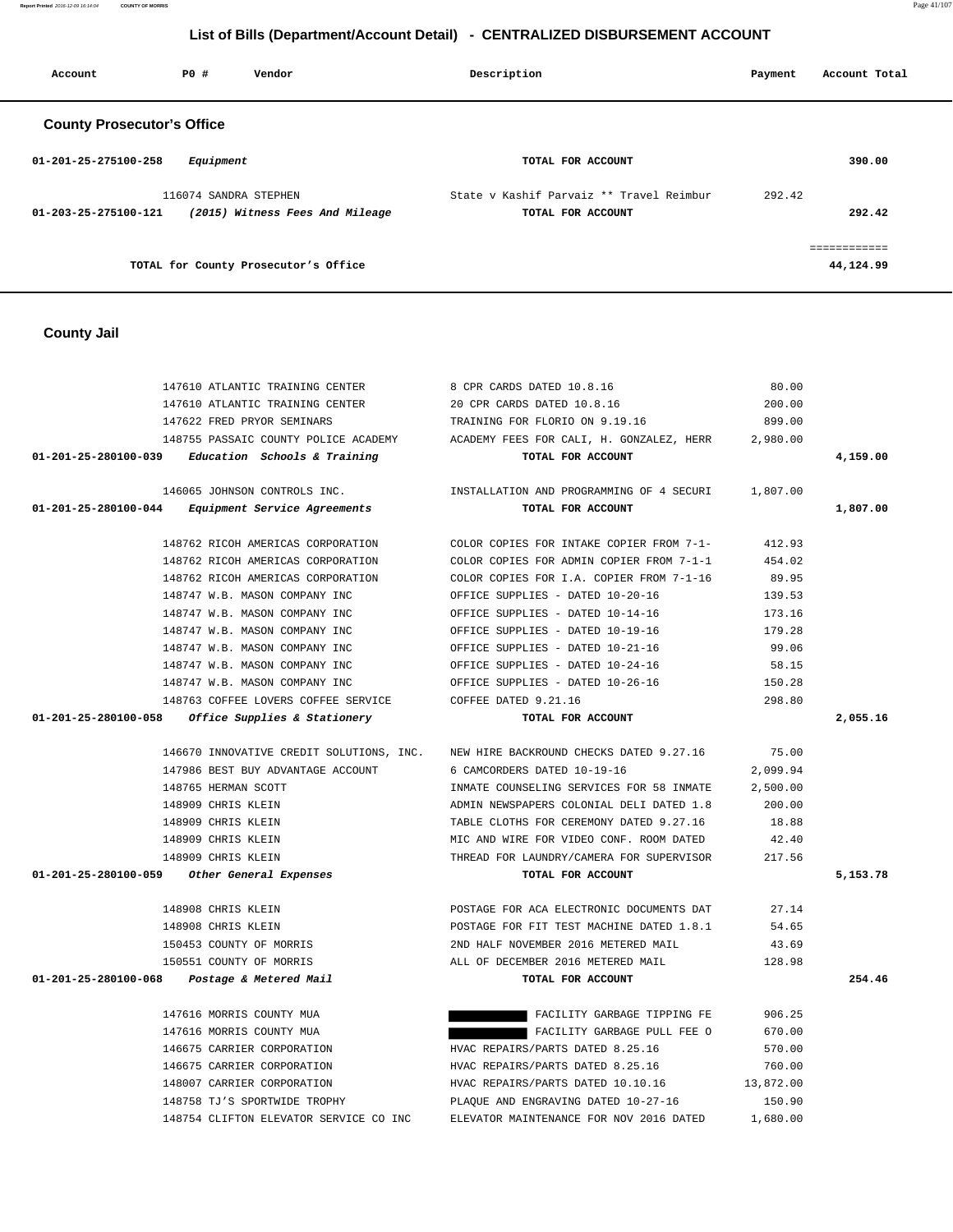|                                                   |                                          |                                          |           | ============ |
|---------------------------------------------------|------------------------------------------|------------------------------------------|-----------|--------------|
|                                                   | TOTAL for County Prosecutor's Office     |                                          |           | 44,124.99    |
|                                                   |                                          |                                          |           |              |
|                                                   |                                          |                                          |           |              |
| <b>County Jail</b>                                |                                          |                                          |           |              |
|                                                   |                                          |                                          |           |              |
|                                                   | 147610 ATLANTIC TRAINING CENTER          | 8 CPR CARDS DATED 10.8.16                | 80.00     |              |
|                                                   | 147610 ATLANTIC TRAINING CENTER          | 20 CPR CARDS DATED 10.8.16               | 200.00    |              |
|                                                   | 147622 FRED PRYOR SEMINARS               | TRAINING FOR FLORIO ON 9.19.16           | 899.00    |              |
|                                                   | 148755 PASSAIC COUNTY POLICE ACADEMY     | ACADEMY FEES FOR CALI, H. GONZALEZ, HERR | 2,980.00  |              |
| 01-201-25-280100-039 Education Schools & Training |                                          | TOTAL FOR ACCOUNT                        |           | 4,159.00     |
|                                                   | 146065 JOHNSON CONTROLS INC.             | INSTALLATION AND PROGRAMMING OF 4 SECURI | 1,807.00  |              |
| 01-201-25-280100-044                              | Equipment Service Agreements             | TOTAL FOR ACCOUNT                        |           | 1,807.00     |
|                                                   | 148762 RICOH AMERICAS CORPORATION        | COLOR COPIES FOR INTAKE COPIER FROM 7-1- | 412.93    |              |
|                                                   | 148762 RICOH AMERICAS CORPORATION        | COLOR COPIES FOR ADMIN COPIER FROM 7-1-1 | 454.02    |              |
|                                                   | 148762 RICOH AMERICAS CORPORATION        | COLOR COPIES FOR I.A. COPIER FROM 7-1-16 | 89.95     |              |
|                                                   | 148747 W.B. MASON COMPANY INC            | OFFICE SUPPLIES - DATED 10-20-16         | 139.53    |              |
|                                                   | 148747 W.B. MASON COMPANY INC            | OFFICE SUPPLIES - DATED 10-14-16         | 173.16    |              |
|                                                   | 148747 W.B. MASON COMPANY INC            | OFFICE SUPPLIES - DATED 10-19-16         | 179.28    |              |
|                                                   | 148747 W.B. MASON COMPANY INC            | OFFICE SUPPLIES - DATED 10-21-16         | 99.06     |              |
|                                                   | 148747 W.B. MASON COMPANY INC            | OFFICE SUPPLIES - DATED 10-24-16         | 58.15     |              |
|                                                   | 148747 W.B. MASON COMPANY INC            | OFFICE SUPPLIES - DATED 10-26-16         | 150.28    |              |
|                                                   | 148763 COFFEE LOVERS COFFEE SERVICE      | COFFEE DATED 9.21.16                     | 298.80    |              |
| 01-201-25-280100-058                              | Office Supplies & Stationery             | TOTAL FOR ACCOUNT                        |           | 2,055.16     |
|                                                   | 146670 INNOVATIVE CREDIT SOLUTIONS, INC. | NEW HIRE BACKROUND CHECKS DATED 9.27.16  | 75.00     |              |
|                                                   | 147986 BEST BUY ADVANTAGE ACCOUNT        | 6 CAMCORDERS DATED 10-19-16              | 2,099.94  |              |
|                                                   | 148765 HERMAN SCOTT                      | INMATE COUNSELING SERVICES FOR 58 INMATE | 2,500.00  |              |
|                                                   | 148909 CHRIS KLEIN                       | ADMIN NEWSPAPERS COLONIAL DELI DATED 1.8 | 200.00    |              |
|                                                   | 148909 CHRIS KLEIN                       | TABLE CLOTHS FOR CEREMONY DATED 9.27.16  | 18.88     |              |
|                                                   | 148909 CHRIS KLEIN                       | MIC AND WIRE FOR VIDEO CONF. ROOM DATED  | 42.40     |              |
|                                                   | 148909 CHRIS KLEIN                       | THREAD FOR LAUNDRY/CAMERA FOR SUPERVISOR | 217.56    |              |
| 01-201-25-280100-059                              | Other General Expenses                   | TOTAL FOR ACCOUNT                        |           | 5,153.78     |
|                                                   | 148908 CHRIS KLEIN                       | POSTAGE FOR ACA ELECTRONIC DOCUMENTS DAT | 27.14     |              |
|                                                   | 148908 CHRIS KLEIN                       | POSTAGE FOR FIT TEST MACHINE DATED 1.8.1 | 54.65     |              |
|                                                   | 150453 COUNTY OF MORRIS                  | 2ND HALF NOVEMBER 2016 METERED MAIL      | 43.69     |              |
|                                                   | 150551 COUNTY OF MORRIS                  | ALL OF DECEMBER 2016 METERED MAIL        | 128.98    |              |
| 01-201-25-280100-068                              | Postage & Metered Mail                   | TOTAL FOR ACCOUNT                        |           | 254.46       |
|                                                   |                                          |                                          |           |              |
|                                                   | 147616 MORRIS COUNTY MUA                 | FACILITY GARBAGE TIPPING FE              | 906.25    |              |
|                                                   | 147616 MORRIS COUNTY MUA                 | FACILITY GARBAGE PULL FEE O              | 670.00    |              |
|                                                   | 146675 CARRIER CORPORATION               | HVAC REPAIRS/PARTS DATED 8.25.16         | 570.00    |              |
|                                                   | 146675 CARRIER CORPORATION               | HVAC REPAIRS/PARTS DATED 8.25.16         | 760.00    |              |
|                                                   | 148007 CARRIER CORPORATION               | HVAC REPAIRS/PARTS DATED 10.10.16        | 13,872.00 |              |
|                                                   | 148758 TJ'S SPORTWIDE TROPHY             | PLAQUE AND ENGRAVING DATED 10-27-16      | 150.90    |              |

148754 CLIFTON ELEVATOR SERVICE CO INC ELEVATOR MAINTENANCE FOR NOV 2016 DATED 1,680.00

# 116074 SANDRA STEPHEN State v Kashif Parvaiz \*\* Travel Reimbur 292.42

Account **1888** PO # Vendor **Post Payment Account Payment Account Total County Prosecutor's Office 01-201-25-275100-258 Equipment TOTAL FOR ACCOUNT 390.00 01-203-25-275100-121 (2015) Witness Fees And Mileage TOTAL FOR ACCOUNT 292.42**

 **List of Bills (Department/Account Detail) - CENTRALIZED DISBURSEMENT ACCOUNT**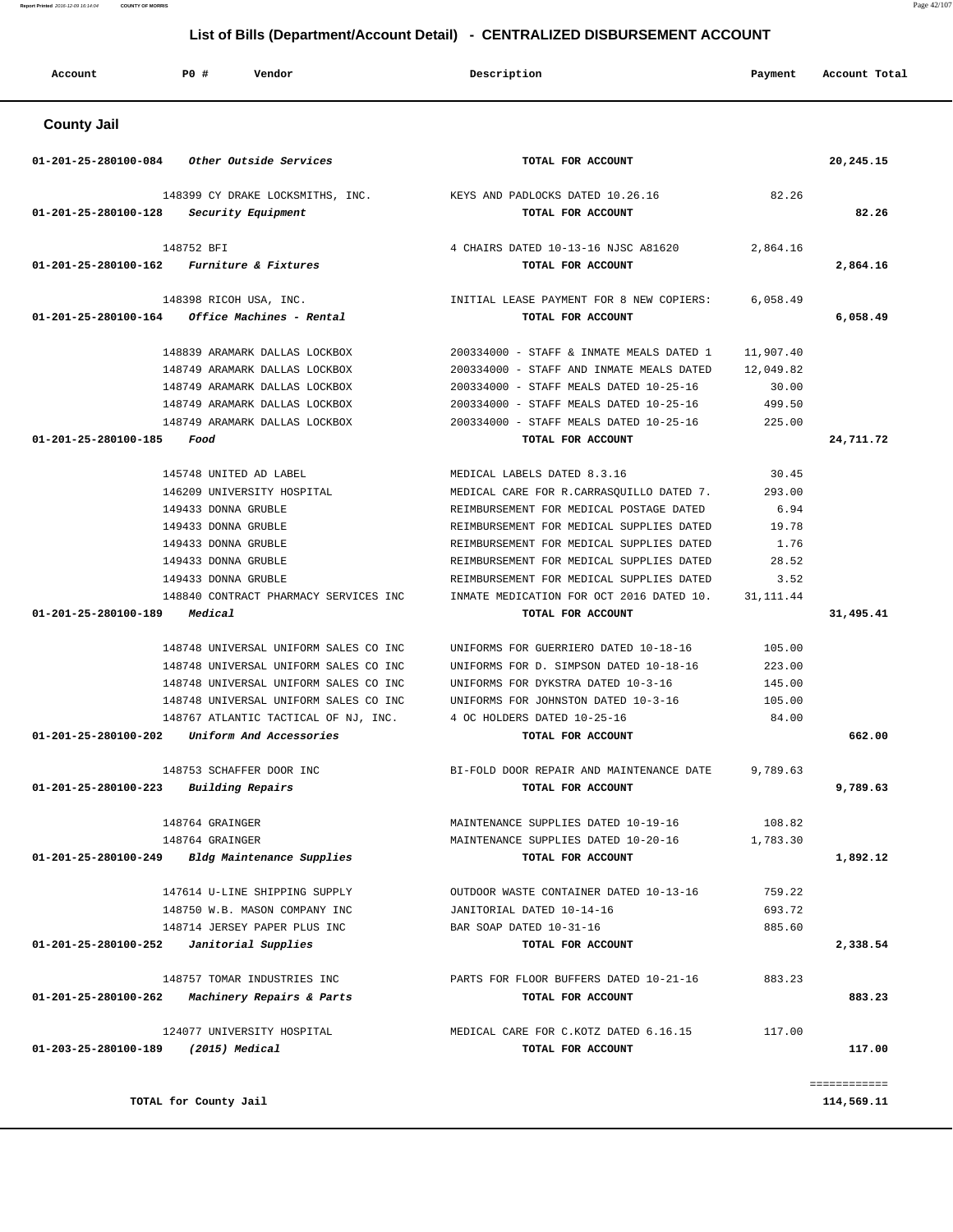| Account              | PO#<br>Vendor                                            | Description                                                   | Payment    | Account Total |
|----------------------|----------------------------------------------------------|---------------------------------------------------------------|------------|---------------|
| <b>County Jail</b>   |                                                          |                                                               |            |               |
| 01-201-25-280100-084 | Other Outside Services                                   | TOTAL FOR ACCOUNT                                             |            | 20,245.15     |
| 01-201-25-280100-128 | 148399 CY DRAKE LOCKSMITHS, INC.<br>Security Equipment   | KEYS AND PADLOCKS DATED 10.26.16<br>TOTAL FOR ACCOUNT         | 82.26      | 82.26         |
|                      |                                                          |                                                               |            |               |
| 01-201-25-280100-162 | 148752 BFI<br>Furniture & Fixtures                       | 4 CHAIRS DATED 10-13-16 NJSC A81620<br>TOTAL FOR ACCOUNT      | 2,864.16   | 2,864.16      |
|                      |                                                          |                                                               |            |               |
|                      | 148398 RICOH USA, INC.                                   | INITIAL LEASE PAYMENT FOR 8 NEW COPIERS:                      | 6,058.49   |               |
| 01-201-25-280100-164 | <i><b>Office Machines - Rental</b></i>                   | TOTAL FOR ACCOUNT                                             |            | 6,058.49      |
|                      | 148839 ARAMARK DALLAS LOCKBOX                            | 200334000 - STAFF & INMATE MEALS DATED 1                      | 11,907.40  |               |
|                      | 148749 ARAMARK DALLAS LOCKBOX                            | 200334000 - STAFF AND INMATE MEALS DATED                      | 12,049.82  |               |
|                      | 148749 ARAMARK DALLAS LOCKBOX                            | 200334000 - STAFF MEALS DATED 10-25-16                        | 30.00      |               |
|                      | 148749 ARAMARK DALLAS LOCKBOX                            | 200334000 - STAFF MEALS DATED 10-25-16                        | 499.50     |               |
|                      | 148749 ARAMARK DALLAS LOCKBOX                            | 200334000 - STAFF MEALS DATED 10-25-16                        | 225.00     |               |
| 01-201-25-280100-185 | Food                                                     | TOTAL FOR ACCOUNT                                             |            | 24,711.72     |
|                      | 145748 UNITED AD LABEL                                   | MEDICAL LABELS DATED 8.3.16                                   | 30.45      |               |
|                      | 146209 UNIVERSITY HOSPITAL                               | MEDICAL CARE FOR R. CARRASQUILLO DATED 7.                     | 293.00     |               |
|                      | 149433 DONNA GRUBLE                                      | REIMBURSEMENT FOR MEDICAL POSTAGE DATED                       | 6.94       |               |
|                      | 149433 DONNA GRUBLE                                      | REIMBURSEMENT FOR MEDICAL SUPPLIES DATED                      | 19.78      |               |
|                      | 149433 DONNA GRUBLE                                      | REIMBURSEMENT FOR MEDICAL SUPPLIES DATED                      | 1.76       |               |
|                      | 149433 DONNA GRUBLE                                      | REIMBURSEMENT FOR MEDICAL SUPPLIES DATED                      | 28.52      |               |
|                      | 149433 DONNA GRUBLE                                      | REIMBURSEMENT FOR MEDICAL SUPPLIES DATED                      | 3.52       |               |
| 01-201-25-280100-189 | 148840 CONTRACT PHARMACY SERVICES INC<br>Medical         | INMATE MEDICATION FOR OCT 2016 DATED 10.<br>TOTAL FOR ACCOUNT | 31, 111.44 | 31,495.41     |
|                      |                                                          |                                                               |            |               |
|                      | 148748 UNIVERSAL UNIFORM SALES CO INC                    | UNIFORMS FOR GUERRIERO DATED 10-18-16                         | 105.00     |               |
|                      | 148748 UNIVERSAL UNIFORM SALES CO INC                    | UNIFORMS FOR D. SIMPSON DATED 10-18-16                        | 223.00     |               |
|                      | 148748 UNIVERSAL UNIFORM SALES CO INC                    | UNIFORMS FOR DYKSTRA DATED 10-3-16                            | 145.00     |               |
|                      | 148748 UNIVERSAL UNIFORM SALES CO INC                    | UNIFORMS FOR JOHNSTON DATED 10-3-16                           | 105.00     |               |
|                      | 148767 ATLANTIC TACTICAL OF NJ, INC.                     | 4 OC HOLDERS DATED 10-25-16                                   | 84.00      |               |
| 01-201-25-280100-202 | Uniform And Accessories                                  | TOTAL FOR ACCOUNT                                             |            | 662.00        |
|                      | 148753 SCHAFFER DOOR INC                                 | BI-FOLD DOOR REPAIR AND MAINTENANCE DATE                      | 9,789.63   |               |
| 01-201-25-280100-223 | <b>Building Repairs</b>                                  | TOTAL FOR ACCOUNT                                             |            | 9,789.63      |
|                      |                                                          |                                                               |            |               |
|                      | 148764 GRAINGER                                          | MAINTENANCE SUPPLIES DATED 10-19-16                           | 108.82     |               |
|                      | 148764 GRAINGER                                          | MAINTENANCE SUPPLIES DATED 10-20-16                           | 1,783.30   |               |
| 01-201-25-280100-249 | Bldg Maintenance Supplies                                | TOTAL FOR ACCOUNT                                             |            | 1,892.12      |
|                      | 147614 U-LINE SHIPPING SUPPLY                            | OUTDOOR WASTE CONTAINER DATED 10-13-16                        | 759.22     |               |
|                      | 148750 W.B. MASON COMPANY INC                            | JANITORIAL DATED 10-14-16                                     | 693.72     |               |
|                      | 148714 JERSEY PAPER PLUS INC                             | BAR SOAP DATED 10-31-16                                       | 885.60     |               |
| 01-201-25-280100-252 | Janitorial Supplies                                      | TOTAL FOR ACCOUNT                                             |            | 2,338.54      |
|                      |                                                          |                                                               |            |               |
| 01-201-25-280100-262 | 148757 TOMAR INDUSTRIES INC<br>Machinery Repairs & Parts | PARTS FOR FLOOR BUFFERS DATED 10-21-16<br>TOTAL FOR ACCOUNT   | 883.23     | 883.23        |
|                      |                                                          |                                                               |            |               |
|                      | 124077 UNIVERSITY HOSPITAL                               | MEDICAL CARE FOR C.KOTZ DATED 6.16.15                         | 117.00     |               |
| 01-203-25-280100-189 | (2015) Medical                                           | TOTAL FOR ACCOUNT                                             |            | 117.00        |
|                      |                                                          |                                                               |            | ============  |

**TOTAL for County Jail** 114,569.11 **114,569.11** 

**Report Printed** 2016-12-09 16:14:04 **COUNTY OF MORRIS** Page 42/107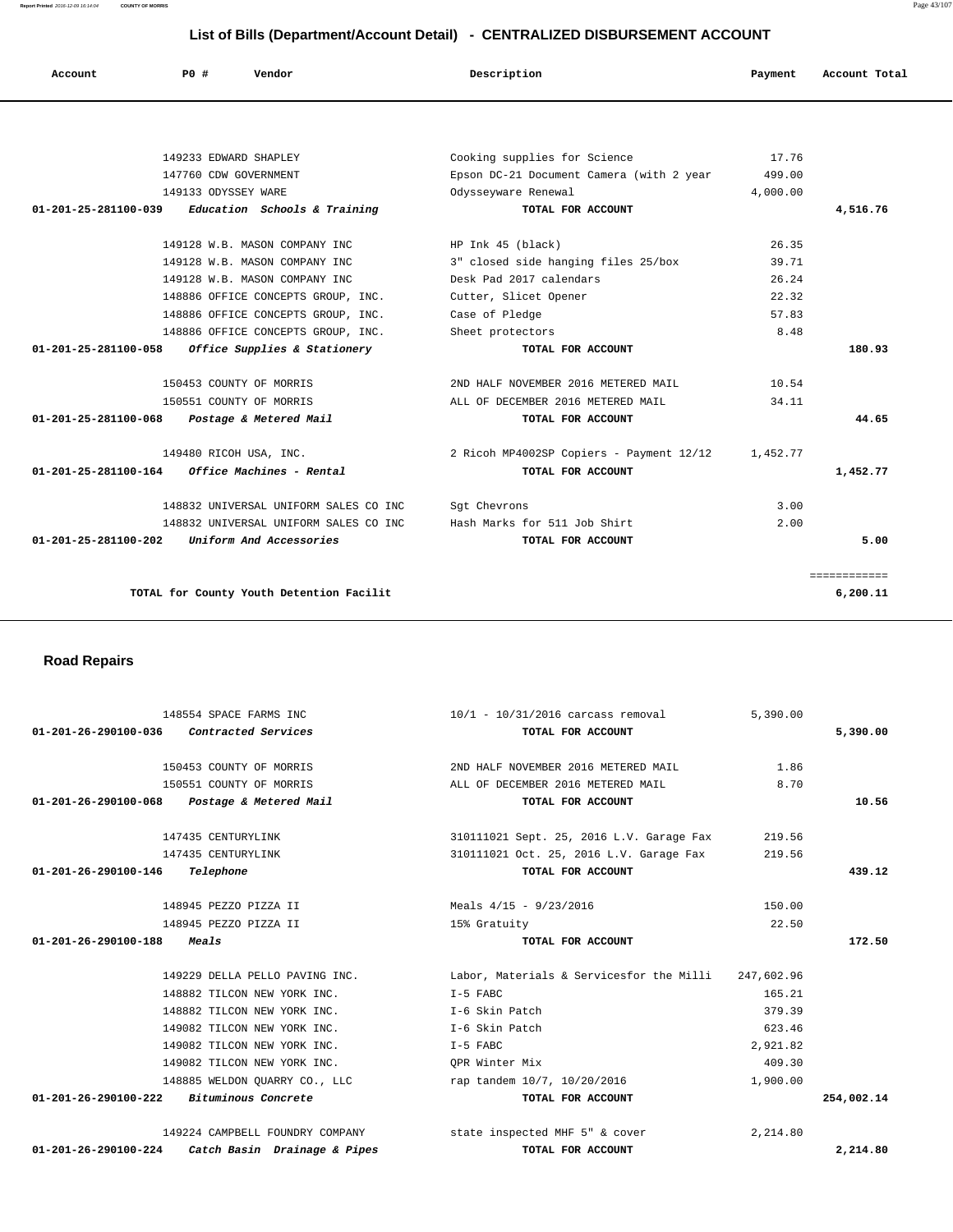**Report Printed** 2016-12-09 16:14:04 **COUNTY OF MORRIS** Page 43/107

# **List of Bills (Department/Account Detail) - CENTRALIZED DISBURSEMENT ACCOUNT**

| Account              | PO#                 | Vendor                       | Description                              | Payment  | Account Total |
|----------------------|---------------------|------------------------------|------------------------------------------|----------|---------------|
|                      |                     |                              |                                          |          |               |
|                      |                     | 149233 EDWARD SHAPLEY        | Cooking supplies for Science             | 17.76    |               |
|                      |                     | 147760 CDW GOVERNMENT        | Epson DC-21 Document Camera (with 2 year | 499.00   |               |
|                      | 149133 ODYSSEY WARE |                              | Odysseyware Renewal                      | 4,000.00 |               |
| 01-201-25-281100-039 |                     | Education Schools & Training | TOTAL FOR ACCOUNT                        |          | 4,516.76      |

| 149128 W.B. MASON COMPANY INC                       | HP Ink 45 (black)                                 | 26.35 |              |
|-----------------------------------------------------|---------------------------------------------------|-------|--------------|
| 149128 W.B. MASON COMPANY INC                       | 3" closed side hanging files 25/box               | 39.71 |              |
| 149128 W.B. MASON COMPANY INC                       | Desk Pad 2017 calendars                           | 26.24 |              |
| 148886 OFFICE CONCEPTS GROUP, INC.                  | Cutter, Slicet Opener                             | 22.32 |              |
| 148886 OFFICE CONCEPTS GROUP, INC.                  | Case of Pledge                                    | 57.83 |              |
| 148886 OFFICE CONCEPTS GROUP, INC.                  | Sheet protectors                                  | 8.48  |              |
| $01-201-25-281100-058$ Office Supplies & Stationery | TOTAL FOR ACCOUNT                                 |       | 180.93       |
| 150453 COUNTY OF MORRIS                             | 2ND HALF NOVEMBER 2016 METERED MAIL               | 10.54 |              |
| 150551 COUNTY OF MORRIS                             | ALL OF DECEMBER 2016 METERED MAIL                 | 34.11 |              |
| 01-201-25-281100-068 Postage & Metered Mail         | TOTAL FOR ACCOUNT                                 |       | 44.65        |
| 149480 RICOH USA, INC.                              | 2 Ricoh MP4002SP Copiers - Payment 12/12 1,452.77 |       |              |
| $01-201-25-281100-164$ Office Machines - Rental     | TOTAL FOR ACCOUNT                                 |       | 1,452.77     |
| 148832 UNIVERSAL UNIFORM SALES CO INC               | Sqt Chevrons                                      | 3.00  |              |
| 148832 UNIVERSAL UNIFORM SALES CO INC               | Hash Marks for 511 Job Shirt                      | 2.00  |              |
| Uniform And Accessories<br>01-201-25-281100-202     | TOTAL FOR ACCOUNT                                 |       | 5.00         |
|                                                     |                                                   |       | ============ |
| TOTAL for County Youth Detention Facilit            |                                                   |       | 6, 200.11    |

# **Road Repairs**

| 148554 SPACE FARMS INC                               | $10/1$ - $10/31/2016$ carcass removal    | 5,390.00   |            |
|------------------------------------------------------|------------------------------------------|------------|------------|
| 01-201-26-290100-036 Contracted Services             | TOTAL FOR ACCOUNT                        |            | 5,390.00   |
| 150453 COUNTY OF MORRIS                              | 2ND HALF NOVEMBER 2016 METERED MAIL      | 1.86       |            |
| 150551 COUNTY OF MORRIS                              | ALL OF DECEMBER 2016 METERED MAIL        | 8.70       |            |
| 01-201-26-290100-068 Postage & Metered Mail          | TOTAL FOR ACCOUNT                        |            | 10.56      |
| 147435 CENTURYLINK                                   | 310111021 Sept. 25, 2016 L.V. Garage Fax | 219.56     |            |
| 147435 CENTURYLINK                                   | 310111021 Oct. 25, 2016 L.V. Garage Fax  | 219.56     |            |
| 01-201-26-290100-146<br>Telephone                    | TOTAL FOR ACCOUNT                        |            | 439.12     |
| 148945 PEZZO PIZZA II                                | Meals $4/15 - 9/23/2016$                 | 150.00     |            |
| 148945 PEZZO PIZZA II                                | 15% Gratuity                             | 22.50      |            |
| Meals<br>01-201-26-290100-188                        | TOTAL FOR ACCOUNT                        |            | 172.50     |
| 149229 DELLA PELLO PAVING INC.                       | Labor, Materials & Servicesfor the Milli | 247,602.96 |            |
| 148882 TILCON NEW YORK INC.                          | I-5 FABC                                 | 165.21     |            |
| 148882 TILCON NEW YORK INC.                          | I-6 Skin Patch                           | 379.39     |            |
| 149082 TILCON NEW YORK INC.                          | I-6 Skin Patch                           | 623.46     |            |
| 149082 TILCON NEW YORK INC.                          | $I-5$ FABC                               | 2,921.82   |            |
| 149082 TILCON NEW YORK INC.                          | OPR Winter Mix                           | 409.30     |            |
| 148885 WELDON QUARRY CO., LLC                        | rap tandem 10/7, 10/20/2016              | 1,900.00   |            |
| 01-201-26-290100-222 Bituminous Concrete             | TOTAL FOR ACCOUNT                        |            | 254,002.14 |
| 149224 CAMPBELL FOUNDRY COMPANY                      | state inspected MHF 5" & cover           | 2,214.80   |            |
| 01-201-26-290100-224<br>Catch Basin Drainage & Pipes | TOTAL FOR ACCOUNT                        |            | 2,214.80   |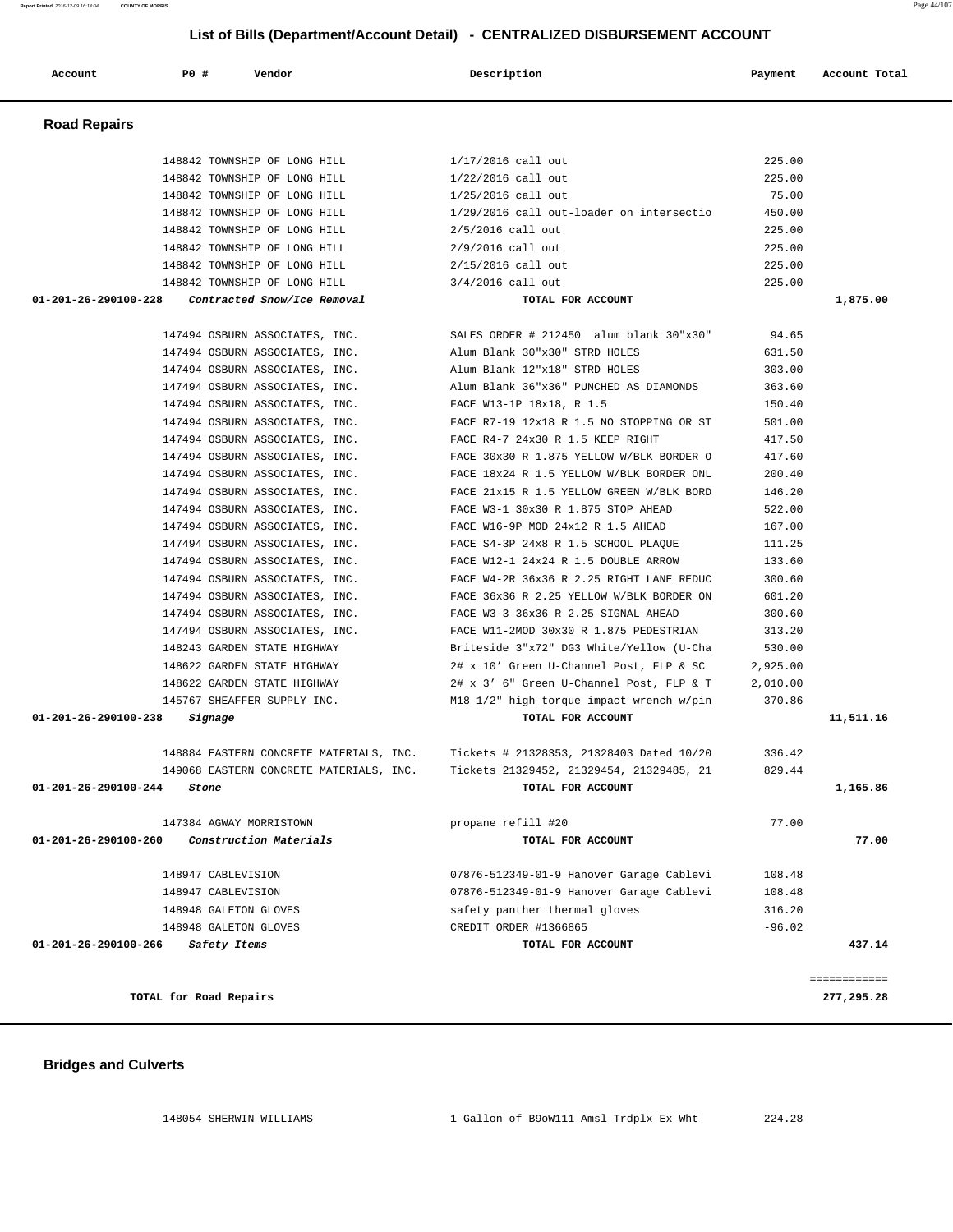**Report Printed** 2016-12-09 16:14:04 **COUNTY OF MORRIS** Page 44/107

## **List of Bills (Department/Account Detail) - CENTRALIZED DISBURSEMENT ACCOUNT**

| Account                        | PO#<br>Vendor                           | Description                              | Payment  | Account Total |
|--------------------------------|-----------------------------------------|------------------------------------------|----------|---------------|
| <b>Road Repairs</b>            |                                         |                                          |          |               |
|                                | 148842 TOWNSHIP OF LONG HILL            | 1/17/2016 call out                       | 225.00   |               |
|                                | 148842 TOWNSHIP OF LONG HILL            | $1/22/2016$ call out                     | 225.00   |               |
|                                | 148842 TOWNSHIP OF LONG HILL            | 1/25/2016 call out                       | 75.00    |               |
|                                | 148842 TOWNSHIP OF LONG HILL            | 1/29/2016 call out-loader on intersectio | 450.00   |               |
|                                | 148842 TOWNSHIP OF LONG HILL            | 2/5/2016 call out                        | 225.00   |               |
|                                | 148842 TOWNSHIP OF LONG HILL            | $2/9/2016$ call out                      | 225.00   |               |
|                                | 148842 TOWNSHIP OF LONG HILL            | 2/15/2016 call out                       | 225.00   |               |
|                                | 148842 TOWNSHIP OF LONG HILL            | $3/4/2016$ call out                      | 225.00   |               |
| 01-201-26-290100-228           | Contracted Snow/Ice Removal             | TOTAL FOR ACCOUNT                        |          | 1,875.00      |
|                                | 147494 OSBURN ASSOCIATES, INC.          | SALES ORDER # 212450 alum blank 30"x30"  | 94.65    |               |
|                                | 147494 OSBURN ASSOCIATES, INC.          | Alum Blank 30"x30" STRD HOLES            | 631.50   |               |
|                                | 147494 OSBURN ASSOCIATES, INC.          | Alum Blank 12"x18" STRD HOLES            | 303.00   |               |
|                                | 147494 OSBURN ASSOCIATES, INC.          | Alum Blank 36"x36" PUNCHED AS DIAMONDS   | 363.60   |               |
|                                | 147494 OSBURN ASSOCIATES, INC.          | FACE W13-1P 18x18, R 1.5                 | 150.40   |               |
|                                | 147494 OSBURN ASSOCIATES, INC.          | FACE R7-19 12x18 R 1.5 NO STOPPING OR ST | 501.00   |               |
|                                | 147494 OSBURN ASSOCIATES, INC.          | FACE R4-7 24x30 R 1.5 KEEP RIGHT         | 417.50   |               |
|                                | 147494 OSBURN ASSOCIATES, INC.          | FACE 30x30 R 1.875 YELLOW W/BLK BORDER O | 417.60   |               |
|                                | 147494 OSBURN ASSOCIATES, INC.          | FACE 18x24 R 1.5 YELLOW W/BLK BORDER ONL | 200.40   |               |
|                                | 147494 OSBURN ASSOCIATES, INC.          | FACE 21x15 R 1.5 YELLOW GREEN W/BLK BORD | 146.20   |               |
|                                | 147494 OSBURN ASSOCIATES, INC.          | FACE W3-1 30x30 R 1.875 STOP AHEAD       | 522.00   |               |
|                                | 147494 OSBURN ASSOCIATES, INC.          | FACE W16-9P MOD 24x12 R 1.5 AHEAD        | 167.00   |               |
|                                | 147494 OSBURN ASSOCIATES, INC.          | FACE S4-3P 24x8 R 1.5 SCHOOL PLAQUE      | 111.25   |               |
|                                | 147494 OSBURN ASSOCIATES, INC.          | FACE W12-1 24x24 R 1.5 DOUBLE ARROW      | 133.60   |               |
|                                | 147494 OSBURN ASSOCIATES, INC.          | FACE W4-2R 36x36 R 2.25 RIGHT LANE REDUC | 300.60   |               |
|                                | 147494 OSBURN ASSOCIATES, INC.          | FACE 36x36 R 2.25 YELLOW W/BLK BORDER ON | 601.20   |               |
|                                | 147494 OSBURN ASSOCIATES, INC.          | FACE W3-3 36x36 R 2.25 SIGNAL AHEAD      | 300.60   |               |
|                                | 147494 OSBURN ASSOCIATES, INC.          | FACE W11-2MOD 30x30 R 1.875 PEDESTRIAN   | 313.20   |               |
|                                | 148243 GARDEN STATE HIGHWAY             | Briteside 3"x72" DG3 White/Yellow (U-Cha | 530.00   |               |
|                                | 148622 GARDEN STATE HIGHWAY             | 2# x 10' Green U-Channel Post, FLP & SC  | 2,925.00 |               |
|                                | 148622 GARDEN STATE HIGHWAY             | 2# x 3' 6" Green U-Channel Post, FLP & T | 2,010.00 |               |
|                                | 145767 SHEAFFER SUPPLY INC.             | M18 1/2" high torque impact wrench w/pin | 370.86   |               |
| $01 - 201 - 26 - 290100 - 238$ | Signage                                 | TOTAL FOR ACCOUNT                        |          | 11,511.16     |
|                                | 148884 EASTERN CONCRETE MATERIALS, INC. | Tickets # 21328353, 21328403 Dated 10/20 | 336.42   |               |
|                                | 149068 EASTERN CONCRETE MATERIALS, INC. | Tickets 21329452, 21329454, 21329485, 21 | 829.44   |               |
| 01-201-26-290100-244           | Stone                                   | TOTAL FOR ACCOUNT                        |          | 1,165.86      |
|                                | 147384 AGWAY MORRISTOWN                 | propane refill #20                       | 77.00    |               |
| 01-201-26-290100-260           | Construction Materials                  | TOTAL FOR ACCOUNT                        |          | 77.00         |
|                                | 148947 CABLEVISION                      | 07876-512349-01-9 Hanover Garage Cablevi | 108.48   |               |
|                                | 148947 CABLEVISION                      | 07876-512349-01-9 Hanover Garage Cablevi | 108.48   |               |
|                                | 148948 GALETON GLOVES                   | safety panther thermal gloves            | 316.20   |               |
|                                | 148948 GALETON GLOVES                   | CREDIT ORDER #1366865                    | $-96.02$ |               |
| 01-201-26-290100-266           | Safety Items                            | TOTAL FOR ACCOUNT                        |          | 437.14        |
|                                |                                         |                                          |          | ============  |
|                                | TOTAL for Road Repairs                  |                                          |          | 277,295.28    |

 **Bridges and Culverts**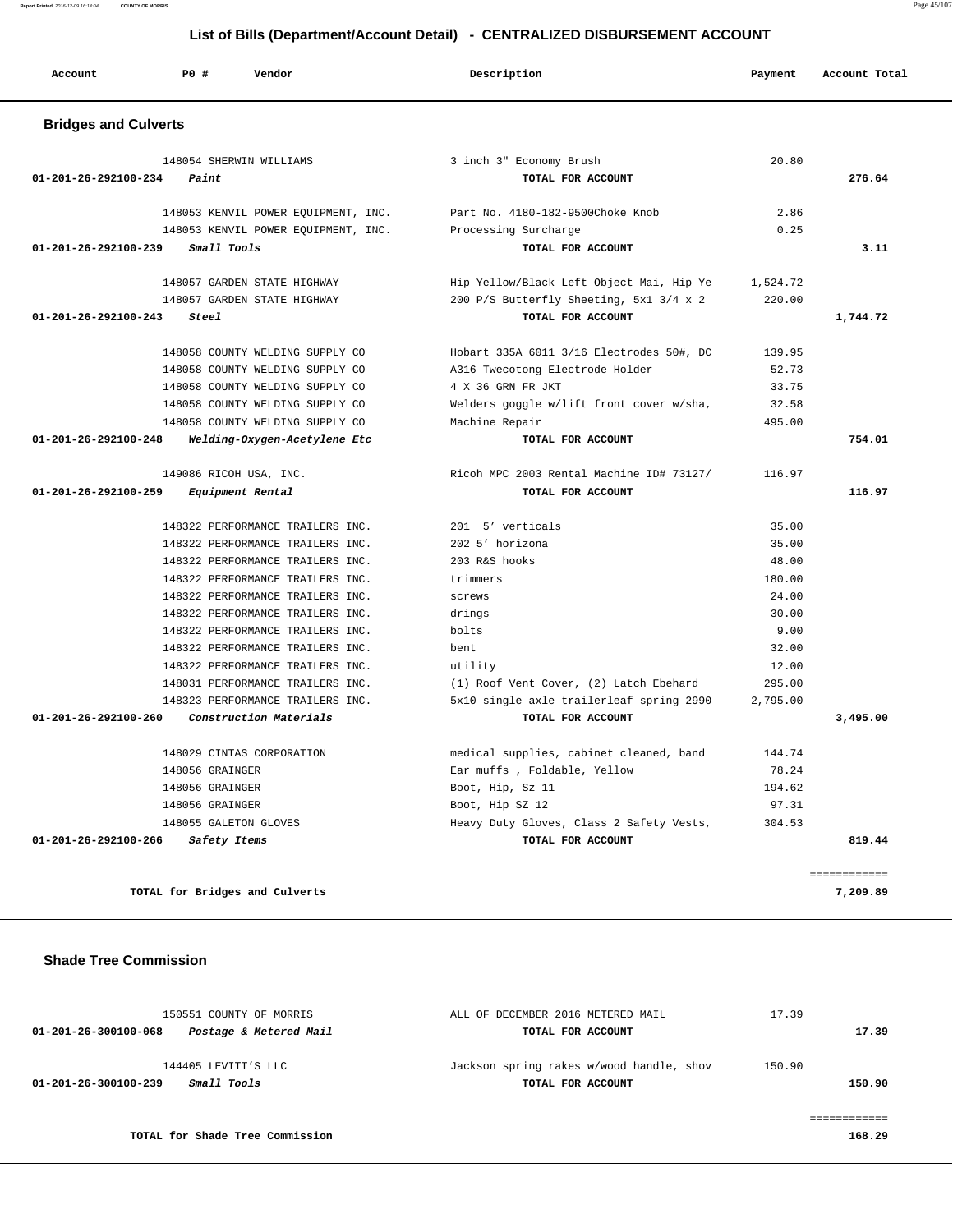| Account                     | P0 #                                        | Vendor                              | Description                                       | Payment  | Account Total |
|-----------------------------|---------------------------------------------|-------------------------------------|---------------------------------------------------|----------|---------------|
| <b>Bridges and Culverts</b> |                                             |                                     |                                                   |          |               |
|                             | 148054 SHERWIN WILLIAMS                     |                                     | 3 inch 3" Economy Brush                           | 20.80    |               |
| 01-201-26-292100-234        | Paint                                       |                                     | TOTAL FOR ACCOUNT                                 |          | 276.64        |
|                             |                                             | 148053 KENVIL POWER EQUIPMENT, INC. | Part No. 4180-182-9500Choke Knob                  | 2.86     |               |
|                             |                                             | 148053 KENVIL POWER EQUIPMENT, INC. | Processing Surcharge                              | 0.25     |               |
| 01-201-26-292100-239        | Small Tools                                 |                                     | TOTAL FOR ACCOUNT                                 |          | 3.11          |
|                             | 148057 GARDEN STATE HIGHWAY                 |                                     | Hip Yellow/Black Left Object Mai, Hip Ye 1,524.72 |          |               |
|                             | 148057 GARDEN STATE HIGHWAY                 |                                     | 200 P/S Butterfly Sheeting, 5x1 3/4 x 2           | 220.00   |               |
| 01-201-26-292100-243        | Steel                                       |                                     | TOTAL FOR ACCOUNT                                 |          | 1,744.72      |
|                             |                                             | 148058 COUNTY WELDING SUPPLY CO     | Hobart 335A 6011 3/16 Electrodes 50#, DC          | 139.95   |               |
|                             |                                             | 148058 COUNTY WELDING SUPPLY CO     | A316 Twecotong Electrode Holder                   | 52.73    |               |
|                             |                                             | 148058 COUNTY WELDING SUPPLY CO     | 4 X 36 GRN FR JKT                                 | 33.75    |               |
|                             |                                             | 148058 COUNTY WELDING SUPPLY CO     | Welders goggle w/lift front cover w/sha,          | 32.58    |               |
|                             |                                             | 148058 COUNTY WELDING SUPPLY CO     | Machine Repair                                    | 495.00   |               |
| 01-201-26-292100-248        |                                             | Welding-Oxygen-Acetylene Etc        | TOTAL FOR ACCOUNT                                 |          | 754.01        |
|                             | 149086 RICOH USA, INC.                      |                                     | Ricoh MPC 2003 Rental Machine ID# 73127/          | 116.97   |               |
| 01-201-26-292100-259        | Equipment Rental                            |                                     | TOTAL FOR ACCOUNT                                 |          | 116.97        |
|                             |                                             | 148322 PERFORMANCE TRAILERS INC.    | 201 5' verticals                                  | 35.00    |               |
|                             |                                             | 148322 PERFORMANCE TRAILERS INC.    | 202 5' horizona                                   | 35.00    |               |
|                             |                                             | 148322 PERFORMANCE TRAILERS INC.    | 203 R&S hooks                                     | 48.00    |               |
|                             |                                             | 148322 PERFORMANCE TRAILERS INC.    | trimmers                                          | 180.00   |               |
|                             |                                             | 148322 PERFORMANCE TRAILERS INC.    | screws                                            | 24.00    |               |
|                             |                                             | 148322 PERFORMANCE TRAILERS INC.    | drings                                            | 30.00    |               |
|                             |                                             | 148322 PERFORMANCE TRAILERS INC.    | bolts                                             | 9.00     |               |
|                             |                                             | 148322 PERFORMANCE TRAILERS INC.    | bent                                              | 32.00    |               |
|                             |                                             | 148322 PERFORMANCE TRAILERS INC.    | utility                                           | 12.00    |               |
|                             |                                             | 148031 PERFORMANCE TRAILERS INC.    | (1) Roof Vent Cover, (2) Latch Ebehard            | 295.00   |               |
|                             |                                             | 148323 PERFORMANCE TRAILERS INC.    | 5x10 single axle trailerleaf spring 2990          | 2,795.00 |               |
|                             | 01-201-26-292100-260 Construction Materials |                                     | TOTAL FOR ACCOUNT                                 |          | 3,495.00      |
|                             | 148029 CINTAS CORPORATION                   |                                     | medical supplies, cabinet cleaned, band           | 144.74   |               |
|                             | 148056 GRAINGER                             |                                     | Ear muffs, Foldable, Yellow                       | 78.24    |               |
|                             | 148056 GRAINGER                             |                                     | Boot, Hip, Sz 11                                  | 194.62   |               |
|                             | 148056 GRAINGER                             |                                     | Boot, Hip SZ 12                                   | 97.31    |               |
|                             | 148055 GALETON GLOVES                       |                                     | Heavy Duty Gloves, Class 2 Safety Vests,          | 304.53   |               |
| 01-201-26-292100-266        | Safety Items                                |                                     | TOTAL FOR ACCOUNT                                 |          | 819.44        |

 **Shade Tree Commission** 

| 150551 COUNTY OF MORRIS                        | ALL OF DECEMBER 2016 METERED MAIL        | 17.39  |
|------------------------------------------------|------------------------------------------|--------|
| Postage & Metered Mail<br>01-201-26-300100-068 | TOTAL FOR ACCOUNT                        | 17.39  |
|                                                |                                          |        |
| 144405 LEVITT'S LLC                            | Jackson spring rakes w/wood handle, shov | 150.90 |
| <i>Small Tools</i><br>01-201-26-300100-239     | TOTAL FOR ACCOUNT                        | 150.90 |
|                                                |                                          |        |
|                                                |                                          |        |
| TOTAL for Shade Tree Commission                |                                          | 168.29 |
|                                                |                                          |        |

**Report Printed** 2016-12-09 16:14:04 **COUNTY OF MORRIS** Page 45/107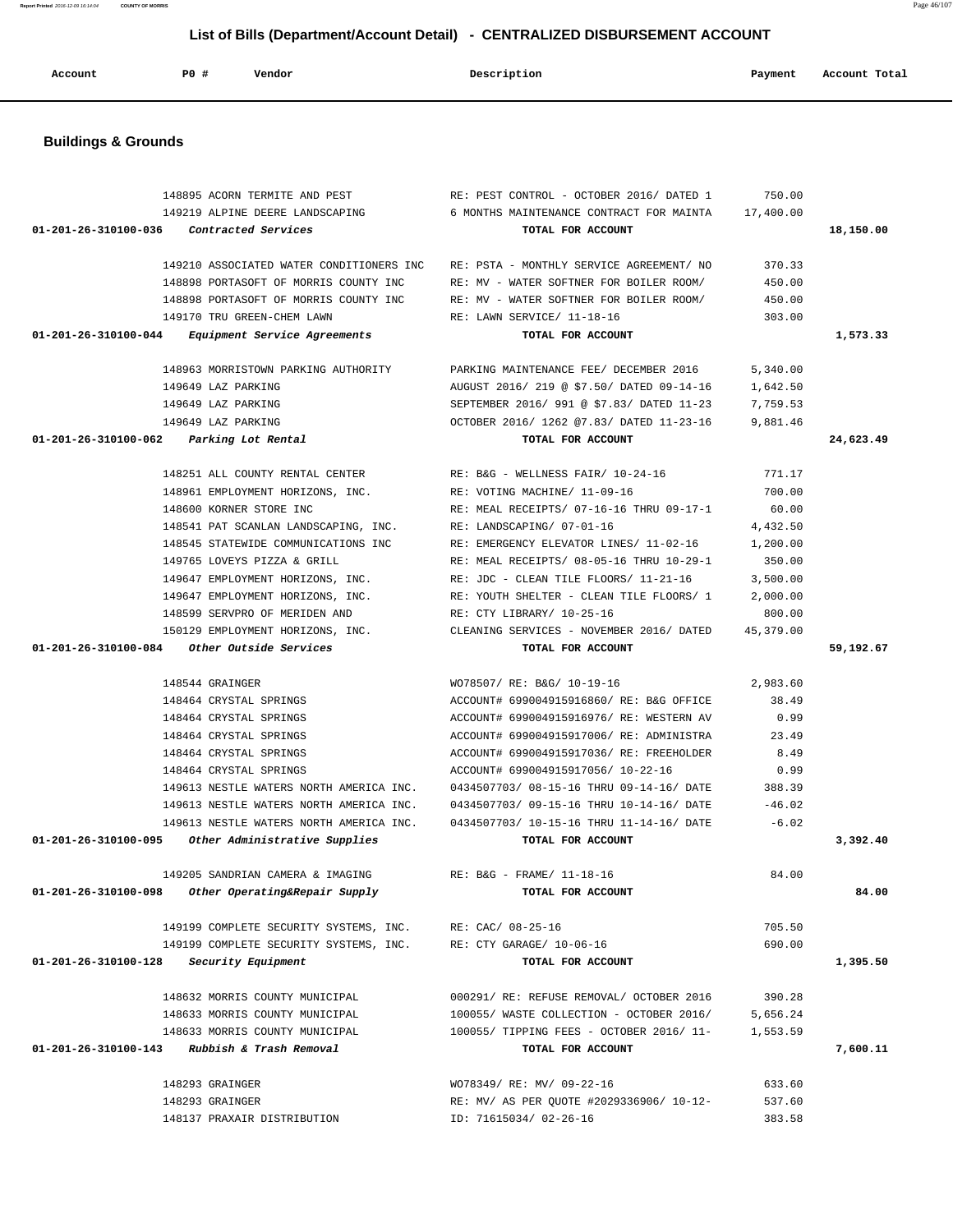| <b>Buildings &amp; Grounds</b> |                                                                          |                                                                           |           |           |
|--------------------------------|--------------------------------------------------------------------------|---------------------------------------------------------------------------|-----------|-----------|
|                                | 148895 ACORN TERMITE AND PEST                                            | RE: PEST CONTROL - OCTOBER 2016/ DATED 1                                  | 750.00    |           |
|                                | 149219 ALPINE DEERE LANDSCAPING                                          | 6 MONTHS MAINTENANCE CONTRACT FOR MAINTA 17,400.00                        |           |           |
|                                | 01-201-26-310100-036 Contracted Services                                 | TOTAL FOR ACCOUNT                                                         |           | 18,150.00 |
|                                | 149210 ASSOCIATED WATER CONDITIONERS INC                                 | RE: PSTA - MONTHLY SERVICE AGREEMENT/ NO                                  | 370.33    |           |
|                                | 148898 PORTASOFT OF MORRIS COUNTY INC                                    | RE: MV - WATER SOFTNER FOR BOILER ROOM/                                   | 450.00    |           |
|                                | 148898 PORTASOFT OF MORRIS COUNTY INC                                    | RE: MV - WATER SOFTNER FOR BOILER ROOM/                                   | 450.00    |           |
|                                | 149170 TRU GREEN-CHEM LAWN                                               | RE: LAWN SERVICE/ 11-18-16                                                | 303.00    |           |
|                                | 01-201-26-310100-044 Equipment Service Agreements                        | TOTAL FOR ACCOUNT                                                         |           | 1,573.33  |
|                                | 148963 MORRISTOWN PARKING AUTHORITY                                      | PARKING MAINTENANCE FEE/ DECEMBER 2016                                    | 5,340.00  |           |
|                                | 149649 LAZ PARKING                                                       | AUGUST 2016/ 219 @ \$7.50/ DATED 09-14-16                                 | 1,642.50  |           |
|                                | 149649 LAZ PARKING                                                       | SEPTEMBER 2016/ 991 @ \$7.83/ DATED 11-23                                 | 7,759.53  |           |
|                                | 149649 LAZ PARKING                                                       | OCTOBER 2016/ 1262 @7.83/ DATED 11-23-16                                  | 9,881.46  |           |
|                                | 01-201-26-310100-062 Parking Lot Rental                                  | TOTAL FOR ACCOUNT                                                         |           | 24,623.49 |
|                                |                                                                          | 148251 ALL COUNTY RENTAL CENTER RE: B&G - WELLNESS FAIR/ 10-24-16         | 771.17    |           |
|                                | 148961 EMPLOYMENT HORIZONS, INC. RE: VOTING MACHINE/ 11-09-16            |                                                                           | 700.00    |           |
|                                | 148600 KORNER STORE INC                                                  | RE: MEAL RECEIPTS/ 07-16-16 THRU 09-17-1                                  | 60.00     |           |
|                                | 148541 PAT SCANLAN LANDSCAPING, INC.                                     | RE: LANDSCAPING/ 07-01-16                                                 | 4,432.50  |           |
|                                | 148545 STATEWIDE COMMUNICATIONS INC                                      | RE: EMERGENCY ELEVATOR LINES/ 11-02-16                                    | 1,200.00  |           |
|                                | 149765 LOVEYS PIZZA & GRILL                                              | RE: MEAL RECEIPTS/ 08-05-16 THRU 10-29-1                                  | 350.00    |           |
|                                | 149647 EMPLOYMENT HORIZONS, INC.                                         | RE: JDC - CLEAN TILE FLOORS/ 11-21-16                                     | 3,500.00  |           |
|                                | 149647 EMPLOYMENT HORIZONS, INC.                                         | RE: YOUTH SHELTER - CLEAN TILE FLOORS/ 1                                  | 2,000.00  |           |
|                                | 148599 SERVPRO OF MERIDEN AND                                            | RE: CTY LIBRARY/ 10-25-16                                                 | 800.00    |           |
|                                |                                                                          | 150129 EMPLOYMENT HORIZONS, INC. CLEANING SERVICES - NOVEMBER 2016/ DATED | 45,379.00 |           |
|                                | $01-201-26-310100-084$ Other Outside Services                            | TOTAL FOR ACCOUNT                                                         |           | 59,192.67 |
|                                | 148544 GRAINGER                                                          | WO78507/ RE: B&G/ 10-19-16                                                | 2,983.60  |           |
|                                | 148464 CRYSTAL SPRINGS                                                   | ACCOUNT# 699004915916860/RE: B&G OFFICE                                   | 38.49     |           |
|                                | 148464 CRYSTAL SPRINGS                                                   | ACCOUNT# 699004915916976/ RE: WESTERN AV                                  | 0.99      |           |
|                                | 148464 CRYSTAL SPRINGS                                                   | ACCOUNT# 699004915917006/RE: ADMINISTRA                                   | 23.49     |           |
|                                | 148464 CRYSTAL SPRINGS                                                   | ACCOUNT# 699004915917036/ RE: FREEHOLDER                                  | 8.49      |           |
|                                | 148464 CRYSTAL SPRINGS                                                   | ACCOUNT# 699004915917056/ 10-22-16                                        | 0.99      |           |
|                                | 149613 NESTLE WATERS NORTH AMERICA INC.                                  | 0434507703/08-15-16 THRU 09-14-16/DATE                                    | 388.39    |           |
|                                | 149613 NESTLE WATERS NORTH AMERICA INC.                                  | 0434507703/09-15-16 THRU 10-14-16/DATE                                    | $-46.02$  |           |
| 01-201-26-310100-095           | 149613 NESTLE WATERS NORTH AMERICA INC.<br>Other Administrative Supplies | 0434507703/ 10-15-16 THRU 11-14-16/ DATE<br>TOTAL FOR ACCOUNT             | $-6.02$   | 3,392.40  |
|                                |                                                                          |                                                                           |           |           |
| 01-201-26-310100-098           | 149205 SANDRIAN CAMERA & IMAGING<br>Other Operating&Repair Supply        | RE: B&G - FRAME/ 11-18-16<br>TOTAL FOR ACCOUNT                            | 84.00     | 84.00     |
|                                | 149199 COMPLETE SECURITY SYSTEMS, INC.                                   | RE: CAC/ 08-25-16                                                         | 705.50    |           |
|                                | 149199 COMPLETE SECURITY SYSTEMS, INC.                                   | RE: CTY GARAGE/ 10-06-16                                                  | 690.00    |           |
|                                | 01-201-26-310100-128 Security Equipment                                  | TOTAL FOR ACCOUNT                                                         |           | 1,395.50  |
|                                |                                                                          |                                                                           |           |           |
|                                | 148632 MORRIS COUNTY MUNICIPAL                                           | 000291/ RE: REFUSE REMOVAL/ OCTOBER 2016                                  | 390.28    |           |
|                                | 148633 MORRIS COUNTY MUNICIPAL                                           | 100055/ WASTE COLLECTION - OCTOBER 2016/                                  | 5,656.24  |           |
|                                | 148633 MORRIS COUNTY MUNICIPAL                                           | 100055/ TIPPING FEES - OCTOBER 2016/ 11-                                  | 1,553.59  |           |
| 01-201-26-310100-143           | Rubbish & Trash Removal                                                  | TOTAL FOR ACCOUNT                                                         |           | 7,600.11  |
|                                | 148293 GRAINGER                                                          | WO78349/ RE: MV/ 09-22-16                                                 | 633.60    |           |
|                                | 148293 GRAINGER                                                          | RE: MV/ AS PER QUOTE #2029336906/ 10-12-                                  | 537.60    |           |

148137 PRAXAIR DISTRIBUTION ID: 71615034/ 02-26-16 383.58

## **List of Bills (Department/Account Detail) - CENTRALIZED DISBURSEMENT ACCOUNT**

 **Account P0 # Vendor Description Payment Account Total**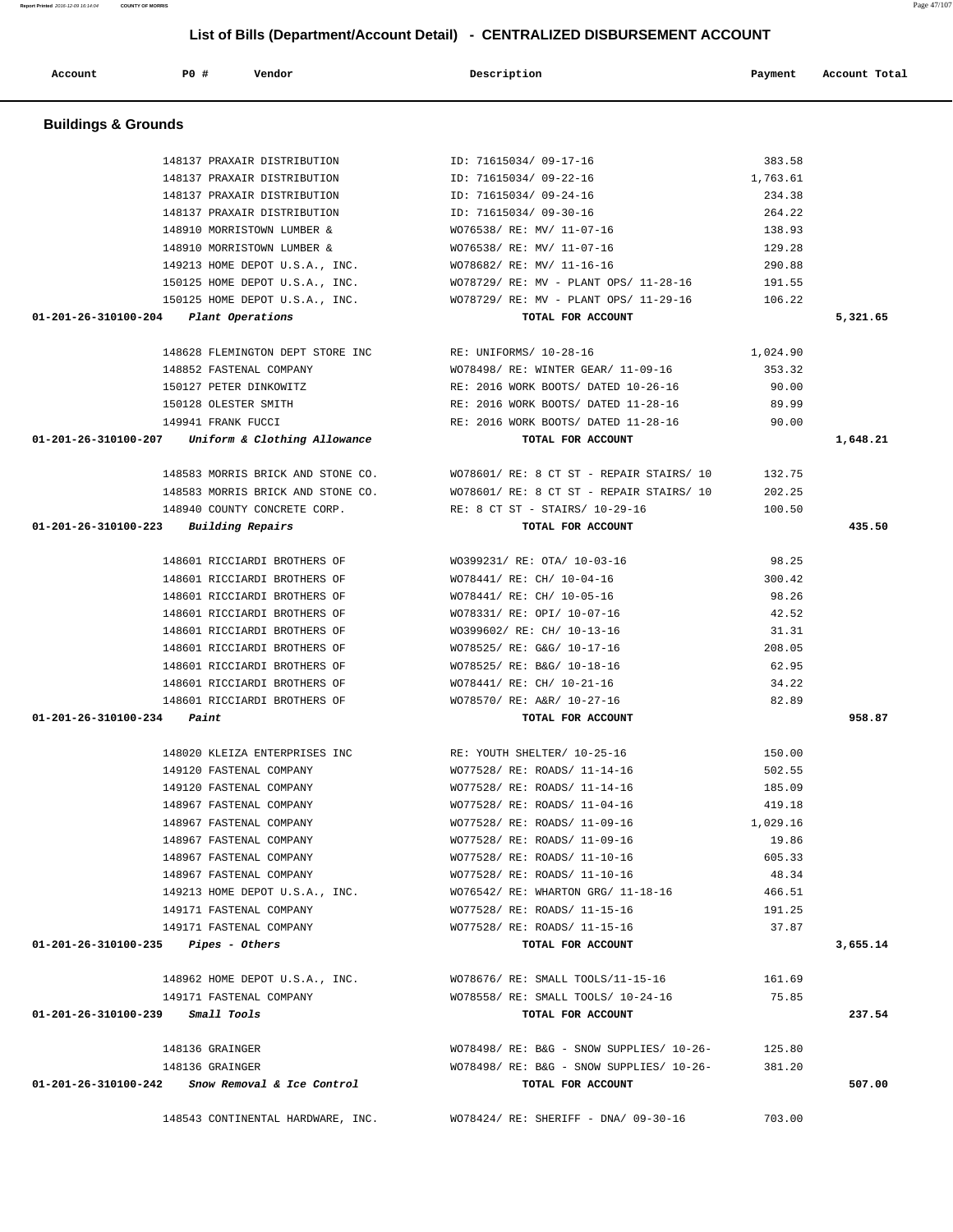| Account                        | <b>PO #</b>                                | Vendor                                            | Description                                                           | Payment  | Account Total |
|--------------------------------|--------------------------------------------|---------------------------------------------------|-----------------------------------------------------------------------|----------|---------------|
| <b>Buildings &amp; Grounds</b> |                                            |                                                   |                                                                       |          |               |
|                                | 148137 PRAXAIR DISTRIBUTION                |                                                   | ID: 71615034/ 09-17-16                                                | 383.58   |               |
|                                | 148137 PRAXAIR DISTRIBUTION                |                                                   | ID: 71615034/ 09-22-16                                                | 1,763.61 |               |
|                                | 148137 PRAXAIR DISTRIBUTION                |                                                   | ID: 71615034/ 09-24-16                                                | 234.38   |               |
|                                | 148137 PRAXAIR DISTRIBUTION                |                                                   | ID: 71615034/ 09-30-16                                                | 264.22   |               |
|                                | 148910 MORRISTOWN LUMBER &                 |                                                   | WO76538/ RE: MV/ 11-07-16                                             | 138.93   |               |
|                                | 148910 MORRISTOWN LUMBER &                 |                                                   | WO76538/ RE: MV/ 11-07-16                                             | 129.28   |               |
|                                |                                            | 149213 HOME DEPOT U.S.A., INC.                    | WO78682/ RE: MV/ 11-16-16                                             | 290.88   |               |
|                                |                                            | 150125 HOME DEPOT U.S.A., INC.                    | WO78729/ RE: MV - PLANT OPS/ 11-28-16                                 | 191.55   |               |
|                                |                                            | 150125 HOME DEPOT U.S.A., INC.                    | WO78729/ RE: MV - PLANT OPS/ 11-29-16                                 | 106.22   |               |
| 01-201-26-310100-204           | Plant Operations                           |                                                   | TOTAL FOR ACCOUNT                                                     |          | 5,321.65      |
|                                |                                            | 148628 FLEMINGTON DEPT STORE INC                  | RE: UNIFORMS/ 10-28-16                                                | 1,024.90 |               |
|                                | 148852 FASTENAL COMPANY                    |                                                   | WO78498/ RE: WINTER GEAR/ 11-09-16                                    | 353.32   |               |
|                                | 150127 PETER DINKOWITZ                     |                                                   | RE: 2016 WORK BOOTS/ DATED 10-26-16                                   | 90.00    |               |
|                                | 150128 OLESTER SMITH                       |                                                   | RE: 2016 WORK BOOTS/ DATED 11-28-16                                   | 89.99    |               |
|                                | 149941 FRANK FUCCI                         |                                                   | RE: 2016 WORK BOOTS/ DATED 11-28-16                                   | 90.00    |               |
| 01-201-26-310100-207           |                                            | Uniform & Clothing Allowance                      | TOTAL FOR ACCOUNT                                                     |          | 1,648.21      |
|                                |                                            | 148583 MORRIS BRICK AND STONE CO.                 | WO78601/ RE: 8 CT ST - REPAIR STAIRS/ 10                              | 132.75   |               |
|                                |                                            | 148583 MORRIS BRICK AND STONE CO.                 | WO78601/ RE: 8 CT ST - REPAIR STAIRS/ 10                              | 202.25   |               |
|                                | 148940 COUNTY CONCRETE CORP.               |                                                   | RE: 8 CT ST - STAIRS/ 10-29-16                                        | 100.50   |               |
| 01-201-26-310100-223           | <b>Building Repairs</b>                    |                                                   | TOTAL FOR ACCOUNT                                                     |          | 435.50        |
|                                | 148601 RICCIARDI BROTHERS OF               |                                                   | WO399231/ RE: OTA/ 10-03-16                                           | 98.25    |               |
|                                | 148601 RICCIARDI BROTHERS OF               |                                                   | WO78441/ RE: CH/ 10-04-16                                             | 300.42   |               |
|                                | 148601 RICCIARDI BROTHERS OF               |                                                   | WO78441/ RE: CH/ 10-05-16                                             | 98.26    |               |
|                                | 148601 RICCIARDI BROTHERS OF               |                                                   | WO78331/ RE: OPI/ 10-07-16                                            | 42.52    |               |
|                                | 148601 RICCIARDI BROTHERS OF               |                                                   | WO399602/ RE: CH/ 10-13-16                                            | 31.31    |               |
|                                | 148601 RICCIARDI BROTHERS OF               |                                                   | WO78525/ RE: G&G/ 10-17-16                                            | 208.05   |               |
|                                | 148601 RICCIARDI BROTHERS OF               |                                                   | WO78525/ RE: B&G/ 10-18-16                                            | 62.95    |               |
|                                | 148601 RICCIARDI BROTHERS OF               |                                                   | WO78441/ RE: CH/ 10-21-16                                             | 34.22    |               |
|                                | 148601 RICCIARDI BROTHERS OF               |                                                   | WO78570/ RE: A&R/ 10-27-16                                            | 82.89    |               |
| 01-201-26-310100-234           | Paint                                      |                                                   | TOTAL FOR ACCOUNT                                                     |          | 958.87        |
|                                |                                            | 148020 KLEIZA ENTERPRISES INC                     | RE: YOUTH SHELTER/ 10-25-16                                           | 150.00   |               |
|                                | 149120 FASTENAL COMPANY                    |                                                   | WO77528/ RE: ROADS/ 11-14-16                                          | 502.55   |               |
|                                | 149120 FASTENAL COMPANY                    |                                                   | WO77528/ RE: ROADS/ 11-14-16                                          | 185.09   |               |
|                                | 148967 FASTENAL COMPANY                    |                                                   | WO77528/ RE: ROADS/ 11-04-16                                          | 419.18   |               |
|                                | 148967 FASTENAL COMPANY                    |                                                   | WO77528/ RE: ROADS/ 11-09-16                                          | 1,029.16 |               |
|                                | 148967 FASTENAL COMPANY                    |                                                   | WO77528/ RE: ROADS/ 11-09-16                                          | 19.86    |               |
|                                | 148967 FASTENAL COMPANY                    |                                                   | WO77528/ RE: ROADS/ 11-10-16                                          | 605.33   |               |
|                                | 148967 FASTENAL COMPANY                    |                                                   | WO77528/ RE: ROADS/ 11-10-16                                          | 48.34    |               |
|                                |                                            | 149213 HOME DEPOT U.S.A., INC.                    | WO76542/ RE: WHARTON GRG/ 11-18-16                                    | 466.51   |               |
|                                | 149171 FASTENAL COMPANY                    |                                                   | WO77528/ RE: ROADS/ 11-15-16                                          | 191.25   |               |
|                                | 149171 FASTENAL COMPANY                    |                                                   | WO77528/ RE: ROADS/ 11-15-16                                          | 37.87    |               |
|                                | $01-201-26-310100-235$ Pipes - Others      |                                                   | TOTAL FOR ACCOUNT                                                     |          | 3,655.14      |
|                                |                                            |                                                   | 148962 HOME DEPOT U.S.A., INC. WO78676/ RE: SMALL TOOLS/11-15-16      | 161.69   |               |
|                                | 149171 FASTENAL COMPANY                    |                                                   | WO78558/ RE: SMALL TOOLS/ 10-24-16                                    | 75.85    |               |
|                                | $01 - 201 - 26 - 310100 - 239$ Small Tools |                                                   | TOTAL FOR ACCOUNT                                                     |          | 237.54        |
|                                | 148136 GRAINGER                            |                                                   | WO78498/ RE: B&G - SNOW SUPPLIES/ 10-26- 125.80                       |          |               |
|                                | 148136 GRAINGER                            |                                                   | WO78498/RE: B&G - SNOW SUPPLIES/ 10-26-                               | 381.20   |               |
|                                |                                            | $01-201-26-310100-242$ Snow Removal & Ice Control | TOTAL FOR ACCOUNT                                                     |          | 507.00        |
|                                |                                            |                                                   | 148543 CONTINENTAL HARDWARE, INC. WO78424/RE: SHERIFF - DNA/ 09-30-16 | 703.00   |               |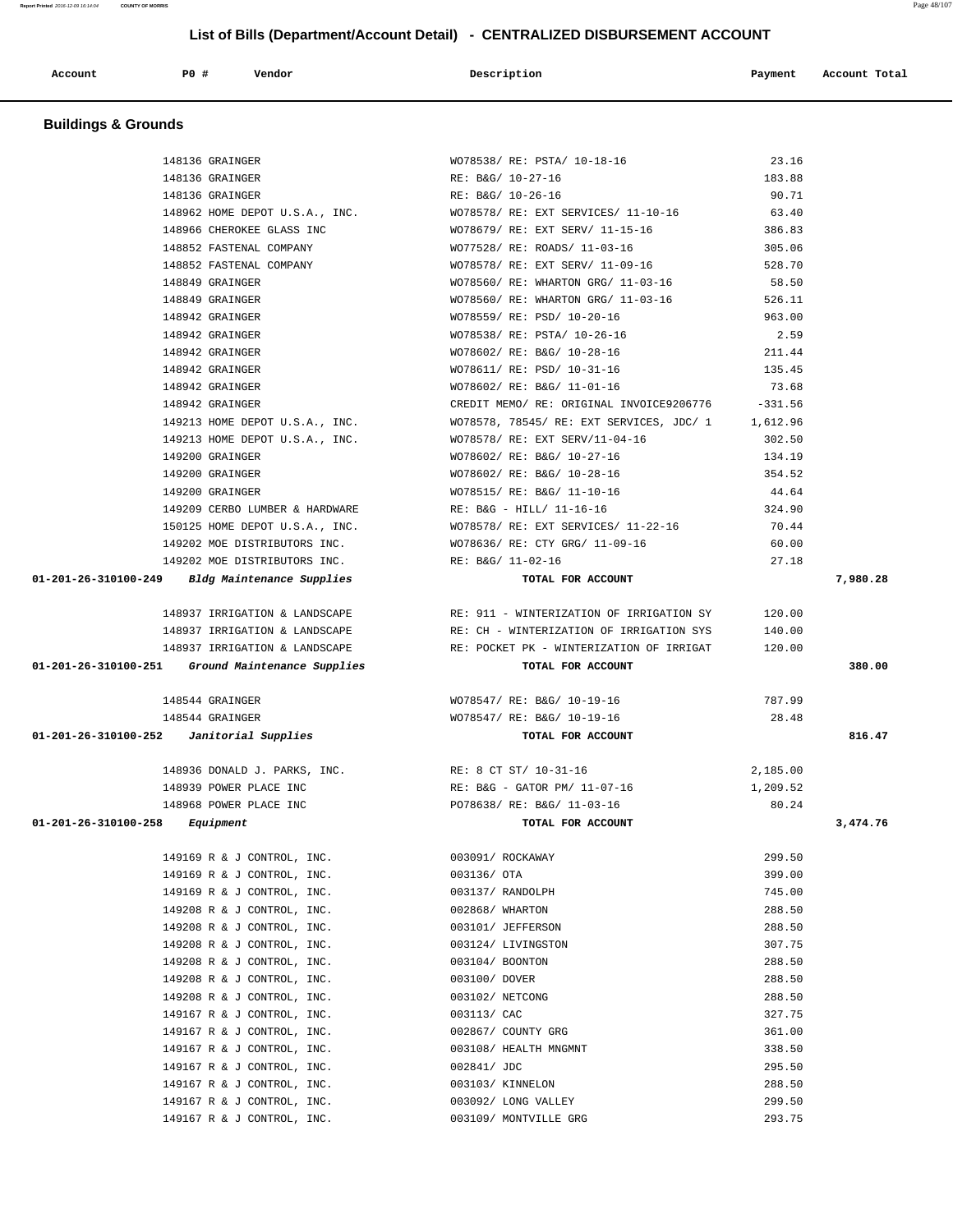| Account                        | PO#             | Vendor | Description                 | Payment | Account Total |
|--------------------------------|-----------------|--------|-----------------------------|---------|---------------|
| <b>Buildings &amp; Grounds</b> |                 |        |                             |         |               |
|                                | 148136 GRAINGER |        | WO78538/ RE: PSTA/ 10-18-16 | 23.16   |               |

|                                          | 148136 GRAINGER                                          | RE: B&G/ 10-27-16                                                                | 183.88           |          |
|------------------------------------------|----------------------------------------------------------|----------------------------------------------------------------------------------|------------------|----------|
|                                          | 148136 GRAINGER                                          | RE: B&G/ 10-26-16                                                                | 90.71            |          |
|                                          | 148962 HOME DEPOT U.S.A., INC.                           | WO78578/ RE: EXT SERVICES/ 11-10-16                                              | 63.40            |          |
|                                          | 148966 CHEROKEE GLASS INC                                | WO78679/ RE: EXT SERV/ 11-15-16                                                  | 386.83           |          |
|                                          | 148852 FASTENAL COMPANY                                  | WO77528/ RE: ROADS/ 11-03-16                                                     | 305.06           |          |
|                                          | 148852 FASTENAL COMPANY                                  | WO78578/ RE: EXT SERV/ 11-09-16                                                  | 528.70           |          |
|                                          | 148849 GRAINGER                                          | WO78560/ RE: WHARTON GRG/ 11-03-16                                               | 58.50            |          |
|                                          | 148849 GRAINGER                                          | WO78560/ RE: WHARTON GRG/ 11-03-16                                               | 526.11           |          |
|                                          | 148942 GRAINGER                                          | WO78559/ RE: PSD/ 10-20-16                                                       | 963.00           |          |
|                                          | 148942 GRAINGER                                          | WO78538/ RE: PSTA/ 10-26-16                                                      | 2.59             |          |
|                                          | 148942 GRAINGER                                          | WO78602/ RE: B&G/ 10-28-16                                                       | 211.44           |          |
|                                          | 148942 GRAINGER                                          | WO78611/ RE: PSD/ 10-31-16                                                       | 135.45           |          |
|                                          | 148942 GRAINGER                                          | WO78602/ RE: B&G/ 11-01-16                                                       | 73.68            |          |
|                                          | 148942 GRAINGER                                          | CREDIT MEMO/ RE: ORIGINAL INVOICE9206776                                         | $-331.56$        |          |
|                                          | 149213 HOME DEPOT U.S.A., INC.                           | WO78578, 78545/ RE: EXT SERVICES, JDC/ 1 1,612.96                                |                  |          |
|                                          | 149213 HOME DEPOT U.S.A., INC.                           | WO78578/ RE: EXT SERV/11-04-16                                                   | 302.50           |          |
|                                          | 149200 GRAINGER                                          | WO78602/ RE: B&G/ 10-27-16                                                       | 134.19           |          |
|                                          | 149200 GRAINGER                                          | WO78602/ RE: B&G/ 10-28-16                                                       | 354.52           |          |
|                                          | 149200 GRAINGER                                          | WO78515/ RE: B&G/ 11-10-16                                                       | 44.64            |          |
|                                          | 149209 CERBO LUMBER & HARDWARE RE: B&G - HILL/ 11-16-16  |                                                                                  | 324.90           |          |
|                                          | 150125 HOME DEPOT U.S.A., INC.                           | WO78578/ RE: EXT SERVICES/ 11-22-16                                              | 70.44            |          |
|                                          | 149202 MOE DISTRIBUTORS INC.                             | WO78636/ RE: CTY GRG/ 11-09-16                                                   | 60.00            |          |
|                                          | 149202 MOE DISTRIBUTORS INC.                             | RE: B&G/ 11-02-16                                                                | 27.18            |          |
|                                          | $01-201-26-310100-249$ Bldg Maintenance Supplies         | TOTAL FOR ACCOUNT                                                                |                  | 7,980.28 |
|                                          |                                                          |                                                                                  |                  |          |
|                                          |                                                          | 148937 IRRIGATION & LANDSCAPE RE: 911 - WINTERIZATION OF IRRIGATION SY           | 120.00           |          |
|                                          |                                                          | 148937 IRRIGATION & LANDSCAPE RE: CH - WINTERIZATION OF IRRIGATION SYS           | 140.00           |          |
|                                          |                                                          | 148937 IRRIGATION & LANDSCAPE <b>FREE</b> : POCKET PK - WINTERIZATION OF IRRIGAT | 120.00           |          |
|                                          | 01-201-26-310100-251 Ground Maintenance Supplies         | TOTAL FOR ACCOUNT                                                                |                  | 380.00   |
|                                          |                                                          |                                                                                  |                  |          |
|                                          |                                                          |                                                                                  |                  |          |
|                                          | 148544 GRAINGER                                          | WO78547/ RE: B&G/ 10-19-16                                                       | 787.99           |          |
|                                          | 148544 GRAINGER                                          | WO78547/ RE: B&G/ 10-19-16                                                       | 28.48            |          |
|                                          | $01-201-26-310100-252$ <i>Janitorial Supplies</i>        | TOTAL FOR ACCOUNT                                                                |                  | 816.47   |
|                                          |                                                          |                                                                                  |                  |          |
|                                          | 148936 DONALD J. PARKS, INC. RE: 8 CT ST/ 10-31-16       |                                                                                  | 2,185.00         |          |
|                                          | 148939 POWER PLACE INC                                   | RE: B&G - GATOR PM/ 11-07-16                                                     | 1,209.52         |          |
|                                          | 148968 POWER PLACE INC                                   | PO78638/ RE: B&G/ 11-03-16                                                       | 80.24            |          |
| $01 - 201 - 26 - 310100 - 258$ Equipment |                                                          | TOTAL FOR ACCOUNT                                                                |                  | 3,474.76 |
|                                          |                                                          |                                                                                  |                  |          |
|                                          | 149169 R & J CONTROL, INC.                               | 003091/ ROCKAWAY                                                                 | 299.50           |          |
|                                          | 149169 R & J CONTROL, INC.                               | 003136/ OTA                                                                      | 399.00           |          |
|                                          | 149169 R & J CONTROL, INC.                               | 003137/ RANDOLPH                                                                 | 745.00           |          |
|                                          | 149208 R & J CONTROL, INC.                               | 002868/ WHARTON                                                                  | 288.50           |          |
|                                          | 149208 R & J CONTROL, INC.                               | 003101/ JEFFERSON                                                                | 288.50           |          |
|                                          | 149208 R & J CONTROL, INC.                               | 003124/ LIVINGSTON                                                               | 307.75           |          |
|                                          | 149208 R & J CONTROL, INC.                               | 003104/ BOONTON                                                                  | 288.50           |          |
|                                          | 149208 R & J CONTROL, INC.                               | 003100/ DOVER                                                                    | 288.50           |          |
|                                          | 149208 R & J CONTROL, INC.                               | 003102/ NETCONG                                                                  | 288.50           |          |
|                                          | 149167 R & J CONTROL, INC.                               | 003113/ CAC                                                                      | 327.75           |          |
|                                          | 149167 R & J CONTROL, INC.                               | 002867/ COUNTY GRG                                                               | 361.00           |          |
|                                          | 149167 R & J CONTROL, INC.                               | 003108/ HEALTH MNGMNT                                                            | 338.50           |          |
|                                          | 149167 R & J CONTROL, INC.                               | 002841/ JDC                                                                      | 295.50           |          |
|                                          | 149167 R & J CONTROL, INC.<br>149167 R & J CONTROL, INC. | 003103/ KINNELON<br>003092/ LONG VALLEY                                          | 288.50<br>299.50 |          |

149167 R & J CONTROL, INC. 003109/ MONTVILLE GRG 293.75

**Report Printed** 2016-12-09 16:14:04 **COUNTY OF MORRIS** Page 48/107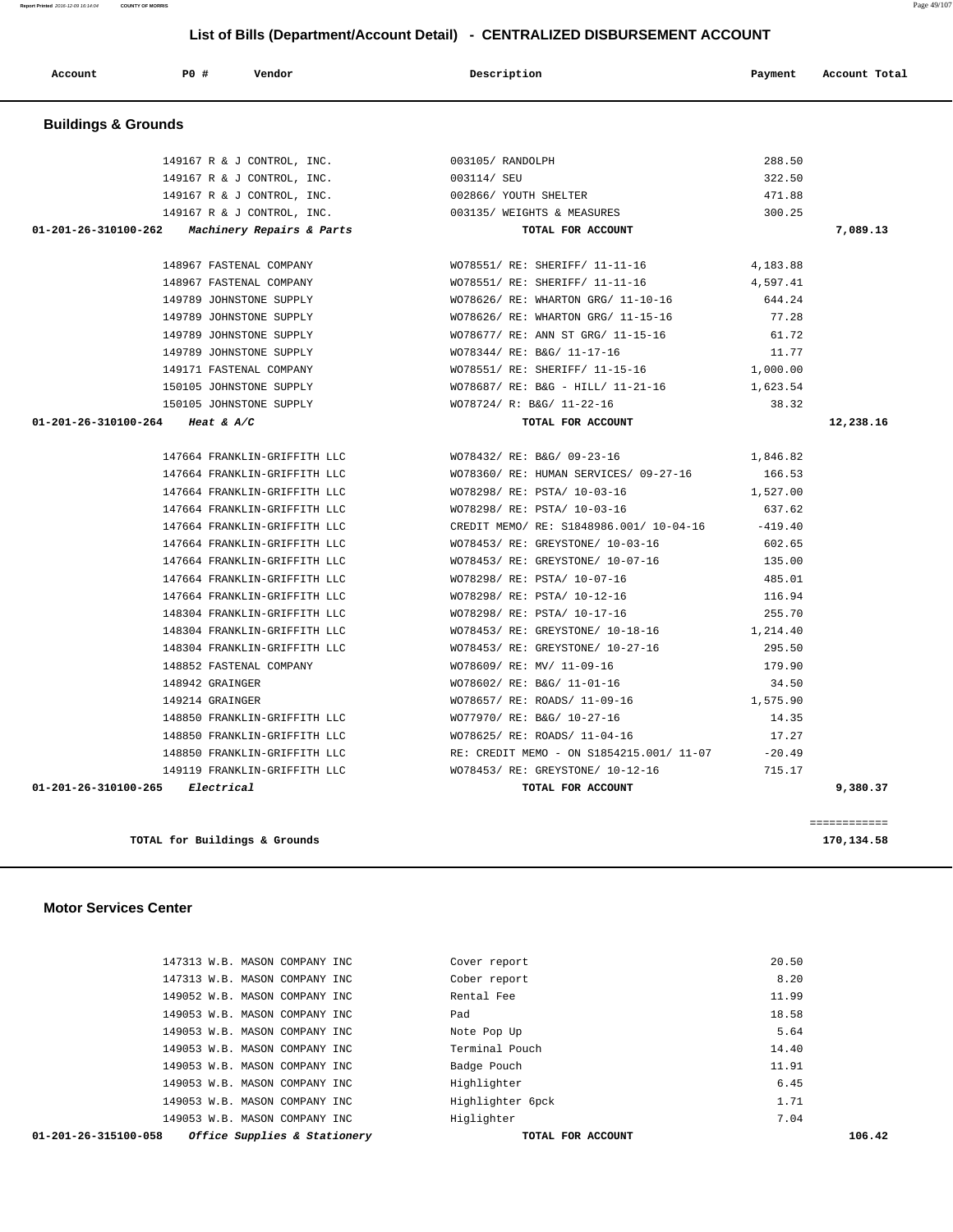#### **Motor Services Center**

 **Buildings & Grounds** 

| Cover report                                                                                                                                                                                                                                                                                                                           | 20.50 |
|----------------------------------------------------------------------------------------------------------------------------------------------------------------------------------------------------------------------------------------------------------------------------------------------------------------------------------------|-------|
| Cober report                                                                                                                                                                                                                                                                                                                           | 8.20  |
| Rental Fee                                                                                                                                                                                                                                                                                                                             | 11.99 |
| Pad                                                                                                                                                                                                                                                                                                                                    | 18.58 |
| Note Pop Up                                                                                                                                                                                                                                                                                                                            | 5.64  |
| Terminal Pouch                                                                                                                                                                                                                                                                                                                         | 14.40 |
| Badge Pouch                                                                                                                                                                                                                                                                                                                            | 11.91 |
| Highlighter                                                                                                                                                                                                                                                                                                                            | 6.45  |
| Highlighter 6pck                                                                                                                                                                                                                                                                                                                       | 1.71  |
| Higlighter                                                                                                                                                                                                                                                                                                                             | 7.04  |
| 147313 W.B. MASON COMPANY INC<br>147313 W.B. MASON COMPANY INC<br>149052 W.B. MASON COMPANY INC<br>149053 W.B. MASON COMPANY INC<br>149053 W.B. MASON COMPANY INC<br>149053 W.B. MASON COMPANY INC<br>149053 W.B. MASON COMPANY INC<br>149053 W.B. MASON COMPANY INC<br>149053 W.B. MASON COMPANY INC<br>149053 W.B. MASON COMPANY INC |       |

 **01-201-26-315100-058 Office Supplies & Stationery TOTAL FOR ACCOUNT 106.42**

| TOTAL for Buildings & Grounds | 170,134.58 |
|-------------------------------|------------|
|                               |            |

| 149167 R & J CONTROL, INC.                     | 003105/ RANDOLPH                                | 288.50   |           |
|------------------------------------------------|-------------------------------------------------|----------|-----------|
| 149167 R & J CONTROL, INC.                     | 003114/ SEU                                     | 322.50   |           |
| 149167 R & J CONTROL, INC.                     | 002866/ YOUTH SHELTER                           | 471.88   |           |
| 149167 R & J CONTROL, INC.                     | 003135/ WEIGHTS & MEASURES                      | 300.25   |           |
| 01-201-26-310100-262 Machinery Repairs & Parts | TOTAL FOR ACCOUNT                               |          | 7,089.13  |
|                                                |                                                 |          |           |
| 148967 FASTENAL COMPANY                        | WO78551/ RE: SHERIFF/ 11-11-16                  | 4,183.88 |           |
| 148967 FASTENAL COMPANY                        | WO78551/ RE: SHERIFF/ 11-11-16                  | 4,597.41 |           |
| 149789 JOHNSTONE SUPPLY                        | WO78626/ RE: WHARTON GRG/ 11-10-16              | 644.24   |           |
| 149789 JOHNSTONE SUPPLY                        | WO78626/ RE: WHARTON GRG/ 11-15-16              | 77.28    |           |
| 149789 JOHNSTONE SUPPLY                        | WO78677/ RE: ANN ST GRG/ 11-15-16               | 61.72    |           |
| 149789 JOHNSTONE SUPPLY                        | WO78344/ RE: B&G/ 11-17-16                      | 11.77    |           |
| 149171 FASTENAL COMPANY                        | WO78551/ RE: SHERIFF/ 11-15-16                  | 1,000.00 |           |
| 150105 JOHNSTONE SUPPLY                        | WO78687/ RE: B&G - HILL/ 11-21-16 1,623.54      |          |           |
| 150105 JOHNSTONE SUPPLY                        | WO78724/ R: B&G/ 11-22-16                       | 38.32    |           |
| 01-201-26-310100-264 Heat & A/C                | TOTAL FOR ACCOUNT                               |          | 12,238.16 |
|                                                |                                                 |          |           |
| 147664 FRANKLIN-GRIFFITH LLC                   | WO78432/ RE: B&G/ 09-23-16                      | 1,846.82 |           |
| 147664 FRANKLIN-GRIFFITH LLC                   | WO78360/ RE: HUMAN SERVICES/ 09-27-16           | 166.53   |           |
| 147664 FRANKLIN-GRIFFITH LLC                   | WO78298/ RE: PSTA/ 10-03-16                     | 1,527.00 |           |
| 147664 FRANKLIN-GRIFFITH LLC                   | WO78298/ RE: PSTA/ 10-03-16                     | 637.62   |           |
| 147664 FRANKLIN-GRIFFITH LLC                   | CREDIT MEMO/ RE: S1848986.001/ 10-04-16 -419.40 |          |           |
| 147664 FRANKLIN-GRIFFITH LLC                   | WO78453/ RE: GREYSTONE/ 10-03-16                | 602.65   |           |
| 147664 FRANKLIN-GRIFFITH LLC                   | WO78453/ RE: GREYSTONE/ 10-07-16                | 135.00   |           |
| 147664 FRANKLIN-GRIFFITH LLC                   | WO78298/ RE: PSTA/ 10-07-16                     | 485.01   |           |
| 147664 FRANKLIN-GRIFFITH LLC                   | WO78298/ RE: PSTA/ 10-12-16                     | 116.94   |           |
| 148304 FRANKLIN-GRIFFITH LLC                   | WO78298/ RE: PSTA/ 10-17-16                     | 255.70   |           |
| 148304 FRANKLIN-GRIFFITH LLC                   | WO78453/ RE: GREYSTONE/ 10-18-16                | 1,214.40 |           |
| 148304 FRANKLIN-GRIFFITH LLC                   | WO78453/ RE: GREYSTONE/ 10-27-16                | 295.50   |           |
| 148852 FASTENAL COMPANY                        | WO78609/ RE: MV/ 11-09-16                       | 179.90   |           |
| 148942 GRAINGER                                | WO78602/ RE: B&G/ 11-01-16                      | 34.50    |           |
| 149214 GRAINGER                                | WO78657/ RE: ROADS/ 11-09-16                    | 1,575.90 |           |
| 148850 FRANKLIN-GRIFFITH LLC                   | WO77970/ RE: B&G/ 10-27-16                      | 14.35    |           |
| 148850 FRANKLIN-GRIFFITH LLC                   | WO78625/ RE: ROADS/ 11-04-16                    | 17.27    |           |
| 148850 FRANKLIN-GRIFFITH LLC                   | RE: CREDIT MEMO - ON S1854215.001/ 11-07        | $-20.49$ |           |
| 149119 FRANKLIN-GRIFFITH LLC                   | WO78453/ RE: GREYSTONE/ 10-12-16                | 715.17   |           |
| $01 - 201 - 26 - 310100 - 265$ Electrical      | TOTAL FOR ACCOUNT                               |          | 9,380.37  |

============

## **List of Bills (Department/Account Detail) - CENTRALIZED DISBURSEMENT ACCOUNT**

 **Account P0 # Vendor Description Payment Account Total**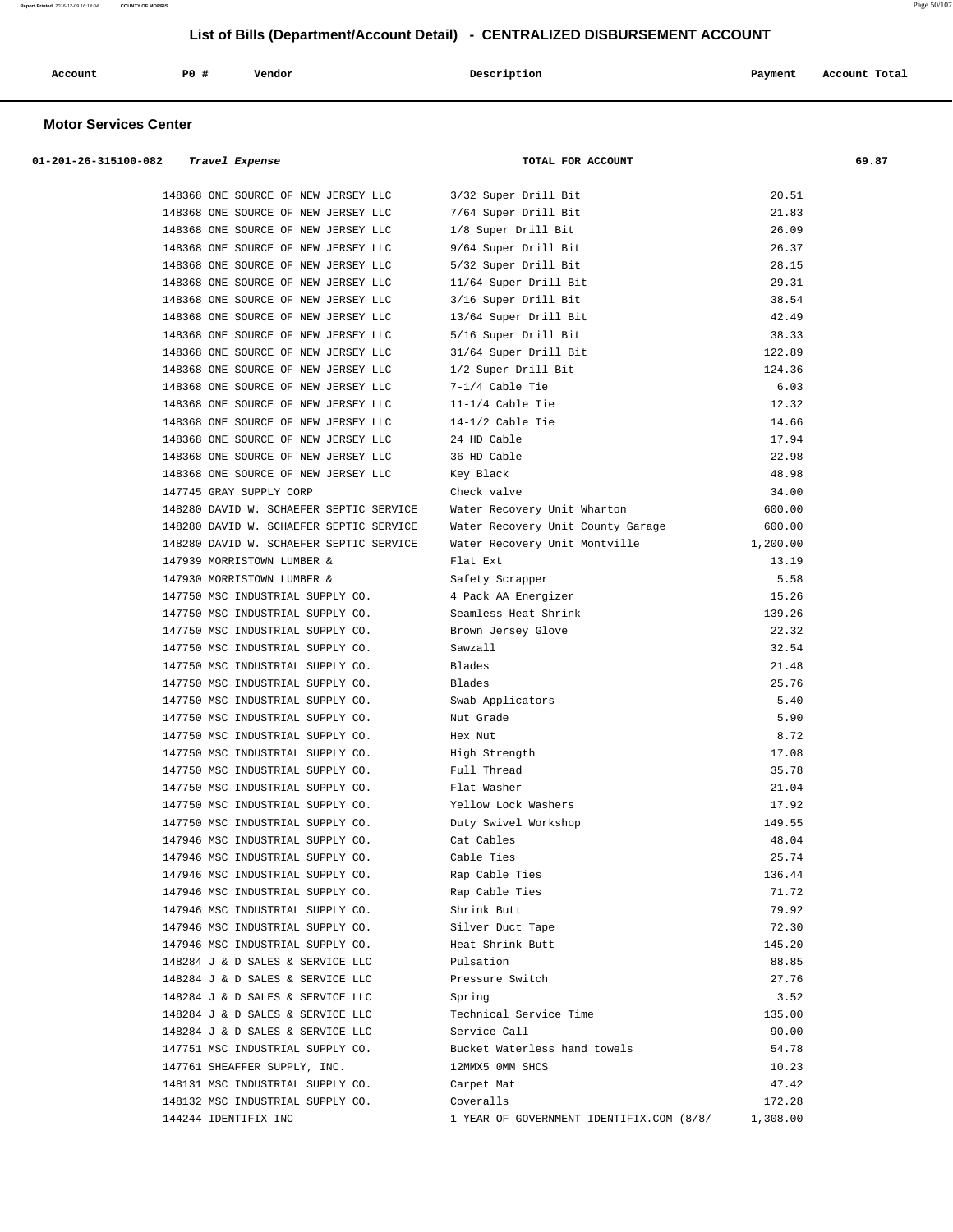| Account | P <sub>0</sub> | Vendor | Description | Payment | Account Total |
|---------|----------------|--------|-------------|---------|---------------|
|         |                |        |             |         |               |

| 01-201-26-315100-082 Travel Expense |                                                                      | TOTAL FOR ACCOUNT                        | 69.87         |
|-------------------------------------|----------------------------------------------------------------------|------------------------------------------|---------------|
|                                     | 148368 ONE SOURCE OF NEW JERSEY LLC                                  | 3/32 Super Drill Bit                     | 20.51         |
|                                     | 148368 ONE SOURCE OF NEW JERSEY LLC                                  | 7/64 Super Drill Bit                     | 21.83         |
|                                     | 148368 ONE SOURCE OF NEW JERSEY LLC                                  | 1/8 Super Drill Bit                      | 26.09         |
|                                     | 148368 ONE SOURCE OF NEW JERSEY LLC                                  | 9/64 Super Drill Bit                     | 26.37         |
|                                     | 148368 ONE SOURCE OF NEW JERSEY LLC                                  | 5/32 Super Drill Bit                     | 28.15         |
|                                     | 148368 ONE SOURCE OF NEW JERSEY LLC                                  | 11/64 Super Drill Bit                    | 29.31         |
|                                     | 148368 ONE SOURCE OF NEW JERSEY LLC                                  | 3/16 Super Drill Bit                     | 38.54         |
|                                     | 148368 ONE SOURCE OF NEW JERSEY LLC                                  | 13/64 Super Drill Bit                    | 42.49         |
|                                     | 148368 ONE SOURCE OF NEW JERSEY LLC                                  | 5/16 Super Drill Bit                     | 38.33         |
|                                     | 148368 ONE SOURCE OF NEW JERSEY LLC                                  | 31/64 Super Drill Bit                    | 122.89        |
|                                     | 148368 ONE SOURCE OF NEW JERSEY LLC                                  | 1/2 Super Drill Bit                      | 124.36        |
|                                     | 148368 ONE SOURCE OF NEW JERSEY LLC                                  | $7-1/4$ Cable Tie                        | 6.03          |
|                                     | 148368 ONE SOURCE OF NEW JERSEY LLC                                  | $11-1/4$ Cable Tie                       | 12.32         |
|                                     | 148368 ONE SOURCE OF NEW JERSEY LLC                                  | 14-1/2 Cable Tie                         | 14.66         |
|                                     | 148368 ONE SOURCE OF NEW JERSEY LLC                                  | 24 HD Cable                              | 17.94         |
|                                     | 148368 ONE SOURCE OF NEW JERSEY LLC                                  | 36 HD Cable                              | 22.98         |
|                                     | 148368 ONE SOURCE OF NEW JERSEY LLC                                  | Key Black                                | 48.98         |
|                                     | 147745 GRAY SUPPLY CORP                                              | Check valve                              | 34.00         |
|                                     | 148280 DAVID W. SCHAEFER SEPTIC SERVICE                              | Water Recovery Unit Wharton              | 600.00        |
|                                     | 148280 DAVID W. SCHAEFER SEPTIC SERVICE                              | Water Recovery Unit County Garage        | 600.00        |
|                                     | 148280 DAVID W. SCHAEFER SEPTIC SERVICE                              | Water Recovery Unit Montville 1,200.00   |               |
|                                     | 147939 MORRISTOWN LUMBER &                                           | Flat Ext                                 | 13.19         |
|                                     | 147930 MORRISTOWN LUMBER &                                           | Safety Scrapper                          | 5.58          |
|                                     | 147750 MSC INDUSTRIAL SUPPLY CO.                                     | 4 Pack AA Energizer                      | 15.26         |
|                                     | 147750 MSC INDUSTRIAL SUPPLY CO.                                     | Seamless Heat Shrink                     | 139.26        |
|                                     | 147750 MSC INDUSTRIAL SUPPLY CO.                                     | Brown Jersey Glove                       | 22.32         |
|                                     | 147750 MSC INDUSTRIAL SUPPLY CO.                                     | Sawzall                                  | 32.54         |
|                                     | 147750 MSC INDUSTRIAL SUPPLY CO.                                     | Blades                                   | 21.48         |
|                                     | 147750 MSC INDUSTRIAL SUPPLY CO.                                     | Blades                                   | 25.76         |
|                                     | 147750 MSC INDUSTRIAL SUPPLY CO.                                     | Swab Applicators                         | 5.40          |
|                                     | 147750 MSC INDUSTRIAL SUPPLY CO.                                     | Nut Grade                                | 5.90          |
|                                     | 147750 MSC INDUSTRIAL SUPPLY CO.<br>147750 MSC INDUSTRIAL SUPPLY CO. | Hex Nut                                  | 8.72<br>17.08 |
|                                     | 147750 MSC INDUSTRIAL SUPPLY CO.                                     | High Strength<br>Full Thread             | 35.78         |
|                                     | 147750 MSC INDUSTRIAL SUPPLY CO.                                     | Flat Washer                              | 21.04         |
|                                     | 147750 MSC INDUSTRIAL SUPPLY CO.                                     | Yellow Lock Washers                      | 17.92         |
|                                     | 147750 MSC INDUSTRIAL SUPPLY CO.                                     | Duty Swivel Workshop                     | 149.55        |
|                                     | 147946 MSC INDUSTRIAL SUPPLY CO.                                     | Cat Cables                               | 48.04         |
|                                     | 147946 MSC INDUSTRIAL SUPPLY CO.                                     | Cable Ties                               | 25.74         |
|                                     | 147946 MSC INDUSTRIAL SUPPLY CO.                                     | Rap Cable Ties                           | 136.44        |
|                                     | 147946 MSC INDUSTRIAL SUPPLY CO.                                     | Rap Cable Ties                           | 71.72         |
|                                     | 147946 MSC INDUSTRIAL SUPPLY CO.                                     | Shrink Butt                              | 79.92         |
|                                     | 147946 MSC INDUSTRIAL SUPPLY CO.                                     | Silver Duct Tape                         | 72.30         |
|                                     | 147946 MSC INDUSTRIAL SUPPLY CO.                                     | Heat Shrink Butt                         | 145.20        |
|                                     | 148284 J & D SALES & SERVICE LLC                                     | Pulsation                                | 88.85         |
|                                     | 148284 J & D SALES & SERVICE LLC                                     | Pressure Switch                          | 27.76         |
|                                     | 148284 J & D SALES & SERVICE LLC                                     | Spring                                   | 3.52          |
|                                     | 148284 J & D SALES & SERVICE LLC                                     | Technical Service Time                   | 135.00        |
|                                     | 148284 J & D SALES & SERVICE LLC                                     | Service Call                             | 90.00         |
|                                     | 147751 MSC INDUSTRIAL SUPPLY CO.                                     | Bucket Waterless hand towels             | 54.78         |
|                                     | 147761 SHEAFFER SUPPLY, INC.                                         | 12MMX5 OMM SHCS                          | 10.23         |
|                                     | 148131 MSC INDUSTRIAL SUPPLY CO.                                     | Carpet Mat                               | 47.42         |
|                                     | 148132 MSC INDUSTRIAL SUPPLY CO.                                     | Coveralls                                | 172.28        |
| 144244 IDENTIFIX INC                |                                                                      | 1 YEAR OF GOVERNMENT IDENTIFIX.COM (8/8/ | 1,308.00      |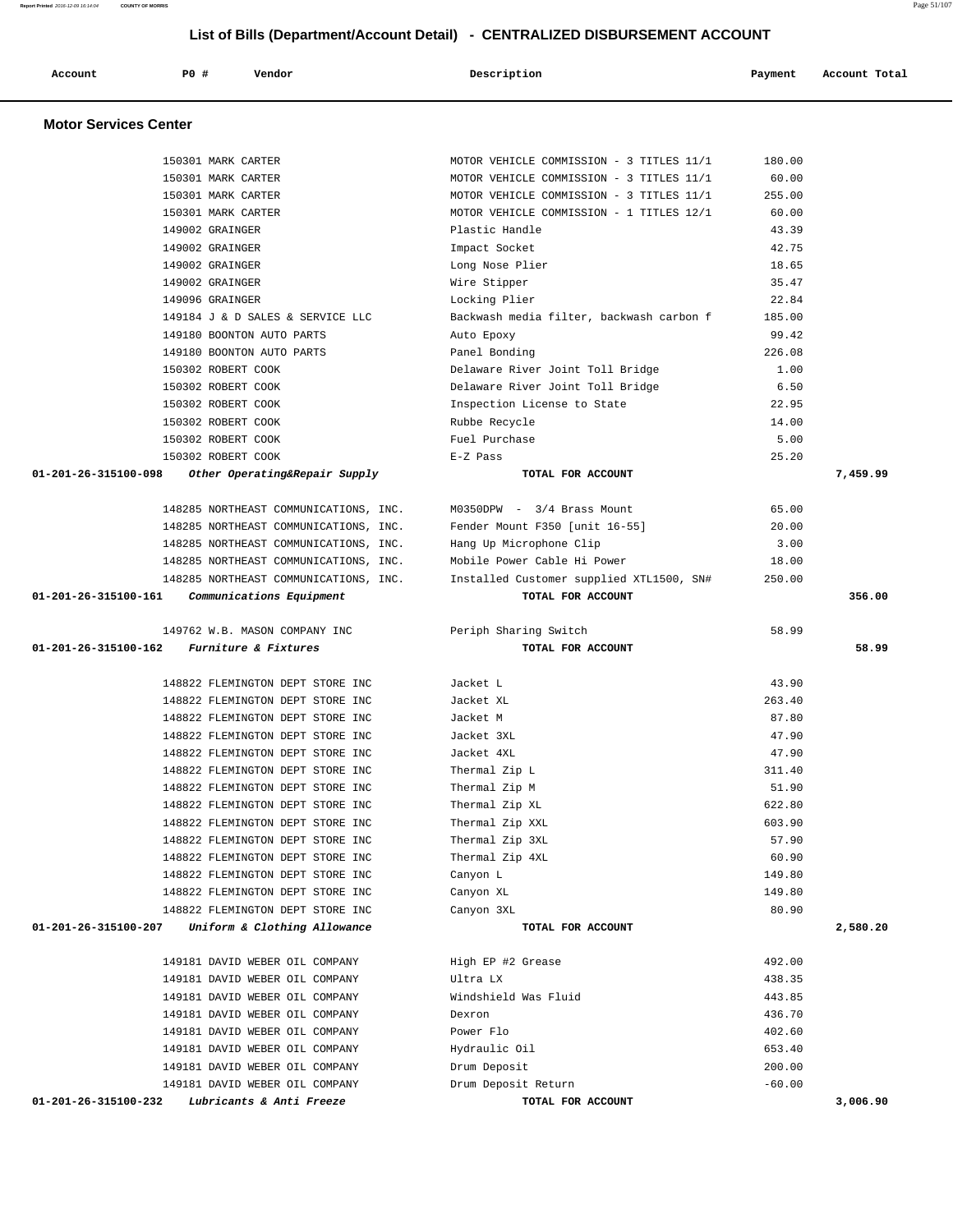150301 MARK CARTER MOTOR VEHICLE COMMISSION - 3 TITLES 11/1 180.00 150301 MARK CARTER MOTOR VEHICLE COMMISSION - 3 TITLES 11/1 60.00 150301 MARK CARTER MOTOR VEHICLE COMMISSION - 3 TITLES 11/1 255.00 150301 MARK CARTER MOTOR VEHICLE COMMISSION - 1 TITLES 12/1 60.00 149002 GRAINGER Plastic Handle 43.39 149002 GRAINGER Impact Socket 42.75 149002 GRAINGER Long Nose Plier 18.65 149002 GRAINGER Wire Stipper 35.47 149096 GRAINGER Locking Plier 22.84 149184 J & D SALES & SERVICE LLC Backwash media filter, backwash carbon f 185.00 149180 BOONTON AUTO PARTS Auto Epoxy 99.42 149180 BOONTON AUTO PARTS Panel Bonding 226.08 150302 ROBERT COOK Delaware River Joint Toll Bridge 1.00 150302 ROBERT COOK Delaware River Joint Toll Bridge 6.50 150302 ROBERT COOK Inspection License to State 22.95 150302 ROBERT COOK Rubbe Recycle 14.00 150302 ROBERT COOK Fuel Purchase 5.00 150302 ROBERT COOK E-Z Pass 25.20  **01-201-26-315100-098 Other Operating&Repair Supply TOTAL FOR ACCOUNT 7,459.99** 148285 NORTHEAST COMMUNICATIONS, INC. M0350DPW - 3/4 Brass Mount 65.00 148285 NORTHEAST COMMUNICATIONS, INC. Fender Mount F350 [unit 16-55] 20.00 148285 NORTHEAST COMMUNICATIONS, INC. Hang Up Microphone Clip 3.00 148285 NORTHEAST COMMUNICATIONS, INC. Mobile Power Cable Hi Power 18.00 148285 NORTHEAST COMMUNICATIONS, INC. Installed Customer supplied XTL1500, SN# 250.00  **01-201-26-315100-161 Communications Equipment TOTAL FOR ACCOUNT 356.00** 149762 W.B. MASON COMPANY INC Periph Sharing Switch 58.99  **01-201-26-315100-162 Furniture & Fixtures TOTAL FOR ACCOUNT 58.99** 148822 FLEMINGTON DEPT STORE INC Jacket L 43.90 148822 FLEMINGTON DEPT STORE INC Jacket XL 263.40 148822 FLEMINGTON DEPT STORE INC Jacket M 87.80 148822 FLEMINGTON DEPT STORE INC Jacket 3XL 47.90 148822 FLEMINGTON DEPT STORE INC Jacket 4XL 47.90 148822 FLEMINGTON DEPT STORE INC Thermal Zip L 311.40 148822 FLEMINGTON DEPT STORE INC Thermal Zip M 51.90 148822 FLEMINGTON DEPT STORE INC Thermal Zip XL 622.80 148822 FLEMINGTON DEPT STORE INC Thermal Zip XXL 603.90 148822 FLEMINGTON DEPT STORE INC Thermal Zip 3XL 57.90 148822 FLEMINGTON DEPT STORE INC Thermal Zip 4XL 60.90 148822 FLEMINGTON DEPT STORE INC Canyon L 149.80 148822 FLEMINGTON DEPT STORE INC Canyon XL 149.80 148822 FLEMINGTON DEPT STORE INC Canyon 3XL 80.90  **01-201-26-315100-207 Uniform & Clothing Allowance TOTAL FOR ACCOUNT 2,580.20** 149181 DAVID WEBER OIL COMPANY High EP #2 Grease 492.00 149181 DAVID WEBER OIL COMPANY Ultra LX 438.35 149181 DAVID WEBER OIL COMPANY Windshield Was Fluid 443.85 149181 DAVID WEBER OIL COMPANY Dexron 436.70 149181 DAVID WEBER OIL COMPANY Power Flo 402.60 149181 DAVID WEBER OIL COMPANY Hydraulic Oil 653.40 149181 DAVID WEBER OIL COMPANY Drum Deposit 200.00 149181 DAVID WEBER OIL COMPANY Drum Deposit Return -60.00  **01-201-26-315100-232 Lubricants & Anti Freeze TOTAL FOR ACCOUNT 3,006.90**

 **List of Bills (Department/Account Detail) - CENTRALIZED DISBURSEMENT ACCOUNT**

 **Account P0 # Vendor Description Payment Account Total**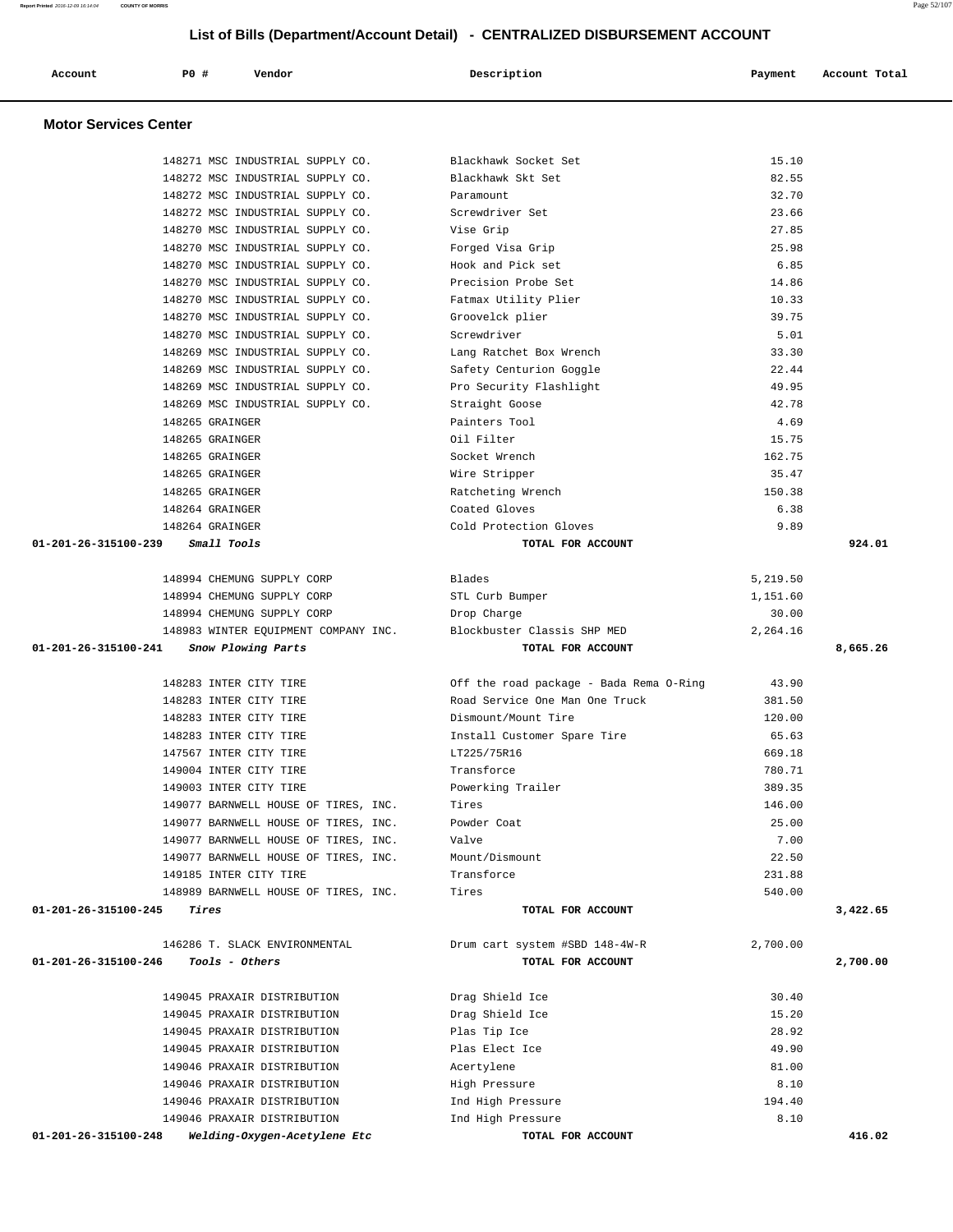| Account                      | P0 #            | Vendor                                                               | List of Dills (DepartmentAccount Detail) - CENTINALIZED DISDONSEMENT ACCOUNT<br>Description | Payment        | Account Total |
|------------------------------|-----------------|----------------------------------------------------------------------|---------------------------------------------------------------------------------------------|----------------|---------------|
| <b>Motor Services Center</b> |                 |                                                                      |                                                                                             |                |               |
|                              |                 |                                                                      |                                                                                             |                |               |
|                              |                 | 148271 MSC INDUSTRIAL SUPPLY CO.                                     | Blackhawk Socket Set                                                                        | 15.10          |               |
|                              |                 | 148272 MSC INDUSTRIAL SUPPLY CO.                                     | Blackhawk Skt Set                                                                           | 82.55          |               |
|                              |                 | 148272 MSC INDUSTRIAL SUPPLY CO.<br>148272 MSC INDUSTRIAL SUPPLY CO. | Paramount<br>Screwdriver Set                                                                | 32.70<br>23.66 |               |
|                              |                 | 148270 MSC INDUSTRIAL SUPPLY CO.                                     | Vise Grip                                                                                   | 27.85          |               |
|                              |                 | 148270 MSC INDUSTRIAL SUPPLY CO.                                     | Forged Visa Grip                                                                            | 25.98          |               |
|                              |                 | 148270 MSC INDUSTRIAL SUPPLY CO.                                     | Hook and Pick set                                                                           | 6.85           |               |
|                              |                 | 148270 MSC INDUSTRIAL SUPPLY CO.                                     | Precision Probe Set                                                                         | 14.86          |               |
|                              |                 | 148270 MSC INDUSTRIAL SUPPLY CO.                                     | Fatmax Utility Plier                                                                        | 10.33          |               |
|                              |                 | 148270 MSC INDUSTRIAL SUPPLY CO.                                     | Groovelck plier                                                                             | 39.75          |               |
|                              |                 | 148270 MSC INDUSTRIAL SUPPLY CO.                                     | Screwdriver                                                                                 | 5.01           |               |
|                              |                 | 148269 MSC INDUSTRIAL SUPPLY CO.                                     | Lang Ratchet Box Wrench                                                                     | 33.30          |               |
|                              |                 | 148269 MSC INDUSTRIAL SUPPLY CO.                                     | Safety Centurion Goggle                                                                     | 22.44          |               |
|                              |                 | 148269 MSC INDUSTRIAL SUPPLY CO.                                     | Pro Security Flashlight                                                                     | 49.95          |               |
|                              |                 | 148269 MSC INDUSTRIAL SUPPLY CO.                                     | Straight Goose                                                                              | 42.78          |               |
|                              | 148265 GRAINGER |                                                                      | Painters Tool                                                                               | 4.69           |               |
|                              | 148265 GRAINGER |                                                                      | Oil Filter                                                                                  | 15.75          |               |
|                              | 148265 GRAINGER |                                                                      | Socket Wrench                                                                               | 162.75         |               |
|                              | 148265 GRAINGER |                                                                      | Wire Stripper                                                                               | 35.47          |               |
|                              | 148265 GRAINGER |                                                                      | Ratcheting Wrench                                                                           | 150.38         |               |
|                              | 148264 GRAINGER |                                                                      | Coated Gloves                                                                               | 6.38           |               |
|                              | 148264 GRAINGER |                                                                      | Cold Protection Gloves                                                                      | 9.89           |               |
| 01-201-26-315100-239         | Small Tools     |                                                                      | TOTAL FOR ACCOUNT                                                                           |                | 924.01        |
|                              |                 | 148994 CHEMUNG SUPPLY CORP                                           | Blades                                                                                      | 5,219.50       |               |
|                              |                 | 148994 CHEMUNG SUPPLY CORP                                           | STL Curb Bumper                                                                             | 1,151.60       |               |
|                              |                 | 148994 CHEMUNG SUPPLY CORP                                           | Drop Charge                                                                                 | 30.00          |               |
|                              |                 | 148983 WINTER EQUIPMENT COMPANY INC.                                 | Blockbuster Classis SHP MED                                                                 | 2,264.16       |               |
| 01-201-26-315100-241         |                 | Snow Plowing Parts                                                   | TOTAL FOR ACCOUNT                                                                           |                | 8,665.26      |
|                              |                 | 148283 INTER CITY TIRE                                               | Off the road package - Bada Rema O-Ring                                                     | 43.90          |               |
|                              |                 | 148283 INTER CITY TIRE                                               | Road Service One Man One Truck                                                              | 381.50         |               |
|                              |                 | 148283 INTER CITY TIRE                                               | Dismount/Mount Tire                                                                         | 120.00         |               |
|                              |                 | 148283 INTER CITY TIRE                                               | Install Customer Spare Tire                                                                 | 65.63          |               |
|                              |                 | 147567 INTER CITY TIRE                                               | LT225/75R16                                                                                 | 669.18         |               |
|                              |                 | 149004 INTER CITY TIRE                                               | Transforce                                                                                  | 780.71         |               |
|                              |                 | 149003 INTER CITY TIRE                                               | Powerking Trailer                                                                           | 389.35         |               |
|                              |                 | 149077 BARNWELL HOUSE OF TIRES, INC.                                 | Tires                                                                                       | 146.00         |               |
|                              |                 | 149077 BARNWELL HOUSE OF TIRES, INC.                                 | Powder Coat                                                                                 | 25.00          |               |
|                              |                 | 149077 BARNWELL HOUSE OF TIRES, INC.                                 | Valve                                                                                       | 7.00           |               |
|                              |                 | 149077 BARNWELL HOUSE OF TIRES, INC.                                 | Mount/Dismount                                                                              | 22.50          |               |
|                              |                 | 149185 INTER CITY TIRE                                               | Transforce                                                                                  | 231.88         |               |
|                              |                 | 148989 BARNWELL HOUSE OF TIRES, INC.                                 | Tires                                                                                       | 540.00         |               |
| 01-201-26-315100-245         | Tires           |                                                                      | TOTAL FOR ACCOUNT                                                                           |                | 3,422.65      |
|                              |                 | 146286 T. SLACK ENVIRONMENTAL                                        | Drum cart system #SBD 148-4W-R                                                              | 2,700.00       |               |
| 01-201-26-315100-246         |                 | Tools - Others                                                       | TOTAL FOR ACCOUNT                                                                           |                | 2,700.00      |
|                              |                 |                                                                      |                                                                                             |                |               |
|                              |                 | 149045 PRAXAIR DISTRIBUTION                                          | Drag Shield Ice                                                                             | 30.40          |               |
|                              |                 | 149045 PRAXAIR DISTRIBUTION                                          | Drag Shield Ice                                                                             | 15.20          |               |
|                              |                 | 149045 PRAXAIR DISTRIBUTION                                          | Plas Tip Ice                                                                                | 28.92          |               |
|                              |                 | 149045 PRAXAIR DISTRIBUTION                                          | Plas Elect Ice                                                                              | 49.90          |               |
|                              |                 | 149046 PRAXAIR DISTRIBUTION                                          | Acertylene                                                                                  | 81.00          |               |
|                              |                 | 149046 PRAXAIR DISTRIBUTION                                          | High Pressure                                                                               | 8.10           |               |
|                              |                 | 149046 PRAXAIR DISTRIBUTION                                          | Ind High Pressure                                                                           | 194.40         |               |
|                              |                 | 149046 PRAXAIR DISTRIBUTION                                          | Ind High Pressure                                                                           | 8.10           |               |
| 01-201-26-315100-248         |                 | Welding-Oxygen-Acetylene Etc                                         | TOTAL FOR ACCOUNT                                                                           |                | 416.02        |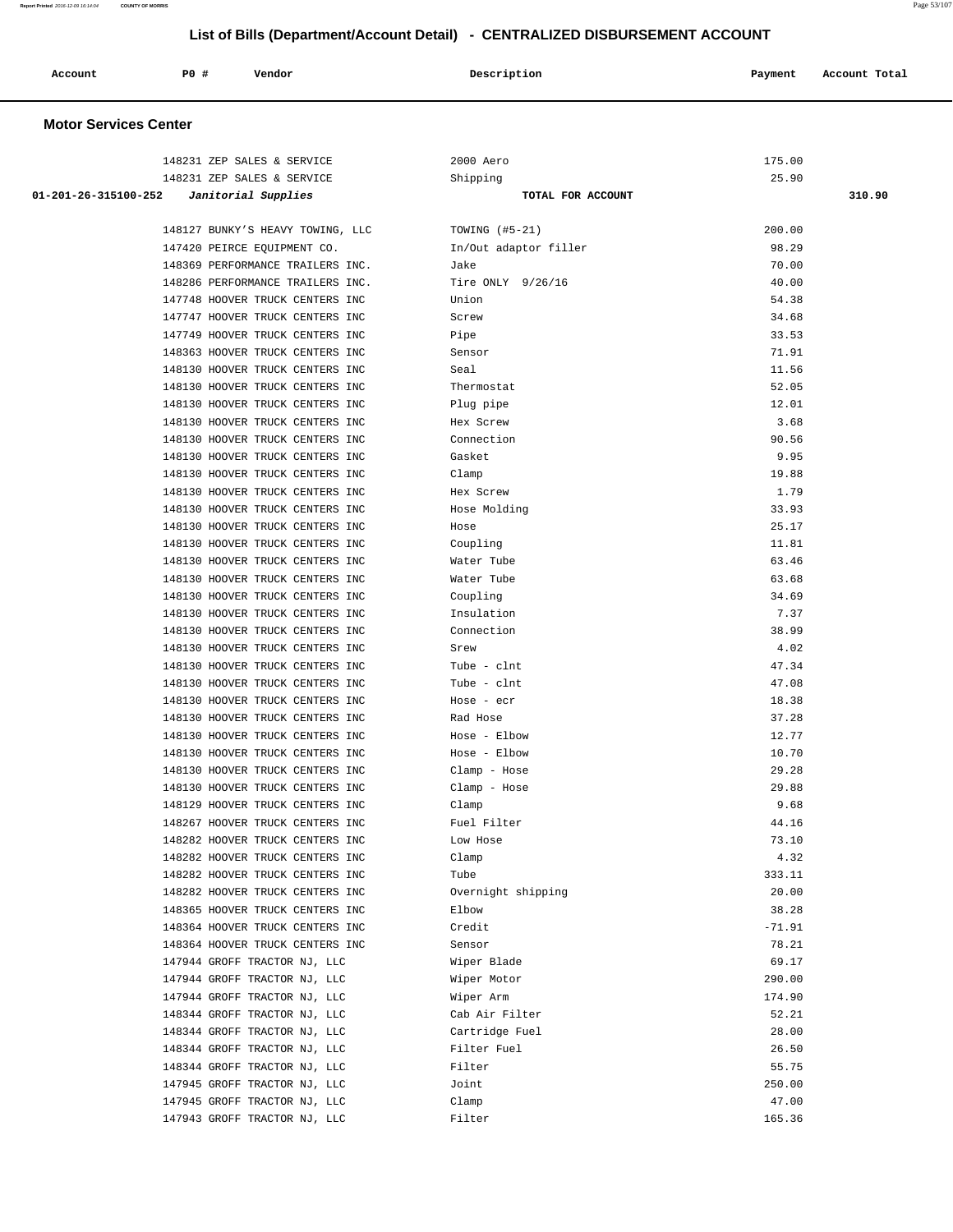| Account | PO# | Vendor | Description | Payment | Account Total |
|---------|-----|--------|-------------|---------|---------------|
|         |     |        |             |         |               |

| 148231 ZEP SALES & SERVICE                  | 2000 Aero             | 175.00   |
|---------------------------------------------|-----------------------|----------|
| 148231 ZEP SALES & SERVICE                  | Shipping              | 25.90    |
| 01-201-26-315100-252<br>Janitorial Supplies | TOTAL FOR ACCOUNT     | 310.90   |
|                                             |                       |          |
| 148127 BUNKY'S HEAVY TOWING, LLC            | TOWING $(+5-21)$      | 200.00   |
| 147420 PEIRCE EOUIPMENT CO.                 | In/Out adaptor filler | 98.29    |
| 148369 PERFORMANCE TRAILERS INC.            | Jake                  | 70.00    |
| 148286 PERFORMANCE TRAILERS INC.            | Tire ONLY 9/26/16     | 40.00    |
| 147748 HOOVER TRUCK CENTERS INC             | Union                 | 54.38    |
| 147747 HOOVER TRUCK CENTERS INC             | Screw                 | 34.68    |
| 147749 HOOVER TRUCK CENTERS INC             | Pipe                  | 33.53    |
| 148363 HOOVER TRUCK CENTERS INC             | Sensor                | 71.91    |
| 148130 HOOVER TRUCK CENTERS INC             | Seal                  | 11.56    |
| 148130 HOOVER TRUCK CENTERS INC             | Thermostat            | 52.05    |
| 148130 HOOVER TRUCK CENTERS INC             | Plug pipe             | 12.01    |
| 148130 HOOVER TRUCK CENTERS INC             | Hex Screw             | 3.68     |
| 148130 HOOVER TRUCK CENTERS INC             | Connection            | 90.56    |
| 148130 HOOVER TRUCK CENTERS INC             | Gasket                | 9.95     |
| 148130 HOOVER TRUCK CENTERS INC             | Clamp                 | 19.88    |
| 148130 HOOVER TRUCK CENTERS INC             | Hex Screw             | 1.79     |
| 148130 HOOVER TRUCK CENTERS INC             | Hose Molding          | 33.93    |
| 148130 HOOVER TRUCK CENTERS INC             | Hose                  | 25.17    |
| 148130 HOOVER TRUCK CENTERS INC             | Coupling              | 11.81    |
| 148130 HOOVER TRUCK CENTERS INC             | Water Tube            | 63.46    |
| 148130 HOOVER TRUCK CENTERS INC             | Water Tube            | 63.68    |
| 148130 HOOVER TRUCK CENTERS INC             | Coupling              | 34.69    |
| 148130 HOOVER TRUCK CENTERS INC             | Insulation            | 7.37     |
| 148130 HOOVER TRUCK CENTERS INC             | Connection            | 38.99    |
| 148130 HOOVER TRUCK CENTERS INC             | Srew                  | 4.02     |
| 148130 HOOVER TRUCK CENTERS INC             | Tube - clnt           | 47.34    |
| 148130 HOOVER TRUCK CENTERS INC             | Tube - clnt           | 47.08    |
| 148130 HOOVER TRUCK CENTERS INC             | $Hose - ecr$          | 18.38    |
| 148130 HOOVER TRUCK CENTERS INC             | Rad Hose              | 37.28    |
| 148130 HOOVER TRUCK CENTERS INC             | Hose - Elbow          | 12.77    |
| 148130 HOOVER TRUCK CENTERS INC             | Hose - Elbow          | 10.70    |
| 148130 HOOVER TRUCK CENTERS INC             | Clamp - Hose          | 29.28    |
| 148130 HOOVER TRUCK CENTERS INC             | Clamp - Hose          | 29.88    |
| 148129 HOOVER TRUCK CENTERS INC             | Clamp                 | 9.68     |
| 148267 HOOVER TRUCK CENTERS INC             | Fuel Filter           | 44.16    |
| 148282 HOOVER TRUCK CENTERS INC             | Low Hose              | 73.10    |
| 148282 HOOVER TRUCK CENTERS INC             | Clamp                 | 4.32     |
| 148282 HOOVER TRUCK CENTERS INC             | Tube                  | 333.11   |
| 148282 HOOVER TRUCK CENTERS INC             | Overnight shipping    | 20.00    |
| 148365 HOOVER TRUCK CENTERS INC             | Elbow                 | 38.28    |
| 148364 HOOVER TRUCK CENTERS INC             | Credit                | $-71.91$ |
| 148364 HOOVER TRUCK CENTERS INC             | Sensor                | 78.21    |
| 147944 GROFF TRACTOR NJ, LLC                | Wiper Blade           | 69.17    |
| 147944 GROFF TRACTOR NJ, LLC                | Wiper Motor           | 290.00   |
| 147944 GROFF TRACTOR NJ, LLC                | Wiper Arm             | 174.90   |
| 148344 GROFF TRACTOR NJ, LLC                | Cab Air Filter        | 52.21    |
| 148344 GROFF TRACTOR NJ, LLC                | Cartridge Fuel        | 28.00    |
| 148344 GROFF TRACTOR NJ, LLC                | Filter Fuel           | 26.50    |
| 148344 GROFF TRACTOR NJ, LLC                | Filter                | 55.75    |
| 147945 GROFF TRACTOR NJ, LLC                | Joint                 | 250.00   |
| 147945 GROFF TRACTOR NJ, LLC                | Clamp                 | 47.00    |
| 147943 GROFF TRACTOR NJ, LLC                | Filter                | 165.36   |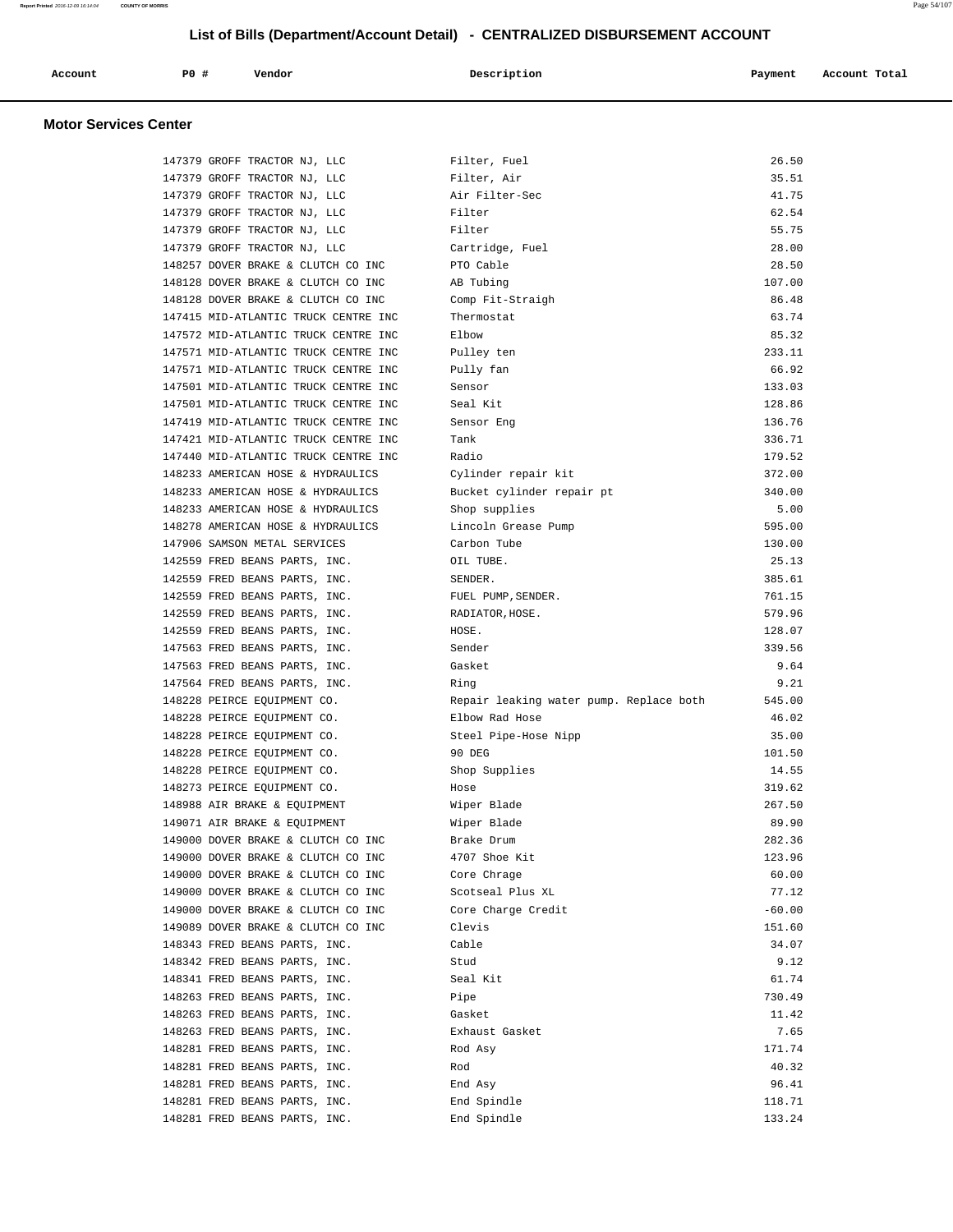| Account    | P0 # | Vendor | Description | Payment | Account Total |
|------------|------|--------|-------------|---------|---------------|
| __ _ _ _ _ |      |        |             |         |               |

| 147379 GROFF TRACTOR NJ, LLC                                       | Filter, Fuel                            | 26.50             |
|--------------------------------------------------------------------|-----------------------------------------|-------------------|
| 147379 GROFF TRACTOR NJ, LLC                                       | Filter, Air                             | 35.51             |
| 147379 GROFF TRACTOR NJ, LLC                                       | Air Filter-Sec                          | 41.75             |
| 147379 GROFF TRACTOR NJ, LLC                                       | Filter                                  | 62.54             |
| 147379 GROFF TRACTOR NJ, LLC                                       | Filter                                  | 55.75             |
| 147379 GROFF TRACTOR NJ, LLC                                       | Cartridge, Fuel                         | 28.00             |
| 148257 DOVER BRAKE & CLUTCH CO INC                                 | PTO Cable                               | 28.50             |
| 148128 DOVER BRAKE & CLUTCH CO INC                                 | AB Tubing                               | 107.00            |
| 148128 DOVER BRAKE & CLUTCH CO INC                                 | Comp Fit-Straigh                        | 86.48             |
| 147415 MID-ATLANTIC TRUCK CENTRE INC                               | Thermostat                              | 63.74             |
| 147572 MID-ATLANTIC TRUCK CENTRE INC                               | Elbow                                   | 85.32             |
| 147571 MID-ATLANTIC TRUCK CENTRE INC                               | Pulley ten                              | 233.11            |
| 147571 MID-ATLANTIC TRUCK CENTRE INC                               | Pully fan                               | 66.92             |
| 147501 MID-ATLANTIC TRUCK CENTRE INC                               | Sensor                                  | 133.03            |
| 147501 MID-ATLANTIC TRUCK CENTRE INC                               | Seal Kit                                | 128.86            |
| 147419 MID-ATLANTIC TRUCK CENTRE INC                               | Sensor Eng                              | 136.76            |
| 147421 MID-ATLANTIC TRUCK CENTRE INC                               | Tank                                    | 336.71            |
| 147440 MID-ATLANTIC TRUCK CENTRE INC                               | Radio                                   | 179.52            |
| 148233 AMERICAN HOSE & HYDRAULICS                                  | Cylinder repair kit                     | 372.00            |
| 148233 AMERICAN HOSE & HYDRAULICS                                  | Bucket cylinder repair pt               | 340.00            |
| 148233 AMERICAN HOSE & HYDRAULICS                                  | Shop supplies                           | 5.00              |
| 148278 AMERICAN HOSE & HYDRAULICS                                  | Lincoln Grease Pump                     | 595.00            |
| 147906 SAMSON METAL SERVICES                                       | Carbon Tube                             | 130.00            |
| 142559 FRED BEANS PARTS, INC.                                      | OIL TUBE.                               | 25.13             |
| 142559 FRED BEANS PARTS, INC.                                      | SENDER.                                 | 385.61            |
| 142559 FRED BEANS PARTS, INC.                                      | FUEL PUMP, SENDER.                      | 761.15            |
| 142559 FRED BEANS PARTS, INC.                                      | RADIATOR, HOSE.                         | 579.96            |
| 142559 FRED BEANS PARTS, INC.                                      | HOSE.                                   | 128.07            |
| 147563 FRED BEANS PARTS, INC.                                      | Sender                                  | 339.56            |
| 147563 FRED BEANS PARTS, INC.                                      | Gasket                                  | 9.64              |
| 147564 FRED BEANS PARTS, INC.                                      | Ring                                    | 9.21              |
| 148228 PEIRCE EQUIPMENT CO.                                        | Repair leaking water pump. Replace both | 545.00            |
| 148228 PEIRCE EQUIPMENT CO.                                        | Elbow Rad Hose                          | 46.02             |
| 148228 PEIRCE EQUIPMENT CO.                                        | Steel Pipe-Hose Nipp                    | 35.00             |
| 148228 PEIRCE EQUIPMENT CO.                                        | 90 DEG                                  | 101.50            |
| 148228 PEIRCE EQUIPMENT CO.                                        | Shop Supplies                           | 14.55             |
| 148273 PEIRCE EQUIPMENT CO.                                        | Hose                                    | 319.62            |
|                                                                    |                                         | 267.50            |
| 148988 AIR BRAKE & EQUIPMENT                                       | Wiper Blade                             | 89.90             |
| 149071 AIR BRAKE & EQUIPMENT<br>149000 DOVER BRAKE & CLUTCH CO INC | Wiper Blade<br>Brake Drum               | 282.36            |
| 149000 DOVER BRAKE & CLUTCH CO INC                                 | 4707 Shoe Kit                           | 123.96            |
| 149000 DOVER BRAKE & CLUTCH CO INC                                 |                                         | 60.00             |
| 149000 DOVER BRAKE & CLUTCH CO INC                                 | Core Chrage                             |                   |
| 149000 DOVER BRAKE & CLUTCH CO INC                                 | Scotseal Plus XL                        | 77.12<br>$-60.00$ |
|                                                                    | Core Charge Credit                      |                   |
| 149089 DOVER BRAKE & CLUTCH CO INC                                 | Clevis                                  | 151.60            |
| 148343 FRED BEANS PARTS, INC.                                      | Cable                                   | 34.07             |
| 148342 FRED BEANS PARTS, INC.                                      | Stud                                    | 9.12              |
| 148341 FRED BEANS PARTS, INC.                                      | Seal Kit                                | 61.74             |
| 148263 FRED BEANS PARTS, INC.                                      | Pipe                                    | 730.49            |
| 148263 FRED BEANS PARTS, INC.                                      | Gasket                                  | 11.42             |
| 148263 FRED BEANS PARTS, INC.                                      | Exhaust Gasket                          | 7.65              |
| 148281 FRED BEANS PARTS, INC.                                      | Rod Asy                                 | 171.74            |
| 148281 FRED BEANS PARTS, INC.                                      | Rod                                     | 40.32             |
| 148281 FRED BEANS PARTS, INC.                                      | End Asy                                 | 96.41             |
| 148281 FRED BEANS PARTS, INC.                                      | End Spindle                             | 118.71            |
| 148281 FRED BEANS PARTS, INC.                                      | End Spindle                             | 133.24            |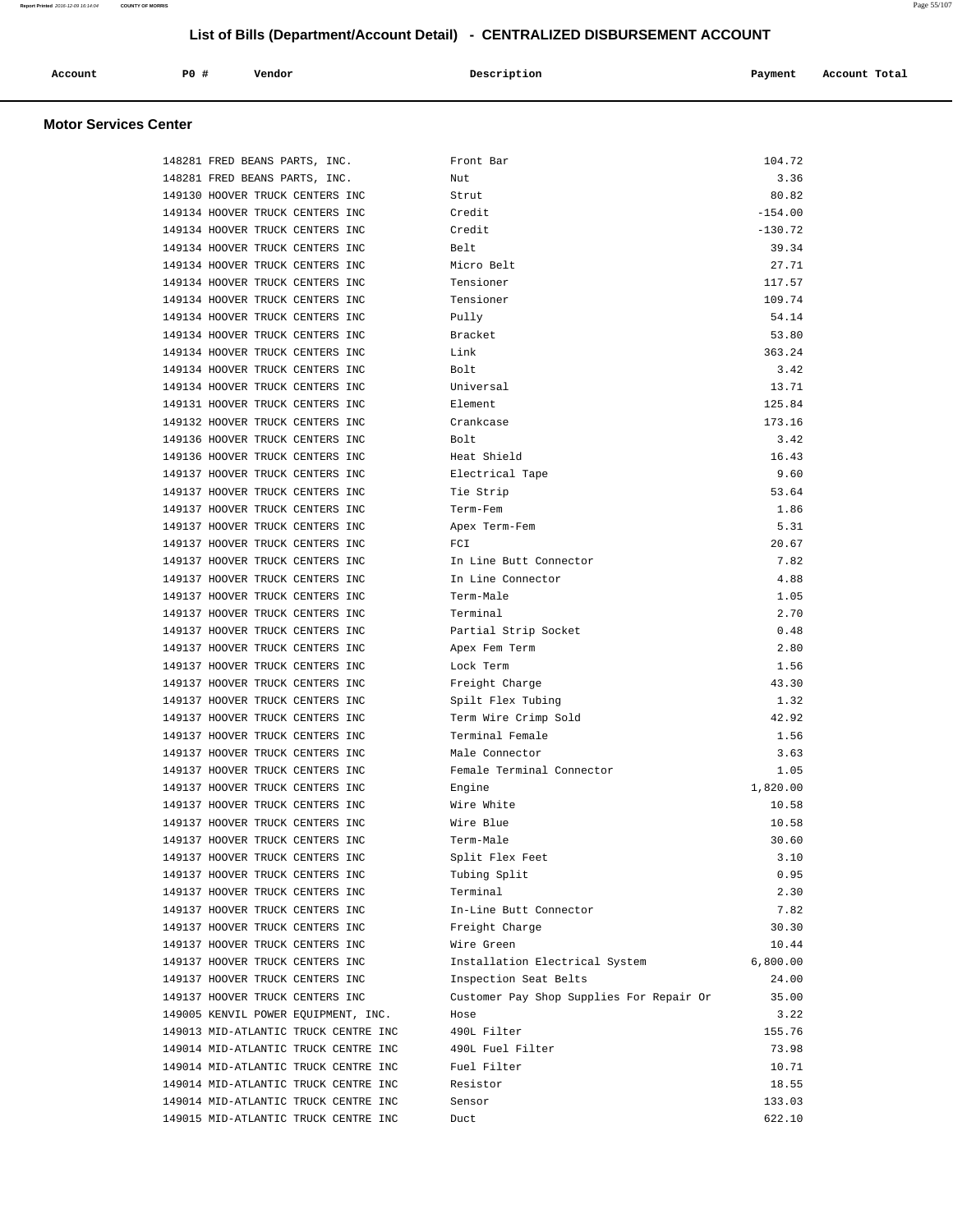| Account | P0 # | Vendor | Description | Payment | Account Total |
|---------|------|--------|-------------|---------|---------------|
|         |      |        |             |         |               |

| 148281 FRED BEANS PARTS, INC.        | Front Bar                                | 104.72    |
|--------------------------------------|------------------------------------------|-----------|
| 148281 FRED BEANS PARTS, INC.        | Nut                                      | 3.36      |
| 149130 HOOVER TRUCK CENTERS INC      | Strut                                    | 80.82     |
| 149134 HOOVER TRUCK CENTERS INC      | Credit                                   | $-154.00$ |
| 149134 HOOVER TRUCK CENTERS INC      | Credit                                   | $-130.72$ |
| 149134 HOOVER TRUCK CENTERS INC      | Belt                                     | 39.34     |
| 149134 HOOVER TRUCK CENTERS INC      | Micro Belt                               | 27.71     |
| 149134 HOOVER TRUCK CENTERS INC      | Tensioner                                | 117.57    |
| 149134 HOOVER TRUCK CENTERS INC      | Tensioner                                | 109.74    |
| 149134 HOOVER TRUCK CENTERS INC      | Pully                                    | 54.14     |
| 149134 HOOVER TRUCK CENTERS INC      | Bracket                                  | 53.80     |
| 149134 HOOVER TRUCK CENTERS INC      | Link                                     | 363.24    |
| 149134 HOOVER TRUCK CENTERS INC      | Bolt                                     | 3.42      |
| 149134 HOOVER TRUCK CENTERS INC      | Universal                                | 13.71     |
| 149131 HOOVER TRUCK CENTERS INC      | Element                                  | 125.84    |
| 149132 HOOVER TRUCK CENTERS INC      | Crankcase                                | 173.16    |
| 149136 HOOVER TRUCK CENTERS INC      | Bolt                                     | 3.42      |
| 149136 HOOVER TRUCK CENTERS INC      | Heat Shield                              | 16.43     |
| 149137 HOOVER TRUCK CENTERS INC      | Electrical Tape                          | 9.60      |
| 149137 HOOVER TRUCK CENTERS INC      | Tie Strip                                | 53.64     |
| 149137 HOOVER TRUCK CENTERS INC      | Term-Fem                                 | 1.86      |
| 149137 HOOVER TRUCK CENTERS INC      | Apex Term-Fem                            | 5.31      |
| 149137 HOOVER TRUCK CENTERS INC      | FCI                                      | 20.67     |
| 149137 HOOVER TRUCK CENTERS INC      | In Line Butt Connector                   | 7.82      |
| 149137 HOOVER TRUCK CENTERS INC      | In Line Connector                        | 4.88      |
| 149137 HOOVER TRUCK CENTERS INC      | Term-Male                                | 1.05      |
| 149137 HOOVER TRUCK CENTERS INC      | Terminal                                 | 2.70      |
| 149137 HOOVER TRUCK CENTERS INC      | Partial Strip Socket                     | 0.48      |
| 149137 HOOVER TRUCK CENTERS INC      | Apex Fem Term                            | 2.80      |
| 149137 HOOVER TRUCK CENTERS INC      | Lock Term                                | 1.56      |
| 149137 HOOVER TRUCK CENTERS INC      | Freight Charge                           | 43.30     |
| 149137 HOOVER TRUCK CENTERS INC      | Spilt Flex Tubing                        | 1.32      |
| 149137 HOOVER TRUCK CENTERS INC      | Term Wire Crimp Sold                     | 42.92     |
| 149137 HOOVER TRUCK CENTERS INC      | Terminal Female                          | 1.56      |
| 149137 HOOVER TRUCK CENTERS INC      | Male Connector                           | 3.63      |
| 149137 HOOVER TRUCK CENTERS INC      | Female Terminal Connector                | 1.05      |
| 149137 HOOVER TRUCK CENTERS INC      | Engine                                   | 1,820.00  |
| 149137 HOOVER TRUCK CENTERS INC      | Wire White                               | 10.58     |
| 149137 HOOVER TRUCK CENTERS INC      | Wire Blue                                | 10.58     |
| 149137 HOOVER TRUCK CENTERS INC      | Term-Male                                | 30.60     |
| 149137 HOOVER TRUCK CENTERS INC      | Split Flex Feet                          | 3.10      |
| 149137 HOOVER TRUCK CENTERS INC      | Tubing Split                             | 0.95      |
| 149137 HOOVER TRUCK CENTERS INC      | Terminal                                 | 2.30      |
| 149137 HOOVER TRUCK CENTERS INC      | In-Line Butt Connector                   | 7.82      |
| 149137 HOOVER TRUCK CENTERS INC      | Freight Charge                           | 30.30     |
| 149137 HOOVER TRUCK CENTERS INC      | Wire Green                               | 10.44     |
| 149137 HOOVER TRUCK CENTERS INC      | Installation Electrical System           | 6,800.00  |
| 149137 HOOVER TRUCK CENTERS INC      | Inspection Seat Belts                    | 24.00     |
| 149137 HOOVER TRUCK CENTERS INC      | Customer Pay Shop Supplies For Repair Or | 35.00     |
| 149005 KENVIL POWER EQUIPMENT, INC.  | Hose                                     | 3.22      |
| 149013 MID-ATLANTIC TRUCK CENTRE INC | 490L Filter                              | 155.76    |
| 149014 MID-ATLANTIC TRUCK CENTRE INC | 490L Fuel Filter                         | 73.98     |
| 149014 MID-ATLANTIC TRUCK CENTRE INC | Fuel Filter                              | 10.71     |
| 149014 MID-ATLANTIC TRUCK CENTRE INC | Resistor                                 | 18.55     |
| 149014 MID-ATLANTIC TRUCK CENTRE INC | Sensor                                   | 133.03    |
| 149015 MID-ATLANTIC TRUCK CENTRE INC | Duct                                     | 622.10    |
|                                      |                                          |           |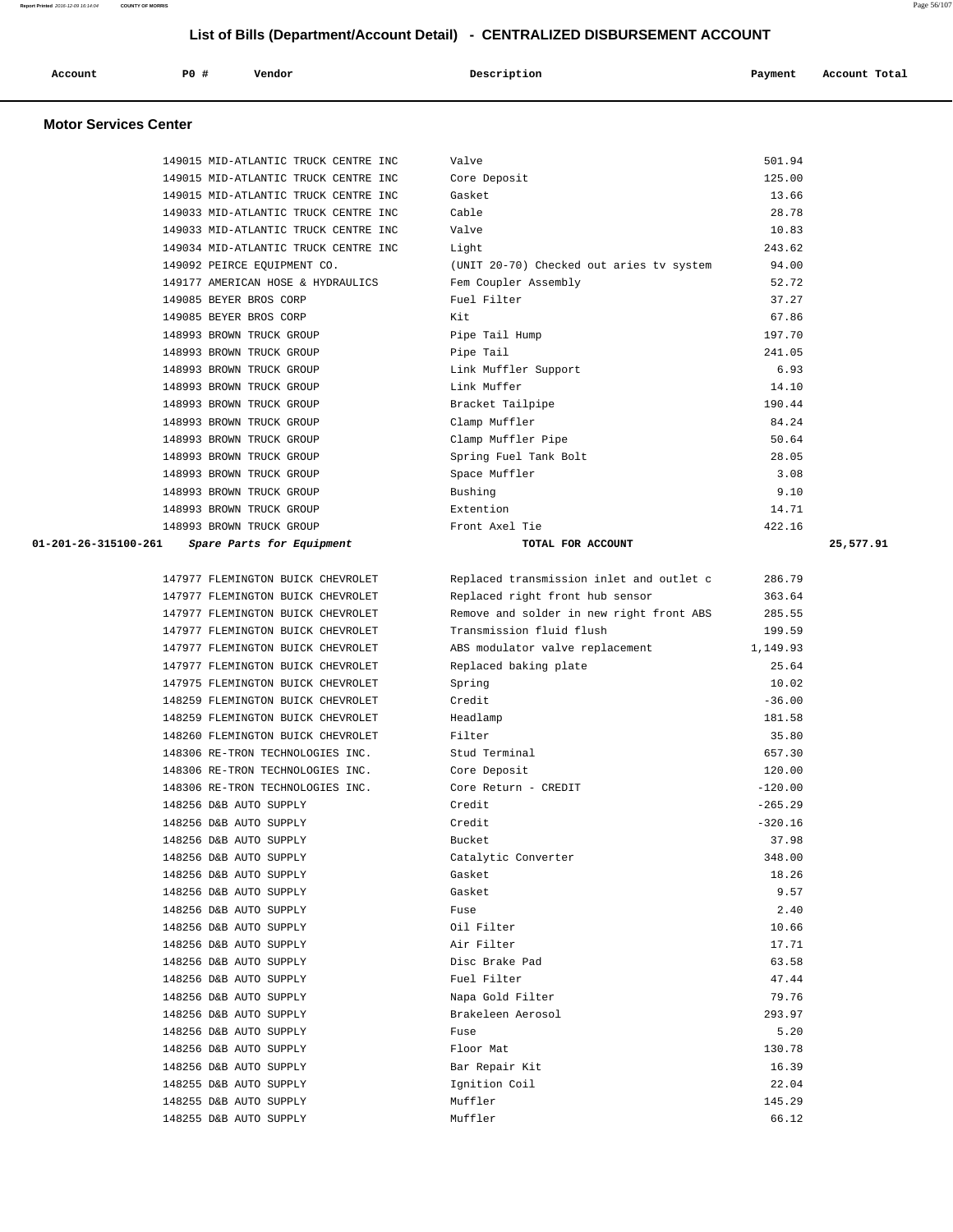**Report Printed** 2016-12-09 16:14:04 **COUNTY OF MORRIS** Page 56/107

 **List of Bills (Department/Account Detail) - CENTRALIZED DISBURSEMENT ACCOUNT**

| Account | <b>PO#</b> | Vendor | Description | Payment | Account Total |  |
|---------|------------|--------|-------------|---------|---------------|--|
|         |            |        |             |         |               |  |

| 149015 MID-ATLANTIC TRUCK CENTRE INC              | 501.94<br>Valve                                    |           |
|---------------------------------------------------|----------------------------------------------------|-----------|
| 149015 MID-ATLANTIC TRUCK CENTRE INC              | 125.00<br>Core Deposit                             |           |
| 149015 MID-ATLANTIC TRUCK CENTRE INC              | 13.66<br>Gasket                                    |           |
| 149033 MID-ATLANTIC TRUCK CENTRE INC              | 28.78<br>Cable                                     |           |
| 149033 MID-ATLANTIC TRUCK CENTRE INC              | Valve<br>10.83                                     |           |
| 149034 MID-ATLANTIC TRUCK CENTRE INC              | 243.62<br>Light                                    |           |
| 149092 PEIRCE EQUIPMENT CO.                       | (UNIT 20-70) Checked out aries tv system<br>94.00  |           |
| 149177 AMERICAN HOSE & HYDRAULICS                 | 52.72<br>Fem Coupler Assembly                      |           |
| 149085 BEYER BROS CORP                            | 37.27<br>Fuel Filter                               |           |
| 149085 BEYER BROS CORP                            | 67.86<br>Kit                                       |           |
| 148993 BROWN TRUCK GROUP                          | Pipe Tail Hump<br>197.70                           |           |
| 148993 BROWN TRUCK GROUP                          | Pipe Tail<br>241.05                                |           |
| 148993 BROWN TRUCK GROUP                          | 6.93<br>Link Muffler Support                       |           |
| 148993 BROWN TRUCK GROUP                          | Link Muffer<br>14.10                               |           |
| 148993 BROWN TRUCK GROUP                          | 190.44<br>Bracket Tailpipe                         |           |
| 148993 BROWN TRUCK GROUP                          | 84.24<br>Clamp Muffler                             |           |
| 148993 BROWN TRUCK GROUP                          | Clamp Muffler Pipe<br>50.64                        |           |
| 148993 BROWN TRUCK GROUP                          | 28.05<br>Spring Fuel Tank Bolt                     |           |
| 148993 BROWN TRUCK GROUP                          | 3.08<br>Space Muffler                              |           |
| 148993 BROWN TRUCK GROUP                          | 9.10<br>Bushing                                    |           |
| 148993 BROWN TRUCK GROUP                          | Extention<br>14.71                                 |           |
| 148993 BROWN TRUCK GROUP                          | Front Axel Tie<br>422.16                           |           |
| 01-201-26-315100-261<br>Spare Parts for Equipment | TOTAL FOR ACCOUNT                                  | 25,577.91 |
|                                                   |                                                    |           |
| 147977 FLEMINGTON BUICK CHEVROLET                 | 286.79<br>Replaced transmission inlet and outlet c |           |
| 147977 FLEMINGTON BUICK CHEVROLET                 | Replaced right front hub sensor<br>363.64          |           |
| 147977 FLEMINGTON BUICK CHEVROLET                 | Remove and solder in new right front ABS<br>285.55 |           |
| 147977 FLEMINGTON BUICK CHEVROLET                 | Transmission fluid flush<br>199.59                 |           |
| 147977 FLEMINGTON BUICK CHEVROLET                 | ABS modulator valve replacement<br>1,149.93        |           |
| 147977 FLEMINGTON BUICK CHEVROLET                 | Replaced baking plate<br>25.64                     |           |
| 147975 FLEMINGTON BUICK CHEVROLET                 | 10.02<br>Spring                                    |           |
| 148259 FLEMINGTON BUICK CHEVROLET                 | $-36.00$<br>Credit                                 |           |
| 148259 FLEMINGTON BUICK CHEVROLET                 | Headlamp<br>181.58                                 |           |
| 148260 FLEMINGTON BUICK CHEVROLET                 | 35.80<br>Filter                                    |           |
| 148306 RE-TRON TECHNOLOGIES INC.                  | Stud Terminal<br>657.30                            |           |
| 148306 RE-TRON TECHNOLOGIES INC.                  | Core Deposit<br>120.00                             |           |
| 148306 RE-TRON TECHNOLOGIES INC.                  | Core Return - CREDIT<br>$-120.00$                  |           |
| 148256 D&B AUTO SUPPLY                            | Credit<br>$-265.29$                                |           |
| 148256 D&B AUTO SUPPLY                            | Credit<br>$-320.16$                                |           |
| 148256 D&B AUTO SUPPLY                            | Bucket<br>37.98                                    |           |
| 148256 D&B AUTO SUPPLY                            | 348.00<br>Catalytic Converter                      |           |
| 148256 D&B AUTO SUPPLY                            | 18.26<br>Gasket                                    |           |
| 148256 D&B AUTO SUPPLY                            | 9.57<br>Gasket                                     |           |
| 148256 D&B AUTO SUPPLY                            | 2.40<br>Fuse                                       |           |
| 148256 D&B AUTO SUPPLY                            | 10.66<br>Oil Filter                                |           |
| 148256 D&B AUTO SUPPLY                            | Air Filter<br>17.71                                |           |
| 148256 D&B AUTO SUPPLY                            | Disc Brake Pad<br>63.58                            |           |
| 148256 D&B AUTO SUPPLY                            | 47.44<br>Fuel Filter                               |           |
| 148256 D&B AUTO SUPPLY                            | 79.76<br>Napa Gold Filter                          |           |
| 148256 D&B AUTO SUPPLY                            | 293.97<br>Brakeleen Aerosol                        |           |
| 148256 D&B AUTO SUPPLY                            | 5.20<br>Fuse                                       |           |
| 148256 D&B AUTO SUPPLY                            | 130.78<br>Floor Mat                                |           |
| 148256 D&B AUTO SUPPLY                            | 16.39<br>Bar Repair Kit                            |           |
| 148255 D&B AUTO SUPPLY                            | 22.04<br>Ignition Coil                             |           |
| 148255 D&B AUTO SUPPLY                            |                                                    |           |
|                                                   | 145.29<br>Muffler                                  |           |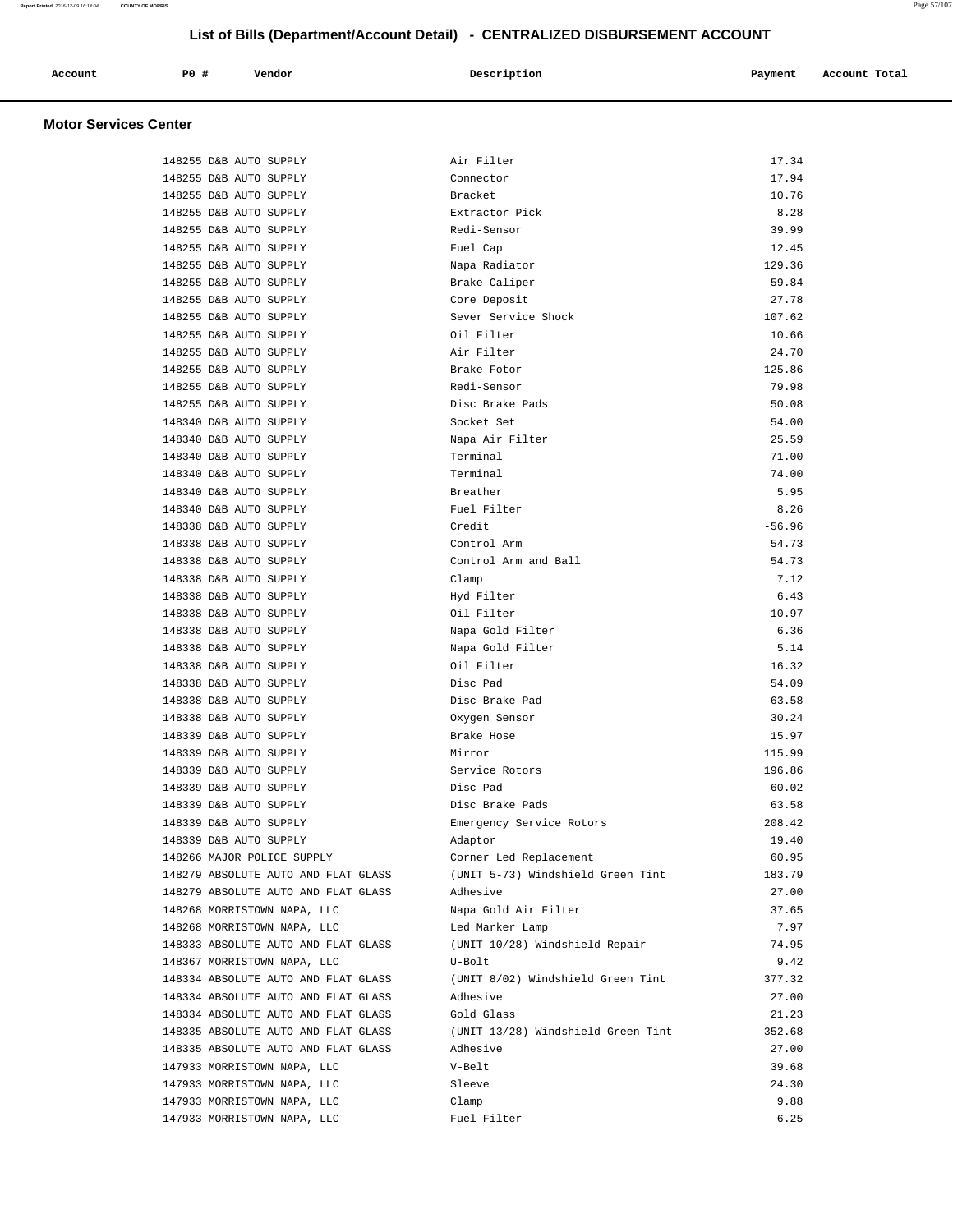| Account | P0 # | Vendor<br>. | Description | Payment | Account Total<br>.<br>. |
|---------|------|-------------|-------------|---------|-------------------------|
|         |      |             |             |         |                         |

| 148255 D&B AUTO SUPPLY              | Air Filter                         | 17.34    |
|-------------------------------------|------------------------------------|----------|
| 148255 D&B AUTO SUPPLY              | Connector                          | 17.94    |
| 148255 D&B AUTO SUPPLY              | Bracket                            | 10.76    |
| 148255 D&B AUTO SUPPLY              | Extractor Pick                     | 8.28     |
| 148255 D&B AUTO SUPPLY              | Redi-Sensor                        | 39.99    |
| 148255 D&B AUTO SUPPLY              | Fuel Cap                           | 12.45    |
| 148255 D&B AUTO SUPPLY              | Napa Radiator                      | 129.36   |
| 148255 D&B AUTO SUPPLY              | Brake Caliper                      | 59.84    |
| 148255 D&B AUTO SUPPLY              | Core Deposit                       | 27.78    |
| 148255 D&B AUTO SUPPLY              | Sever Service Shock                | 107.62   |
| 148255 D&B AUTO SUPPLY              | Oil Filter                         | 10.66    |
| 148255 D&B AUTO SUPPLY              | Air Filter                         | 24.70    |
| 148255 D&B AUTO SUPPLY              | Brake Fotor                        | 125.86   |
| 148255 D&B AUTO SUPPLY              | Redi-Sensor                        | 79.98    |
| 148255 D&B AUTO SUPPLY              | Disc Brake Pads                    | 50.08    |
| 148340 D&B AUTO SUPPLY              | Socket Set                         | 54.00    |
| 148340 D&B AUTO SUPPLY              | Napa Air Filter                    | 25.59    |
| 148340 D&B AUTO SUPPLY              | Terminal                           | 71.00    |
| 148340 D&B AUTO SUPPLY              | Terminal                           | 74.00    |
| 148340 D&B AUTO SUPPLY              | Breather                           | 5.95     |
| 148340 D&B AUTO SUPPLY              | Fuel Filter                        | 8.26     |
| 148338 D&B AUTO SUPPLY              | Credit                             | $-56.96$ |
| 148338 D&B AUTO SUPPLY              | Control Arm                        | 54.73    |
| 148338 D&B AUTO SUPPLY              | Control Arm and Ball               | 54.73    |
| 148338 D&B AUTO SUPPLY              | Clamp                              | 7.12     |
| 148338 D&B AUTO SUPPLY              | Hyd Filter                         | 6.43     |
| 148338 D&B AUTO SUPPLY              | Oil Filter                         | 10.97    |
| 148338 D&B AUTO SUPPLY              | Napa Gold Filter                   | 6.36     |
| 148338 D&B AUTO SUPPLY              | Napa Gold Filter                   | 5.14     |
| 148338 D&B AUTO SUPPLY              | Oil Filter                         | 16.32    |
| 148338 D&B AUTO SUPPLY              | Disc Pad                           | 54.09    |
| 148338 D&B AUTO SUPPLY              | Disc Brake Pad                     | 63.58    |
| 148338 D&B AUTO SUPPLY              | Oxygen Sensor                      | 30.24    |
| 148339 D&B AUTO SUPPLY              | Brake Hose                         | 15.97    |
| 148339 D&B AUTO SUPPLY              | Mirror                             | 115.99   |
| 148339 D&B AUTO SUPPLY              | Service Rotors                     | 196.86   |
| 148339 D&B AUTO SUPPLY              | Disc Pad                           | 60.02    |
| 148339 D&B AUTO SUPPLY              | Disc Brake Pads                    | 63.58    |
| 148339 D&B AUTO SUPPLY              | Emergency Service Rotors           | 208.42   |
| 148339 D&B AUTO SUPPLY              | Adaptor                            | 19.40    |
| 148266 MAJOR POLICE SUPPLY          | Corner Led Replacement             | 60.95    |
| 148279 ABSOLUTE AUTO AND FLAT GLASS | (UNIT 5-73) Windshield Green Tint  | 183.79   |
| 148279 ABSOLUTE AUTO AND FLAT GLASS | Adhesive                           | 27.00    |
| 148268 MORRISTOWN NAPA, LLC         | Napa Gold Air Filter               | 37.65    |
| 148268 MORRISTOWN NAPA, LLC         | Led Marker Lamp                    | 7.97     |
| 148333 ABSOLUTE AUTO AND FLAT GLASS | (UNIT 10/28) Windshield Repair     | 74.95    |
| 148367 MORRISTOWN NAPA, LLC         | U-Bolt                             | 9.42     |
| 148334 ABSOLUTE AUTO AND FLAT GLASS | (UNIT 8/02) Windshield Green Tint  | 377.32   |
| 148334 ABSOLUTE AUTO AND FLAT GLASS | Adhesive                           | 27.00    |
| 148334 ABSOLUTE AUTO AND FLAT GLASS | Gold Glass                         | 21.23    |
| 148335 ABSOLUTE AUTO AND FLAT GLASS | (UNIT 13/28) Windshield Green Tint | 352.68   |
| 148335 ABSOLUTE AUTO AND FLAT GLASS | Adhesive                           | 27.00    |
| 147933 MORRISTOWN NAPA, LLC         | V-Belt                             | 39.68    |
| 147933 MORRISTOWN NAPA, LLC         | Sleeve                             | 24.30    |
| 147933 MORRISTOWN NAPA, LLC         | Clamp                              | 9.88     |
| 147933 MORRISTOWN NAPA, LLC         | Fuel Filter                        | 6.25     |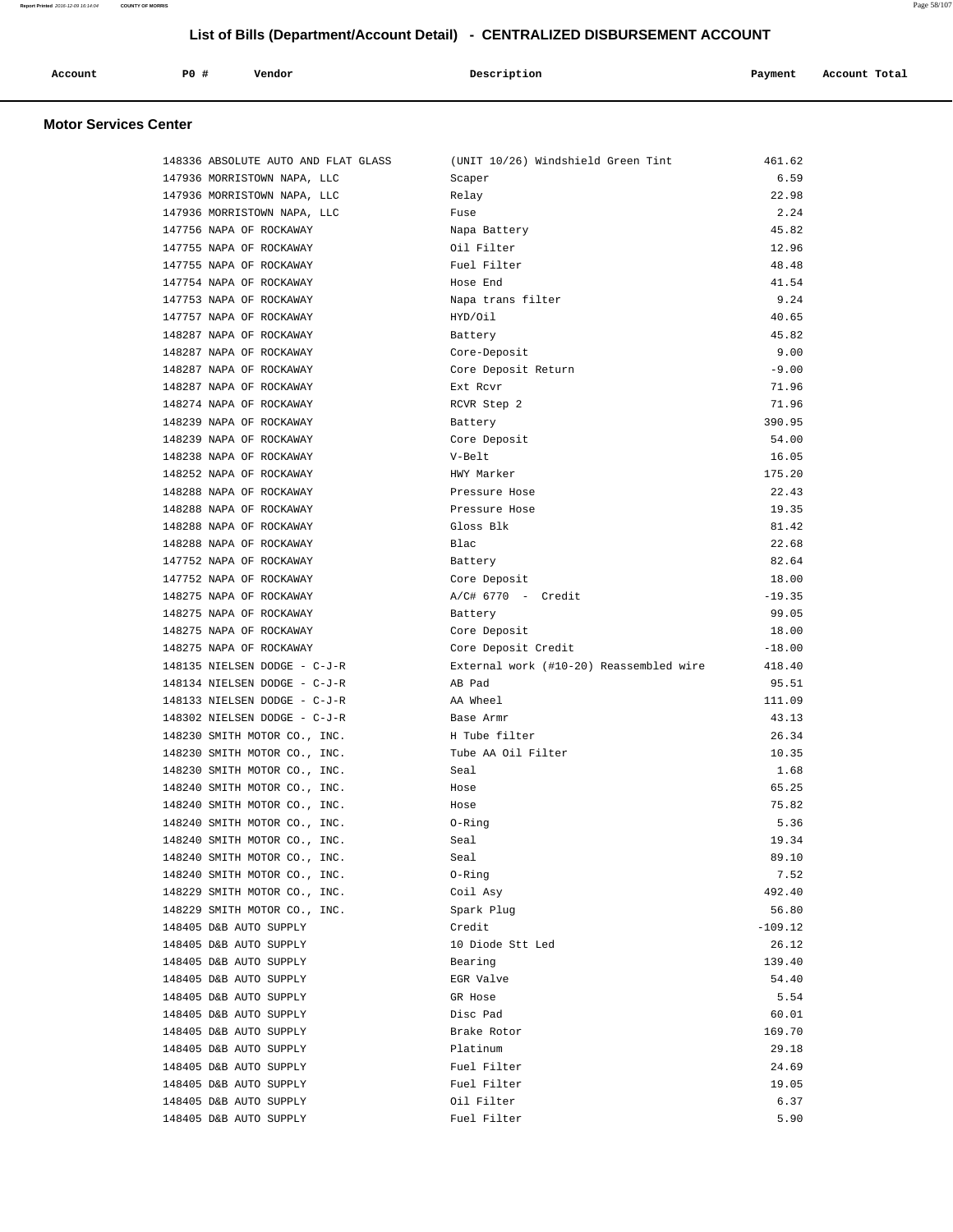| Account<br>. | PO# | Vendor<br>. | Description<br>. | Payment | Account Total<br>. |
|--------------|-----|-------------|------------------|---------|--------------------|
|              |     |             |                  |         |                    |

#### **Motor Services Center**

| 148336 ABSOLUTE AUTO AND FLAT GLASS | (UNIT 10/26) Windshield Green Tint      | 461.62    |
|-------------------------------------|-----------------------------------------|-----------|
| 147936 MORRISTOWN NAPA, LLC         | Scaper                                  | 6.59      |
| 147936 MORRISTOWN NAPA, LLC         | Relay                                   | 22.98     |
| 147936 MORRISTOWN NAPA, LLC         | Fuse                                    | 2.24      |
| 147756 NAPA OF ROCKAWAY             | Napa Battery                            | 45.82     |
| 147755 NAPA OF ROCKAWAY             | Oil Filter                              | 12.96     |
| 147755 NAPA OF ROCKAWAY             | Fuel Filter                             | 48.48     |
| 147754 NAPA OF ROCKAWAY             | Hose End                                | 41.54     |
| 147753 NAPA OF ROCKAWAY             | Napa trans filter                       | 9.24      |
| 147757 NAPA OF ROCKAWAY             | HYD/Oil                                 | 40.65     |
| 148287 NAPA OF ROCKAWAY             | Battery                                 | 45.82     |
| 148287 NAPA OF ROCKAWAY             | Core-Deposit                            | 9.00      |
| 148287 NAPA OF ROCKAWAY             | Core Deposit Return                     | $-9.00$   |
| 148287 NAPA OF ROCKAWAY             | Ext Rcvr                                | 71.96     |
| 148274 NAPA OF ROCKAWAY             | RCVR Step 2                             | 71.96     |
| 148239 NAPA OF ROCKAWAY             | Battery                                 | 390.95    |
| 148239 NAPA OF ROCKAWAY             | Core Deposit                            | 54.00     |
| 148238 NAPA OF ROCKAWAY             | V-Belt                                  | 16.05     |
| 148252 NAPA OF ROCKAWAY             | HWY Marker                              | 175.20    |
| 148288 NAPA OF ROCKAWAY             | Pressure Hose                           | 22.43     |
| 148288 NAPA OF ROCKAWAY             | Pressure Hose                           | 19.35     |
| 148288 NAPA OF ROCKAWAY             | Gloss Blk                               | 81.42     |
| 148288 NAPA OF ROCKAWAY             | Blac                                    | 22.68     |
| 147752 NAPA OF ROCKAWAY             | Battery                                 | 82.64     |
| 147752 NAPA OF ROCKAWAY             | Core Deposit                            | 18.00     |
| 148275 NAPA OF ROCKAWAY             | $A/C# 6770 - Credit$                    | $-19.35$  |
| 148275 NAPA OF ROCKAWAY             | Battery                                 | 99.05     |
| 148275 NAPA OF ROCKAWAY             | Core Deposit                            | 18.00     |
| 148275 NAPA OF ROCKAWAY             | Core Deposit Credit                     | $-18.00$  |
| 148135 NIELSEN DODGE - C-J-R        | External work (#10-20) Reassembled wire | 418.40    |
| 148134 NIELSEN DODGE - C-J-R        | AB Pad                                  | 95.51     |
| 148133 NIELSEN DODGE - C-J-R        | AA Wheel                                | 111.09    |
| 148302 NIELSEN DODGE - C-J-R        | Base Armr                               | 43.13     |
| 148230 SMITH MOTOR CO., INC.        | H Tube filter                           | 26.34     |
| 148230 SMITH MOTOR CO., INC.        | Tube AA Oil Filter                      | 10.35     |
| 148230 SMITH MOTOR CO., INC.        | Seal                                    | 1.68      |
| 148240 SMITH MOTOR CO., INC.        | Hose                                    | 65.25     |
| 148240 SMITH MOTOR CO., INC.        | Hose                                    | 75.82     |
| 148240 SMITH MOTOR CO., INC.        | $0 -$ Ring                              | 5.36      |
| 148240 SMITH MOTOR CO., INC.        | Seal                                    | 19.34     |
| 148240 SMITH MOTOR CO., INC.        | Seal                                    | 89.10     |
| 148240 SMITH MOTOR CO., INC.        | $0 -$ Ring                              | 7.52      |
| 148229 SMITH MOTOR CO., INC.        | Coil Asy                                | 492.40    |
| 148229 SMITH MOTOR CO., INC.        | Spark Plug                              | 56.80     |
| 148405 D&B AUTO SUPPLY              | Credit                                  | $-109.12$ |
| 148405 D&B AUTO SUPPLY              | 10 Diode Stt Led                        | 26.12     |
| 148405 D&B AUTO SUPPLY              | Bearing                                 | 139.40    |
| 148405 D&B AUTO SUPPLY              | EGR Valve                               | 54.40     |
| 148405 D&B AUTO SUPPLY              | GR Hose                                 | 5.54      |
| 148405 D&B AUTO SUPPLY              | Disc Pad                                | 60.01     |
| 148405 D&B AUTO SUPPLY              | Brake Rotor                             | 169.70    |
| 148405 D&B AUTO SUPPLY              | Platinum                                | 29.18     |
| 148405 D&B AUTO SUPPLY              | Fuel Filter                             | 24.69     |
| 148405 D&B AUTO SUPPLY              | Fuel Filter                             | 19.05     |
| 148405 D&B AUTO SUPPLY              | Oil Filter                              | 6.37      |
| 148405 D&B AUTO SUPPLY              | Fuel Filter                             | 5.90      |

**Report Printed** 2016-12-09 16:14:04 **COUNTY OF MORRIS** Page 58/107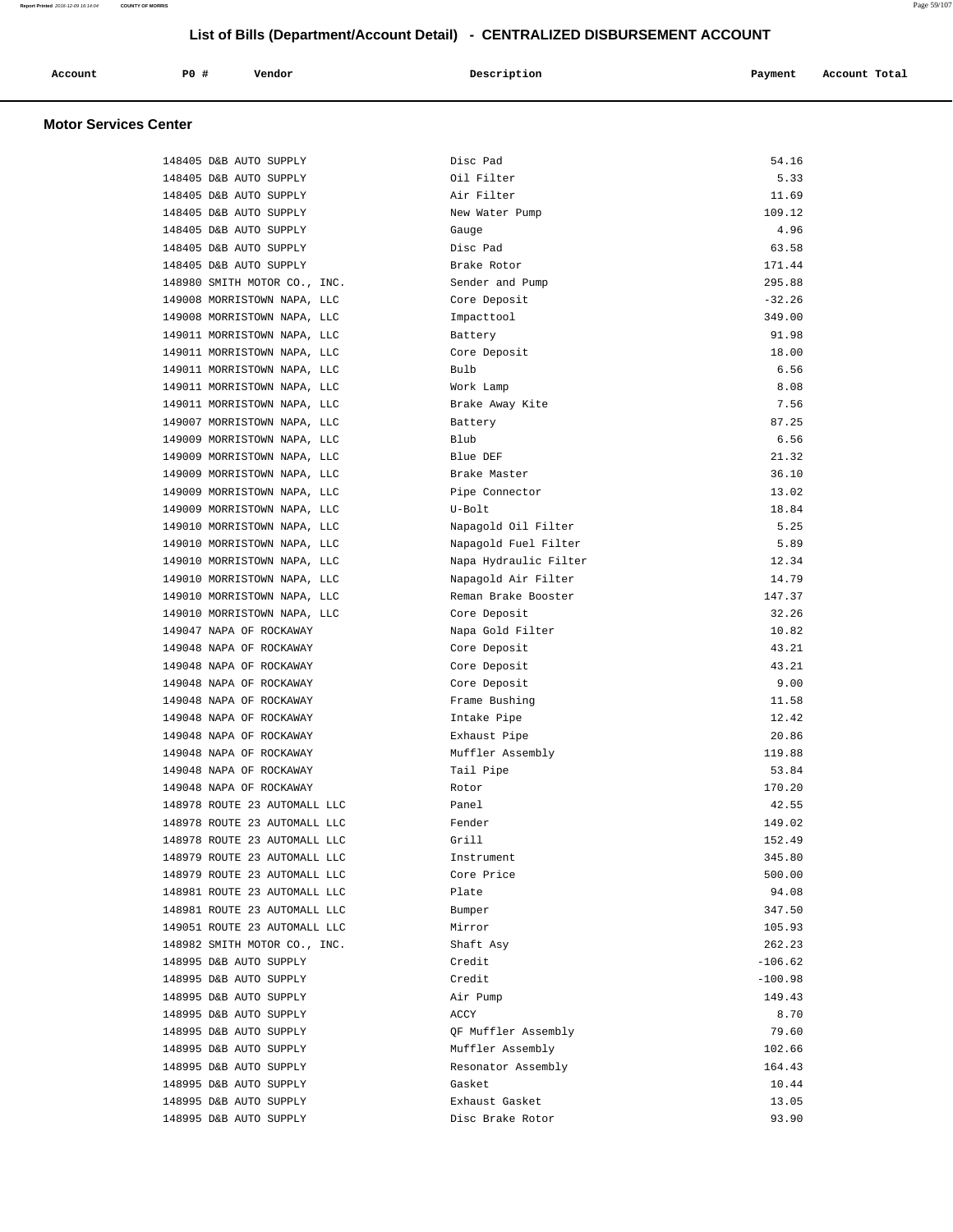| P <sub>0</sub><br>Description<br>Account<br>Vendor<br>Payment<br>Account Total<br>. |  |
|-------------------------------------------------------------------------------------|--|
|-------------------------------------------------------------------------------------|--|

#### **Motor Services Center**

| 148405 D&B AUTO SUPPLY       | Disc Pad              | 54.16     |
|------------------------------|-----------------------|-----------|
| 148405 D&B AUTO SUPPLY       | Oil Filter            | 5.33      |
| 148405 D&B AUTO SUPPLY       | Air Filter            | 11.69     |
| 148405 D&B AUTO SUPPLY       | New Water Pump        | 109.12    |
| 148405 D&B AUTO SUPPLY       | Gauge                 | 4.96      |
| 148405 D&B AUTO SUPPLY       | Disc Pad              | 63.58     |
| 148405 D&B AUTO SUPPLY       | Brake Rotor           | 171.44    |
| 148980 SMITH MOTOR CO., INC. | Sender and Pump       | 295.88    |
| 149008 MORRISTOWN NAPA, LLC  | Core Deposit          | $-32.26$  |
| 149008 MORRISTOWN NAPA, LLC  | Impacttool            | 349.00    |
| 149011 MORRISTOWN NAPA, LLC  | Battery               | 91.98     |
| 149011 MORRISTOWN NAPA, LLC  | Core Deposit          | 18.00     |
| 149011 MORRISTOWN NAPA, LLC  | Bulb                  | 6.56      |
| 149011 MORRISTOWN NAPA, LLC  | Work Lamp             | 8.08      |
| 149011 MORRISTOWN NAPA, LLC  | Brake Away Kite       | 7.56      |
| 149007 MORRISTOWN NAPA, LLC  | Battery               | 87.25     |
| 149009 MORRISTOWN NAPA, LLC  | Blub                  | 6.56      |
| 149009 MORRISTOWN NAPA, LLC  | Blue DEF              | 21.32     |
| 149009 MORRISTOWN NAPA, LLC  | Brake Master          | 36.10     |
| 149009 MORRISTOWN NAPA, LLC  | Pipe Connector        | 13.02     |
| 149009 MORRISTOWN NAPA, LLC  |                       | 18.84     |
|                              | U-Bolt                |           |
| 149010 MORRISTOWN NAPA, LLC  | Napagold Oil Filter   | 5.25      |
| 149010 MORRISTOWN NAPA, LLC  | Napagold Fuel Filter  | 5.89      |
| 149010 MORRISTOWN NAPA, LLC  | Napa Hydraulic Filter | 12.34     |
| 149010 MORRISTOWN NAPA, LLC  | Napagold Air Filter   | 14.79     |
| 149010 MORRISTOWN NAPA, LLC  | Reman Brake Booster   | 147.37    |
| 149010 MORRISTOWN NAPA, LLC  | Core Deposit          | 32.26     |
| 149047 NAPA OF ROCKAWAY      | Napa Gold Filter      | 10.82     |
| 149048 NAPA OF ROCKAWAY      | Core Deposit          | 43.21     |
| 149048 NAPA OF ROCKAWAY      | Core Deposit          | 43.21     |
| 149048 NAPA OF ROCKAWAY      | Core Deposit          | 9.00      |
| 149048 NAPA OF ROCKAWAY      | Frame Bushing         | 11.58     |
| 149048 NAPA OF ROCKAWAY      | Intake Pipe           | 12.42     |
| 149048 NAPA OF ROCKAWAY      | Exhaust Pipe          | 20.86     |
| 149048 NAPA OF ROCKAWAY      | Muffler Assembly      | 119.88    |
| 149048 NAPA OF ROCKAWAY      | Tail Pipe             | 53.84     |
| 149048 NAPA OF ROCKAWAY      | Rotor                 | 170.20    |
| 148978 ROUTE 23 AUTOMALL LLC | Panel                 | 42.55     |
| 148978 ROUTE 23 AUTOMALL LLC | Fender                | 149.02    |
| 148978 ROUTE 23 AUTOMALL LLC | Grill                 | 152.49    |
| 148979 ROUTE 23 AUTOMALL LLC | Instrument            | 345.80    |
| 148979 ROUTE 23 AUTOMALL LLC | Core Price            | 500.00    |
| 148981 ROUTE 23 AUTOMALL LLC | Plate                 | 94.08     |
| 148981 ROUTE 23 AUTOMALL LLC | Bumper                | 347.50    |
| 149051 ROUTE 23 AUTOMALL LLC | Mirror                | 105.93    |
| 148982 SMITH MOTOR CO., INC. | Shaft Asy             | 262.23    |
| 148995 D&B AUTO SUPPLY       | Credit                | $-106.62$ |
| 148995 D&B AUTO SUPPLY       | Credit                | $-100.98$ |
| 148995 D&B AUTO SUPPLY       | Air Pump              | 149.43    |
| 148995 D&B AUTO SUPPLY       | ACCY                  | 8.70      |
| 148995 D&B AUTO SUPPLY       | QF Muffler Assembly   | 79.60     |
| 148995 D&B AUTO SUPPLY       | Muffler Assembly      | 102.66    |
| 148995 D&B AUTO SUPPLY       | Resonator Assembly    | 164.43    |
|                              |                       |           |
| 148995 D&B AUTO SUPPLY       | Gasket                | 10.44     |
| 148995 D&B AUTO SUPPLY       | Exhaust Gasket        | 13.05     |
| 148995 D&B AUTO SUPPLY       | Disc Brake Rotor      | 93.90     |

**Report Printed** 2016-12-09 16:14:04 **COUNTY OF MORRIS** Page 59/107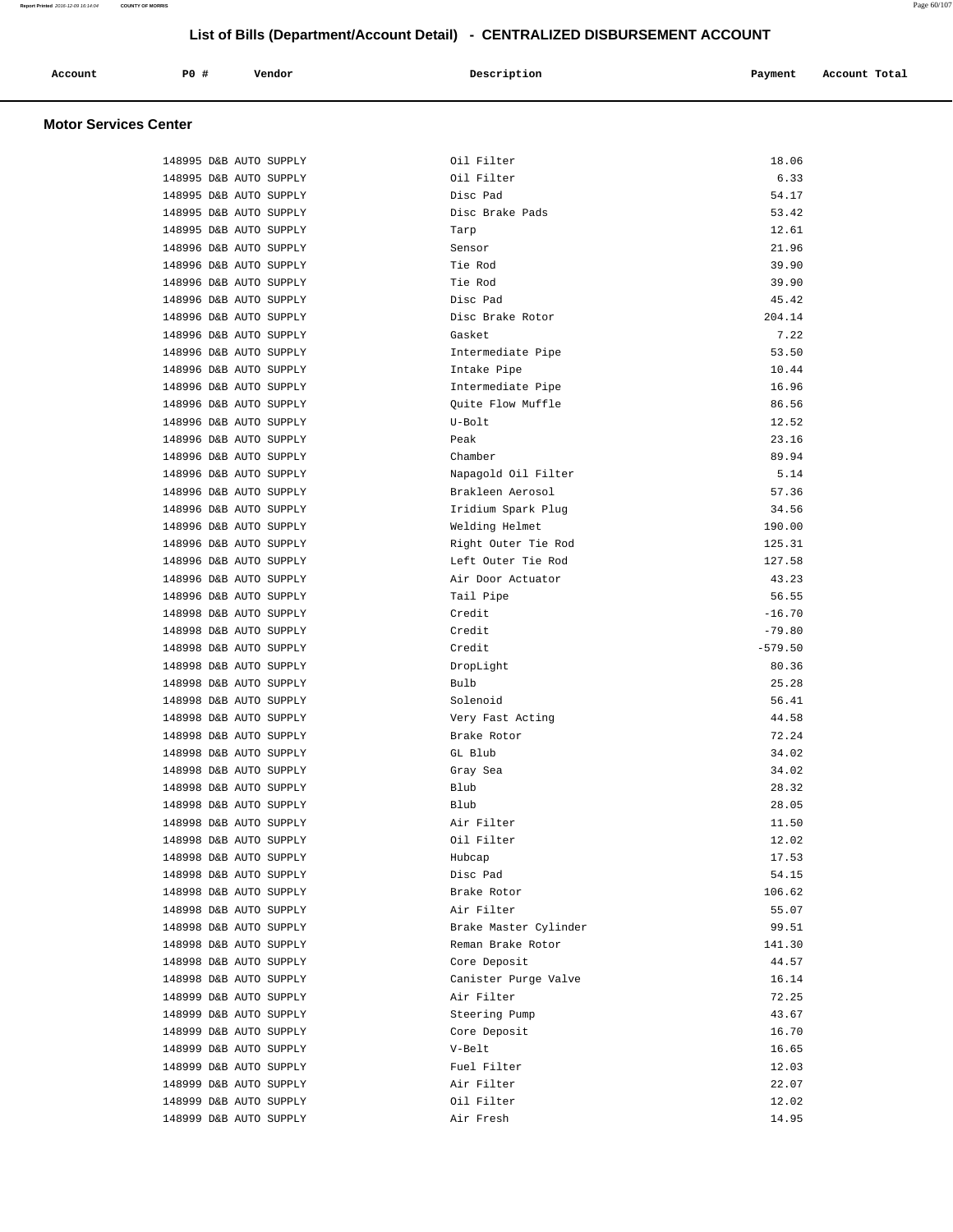| Account<br>. | <b>PO #</b> | Vendor | Description | Payment | Account Total<br>. |
|--------------|-------------|--------|-------------|---------|--------------------|
|              |             |        |             |         |                    |

| 148995 D&B AUTO SUPPLY | Oil Filter                   | 18.06     |
|------------------------|------------------------------|-----------|
| 148995 D&B AUTO SUPPLY | Oil Filter                   | 6.33      |
| 148995 D&B AUTO SUPPLY | Disc Pad                     | 54.17     |
| 148995 D&B AUTO SUPPLY | Disc Brake Pads              | 53.42     |
| 148995 D&B AUTO SUPPLY | Tarp                         | 12.61     |
| 148996 D&B AUTO SUPPLY | Sensor                       | 21.96     |
| 148996 D&B AUTO SUPPLY | Tie Rod                      | 39.90     |
| 148996 D&B AUTO SUPPLY | Tie Rod                      | 39.90     |
|                        |                              |           |
| 148996 D&B AUTO SUPPLY | Disc Pad<br>Disc Brake Rotor | 45.42     |
| 148996 D&B AUTO SUPPLY |                              | 204.14    |
| 148996 D&B AUTO SUPPLY | Gasket                       | 7.22      |
| 148996 D&B AUTO SUPPLY | Intermediate Pipe            | 53.50     |
| 148996 D&B AUTO SUPPLY | Intake Pipe                  | 10.44     |
| 148996 D&B AUTO SUPPLY | Intermediate Pipe            | 16.96     |
| 148996 D&B AUTO SUPPLY | Quite Flow Muffle            | 86.56     |
| 148996 D&B AUTO SUPPLY | U-Bolt                       | 12.52     |
| 148996 D&B AUTO SUPPLY | Peak                         | 23.16     |
| 148996 D&B AUTO SUPPLY | Chamber                      | 89.94     |
| 148996 D&B AUTO SUPPLY | Napagold Oil Filter          | 5.14      |
| 148996 D&B AUTO SUPPLY | Brakleen Aerosol             | 57.36     |
| 148996 D&B AUTO SUPPLY | Iridium Spark Plug           | 34.56     |
| 148996 D&B AUTO SUPPLY | Welding Helmet               | 190.00    |
| 148996 D&B AUTO SUPPLY | Right Outer Tie Rod          | 125.31    |
| 148996 D&B AUTO SUPPLY | Left Outer Tie Rod           | 127.58    |
| 148996 D&B AUTO SUPPLY | Air Door Actuator            | 43.23     |
| 148996 D&B AUTO SUPPLY | Tail Pipe                    | 56.55     |
| 148998 D&B AUTO SUPPLY | Credit                       | $-16.70$  |
| 148998 D&B AUTO SUPPLY | Credit                       | $-79.80$  |
| 148998 D&B AUTO SUPPLY | Credit                       | $-579.50$ |
| 148998 D&B AUTO SUPPLY | DropLight                    | 80.36     |
| 148998 D&B AUTO SUPPLY | Bulb                         | 25.28     |
| 148998 D&B AUTO SUPPLY | Solenoid                     | 56.41     |
| 148998 D&B AUTO SUPPLY | Very Fast Acting             | 44.58     |
| 148998 D&B AUTO SUPPLY | Brake Rotor                  | 72.24     |
| 148998 D&B AUTO SUPPLY | GL Blub                      | 34.02     |
|                        |                              |           |
| 148998 D&B AUTO SUPPLY | Gray Sea                     | 34.02     |
| 148998 D&B AUTO SUPPLY | Blub                         | 28.32     |
| 148998 D&B AUTO SUPPLY | Blub                         | 28.05     |
| 148998 D&B AUTO SUPPLY | Air Filter                   | 11.50     |
| 148998 D&B AUTO SUPPLY | Oil Filter                   | 12.02     |
| 148998 D&B AUTO SUPPLY | Hubcap                       | 17.53     |
| 148998 D&B AUTO SUPPLY | Disc Pad                     | 54.15     |
| 148998 D&B AUTO SUPPLY | Brake Rotor                  | 106.62    |
| 148998 D&B AUTO SUPPLY | Air Filter                   | 55.07     |
| 148998 D&B AUTO SUPPLY | Brake Master Cylinder        | 99.51     |
| 148998 D&B AUTO SUPPLY | Reman Brake Rotor            | 141.30    |
| 148998 D&B AUTO SUPPLY | Core Deposit                 | 44.57     |
| 148998 D&B AUTO SUPPLY | Canister Purge Valve         | 16.14     |
| 148999 D&B AUTO SUPPLY | Air Filter                   | 72.25     |
| 148999 D&B AUTO SUPPLY | Steering Pump                | 43.67     |
| 148999 D&B AUTO SUPPLY | Core Deposit                 | 16.70     |
| 148999 D&B AUTO SUPPLY | V-Belt                       | 16.65     |
| 148999 D&B AUTO SUPPLY | Fuel Filter                  | 12.03     |
|                        |                              |           |
| 148999 D&B AUTO SUPPLY | Air Filter                   | 22.07     |
| 148999 D&B AUTO SUPPLY | Oil Filter                   | 12.02     |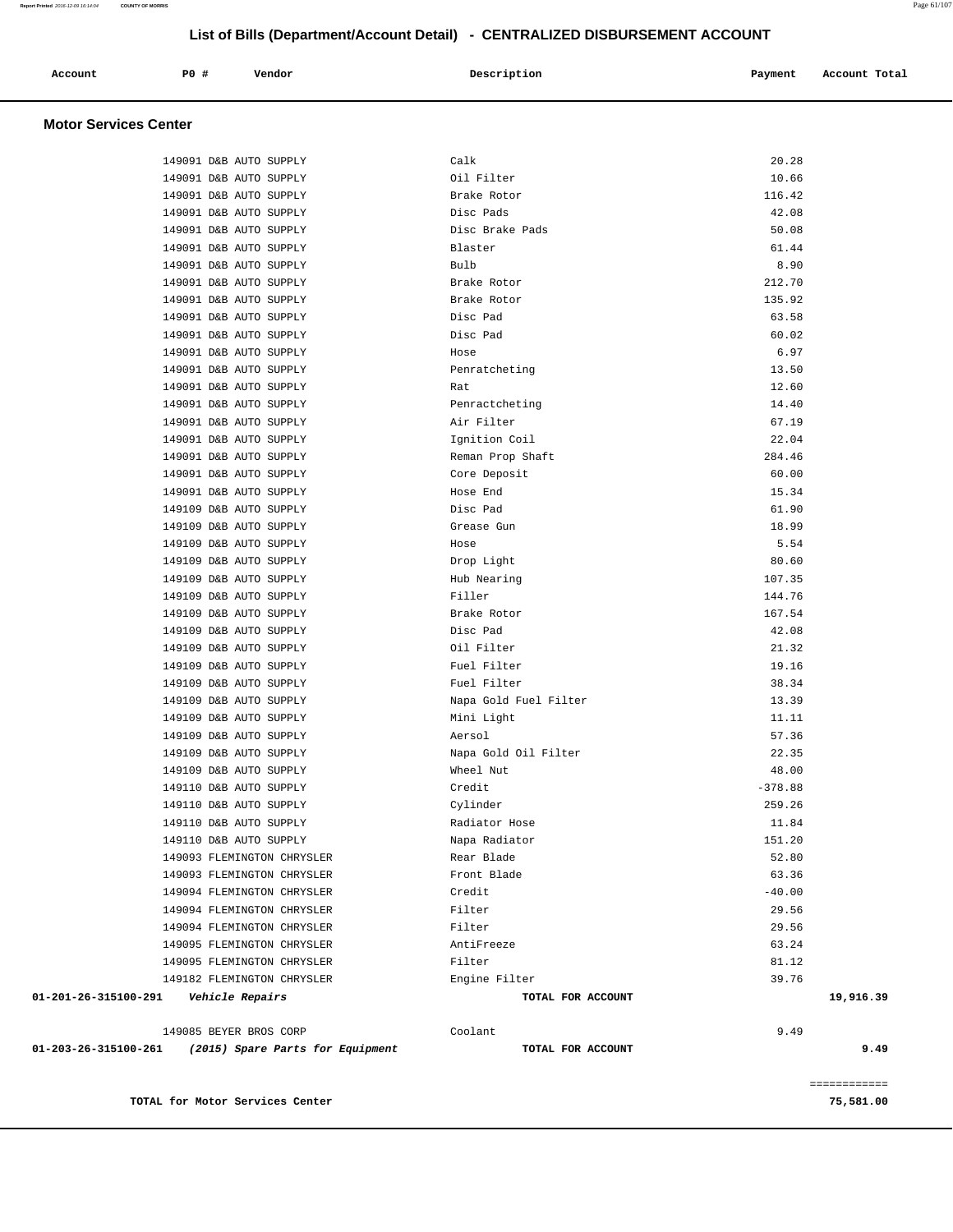149091 D&B AUTO SUPPLY Calk 20.28 149091 D&B AUTO SUPPLY Oil Filter 10.66 149091 D&B AUTO SUPPLY Brake Rotor 116.42 149091 D&B AUTO SUPPLY Disc Pads 42.08 149091 D&B AUTO SUPPLY Disc Brake Pads 50.08 149091 D&B AUTO SUPPLY Blaster 61.44 149091 D&B AUTO SUPPLY Bulb 8.90 149091 D&B AUTO SUPPLY Brake Rotor 212.70 149091 D&B AUTO SUPPLY Brake Rotor 135.92 149091 D&B AUTO SUPPLY Disc Pad 63.58 149091 D&B AUTO SUPPLY Disc Pad 60.02 149091 D&B AUTO SUPPLY Hose 6.97 149091 D&B AUTO SUPPLY Penratcheting 13.50 149091 D&B AUTO SUPPLY Rat 12.60 149091 D&B AUTO SUPPLY Penractcheting 14.40 149091 D&B AUTO SUPPLY Air Filter 67.19 149091 D&B AUTO SUPPLY Ignition Coil 22.04 149091 D&B AUTO SUPPLY Reman Prop Shaft 284.46 149091 D&B AUTO SUPPLY Core Deposit 60.00 149091 D&B AUTO SUPPLY Hose End 15.34 149109 D&B AUTO SUPPLY Disc Pad 61.90 149109 D&B AUTO SUPPLY Grease Gun 18.99 149109 D&B AUTO SUPPLY Hose 5.54 149109 D&B AUTO SUPPLY Drop Light 80.60 149109 D&B AUTO SUPPLY Hub Nearing 107.35 149109 D&B AUTO SUPPLY Filler 144.76 149109 D&B AUTO SUPPLY Brake Rotor 167.54 149109 D&B AUTO SUPPLY Disc Pad 42.08 149109 D&B AUTO SUPPLY Oil Filter 21.32 149109 D&B AUTO SUPPLY Fuel Filter 19.16 149109 D&B AUTO SUPPLY Fuel Filter 38.34 149109 D&B AUTO SUPPLY Napa Gold Fuel Filter 13.39 149109 D&B AUTO SUPPLY **Mini Light** 11.11 Mini Light 11.11 Mini Light 11.11 Mini Light 11.11 Mini Light 11.11 Mini Light 11.11 Mini Light 11.11 Mini Light 11.11 Mini Light 11.11 Mini Light 11.11 Mini Light 11.11 Mini Light 149109 D&B AUTO SUPPLY Aersol 57.36 149109 D&B AUTO SUPPLY Napa Gold Oil Filter 22.35 149109 D&B AUTO SUPPLY Wheel Nut 48.00 149110 D&B AUTO SUPPLY Credit Credit Credit -378.88 149110 D&B AUTO SUPPLY Cylinder 259.26 149110 D&B AUTO SUPPLY Radiator Hose 11.84 149110 D&B AUTO SUPPLY Napa Radiator 151.20 149093 FLEMINGTON CHRYSLER Rear Blade 52.80 149093 FLEMINGTON CHRYSLER Front Blade 63.36 149094 FLEMINGTON CHRYSLER Credit Credit -40.00 149094 FLEMINGTON CHRYSLER Filter 29.56 149094 FLEMINGTON CHRYSLER Filter 29.56 149095 FLEMINGTON CHRYSLER AntiFreeze 63.24 149095 FLEMINGTON CHRYSLER Filter 81.12 149182 FLEMINGTON CHRYSLER Engine Filter 39.76  **01-201-26-315100-291 Vehicle Repairs TOTAL FOR ACCOUNT 19,916.39** 149085 BEYER BROS CORP Coolant 9.49  **01-203-26-315100-261 (2015) Spare Parts for Equipment TOTAL FOR ACCOUNT 9.49** ============ **TOTAL for Motor Services Center 75,581.00**

 **Account P0 # Vendor Description Payment Account Total**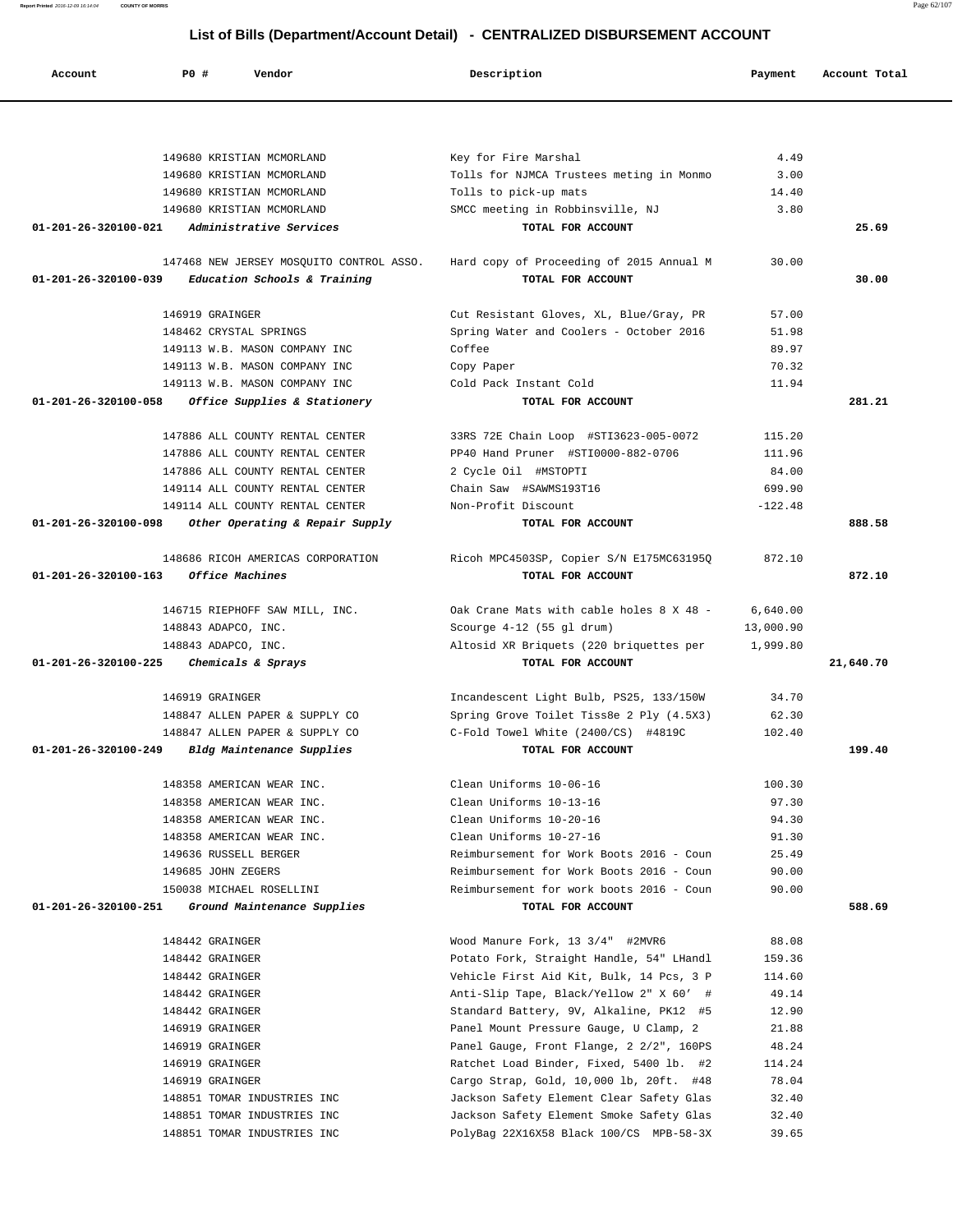**Report Printed** 2016-12-09 16:14:04 **COUNTY OF MORRIS** Page 62/107

# **List of Bills (Department/Account Detail) - CENTRALIZED DISBURSEMENT ACCOUNT**

| Account              | <b>PO #</b><br>Vendor                          | Description                              | Payment   | Account Total |
|----------------------|------------------------------------------------|------------------------------------------|-----------|---------------|
|                      |                                                |                                          |           |               |
|                      | 149680 KRISTIAN MCMORLAND                      | Key for Fire Marshal                     | 4.49      |               |
|                      | 149680 KRISTIAN MCMORLAND                      | Tolls for NJMCA Trustees meting in Monmo | 3.00      |               |
|                      | 149680 KRISTIAN MCMORLAND                      | Tolls to pick-up mats                    | 14.40     |               |
|                      | 149680 KRISTIAN MCMORLAND                      | SMCC meeting in Robbinsville, NJ         | 3.80      |               |
| 01-201-26-320100-021 | Administrative Services                        | TOTAL FOR ACCOUNT                        |           | 25.69         |
|                      | 147468 NEW JERSEY MOSQUITO CONTROL ASSO.       | Hard copy of Proceeding of 2015 Annual M | 30.00     |               |
| 01-201-26-320100-039 | Education Schools & Training                   | TOTAL FOR ACCOUNT                        |           | 30.00         |
|                      | 146919 GRAINGER                                | Cut Resistant Gloves, XL, Blue/Gray, PR  | 57.00     |               |
|                      | 148462 CRYSTAL SPRINGS                         | Spring Water and Coolers - October 2016  | 51.98     |               |
|                      | 149113 W.B. MASON COMPANY INC                  | Coffee                                   | 89.97     |               |
|                      | 149113 W.B. MASON COMPANY INC                  | Copy Paper                               | 70.32     |               |
|                      | 149113 W.B. MASON COMPANY INC                  | Cold Pack Instant Cold                   | 11.94     |               |
| 01-201-26-320100-058 | Office Supplies & Stationery                   | TOTAL FOR ACCOUNT                        |           | 281.21        |
|                      | 147886 ALL COUNTY RENTAL CENTER                | 33RS 72E Chain Loop #STI3623-005-0072    | 115.20    |               |
|                      | 147886 ALL COUNTY RENTAL CENTER                | PP40 Hand Pruner #STI0000-882-0706       | 111.96    |               |
|                      | 147886 ALL COUNTY RENTAL CENTER                | 2 Cycle Oil #MSTOPTI                     | 84.00     |               |
|                      | 149114 ALL COUNTY RENTAL CENTER                | Chain Saw #SAWMS193T16                   | 699.90    |               |
|                      | 149114 ALL COUNTY RENTAL CENTER                | Non-Profit Discount                      | $-122.48$ |               |
| 01-201-26-320100-098 | Other Operating & Repair Supply                | TOTAL FOR ACCOUNT                        |           | 888.58        |
|                      | 148686 RICOH AMERICAS CORPORATION              | Ricoh MPC4503SP, Copier S/N E175MC63195Q | 872.10    |               |
| 01-201-26-320100-163 | Office Machines                                | TOTAL FOR ACCOUNT                        |           | 872.10        |
|                      |                                                |                                          |           |               |
|                      | 146715 RIEPHOFF SAW MILL, INC.                 | Oak Crane Mats with cable holes 8 X 48 - | 6,640.00  |               |
|                      | 148843 ADAPCO, INC.                            | Scourge 4-12 (55 gl drum)                | 13,000.90 |               |
|                      | 148843 ADAPCO, INC.                            | Altosid XR Briquets (220 briquettes per  | 1,999.80  |               |
| 01-201-26-320100-225 | Chemicals & Sprays                             | TOTAL FOR ACCOUNT                        |           | 21,640.70     |
|                      | 146919 GRAINGER                                | Incandescent Light Bulb, PS25, 133/150W  | 34.70     |               |
|                      | 148847 ALLEN PAPER & SUPPLY CO                 | Spring Grove Toilet Tiss8e 2 Ply (4.5X3) | 62.30     |               |
|                      | 148847 ALLEN PAPER & SUPPLY CO                 | C-Fold Towel White (2400/CS) #4819C      | 102.40    |               |
|                      | 01-201-26-320100-249 Bldg Maintenance Supplies | TOTAL FOR ACCOUNT                        |           | 199.40        |
|                      | 148358 AMERICAN WEAR INC.                      | Clean Uniforms 10-06-16                  | 100.30    |               |
|                      | 148358 AMERICAN WEAR INC.                      | Clean Uniforms 10-13-16                  | 97.30     |               |
|                      | 148358 AMERICAN WEAR INC.                      | Clean Uniforms 10-20-16                  | 94.30     |               |
|                      | 148358 AMERICAN WEAR INC.                      | Clean Uniforms 10-27-16                  | 91.30     |               |
|                      | 149636 RUSSELL BERGER                          | Reimbursement for Work Boots 2016 - Coun | 25.49     |               |
|                      | 149685 JOHN ZEGERS                             | Reimbursement for Work Boots 2016 - Coun | 90.00     |               |
|                      | 150038 MICHAEL ROSELLINI                       | Reimbursement for work boots 2016 - Coun | 90.00     |               |
| 01-201-26-320100-251 | Ground Maintenance Supplies                    | TOTAL FOR ACCOUNT                        |           | 588.69        |
|                      | 148442 GRAINGER                                | Wood Manure Fork, 13 3/4" #2MVR6         | 88.08     |               |
|                      | 148442 GRAINGER                                | Potato Fork, Straight Handle, 54" LHandl | 159.36    |               |
|                      | 148442 GRAINGER                                | Vehicle First Aid Kit, Bulk, 14 Pcs, 3 P | 114.60    |               |
|                      | 148442 GRAINGER                                | Anti-Slip Tape, Black/Yellow 2" X 60' #  | 49.14     |               |
|                      | 148442 GRAINGER                                | Standard Battery, 9V, Alkaline, PK12 #5  | 12.90     |               |
|                      | 146919 GRAINGER                                | Panel Mount Pressure Gauge, U Clamp, 2   | 21.88     |               |
|                      | 146919 GRAINGER                                | Panel Gauge, Front Flange, 2 2/2", 160PS | 48.24     |               |
|                      | 146919 GRAINGER                                | Ratchet Load Binder, Fixed, 5400 lb. #2  | 114.24    |               |
|                      | 146919 GRAINGER                                | Cargo Strap, Gold, 10,000 lb, 20ft. #48  | 78.04     |               |
|                      | 148851 TOMAR INDUSTRIES INC                    | Jackson Safety Element Clear Safety Glas | 32.40     |               |
|                      | 148851 TOMAR INDUSTRIES INC                    | Jackson Safety Element Smoke Safety Glas | 32.40     |               |
|                      | 148851 TOMAR INDUSTRIES INC                    | PolyBag 22X16X58 Black 100/CS MPB-58-3X  | 39.65     |               |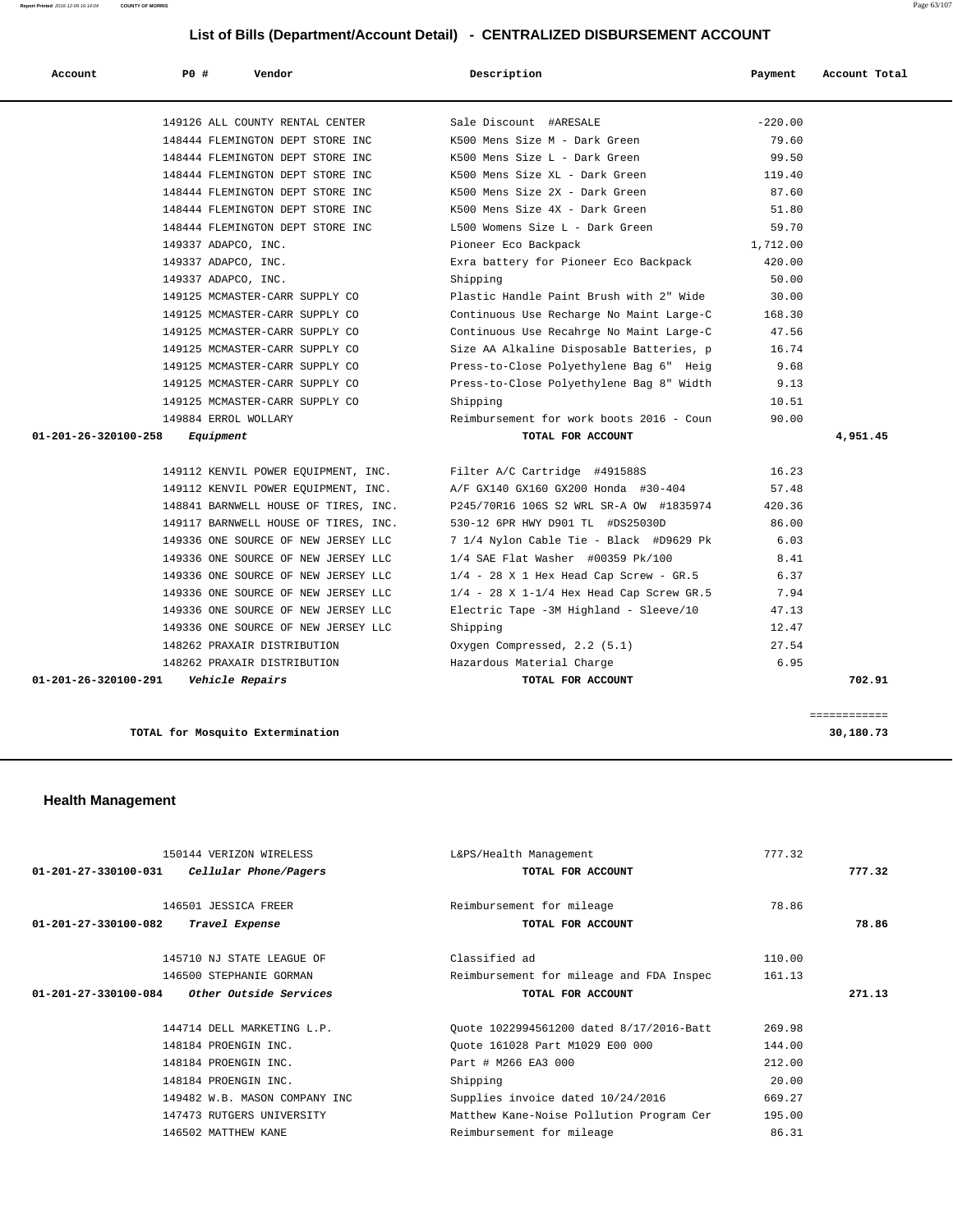**Report Printed** 2016-12-09 16:14:04 **COUNTY OF MORRIS** Page 63/107

# **List of Bills (Department/Account Detail) - CENTRALIZED DISBURSEMENT ACCOUNT**

| Account                        | PO#<br>Vendor                        | Description                                | Payment   | Account Total |
|--------------------------------|--------------------------------------|--------------------------------------------|-----------|---------------|
|                                | 149126 ALL COUNTY RENTAL CENTER      | Sale Discount #ARESALE                     | $-220.00$ |               |
|                                | 148444 FLEMINGTON DEPT STORE INC     | K500 Mens Size M - Dark Green              | 79.60     |               |
|                                | 148444 FLEMINGTON DEPT STORE INC     | K500 Mens Size L - Dark Green              | 99.50     |               |
|                                | 148444 FLEMINGTON DEPT STORE INC     | K500 Mens Size XL - Dark Green             | 119.40    |               |
|                                | 148444 FLEMINGTON DEPT STORE INC     | K500 Mens Size 2X - Dark Green             | 87.60     |               |
|                                | 148444 FLEMINGTON DEPT STORE INC     | K500 Mens Size 4X - Dark Green             | 51.80     |               |
|                                | 148444 FLEMINGTON DEPT STORE INC     | L500 Womens Size L - Dark Green            | 59.70     |               |
|                                | 149337 ADAPCO, INC.                  | Pioneer Eco Backpack                       | 1,712.00  |               |
|                                | 149337 ADAPCO, INC.                  | Exra battery for Pioneer Eco Backpack      | 420.00    |               |
|                                | 149337 ADAPCO, INC.                  | Shipping                                   | 50.00     |               |
|                                | 149125 MCMASTER-CARR SUPPLY CO       | Plastic Handle Paint Brush with 2" Wide    | 30.00     |               |
|                                | 149125 MCMASTER-CARR SUPPLY CO       | Continuous Use Recharge No Maint Large-C   | 168.30    |               |
|                                | 149125 MCMASTER-CARR SUPPLY CO       | Continuous Use Recahrge No Maint Large-C   | 47.56     |               |
|                                | 149125 MCMASTER-CARR SUPPLY CO       | Size AA Alkaline Disposable Batteries, p   | 16.74     |               |
|                                | 149125 MCMASTER-CARR SUPPLY CO       | Press-to-Close Polyethylene Bag 6" Heig    | 9.68      |               |
|                                | 149125 MCMASTER-CARR SUPPLY CO       | Press-to-Close Polyethylene Bag 8" Width   | 9.13      |               |
|                                | 149125 MCMASTER-CARR SUPPLY CO       | Shipping                                   | 10.51     |               |
|                                | 149884 ERROL WOLLARY                 | Reimbursement for work boots 2016 - Coun   | 90.00     |               |
| $01 - 201 - 26 - 320100 - 258$ | Equipment                            | TOTAL FOR ACCOUNT                          |           | 4,951.45      |
|                                | 149112 KENVIL POWER EOUIPMENT, INC.  | Filter A/C Cartridge #491588S              | 16.23     |               |
|                                | 149112 KENVIL POWER EQUIPMENT, INC.  | A/F GX140 GX160 GX200 Honda #30-404        | 57.48     |               |
|                                | 148841 BARNWELL HOUSE OF TIRES, INC. | P245/70R16 106S S2 WRL SR-A OW #1835974    | 420.36    |               |
|                                | 149117 BARNWELL HOUSE OF TIRES, INC. | 530-12 6PR HWY D901 TL #DS25030D           | 86.00     |               |
|                                | 149336 ONE SOURCE OF NEW JERSEY LLC  | 7 1/4 Nylon Cable Tie - Black #D9629 Pk    | 6.03      |               |
|                                | 149336 ONE SOURCE OF NEW JERSEY LLC  | 1/4 SAE Flat Washer #00359 Pk/100          | 8.41      |               |
|                                | 149336 ONE SOURCE OF NEW JERSEY LLC  | $1/4$ - 28 X 1 Hex Head Cap Screw - GR.5   | 6.37      |               |
|                                | 149336 ONE SOURCE OF NEW JERSEY LLC  | $1/4$ - 28 X 1-1/4 Hex Head Cap Screw GR.5 | 7.94      |               |
|                                | 149336 ONE SOURCE OF NEW JERSEY LLC  | Electric Tape -3M Highland - Sleeve/10     | 47.13     |               |
|                                | 149336 ONE SOURCE OF NEW JERSEY LLC  | Shipping                                   | 12.47     |               |
|                                | 148262 PRAXAIR DISTRIBUTION          | Oxygen Compressed, 2.2 (5.1)               | 27.54     |               |
|                                | 148262 PRAXAIR DISTRIBUTION          | Hazardous Material Charge                  | 6.95      |               |
| 01-201-26-320100-291           | Vehicle Repairs                      | TOTAL FOR ACCOUNT                          |           | 702.91        |
|                                |                                      |                                            |           | ------------  |
|                                | TOTAL for Mosquito Extermination     |                                            |           | 30,180.73     |

# **Health Management**

| 150144 VERIZON WIRELESS<br>Cellular Phone/Pagers<br>01-201-27-330100-031 | L&PS/Health Management<br>TOTAL FOR ACCOUNT               | 777.32           | 777.32 |
|--------------------------------------------------------------------------|-----------------------------------------------------------|------------------|--------|
| 146501 JESSICA FREER<br>01-201-27-330100-082<br>Travel Expense           | Reimbursement for mileage<br>TOTAL FOR ACCOUNT            | 78.86            | 78.86  |
| 145710 NJ STATE LEAGUE OF<br>146500 STEPHANIE GORMAN                     | Classified ad<br>Reimbursement for mileage and FDA Inspec | 110.00<br>161.13 |        |
| Other Outside Services<br>01-201-27-330100-084                           | TOTAL FOR ACCOUNT                                         |                  | 271.13 |
| 144714 DELL MARKETING L.P.                                               | Ouote 1022994561200 dated 8/17/2016-Batt                  | 269.98           |        |
| 148184 PROENGIN INC.                                                     | Ouote 161028 Part M1029 E00 000                           | 144.00           |        |
| 148184 PROENGIN INC.                                                     | Part # M266 EA3 000                                       | 212.00           |        |
| 148184 PROENGIN INC.                                                     | Shipping                                                  | 20.00            |        |
| 149482 W.B. MASON COMPANY INC                                            | Supplies invoice dated 10/24/2016                         | 669.27           |        |
| 147473 RUTGERS UNIVERSITY                                                | Matthew Kane-Noise Pollution Program Cer                  | 195.00           |        |
| 146502 MATTHEW KANE                                                      | Reimbursement for mileage                                 | 86.31            |        |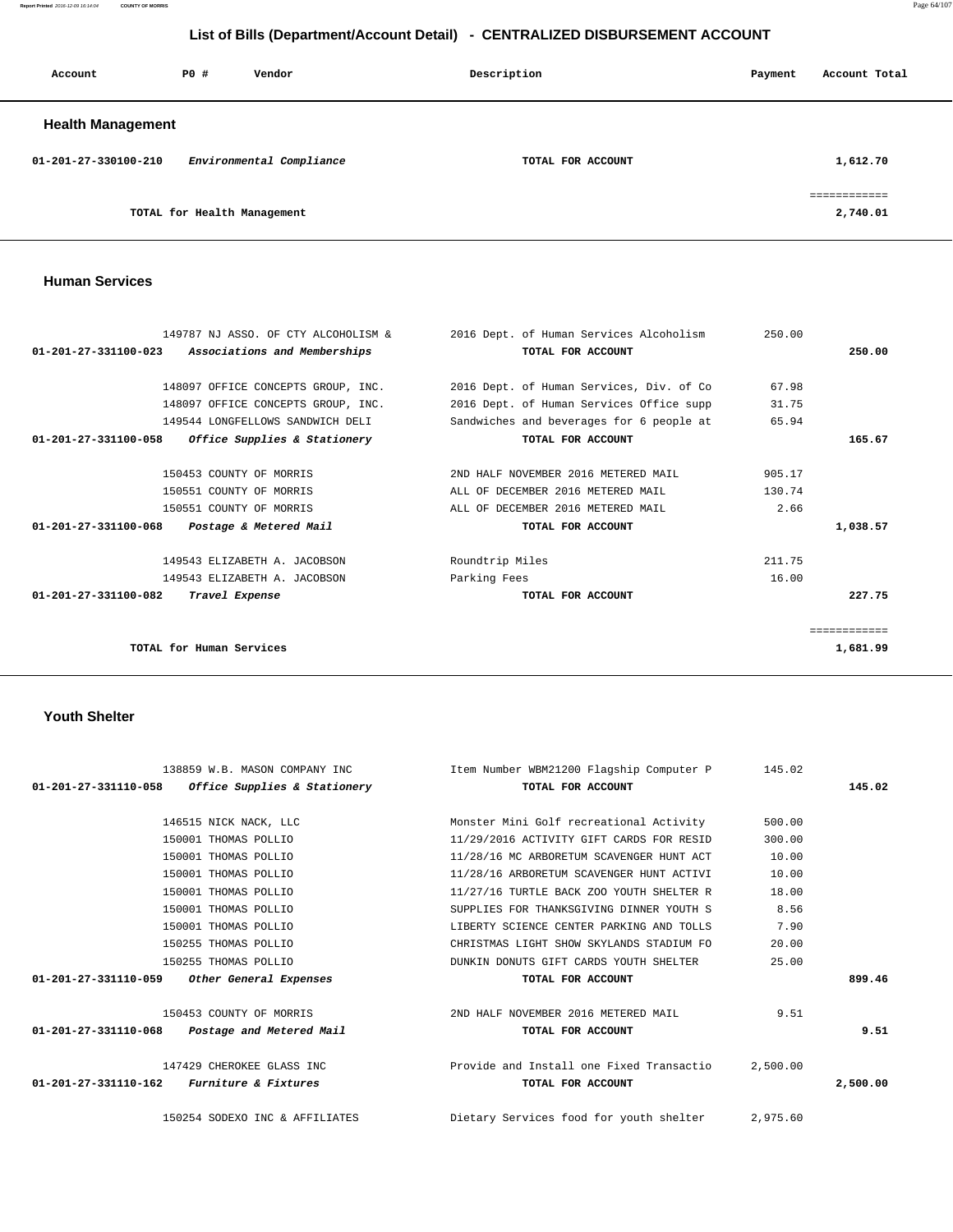**Report Printed** 2016-12-09 16:14:04 **COUNTY OF MORRIS** Page 64/107

# **List of Bills (Department/Account Detail) - CENTRALIZED DISBURSEMENT ACCOUNT**

| Account                  | PO# | Vendor                      | Description       | Payment | Account Total            |
|--------------------------|-----|-----------------------------|-------------------|---------|--------------------------|
| <b>Health Management</b> |     |                             |                   |         |                          |
| 01-201-27-330100-210     |     | Environmental Compliance    | TOTAL FOR ACCOUNT |         | 1,612.70                 |
|                          |     | TOTAL for Health Management |                   |         | ============<br>2,740.01 |

#### **Human Services**

|                                | 149787 NJ ASSO. OF CTY ALCOHOLISM &     | 2016 Dept. of Human Services Alcoholism  | 250.00 |              |
|--------------------------------|-----------------------------------------|------------------------------------------|--------|--------------|
| 01-201-27-331100-023           | Associations and Memberships            | TOTAL FOR ACCOUNT                        |        | 250.00       |
|                                | 148097 OFFICE CONCEPTS GROUP, INC.      | 2016 Dept. of Human Services, Div. of Co | 67.98  |              |
|                                | 148097 OFFICE CONCEPTS GROUP, INC.      | 2016 Dept. of Human Services Office supp | 31.75  |              |
|                                | 149544 LONGFELLOWS SANDWICH DELI        | Sandwiches and beverages for 6 people at | 65.94  |              |
| $01 - 201 - 27 - 331100 - 058$ | <i>Office Supplies &amp; Stationery</i> | TOTAL FOR ACCOUNT                        |        | 165.67       |
|                                | 150453 COUNTY OF MORRIS                 | 2ND HALF NOVEMBER 2016 METERED MAIL      | 905.17 |              |
|                                | 150551 COUNTY OF MORRIS                 | ALL OF DECEMBER 2016 METERED MAIL        | 130.74 |              |
|                                | 150551 COUNTY OF MORRIS                 | ALL OF DECEMBER 2016 METERED MAIL        | 2.66   |              |
| $01 - 201 - 27 - 331100 - 068$ | Postage & Metered Mail                  | TOTAL FOR ACCOUNT                        |        | 1,038.57     |
|                                | 149543 ELIZABETH A. JACOBSON            | Roundtrip Miles                          | 211.75 |              |
|                                | 149543 ELIZABETH A. JACOBSON            | Parking Fees                             | 16.00  |              |
| 01-201-27-331100-082           | Travel Expense                          | TOTAL FOR ACCOUNT                        |        | 227.75       |
|                                |                                         |                                          |        | ============ |
|                                | TOTAL for Human Services                |                                          |        | 1,681.99     |
|                                |                                         |                                          |        |              |

#### **Youth Shelter**

|                                                     | 145.02   |
|-----------------------------------------------------|----------|
| Monster Mini Golf recreational Activity<br>500.00   |          |
| 300.00                                              |          |
| 10.00                                               |          |
| 10.00                                               |          |
| 18.00                                               |          |
| 8.56                                                |          |
| 7.90                                                |          |
| 20.00                                               |          |
| 25.00                                               |          |
|                                                     | 899.46   |
| 9.51                                                |          |
|                                                     | 9.51     |
| 2,500.00                                            |          |
|                                                     | 2,500.00 |
| Dietary Services food for youth shelter<br>2,975.60 |          |
|                                                     |          |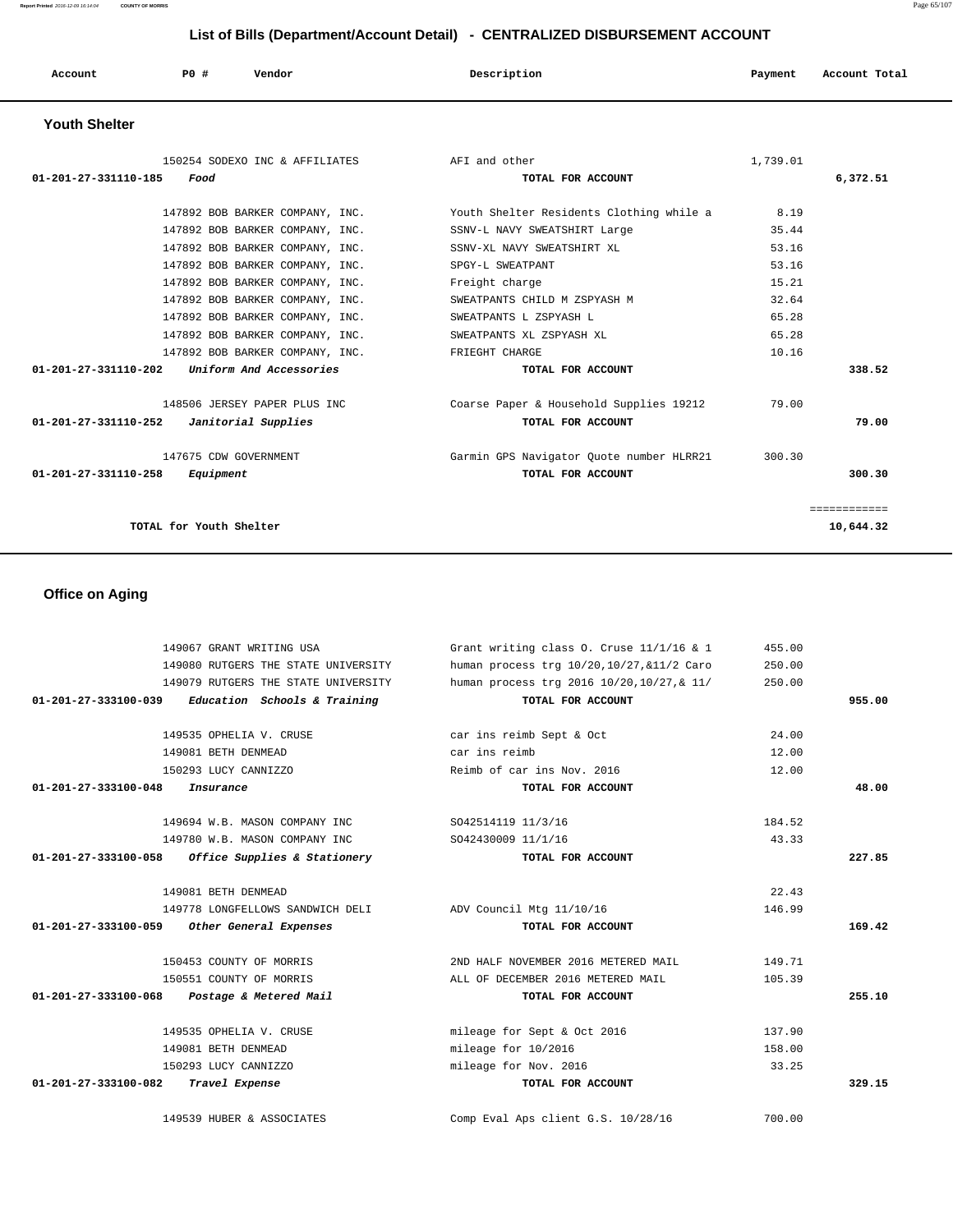149535 OPHELIA V. CRUSE car ins reimb Sept & Oct 24.00 149081 BETH DENMEAD car ins reimb 12.00 150293 LUCY CANNIZZO Reimb of car ins Nov. 2016 12.00  **01-201-27-333100-048 Insurance TOTAL FOR ACCOUNT 48.00** 149694 W.B. MASON COMPANY INC SO42514119 11/3/16 184.52 149780 W.B. MASON COMPANY INC SO42430009 11/1/16 43.33  **01-201-27-333100-058 Office Supplies & Stationery TOTAL FOR ACCOUNT 227.85** 149081 BETH DENMEAD 22.43 149778 LONGFELLOWS SANDWICH DELI ADV Council Mtg 11/10/16 146.99  **01-201-27-333100-059 Other General Expenses TOTAL FOR ACCOUNT 169.42** 150453 COUNTY OF MORRIS 2ND HALF NOVEMBER 2016 METERED MAIL 149.71 150551 COUNTY OF MORRIS ALL OF DECEMBER 2016 METERED MAIL 105.39  **01-201-27-333100-068 Postage & Metered Mail TOTAL FOR ACCOUNT 255.10** 149535 OPHELIA V. CRUSE mileage for Sept & Oct 2016 137.90 149081 BETH DENMEAD mileage for 10/2016 158.00 150293 LUCY CANNIZZO mileage for Nov. 2016 33.25  **01-201-27-333100-082 Travel Expense TOTAL FOR ACCOUNT 329.15** 149539 HUBER & ASSOCIATES Comp Eval Aps client G.S. 10/28/16 700.00

 149067 GRANT WRITING USA Grant writing class O. Cruse 11/1/16 & 1 455.00 149080 RUTGERS THE STATE UNIVERSITY human process trg 10/20,10/27,&11/2 Caro 250.00 149079 RUTGERS THE STATE UNIVERSITY human process trg 2016 10/20,10/27,& 11/ 250.00  **01-201-27-333100-039 Education Schools & Training TOTAL FOR ACCOUNT 955.00**

 **Office on Aging** 

| 150254 SODEXO INC & AFFILIATES AFI and other<br>01-201-27-331110-185<br>Food | TOTAL FOR ACCOUNT                                                             | 1,739.01 | 6,372.51     |
|------------------------------------------------------------------------------|-------------------------------------------------------------------------------|----------|--------------|
|                                                                              | 147892 BOB BARKER COMPANY, INC. Touth Shelter Residents Clothing while a 3.19 |          |              |
| 147892 BOB BARKER COMPANY, INC.                                              | SSNV-L NAVY SWEATSHIRT Large                                                  | 35.44    |              |
| 147892 BOB BARKER COMPANY, INC.                                              | SSNV-XL NAVY SWEATSHIRT XL                                                    | 53.16    |              |
| 147892 BOB BARKER COMPANY, INC.                                              | SPGY-L SWEATPANT                                                              | 53.16    |              |
| 147892 BOB BARKER COMPANY, INC.                                              | Freight charge                                                                | 15.21    |              |
| 147892 BOB BARKER COMPANY, INC.                                              | SWEATPANTS CHILD M ZSPYASH M                                                  | 32.64    |              |
| 147892 BOB BARKER COMPANY, INC.                                              | SWEATPANTS L ZSPYASH L                                                        | 65.28    |              |
| 147892 BOB BARKER COMPANY, INC.                                              | SWEATPANTS XL ZSPYASH XL                                                      | 65.28    |              |
| 147892 BOB BARKER COMPANY, INC.                                              | FRIEGHT CHARGE                                                                | 10.16    |              |
| Uniform And Accessories<br>01-201-27-331110-202                              | TOTAL FOR ACCOUNT                                                             |          | 338.52       |
| 148506 JERSEY PAPER PLUS INC                                                 | Coarse Paper & Household Supplies 19212                                       | 79.00    |              |
| $01-201-27-331110-252$ Janitorial Supplies                                   | TOTAL FOR ACCOUNT                                                             |          | 79.00        |
| 147675 CDW GOVERNMENT                                                        | Garmin GPS Navigator Ouote number HLRR21                                      | 300.30   |              |
| 01-201-27-331110-258<br>Equipment                                            | TOTAL FOR ACCOUNT                                                             |          | 300.30       |
|                                                                              |                                                                               |          | ============ |
| TOTAL for Youth Shelter                                                      |                                                                               |          | 10,644.32    |

#### **Youth Shelter**

**Report Printed** 2016-12-09 16:14:04 **COUNTY OF MORRIS** Page 65/107

 **List of Bills (Department/Account Detail) - CENTRALIZED DISBURSEMENT ACCOUNT**

 **Account P0 # Vendor Description Payment Account Total**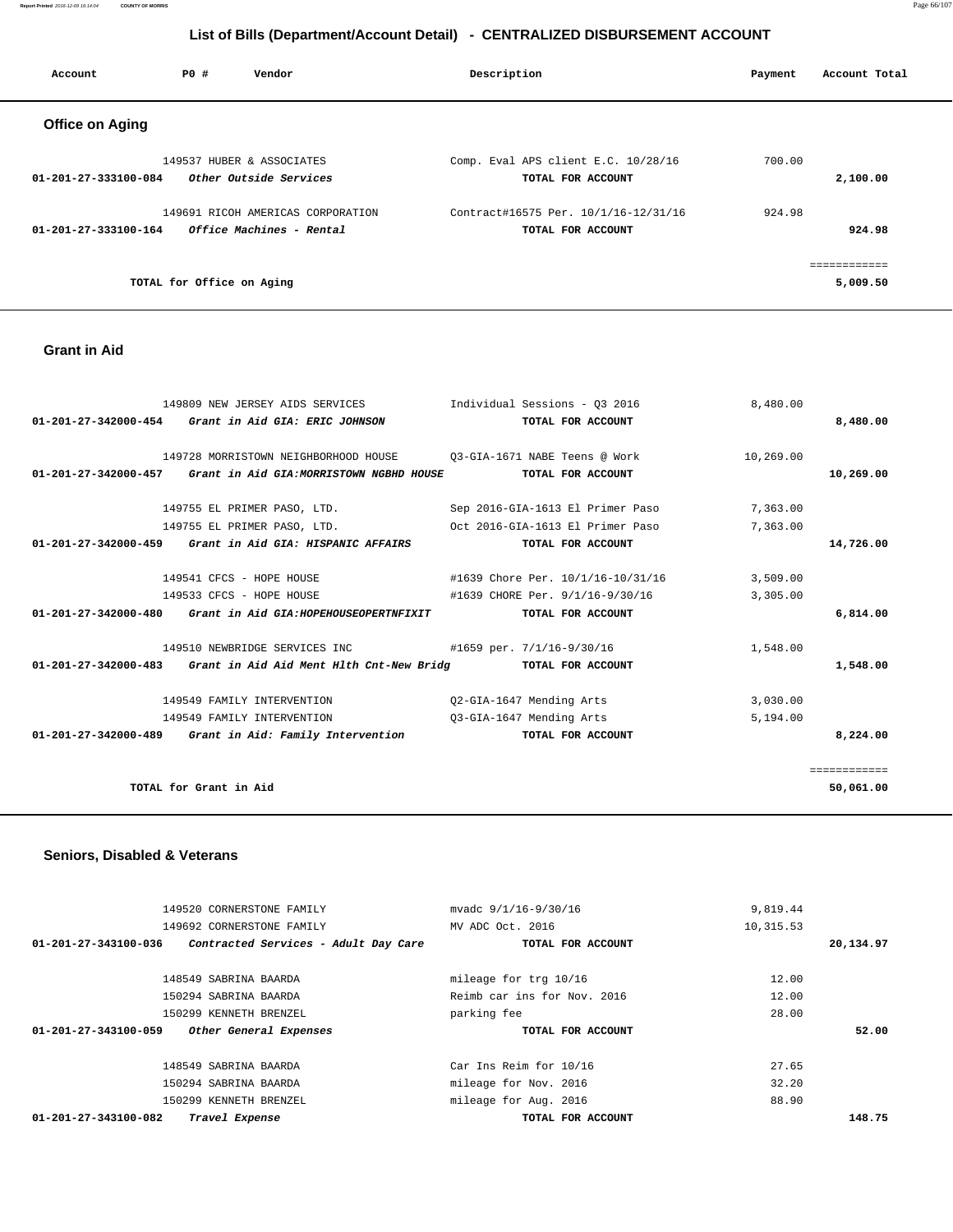**Report Printed** 2016-12-09 16:14:04 **COUNTY OF MORRIS** Page 66/107

## **List of Bills (Department/Account Detail) - CENTRALIZED DISBURSEMENT ACCOUNT**

| PO# | Vendor                                       | Description                                                                                                                                       | Payment | Account Total |
|-----|----------------------------------------------|---------------------------------------------------------------------------------------------------------------------------------------------------|---------|---------------|
|     |                                              |                                                                                                                                                   |         |               |
|     |                                              | Comp. Eval APS client E.C. 10/28/16                                                                                                               | 700.00  |               |
|     |                                              | TOTAL FOR ACCOUNT                                                                                                                                 |         | 2,100.00      |
|     |                                              | Contract#16575 Per. 10/1/16-12/31/16                                                                                                              | 924.98  |               |
|     |                                              | TOTAL FOR ACCOUNT                                                                                                                                 |         | 924.98        |
|     |                                              |                                                                                                                                                   |         | ============  |
|     |                                              |                                                                                                                                                   |         | 5,009.50      |
|     | 01-201-27-333100-084<br>01-201-27-333100-164 | 149537 HUBER & ASSOCIATES<br>Other Outside Services<br>149691 RICOH AMERICAS CORPORATION<br>Office Machines - Rental<br>TOTAL for Office on Aging |         |               |

#### **Grant in Aid**

| 149809 NEW JERSEY AIDS SERVICES                               | Individual Sessions - 03 2016     | 8,480.00  |              |
|---------------------------------------------------------------|-----------------------------------|-----------|--------------|
| $01-201-27-342000-454$ Grant in Aid GIA: ERIC JOHNSON         | TOTAL FOR ACCOUNT                 |           | 8,480.00     |
| 149728 MORRISTOWN NEIGHBORHOOD HOUSE                          | 03-GIA-1671 NABE Teens @ Work     | 10,269.00 |              |
| 01-201-27-342000-457 Grant in Aid GIA: MORRISTOWN NGBHD HOUSE | TOTAL FOR ACCOUNT                 |           | 10,269.00    |
| 149755 EL PRIMER PASO, LTD. Sep 2016-GIA-1613 El Primer Paso  |                                   | 7,363.00  |              |
| 149755 EL PRIMER PASO, LTD.                                   | Oct 2016-GIA-1613 El Primer Paso  | 7,363.00  |              |
| 01-201-27-342000-459 Grant in Aid GIA: HISPANIC AFFAIRS       | TOTAL FOR ACCOUNT                 |           | 14,726.00    |
| 149541 CFCS - HOPE HOUSE                                      | #1639 Chore Per. 10/1/16-10/31/16 | 3,509.00  |              |
| 149533 CFCS - HOPE HOUSE                                      | #1639 CHORE Per. 9/1/16-9/30/16   | 3,305.00  |              |
| 01-201-27-342000-480 Grant in Aid GIA: HOPEHOUSEOPERTNFIXIT   | TOTAL FOR ACCOUNT                 |           | 6,814.00     |
| 149510 NEWBRIDGE SERVICES INC                                 | #1659 per. 7/1/16-9/30/16         | 1,548.00  |              |
| 01-201-27-342000-483 Grant in Aid Aid Ment Hlth Cnt-New Bridg | TOTAL FOR ACCOUNT                 |           | 1,548.00     |
| 149549 FAMILY INTERVENTION                                    | 02-GIA-1647 Mending Arts          | 3,030.00  |              |
| 149549 FAMILY INTERVENTION                                    | 03-GIA-1647 Mending Arts          | 5,194.00  |              |
| 01-201-27-342000-489 Grant in Aid: Family Intervention        | TOTAL FOR ACCOUNT                 |           | 8,224.00     |
|                                                               |                                   |           | ============ |
| TOTAL for Grant in Aid                                        |                                   |           | 50,061.00    |
|                                                               |                                   |           |              |

#### **Seniors, Disabled & Veterans**

|           | 9,819.44  | myadc 9/1/16-9/30/16        | 149520 CORNERSTONE FAMILY                                    |
|-----------|-----------|-----------------------------|--------------------------------------------------------------|
|           | 10,315.53 | MV ADC Oct. 2016            | 149692 CORNERSTONE FAMILY                                    |
| 20,134.97 |           | TOTAL FOR ACCOUNT           | 01-201-27-343100-036<br>Contracted Services - Adult Day Care |
|           | 12.00     | mileage for trg 10/16       | 148549 SABRINA BAARDA                                        |
|           | 12.00     | Reimb car ins for Nov. 2016 | 150294 SABRINA BAARDA                                        |
|           | 28.00     | parking fee                 | 150299 KENNETH BRENZEL                                       |
| 52.00     |           | TOTAL FOR ACCOUNT           | 01-201-27-343100-059<br>Other General Expenses               |
|           | 27.65     | Car Ins Reim for 10/16      | 148549 SABRINA BAARDA                                        |
|           | 32.20     | mileage for Nov. 2016       | 150294 SABRINA BAARDA                                        |
|           | 88.90     | mileage for Aug. 2016       | 150299 KENNETH BRENZEL                                       |
| 148.75    |           | TOTAL FOR ACCOUNT           | 01-201-27-343100-082<br>Travel Expense                       |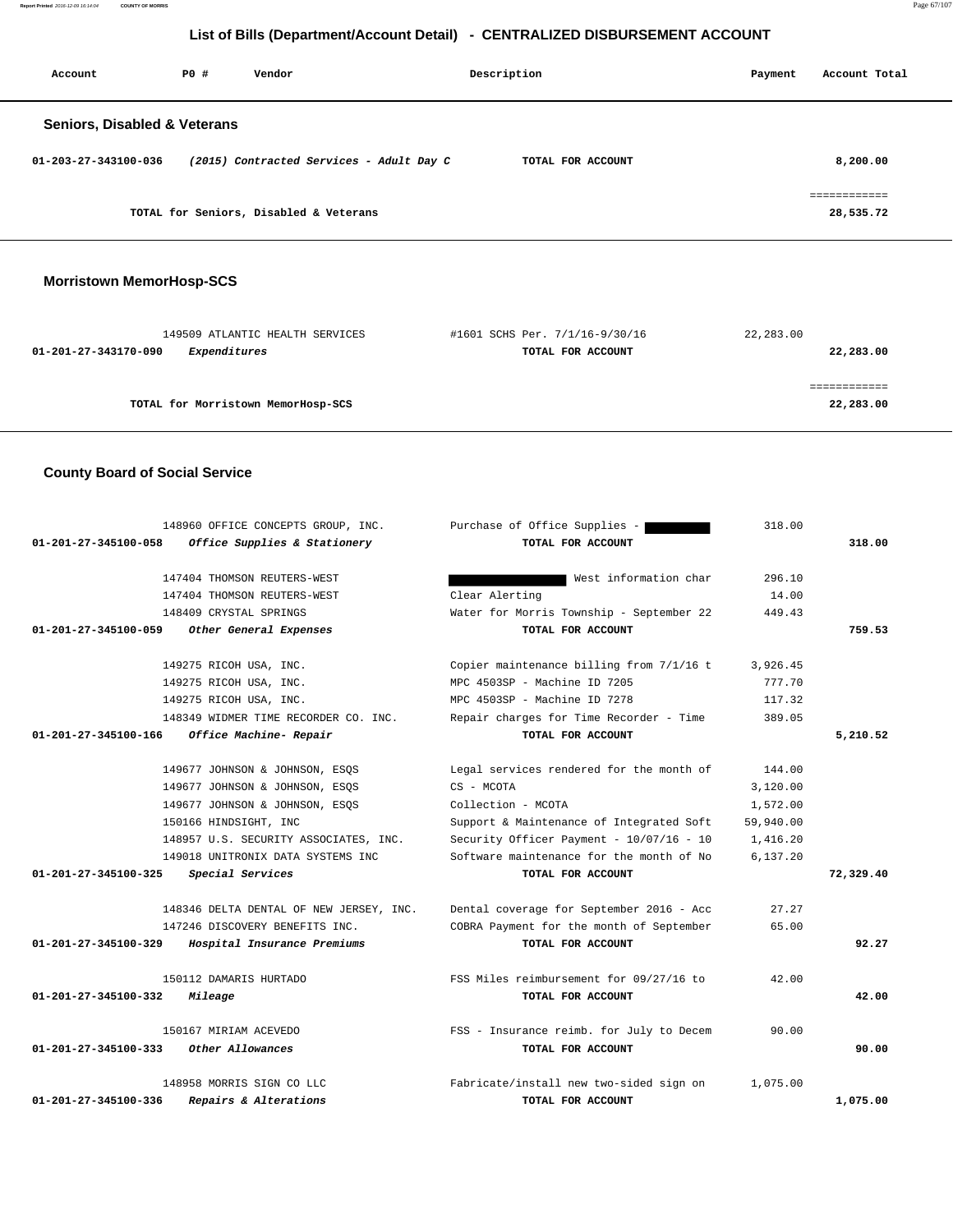**Report Printed** 2016-12-09 16:14:04 **COUNTY OF MORRIS** Page 67/107

# **List of Bills (Department/Account Detail) - CENTRALIZED DISBURSEMENT ACCOUNT**

| Account                                 | PO# | Vendor                                   | Description       | Payment | Account Total             |
|-----------------------------------------|-----|------------------------------------------|-------------------|---------|---------------------------|
| <b>Seniors, Disabled &amp; Veterans</b> |     |                                          |                   |         |                           |
| 01-203-27-343100-036                    |     | (2015) Contracted Services - Adult Day C | TOTAL FOR ACCOUNT |         | 8,200.00                  |
|                                         |     | TOTAL for Seniors, Disabled & Veterans   |                   |         | ============<br>28,535.72 |

#### **Morristown MemorHosp-SCS**

| 149509 ATLANTIC HEALTH SERVICES      | #1601 SCHS Per. 7/1/16-9/30/16 | 22,283.00 |
|--------------------------------------|--------------------------------|-----------|
| Expenditures<br>01-201-27-343170-090 | TOTAL FOR ACCOUNT              | 22,283.00 |
|                                      |                                |           |
|                                      |                                |           |
| TOTAL for Morristown MemorHosp-SCS   |                                | 22,283.00 |
|                                      |                                |           |

# **County Board of Social Service**

|                                | 148960 OFFICE CONCEPTS GROUP, INC.      | Purchase of Office Supplies -            | 318.00    |           |
|--------------------------------|-----------------------------------------|------------------------------------------|-----------|-----------|
| 01-201-27-345100-058           | Office Supplies & Stationery            | TOTAL FOR ACCOUNT                        |           | 318.00    |
|                                | 147404 THOMSON REUTERS-WEST             | West information char                    | 296.10    |           |
|                                | 147404 THOMSON REUTERS-WEST             | Clear Alerting                           | 14.00     |           |
|                                | 148409 CRYSTAL SPRINGS                  | Water for Morris Township - September 22 | 449.43    |           |
| 01-201-27-345100-059           | Other General Expenses                  | TOTAL FOR ACCOUNT                        |           | 759.53    |
|                                | 149275 RICOH USA, INC.                  | Copier maintenance billing from 7/1/16 t | 3,926.45  |           |
|                                | 149275 RICOH USA, INC.                  | MPC 4503SP - Machine ID 7205             | 777.70    |           |
|                                | 149275 RICOH USA, INC.                  | MPC 4503SP - Machine ID 7278             | 117.32    |           |
|                                | 148349 WIDMER TIME RECORDER CO. INC.    | Repair charges for Time Recorder - Time  | 389.05    |           |
| 01-201-27-345100-166           | Office Machine- Repair                  | TOTAL FOR ACCOUNT                        |           | 5,210.52  |
|                                | 149677 JOHNSON & JOHNSON, ESQS          | Legal services rendered for the month of | 144.00    |           |
|                                | 149677 JOHNSON & JOHNSON, ESOS          | CS - MCOTA                               | 3.120.00  |           |
|                                | 149677 JOHNSON & JOHNSON, ESQS          | Collection - MCOTA                       | 1,572.00  |           |
|                                | 150166 HINDSIGHT, INC                   | Support & Maintenance of Integrated Soft | 59,940.00 |           |
|                                | 148957 U.S. SECURITY ASSOCIATES, INC.   | Security Officer Payment - 10/07/16 - 10 | 1,416.20  |           |
|                                | 149018 UNITRONIX DATA SYSTEMS INC       | Software maintenance for the month of No | 6,137.20  |           |
| 01-201-27-345100-325           | Special Services                        | TOTAL FOR ACCOUNT                        |           | 72,329.40 |
|                                | 148346 DELTA DENTAL OF NEW JERSEY, INC. | Dental coverage for September 2016 - Acc | 27.27     |           |
|                                | 147246 DISCOVERY BENEFITS INC.          | COBRA Payment for the month of September | 65.00     |           |
| 01-201-27-345100-329           | Hospital Insurance Premiums             | TOTAL FOR ACCOUNT                        |           | 92.27     |
|                                | 150112 DAMARIS HURTADO                  | FSS Miles reimbursement for 09/27/16 to  | 42.00     |           |
| 01-201-27-345100-332           | Mileage                                 | TOTAL FOR ACCOUNT                        |           | 42.00     |
|                                | 150167 MIRIAM ACEVEDO                   | FSS - Insurance reimb. for July to Decem | 90.00     |           |
| 01-201-27-345100-333           | Other Allowances                        | TOTAL FOR ACCOUNT                        |           | 90.00     |
|                                | 148958 MORRIS SIGN CO LLC               | Fabricate/install new two-sided sign on  | 1,075.00  |           |
| $01 - 201 - 27 - 345100 - 336$ | Repairs & Alterations                   | TOTAL FOR ACCOUNT                        |           | 1,075.00  |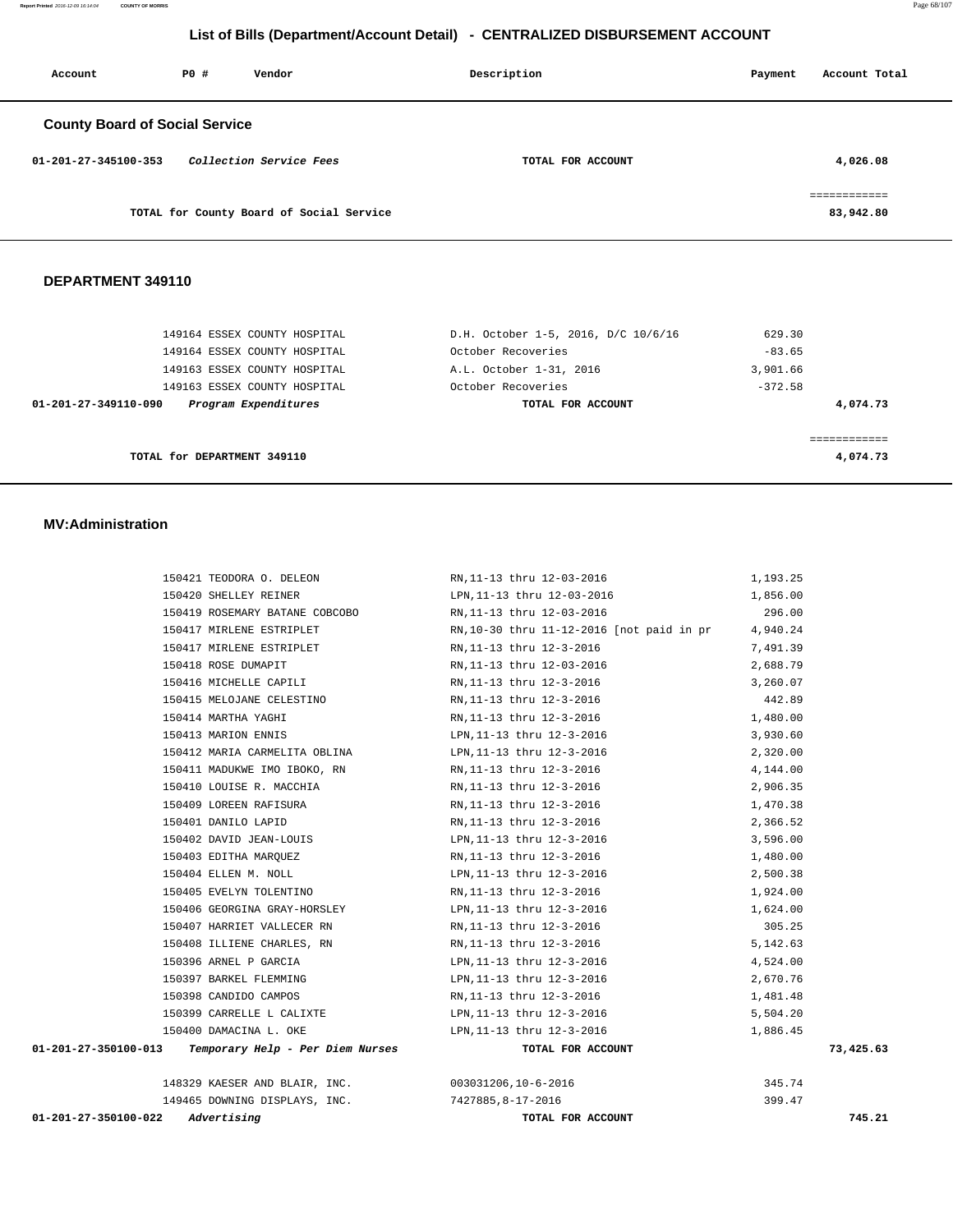**Report Printed** 2016-12-09 16:14:04 **COUNTY OF MORRIS** Page 68/107

## **List of Bills (Department/Account Detail) - CENTRALIZED DISBURSEMENT ACCOUNT**

| Account                               | PO# | Vendor                                   | Description       | Payment | Account Total             |
|---------------------------------------|-----|------------------------------------------|-------------------|---------|---------------------------|
| <b>County Board of Social Service</b> |     |                                          |                   |         |                           |
| 01-201-27-345100-353                  |     | Collection Service Fees                  | TOTAL FOR ACCOUNT |         | 4,026.08                  |
|                                       |     | TOTAL for County Board of Social Service |                   |         | eessessesses<br>83,942.80 |

#### **DEPARTMENT 349110**

| 149164 ESSEX COUNTY HOSPITAL                 | D.H. October 1-5, 2016, D/C 10/6/16 | 629.30    |
|----------------------------------------------|-------------------------------------|-----------|
| 149164 ESSEX COUNTY HOSPITAL                 | October Recoveries                  | $-83.65$  |
| 149163 ESSEX COUNTY HOSPITAL                 | A.L. October 1-31, 2016             | 3,901.66  |
| 149163 ESSEX COUNTY HOSPITAL                 | October Recoveries                  | $-372.58$ |
| Program Expenditures<br>01-201-27-349110-090 | TOTAL FOR ACCOUNT                   | 4,074.73  |
|                                              |                                     |           |
|                                              |                                     |           |
| TOTAL for DEPARTMENT 349110                  |                                     | 4,074.73  |

#### **MV:Administration**

|                      | 150421 TEODORA O. DELEON                                                | RN, 11-13 thru 12-03-2016                           | 1,193.25  |
|----------------------|-------------------------------------------------------------------------|-----------------------------------------------------|-----------|
|                      | 150420 SHELLEY REINER                                                   | LPN, 11-13 thru 12-03-2016 1,856.00                 |           |
|                      | 150419 ROSEMARY BATANE COBCOBO           RN, 11-13 thru 12-03-2016      |                                                     | 296.00    |
|                      | 150417 MIRLENE ESTRIPLET                                                | RN, 10-30 thru 11-12-2016 [not paid in pr 4, 940.24 |           |
|                      | 150417 MIRLENE ESTRIPLET                                                | RN,11-13 thru 12-3-2016                             | 7,491.39  |
|                      | 150418 ROSE DUMAPIT                                                     | RN, 11-13 thru 12-03-2016                           | 2,688.79  |
|                      | 150416 MICHELLE CAPILI                                                  | RN,11-13 thru 12-3-2016                             | 3,260.07  |
|                      | 150415 MELOJANE CELESTINO                                               | RN,11-13 thru 12-3-2016                             | 442.89    |
|                      | 150414 MARTHA YAGHI                                                     | RN,11-13 thru 12-3-2016                             | 1,480.00  |
|                      | 150413 MARION ENNIS                                                     | LPN, 11-13 thru 12-3-2016                           | 3,930.60  |
|                      | 150412 MARIA CARMELITA OBLINA LPN, 11-13 thru 12-3-2016                 |                                                     | 2,320.00  |
|                      | 150411 MADUKWE IMO IBOKO, RN                   RN, 11-13 thru 12-3-2016 |                                                     | 4,144.00  |
|                      | 150410 LOUISE R. MACCHIA                                                | RN,11-13 thru 12-3-2016                             | 2,906.35  |
|                      | 150409 LOREEN RAFISURA                                                  | RN,11-13 thru 12-3-2016                             | 1,470.38  |
|                      | 150401 DANILO LAPID                                                     | RN,11-13 thru 12-3-2016                             | 2,366.52  |
|                      | 150402 DAVID JEAN-LOUIS                                                 | LPN,11-13 thru 12-3-2016                            | 3,596.00  |
|                      | 150403 EDITHA MARQUEZ                                                   | RN,11-13 thru 12-3-2016                             | 1,480.00  |
|                      | 150404 ELLEN M. NOLL                                                    | LPN,11-13 thru 12-3-2016                            | 2,500.38  |
|                      | 150405 EVELYN TOLENTINO                                                 | RN,11-13 thru 12-3-2016                             | 1,924.00  |
|                      | 150406 GEORGINA GRAY-HORSLEY                                            | LPN, 11-13 thru 12-3-2016                           | 1,624.00  |
|                      | 150407 HARRIET VALLECER RN RN, 11-13 thru 12-3-2016                     |                                                     | 305.25    |
|                      | 150408 ILLIENE CHARLES, RN RN, 11-13 thru 12-3-2016                     |                                                     | 5,142.63  |
|                      | 150396 ARNEL P GARCIA                                                   | LPN,11-13 thru 12-3-2016                            | 4,524.00  |
|                      | 150397 BARKEL FLEMMING                                                  | LPN, 11-13 thru 12-3-2016                           | 2,670.76  |
|                      | 150398 CANDIDO CAMPOS                                                   | RN,11-13 thru 12-3-2016                             | 1,481.48  |
|                      | 150399 CARRELLE L CALIXTE                                               | LPN, 11-13 thru 12-3-2016                           | 5,504.20  |
|                      | 150400 DAMACINA L. OKE                                                  | LPN,11-13 thru 12-3-2016                            | 1,886.45  |
| 01-201-27-350100-013 | Temporary Help - Per Diem Nurses                                        | TOTAL FOR ACCOUNT                                   | 73,425.63 |
|                      | 148329 KAESER AND BLAIR, INC. 003031206, 10-6-2016                      |                                                     | 345.74    |
|                      | 149465 DOWNING DISPLAYS, INC.                                           | 7427885,8-17-2016                                   | 399.47    |

 **01-201-27-350100-022 Advertising TOTAL FOR ACCOUNT 745.21**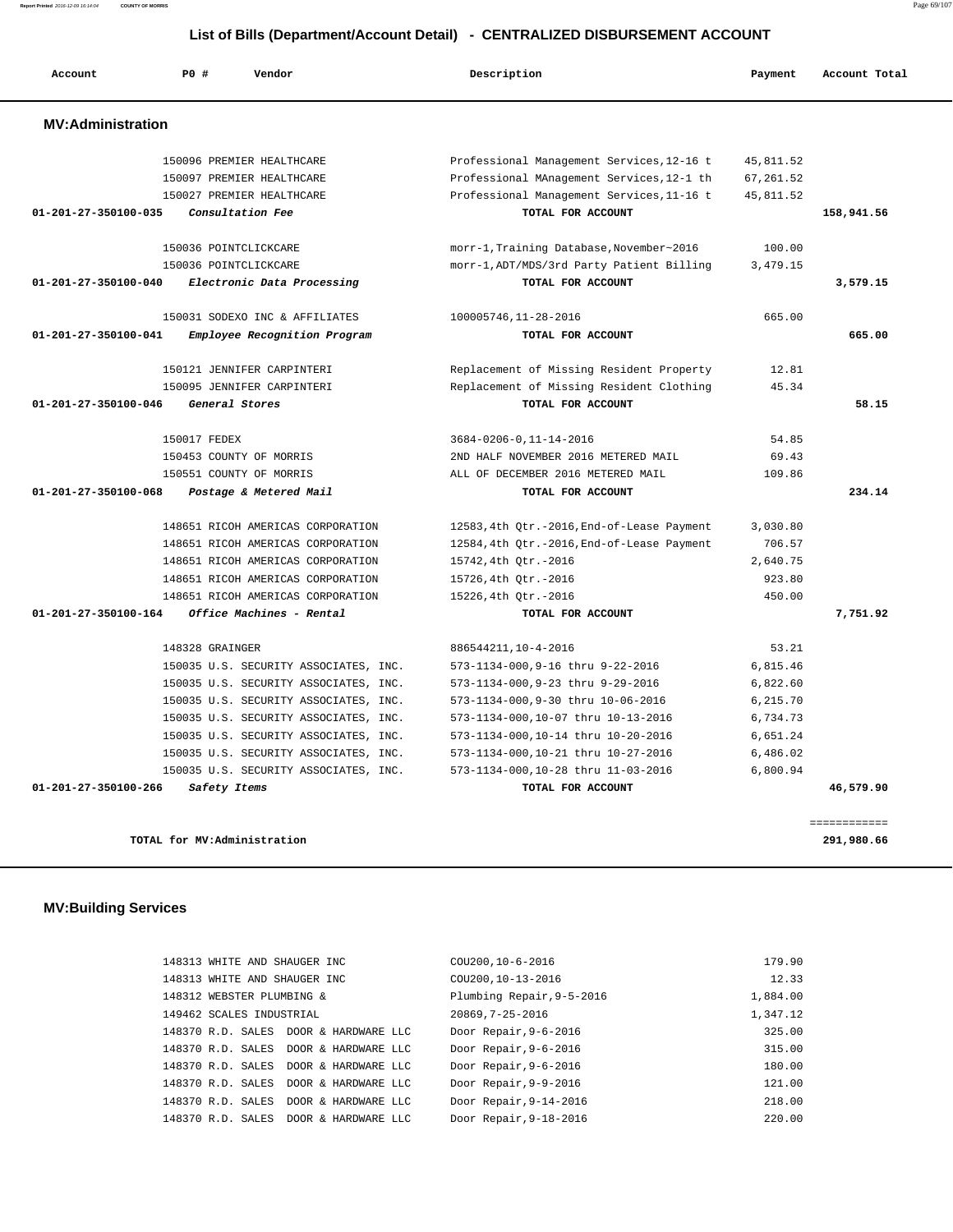| Account                     | <b>PO #</b><br>Vendor                                                               | Description                                                                                                                         | Payment                               | Account Total |
|-----------------------------|-------------------------------------------------------------------------------------|-------------------------------------------------------------------------------------------------------------------------------------|---------------------------------------|---------------|
| <b>MV:Administration</b>    |                                                                                     |                                                                                                                                     |                                       |               |
|                             | 150096 PREMIER HEALTHCARE<br>150097 PREMIER HEALTHCARE<br>150027 PREMIER HEALTHCARE | Professional Management Services, 12-16 t<br>Professional MAnagement Services, 12-1 th<br>Professional Management Services, 11-16 t | 45, 811.52<br>67, 261.52<br>45,811.52 |               |
| 01-201-27-350100-035        | Consultation Fee                                                                    | TOTAL FOR ACCOUNT                                                                                                                   |                                       | 158,941.56    |
| 01-201-27-350100-040        | 150036 POINTCLICKCARE<br>150036 POINTCLICKCARE<br>Electronic Data Processing        | morr-1, Training Database, November~2016<br>morr-1, ADT/MDS/3rd Party Patient Billing<br>TOTAL FOR ACCOUNT                          | 100.00<br>3,479.15                    | 3,579.15      |
|                             |                                                                                     |                                                                                                                                     |                                       |               |
| 01-201-27-350100-041        | 150031 SODEXO INC & AFFILIATES<br>Employee Recognition Program                      | 100005746,11-28-2016<br>TOTAL FOR ACCOUNT                                                                                           | 665.00                                | 665.00        |
|                             | 150121 JENNIFER CARPINTERI<br>150095 JENNIFER CARPINTERI                            | Replacement of Missing Resident Property<br>Replacement of Missing Resident Clothing                                                | 12.81<br>45.34                        |               |
| 01-201-27-350100-046        | General Stores                                                                      | TOTAL FOR ACCOUNT                                                                                                                   |                                       | 58.15         |
|                             | 150017 FEDEX<br>150453 COUNTY OF MORRIS<br>150551 COUNTY OF MORRIS                  | 3684-0206-0, 11-14-2016<br>2ND HALF NOVEMBER 2016 METERED MAIL<br>ALL OF DECEMBER 2016 METERED MAIL                                 | 54.85<br>69.43<br>109.86              |               |
| 01-201-27-350100-068        | Postage & Metered Mail                                                              | TOTAL FOR ACCOUNT                                                                                                                   |                                       | 234.14        |
|                             |                                                                                     |                                                                                                                                     |                                       |               |
|                             | 148651 RICOH AMERICAS CORPORATION<br>148651 RICOH AMERICAS CORPORATION              | 12583,4th Qtr.-2016, End-of-Lease Payment<br>12584,4th Qtr.-2016, End-of-Lease Payment                                              | 3,030.80<br>706.57                    |               |
|                             | 148651 RICOH AMERICAS CORPORATION                                                   | 15742,4th Qtr.-2016                                                                                                                 | 2,640.75                              |               |
|                             | 148651 RICOH AMERICAS CORPORATION                                                   | 15726,4th Qtr.-2016                                                                                                                 | 923.80                                |               |
|                             | 148651 RICOH AMERICAS CORPORATION                                                   | 15226,4th Qtr.-2016                                                                                                                 | 450.00                                |               |
| 01-201-27-350100-164        | Office Machines - Rental                                                            | TOTAL FOR ACCOUNT                                                                                                                   |                                       | 7,751.92      |
|                             | 148328 GRAINGER                                                                     | 886544211, 10-4-2016                                                                                                                | 53.21                                 |               |
|                             | 150035 U.S. SECURITY ASSOCIATES, INC.                                               | 573-1134-000, 9-16 thru 9-22-2016                                                                                                   | 6,815.46                              |               |
|                             | 150035 U.S. SECURITY ASSOCIATES, INC.                                               | 573-1134-000,9-23 thru 9-29-2016                                                                                                    | 6,822.60                              |               |
|                             | 150035 U.S. SECURITY ASSOCIATES, INC.                                               | 573-1134-000,9-30 thru 10-06-2016                                                                                                   | 6,215.70                              |               |
|                             | 150035 U.S. SECURITY ASSOCIATES, INC.                                               | 573-1134-000,10-07 thru 10-13-2016                                                                                                  | 6,734.73                              |               |
|                             | 150035 U.S. SECURITY ASSOCIATES, INC.                                               | 573-1134-000,10-14 thru 10-20-2016                                                                                                  | 6,651.24                              |               |
|                             | 150035 U.S. SECURITY ASSOCIATES, INC.<br>150035 U.S. SECURITY ASSOCIATES, INC.      | 573-1134-000,10-21 thru 10-27-2016<br>573-1134-000,10-28 thru 11-03-2016                                                            | 6,486.02<br>6,800.94                  |               |
| 01-201-27-350100-266        | Safety Items                                                                        | TOTAL FOR ACCOUNT                                                                                                                   |                                       | 46,579.90     |
|                             |                                                                                     |                                                                                                                                     |                                       | ============  |
|                             | TOTAL for MV:Administration                                                         |                                                                                                                                     |                                       | 291,980.66    |
|                             |                                                                                     |                                                                                                                                     |                                       |               |
| <b>MV:Building Services</b> |                                                                                     |                                                                                                                                     |                                       |               |
|                             | 148313 WHITE AND SHAUGER INC                                                        | COU200, 10-6-2016                                                                                                                   | 179.90                                |               |
|                             | 148313 WHITE AND SHAUGER INC                                                        | COU200, 10-13-2016                                                                                                                  | 12.33                                 |               |
|                             | 148312 WEBSTER PLUMBING &                                                           | Plumbing Repair, 9-5-2016                                                                                                           | 1,884.00                              |               |
|                             | 149462 SCALES INDUSTRIAL                                                            | 20869, 7-25-2016                                                                                                                    | 1,347.12                              |               |

 148370 R.D. SALES DOOR & HARDWARE LLC Door Repair,9-6-2016 325.00 148370 R.D. SALES DOOR & HARDWARE LLC Door Repair,9-6-2016 315.00

148370 R.D. SALES DOOR & HARDWARE LLC Door Repair,9-18-2016 220.00

 148370 R.D. SALES DOOR & HARDWARE LLC Door Repair,9-6-2016 180.00 148370 R.D. SALES DOOR & HARDWARE LLC Door Repair,9-9-2016 121.00 148370 R.D. SALES DOOR & HARDWARE LLC Door Repair,9-14-2016 218.00

**Report Printed** 2016-12-09 16:14:04 **COUNTY OF MORRIS** Page 69/107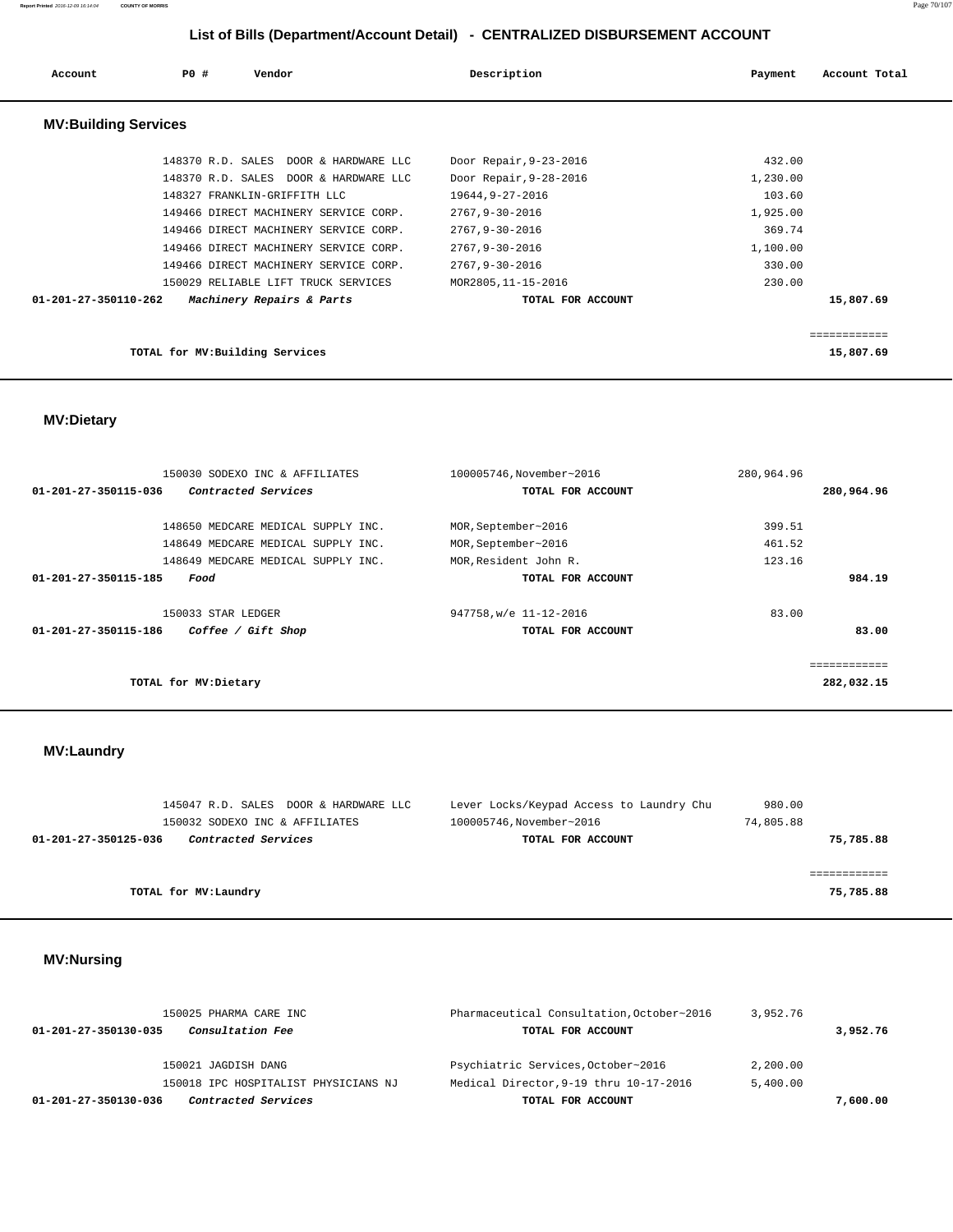| Account                        | Vendor<br>PO#                         | Description            | Account Total<br>Payment |
|--------------------------------|---------------------------------------|------------------------|--------------------------|
| <b>MV:Building Services</b>    |                                       |                        |                          |
|                                | 148370 R.D. SALES DOOR & HARDWARE LLC | Door Repair, 9-23-2016 | 432.00                   |
|                                | 148370 R.D. SALES DOOR & HARDWARE LLC | Door Repair, 9-28-2016 | 1,230.00                 |
|                                | 148327 FRANKLIN-GRIFFITH LLC          | 19644, 9-27-2016       | 103.60                   |
|                                | 149466 DIRECT MACHINERY SERVICE CORP. | 2767, 9-30-2016        | 1,925.00                 |
|                                | 149466 DIRECT MACHINERY SERVICE CORP. | 2767, 9-30-2016        | 369.74                   |
|                                | 149466 DIRECT MACHINERY SERVICE CORP. | $2767, 9 - 30 - 2016$  | 1,100.00                 |
|                                | 149466 DIRECT MACHINERY SERVICE CORP. | 2767, 9-30-2016        | 330.00                   |
|                                | 150029 RELIABLE LIFT TRUCK SERVICES   | MOR2805, 11-15-2016    | 230.00                   |
| $01 - 201 - 27 - 350110 - 262$ | Machinery Repairs & Parts             | TOTAL FOR ACCOUNT      | 15,807.69                |
|                                |                                       |                        | ============             |
|                                | TOTAL for MV: Building Services       |                        | 15,807.69                |
|                                |                                       |                        |                          |

 **MV:Dietary** 

| 150030 SODEXO INC & AFFILIATES              | 100005746, November~2016 | 280,964.96   |
|---------------------------------------------|--------------------------|--------------|
| Contracted Services<br>01-201-27-350115-036 | TOTAL FOR ACCOUNT        | 280,964.96   |
|                                             |                          |              |
| 148650 MEDCARE MEDICAL SUPPLY INC.          | MOR, September~2016      | 399.51       |
| 148649 MEDCARE MEDICAL SUPPLY INC.          | MOR, September~2016      | 461.52       |
| 148649 MEDCARE MEDICAL SUPPLY INC.          | MOR, Resident John R.    | 123.16       |
| 01-201-27-350115-185<br>Food                | TOTAL FOR ACCOUNT        | 984.19       |
|                                             |                          |              |
| 150033 STAR LEDGER                          | 947758, w/e 11-12-2016   | 83.00        |
| 01-201-27-350115-186<br>Coffee / Gift Shop  | TOTAL FOR ACCOUNT        | 83.00        |
|                                             |                          |              |
|                                             |                          | ============ |
| TOTAL for MV:Dietary                        |                          | 282,032.15   |
|                                             |                          |              |

# **MV:Laundry**

| 145047 R.D. SALES DOOR & HARDWARE LLC       | Lever Locks/Keypad Access to Laundry Chu | 980.00    |
|---------------------------------------------|------------------------------------------|-----------|
| 150032 SODEXO INC & AFFILIATES              | 100005746, November~2016                 | 74,805.88 |
| Contracted Services<br>01-201-27-350125-036 | TOTAL FOR ACCOUNT                        | 75,785.88 |
|                                             |                                          |           |
|                                             |                                          |           |
| TOTAL for MV:Laundry                        |                                          | 75,785.88 |

## **MV:Nursing**

| 150025 PHARMA CARE INC                          | Pharmaceutical Consultation, October~2016 | 3,952.76 |          |
|-------------------------------------------------|-------------------------------------------|----------|----------|
| <i>Consultation Fee</i><br>01-201-27-350130-035 | TOTAL FOR ACCOUNT                         |          | 3,952.76 |
| 150021 JAGDISH DANG                             | Psychiatric Services, October~2016        | 2,200.00 |          |
| 150018 IPC HOSPITALIST PHYSICIANS NJ            | Medical Director, 9-19 thru 10-17-2016    | 5,400.00 |          |
| Contracted Services<br>01-201-27-350130-036     | TOTAL FOR ACCOUNT                         |          | 7,600.00 |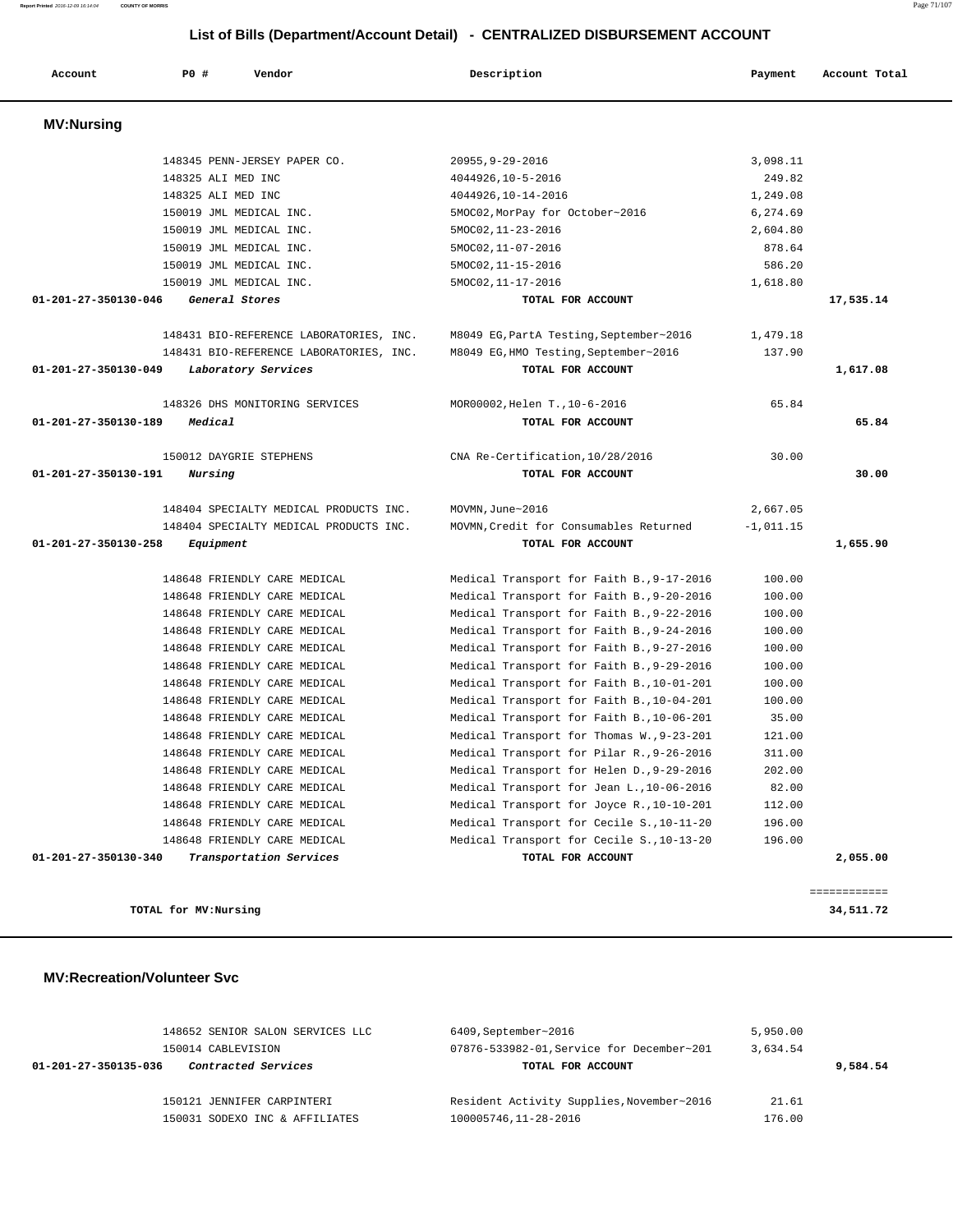**ERIG DEPARTMENT ACCOUNT** 

| List of Bills (Department/Account Detail) - CENTRALIZ |  |
|-------------------------------------------------------|--|
|                                                       |  |

| Account              | <b>PO #</b>        | Vendor                                  | Description                               | Payment     | Account Total |
|----------------------|--------------------|-----------------------------------------|-------------------------------------------|-------------|---------------|
| <b>MV:Nursing</b>    |                    |                                         |                                           |             |               |
|                      |                    | 148345 PENN-JERSEY PAPER CO.            | 20955, 9-29-2016                          | 3,098.11    |               |
|                      | 148325 ALI MED INC |                                         | 4044926,10-5-2016                         | 249.82      |               |
|                      | 148325 ALI MED INC |                                         | 4044926,10-14-2016                        | 1,249.08    |               |
|                      |                    | 150019 JML MEDICAL INC.                 | 5MOC02, MorPay for October~2016           | 6,274.69    |               |
|                      |                    | 150019 JML MEDICAL INC.                 | 5MOC02, 11-23-2016                        | 2,604.80    |               |
|                      |                    | 150019 JML MEDICAL INC.                 | 5MOC02, 11-07-2016                        | 878.64      |               |
|                      |                    | 150019 JML MEDICAL INC.                 | 5MOC02, 11-15-2016                        | 586.20      |               |
|                      |                    | 150019 JML MEDICAL INC.                 | 5MOC02, 11-17-2016                        | 1,618.80    |               |
| 01-201-27-350130-046 |                    | General Stores                          | TOTAL FOR ACCOUNT                         |             | 17,535.14     |
|                      |                    | 148431 BIO-REFERENCE LABORATORIES, INC. | M8049 EG, PartA Testing, September~2016   | 1,479.18    |               |
|                      |                    | 148431 BIO-REFERENCE LABORATORIES, INC. | M8049 EG, HMO Testing, September~2016     | 137.90      |               |
| 01-201-27-350130-049 |                    | Laboratory Services                     | TOTAL FOR ACCOUNT                         |             | 1,617.08      |
|                      |                    | 148326 DHS MONITORING SERVICES          | MOR00002, Helen T., 10-6-2016             | 65.84       |               |
| 01-201-27-350130-189 | Medical            |                                         | TOTAL FOR ACCOUNT                         |             | 65.84         |
|                      |                    | 150012 DAYGRIE STEPHENS                 | CNA Re-Certification, 10/28/2016          | 30.00       |               |
| 01-201-27-350130-191 | Nursing            |                                         | TOTAL FOR ACCOUNT                         |             | 30.00         |
|                      |                    | 148404 SPECIALTY MEDICAL PRODUCTS INC.  | MOVMN, June~2016                          | 2,667.05    |               |
|                      |                    | 148404 SPECIALTY MEDICAL PRODUCTS INC.  | MOVMN, Credit for Consumables Returned    | $-1,011.15$ |               |
| 01-201-27-350130-258 | Equipment          |                                         | TOTAL FOR ACCOUNT                         |             | 1,655.90      |
|                      |                    | 148648 FRIENDLY CARE MEDICAL            | Medical Transport for Faith B., 9-17-2016 | 100.00      |               |
|                      |                    | 148648 FRIENDLY CARE MEDICAL            | Medical Transport for Faith B., 9-20-2016 | 100.00      |               |
|                      |                    | 148648 FRIENDLY CARE MEDICAL            | Medical Transport for Faith B., 9-22-2016 | 100.00      |               |
|                      |                    | 148648 FRIENDLY CARE MEDICAL            | Medical Transport for Faith B., 9-24-2016 | 100.00      |               |
|                      |                    | 148648 FRIENDLY CARE MEDICAL            | Medical Transport for Faith B., 9-27-2016 | 100.00      |               |
|                      |                    | 148648 FRIENDLY CARE MEDICAL            | Medical Transport for Faith B., 9-29-2016 | 100.00      |               |
|                      |                    | 148648 FRIENDLY CARE MEDICAL            | Medical Transport for Faith B., 10-01-201 | 100.00      |               |
|                      |                    | 148648 FRIENDLY CARE MEDICAL            | Medical Transport for Faith B., 10-04-201 | 100.00      |               |
|                      |                    | 148648 FRIENDLY CARE MEDICAL            | Medical Transport for Faith B., 10-06-201 | 35.00       |               |
|                      |                    | 148648 FRIENDLY CARE MEDICAL            | Medical Transport for Thomas W., 9-23-201 | 121.00      |               |
|                      |                    | 148648 FRIENDLY CARE MEDICAL            | Medical Transport for Pilar R., 9-26-2016 | 311.00      |               |
|                      |                    | 148648 FRIENDLY CARE MEDICAL            | Medical Transport for Helen D., 9-29-2016 | 202.00      |               |
|                      |                    | 148648 FRIENDLY CARE MEDICAL            | Medical Transport for Jean L., 10-06-2016 | 82.00       |               |
|                      |                    | 148648 FRIENDLY CARE MEDICAL            | Medical Transport for Joyce R., 10-10-201 | 112.00      |               |
|                      |                    | 148648 FRIENDLY CARE MEDICAL            | Medical Transport for Cecile S., 10-11-20 | 196.00      |               |
|                      |                    |                                         |                                           |             |               |
|                      |                    | 148648 FRIENDLY CARE MEDICAL            | Medical Transport for Cecile S., 10-13-20 | 196.00      |               |

TOTAL for MV:Nursing 34,511.72

#### **MV:Recreation/Volunteer Svc**

|                      | 148652 SENIOR SALON SERVICES LLC | 6409, September~2016                      | 5,950.00 |          |
|----------------------|----------------------------------|-------------------------------------------|----------|----------|
|                      | 150014 CABLEVISION               | 07876-533982-01, Service for December~201 | 3,634.54 |          |
| 01-201-27-350135-036 | <i>Contracted Services</i>       | TOTAL FOR ACCOUNT                         |          | 9,584.54 |
|                      |                                  |                                           |          |          |
|                      | 150121 JENNIFER CARPINTERI       | Resident Activity Supplies, November~2016 | 21.61    |          |
|                      | 150031 SODEXO INC & AFFILIATES   | 100005746,11-28-2016                      | 176.00   |          |
|                      |                                  |                                           |          |          |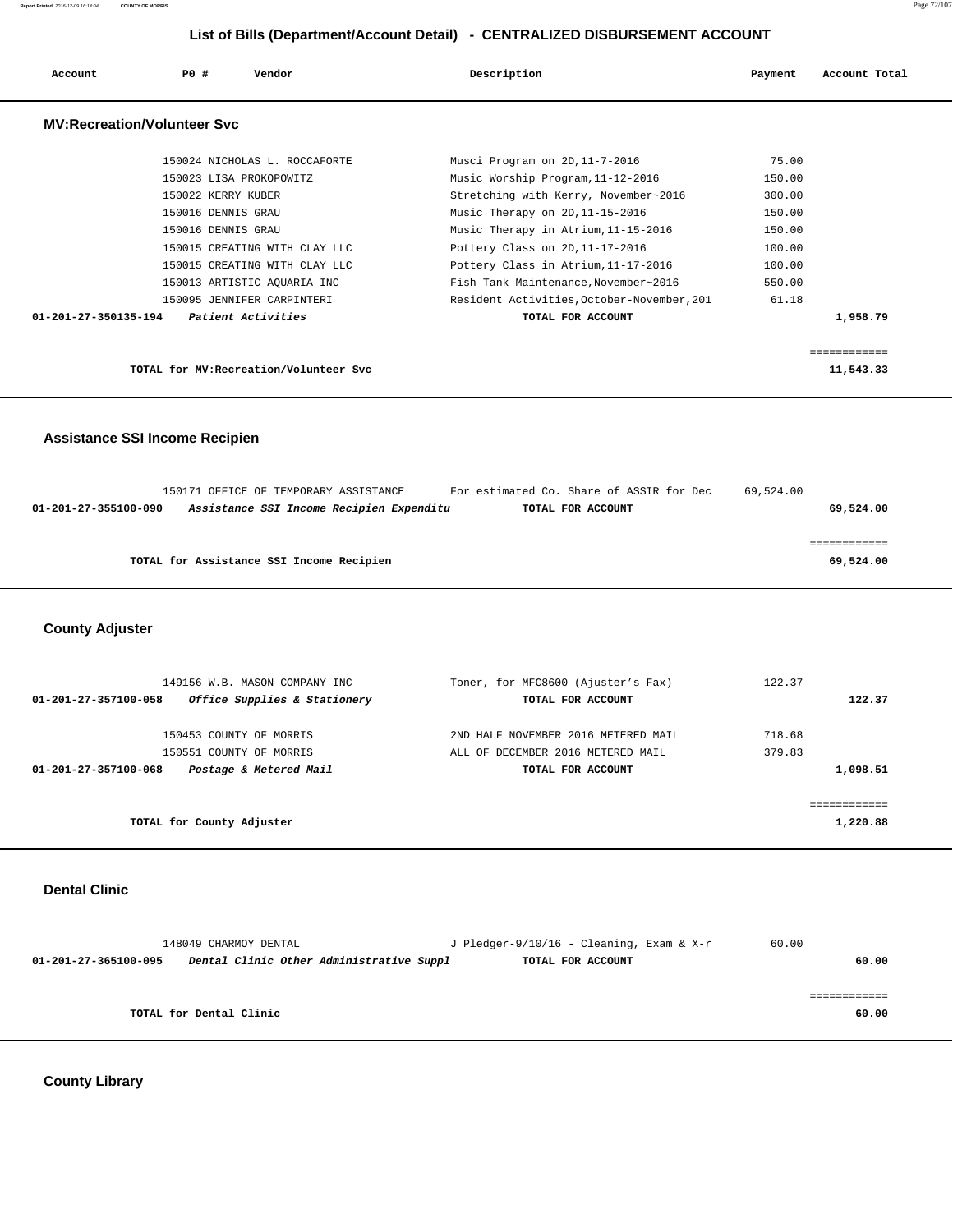| Account              | PO#<br>Vendor                          | Description                                | Payment | Account Total |
|----------------------|----------------------------------------|--------------------------------------------|---------|---------------|
|                      | <b>MV:Recreation/Volunteer Svc</b>     |                                            |         |               |
|                      | 150024 NICHOLAS L. ROCCAFORTE          | Musci Program on 2D, 11-7-2016             | 75.00   |               |
|                      | 150023 LISA PROKOPOWITZ                | Music Worship Program, 11-12-2016          | 150.00  |               |
|                      | 150022 KERRY KUBER                     | Stretching with Kerry, November~2016       | 300.00  |               |
|                      | 150016 DENNIS GRAU                     | Music Therapy on 2D, 11-15-2016            | 150.00  |               |
|                      | 150016 DENNIS GRAU                     | Music Therapy in Atrium, 11-15-2016        | 150.00  |               |
|                      | 150015 CREATING WITH CLAY LLC          | Pottery Class on 2D, 11-17-2016            | 100.00  |               |
|                      | 150015 CREATING WITH CLAY LLC          | Pottery Class in Atrium, 11-17-2016        | 100.00  |               |
|                      | 150013 ARTISTIC AQUARIA INC            | Fish Tank Maintenance, November~2016       | 550.00  |               |
|                      | 150095 JENNIFER CARPINTERI             | Resident Activities, October-November, 201 | 61.18   |               |
| 01-201-27-350135-194 | Patient Activities                     | TOTAL FOR ACCOUNT                          |         | 1,958.79      |
|                      |                                        |                                            |         | ============  |
|                      | TOTAL for MV: Recreation/Volunteer Svc |                                            |         | 11,543.33     |

## **Assistance SSI Income Recipien**

|                      | 150171 OFFICE OF TEMPORARY ASSISTANCE    |                                          | For estimated Co. Share of ASSIR for Dec | 69,524.00 |           |
|----------------------|------------------------------------------|------------------------------------------|------------------------------------------|-----------|-----------|
| 01-201-27-355100-090 |                                          | Assistance SSI Income Recipien Expenditu | TOTAL FOR ACCOUNT                        |           | 69,524.00 |
|                      |                                          |                                          |                                          |           |           |
|                      |                                          |                                          |                                          |           |           |
|                      | TOTAL for Assistance SSI Income Recipien |                                          |                                          |           | 69,524.00 |
|                      |                                          |                                          |                                          |           |           |

# **County Adjuster**

| 149156 W.B. MASON COMPANY INC<br>Office Supplies & Stationery<br>01-201-27-357100-058 | Toner, for MFC8600 (Ajuster's Fax)<br>TOTAL FOR ACCOUNT                  | 122.37<br>122.37       |
|---------------------------------------------------------------------------------------|--------------------------------------------------------------------------|------------------------|
| 150453 COUNTY OF MORRIS<br>150551 COUNTY OF MORRIS                                    | 2ND HALF NOVEMBER 2016 METERED MAIL<br>ALL OF DECEMBER 2016 METERED MAIL | 718.68<br>379.83       |
| 01-201-27-357100-068<br>Postage & Metered Mail                                        | TOTAL FOR ACCOUNT                                                        | 1,098.51               |
| TOTAL for County Adjuster                                                             |                                                                          | ==========<br>1,220.88 |

#### **Dental Clinic**

| 148049 CHARMOY DENTAL                                            | J Pledger-9/10/16 - Cleaning, Exam & X-r | 60.00 |
|------------------------------------------------------------------|------------------------------------------|-------|
| Dental Clinic Other Administrative Suppl<br>01-201-27-365100-095 | TOTAL FOR ACCOUNT                        | 60.00 |
|                                                                  |                                          |       |
| TOTAL for Dental Clinic                                          |                                          | 60.00 |
|                                                                  |                                          |       |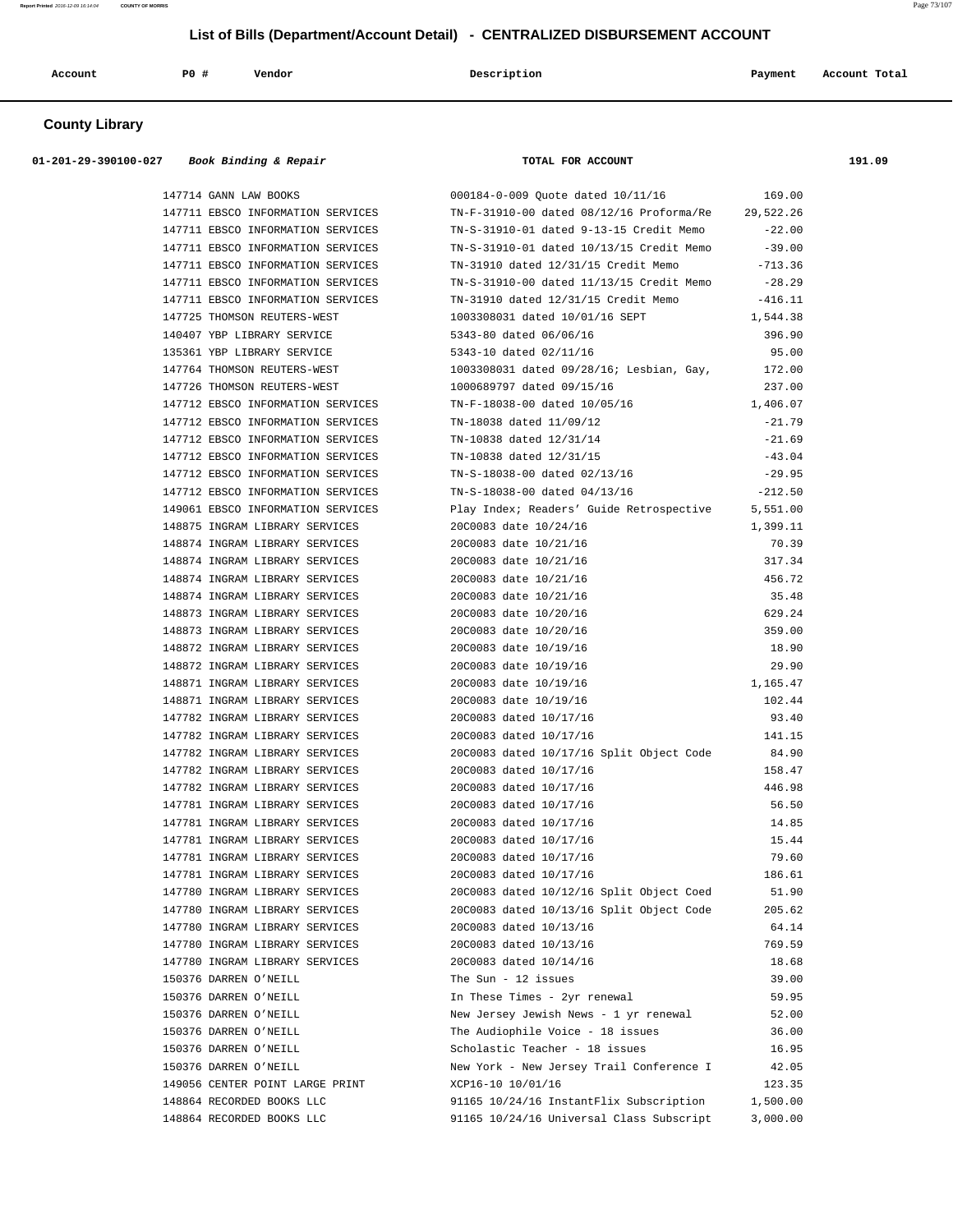| Account | <b>PO #</b> | Vendor | Description | Payment | Account Total |
|---------|-------------|--------|-------------|---------|---------------|
|         |             |        |             |         |               |

# **County Library**

| 01-201-29-390100-027 |  | Book Bindi |
|----------------------|--|------------|
|----------------------|--|------------|

 **191.09 191.09 191.09 Book Binding & Repair 191.09 191.09** 

| 147714 GANN LAW BOOKS                                          | 000184-0-009 Quote dated 10/11/16 169.00                                            |           |
|----------------------------------------------------------------|-------------------------------------------------------------------------------------|-----------|
| 147711 EBSCO INFORMATION SERVICES                              | TN-F-31910-00 dated 08/12/16 Proforma/Re 29,522.26                                  |           |
|                                                                | 147711 EBSCO INFORMATION SERVICES TN-S-31910-01 dated 9-13-15 Credit Memo           | $-22.00$  |
| 147711 EBSCO INFORMATION SERVICES                              | TN-S-31910-01 dated 10/13/15 Credit Memo                                            | $-39.00$  |
| 147711 EBSCO INFORMATION SERVICES                              | TN-31910 dated 12/31/15 Credit Memo                                                 | $-713.36$ |
| 147711 EBSCO INFORMATION SERVICES                              | TN-S-31910-00 dated 11/13/15 Credit Memo                                            | $-28.29$  |
| 147711 EBSCO INFORMATION SERVICES                              | TN-31910 dated 12/31/15 Credit Memo                                                 | $-416.11$ |
| 147725 THOMSON REUTERS-WEST                                    | 1003308031 dated 10/01/16 SEPT 1,544.38                                             |           |
| 140407 YBP LIBRARY SERVICE                                     | 5343-80 dated 06/06/16                                                              | 396.90    |
| 135361 YBP LIBRARY SERVICE 5343-10 dated 02/11/16              |                                                                                     | 95.00     |
|                                                                | 147764 THOMSON REUTERS-WEST 1003308031 dated 09/28/16; Lesbian, Gay, 172.00         |           |
| 147726 THOMSON REUTERS-WEST                                    | 1000689797 dated 09/15/16                                                           | 237.00    |
| 147712 EBSCO INFORMATION SERVICES                              | TN-F-18038-00 dated 10/05/16                                                        | 1,406.07  |
| 147712 EBSCO INFORMATION SERVICES                              | TN-18038 dated 11/09/12                                                             | $-21.79$  |
| 147712 EBSCO INFORMATION SERVICES                              | TN-10838 dated 12/31/14                                                             | $-21.69$  |
| 147712 EBSCO INFORMATION SERVICES                              | TN-10838 dated 12/31/15                                                             | $-43.04$  |
| 147712 EBSCO INFORMATION SERVICES                              | TN-S-18038-00 dated 02/13/16                                                        | $-29.95$  |
| 147712 EBSCO INFORMATION SERVICES TN-S-18038-00 dated 04/13/16 |                                                                                     | $-212.50$ |
|                                                                |                                                                                     |           |
|                                                                | 149061 EBSCO INFORMATION SERVICES Play Index; Readers' Guide Retrospective 5,551.00 |           |
| 148875 INGRAM LIBRARY SERVICES                                 | 20C0083 date 10/24/16                                                               | 1,399.11  |
| 148874 INGRAM LIBRARY SERVICES                                 | 20C0083 date 10/21/16                                                               | 70.39     |
| 148874 INGRAM LIBRARY SERVICES                                 | 20C0083 date 10/21/16                                                               | 317.34    |
| 148874 INGRAM LIBRARY SERVICES 20C0083 date 10/21/16           |                                                                                     | 456.72    |
| 148874 INGRAM LIBRARY SERVICES                                 | 20C0083 date 10/21/16                                                               | 35.48     |
| 148873 INGRAM LIBRARY SERVICES 20C0083 date 10/20/16           |                                                                                     | 629.24    |
| 148873 INGRAM LIBRARY SERVICES                                 | 20C0083 date 10/20/16                                                               | 359.00    |
| 148872 INGRAM LIBRARY SERVICES                                 | 20C0083 date 10/19/16                                                               | 18.90     |
| 148872 INGRAM LIBRARY SERVICES                                 | 20C0083 date 10/19/16                                                               | 29.90     |
| 148871 INGRAM LIBRARY SERVICES                                 | 20C0083 date 10/19/16                                                               | 1,165.47  |
| 148871 INGRAM LIBRARY SERVICES                                 | 20C0083 date 10/19/16                                                               | 102.44    |
| 147782 INGRAM LIBRARY SERVICES                                 | 20C0083 dated 10/17/16                                                              | 93.40     |
| 147782 INGRAM LIBRARY SERVICES                                 | 20C0083 dated 10/17/16                                                              | 141.15    |
| 147782 INGRAM LIBRARY SERVICES                                 | 20C0083 dated 10/17/16 Split Object Code 84.90                                      |           |
| 147782 INGRAM LIBRARY SERVICES                                 | 20C0083 dated 10/17/16                                                              | 158.47    |
| 147782 INGRAM LIBRARY SERVICES                                 | 20C0083 dated 10/17/16                                                              | 446.98    |
| 147781 INGRAM LIBRARY SERVICES                                 | 20C0083 dated 10/17/16                                                              | 56.50     |
| 147781 INGRAM LIBRARY SERVICES                                 | 20C0083 dated 10/17/16                                                              | 14.85     |
| 147781 INGRAM LIBRARY SERVICES 20C0083 dated 10/17/16          |                                                                                     | 15.44     |
| 147781 INGRAM LIBRARY SERVICES                                 | 20C0083 dated 10/17/16                                                              | 79.60     |
| 147781 INGRAM LIBRARY SERVICES                                 | 20C0083 dated 10/17/16                                                              | 186.61    |
| 147780 INGRAM LIBRARY SERVICES                                 | 20C0083 dated 10/12/16 Split Object Coed                                            | 51.90     |
| 147780 INGRAM LIBRARY SERVICES                                 | 20C0083 dated 10/13/16 Split Object Code                                            | 205.62    |
| 147780 INGRAM LIBRARY SERVICES                                 | 20C0083 dated 10/13/16                                                              | 64.14     |
| 147780 INGRAM LIBRARY SERVICES                                 | 20C0083 dated 10/13/16                                                              | 769.59    |
| 147780 INGRAM LIBRARY SERVICES                                 | 20C0083 dated 10/14/16                                                              | 18.68     |
| 150376 DARREN O'NEILL                                          | The Sun $-12$ issues                                                                | 39.00     |
| 150376 DARREN O'NEILL                                          | In These Times - 2yr renewal                                                        | 59.95     |
| 150376 DARREN O'NEILL                                          | New Jersey Jewish News - 1 yr renewal                                               | 52.00     |
| 150376 DARREN O'NEILL                                          | The Audiophile Voice - 18 issues                                                    | 36.00     |
| 150376 DARREN O'NEILL                                          | Scholastic Teacher - 18 issues                                                      | 16.95     |
| 150376 DARREN O'NEILL                                          | New York - New Jersey Trail Conference I                                            | 42.05     |
| 149056 CENTER POINT LARGE PRINT                                | XCP16-10 10/01/16                                                                   | 123.35    |
| 148864 RECORDED BOOKS LLC                                      | 91165 10/24/16 InstantFlix Subscription                                             | 1,500.00  |
| 148864 RECORDED BOOKS LLC                                      | 91165 10/24/16 Universal Class Subscript                                            | 3,000.00  |
|                                                                |                                                                                     |           |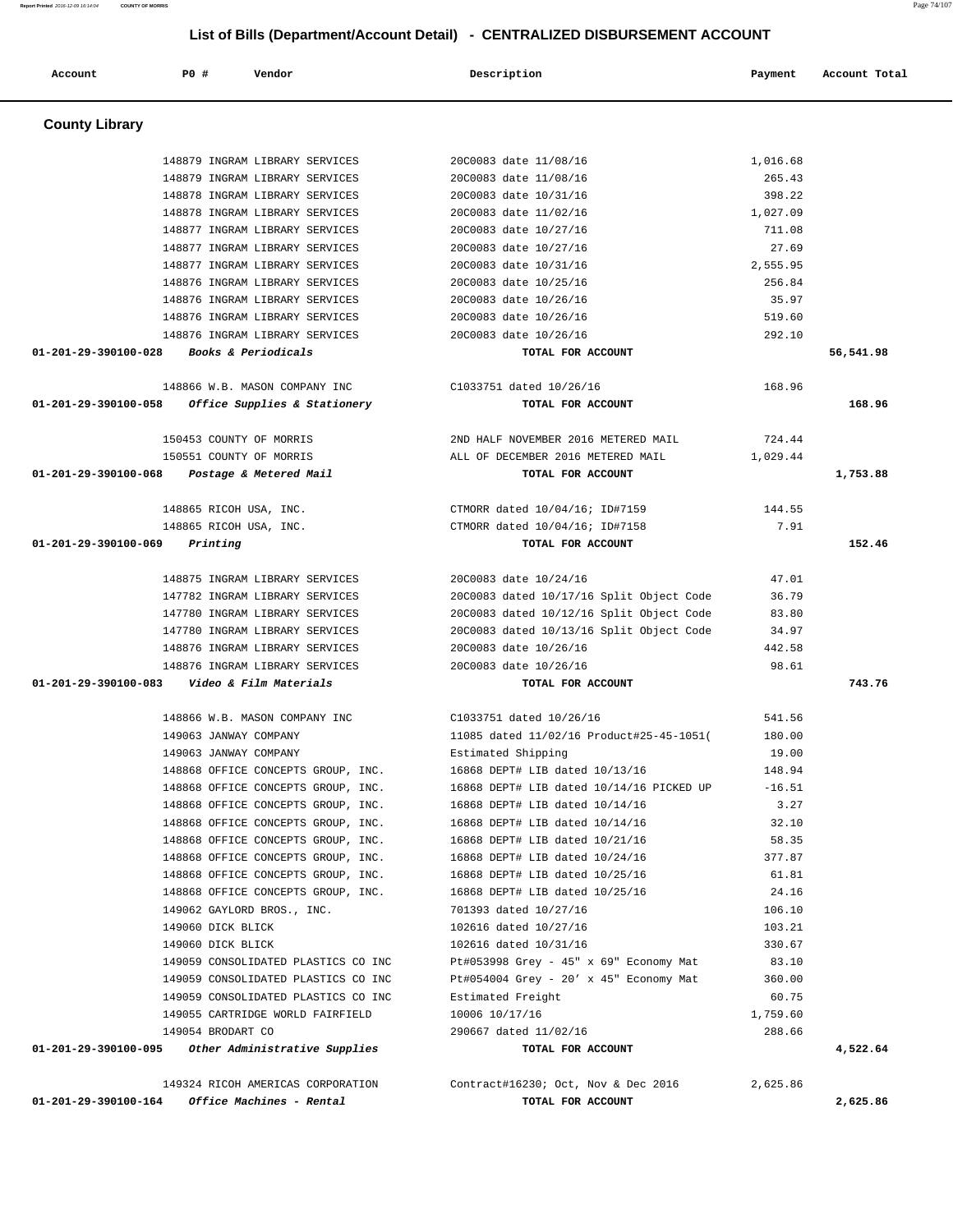| <b>County Library</b>                                                    |                                                                  |               |           |
|--------------------------------------------------------------------------|------------------------------------------------------------------|---------------|-----------|
|                                                                          |                                                                  |               |           |
| 148879 INGRAM LIBRARY SERVICES                                           | 20C0083 date 11/08/16                                            | 1,016.68      |           |
| 148879 INGRAM LIBRARY SERVICES                                           | 20C0083 date 11/08/16                                            | 265.43        |           |
| 148878 INGRAM LIBRARY SERVICES                                           | 20C0083 date 10/31/16                                            | 398.22        |           |
| 148878 INGRAM LIBRARY SERVICES                                           | 20C0083 date 11/02/16                                            | 1,027.09      |           |
| 148877 INGRAM LIBRARY SERVICES                                           | 20C0083 date 10/27/16                                            | 711.08        |           |
| 148877 INGRAM LIBRARY SERVICES                                           | 20C0083 date 10/27/16                                            | 27.69         |           |
| 148877 INGRAM LIBRARY SERVICES                                           | 20C0083 date 10/31/16                                            | 2,555.95      |           |
| 148876 INGRAM LIBRARY SERVICES                                           | 20C0083 date 10/25/16                                            | 256.84        |           |
| 148876 INGRAM LIBRARY SERVICES                                           | 20C0083 date 10/26/16                                            | 35.97         |           |
| 148876 INGRAM LIBRARY SERVICES                                           | 20C0083 date 10/26/16                                            | 519.60        |           |
| 148876 INGRAM LIBRARY SERVICES                                           | 20C0083 date 10/26/16                                            | 292.10        |           |
| 01-201-29-390100-028<br>Books & Periodicals                              | TOTAL FOR ACCOUNT                                                |               | 56,541.98 |
|                                                                          |                                                                  |               |           |
| 148866 W.B. MASON COMPANY INC                                            | C1033751 dated 10/26/16                                          | 168.96        |           |
| 01-201-29-390100-058 Office Supplies & Stationery                        | TOTAL FOR ACCOUNT                                                |               | 168.96    |
|                                                                          |                                                                  |               |           |
| 150453 COUNTY OF MORRIS                                                  | 2ND HALF NOVEMBER 2016 METERED MAIL                              | 724.44        |           |
| 150551 COUNTY OF MORRIS                                                  | ALL OF DECEMBER 2016 METERED MAIL                                | 1,029.44      |           |
| 01-201-29-390100-068 Postage & Metered Mail                              | TOTAL FOR ACCOUNT                                                |               | 1,753.88  |
|                                                                          |                                                                  |               |           |
| 148865 RICOH USA, INC.                                                   | CTMORR dated 10/04/16; ID#7159                                   | 144.55        |           |
| 148865 RICOH USA, INC.                                                   | CTMORR dated 10/04/16; ID#7158                                   | 7.91          |           |
| $01 - 201 - 29 - 390100 - 069$ Printing                                  | TOTAL FOR ACCOUNT                                                |               | 152.46    |
|                                                                          |                                                                  |               |           |
| 148875 INGRAM LIBRARY SERVICES                                           | 20C0083 date 10/24/16                                            | 47.01         |           |
| 147782 INGRAM LIBRARY SERVICES                                           | 20C0083 dated 10/17/16 Split Object Code                         | 36.79         |           |
| 147780 INGRAM LIBRARY SERVICES                                           | 2000083 dated 10/12/16 Split Object Code                         | 83.80         |           |
| 147780 INGRAM LIBRARY SERVICES                                           | 20C0083 dated 10/13/16 Split Object Code                         | 34.97         |           |
| 148876 INGRAM LIBRARY SERVICES                                           | 20C0083 date 10/26/16                                            | 442.58        |           |
| 148876 INGRAM LIBRARY SERVICES                                           | 20C0083 date 10/26/16                                            | 98.61         |           |
| 01-201-29-390100-083    Video & Film Materials                           | TOTAL FOR ACCOUNT                                                |               | 743.76    |
|                                                                          |                                                                  |               |           |
| 148866 W.B. MASON COMPANY INC                                            | C1033751 dated 10/26/16                                          | 541.56        |           |
| 149063 JANWAY COMPANY                                                    | 11085 dated 11/02/16 Product#25-45-1051(                         | 180.00        |           |
| 149063 JANWAY COMPANY                                                    | Estimated Shipping<br>16868 DEPT# LIB dated 10/13/16             | 19.00         |           |
| 148868 OFFICE CONCEPTS GROUP, INC.                                       |                                                                  | 148.94        |           |
| 148868 OFFICE CONCEPTS GROUP, INC.<br>148868 OFFICE CONCEPTS GROUP, INC. | 16868 DEPT# LIB dated 10/14/16 PICKED UP                         | $-16.51$      |           |
| 148868 OFFICE CONCEPTS GROUP, INC.                                       | 16868 DEPT# LIB dated 10/14/16<br>16868 DEPT# LIB dated 10/14/16 | 3.27<br>32.10 |           |
| 148868 OFFICE CONCEPTS GROUP, INC.                                       | 16868 DEPT# LIB dated 10/21/16                                   | 58.35         |           |
| 148868 OFFICE CONCEPTS GROUP, INC.                                       | 16868 DEPT# LIB dated 10/24/16                                   | 377.87        |           |
| 148868 OFFICE CONCEPTS GROUP, INC.                                       | 16868 DEPT# LIB dated 10/25/16                                   | 61.81         |           |
| 148868 OFFICE CONCEPTS GROUP, INC.                                       | 16868 DEPT# LIB dated 10/25/16                                   | 24.16         |           |
| 149062 GAYLORD BROS., INC.                                               | 701393 dated 10/27/16                                            | 106.10        |           |
| 149060 DICK BLICK                                                        | 102616 dated 10/27/16                                            | 103.21        |           |
| 149060 DICK BLICK                                                        | 102616 dated 10/31/16                                            | 330.67        |           |
| 149059 CONSOLIDATED PLASTICS CO INC                                      | Pt#053998 Grey - 45" x 69" Economy Mat                           | 83.10         |           |
| 149059 CONSOLIDATED PLASTICS CO INC                                      | Pt#054004 Grey - 20' x 45" Economy Mat                           | 360.00        |           |
| 149059 CONSOLIDATED PLASTICS CO INC                                      | Estimated Freight                                                | 60.75         |           |
| 149055 CARTRIDGE WORLD FAIRFIELD                                         | 10006 10/17/16                                                   | 1,759.60      |           |
| 149054 BRODART CO                                                        | 290667 dated 11/02/16                                            | 288.66        |           |
| 01-201-29-390100-095 Other Administrative Supplies                       | TOTAL FOR ACCOUNT                                                |               | 4,522.64  |
|                                                                          |                                                                  |               |           |
| 149324 RICOH AMERICAS CORPORATION                                        | Contract#16230; Oct, Nov & Dec 2016                              | 2,625.86      |           |
| 01-201-29-390100-164 Office Machines - Rental                            | TOTAL FOR ACCOUNT                                                |               | 2,625.86  |

 **Account P0 # Vendor Description Payment Account Total**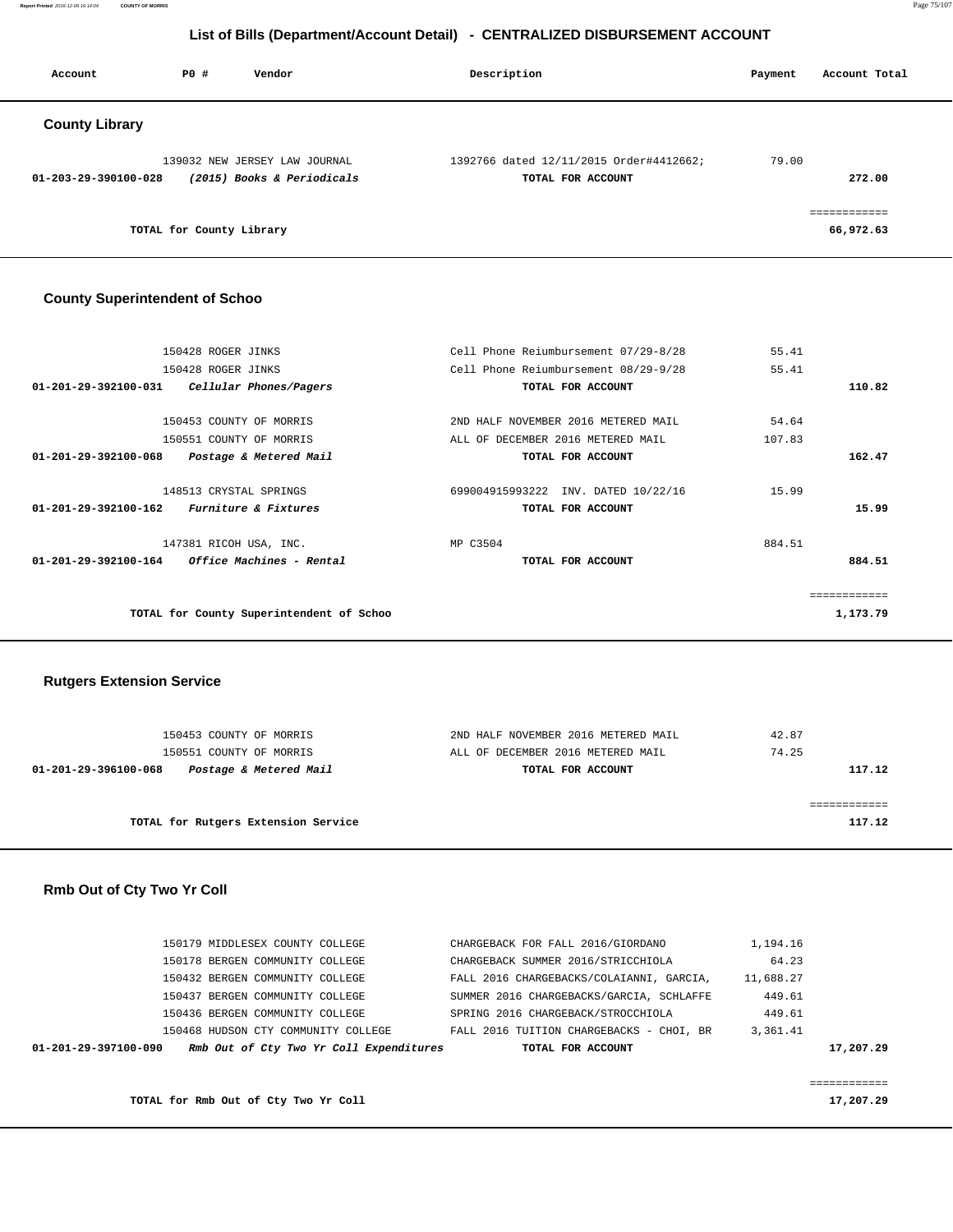**Report Printed** 2016-12-09 16:14:04 **COUNTY OF MORRIS** Page 75/107

# **List of Bills (Department/Account Detail) - CENTRALIZED DISBURSEMENT ACCOUNT**

| Account               | PO#                      | Vendor                                                      | Description                                                  | Payment | Account Total             |
|-----------------------|--------------------------|-------------------------------------------------------------|--------------------------------------------------------------|---------|---------------------------|
| <b>County Library</b> |                          |                                                             |                                                              |         |                           |
| 01-203-29-390100-028  |                          | 139032 NEW JERSEY LAW JOURNAL<br>(2015) Books & Periodicals | 1392766 dated 12/11/2015 Order#4412662;<br>TOTAL FOR ACCOUNT | 79.00   | 272.00                    |
|                       | TOTAL for County Library |                                                             |                                                              |         | eessessesses<br>66,972.63 |

## **County Superintendent of Schoo**

| 150428 ROGER JINKS                                       | Cell Phone Reiumbursement 07/29-8/28 | 55.41        |
|----------------------------------------------------------|--------------------------------------|--------------|
| 150428 ROGER JINKS                                       | Cell Phone Reiumbursement 08/29-9/28 | 55.41        |
| $01 - 201 - 29 - 392100 - 031$<br>Cellular Phones/Pagers | TOTAL FOR ACCOUNT                    | 110.82       |
|                                                          |                                      |              |
| 150453 COUNTY OF MORRIS                                  | 2ND HALF NOVEMBER 2016 METERED MAIL  | 54.64        |
| 150551 COUNTY OF MORRIS                                  | ALL OF DECEMBER 2016 METERED MAIL    | 107.83       |
| 01-201-29-392100-068<br>Postage & Metered Mail           | TOTAL FOR ACCOUNT                    | 162.47       |
| 148513 CRYSTAL SPRINGS                                   | 699004915993222 INV. DATED 10/22/16  | 15.99        |
| <i>Furniture &amp; Fixtures</i><br>01-201-29-392100-162  | TOTAL FOR ACCOUNT                    | 15.99        |
| 147381 RICOH USA, INC.                                   | MP C3504                             | 884.51       |
| 01-201-29-392100-164<br><i>Office Machines - Rental</i>  | TOTAL FOR ACCOUNT                    | 884.51       |
|                                                          |                                      | ============ |
| TOTAL for County Superintendent of Schoo                 |                                      | 1,173.79     |

## **Rutgers Extension Service**

| 150453 COUNTY OF MORRIS                        | 2ND HALF NOVEMBER 2016 METERED MAIL | 42.87  |
|------------------------------------------------|-------------------------------------|--------|
| 150551 COUNTY OF MORRIS                        | ALL OF DECEMBER 2016 METERED MAIL   | 74.25  |
| Postage & Metered Mail<br>01-201-29-396100-068 | TOTAL FOR ACCOUNT                   | 117.12 |
|                                                |                                     |        |
|                                                |                                     |        |
| TOTAL for Rutgers Extension Service            |                                     | 117.12 |
|                                                |                                     |        |

# **Rmb Out of Cty Two Yr Coll**

| 01-201-29-397100-090 |                                     | Rmb Out of Cty Two Yr Coll Expenditures | TOTAL FOR ACCOUNT                        |           | 17,207.29 |
|----------------------|-------------------------------------|-----------------------------------------|------------------------------------------|-----------|-----------|
|                      | 150468 HUDSON CTY COMMUNITY COLLEGE |                                         | FALL 2016 TUITION CHARGEBACKS - CHOI, BR | 3,361.41  |           |
|                      | 150436 BERGEN COMMUNITY COLLEGE     |                                         | SPRING 2016 CHARGEBACK/STROCCHIOLA       | 449.61    |           |
|                      | 150437 BERGEN COMMUNITY COLLEGE     |                                         | SUMMER 2016 CHARGEBACKS/GARCIA, SCHLAFFE | 449.61    |           |
|                      | 150432 BERGEN COMMUNITY COLLEGE     |                                         | FALL 2016 CHARGEBACKS/COLAIANNI, GARCIA, | 11,688.27 |           |
|                      | 150178 BERGEN COMMUNITY COLLEGE     |                                         | CHARGEBACK SUMMER 2016/STRICCHIOLA       | 64.23     |           |
|                      | 150179 MIDDLESEX COUNTY COLLEGE     |                                         | CHARGEBACK FOR FALL 2016/GIORDANO        | 1,194.16  |           |
|                      |                                     |                                         |                                          |           |           |

**TOTAL for Rmb Out of Cty Two Yr Coll 17,207.29**

============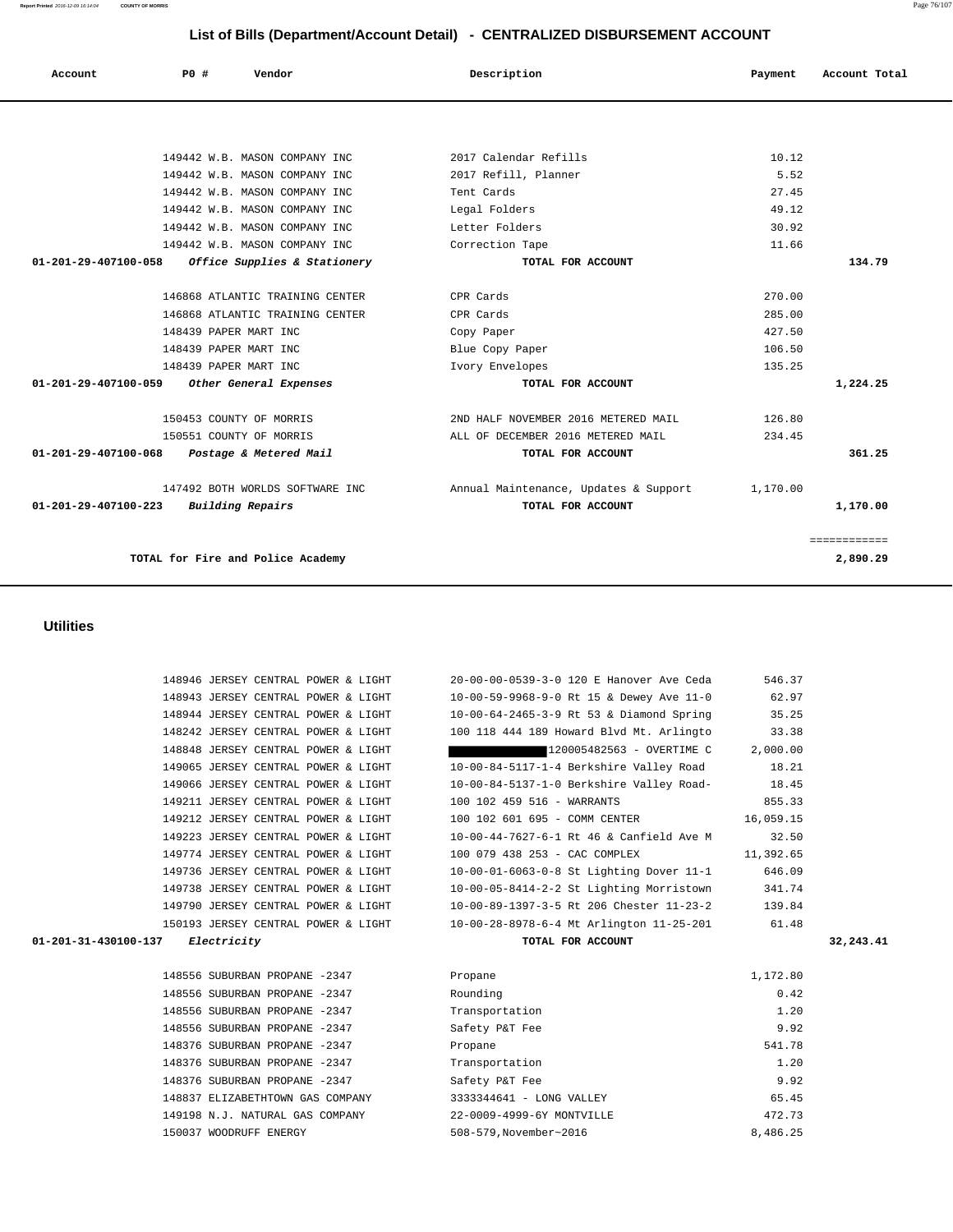## 148556 SUBURBAN PROPANE -2347 Propane 1,172.80 148556 SUBURBAN PROPANE -2347 Rounding 0.42 148556 SUBURBAN PROPANE -2347 Transportation 1.20 148556 SUBURBAN PROPANE -2347 Safety P&T Fee 9.92 148376 SUBURBAN PROPANE -2347 Propane 541.78 148376 SUBURBAN PROPANE -2347 Transportation 1.20 148376 SUBURBAN PROPANE -2347 Safety P&T Fee 9.92 148837 ELIZABETHTOWN GAS COMPANY 3333344641 - LONG VALLEY 65.45 149198 N.J. NATURAL GAS COMPANY 22-0009-4999-6Y MONTVILLE 472.73 150037 WOODRUFF ENERGY 508-579,November~2016 8,486.25

| 01-201-31-430100-137<br>Electricity | TOTAL FOR ACCOUNT                        | 32, 243, 41 |
|-------------------------------------|------------------------------------------|-------------|
| 150193 JERSEY CENTRAL POWER & LIGHT | 10-00-28-8978-6-4 Mt Arlington 11-25-201 | 61.48       |
| 149790 JERSEY CENTRAL POWER & LIGHT | 10-00-89-1397-3-5 Rt 206 Chester 11-23-2 | 139.84      |
| 149738 JERSEY CENTRAL POWER & LIGHT | 10-00-05-8414-2-2 St Lighting Morristown | 341.74      |
| 149736 JERSEY CENTRAL POWER & LIGHT | 10-00-01-6063-0-8 St Lighting Dover 11-1 | 646.09      |
| 149774 JERSEY CENTRAL POWER & LIGHT | 100 079 438 253 - CAC COMPLEX            | 11,392.65   |
| 149223 JERSEY CENTRAL POWER & LIGHT | 10-00-44-7627-6-1 Rt 46 & Canfield Ave M | 32.50       |
| 149212 JERSEY CENTRAL POWER & LIGHT | 100 102 601 695 - COMM CENTER            | 16,059.15   |
| 149211 JERSEY CENTRAL POWER & LIGHT | 100 102 459 516 - WARRANTS               | 855.33      |
| 149066 JERSEY CENTRAL POWER & LIGHT | 10-00-84-5137-1-0 Berkshire Valley Road- | 18.45       |
| 149065 JERSEY CENTRAL POWER & LIGHT | 10-00-84-5117-1-4 Berkshire Valley Road  | 18.21       |
| 148848 JERSEY CENTRAL POWER & LIGHT | 120005482563 - OVERTIME C                | 2,000.00    |
| 148242 JERSEY CENTRAL POWER & LIGHT | 100 118 444 189 Howard Blvd Mt. Arlingto | 33.38       |
| 148944 JERSEY CENTRAL POWER & LIGHT | 10-00-64-2465-3-9 Rt 53 & Diamond Spring | 35.25       |

| 546.37    | 20-00-00-0539-3-0 120 E Hanover Ave Ceda   | 148946 JERSEY CENTRAL POWER & LIGHT |
|-----------|--------------------------------------------|-------------------------------------|
| 62.97     | 10-00-59-9968-9-0 Rt 15 & Dewey Ave 11-0   | 148943 JERSEY CENTRAL POWER & LIGHT |
| 35.25     | $10-00-64-2465-3-9$ Rt 53 & Diamond Spring | 148944 JERSEY CENTRAL POWER & LIGHT |
| 33.38     | 100 118 444 189 Howard Blvd Mt. Arlingto   | 148242 JERSEY CENTRAL POWER & LIGHT |
| 2,000.00  | 120005482563 - OVERTIME C                  | 148848 JERSEY CENTRAL POWER & LIGHT |
| 18.21     | 10-00-84-5117-1-4 Berkshire Valley Road    | 149065 JERSEY CENTRAL POWER & LIGHT |
| 18.45     | 10-00-84-5137-1-0 Berkshire Valley Road-   | 149066 JERSEY CENTRAL POWER & LIGHT |
| 855.33    | 100 102 459 516 - WARRANTS                 | 149211 JERSEY CENTRAL POWER & LIGHT |
| 16,059.15 | 100 102 601 695 - COMM CENTER              | 149212 JERSEY CENTRAL POWER & LIGHT |
| 32.50     | 10-00-44-7627-6-1 Rt 46 & Canfield Ave M   | 149223 JERSEY CENTRAL POWER & LIGHT |
| 11,392.65 | 100 079 438 253 - CAC COMPLEX              | 149774 JERSEY CENTRAL POWER & LIGHT |
| 646.09    | 10-00-01-6063-0-8 St Lighting Dover 11-1   | 149736 JERSEY CENTRAL POWER & LIGHT |
| 341.74    | 10-00-05-8414-2-2 St Lighting Morristown   | 149738 JERSEY CENTRAL POWER & LIGHT |
| 139.84    | 10-00-89-1397-3-5 Rt 206 Chester 11-23-2   | 149790 JERSEY CENTRAL POWER & LIGHT |
| 61.48     | 10-00-28-8978-6-4 Mt Arlington 11-25-201   | 150193 JERSEY CENTRAL POWER & LIGHT |

 **Utilities** 

|          | 5.52<br>27.45 | 2017 Refill, Planner<br>Tent Cards    | 149442 W.B. MASON COMPANY INC<br>149442 W.B. MASON COMPANY INC. |
|----------|---------------|---------------------------------------|-----------------------------------------------------------------|
|          | 49.12         | Legal Folders                         | 149442 W.B. MASON COMPANY INC                                   |
|          | 30.92         | Letter Folders                        | 149442 W.B. MASON COMPANY INC                                   |
|          | 11.66         | Correction Tape                       | 149442 W.B. MASON COMPANY INC                                   |
| 134.79   |               | TOTAL FOR ACCOUNT                     | $01 - 201 - 29 - 407100 - 058$<br>Office Supplies & Stationery  |
|          | 270.00        | CPR Cards                             | 146868 ATLANTIC TRAINING CENTER                                 |
|          | 285.00        | CPR Cards                             | 146868 ATLANTIC TRAINING CENTER                                 |
|          | 427.50        | Copy Paper                            | 148439 PAPER MART INC                                           |
|          | 106.50        | Blue Copy Paper                       | 148439 PAPER MART INC                                           |
|          | 135.25        | Ivory Envelopes                       | 148439 PAPER MART INC                                           |
|          |               | TOTAL FOR ACCOUNT                     | 01-201-29-407100-059                                            |
| 1,224.25 |               |                                       | Other General Expenses                                          |
|          | 126.80        | 2ND HALF NOVEMBER 2016 METERED MAIL   | 150453 COUNTY OF MORRIS                                         |
|          | 234.45        | ALL OF DECEMBER 2016 METERED MAIL     | 150551 COUNTY OF MORRIS                                         |
| 361.25   |               | TOTAL FOR ACCOUNT                     | $01 - 201 - 29 - 407100 - 068$<br>Postage & Metered Mail        |
|          | 1,170.00      | Annual Maintenance, Updates & Support | 147492 BOTH WORLDS SOFTWARE INC                                 |
| 1,170.00 |               | TOTAL FOR ACCOUNT                     | 01-201-29-407100-223<br>Building Repairs                        |

 **Account P0 # Vendor Description Payment Account Total**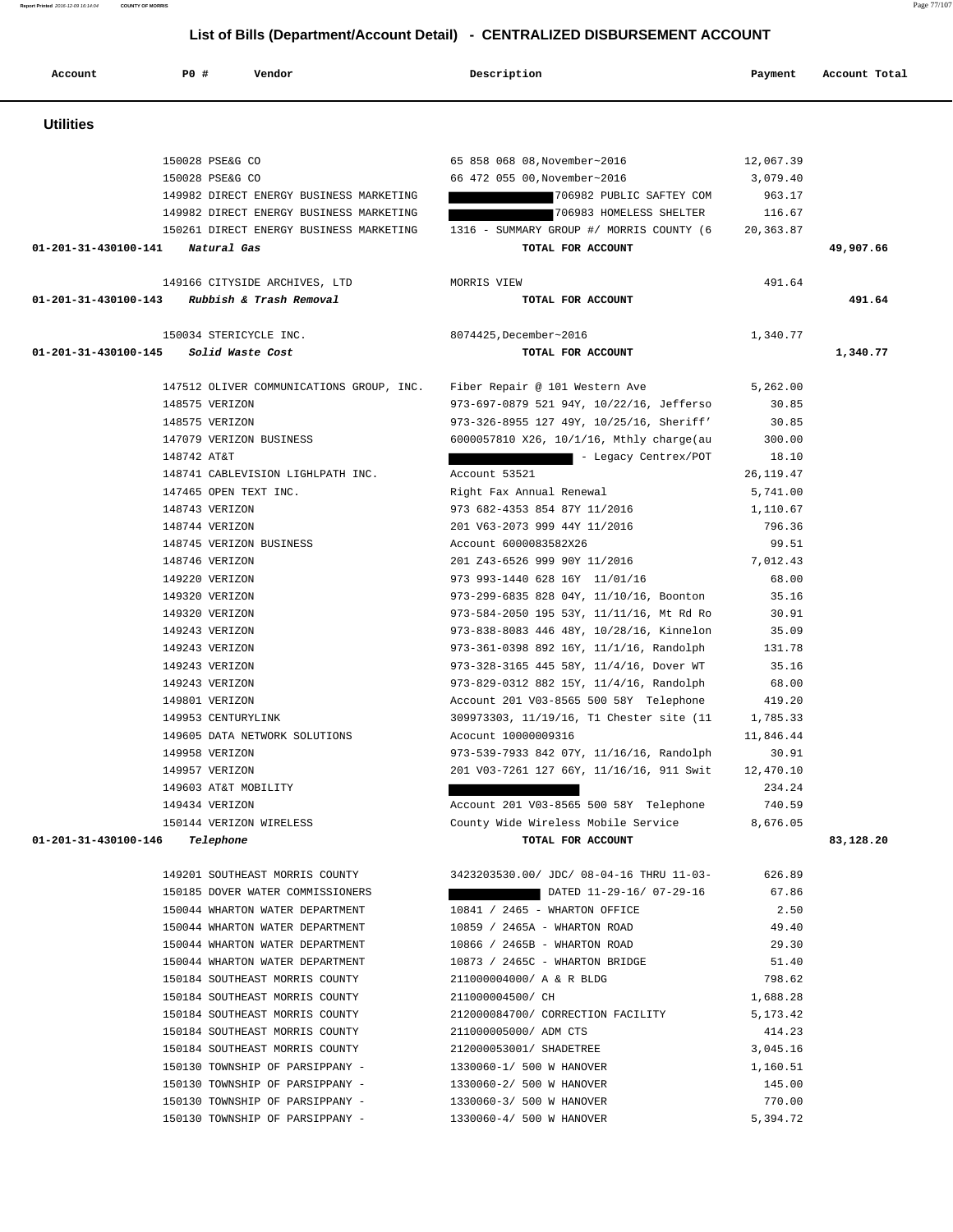**Report Printed** 2016-12-09 16:14:04 **COUNTY OF MORRIS** Page 77/107

# **List of Bills (Department/Account Detail) - CENTRALIZED DISBURSEMENT ACCOUNT**

| Account              | PO#                              | Vendor                                   | Description                                                                       | Payment         | Account Total |
|----------------------|----------------------------------|------------------------------------------|-----------------------------------------------------------------------------------|-----------------|---------------|
| <b>Utilities</b>     |                                  |                                          |                                                                                   |                 |               |
|                      | 150028 PSE&G CO                  |                                          | 65 858 068 08, November~2016                                                      | 12,067.39       |               |
|                      | 150028 PSE&G CO                  |                                          | 66 472 055 00, November~2016                                                      | 3,079.40        |               |
|                      |                                  | 149982 DIRECT ENERGY BUSINESS MARKETING  | 706982 PUBLIC SAFTEY COM                                                          | 963.17          |               |
|                      |                                  | 149982 DIRECT ENERGY BUSINESS MARKETING  | 706983 HOMELESS SHELTER                                                           | 116.67          |               |
|                      |                                  | 150261 DIRECT ENERGY BUSINESS MARKETING  | 1316 - SUMMARY GROUP #/ MORRIS COUNTY (6                                          | 20, 363.87      |               |
| 01-201-31-430100-141 | Natural Gas                      |                                          | TOTAL FOR ACCOUNT                                                                 |                 | 49,907.66     |
|                      |                                  | 149166 CITYSIDE ARCHIVES, LTD            | MORRIS VIEW                                                                       | 491.64          |               |
| 01-201-31-430100-143 |                                  | Rubbish & Trash Removal                  | TOTAL FOR ACCOUNT                                                                 |                 | 491.64        |
|                      | 150034 STERICYCLE INC.           |                                          | 8074425, December~2016                                                            | 1,340.77        |               |
| 01-201-31-430100-145 |                                  | Solid Waste Cost                         | TOTAL FOR ACCOUNT                                                                 |                 | 1,340.77      |
|                      |                                  | 147512 OLIVER COMMUNICATIONS GROUP, INC. | Fiber Repair @ 101 Western Ave                                                    | 5,262.00        |               |
|                      | 148575 VERIZON                   |                                          | 973-697-0879 521 94Y, 10/22/16, Jefferso                                          | 30.85           |               |
|                      | 148575 VERIZON                   |                                          | 973-326-8955 127 49Y, 10/25/16, Sheriff'                                          | 30.85           |               |
|                      | 147079 VERIZON BUSINESS          |                                          | 6000057810 X26, 10/1/16, Mthly charge(au                                          | 300.00          |               |
|                      | 148742 AT&T                      |                                          | - Legacy Centrex/POT                                                              | 18.10           |               |
|                      |                                  | 148741 CABLEVISION LIGHLPATH INC.        | Account 53521                                                                     | 26, 119.47      |               |
|                      | 147465 OPEN TEXT INC.            |                                          | Right Fax Annual Renewal                                                          | 5,741.00        |               |
|                      | 148743 VERIZON                   |                                          | 973 682-4353 854 87Y 11/2016                                                      | 1,110.67        |               |
|                      | 148744 VERIZON                   |                                          | 201 V63-2073 999 44Y 11/2016                                                      | 796.36          |               |
|                      |                                  | 148745 VERIZON BUSINESS                  | Account 6000083582X26                                                             | 99.51           |               |
|                      | 148746 VERIZON                   |                                          | 201 Z43-6526 999 90Y 11/2016                                                      | 7,012.43        |               |
|                      | 149220 VERIZON                   |                                          | 973 993-1440 628 16Y 11/01/16                                                     | 68.00           |               |
|                      | 149320 VERIZON                   |                                          | 973-299-6835 828 04Y, 11/10/16, Boonton                                           | 35.16           |               |
|                      | 149320 VERIZON                   |                                          | 973-584-2050 195 53Y, 11/11/16, Mt Rd Ro                                          | 30.91           |               |
|                      | 149243 VERIZON                   |                                          | 973-838-8083 446 48Y, 10/28/16, Kinnelon                                          | 35.09           |               |
|                      | 149243 VERIZON                   |                                          | 973-361-0398 892 16Y, 11/1/16, Randolph                                           | 131.78          |               |
|                      | 149243 VERIZON                   |                                          | 973-328-3165 445 58Y, 11/4/16, Dover WT                                           | 35.16           |               |
|                      | 149243 VERIZON<br>149801 VERIZON |                                          | 973-829-0312 882 15Y, 11/4/16, Randolph<br>Account 201 V03-8565 500 58Y Telephone | 68.00<br>419.20 |               |
|                      | 149953 CENTURYLINK               |                                          | 309973303, 11/19/16, T1 Chester site (11                                          | 1,785.33        |               |
|                      |                                  | 149605 DATA NETWORK SOLUTIONS            | Acocunt 10000009316                                                               | 11,846.44       |               |
|                      | 149958 VERIZON                   |                                          | 973-539-7933 842 07Y, 11/16/16, Randolph                                          | 30.91           |               |
|                      | 149957 VERIZON                   |                                          | 201 V03-7261 127 66Y, 11/16/16, 911 Swit                                          | 12,470.10       |               |
|                      | 149603 AT&T MOBILITY             |                                          |                                                                                   | 234.24          |               |
|                      | 149434 VERIZON                   |                                          | Account 201 V03-8565 500 58Y Telephone                                            | 740.59          |               |
|                      |                                  | 150144 VERIZON WIRELESS                  | County Wide Wireless Mobile Service                                               | 8,676.05        |               |
| 01-201-31-430100-146 | Telephone                        |                                          | TOTAL FOR ACCOUNT                                                                 |                 | 83,128.20     |
|                      |                                  | 149201 SOUTHEAST MORRIS COUNTY           | 3423203530.00/ JDC/ 08-04-16 THRU 11-03-                                          | 626.89          |               |
|                      |                                  | 150185 DOVER WATER COMMISSIONERS         | DATED 11-29-16/ 07-29-16                                                          | 67.86           |               |
|                      |                                  | 150044 WHARTON WATER DEPARTMENT          | 10841 / 2465 - WHARTON OFFICE                                                     | 2.50            |               |
|                      |                                  | 150044 WHARTON WATER DEPARTMENT          | 10859 / 2465A - WHARTON ROAD                                                      | 49.40           |               |
|                      |                                  | 150044 WHARTON WATER DEPARTMENT          | 10866 / 2465B - WHARTON ROAD                                                      | 29.30           |               |
|                      |                                  | 150044 WHARTON WATER DEPARTMENT          | 10873 / 2465C - WHARTON BRIDGE                                                    | 51.40           |               |
|                      |                                  | 150184 SOUTHEAST MORRIS COUNTY           | 211000004000/ A & R BLDG                                                          | 798.62          |               |
|                      |                                  | 150184 SOUTHEAST MORRIS COUNTY           | 211000004500/ CH                                                                  | 1,688.28        |               |
|                      |                                  | 150184 SOUTHEAST MORRIS COUNTY           | 212000084700/ CORRECTION FACILITY                                                 | 5,173.42        |               |
|                      |                                  | 150184 SOUTHEAST MORRIS COUNTY           | 211000005000/ ADM CTS                                                             | 414.23          |               |
|                      |                                  | 150184 SOUTHEAST MORRIS COUNTY           | 212000053001/ SHADETREE                                                           | 3,045.16        |               |
|                      |                                  | 150130 TOWNSHIP OF PARSIPPANY -          | 1330060-1/ 500 W HANOVER                                                          | 1,160.51        |               |
|                      |                                  | 150130 TOWNSHIP OF PARSIPPANY -          | 1330060-2/ 500 W HANOVER                                                          | 145.00          |               |
|                      |                                  | 150130 TOWNSHIP OF PARSIPPANY -          | 1330060-3/ 500 W HANOVER                                                          | 770.00          |               |
|                      |                                  | 150130 TOWNSHIP OF PARSIPPANY -          | 1330060-4/ 500 W HANOVER                                                          | 5,394.72        |               |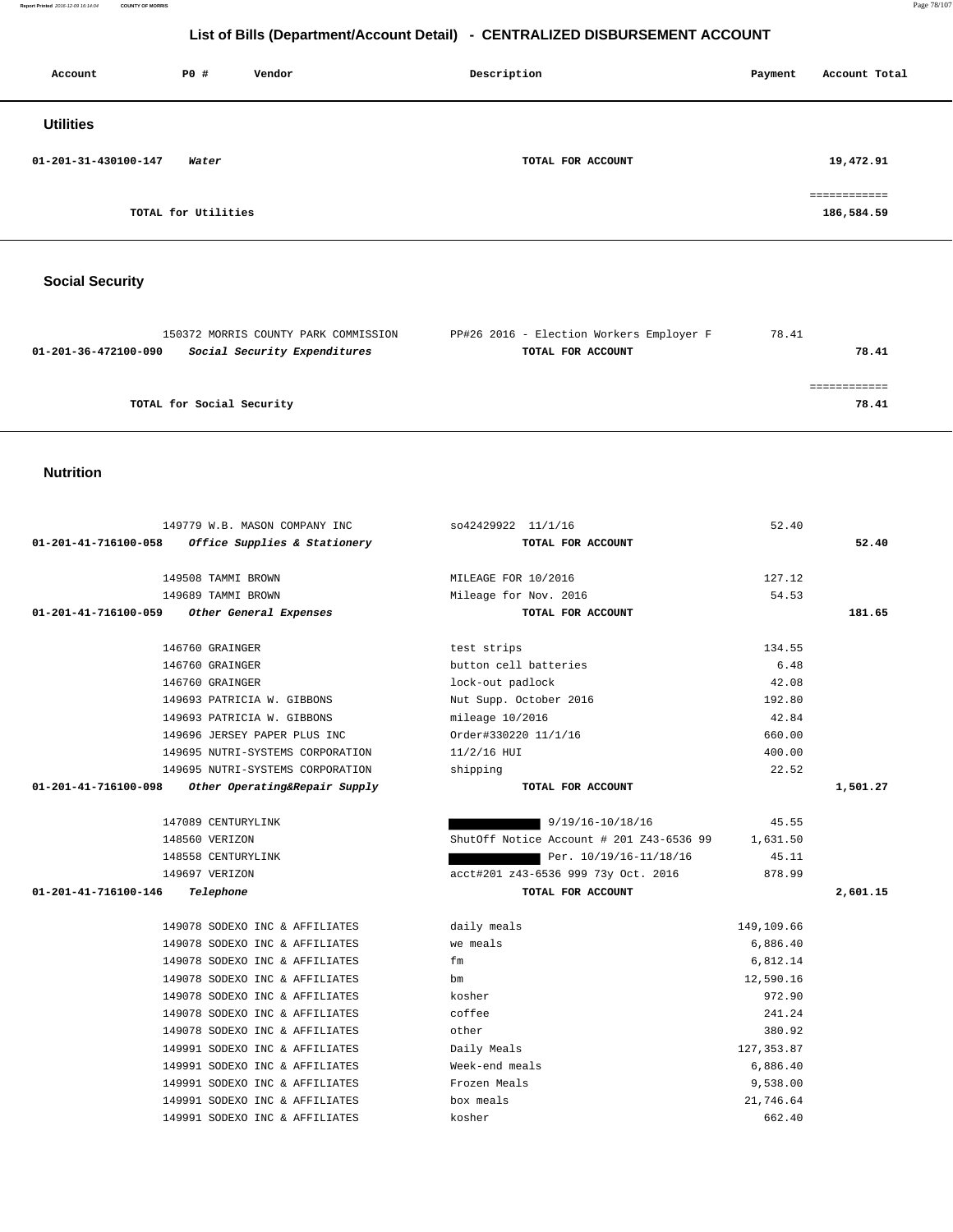| Account              | <b>PO #</b>         | Vendor | Description       | Payment | Account Total              |
|----------------------|---------------------|--------|-------------------|---------|----------------------------|
| <b>Utilities</b>     |                     |        |                   |         |                            |
| 01-201-31-430100-147 | Water               |        | TOTAL FOR ACCOUNT |         | 19,472.91                  |
|                      | TOTAL for Utilities |        |                   |         | eessessesses<br>186,584.59 |

 **Social Security** 

| 150372 MORRIS COUNTY PARK COMMISSION                 | PP#26 2016 - Election Workers Employer F | 78.41 |
|------------------------------------------------------|------------------------------------------|-------|
| Social Security Expenditures<br>01-201-36-472100-090 | TOTAL FOR ACCOUNT                        | 78.41 |
|                                                      |                                          |       |
|                                                      |                                          |       |
| TOTAL for Social Security                            |                                          | 78.41 |
|                                                      |                                          |       |

# **Nutrition**

|                      | 149779 W.B. MASON COMPANY INC           | so42429922 11/1/16                       | 52.40       |          |
|----------------------|-----------------------------------------|------------------------------------------|-------------|----------|
| 01-201-41-716100-058 | <i>Office Supplies &amp; Stationery</i> | TOTAL FOR ACCOUNT                        |             | 52.40    |
|                      | 149508 TAMMI BROWN                      | MILEAGE FOR 10/2016                      | 127.12      |          |
|                      | 149689 TAMMI BROWN                      | Mileage for Nov. 2016                    | 54.53       |          |
| 01-201-41-716100-059 | Other General Expenses                  | TOTAL FOR ACCOUNT                        |             | 181.65   |
|                      | 146760 GRAINGER                         | test strips                              | 134.55      |          |
|                      | 146760 GRAINGER                         | button cell batteries                    | 6.48        |          |
|                      | 146760 GRAINGER                         | lock-out padlock                         | 42.08       |          |
|                      | 149693 PATRICIA W. GIBBONS              | Nut Supp. October 2016                   | 192.80      |          |
|                      | 149693 PATRICIA W. GIBBONS              | mileage 10/2016                          | 42.84       |          |
|                      | 149696 JERSEY PAPER PLUS INC            | Order#330220 11/1/16                     | 660.00      |          |
|                      | 149695 NUTRI-SYSTEMS CORPORATION        | $11/2/16$ HUI                            | 400.00      |          |
|                      | 149695 NUTRI-SYSTEMS CORPORATION        | shipping                                 | 22.52       |          |
| 01-201-41-716100-098 | Other Operating&Repair Supply           | TOTAL FOR ACCOUNT                        |             | 1,501.27 |
|                      | 147089 CENTURYLINK                      | 9/19/16-10/18/16                         | 45.55       |          |
|                      | 148560 VERIZON                          | ShutOff Notice Account # 201 Z43-6536 99 | 1,631.50    |          |
|                      | 148558 CENTURYLINK                      | $Per. 10/19/16-11/18/16$                 | 45.11       |          |
|                      | 149697 VERIZON                          | acct#201 z43-6536 999 73y Oct. 2016      | 878.99      |          |
| 01-201-41-716100-146 | Telephone                               | TOTAL FOR ACCOUNT                        |             | 2,601.15 |
|                      | 149078 SODEXO INC & AFFILIATES          | daily meals                              | 149,109.66  |          |
|                      | 149078 SODEXO INC & AFFILIATES          | we meals                                 | 6,886.40    |          |
|                      | 149078 SODEXO INC & AFFILIATES          | fm.                                      | 6,812.14    |          |
|                      | 149078 SODEXO INC & AFFILIATES          | bm.                                      | 12,590.16   |          |
|                      | 149078 SODEXO INC & AFFILIATES          | kosher                                   | 972.90      |          |
|                      | 149078 SODEXO INC & AFFILIATES          | coffee                                   | 241.24      |          |
|                      | 149078 SODEXO INC & AFFILIATES          | other                                    | 380.92      |          |
|                      | 149991 SODEXO INC & AFFILIATES          | Daily Meals                              | 127, 353.87 |          |
|                      | 149991 SODEXO INC & AFFILIATES          | Week-end meals                           | 6,886.40    |          |
|                      | 149991 SODEXO INC & AFFILIATES          | Frozen Meals                             | 9,538.00    |          |
|                      | 149991 SODEXO INC & AFFILIATES          | box meals                                | 21,746.64   |          |
|                      | 149991 SODEXO INC & AFFILIATES          | kosher                                   | 662.40      |          |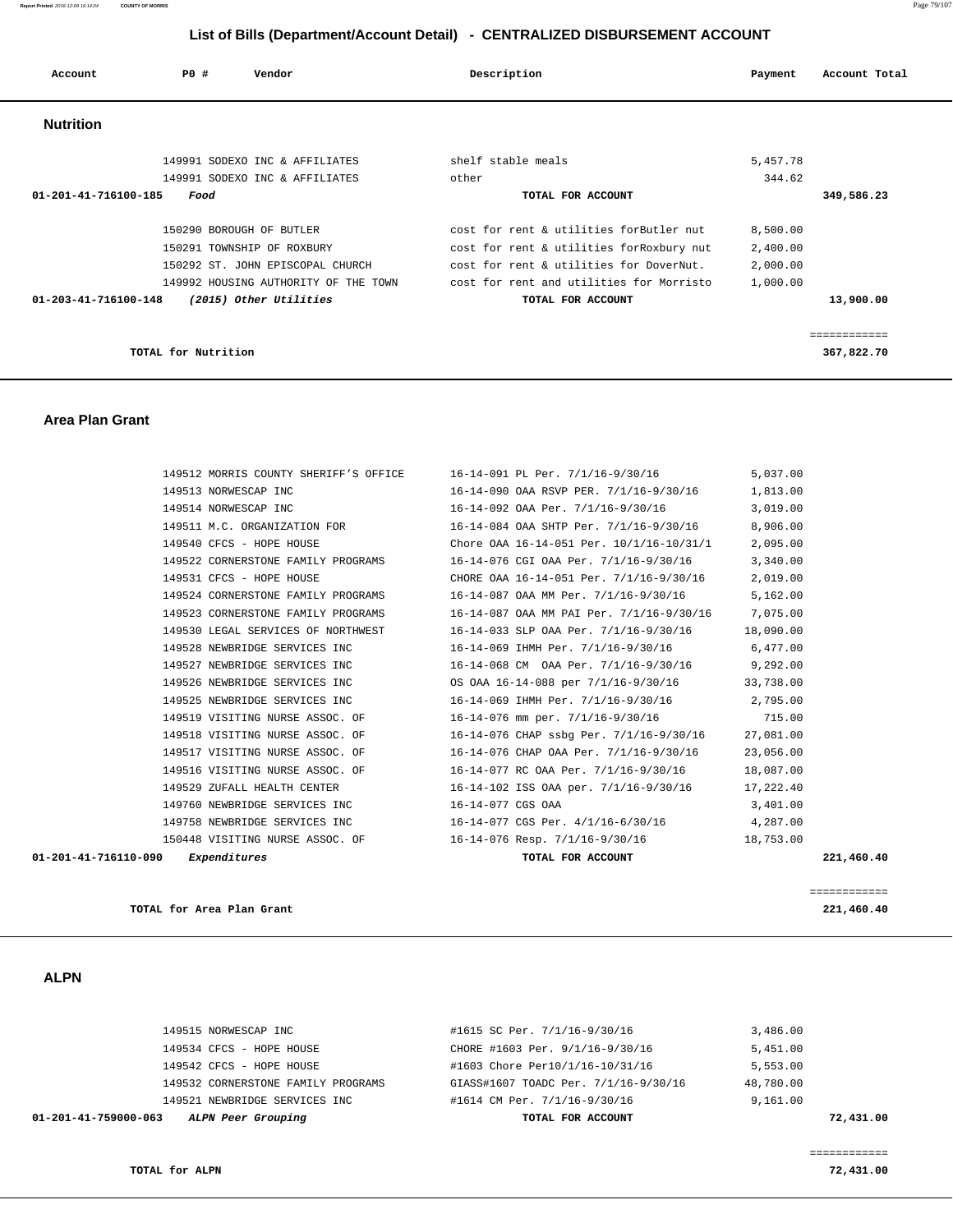| PO#<br>Vendor<br>Account                       | Description                              | Payment  | Account Total |
|------------------------------------------------|------------------------------------------|----------|---------------|
| <b>Nutrition</b>                               |                                          |          |               |
| 149991 SODEXO INC & AFFILIATES                 | shelf stable meals                       | 5,457.78 |               |
| 149991 SODEXO INC & AFFILIATES                 | other                                    | 344.62   |               |
| 01-201-41-716100-185<br>Food                   | TOTAL FOR ACCOUNT                        |          | 349,586.23    |
| 150290 BOROUGH OF BUTLER                       | cost for rent & utilities forButler nut  | 8,500.00 |               |
| 150291 TOWNSHIP OF ROXBURY                     | cost for rent & utilities forRoxbury nut | 2,400.00 |               |
| 150292 ST. JOHN EPISCOPAL CHURCH               | cost for rent & utilities for DoverNut.  | 2,000.00 |               |
| 149992 HOUSING AUTHORITY OF THE TOWN           | cost for rent and utilities for Morristo | 1,000.00 |               |
| 01-203-41-716100-148<br>(2015) Other Utilities | TOTAL FOR ACCOUNT                        |          | 13,900.00     |
|                                                |                                          |          |               |
|                                                |                                          |          | ============  |
| TOTAL for Nutrition                            |                                          |          | 367,822.70    |

## **Area Plan Grant**

| 16-14-076 mm per. 7/1/16-9/30/16 715.00<br>16-14-076 CHAP ssbq Per. 7/1/16-9/30/16 27,081.00<br>23,056.00<br>18,087.00<br>17,222.40<br>3,401.00<br>$16-14-077$ CGS Per. $4/1/16-6/30/16$ 4,287.00<br>150448 VISITING NURSE ASSOC. OF 16-14-076 Resp. 7/1/16-9/30/16 18,753.00 |
|-------------------------------------------------------------------------------------------------------------------------------------------------------------------------------------------------------------------------------------------------------------------------------|
|                                                                                                                                                                                                                                                                               |
|                                                                                                                                                                                                                                                                               |
|                                                                                                                                                                                                                                                                               |
|                                                                                                                                                                                                                                                                               |
|                                                                                                                                                                                                                                                                               |
|                                                                                                                                                                                                                                                                               |
|                                                                                                                                                                                                                                                                               |
|                                                                                                                                                                                                                                                                               |
| 16-14-069 IHMH Per. 7/1/16-9/30/16 2,795.00                                                                                                                                                                                                                                   |
| OS OAA 16-14-088 per 7/1/16-9/30/16 33,738.00                                                                                                                                                                                                                                 |
| $16-14-068$ CM OAA Per. $7/1/16-9/30/16$ 9,292.00                                                                                                                                                                                                                             |
| 6,477.00                                                                                                                                                                                                                                                                      |
| 18,090.00                                                                                                                                                                                                                                                                     |
| 7,075,00                                                                                                                                                                                                                                                                      |
| 16-14-087 OAA MM Per. 7/1/16-9/30/16 5,162.00                                                                                                                                                                                                                                 |
| 2,019.00                                                                                                                                                                                                                                                                      |
| 3,340.00                                                                                                                                                                                                                                                                      |
| 2,095.00                                                                                                                                                                                                                                                                      |
| 8,906.00                                                                                                                                                                                                                                                                      |
|                                                                                                                                                                                                                                                                               |
|                                                                                                                                                                                                                                                                               |
|                                                                                                                                                                                                                                                                               |
| 5,037.00<br>1,813.00<br>3,019.00                                                                                                                                                                                                                                              |

**TOTAL for Area Plan Grant 221,460.40**

============

 **ALPN** 

| ALPN Peer Grouping<br>01-201-41-759000-063 | TOTAL FOR ACCOUNT                    | 72,431.00 |
|--------------------------------------------|--------------------------------------|-----------|
| 149521 NEWBRIDGE SERVICES INC              | #1614 CM Per. 7/1/16-9/30/16         | 9.161.00  |
| 149532 CORNERSTONE FAMILY PROGRAMS         | GIASS#1607 TOADC Per. 7/1/16-9/30/16 | 48,780.00 |
| 149542 CFCS - HOPE HOUSE                   | #1603 Chore Per10/1/16-10/31/16      | 5,553.00  |
| 149534 CFCS - HOPE HOUSE                   | CHORE #1603 Per. 9/1/16-9/30/16      | 5,451.00  |
| 149515 NORWESCAP INC                       | #1615 SC Per. 7/1/16-9/30/16         | 3,486.00  |
|                                            |                                      |           |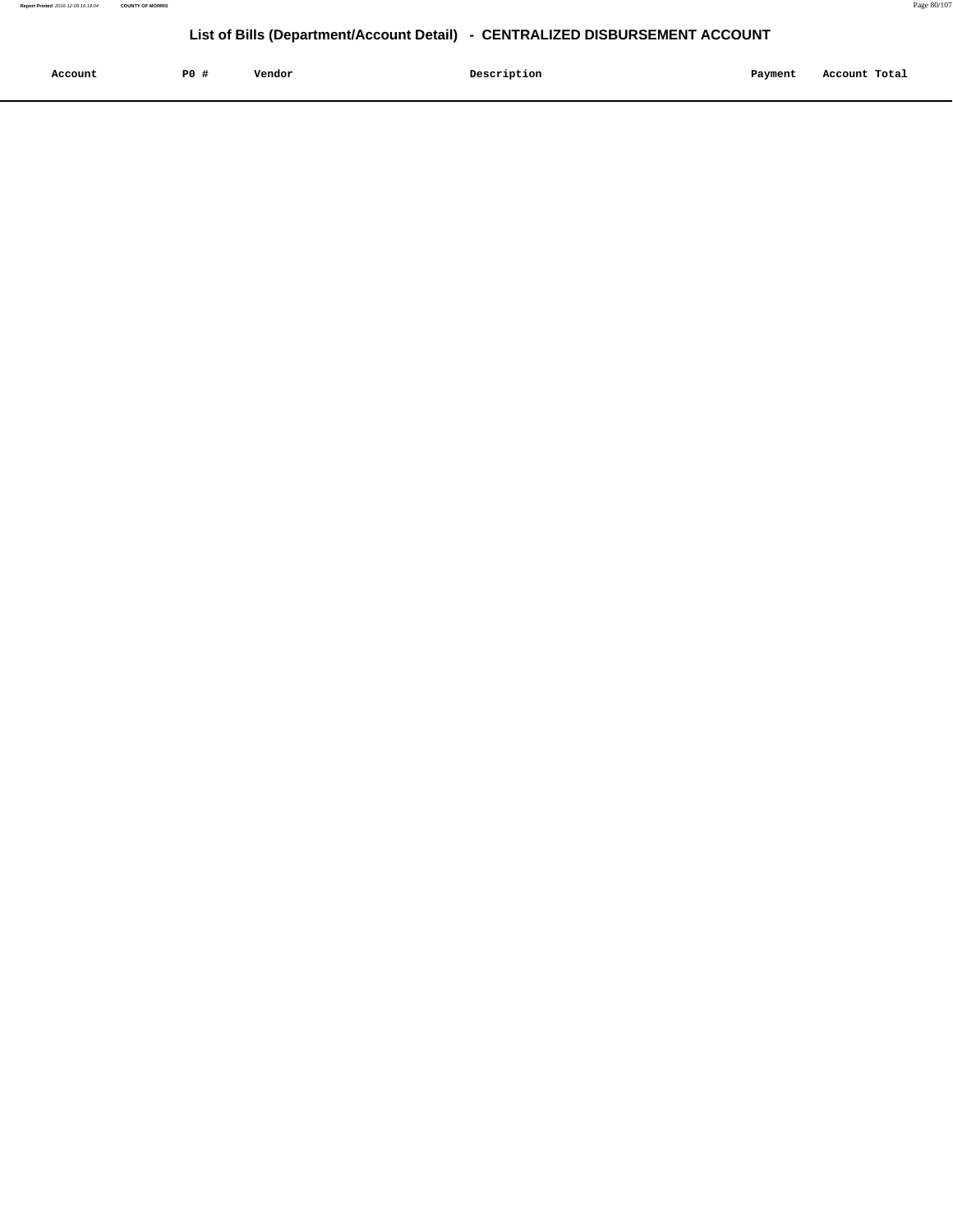| Account<br>. | P <sub>0</sub> | Vendor | Description | Payment | Account Total |
|--------------|----------------|--------|-------------|---------|---------------|
|              |                |        |             |         |               |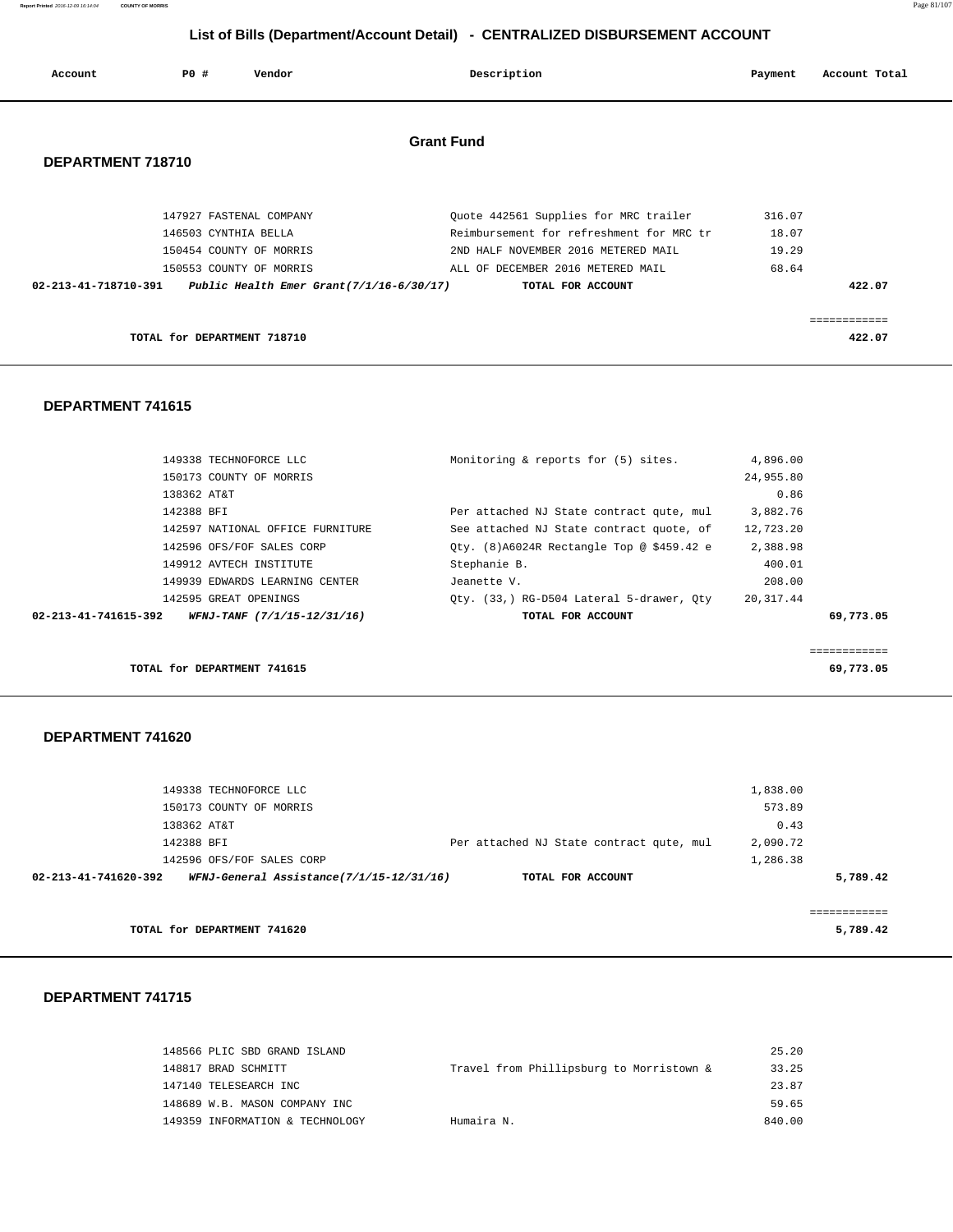**Report Printed** 2016-12-09 16:14:04 **COUNTY OF MORRIS** Page 81/107

# **List of Bills (Department/Account Detail) - CENTRALIZED DISBURSEMENT ACCOUNT**

| Account              | P0 #                        | Vendor                  | Description                                                      | Payment | Account Total |
|----------------------|-----------------------------|-------------------------|------------------------------------------------------------------|---------|---------------|
| DEPARTMENT 718710    |                             |                         | <b>Grant Fund</b>                                                |         |               |
|                      |                             | 147927 FASTENAL COMPANY | Quote 442561 Supplies for MRC trailer                            | 316.07  |               |
|                      | 146503 CYNTHIA BELLA        |                         | Reimbursement for refreshment for MRC tr                         | 18.07   |               |
|                      |                             | 150454 COUNTY OF MORRIS | 2ND HALF NOVEMBER 2016 METERED MAIL                              | 19.29   |               |
|                      |                             | 150553 COUNTY OF MORRIS | ALL OF DECEMBER 2016 METERED MAIL                                | 68.64   |               |
| 02-213-41-718710-391 |                             |                         | Public Health Emer Grant $(7/1/16-6/30/17)$<br>TOTAL FOR ACCOUNT |         | 422.07        |
|                      |                             |                         |                                                                  |         | ============  |
|                      | TOTAL for DEPARTMENT 718710 |                         |                                                                  |         | 422.07        |
|                      |                             |                         |                                                                  |         |               |

## **DEPARTMENT 741615**

| 149338 TECHNOFORCE LLC                              | Monitoring & reports for (5) sites.       | 4,896.00  |
|-----------------------------------------------------|-------------------------------------------|-----------|
| 150173 COUNTY OF MORRIS                             |                                           | 24,955.80 |
| 138362 AT&T                                         |                                           | 0.86      |
| 142388 BFI                                          | Per attached NJ State contract qute, mul  | 3,882.76  |
| 142597 NATIONAL OFFICE FURNITURE                    | See attached NJ State contract quote, of  | 12,723.20 |
| 142596 OFS/FOF SALES CORP                           | Oty. (8)A6024R Rectangle Top @ \$459.42 e | 2,388.98  |
| 149912 AVTECH INSTITUTE                             | Stephanie B.                              | 400.01    |
| 149939 EDWARDS LEARNING CENTER                      | Jeanette V.                               | 208.00    |
| 142595 GREAT OPENINGS                               | Oty. (33,) RG-D504 Lateral 5-drawer, Oty  | 20,317.44 |
| 02-213-41-741615-392<br>WFNJ-TANF (7/1/15-12/31/16) | TOTAL FOR ACCOUNT                         | 69,773.05 |
|                                                     |                                           |           |
|                                                     |                                           |           |
| TOTAL for DEPARTMENT 741615                         |                                           | 69,773.05 |

## **DEPARTMENT 741620**

| 149338 TECHNOFORCE LLC                                           |                                          | 1,838.00 |          |
|------------------------------------------------------------------|------------------------------------------|----------|----------|
| 150173 COUNTY OF MORRIS                                          |                                          | 573.89   |          |
| 138362 AT&T                                                      |                                          | 0.43     |          |
| 142388 BFI                                                       | Per attached NJ State contract qute, mul | 2,090.72 |          |
| 142596 OFS/FOF SALES CORP                                        |                                          | 1,286.38 |          |
| WFNJ-General Assistance(7/1/15-12/31/16)<br>02-213-41-741620-392 | TOTAL FOR ACCOUNT                        |          | 5,789.42 |
|                                                                  |                                          |          |          |
|                                                                  |                                          |          |          |
| TOTAL for DEPARTMENT 741620                                      |                                          |          | 5,789.42 |
|                                                                  |                                          |          |          |

| 148566 PLIC SBD GRAND ISLAND    |                                          | 25.20  |
|---------------------------------|------------------------------------------|--------|
| 148817 BRAD SCHMITT             | Travel from Phillipsburg to Morristown & | 33.25  |
| 147140 TELESEARCH INC           |                                          | 23.87  |
| 148689 W.B. MASON COMPANY INC   |                                          | 59.65  |
| 149359 INFORMATION & TECHNOLOGY | Humaira N.                               | 840.00 |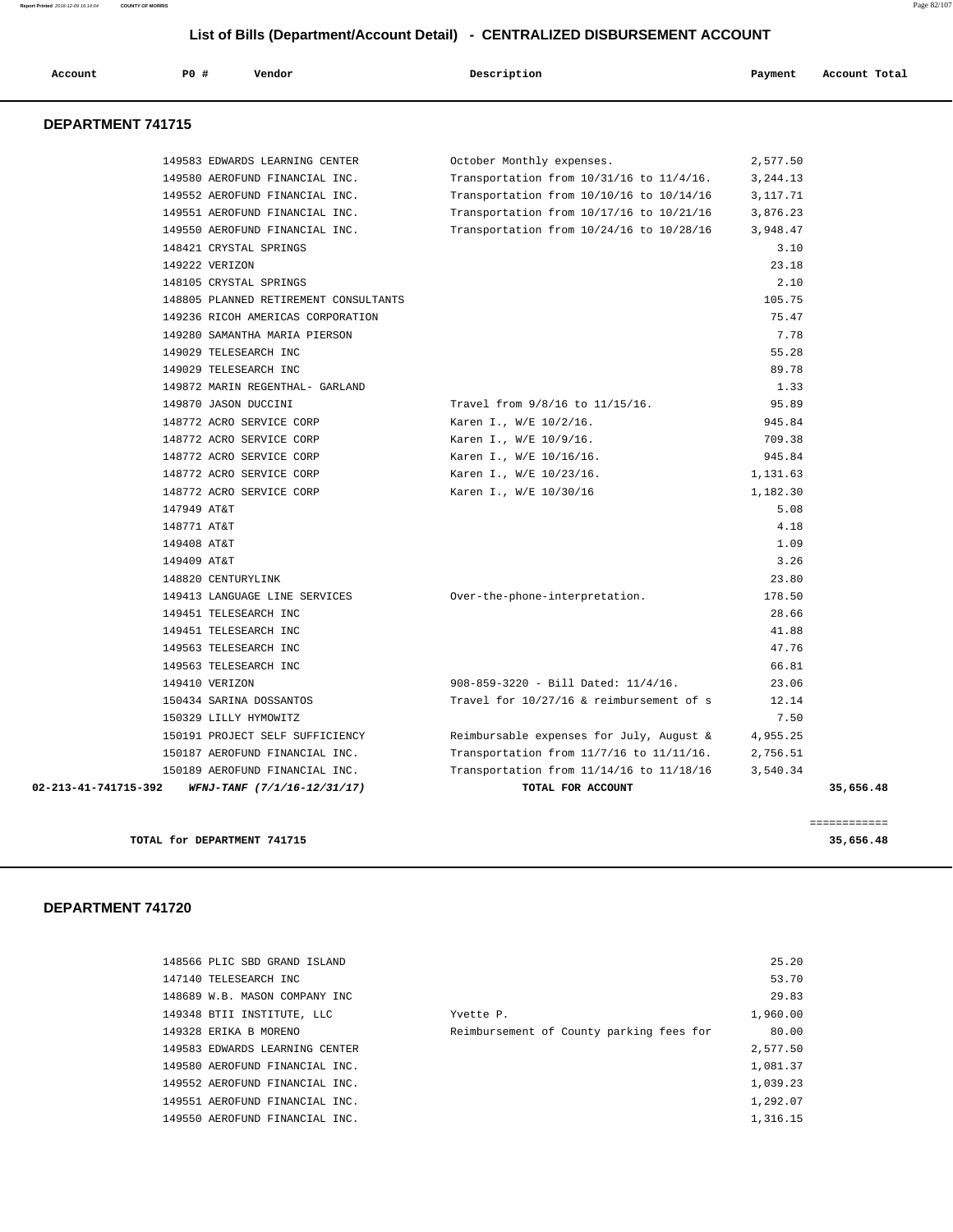| Account | <b>PO #</b> | Vendor | Description | Payment | Account Total |
|---------|-------------|--------|-------------|---------|---------------|
|         |             |        |             |         |               |

## **DEPARTMENT 741715**

|                      | 149583 EDWARDS LEARNING CENTER        | October Monthly expenses.                     | 2,577.50  |           |
|----------------------|---------------------------------------|-----------------------------------------------|-----------|-----------|
|                      | 149580 AEROFUND FINANCIAL INC.        | Transportation from $10/31/16$ to $11/4/16$ . | 3, 244.13 |           |
|                      | 149552 AEROFUND FINANCIAL INC.        | Transportation from 10/10/16 to 10/14/16      | 3,117.71  |           |
|                      | 149551 AEROFUND FINANCIAL INC.        | Transportation from 10/17/16 to 10/21/16      | 3,876.23  |           |
|                      | 149550 AEROFUND FINANCIAL INC.        | Transportation from 10/24/16 to 10/28/16      | 3,948.47  |           |
|                      | 148421 CRYSTAL SPRINGS                |                                               | 3.10      |           |
| 149222 VERIZON       |                                       |                                               | 23.18     |           |
|                      | 148105 CRYSTAL SPRINGS                |                                               | 2.10      |           |
|                      | 148805 PLANNED RETIREMENT CONSULTANTS |                                               | 105.75    |           |
|                      | 149236 RICOH AMERICAS CORPORATION     |                                               | 75.47     |           |
|                      | 149280 SAMANTHA MARIA PIERSON         |                                               | 7.78      |           |
|                      | 149029 TELESEARCH INC                 |                                               | 55.28     |           |
|                      | 149029 TELESEARCH INC                 |                                               | 89.78     |           |
|                      | 149872 MARIN REGENTHAL- GARLAND       |                                               | 1.33      |           |
|                      | 149870 JASON DUCCINI                  | Travel from 9/8/16 to 11/15/16.               | 95.89     |           |
|                      | 148772 ACRO SERVICE CORP              | Karen I., W/E 10/2/16.                        | 945.84    |           |
|                      | 148772 ACRO SERVICE CORP              | Karen I., W/E 10/9/16.                        | 709.38    |           |
|                      | 148772 ACRO SERVICE CORP              | Karen I., W/E 10/16/16.                       | 945.84    |           |
|                      | 148772 ACRO SERVICE CORP              | Karen I., W/E 10/23/16.                       | 1,131.63  |           |
|                      | 148772 ACRO SERVICE CORP              | Karen I., W/E 10/30/16                        | 1,182.30  |           |
| 147949 AT&T          |                                       |                                               | 5.08      |           |
| 148771 AT&T          |                                       |                                               | 4.18      |           |
| 149408 AT&T          |                                       |                                               | 1.09      |           |
| 149409 AT&T          |                                       |                                               | 3.26      |           |
|                      | 148820 CENTURYLINK                    |                                               | 23.80     |           |
|                      | 149413 LANGUAGE LINE SERVICES         | Over-the-phone-interpretation.                | 178.50    |           |
|                      | 149451 TELESEARCH INC                 |                                               | 28.66     |           |
|                      | 149451 TELESEARCH INC                 |                                               | 41.88     |           |
|                      | 149563 TELESEARCH INC                 |                                               | 47.76     |           |
|                      | 149563 TELESEARCH INC                 |                                               | 66.81     |           |
| 149410 VERIZON       |                                       | 908-859-3220 - Bill Dated: $11/4/16$ .        | 23.06     |           |
|                      | 150434 SARINA DOSSANTOS               | Travel for 10/27/16 & reimbursement of s      | 12.14     |           |
|                      | 150329 LILLY HYMOWITZ                 |                                               | 7.50      |           |
|                      | 150191 PROJECT SELF SUFFICIENCY       | Reimbursable expenses for July, August &      | 4,955.25  |           |
|                      | 150187 AEROFUND FINANCIAL INC.        | Transportation from $11/7/16$ to $11/11/16$ . | 2,756.51  |           |
|                      | 150189 AEROFUND FINANCIAL INC.        | Transportation from 11/14/16 to 11/18/16      | 3,540.34  |           |
| 02-213-41-741715-392 | WFNJ-TANF (7/1/16-12/31/17)           | TOTAL FOR ACCOUNT                             |           | 35,656.48 |

============

**TOTAL for DEPARTMENT 741715 35,656.48**

| 148566 PLIC SBD GRAND ISLAND   |                                          | 25.20    |
|--------------------------------|------------------------------------------|----------|
| 147140 TELESEARCH INC          |                                          | 53.70    |
| 148689 W.B. MASON COMPANY INC  |                                          | 29.83    |
| 149348 BTII INSTITUTE, LLC     | Yvette P.                                | 1,960.00 |
| 149328 ERIKA B MORENO          | Reimbursement of County parking fees for | 80.00    |
| 149583 EDWARDS LEARNING CENTER |                                          | 2,577.50 |
| 149580 AEROFUND FINANCIAL INC. |                                          | 1,081.37 |
| 149552 AEROFUND FINANCIAL INC. |                                          | 1,039.23 |
| 149551 AEROFUND FINANCIAL INC. |                                          | 1,292.07 |
| 149550 AEROFUND FINANCIAL INC. |                                          | 1,316.15 |
|                                |                                          |          |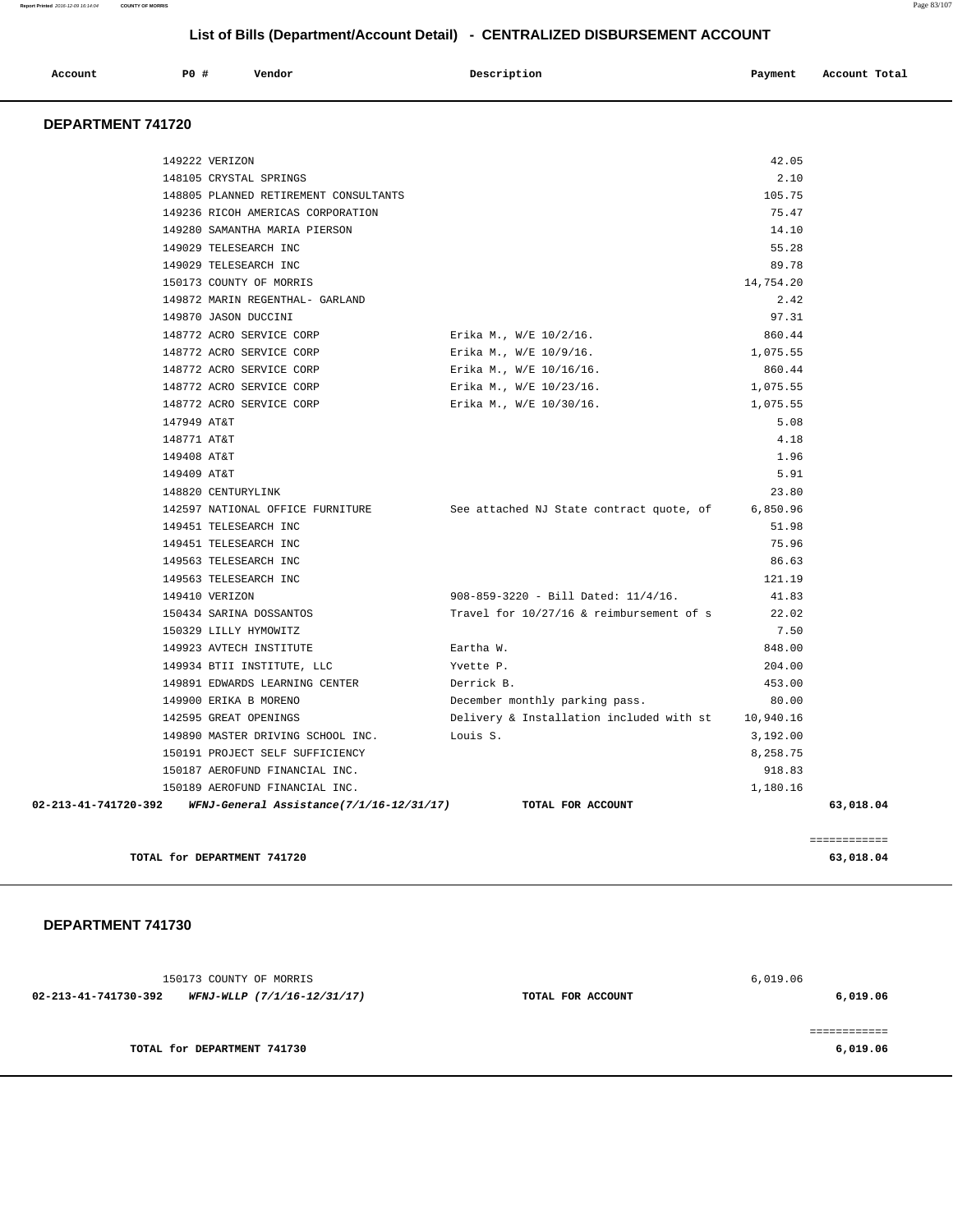| Account<br>. | <b>PO #</b> | Vendor<br>. | Description | Payment | Account Total |
|--------------|-------------|-------------|-------------|---------|---------------|
|              |             |             |             |         |               |

#### **DEPARTMENT 741720**

| 149280 SAMANTHA MARIA PIERSON     |                                                    | 14.10     |  |
|-----------------------------------|----------------------------------------------------|-----------|--|
| 149029 TELESEARCH INC             |                                                    | 55.28     |  |
| 149029 TELESEARCH INC             |                                                    | 89.78     |  |
| 150173 COUNTY OF MORRIS           |                                                    | 14,754.20 |  |
| 149872 MARIN REGENTHAL- GARLAND   |                                                    | 2.42      |  |
| 149870 JASON DUCCINI              |                                                    | 97.31     |  |
| 148772 ACRO SERVICE CORP          | Erika M., W/E 10/2/16.                             | 860.44    |  |
| 148772 ACRO SERVICE CORP          | Erika M., W/E 10/9/16.                             | 1,075.55  |  |
| 148772 ACRO SERVICE CORP          | Erika M., W/E 10/16/16.                            | 860.44    |  |
| 148772 ACRO SERVICE CORP          | Erika M., W/E 10/23/16.                            | 1,075.55  |  |
| 148772 ACRO SERVICE CORP          | Erika M., W/E 10/30/16.                            | 1,075.55  |  |
| 147949 AT&T                       |                                                    | 5.08      |  |
| 148771 AT&T                       |                                                    | 4.18      |  |
| 149408 AT&T                       |                                                    | 1.96      |  |
| 149409 AT&T                       |                                                    | 5.91      |  |
| 148820 CENTURYLINK                |                                                    | 23.80     |  |
| 142597 NATIONAL OFFICE FURNITURE  | See attached NJ State contract quote, of           | 6,850.96  |  |
| 149451 TELESEARCH INC             |                                                    | 51.98     |  |
| 149451 TELESEARCH INC             |                                                    | 75.96     |  |
| 149563 TELESEARCH INC             |                                                    | 86.63     |  |
| 149563 TELESEARCH INC             |                                                    | 121.19    |  |
| 149410 VERIZON                    | 908-859-3220 - Bill Dated: 11/4/16.                | 41.83     |  |
| 150434 SARINA DOSSANTOS           | Travel for 10/27/16 & reimbursement of s           | 22.02     |  |
| 150329 LILLY HYMOWITZ             |                                                    | 7.50      |  |
| 149923 AVTECH INSTITUTE           | Eartha W.                                          | 848.00    |  |
| 149934 BTII INSTITUTE, LLC        | Yvette P.                                          | 204.00    |  |
| 149891 EDWARDS LEARNING CENTER    | Derrick B.                                         | 453.00    |  |
| 149900 ERIKA B MORENO             | December monthly parking pass.                     | 80.00     |  |
| 142595 GREAT OPENINGS             | Delivery & Installation included with st 10,940.16 |           |  |
| 149890 MASTER DRIVING SCHOOL INC. | Louis S.                                           | 3,192.00  |  |
| 150191 PROJECT SELF SUFFICIENCY   |                                                    | 8,258.75  |  |
| 150187 AEROFUND FINANCIAL INC.    |                                                    | 918.83    |  |
| 150189 AEROFUND FINANCIAL INC.    |                                                    | 1,180.16  |  |

**TOTAL for DEPARTMENT 741720 63,018.04**

| 150173 COUNTY OF MORRIS                             |                   | 6,019.06    |
|-----------------------------------------------------|-------------------|-------------|
| WFNJ-WLLP (7/1/16-12/31/17)<br>02-213-41-741730-392 | TOTAL FOR ACCOUNT | 6,019.06    |
|                                                     |                   |             |
|                                                     |                   | ----------- |
| TOTAL for DEPARTMENT 741730                         |                   | 6,019.06    |
|                                                     |                   |             |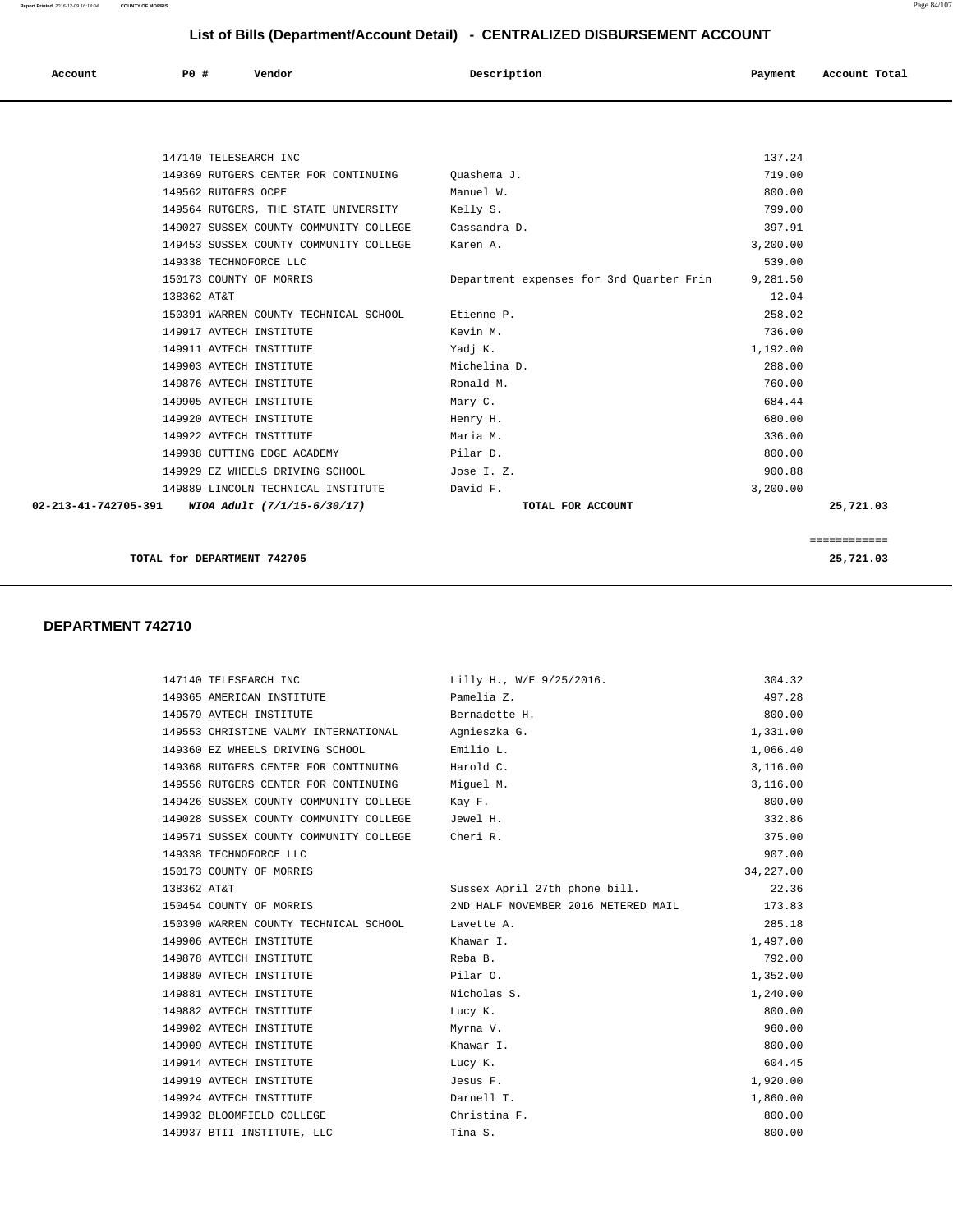| PO#<br>Description<br>Vendor<br>Account | Payment | Account Total |
|-----------------------------------------|---------|---------------|
|-----------------------------------------|---------|---------------|

| 147140 TELESEARCH INC                               |                                          | 137.24       |
|-----------------------------------------------------|------------------------------------------|--------------|
| 149369 RUTGERS CENTER FOR CONTINUING                | Quashema J.                              | 719.00       |
| 149562 RUTGERS OCPE                                 | Manuel W.                                | 800.00       |
| 149564 RUTGERS, THE STATE UNIVERSITY                | Kelly S.                                 | 799.00       |
| 149027 SUSSEX COUNTY COMMUNITY COLLEGE              | Cassandra D.                             | 397.91       |
| 149453 SUSSEX COUNTY COMMUNITY COLLEGE              | Karen A.                                 | 3,200.00     |
| 149338 TECHNOFORCE LLC                              |                                          | 539.00       |
| 150173 COUNTY OF MORRIS                             | Department expenses for 3rd Quarter Frin | 9,281.50     |
| 138362 AT&T                                         |                                          | 12.04        |
| 150391 WARREN COUNTY TECHNICAL SCHOOL               | Etienne P.                               | 258.02       |
| 149917 AVTECH INSTITUTE                             | Kevin M.                                 | 736.00       |
| 149911 AVTECH INSTITUTE                             | Yadj K.                                  | 1,192.00     |
| 149903 AVTECH INSTITUTE                             | Michelina D.                             | 288.00       |
| 149876 AVTECH INSTITUTE                             | Ronald M.                                | 760.00       |
| 149905 AVTECH INSTITUTE                             | Mary C.                                  | 684.44       |
| 149920 AVTECH INSTITUTE                             | Henry H.                                 | 680.00       |
| 149922 AVTECH INSTITUTE                             | Maria M.                                 | 336.00       |
| 149938 CUTTING EDGE ACADEMY                         | Pilar D.                                 | 800.00       |
| 149929 EZ WHEELS DRIVING SCHOOL                     | Jose I. Z.                               | 900.88       |
| 149889 LINCOLN TECHNICAL INSTITUTE                  | David F.                                 | 3,200.00     |
| 02-213-41-742705-391<br>WIOA Adult (7/1/15-6/30/17) | TOTAL FOR ACCOUNT                        | 25,721.03    |
|                                                     |                                          |              |
|                                                     |                                          | ============ |

**TOTAL for DEPARTMENT 742705 25,721.03**

#### **DEPARTMENT 742710**

 147140 TELESEARCH INC Lilly H., W/E 9/25/2016. 304.32 149365 AMERICAN INSTITUTE Pamelia Z. 497.28 149579 AVTECH INSTITUTE Bernadette H. 800.00 149553 CHRISTINE VALMY INTERNATIONAL Agnieszka G. 1,331.00 149360 EZ WHEELS DRIVING SCHOOL Emilio L. COMPUSSION EMILIO EXTERNAL EMILIO EXTERNAL EMILIO EXTERNAL EMILIO EXTERNAL EMILIO EXTERNAL EMILIO EXTERNAL EMILIO EXTERNAL EMILIO EXTERNAL EMILIO EXTERNAL EMILIO EXTERNAL EMILIO EX 149368 RUTGERS CENTER FOR CONTINUING Harold C. 3,116.00 149556 RUTGERS CENTER FOR CONTINUING Miguel M. 3,116.00 149426 SUSSEX COUNTY COMMUNITY COLLEGE Kay F. 800.00 149028 SUSSEX COUNTY COMMUNITY COLLEGE Jewel H. 332.86 149571 SUSSEX COUNTY COMMUNITY COLLEGE Cheri R. 375.00 149338 TECHNOFORCE LLC 907.00 150173 COUNTY OF MORRIS 34,227.00 138362 AT&T Sussex April 27th phone bill. 22.36 150454 COUNTY OF MORRIS 2ND HALF NOVEMBER 2016 METERED MAIL 173.83 150390 WARREN COUNTY TECHNICAL SCHOOL Lavette A. 285.18 149906 AVTECH INSTITUTE  $\blacksquare$  Khawar I.  $\blacksquare$  1,497.00 149878 AVTECH INSTITUTE Reba B. 792.00 149880 AVTECH INSTITUTE Pilar O. 1,352.00 149881 AVTECH INSTITUTE Nicholas S. 1,240.00 149882 AVTECH INSTITUTE Lucy K. 800.00 149902 AVTECH INSTITUTE Myrna V. 960.00 149909 AVTECH INSTITUTE Khawar I. 800.00 149914 AVTECH INSTITUTE Lucy K. 604.45 149919 AVTECH INSTITUTE Jesus F. 1,920.00 149924 AVTECH INSTITUTE Darnell T. 1,860.00 149932 BLOOMFIELD COLLEGE Christina F. 800.00 149937 BTII INSTITUTE, LLC Tina S. 800.00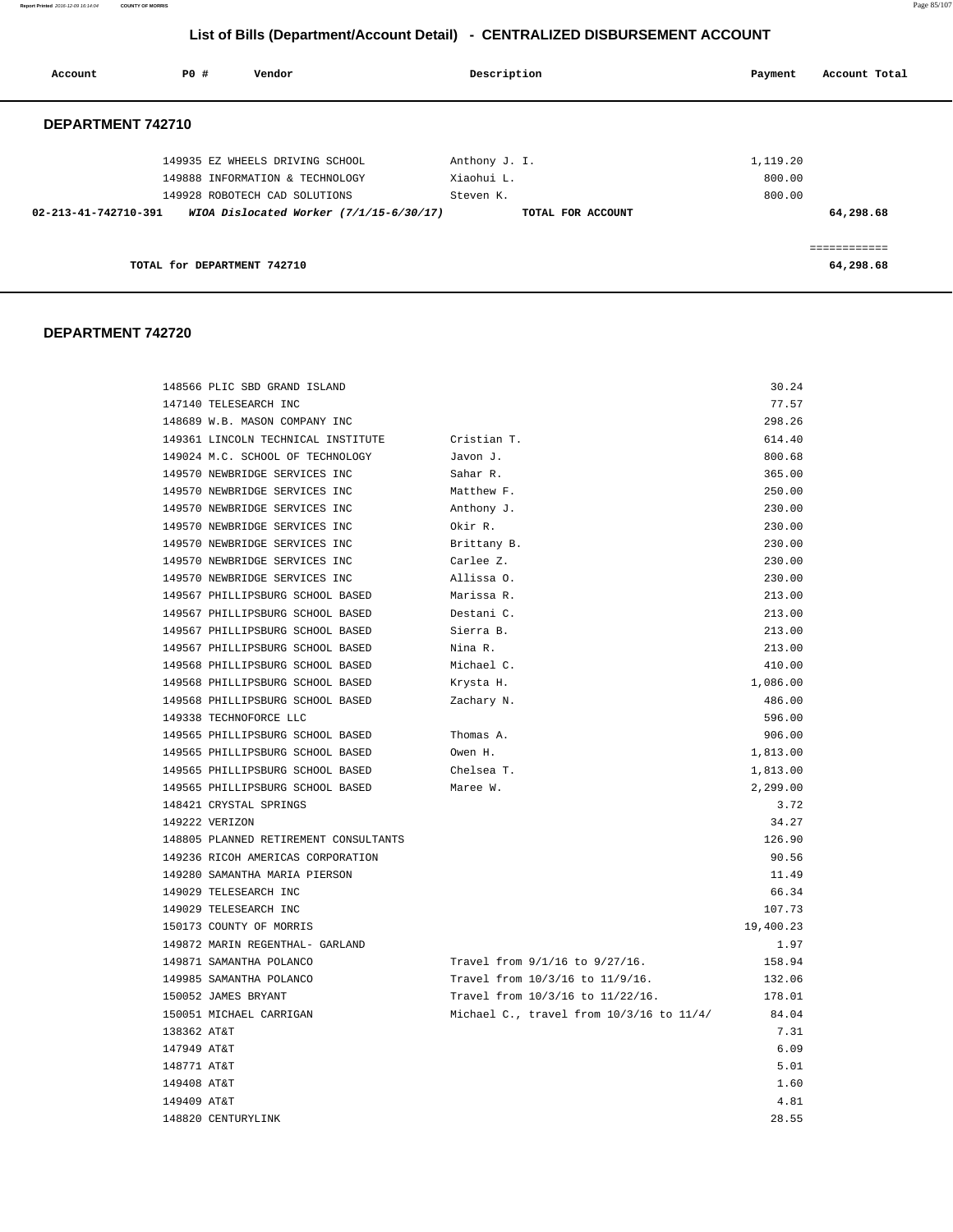**Report Printed** 2016-12-09 16:14:04 **COUNTY OF MORRIS** Page 85/107

# **List of Bills (Department/Account Detail) - CENTRALIZED DISBURSEMENT ACCOUNT**

| Account              | PO#                         | Vendor                                    | Description       | Payment  | Account Total |
|----------------------|-----------------------------|-------------------------------------------|-------------------|----------|---------------|
| DEPARTMENT 742710    |                             |                                           |                   |          |               |
|                      |                             | 149935 EZ WHEELS DRIVING SCHOOL           | Anthony J. I.     | 1,119.20 |               |
|                      |                             | 149888 INFORMATION & TECHNOLOGY           | Xiaohui L.        | 800.00   |               |
|                      |                             | 149928 ROBOTECH CAD SOLUTIONS             | Steven K.         | 800.00   |               |
| 02-213-41-742710-391 |                             | WIOA Dislocated Worker $(7/1/15-6/30/17)$ | TOTAL FOR ACCOUNT |          | 64,298.68     |
|                      |                             |                                           |                   |          |               |
|                      | TOTAL for DEPARTMENT 742710 |                                           |                   |          | 64,298.68     |

| 148566 PLIC SBD GRAND ISLAND          |                                              | 30.24     |
|---------------------------------------|----------------------------------------------|-----------|
| 147140 TELESEARCH INC                 |                                              | 77.57     |
| 148689 W.B. MASON COMPANY INC         |                                              | 298.26    |
| 149361 LINCOLN TECHNICAL INSTITUTE    | Cristian T.                                  | 614.40    |
| 149024 M.C. SCHOOL OF TECHNOLOGY      | Javon J.                                     | 800.68    |
| 149570 NEWBRIDGE SERVICES INC         | Sahar R.                                     | 365.00    |
| 149570 NEWBRIDGE SERVICES INC         | Matthew F.                                   | 250.00    |
| 149570 NEWBRIDGE SERVICES INC         | Anthony J.                                   | 230.00    |
| 149570 NEWBRIDGE SERVICES INC         | Okir R.                                      | 230.00    |
| 149570 NEWBRIDGE SERVICES INC         | Brittany B.                                  | 230.00    |
| 149570 NEWBRIDGE SERVICES INC         | Carlee Z.                                    | 230.00    |
| 149570 NEWBRIDGE SERVICES INC         | Allissa O.                                   | 230.00    |
| 149567 PHILLIPSBURG SCHOOL BASED      | Marissa R.                                   | 213.00    |
| 149567 PHILLIPSBURG SCHOOL BASED      | Destani C.                                   | 213.00    |
| 149567 PHILLIPSBURG SCHOOL BASED      | Sierra B.                                    | 213.00    |
| 149567 PHILLIPSBURG SCHOOL BASED      | Nina R.                                      | 213.00    |
| 149568 PHILLIPSBURG SCHOOL BASED      | Michael C.                                   | 410.00    |
| 149568 PHILLIPSBURG SCHOOL BASED      | Krysta H.                                    | 1,086.00  |
| 149568 PHILLIPSBURG SCHOOL BASED      | Zachary N.                                   | 486.00    |
| 149338 TECHNOFORCE LLC                |                                              | 596.00    |
| 149565 PHILLIPSBURG SCHOOL BASED      | Thomas A.                                    | 906.00    |
| 149565 PHILLIPSBURG SCHOOL BASED      | Owen H.                                      | 1,813.00  |
| 149565 PHILLIPSBURG SCHOOL BASED      | Chelsea T.                                   | 1,813.00  |
| 149565 PHILLIPSBURG SCHOOL BASED      | Maree W.                                     | 2,299.00  |
| 148421 CRYSTAL SPRINGS                |                                              | 3.72      |
| 149222 VERIZON                        |                                              | 34.27     |
| 148805 PLANNED RETIREMENT CONSULTANTS |                                              | 126.90    |
| 149236 RICOH AMERICAS CORPORATION     |                                              | 90.56     |
| 149280 SAMANTHA MARIA PIERSON         |                                              | 11.49     |
| 149029 TELESEARCH INC                 |                                              | 66.34     |
| 149029 TELESEARCH INC                 |                                              | 107.73    |
| 150173 COUNTY OF MORRIS               |                                              | 19,400.23 |
| 149872 MARIN REGENTHAL- GARLAND       |                                              | 1.97      |
| 149871 SAMANTHA POLANCO               | Travel from 9/1/16 to 9/27/16.               | 158.94    |
| 149985 SAMANTHA POLANCO               | Travel from 10/3/16 to 11/9/16.              | 132.06    |
| 150052 JAMES BRYANT                   | Travel from 10/3/16 to 11/22/16.             | 178.01    |
| 150051 MICHAEL CARRIGAN               | Michael C., travel from $10/3/16$ to $11/4/$ | 84.04     |
| 138362 AT&T                           |                                              | 7.31      |
| 147949 AT&T                           |                                              | 6.09      |
| 148771 AT&T                           |                                              | 5.01      |
| 149408 AT&T                           |                                              | 1.60      |
| 149409 AT&T                           |                                              | 4.81      |
| 148820 CENTURYLINK                    |                                              | 28.55     |
|                                       |                                              |           |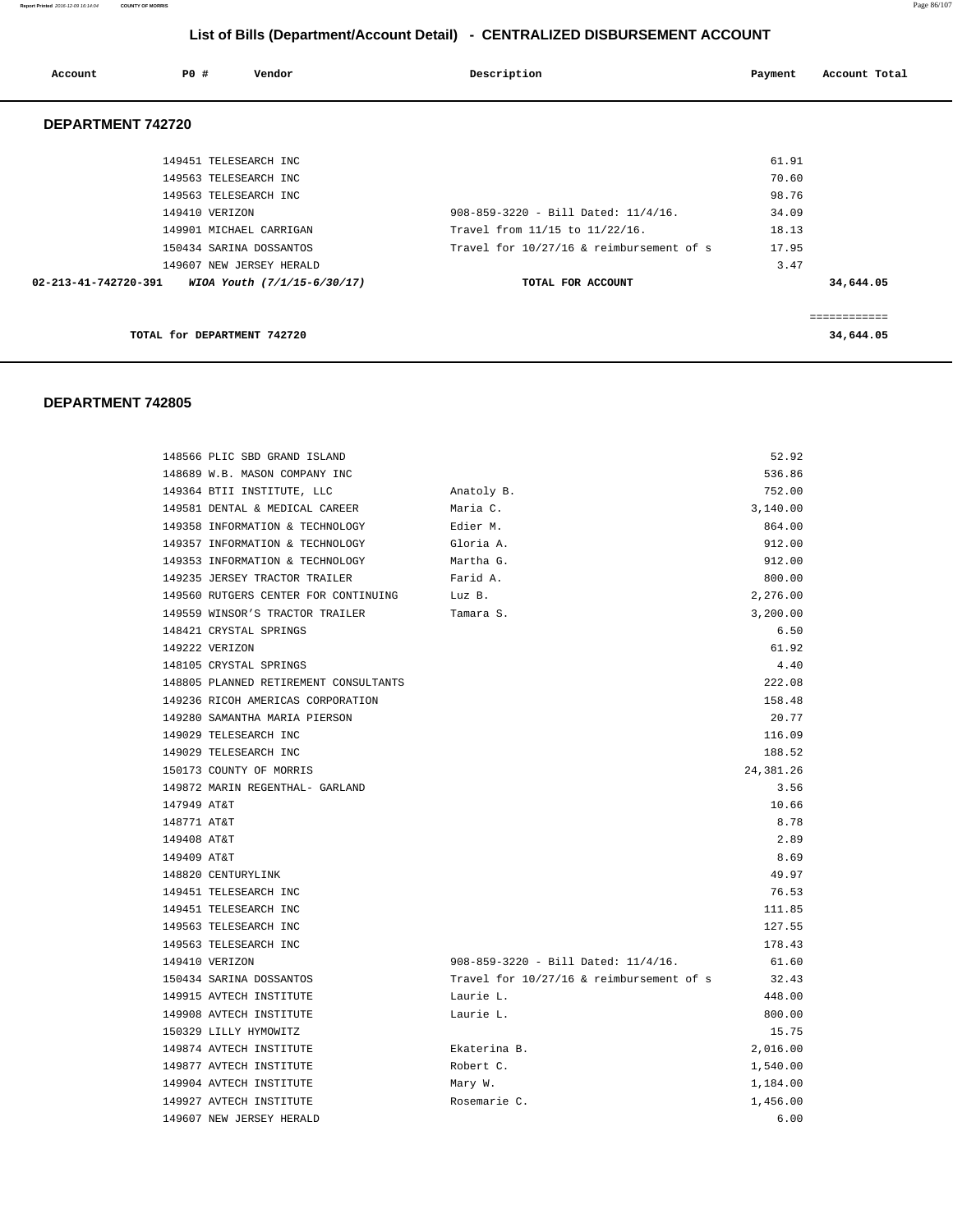| Account              | PO#                         | Vendor                      | Description                              | Payment | Account Total |
|----------------------|-----------------------------|-----------------------------|------------------------------------------|---------|---------------|
| DEPARTMENT 742720    |                             |                             |                                          |         |               |
|                      | 149451 TELESEARCH INC       |                             |                                          | 61.91   |               |
|                      | 149563 TELESEARCH INC       |                             |                                          | 70.60   |               |
|                      | 149563 TELESEARCH INC       |                             |                                          | 98.76   |               |
|                      | 149410 VERIZON              |                             | 908-859-3220 - Bill Dated: 11/4/16.      | 34.09   |               |
|                      |                             | 149901 MICHAEL CARRIGAN     | Travel from 11/15 to 11/22/16.           | 18.13   |               |
|                      |                             | 150434 SARINA DOSSANTOS     | Travel for 10/27/16 & reimbursement of s | 17.95   |               |
|                      |                             | 149607 NEW JERSEY HERALD    |                                          | 3.47    |               |
| 02-213-41-742720-391 |                             | WIOA Youth (7/1/15-6/30/17) | TOTAL FOR ACCOUNT                        |         | 34,644.05     |
|                      |                             |                             |                                          |         |               |
|                      |                             |                             |                                          |         | ============  |
|                      | TOTAL for DEPARTMENT 742720 |                             |                                          |         | 34,644.05     |

| 148566 PLIC SBD GRAND ISLAND                |                                          | 52.92       |
|---------------------------------------------|------------------------------------------|-------------|
| 148689 W.B. MASON COMPANY INC               |                                          | 536.86      |
| 149364 BTII INSTITUTE, LLC                  | Anatoly B.                               | 752.00      |
| 149581 DENTAL & MEDICAL CAREER              | Maria C.                                 | 3,140.00    |
| 149358 INFORMATION & TECHNOLOGY             | Edier M.                                 | 864.00      |
| 149357 INFORMATION & TECHNOLOGY             | Gloria A.                                | 912.00      |
| 149353 INFORMATION & TECHNOLOGY             | Martha G.                                | 912.00      |
| 149235 JERSEY TRACTOR TRAILER               | Farid A.                                 | 800.00      |
| 149560 RUTGERS CENTER FOR CONTINUING Luz B. |                                          | 2,276.00    |
| 149559 WINSOR'S TRACTOR TRAILER             | Tamara S.                                | 3,200.00    |
| 148421 CRYSTAL SPRINGS                      |                                          | 6.50        |
| 149222 VERIZON                              |                                          | 61.92       |
| 148105 CRYSTAL SPRINGS                      |                                          | 4.40        |
| 148805 PLANNED RETIREMENT CONSULTANTS       |                                          | 222.08      |
| 149236 RICOH AMERICAS CORPORATION           |                                          | 158.48      |
| 149280 SAMANTHA MARIA PIERSON               |                                          | 20.77       |
| 149029 TELESEARCH INC                       |                                          | 116.09      |
| 149029 TELESEARCH INC                       |                                          | 188.52      |
| 150173 COUNTY OF MORRIS                     |                                          | 24, 381. 26 |
| 149872 MARIN REGENTHAL- GARLAND             |                                          | 3.56        |
| 147949 AT&T                                 |                                          | 10.66       |
| 148771 AT&T                                 |                                          | 8.78        |
| 149408 AT&T                                 |                                          | 2.89        |
| 149409 AT&T                                 |                                          | 8.69        |
| 148820 CENTURYLINK                          |                                          | 49.97       |
| 149451 TELESEARCH INC                       |                                          | 76.53       |
| 149451 TELESEARCH INC                       |                                          | 111.85      |
| 149563 TELESEARCH INC                       |                                          | 127.55      |
| 149563 TELESEARCH INC                       |                                          | 178.43      |
| 149410 VERIZON                              | 908-859-3220 - Bill Dated: 11/4/16.      | 61.60       |
| 150434 SARINA DOSSANTOS                     | Travel for 10/27/16 & reimbursement of s | 32.43       |
| 149915 AVTECH INSTITUTE                     | Laurie L.                                | 448.00      |
| 149908 AVTECH INSTITUTE                     | Laurie L.                                | 800.00      |
| 150329 LILLY HYMOWITZ                       |                                          | 15.75       |
| 149874 AVTECH INSTITUTE                     | Ekaterina B.                             | 2,016.00    |
| 149877 AVTECH INSTITUTE                     | Robert C.                                | 1,540.00    |
| 149904 AVTECH INSTITUTE                     | Mary W.                                  | 1,184.00    |
| 149927 AVTECH INSTITUTE                     | Rosemarie C.                             | 1,456.00    |
| 149607 NEW JERSEY HERALD                    |                                          | 6.00        |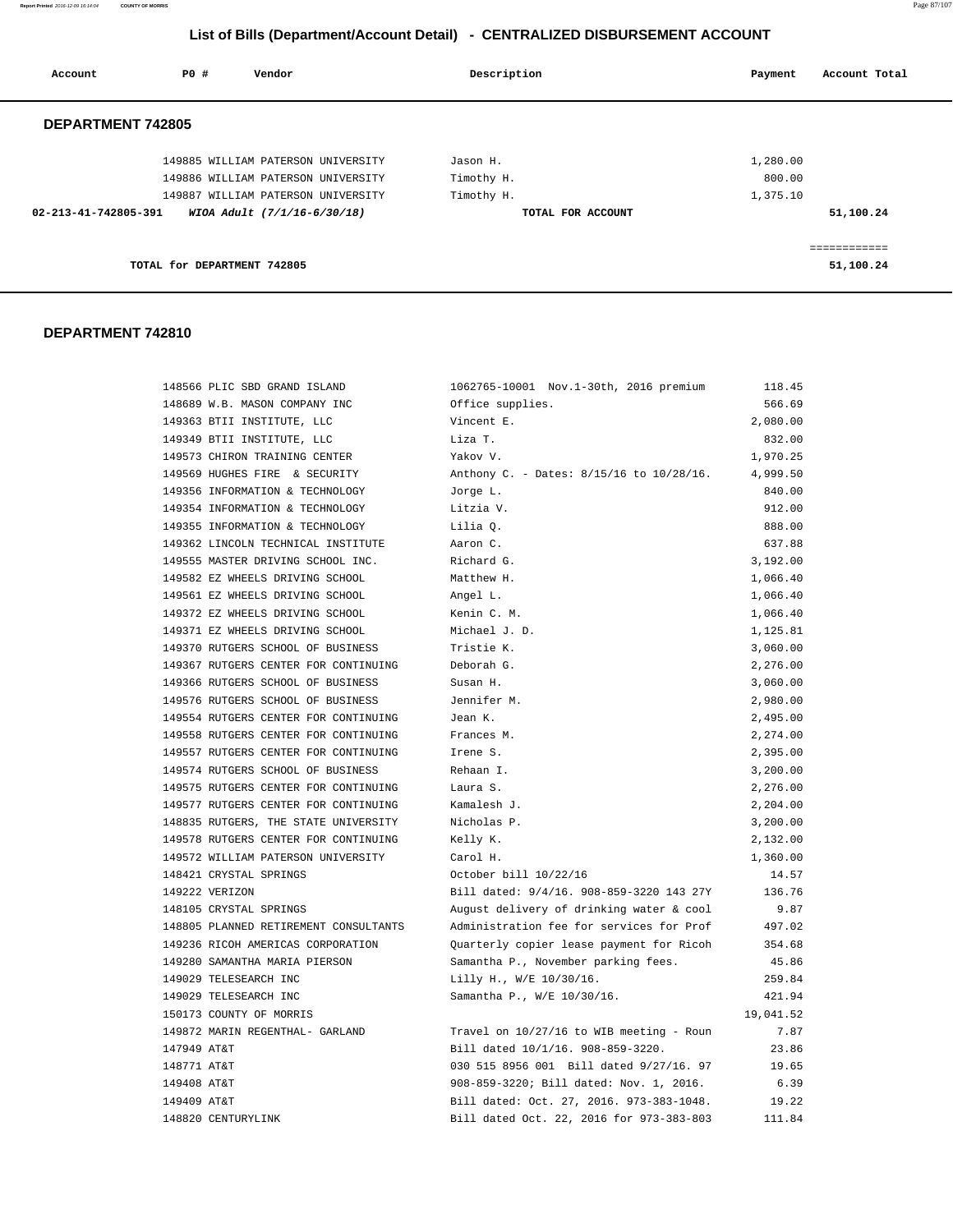**Report Printed** 2016-12-09 16:14:04 **COUNTY OF MORRIS** Page 87/107

# **List of Bills (Department/Account Detail) - CENTRALIZED DISBURSEMENT ACCOUNT**

| Account              | P0 #                        | Vendor                             | Description       | Account Total<br>Payment |
|----------------------|-----------------------------|------------------------------------|-------------------|--------------------------|
| DEPARTMENT 742805    |                             |                                    |                   |                          |
|                      |                             | 149885 WILLIAM PATERSON UNIVERSITY | Jason H.          | 1,280.00                 |
|                      |                             | 149886 WILLIAM PATERSON UNIVERSITY | Timothy H.        | 800.00                   |
|                      |                             | 149887 WILLIAM PATERSON UNIVERSITY | Timothy H.        | 1,375.10                 |
| 02-213-41-742805-391 |                             | WIOA Adult (7/1/16-6/30/18)        | TOTAL FOR ACCOUNT | 51,100.24                |
|                      |                             |                                    |                   | ----------               |
|                      | TOTAL for DEPARTMENT 742805 |                                    |                   | 51,100.24                |

| 148566 PLIC SBD GRAND ISLAND          | 1062765-10001 Nov.1-30th, 2016 premium   | 118.45    |
|---------------------------------------|------------------------------------------|-----------|
| 148689 W.B. MASON COMPANY INC         | Office supplies.                         | 566.69    |
| 149363 BTII INSTITUTE, LLC            | Vincent E.                               | 2,080.00  |
| 149349 BTII INSTITUTE, LLC            | Liza T.                                  | 832.00    |
| 149573 CHIRON TRAINING CENTER         | Yakov V.                                 | 1,970.25  |
| 149569 HUGHES FIRE & SECURITY         | Anthony C. - Dates: 8/15/16 to 10/28/16. | 4,999.50  |
| 149356 INFORMATION & TECHNOLOGY       | Jorge L.                                 | 840.00    |
| 149354 INFORMATION & TECHNOLOGY       | Litzia V.                                | 912.00    |
| 149355 INFORMATION & TECHNOLOGY       | Lilia Q.                                 | 888.00    |
| 149362 LINCOLN TECHNICAL INSTITUTE    | Aaron C.                                 | 637.88    |
| 149555 MASTER DRIVING SCHOOL INC.     | Richard G.                               | 3,192.00  |
| 149582 EZ WHEELS DRIVING SCHOOL       | Matthew H.                               | 1,066.40  |
| 149561 EZ WHEELS DRIVING SCHOOL       | Angel L.                                 | 1,066.40  |
| 149372 EZ WHEELS DRIVING SCHOOL       | Kenin C. M.                              | 1,066.40  |
| 149371 EZ WHEELS DRIVING SCHOOL       | Michael J. D.                            | 1,125.81  |
| 149370 RUTGERS SCHOOL OF BUSINESS     | Tristie K.                               | 3,060.00  |
| 149367 RUTGERS CENTER FOR CONTINUING  | Deborah G.                               | 2,276.00  |
| 149366 RUTGERS SCHOOL OF BUSINESS     | Susan H.                                 | 3,060.00  |
| 149576 RUTGERS SCHOOL OF BUSINESS     | Jennifer M.                              | 2,980.00  |
| 149554 RUTGERS CENTER FOR CONTINUING  | Jean K.                                  | 2,495.00  |
| 149558 RUTGERS CENTER FOR CONTINUING  | Frances M.                               | 2,274.00  |
| 149557 RUTGERS CENTER FOR CONTINUING  | Irene S.                                 | 2,395.00  |
| 149574 RUTGERS SCHOOL OF BUSINESS     | Rehaan I.                                | 3,200.00  |
| 149575 RUTGERS CENTER FOR CONTINUING  | Laura S.                                 | 2,276.00  |
| 149577 RUTGERS CENTER FOR CONTINUING  | Kamalesh J.                              | 2,204.00  |
| 148835 RUTGERS, THE STATE UNIVERSITY  | Nicholas P.                              | 3,200.00  |
| 149578 RUTGERS CENTER FOR CONTINUING  | Kelly K.                                 | 2,132.00  |
| 149572 WILLIAM PATERSON UNIVERSITY    | Carol H.                                 | 1,360.00  |
| 148421 CRYSTAL SPRINGS                | October bill 10/22/16                    | 14.57     |
| 149222 VERIZON                        | Bill dated: 9/4/16. 908-859-3220 143 27Y | 136.76    |
| 148105 CRYSTAL SPRINGS                | August delivery of drinking water & cool | 9.87      |
| 148805 PLANNED RETIREMENT CONSULTANTS | Administration fee for services for Prof | 497.02    |
| 149236 RICOH AMERICAS CORPORATION     | Quarterly copier lease payment for Ricoh | 354.68    |
| 149280 SAMANTHA MARIA PIERSON         | Samantha P., November parking fees.      | 45.86     |
| 149029 TELESEARCH INC                 | Lilly H., W/E 10/30/16.                  | 259.84    |
| 149029 TELESEARCH INC                 | Samantha P., W/E 10/30/16.               | 421.94    |
| 150173 COUNTY OF MORRIS               |                                          | 19,041.52 |
| 149872 MARIN REGENTHAL- GARLAND       | Travel on 10/27/16 to WIB meeting - Roun | 7.87      |
| 147949 AT&T                           | Bill dated 10/1/16. 908-859-3220.        | 23.86     |
| 148771 AT&T                           | 030 515 8956 001 Bill dated 9/27/16. 97  | 19.65     |
| 149408 AT&T                           | 908-859-3220; Bill dated: Nov. 1, 2016.  | 6.39      |
| 149409 AT&T                           | Bill dated: Oct. 27, 2016. 973-383-1048. | 19.22     |
| 148820 CENTURYLINK                    | Bill dated Oct. 22, 2016 for 973-383-803 | 111.84    |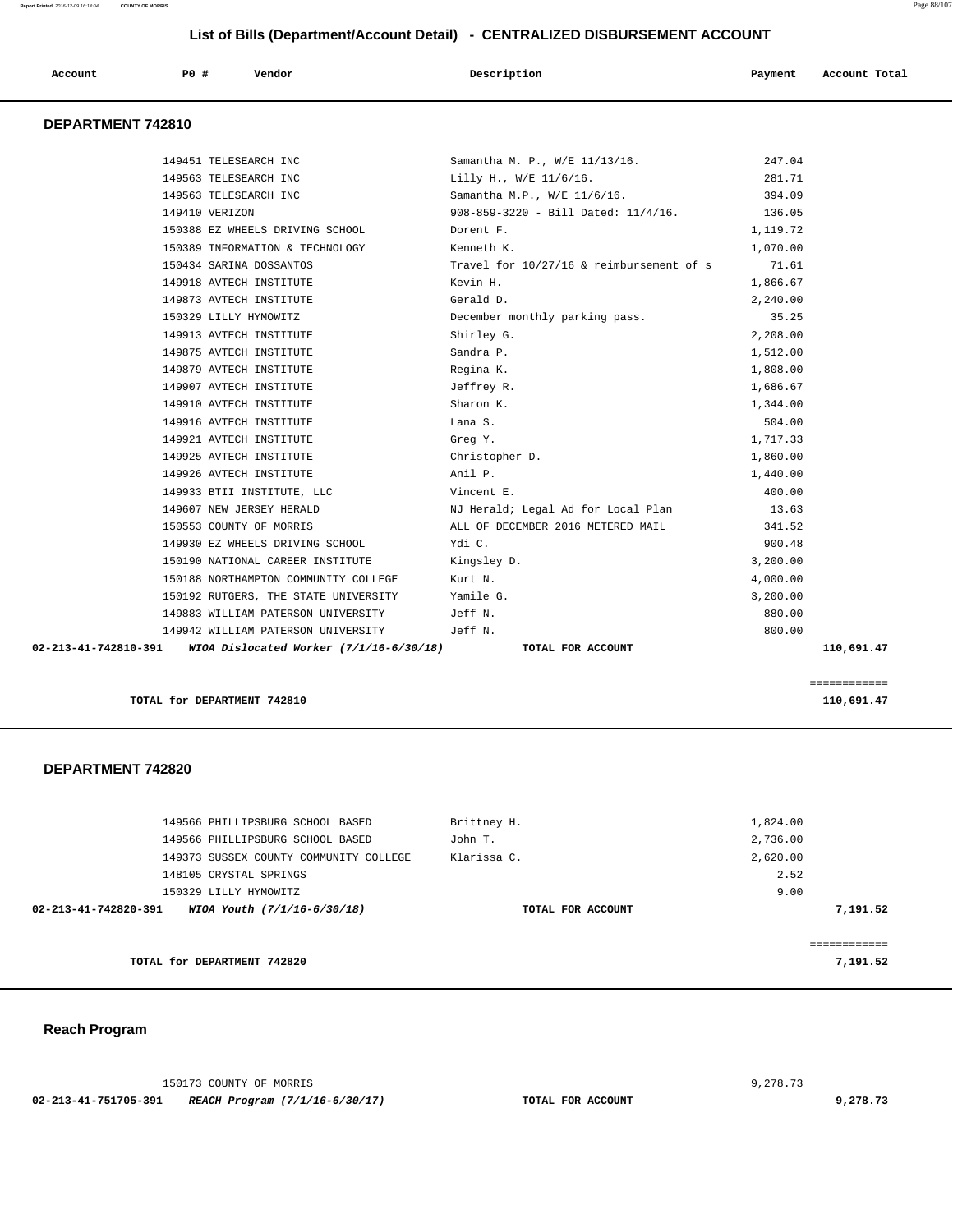| Account | P0 # | Vendor | Description | Payment | Account Total |
|---------|------|--------|-------------|---------|---------------|
|         |      |        |             |         |               |

## **DEPARTMENT 742810**

| 02-213-41-742810-391 | 149942 WILLIAM PATERSON UNIVERSITY Jeff N.<br>WIOA Dislocated Worker (7/1/16-6/30/18) | TOTAL FOR ACCOUNT                               | 800.00<br>110,691.47 |
|----------------------|---------------------------------------------------------------------------------------|-------------------------------------------------|----------------------|
|                      | 149883 WILLIAM PATERSON UNIVERSITY                                                    | Jeff N.                                         | 880.00               |
|                      | 150192 RUTGERS, THE STATE UNIVERSITY                                                  | Yamile G.                                       | 3,200.00             |
|                      | 150188 NORTHAMPTON COMMUNITY COLLEGE                                                  | Kurt N.                                         | 4,000.00             |
|                      | 150190 NATIONAL CAREER INSTITUTE                                                      | Kingsley D.                                     | 3,200.00             |
|                      | 149930 EZ WHEELS DRIVING SCHOOL Ydi C.                                                |                                                 | 900.48               |
|                      | 150553 COUNTY OF MORRIS                                                               | ALL OF DECEMBER 2016 METERED MAIL               | 341.52               |
|                      | 149607 NEW JERSEY HERALD                                                              | NJ Herald; Legal Ad for Local Plan              | 13.63                |
|                      | 149933 BTII INSTITUTE, LLC Wincent E.                                                 |                                                 | 400.00               |
|                      | 149926 AVTECH INSTITUTE                                                               | Anil P.                                         | 1,440.00             |
|                      | 149925 AVTECH INSTITUTE                                                               | Christopher D.                                  | 1,860.00             |
|                      | 149921 AVTECH INSTITUTE                                                               | Greq Y.                                         | 1,717.33             |
|                      | 149916 AVTECH INSTITUTE                                                               | Lana S.                                         | 504.00               |
|                      | 149910 AVTECH INSTITUTE                                                               | Sharon K.                                       | 1,344.00             |
|                      | 149907 AVTECH INSTITUTE                                                               | Jeffrey R.                                      | 1,686.67             |
|                      | 149879 AVTECH INSTITUTE                                                               | Regina K.                                       | 1,808.00             |
|                      | 149875 AVTECH INSTITUTE                                                               | Sandra P.                                       | 1,512.00             |
|                      | 149913 AVTECH INSTITUTE                                                               | Shirley G.                                      | 2,208.00             |
|                      | 150329 LILLY HYMOWITZ                                                                 | December monthly parking pass.                  | 35.25                |
|                      | 149873 AVTECH INSTITUTE                                                               | Gerald D.                                       | 2,240.00             |
|                      | 149918 AVTECH INSTITUTE                                                               | Kevin H.                                        | 1,866.67             |
|                      | 150434 SARINA DOSSANTOS                                                               | Travel for 10/27/16 & reimbursement of s        | 71.61                |
|                      | 150389 INFORMATION & TECHNOLOGY                                                       | Kenneth K.                                      | 1,070.00             |
|                      | 150388 EZ WHEELS DRIVING SCHOOL                                                       | Dorent F.                                       | 1,119.72             |
|                      | 149410 VERIZON                                                                        | $908-859-3220$ - Bill Dated: $11/4/16$ . 136.05 |                      |
|                      | 149563 TELESEARCH INC                                                                 | Samantha M.P., W/E 11/6/16. 394.09              |                      |
|                      | 149563 TELESEARCH INC                                                                 | Lilly H., W/E 11/6/16.                          | 281.71               |
|                      | 149451 TELESEARCH INC                                                                 | Samantha M. P., W/E 11/13/16.                   | 247.04               |
|                      |                                                                                       |                                                 |                      |

**TOTAL for DEPARTMENT 742810** 110,691.47

#### **DEPARTMENT 742820**

| TOTAL for DEPARTMENT 742820                         |                   | 7,191.52 |
|-----------------------------------------------------|-------------------|----------|
| WIOA Youth (7/1/16-6/30/18)<br>02-213-41-742820-391 | TOTAL FOR ACCOUNT | 7,191.52 |
| 150329 LILLY HYMOWITZ                               |                   | 9.00     |
| 148105 CRYSTAL SPRINGS                              |                   | 2.52     |
| 149373 SUSSEX COUNTY COMMUNITY COLLEGE              | Klarissa C.       | 2,620.00 |
| 149566 PHILLIPSBURG SCHOOL BASED                    | John T.           | 2,736.00 |
| 149566 PHILLIPSBURG SCHOOL BASED                    | Brittney H.       | 1,824.00 |
|                                                     |                   |          |

============

 **Reach Program** 

150173 COUNTY OF MORRIS 9,278.73

 **02-213-41-751705-391 REACH Program (7/1/16-6/30/17) TOTAL FOR ACCOUNT 9,278.73**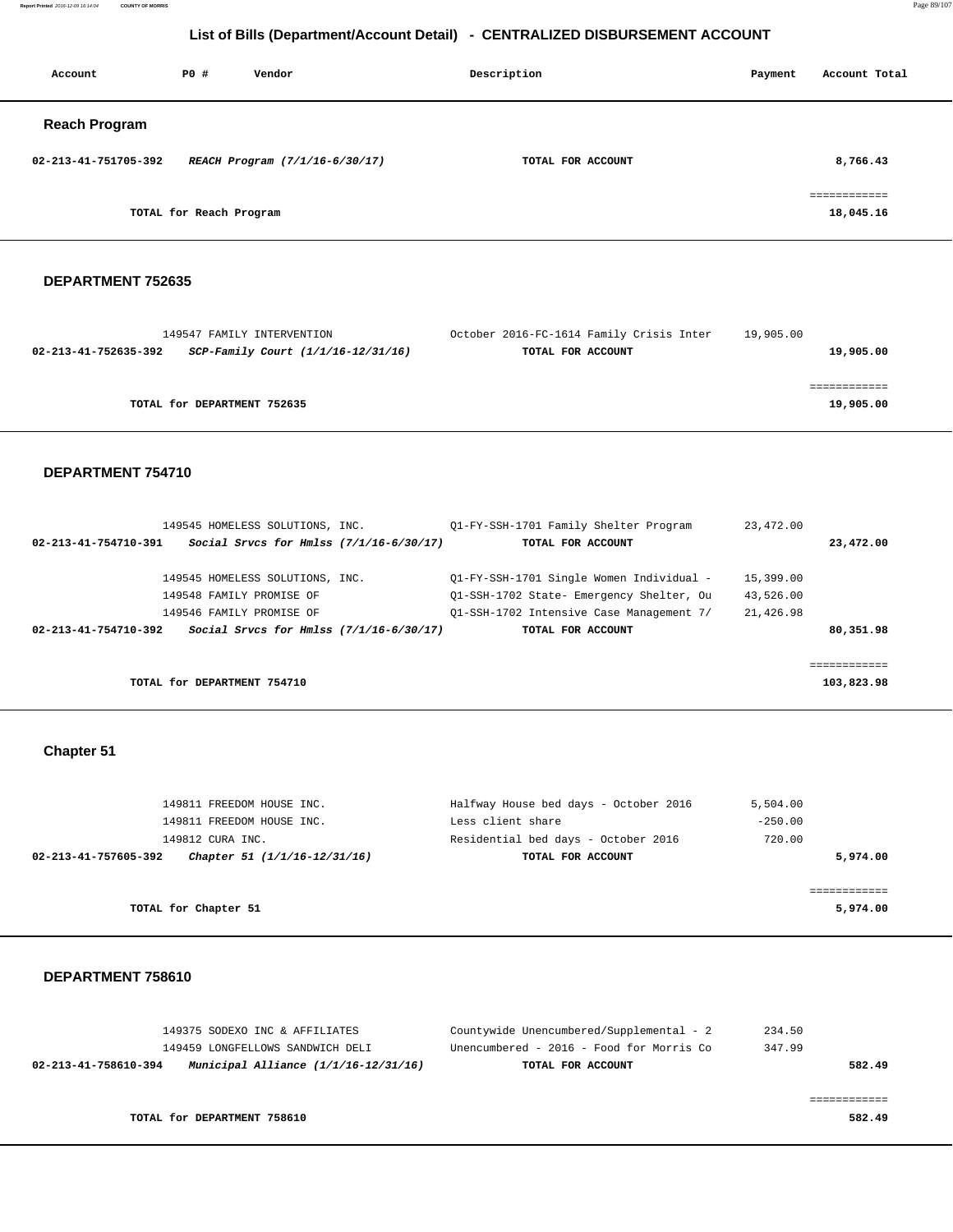**Report Printed** 2016-12-09 16:14:04 **COUNTY OF MORRIS** Page 89/107

# **List of Bills (Department/Account Detail) - CENTRALIZED DISBURSEMENT ACCOUNT**

| Account              | PO#                     | Vendor                         | Description       | Payment | Account Total             |
|----------------------|-------------------------|--------------------------------|-------------------|---------|---------------------------|
| <b>Reach Program</b> |                         |                                |                   |         |                           |
| 02-213-41-751705-392 |                         | REACH Program (7/1/16-6/30/17) | TOTAL FOR ACCOUNT |         | 8,766.43                  |
|                      | TOTAL for Reach Program |                                |                   |         | ============<br>18,045.16 |

#### **DEPARTMENT 752635**

| 149547 FAMILY INTERVENTION                                   | October 2016-FC-1614 Family Crisis Inter | 19,905.00 |
|--------------------------------------------------------------|------------------------------------------|-----------|
| $SCP-Family Court (1/1/16-12/31/16)$<br>02-213-41-752635-392 | TOTAL FOR ACCOUNT                        | 19,905.00 |
|                                                              |                                          |           |
|                                                              |                                          |           |
| TOTAL for DEPARTMENT 752635                                  |                                          | 19,905.00 |
|                                                              |                                          |           |

#### **DEPARTMENT 754710**

|                      | 149545 HOMELESS SOLUTIONS, INC.           | 01-FY-SSH-1701 Family Shelter Program    | 23,472.00 |            |
|----------------------|-------------------------------------------|------------------------------------------|-----------|------------|
| 02-213-41-754710-391 | Social Srvcs for Hmlss $(7/1/16-6/30/17)$ | TOTAL FOR ACCOUNT                        |           | 23,472.00  |
|                      | 149545 HOMELESS SOLUTIONS, INC.           | 01-FY-SSH-1701 Single Women Individual - | 15,399.00 |            |
|                      | 149548 FAMILY PROMISE OF                  | 01-SSH-1702 State- Emergency Shelter, Ou | 43,526.00 |            |
|                      | 149546 FAMILY PROMISE OF                  | 01-SSH-1702 Intensive Case Management 7/ | 21,426.98 |            |
| 02-213-41-754710-392 | Social Srvcs for Hmlss $(7/1/16-6/30/17)$ | TOTAL FOR ACCOUNT                        |           | 80,351.98  |
|                      |                                           |                                          |           |            |
|                      |                                           |                                          |           |            |
|                      | TOTAL for DEPARTMENT 754710               |                                          |           | 103,823.98 |

# **Chapter 51**

| TOTAL for Chapter 51                                 |                                       | 5,974.00  |
|------------------------------------------------------|---------------------------------------|-----------|
|                                                      |                                       |           |
| 02-213-41-757605-392<br>Chapter 51 (1/1/16-12/31/16) | TOTAL FOR ACCOUNT                     | 5,974.00  |
| 149812 CURA INC.                                     | Residential bed days - October 2016   | 720.00    |
| 149811 FREEDOM HOUSE INC.                            | Less client share                     | $-250.00$ |
| 149811 FREEDOM HOUSE INC.                            | Halfway House bed days - October 2016 | 5,504.00  |

|        | 234.50 | Countywide Unencumbered/Supplemental - 2                      | 149375 SODEXO INC & AFFILIATES                                               |                      |
|--------|--------|---------------------------------------------------------------|------------------------------------------------------------------------------|----------------------|
| 582.49 | 347.99 | Unencumbered - 2016 - Food for Morris Co<br>TOTAL FOR ACCOUNT | 149459 LONGFELLOWS SANDWICH DELI<br>Municipal Alliance $(1/1/16 - 12/31/16)$ | 02-213-41-758610-394 |
|        |        |                                                               |                                                                              |                      |
| 582.49 |        |                                                               | TOTAL for DEPARTMENT 758610                                                  |                      |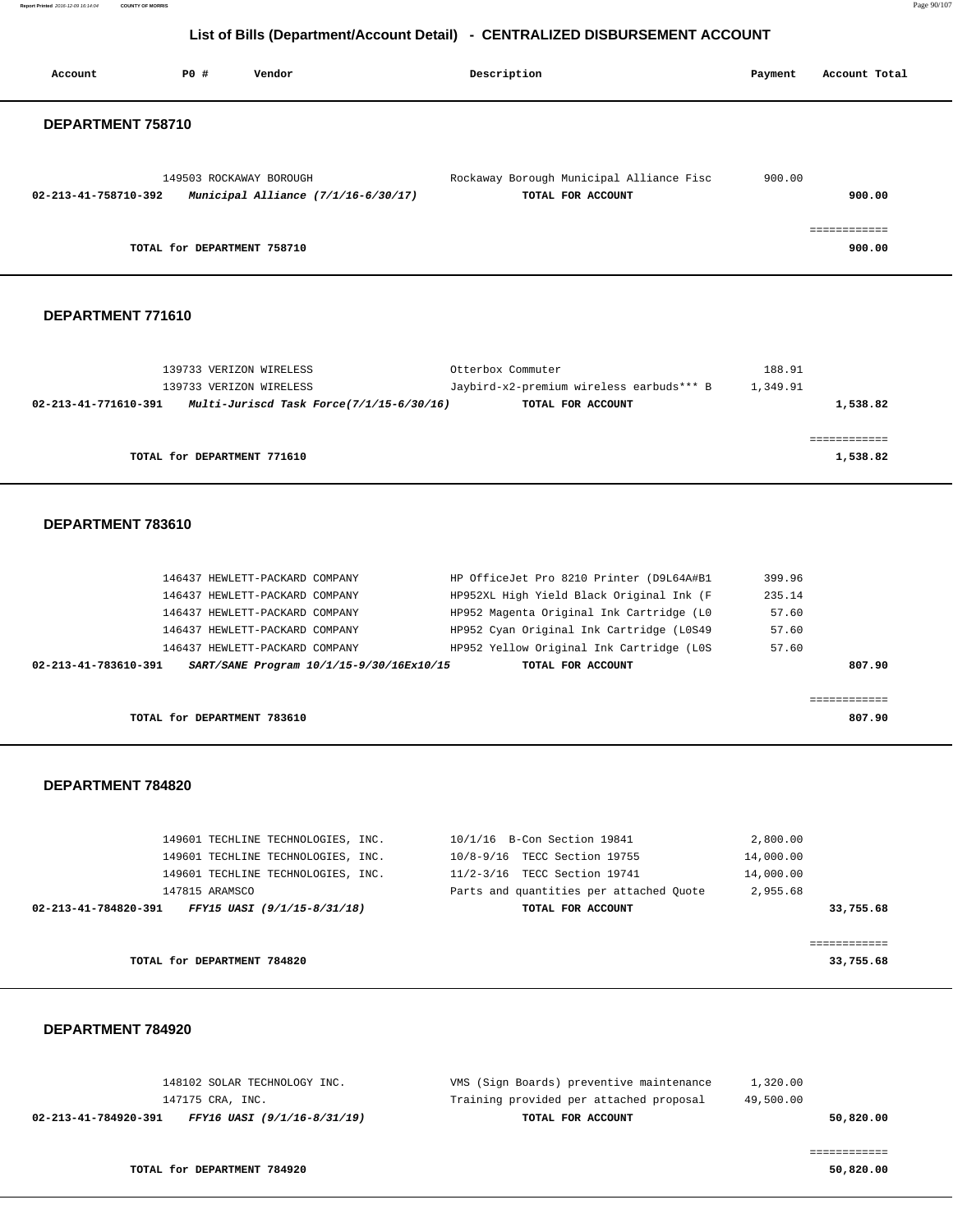**Report Printed** 2016-12-09 16:14:04 **COUNTY OF MORRIS** Page 90/107

# **List of Bills (Department/Account Detail) - CENTRALIZED DISBURSEMENT ACCOUNT**

| Account              | PO#                         | Vendor                                                           | Description                                                   | Payment | Account Total          |
|----------------------|-----------------------------|------------------------------------------------------------------|---------------------------------------------------------------|---------|------------------------|
| DEPARTMENT 758710    |                             |                                                                  |                                                               |         |                        |
| 02-213-41-758710-392 |                             | 149503 ROCKAWAY BOROUGH<br>Municipal Alliance $(7/1/16-6/30/17)$ | Rockaway Borough Municipal Alliance Fisc<br>TOTAL FOR ACCOUNT | 900.00  | 900.00                 |
|                      | TOTAL for DEPARTMENT 758710 |                                                                  |                                                               |         | ============<br>900.00 |

#### **DEPARTMENT 771610**

| 139733 VERIZON WIRELESS                                          | Otterbox Commuter                        | 188.91   |
|------------------------------------------------------------------|------------------------------------------|----------|
| 139733 VERIZON WIRELESS                                          | Jaybird-x2-premium wireless earbuds*** B | 1,349.91 |
| Multi-Juriscd Task Force(7/1/15-6/30/16)<br>02-213-41-771610-391 | TOTAL FOR ACCOUNT                        | 1,538.82 |
|                                                                  |                                          |          |
|                                                                  |                                          |          |
| TOTAL for DEPARTMENT 771610                                      |                                          | 1,538.82 |

#### **DEPARTMENT 783610**

| 02-213-41-783610-391 |                                | SART/SANE Program 10/1/15-9/30/16Ex10/15 | TOTAL FOR ACCOUNT                        |        | 807.90 |
|----------------------|--------------------------------|------------------------------------------|------------------------------------------|--------|--------|
|                      | 146437 HEWLETT-PACKARD COMPANY |                                          | HP952 Yellow Original Ink Cartridge (LOS | 57.60  |        |
|                      | 146437 HEWLETT-PACKARD COMPANY |                                          | HP952 Cyan Original Ink Cartridge (LOS49 | 57.60  |        |
|                      | 146437 HEWLETT-PACKARD COMPANY |                                          | HP952 Magenta Original Ink Cartridge (LO | 57.60  |        |
|                      | 146437 HEWLETT-PACKARD COMPANY |                                          | HP952XL High Yield Black Original Ink (F | 235.14 |        |
|                      | 146437 HEWLETT-PACKARD COMPANY |                                          | HP OfficeJet Pro 8210 Printer (D9L64A#B1 | 399.96 |        |

**TOTAL for DEPARTMENT 783610** 807.90

#### **DEPARTMENT 784820**

| TOTAL for DEPARTMENT 784820                         |                                         | 33,755.68 |
|-----------------------------------------------------|-----------------------------------------|-----------|
|                                                     |                                         |           |
| 02-213-41-784820-391<br>FFY15 UASI (9/1/15-8/31/18) | TOTAL FOR ACCOUNT                       | 33,755.68 |
| 147815 ARAMSCO                                      | Parts and quantities per attached Quote | 2,955.68  |
| 149601 TECHLINE TECHNOLOGIES, INC.                  | 11/2-3/16 TECC Section 19741            | 14,000.00 |
| 149601 TECHLINE TECHNOLOGIES, INC.                  | 10/8-9/16 TECC Section 19755            | 14,000.00 |
| 149601 TECHLINE TECHNOLOGIES, INC.                  | 10/1/16 B-Con Section 19841             | 2,800.00  |

| 148102 SOLAR TECHNOLOGY INC.                        | VMS (Sign Boards) preventive maintenance | 1,320.00  |
|-----------------------------------------------------|------------------------------------------|-----------|
| 147175 CRA, INC.                                    | Training provided per attached proposal  | 49,500.00 |
| FFY16 UASI (9/1/16-8/31/19)<br>02-213-41-784920-391 | TOTAL FOR ACCOUNT                        | 50,820.00 |
|                                                     |                                          |           |
|                                                     |                                          |           |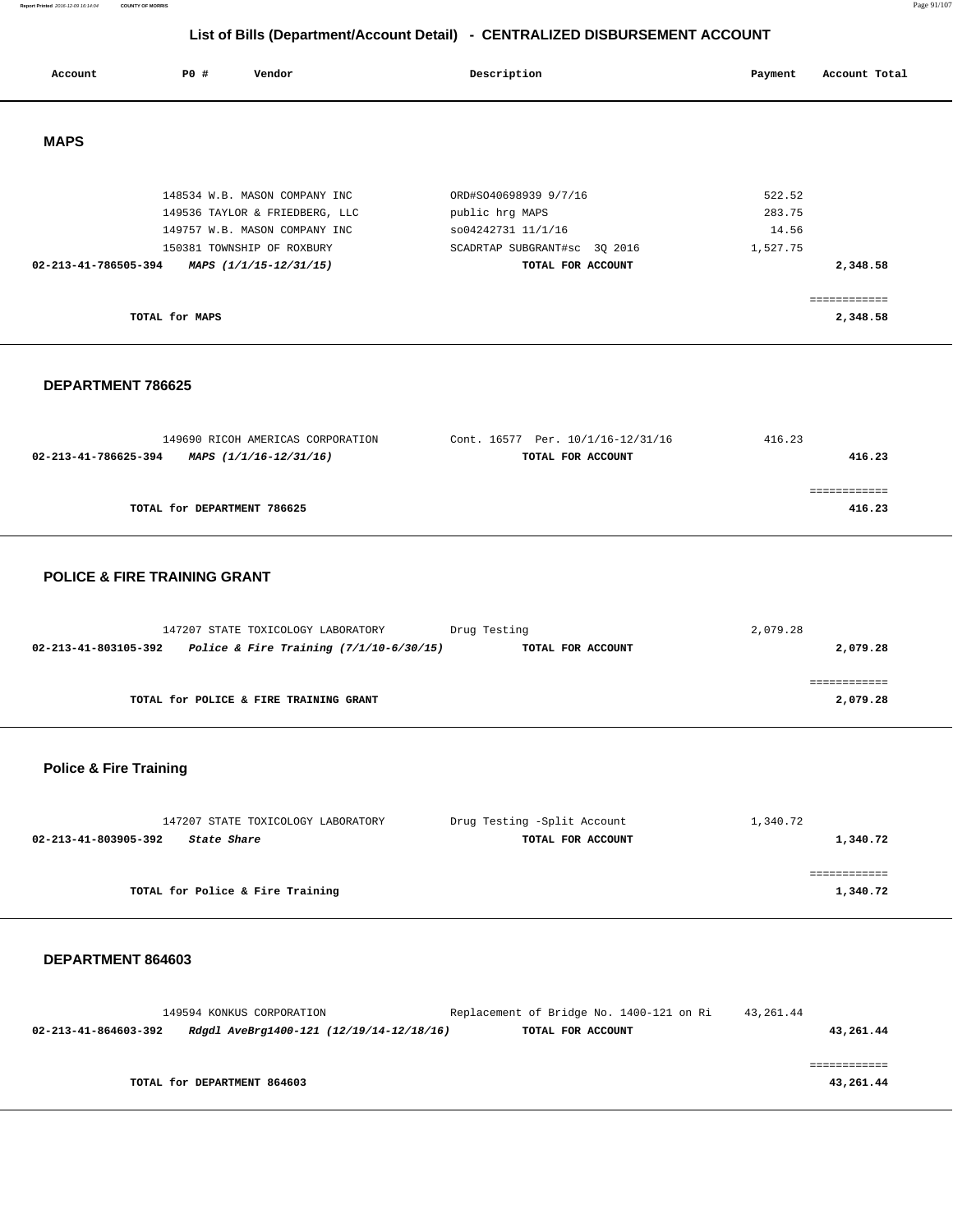**Report Printed** 2016-12-09 16:14:04 **COUNTY OF MORRIS** Page 91/107

# **List of Bills (Department/Account Detail) - CENTRALIZED DISBURSEMENT ACCOUNT**

| Account              | P0#<br>Vendor                                                                                                                                            | Description                                                                                                         | Account Total<br>Payment                          |
|----------------------|----------------------------------------------------------------------------------------------------------------------------------------------------------|---------------------------------------------------------------------------------------------------------------------|---------------------------------------------------|
| <b>MAPS</b>          |                                                                                                                                                          |                                                                                                                     |                                                   |
| 02-213-41-786505-394 | 148534 W.B. MASON COMPANY INC<br>149536 TAYLOR & FRIEDBERG, LLC<br>149757 W.B. MASON COMPANY INC<br>150381 TOWNSHIP OF ROXBURY<br>MAPS (1/1/15-12/31/15) | ORD#SO40698939 9/7/16<br>public hrg MAPS<br>so04242731 11/1/16<br>SCADRTAP SUBGRANT#sc 3Q 2016<br>TOTAL FOR ACCOUNT | 522.52<br>283.75<br>14.56<br>1,527.75<br>2,348.58 |
|                      | TOTAL for MAPS                                                                                                                                           |                                                                                                                     | ------------<br>2,348.58                          |
| DEPARTMENT 786625    |                                                                                                                                                          |                                                                                                                     |                                                   |

|                      | TOTAL for DEPARTMENT 786625       |                                   | 416.23 |
|----------------------|-----------------------------------|-----------------------------------|--------|
|                      |                                   |                                   |        |
| 02-213-41-786625-394 | MAPS (1/1/16-12/31/16)            | TOTAL FOR ACCOUNT                 | 416.23 |
|                      | 149690 RICOH AMERICAS CORPORATION | Cont. 16577 Per. 10/1/16-12/31/16 | 416.23 |

## **POLICE & FIRE TRAINING GRANT**

| 147207 STATE TOXICOLOGY LABORATORY                                | Drug Testing      | 2,079.28 |
|-------------------------------------------------------------------|-------------------|----------|
| Police & Fire Training $(7/1/10-6/30/15)$<br>02-213-41-803105-392 | TOTAL FOR ACCOUNT | 2,079.28 |
|                                                                   |                   |          |
|                                                                   |                   |          |
| TOTAL for POLICE & FIRE TRAINING GRANT                            |                   | 2,079.28 |

## **Police & Fire Training**

| Drug Testing -Split Account | 1,340.72 |
|-----------------------------|----------|
| TOTAL FOR ACCOUNT           | 1,340.72 |
|                             |          |
|                             |          |
|                             | 1,340.72 |
|                             |          |

|                      | 149594 KONKUS CORPORATION                | Replacement of Bridge No. 1400-121 on Ri | 43,261.44 |           |
|----------------------|------------------------------------------|------------------------------------------|-----------|-----------|
| 02-213-41-864603-392 | Rdgdl AveBrg1400-121 (12/19/14-12/18/16) | TOTAL FOR ACCOUNT                        |           | 43,261.44 |
|                      |                                          |                                          |           |           |
|                      |                                          |                                          |           |           |
|                      | TOTAL for DEPARTMENT 864603              |                                          |           | 43,261.44 |
|                      |                                          |                                          |           |           |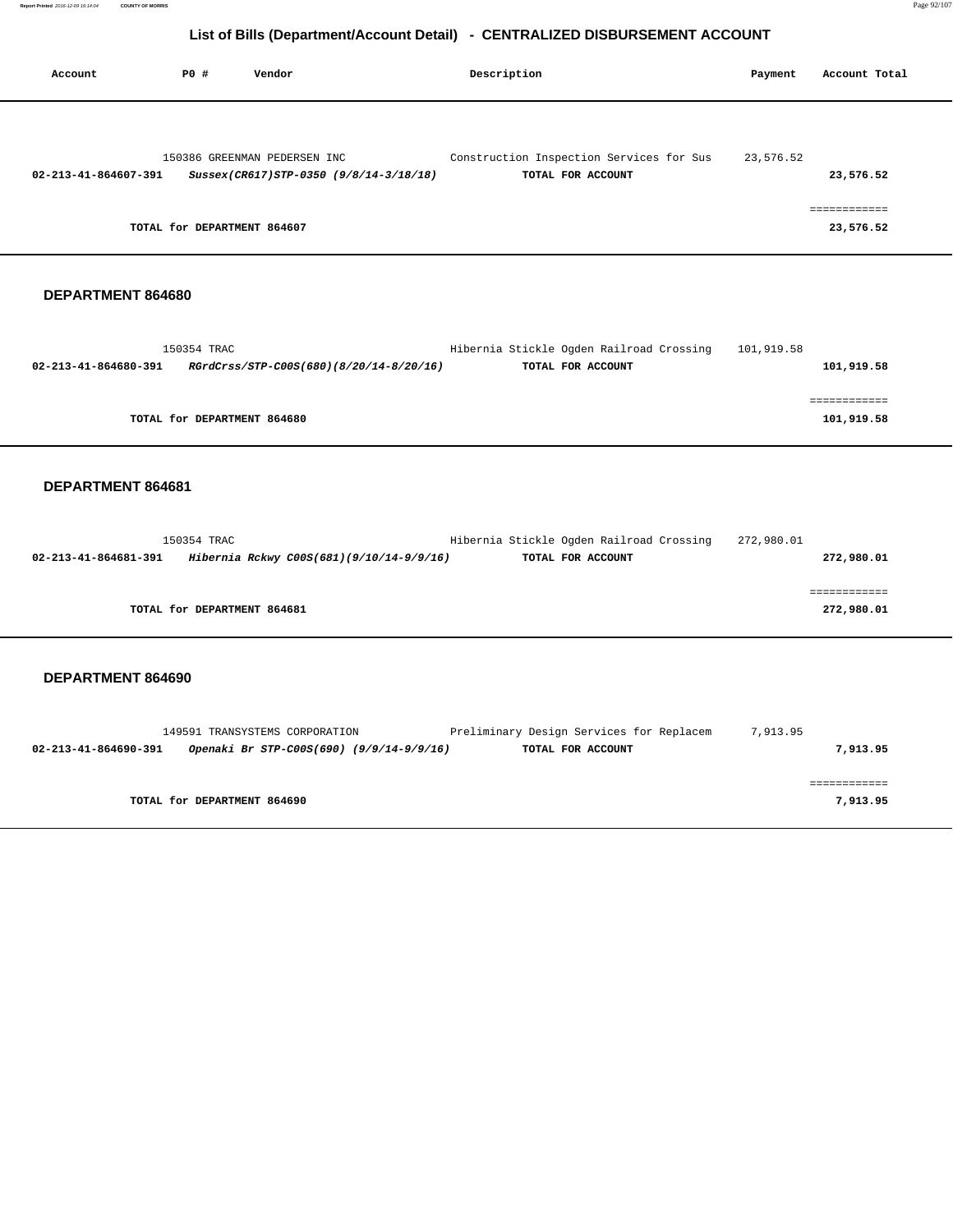| Account              | PO#                         | Vendor                                 | Description                              | Payment   | Account Total |
|----------------------|-----------------------------|----------------------------------------|------------------------------------------|-----------|---------------|
|                      |                             |                                        |                                          |           |               |
|                      |                             | 150386 GREENMAN PEDERSEN INC           | Construction Inspection Services for Sus | 23,576.52 |               |
| 02-213-41-864607-391 |                             | Sussex(CR617)STP-0350 (9/8/14-3/18/18) | TOTAL FOR ACCOUNT                        |           | 23,576.52     |
|                      |                             |                                        |                                          |           |               |
|                      | TOTAL for DEPARTMENT 864607 |                                        |                                          |           | 23,576.52     |

#### **DEPARTMENT 864680**

| 150354 TRAC          |                                         | Hibernia Stickle Ogden Railroad Crossing | 101,919.58 |            |
|----------------------|-----------------------------------------|------------------------------------------|------------|------------|
| 02-213-41-864680-391 | RGrdCrss/STP-C00S(680)(8/20/14-8/20/16) | TOTAL FOR ACCOUNT                        |            | 101,919.58 |
|                      |                                         |                                          |            |            |
|                      |                                         |                                          |            |            |
|                      | TOTAL for DEPARTMENT 864680             |                                          |            | 101,919.58 |
|                      |                                         |                                          |            |            |

#### **DEPARTMENT 864681**

|                      | 150354 TRAC                              | Hibernia Stickle Ogden Railroad Crossing | 272,980.01 |
|----------------------|------------------------------------------|------------------------------------------|------------|
| 02-213-41-864681-391 | Hibernia Rckwy C00S(681)(9/10/14-9/9/16) | TOTAL FOR ACCOUNT                        | 272,980.01 |
|                      |                                          |                                          |            |
|                      |                                          |                                          |            |

**TOTAL for DEPARTMENT 864681 272,980.01**

|                      | 149591 TRANSYSTEMS CORPORATION           | Preliminary Design Services for Replacem | 7,913.95 |
|----------------------|------------------------------------------|------------------------------------------|----------|
| 02-213-41-864690-391 | Openaki Br STP-C00S(690) (9/9/14-9/9/16) | TOTAL FOR ACCOUNT                        | 7,913.95 |
|                      |                                          |                                          |          |
|                      |                                          |                                          |          |
|                      | TOTAL for DEPARTMENT 864690              |                                          | 7,913.95 |
|                      |                                          |                                          |          |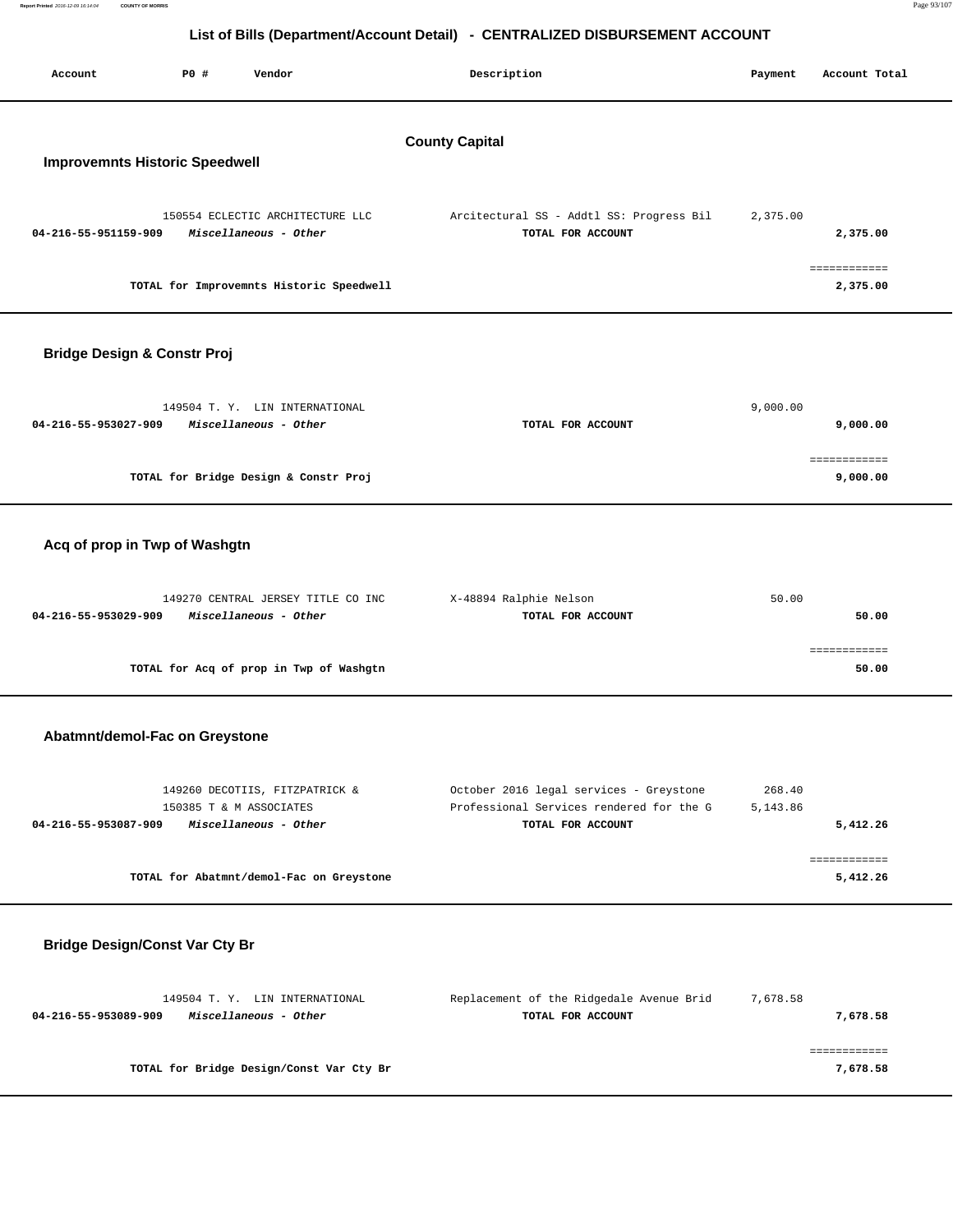| Report Printed 2016-12-09 16:14:04 | <b>COUNTY OF MORRIS</b> | Page 93/107 |
|------------------------------------|-------------------------|-------------|
|                                    |                         |             |

| Description                                                                                              | Payment            | Account Total            |  |  |  |  |  |
|----------------------------------------------------------------------------------------------------------|--------------------|--------------------------|--|--|--|--|--|
| <b>County Capital</b><br><b>Improvemnts Historic Speedwell</b>                                           |                    |                          |  |  |  |  |  |
| Arcitectural SS - Addtl SS: Progress Bil<br>TOTAL FOR ACCOUNT                                            | 2,375.00           | 2,375.00                 |  |  |  |  |  |
|                                                                                                          |                    | ============<br>2,375.00 |  |  |  |  |  |
|                                                                                                          |                    |                          |  |  |  |  |  |
| TOTAL FOR ACCOUNT                                                                                        | 9,000.00           | 9,000.00<br>============ |  |  |  |  |  |
|                                                                                                          |                    | 9,000.00                 |  |  |  |  |  |
|                                                                                                          |                    |                          |  |  |  |  |  |
| X-48894 Ralphie Nelson<br>TOTAL FOR ACCOUNT                                                              | 50.00              | 50.00                    |  |  |  |  |  |
|                                                                                                          |                    | ============<br>50.00    |  |  |  |  |  |
|                                                                                                          |                    |                          |  |  |  |  |  |
| October 2016 legal services - Greystone<br>Professional Services rendered for the G<br>TOTAL FOR ACCOUNT | 268.40<br>5,143.86 | 5,412.26                 |  |  |  |  |  |
|                                                                                                          |                    | ============<br>5,412.26 |  |  |  |  |  |
|                                                                                                          |                    |                          |  |  |  |  |  |

# **Bridge Design/Const Var Cty Br**

| 149504 T.Y. LIN INTERNATIONAL                 | Replacement of the Ridgedale Avenue Brid | 7,678.58 |
|-----------------------------------------------|------------------------------------------|----------|
| Miscellaneous - Other<br>04-216-55-953089-909 | TOTAL FOR ACCOUNT                        | 7,678.58 |
|                                               |                                          |          |
|                                               |                                          |          |
| TOTAL for Bridge Design/Const Var Cty Br      |                                          | 7,678.58 |
|                                               |                                          |          |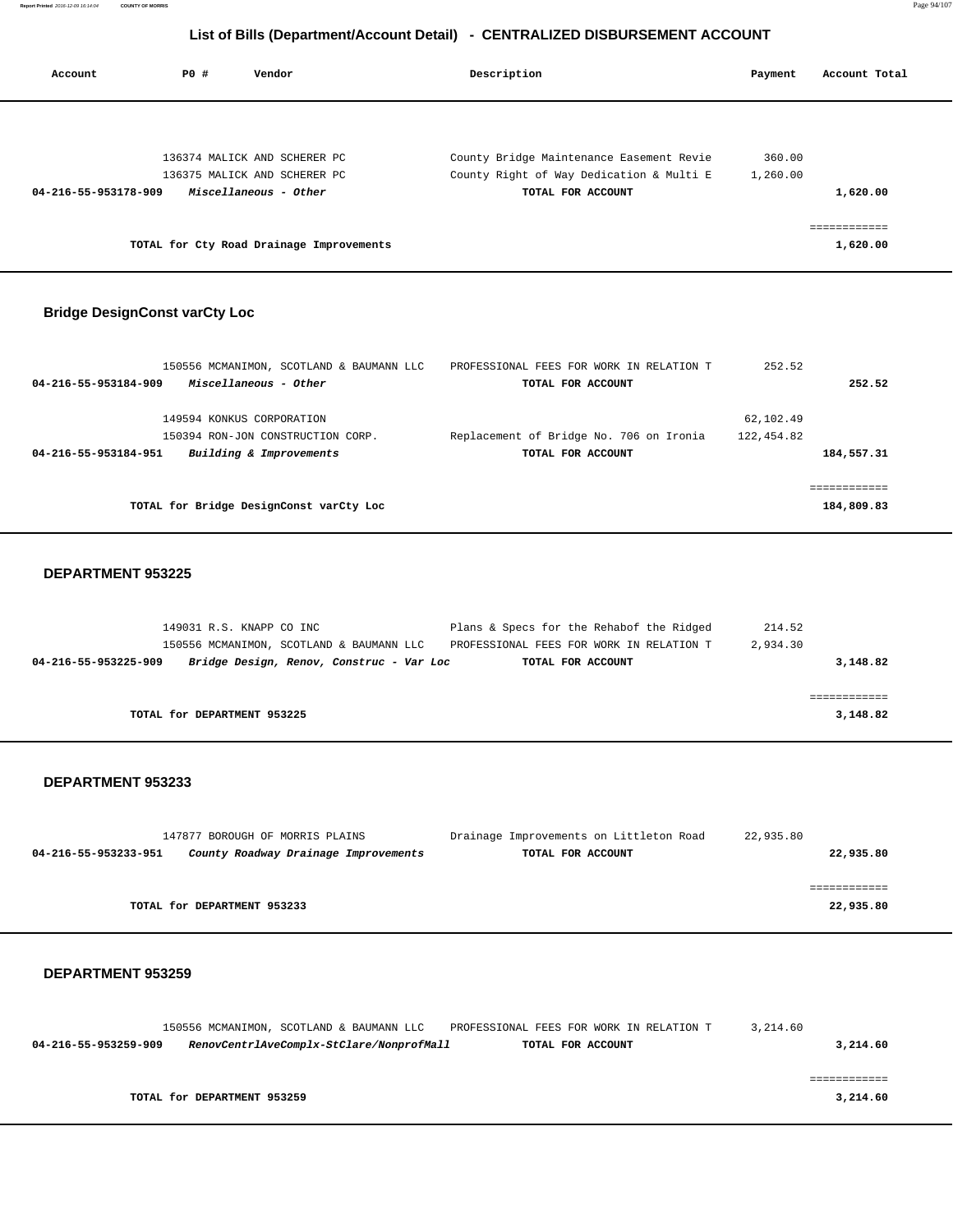| Account              | PO# | Vendor                                   | Description                              | Payment  | Account Total |
|----------------------|-----|------------------------------------------|------------------------------------------|----------|---------------|
|                      |     |                                          |                                          |          |               |
|                      |     | 136374 MALICK AND SCHERER PC             | County Bridge Maintenance Easement Revie | 360.00   |               |
|                      |     | 136375 MALICK AND SCHERER PC             | County Right of Way Dedication & Multi E | 1,260.00 |               |
| 04-216-55-953178-909 |     | Miscellaneous - Other                    | TOTAL FOR ACCOUNT                        |          | 1,620.00      |
|                      |     |                                          |                                          |          | ============  |
|                      |     | TOTAL for Cty Road Drainage Improvements |                                          |          | 1,620.00      |

# **Bridge DesignConst varCty Loc**

|                      | 150556 MCMANIMON, SCOTLAND & BAUMANN LLC | PROFESSIONAL FEES FOR WORK IN RELATION T | 252.52     |            |
|----------------------|------------------------------------------|------------------------------------------|------------|------------|
| 04-216-55-953184-909 | Miscellaneous - Other                    | TOTAL FOR ACCOUNT                        |            | 252.52     |
|                      |                                          |                                          |            |            |
|                      | 149594 KONKUS CORPORATION                |                                          | 62,102.49  |            |
|                      | 150394 RON-JON CONSTRUCTION CORP.        | Replacement of Bridge No. 706 on Ironia  | 122,454.82 |            |
| 04-216-55-953184-951 | Building & Improvements                  | TOTAL FOR ACCOUNT                        |            | 184,557.31 |
|                      |                                          |                                          |            |            |
|                      |                                          |                                          |            |            |
|                      | TOTAL for Bridge DesignConst varCty Loc  |                                          |            | 184,809.83 |
|                      |                                          |                                          |            |            |

## **DEPARTMENT 953225**

| 149031 R.S. KNAPP CO INC    |                                          | Plans & Specs for the Rehabof the Ridged | 214.52   |
|-----------------------------|------------------------------------------|------------------------------------------|----------|
|                             | 150556 MCMANIMON, SCOTLAND & BAUMANN LLC | PROFESSIONAL FEES FOR WORK IN RELATION T | 2,934.30 |
| 04-216-55-953225-909        | Bridge Design, Renov, Construc - Var Loc | TOTAL FOR ACCOUNT                        | 3,148.82 |
|                             |                                          |                                          |          |
|                             |                                          |                                          |          |
| TOTAL for DEPARTMENT 953225 |                                          |                                          | 3,148.82 |
|                             |                                          |                                          |          |

## **DEPARTMENT 953233**

|                      | 147877 BOROUGH OF MORRIS PLAINS      | Drainage Improvements on Littleton Road | 22,935.80 |
|----------------------|--------------------------------------|-----------------------------------------|-----------|
| 04-216-55-953233-951 | County Roadway Drainage Improvements | TOTAL FOR ACCOUNT                       | 22,935.80 |
|                      |                                      |                                         |           |
|                      |                                      |                                         |           |
|                      | TOTAL for DEPARTMENT 953233          |                                         | 22,935.80 |

|                             | 150556 MCMANIMON, SCOTLAND & BAUMANN LLC | PROFESSIONAL FEES FOR WORK IN RELATION T | 3,214.60 |
|-----------------------------|------------------------------------------|------------------------------------------|----------|
| 04-216-55-953259-909        | RenovCentrlAveComplx-StClare/NonprofMall | TOTAL FOR ACCOUNT                        | 3,214.60 |
|                             |                                          |                                          |          |
|                             |                                          |                                          |          |
| TOTAL for DEPARTMENT 953259 |                                          |                                          | 3,214.60 |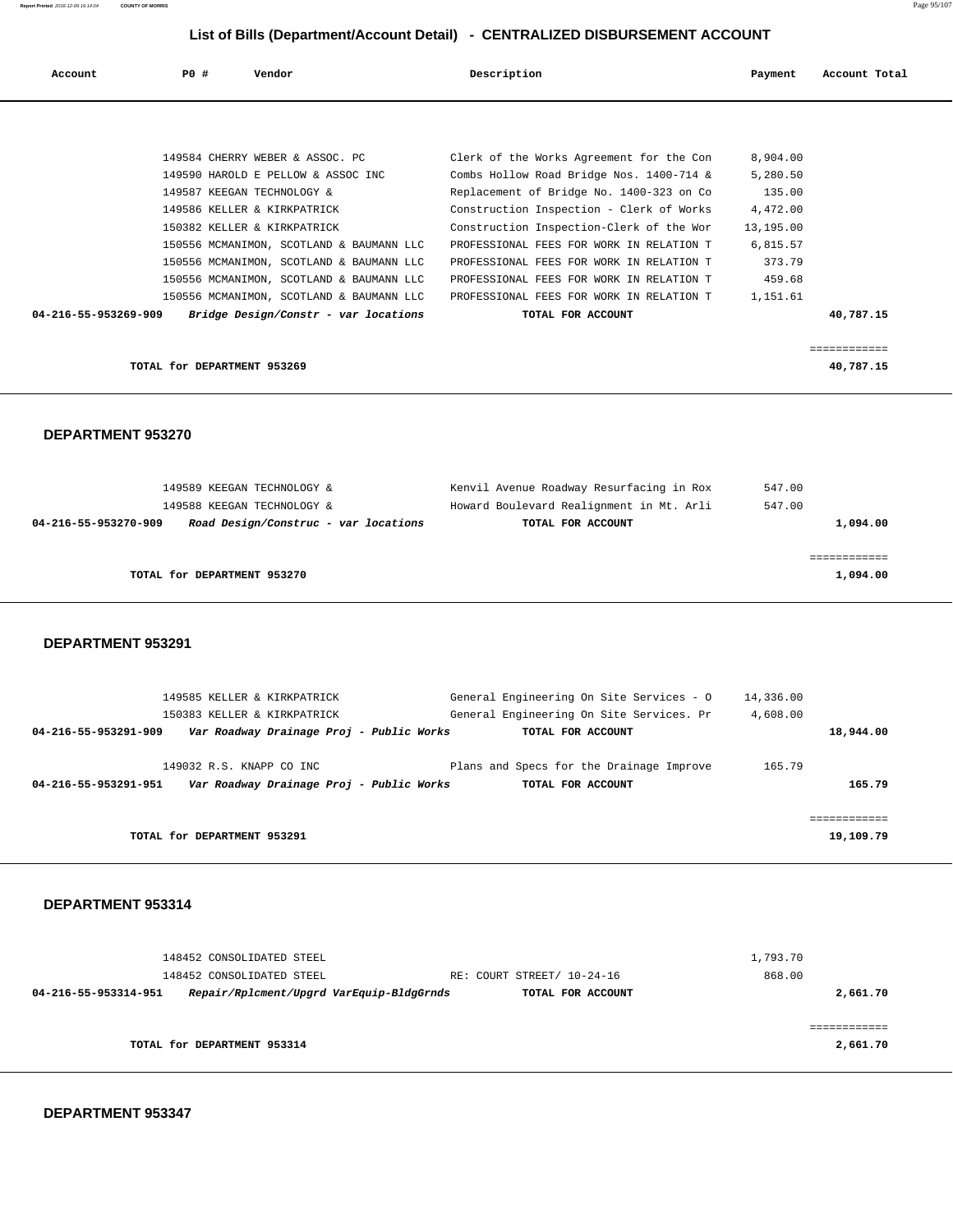| Account              | PO#                         | Vendor                                                                               | Description                                                                          | Payment               | Account Total |
|----------------------|-----------------------------|--------------------------------------------------------------------------------------|--------------------------------------------------------------------------------------|-----------------------|---------------|
|                      |                             |                                                                                      |                                                                                      |                       |               |
|                      |                             | 149584 CHERRY WEBER & ASSOC. PC                                                      | Clerk of the Works Agreement for the Con                                             | 8,904.00              |               |
|                      |                             | 149590 HAROLD E PELLOW & ASSOC INC<br>149587 KEEGAN TECHNOLOGY &                     | Combs Hollow Road Bridge Nos. 1400-714 &<br>Replacement of Bridge No. 1400-323 on Co | 5,280.50<br>135.00    |               |
|                      |                             | 149586 KELLER & KIRKPATRICK<br>150382 KELLER & KIRKPATRICK                           | Construction Inspection - Clerk of Works<br>Construction Inspection-Clerk of the Wor | 4,472.00<br>13,195.00 |               |
|                      |                             | 150556 MCMANIMON, SCOTLAND & BAUMANN LLC<br>150556 MCMANIMON, SCOTLAND & BAUMANN LLC | PROFESSIONAL FEES FOR WORK IN RELATION T<br>PROFESSIONAL FEES FOR WORK IN RELATION T | 6,815.57<br>373.79    |               |
|                      |                             | 150556 MCMANIMON, SCOTLAND & BAUMANN LLC<br>150556 MCMANIMON, SCOTLAND & BAUMANN LLC | PROFESSIONAL FEES FOR WORK IN RELATION T<br>PROFESSIONAL FEES FOR WORK IN RELATION T | 459.68<br>1,151.61    |               |
| 04-216-55-953269-909 |                             | Bridge Design/Constr - var locations                                                 | TOTAL FOR ACCOUNT                                                                    |                       | 40,787.15     |
|                      |                             |                                                                                      |                                                                                      |                       | ============  |
|                      | TOTAL for DEPARTMENT 953269 |                                                                                      |                                                                                      |                       | 40,787.15     |

 **DEPARTMENT 953270** 

 149589 KEEGAN TECHNOLOGY & Kenvil Avenue Roadway Resurfacing in Rox 547.00 149588 KEEGAN TECHNOLOGY & Howard Boulevard Realignment in Mt. Arli 547.00  **04-216-55-953270-909 Road Design/Construc - var locations TOTAL FOR ACCOUNT 1,094.00** ============ **TOTAL for DEPARTMENT 953270** 1,094.00

## **DEPARTMENT 953291**

|                      |                             | 149585 KELLER & KIRKPATRICK              |  |                   | General Engineering On Site Services - O | 14,336.00 |           |
|----------------------|-----------------------------|------------------------------------------|--|-------------------|------------------------------------------|-----------|-----------|
|                      |                             | 150383 KELLER & KIRKPATRICK              |  |                   | General Engineering On Site Services. Pr | 4,608.00  |           |
| 04-216-55-953291-909 |                             | Var Roadway Drainage Proj - Public Works |  | TOTAL FOR ACCOUNT |                                          |           | 18,944.00 |
|                      |                             |                                          |  |                   |                                          |           |           |
|                      | 149032 R.S. KNAPP CO INC    |                                          |  |                   | Plans and Specs for the Drainage Improve | 165.79    |           |
| 04-216-55-953291-951 |                             | Var Roadway Drainage Proj - Public Works |  | TOTAL FOR ACCOUNT |                                          |           | 165.79    |
|                      |                             |                                          |  |                   |                                          |           |           |
|                      |                             |                                          |  |                   |                                          |           |           |
|                      | TOTAL for DEPARTMENT 953291 |                                          |  |                   |                                          |           | 19,109.79 |
|                      |                             |                                          |  |                   |                                          |           |           |

#### **DEPARTMENT 953314**

| 148452 CONSOLIDATED STEEL<br>148452 CONSOLIDATED STEEL           | RE: COURT STREET/ 10-24-16 | 1,793.70<br>868.00 |
|------------------------------------------------------------------|----------------------------|--------------------|
| Repair/Rplcment/Upgrd VarEquip-BldgGrnds<br>04-216-55-953314-951 | TOTAL FOR ACCOUNT          | 2,661.70           |
|                                                                  |                            |                    |
| TOTAL for DEPARTMENT 953314                                      |                            | 2,661.70           |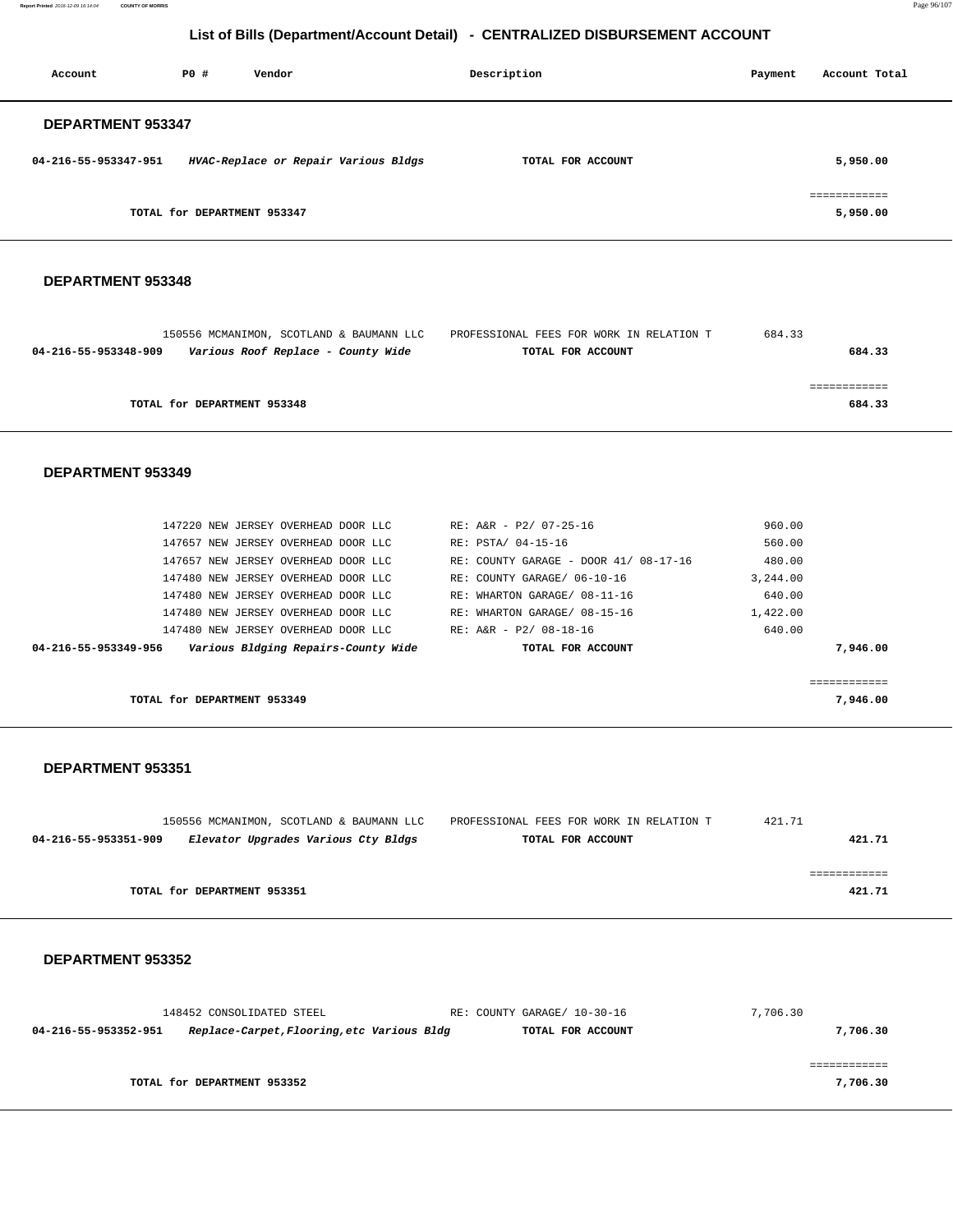**Report Printed** 2016-12-09 16:14:04 **COUNTY OF MORRIS** Page 96/107

# **List of Bills (Department/Account Detail) - CENTRALIZED DISBURSEMENT ACCOUNT**

| Account              | PO#                         | Vendor                               | Description       | Payment | Account Total            |
|----------------------|-----------------------------|--------------------------------------|-------------------|---------|--------------------------|
| DEPARTMENT 953347    |                             |                                      |                   |         |                          |
| 04-216-55-953347-951 |                             | HVAC-Replace or Repair Various Bldgs | TOTAL FOR ACCOUNT |         | 5,950.00                 |
|                      | TOTAL for DEPARTMENT 953347 |                                      |                   |         | ============<br>5,950.00 |

#### **DEPARTMENT 953348**

|                      | 150556 MCMANIMON, SCOTLAND & BAUMANN LLC | PROFESSIONAL FEES FOR WORK IN RELATION T | 684.33 |        |
|----------------------|------------------------------------------|------------------------------------------|--------|--------|
| 04-216-55-953348-909 | Various Roof Replace - County Wide       | TOTAL FOR ACCOUNT                        |        | 684.33 |
|                      |                                          |                                          |        |        |
|                      |                                          |                                          |        |        |
|                      | TOTAL for DEPARTMENT 953348              |                                          |        | 684.33 |

#### **DEPARTMENT 953349**

| 04-216-55-953349-956 | Various Bldging Repairs-County Wide |  | TOTAL FOR ACCOUNT                     |          | 7,946,00 |
|----------------------|-------------------------------------|--|---------------------------------------|----------|----------|
|                      | 147480 NEW JERSEY OVERHEAD DOOR LLC |  | RE: A&R - P2/ 08-18-16                | 640.00   |          |
|                      | 147480 NEW JERSEY OVERHEAD DOOR LLC |  | RE: WHARTON GARAGE/ 08-15-16          | 1,422.00 |          |
|                      | 147480 NEW JERSEY OVERHEAD DOOR LLC |  | RE: WHARTON GARAGE/ 08-11-16          | 640.00   |          |
|                      | 147480 NEW JERSEY OVERHEAD DOOR LLC |  | RE: COUNTY GARAGE/ 06-10-16           | 3,244.00 |          |
|                      | 147657 NEW JERSEY OVERHEAD DOOR LLC |  | RE: COUNTY GARAGE - DOOR 41/ 08-17-16 | 480.00   |          |
|                      | 147657 NEW JERSEY OVERHEAD DOOR LLC |  | RE: PSTA/ 04-15-16                    | 560.00   |          |
|                      | 147220 NEW JERSEY OVERHEAD DOOR LLC |  | RE: A&R - P2/ 07-25-16                | 960.00   |          |

**TOTAL for DEPARTMENT 953349 7,946.00**

#### **DEPARTMENT 953351**

|                      |                             | 150556 MCMANIMON, SCOTLAND & BAUMANN LLC | PROFESSIONAL FEES FOR WORK IN RELATION T | 421.71 |
|----------------------|-----------------------------|------------------------------------------|------------------------------------------|--------|
| 04-216-55-953351-909 |                             | Elevator Upgrades Various Cty Bldgs      | TOTAL FOR ACCOUNT                        | 421.71 |
|                      |                             |                                          |                                          |        |
|                      |                             |                                          |                                          |        |
|                      | TOTAL for DEPARTMENT 953351 |                                          |                                          | 421.71 |

| 148452 CONSOLIDATED STEEL                                          | RE: COUNTY GARAGE/ 10-30-16 | 7,706.30 |
|--------------------------------------------------------------------|-----------------------------|----------|
| Replace-Carpet, Flooring, etc Various Bldg<br>04-216-55-953352-951 | TOTAL FOR ACCOUNT           | 7,706.30 |
|                                                                    |                             |          |
|                                                                    |                             |          |
| TOTAL for DEPARTMENT 953352                                        |                             | 7,706.30 |
|                                                                    |                             |          |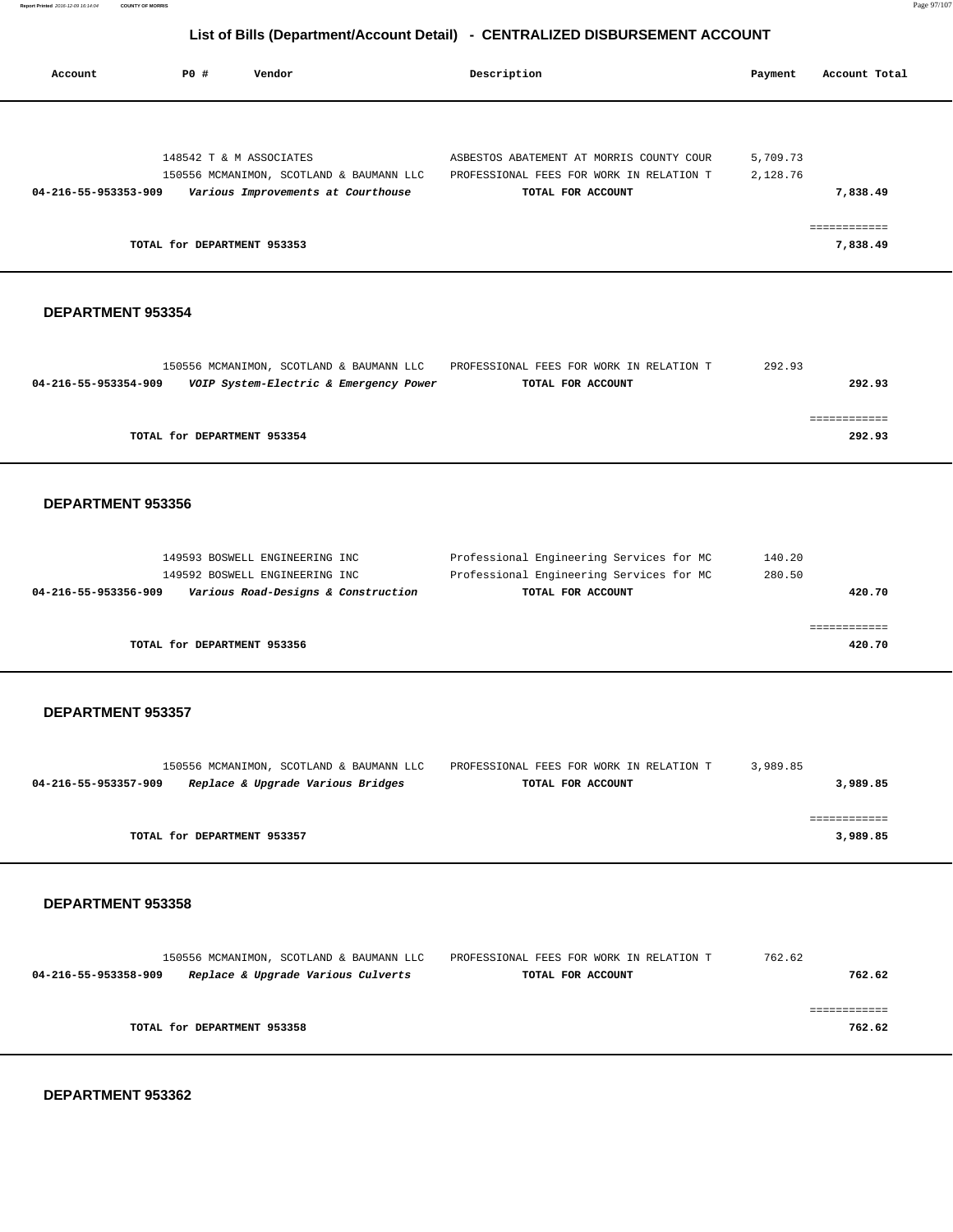| Account              | PO#                         | Vendor                                   | Description                              | Payment  | Account Total |
|----------------------|-----------------------------|------------------------------------------|------------------------------------------|----------|---------------|
|                      |                             |                                          |                                          |          |               |
|                      |                             | 148542 T & M ASSOCIATES                  | ASBESTOS ABATEMENT AT MORRIS COUNTY COUR | 5,709.73 |               |
|                      |                             | 150556 MCMANIMON, SCOTLAND & BAUMANN LLC | PROFESSIONAL FEES FOR WORK IN RELATION T | 2,128.76 |               |
| 04-216-55-953353-909 |                             | Various Improvements at Courthouse       | TOTAL FOR ACCOUNT                        |          | 7,838.49      |
|                      |                             |                                          |                                          |          |               |
|                      | TOTAL for DEPARTMENT 953353 |                                          |                                          |          | 7,838.49      |
|                      |                             |                                          |                                          |          |               |

#### **DEPARTMENT 953354**

|                      | 150556 MCMANIMON, SCOTLAND & BAUMANN LLC | PROFESSIONAL FEES FOR WORK IN RELATION T | 292.93 |
|----------------------|------------------------------------------|------------------------------------------|--------|
| 04-216-55-953354-909 | VOIP System-Electric & Emergency Power   | TOTAL FOR ACCOUNT                        | 292.93 |
|                      |                                          |                                          |        |
|                      |                                          |                                          |        |
|                      | TOTAL for DEPARTMENT 953354              |                                          | 292.93 |

#### **DEPARTMENT 953356**

| 149593 BOSWELL ENGINEERING INC                              | Professional Engineering Services for MC | 140.20 |
|-------------------------------------------------------------|------------------------------------------|--------|
| 149592 BOSWELL ENGINEERING INC                              | Professional Engineering Services for MC | 280.50 |
| Various Road-Designs & Construction<br>04-216-55-953356-909 | TOTAL FOR ACCOUNT                        | 420.70 |
|                                                             |                                          |        |
|                                                             |                                          |        |
| TOTAL for DEPARTMENT 953356                                 |                                          | 420.70 |
|                                                             |                                          |        |

## **DEPARTMENT 953357**

|                             | 150556 MCMANIMON, SCOTLAND & BAUMANN LLC | PROFESSIONAL FEES FOR WORK IN RELATION T | 3,989.85 |
|-----------------------------|------------------------------------------|------------------------------------------|----------|
| 04-216-55-953357-909        | Replace & Upgrade Various Bridges        | TOTAL FOR ACCOUNT                        | 3,989.85 |
|                             |                                          |                                          |          |
|                             |                                          |                                          |          |
| TOTAL for DEPARTMENT 953357 |                                          |                                          | 3,989.85 |
|                             |                                          |                                          |          |

#### **DEPARTMENT 953358**

|                      | 150556 MCMANIMON, SCOTLAND & BAUMANN LLC | PROFESSIONAL FEES FOR WORK IN RELATION T | 762.62 |
|----------------------|------------------------------------------|------------------------------------------|--------|
| 04-216-55-953358-909 | Replace & Upgrade Various Culverts       | TOTAL FOR ACCOUNT                        | 762.62 |
|                      |                                          |                                          |        |
|                      |                                          |                                          |        |
|                      | TOTAL for DEPARTMENT 953358              |                                          | 762.62 |
|                      |                                          |                                          |        |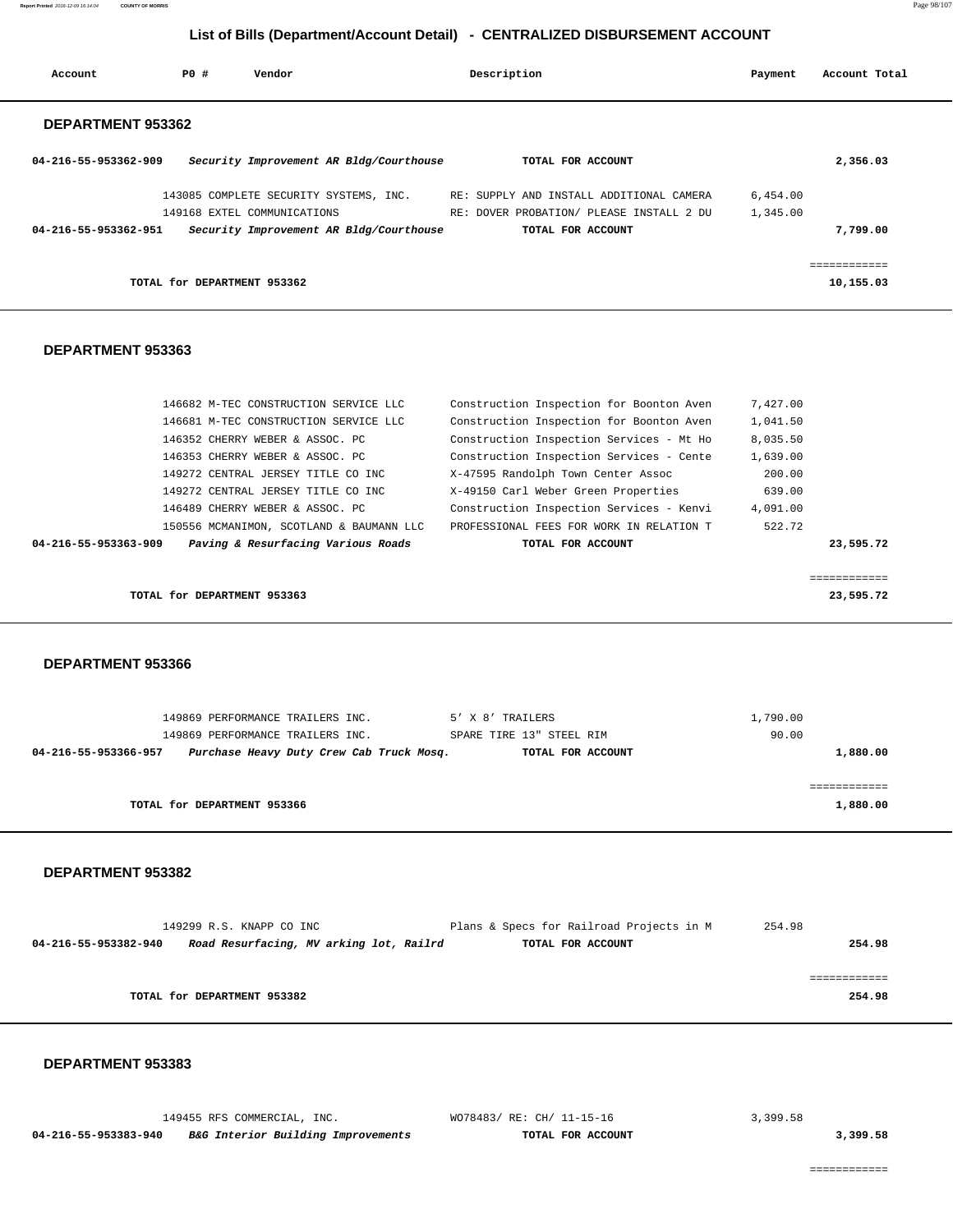**Report Printed** 2016-12-09 16:14:04 **COUNTY OF MORRIS** Page 98/107

# **List of Bills (Department/Account Detail) - CENTRALIZED DISBURSEMENT ACCOUNT**

| Account              | PO#                         | Vendor                                  | Description                              | Payment  | Account Total |
|----------------------|-----------------------------|-----------------------------------------|------------------------------------------|----------|---------------|
| DEPARTMENT 953362    |                             |                                         |                                          |          |               |
| 04-216-55-953362-909 |                             | Security Improvement AR Bldg/Courthouse | TOTAL FOR ACCOUNT                        |          | 2,356.03      |
|                      |                             | 143085 COMPLETE SECURITY SYSTEMS, INC.  | RE: SUPPLY AND INSTALL ADDITIONAL CAMERA | 6,454.00 |               |
|                      |                             | 149168 EXTEL COMMUNICATIONS             | RE: DOVER PROBATION/ PLEASE INSTALL 2 DU | 1,345.00 |               |
| 04-216-55-953362-951 |                             | Security Improvement AR Bldg/Courthouse | TOTAL FOR ACCOUNT                        |          | 7,799.00      |
|                      |                             |                                         |                                          |          | eessessesses  |
|                      | TOTAL for DEPARTMENT 953362 |                                         |                                          |          | 10,155.03     |

## **DEPARTMENT 953363**

| 146682 M-TEC CONSTRUCTION SERVICE LLC                      | Construction Inspection for Boonton Aven | 7,427.00     |
|------------------------------------------------------------|------------------------------------------|--------------|
| 146681 M-TEC CONSTRUCTION SERVICE LLC                      | Construction Inspection for Boonton Aven | 1,041.50     |
| 146352 CHERRY WEBER & ASSOC. PC                            | Construction Inspection Services - Mt Ho | 8,035.50     |
| 146353 CHERRY WEBER & ASSOC. PC                            | Construction Inspection Services - Cente | 1,639.00     |
| 149272 CENTRAL JERSEY TITLE CO INC                         | X-47595 Randolph Town Center Assoc       | 200.00       |
| 149272 CENTRAL JERSEY TITLE CO INC                         | X-49150 Carl Weber Green Properties      | 639.00       |
| 146489 CHERRY WEBER & ASSOC. PC                            | Construction Inspection Services - Kenvi | 4,091.00     |
| 150556 MCMANIMON, SCOTLAND & BAUMANN LLC                   | PROFESSIONAL FEES FOR WORK IN RELATION T | 522.72       |
| Paving & Resurfacing Various Roads<br>04-216-55-953363-909 | TOTAL FOR ACCOUNT                        | 23,595.72    |
|                                                            |                                          |              |
|                                                            |                                          | :=========== |
| TOTAL for DEPARTMENT 953363                                |                                          | 23,595.72    |

## **DEPARTMENT 953366**

| 149869 PERFORMANCE TRAILERS INC.<br>149869 PERFORMANCE TRAILERS INC. |                                          | 5' X 8' TRAILERS<br>SPARE TIRE 13" STEEL RIM | 1,790.00<br>90.00 |
|----------------------------------------------------------------------|------------------------------------------|----------------------------------------------|-------------------|
| 04-216-55-953366-957                                                 | Purchase Heavy Duty Crew Cab Truck Mosq. | TOTAL FOR ACCOUNT                            | 1,880.00          |
|                                                                      |                                          |                                              |                   |
| TOTAL for DEPARTMENT 953366                                          |                                          |                                              | 1,880.00          |

## **DEPARTMENT 953382**

|                      | 149299 R.S. KNAPP CO INC                | Plans & Specs for Railroad Projects in M | 254.98 |
|----------------------|-----------------------------------------|------------------------------------------|--------|
| 04-216-55-953382-940 | Road Resurfacing, MV arking lot, Railrd | TOTAL FOR ACCOUNT                        | 254.98 |
|                      |                                         |                                          |        |
|                      |                                         |                                          |        |
|                      | TOTAL for DEPARTMENT 953382             |                                          | 254.98 |

|                      | 149455 RFS COMMERCIAL, INC.        | WO78483/ RE: CH/ 11-15-16 | 3,399.58 |
|----------------------|------------------------------------|---------------------------|----------|
| 04-216-55-953383-940 | B&G Interior Building Improvements | TOTAL FOR ACCOUNT         | 3,399.58 |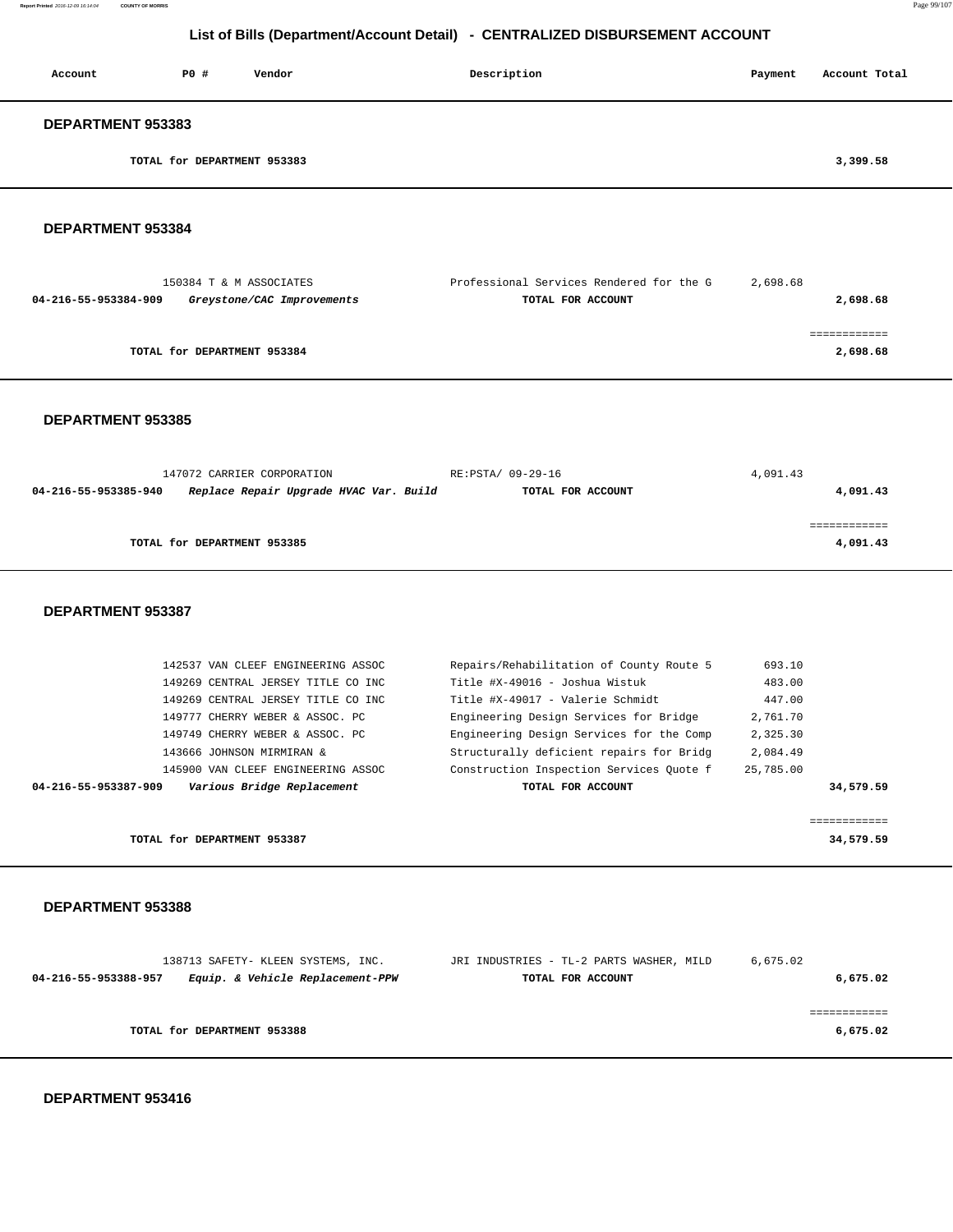| Account                  | PO#                         | Vendor | Description | Payment | Account Total |
|--------------------------|-----------------------------|--------|-------------|---------|---------------|
| <b>DEPARTMENT 953383</b> |                             |        |             |         |               |
|                          | TOTAL for DEPARTMENT 953383 |        |             |         | 3,399.58      |

 **DEPARTMENT 953384** 

| 150384 T & M ASSOCIATES                            |  | Professional Services Rendered for the G | 2,698.68 |
|----------------------------------------------------|--|------------------------------------------|----------|
| 04-216-55-953384-909<br>Greystone/CAC Improvements |  | TOTAL FOR ACCOUNT                        | 2,698.68 |
|                                                    |  |                                          |          |
|                                                    |  |                                          |          |
| TOTAL for DEPARTMENT 953384                        |  |                                          | 2,698.68 |
|                                                    |  |                                          |          |

 **DEPARTMENT 953385** 

| 147072 CARRIER CORPORATION                                     | RE:PSTA/ 09-29-16 |                   | 4,091.43 |
|----------------------------------------------------------------|-------------------|-------------------|----------|
| Replace Repair Upgrade HVAC Var. Build<br>04-216-55-953385-940 |                   | TOTAL FOR ACCOUNT | 4,091.43 |
|                                                                |                   |                   |          |
|                                                                |                   |                   |          |
| TOTAL for DEPARTMENT 953385                                    |                   |                   | 4,091.43 |
|                                                                |                   |                   |          |

## **DEPARTMENT 953387**

| TOTAL for DEPARTMENT 953387                        |                                          | 34,579.59 |
|----------------------------------------------------|------------------------------------------|-----------|
|                                                    |                                          |           |
| Various Bridge Replacement<br>04-216-55-953387-909 | TOTAL FOR ACCOUNT                        | 34,579.59 |
| 145900 VAN CLEEF ENGINEERING ASSOC                 | Construction Inspection Services Quote f | 25,785.00 |
| 143666 JOHNSON MIRMIRAN &                          | Structurally deficient repairs for Bridg | 2,084.49  |
| 149749 CHERRY WEBER & ASSOC. PC                    | Engineering Design Services for the Comp | 2,325.30  |
| 149777 CHERRY WEBER & ASSOC. PC                    | Engineering Design Services for Bridge   | 2,761.70  |
| 149269 CENTRAL JERSEY TITLE CO INC                 | Title #X-49017 - Valerie Schmidt         | 447.00    |
| 149269 CENTRAL JERSEY TITLE CO INC                 | Title #X-49016 - Joshua Wistuk           | 483.00    |
| 142537 VAN CLEEF ENGINEERING ASSOC                 | Repairs/Rehabilitation of County Route 5 | 693.10    |

#### **DEPARTMENT 953388**

| 138713 SAFETY- KLEEN SYSTEMS, INC.                       | JRI INDUSTRIES - TL-2 PARTS WASHER, MILD | 6,675.02 |
|----------------------------------------------------------|------------------------------------------|----------|
| Equip. & Vehicle Replacement-PPW<br>04-216-55-953388-957 | TOTAL FOR ACCOUNT                        | 6,675.02 |
|                                                          |                                          |          |
|                                                          |                                          |          |
| TOTAL for DEPARTMENT 953388                              |                                          | 6,675.02 |
|                                                          |                                          |          |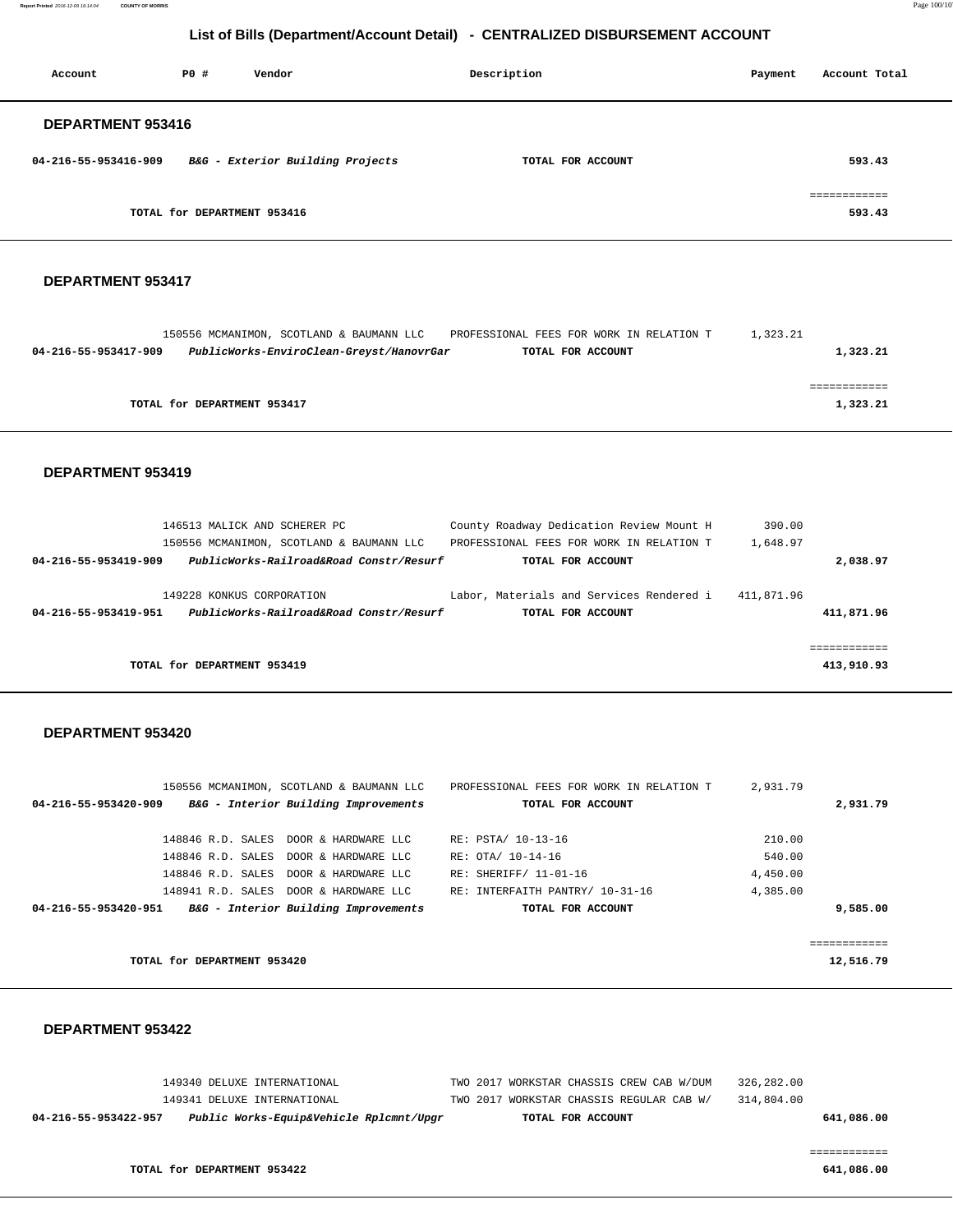| Account              | PO#                         | Vendor                           | Description       | Account Total<br>Payment |
|----------------------|-----------------------------|----------------------------------|-------------------|--------------------------|
| DEPARTMENT 953416    |                             |                                  |                   |                          |
| 04-216-55-953416-909 |                             | B&G - Exterior Building Projects | TOTAL FOR ACCOUNT | 593.43                   |
|                      | TOTAL for DEPARTMENT 953416 |                                  |                   | ------------<br>593.43   |

#### **DEPARTMENT 953417**

|                      |                             | 150556 MCMANIMON, SCOTLAND & BAUMANN LLC |                   | PROFESSIONAL FEES FOR WORK IN RELATION T | 1,323.21 |  |
|----------------------|-----------------------------|------------------------------------------|-------------------|------------------------------------------|----------|--|
| 04-216-55-953417-909 |                             | PublicWorks-EnviroClean-Greyst/HanovrGar | TOTAL FOR ACCOUNT |                                          | 1,323.21 |  |
|                      |                             |                                          |                   |                                          |          |  |
|                      |                             |                                          |                   |                                          |          |  |
|                      | TOTAL for DEPARTMENT 953417 |                                          |                   |                                          | 1,323.21 |  |
|                      |                             |                                          |                   |                                          |          |  |

#### **DEPARTMENT 953419**

|                      | 146513 MALICK AND SCHERER PC             |                                         | County Roadway Dedication Review Mount H | 390.00     |            |
|----------------------|------------------------------------------|-----------------------------------------|------------------------------------------|------------|------------|
|                      | 150556 MCMANIMON, SCOTLAND & BAUMANN LLC |                                         | PROFESSIONAL FEES FOR WORK IN RELATION T | 1,648.97   |            |
| 04-216-55-953419-909 | PublicWorks-Railroad&Road Constr/Resurf  |                                         | TOTAL FOR ACCOUNT                        |            | 2,038.97   |
|                      |                                          |                                         |                                          |            |            |
|                      | 149228 KONKUS CORPORATION                |                                         | Labor, Materials and Services Rendered i | 411,871.96 |            |
| 04-216-55-953419-951 |                                          | PublicWorks-Railroad&Road Constr/Resurf | TOTAL FOR ACCOUNT                        |            | 411,871.96 |
|                      |                                          |                                         |                                          |            |            |
|                      |                                          |                                         |                                          |            |            |
|                      | TOTAL for DEPARTMENT 953419              |                                         |                                          |            | 413,910.93 |
|                      |                                          |                                         |                                          |            |            |

#### **DEPARTMENT 953420**

|                      |                             | 150556 MCMANIMON, SCOTLAND & BAUMANN LLC | PROFESSIONAL FEES FOR WORK IN RELATION T | 2,931.79 |              |
|----------------------|-----------------------------|------------------------------------------|------------------------------------------|----------|--------------|
| 04-216-55-953420-909 |                             | B&G - Interior Building Improvements     | TOTAL FOR ACCOUNT                        |          | 2,931.79     |
|                      |                             | 148846 R.D. SALES DOOR & HARDWARE LLC    | RE: PSTA/ 10-13-16                       | 210.00   |              |
|                      |                             | 148846 R.D. SALES DOOR & HARDWARE LLC    | RE: OTA/ 10-14-16                        | 540.00   |              |
|                      |                             | 148846 R.D. SALES DOOR & HARDWARE LLC    | RE: SHERIFF/ 11-01-16                    | 4,450.00 |              |
|                      |                             | 148941 R.D. SALES DOOR & HARDWARE LLC    | RE: INTERFAITH PANTRY/ 10-31-16          | 4,385.00 |              |
| 04-216-55-953420-951 |                             | B&G - Interior Building Improvements     | TOTAL FOR ACCOUNT                        |          | 9,585.00     |
|                      |                             |                                          |                                          |          |              |
|                      |                             |                                          |                                          |          | essessessess |
|                      | TOTAL for DEPARTMENT 953420 |                                          |                                          |          | 12,516.79    |

## **DEPARTMENT 953422**

| 314,804.00 |
|------------|
| 326,282.00 |
|            |

============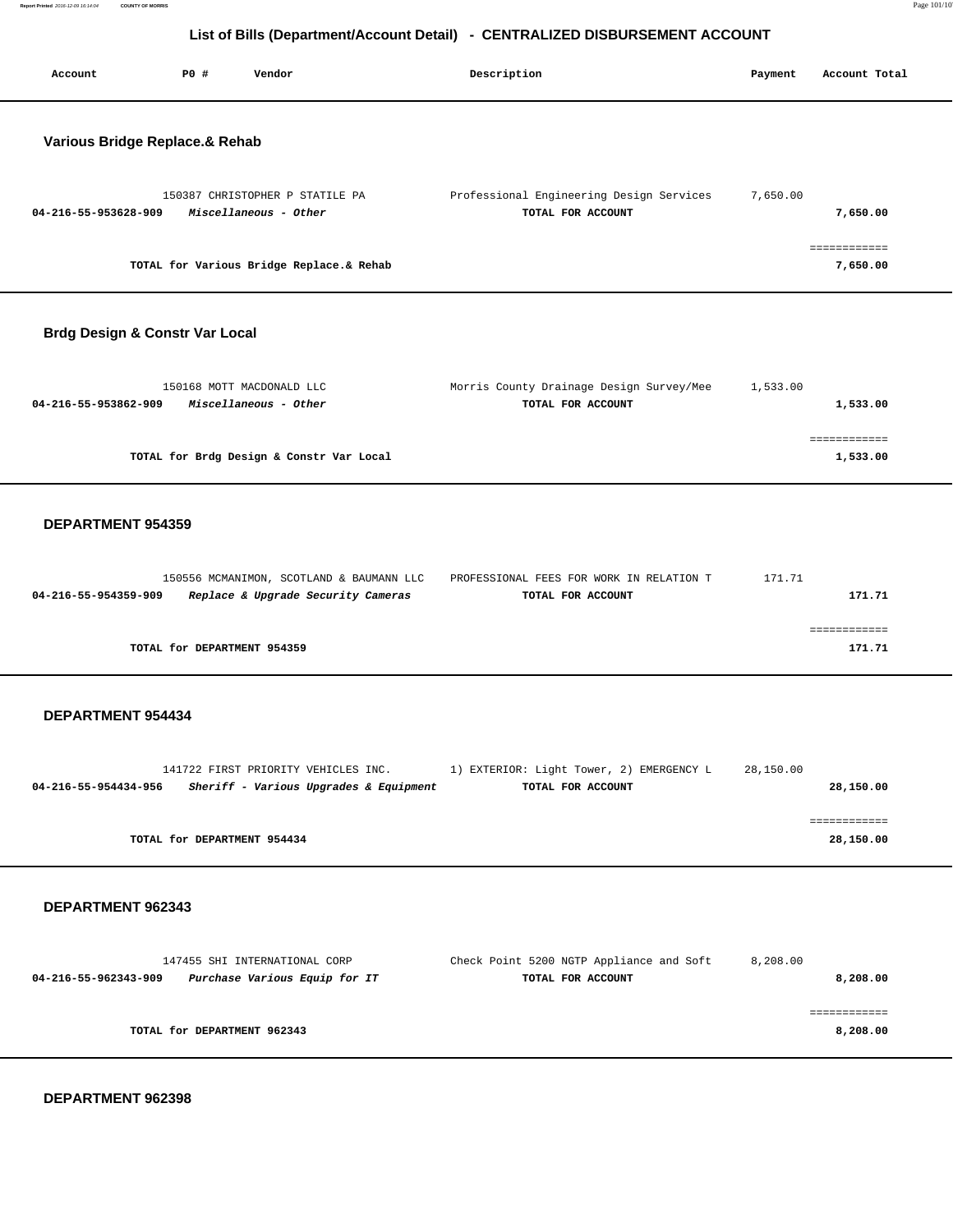|                                           | Liot of Billo (Bopartmontry/toobalit Botan)              | <b>PERTITURED DIODOROEMENT AOOOONT</b>                        |                          |
|-------------------------------------------|----------------------------------------------------------|---------------------------------------------------------------|--------------------------|
| Account                                   | P0 #<br>Vendor                                           | Description                                                   | Account Total<br>Payment |
| Various Bridge Replace.& Rehab            |                                                          |                                                               |                          |
| 04-216-55-953628-909                      | 150387 CHRISTOPHER P STATILE PA<br>Miscellaneous - Other | Professional Engineering Design Services<br>TOTAL FOR ACCOUNT | 7,650.00<br>7,650.00     |
|                                           | TOTAL for Various Bridge Replace.& Rehab                 |                                                               | ============<br>7,650.00 |
| <b>Brdg Design &amp; Constr Var Local</b> |                                                          |                                                               |                          |
| 04-216-55-953862-909                      | 150168 MOTT MACDONALD LLC<br>Miscellaneous - Other       | Morris County Drainage Design Survey/Mee<br>TOTAL FOR ACCOUNT | 1,533.00<br>1,533.00     |
|                                           | TOTAL for Brdg Design & Constr Var Local                 |                                                               | ============<br>1,533.00 |

#### **DEPARTMENT 954359**

|                      | 150556 MCMANIMON, SCOTLAND & BAUMANN LLC | PROFESSIONAL FEES FOR WORK IN RELATION T | 171.71 |
|----------------------|------------------------------------------|------------------------------------------|--------|
| 04-216-55-954359-909 | Replace & Upgrade Security Cameras       | TOTAL FOR ACCOUNT                        | 171.71 |
|                      |                                          |                                          |        |
|                      |                                          |                                          |        |
|                      | TOTAL for DEPARTMENT 954359              |                                          | 171.71 |
|                      |                                          |                                          |        |

#### **DEPARTMENT 954434**

|                      | 141722 FIRST PRIORITY VEHICLES INC. |                                        | 1) EXTERIOR: Light Tower, 2) EMERGENCY L | 28,150.00 |
|----------------------|-------------------------------------|----------------------------------------|------------------------------------------|-----------|
| 04-216-55-954434-956 |                                     | Sheriff - Various Upgrades & Equipment | TOTAL FOR ACCOUNT                        | 28,150.00 |
|                      |                                     |                                        |                                          |           |
|                      |                                     |                                        |                                          |           |
|                      |                                     |                                        |                                          |           |
|                      | TOTAL for DEPARTMENT 954434         |                                        |                                          | 28,150.00 |

#### **DEPARTMENT 962343**

| 147455 SHI INTERNATIONAL CORP                         | Check Point 5200 NGTP Appliance and Soft | 8,208.00 |
|-------------------------------------------------------|------------------------------------------|----------|
| Purchase Various Equip for IT<br>04-216-55-962343-909 | TOTAL FOR ACCOUNT                        | 8,208.00 |
|                                                       |                                          |          |
|                                                       |                                          |          |
| TOTAL for DEPARTMENT 962343                           |                                          | 8,208.00 |
|                                                       |                                          |          |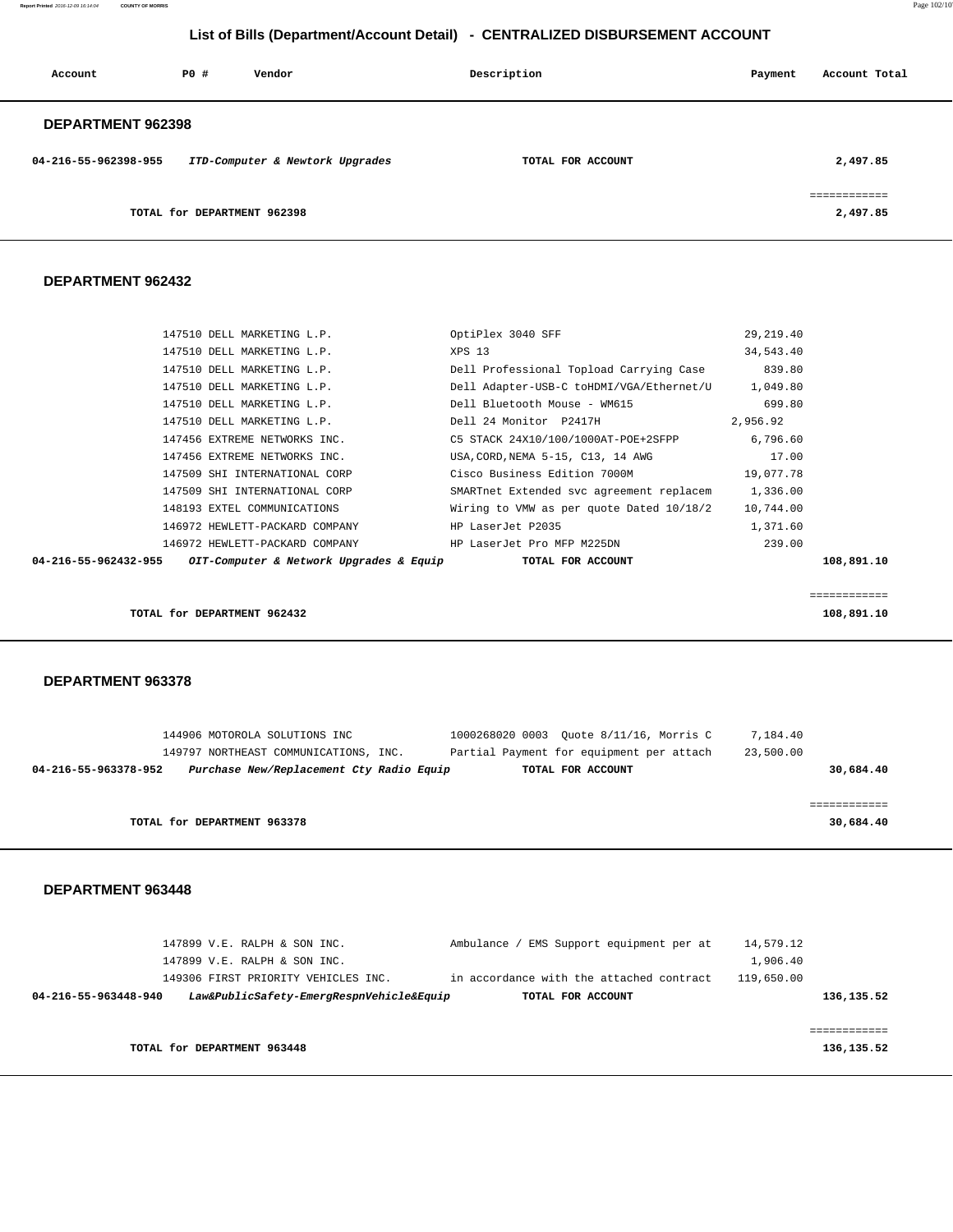147899 V.E. RALPH & SON INC. Ambulance / EMS Support equipment per at 14,579.12 147899 V.E. RALPH & SON INC. 1,906.40 149306 FIRST PRIORITY VEHICLES INC. in accordance with the attached contract 119,650.00  **04-216-55-963448-940 Law&PublicSafety-EmergRespnVehicle&Equip TOTAL FOR ACCOUNT 136,135.52** ============ **TOTAL for DEPARTMENT 963448 136,135.52**

## **DEPARTMENT 963448**

| 144906 MOTOROLA SOLUTIONS INC<br>149797 NORTHEAST COMMUNICATIONS, INC. | Ouote 8/11/16, Morris C<br>1000268020 0003<br>Partial Payment for equipment per attach | 7,184.40<br>23,500.00 |
|------------------------------------------------------------------------|----------------------------------------------------------------------------------------|-----------------------|
| Purchase New/Replacement Cty Radio Equip<br>04-216-55-963378-952       | TOTAL FOR ACCOUNT                                                                      | 30,684.40             |
| TOTAL for DEPARTMENT 963378                                            |                                                                                        | 30,684.40             |

## **DEPARTMENT 963378**

| 147510 DELL MARKETING L.P.                                      | Dell Professional Topload Carrying Case  | 839.80    |            |
|-----------------------------------------------------------------|------------------------------------------|-----------|------------|
| 147510 DELL MARKETING L.P.                                      | Dell Adapter-USB-C toHDMI/VGA/Ethernet/U | 1,049.80  |            |
| 147510 DELL MARKETING L.P.                                      | Dell Bluetooth Mouse - WM615             | 699.80    |            |
| 147510 DELL MARKETING L.P.                                      | Dell 24 Monitor â P2417H                 | 2,956.92  |            |
| 147456 EXTREME NETWORKS INC.                                    | C5 STACK 24X10/100/1000AT-POE+2SFPP      | 6,796.60  |            |
| 147456 EXTREME NETWORKS INC.                                    | USA, CORD, NEMA 5-15, C13, 14 AWG        | 17.00     |            |
| 147509 SHI INTERNATIONAL CORP                                   | Cisco Business Edition 7000M             | 19,077.78 |            |
| 147509 SHI INTERNATIONAL CORP                                   | SMARTnet Extended svc agreement replacem | 1,336.00  |            |
| 148193 EXTEL COMMUNICATIONS                                     | Wiring to VMW as per quote Dated 10/18/2 | 10,744.00 |            |
| 146972 HEWLETT-PACKARD COMPANY                                  | HP LaserJet P2035                        | 1,371.60  |            |
| 146972 HEWLETT-PACKARD COMPANY                                  | HP LaserJet Pro MFP M225DN               | 239.00    |            |
| 04-216-55-962432-955<br>OIT-Computer & Network Upgrades & Equip | TOTAL FOR ACCOUNT                        |           | 108,891.10 |
|                                                                 |                                          |           |            |
|                                                                 |                                          |           |            |

**TOTAL for DEPARTMENT 962432** 108,891.10

## **DEPARTMENT 962432**

| Account              | PO#                         | Vendor                          | Description       | Payment | Account Total            |
|----------------------|-----------------------------|---------------------------------|-------------------|---------|--------------------------|
| DEPARTMENT 962398    |                             |                                 |                   |         |                          |
| 04-216-55-962398-955 |                             | ITD-Computer & Newtork Upgrades | TOTAL FOR ACCOUNT |         | 2,497.85                 |
|                      | TOTAL for DEPARTMENT 962398 |                                 |                   |         | ============<br>2,497.85 |

 147510 DELL MARKETING L.P. OptiPlex 3040 SFF 29,219.40 147510 DELL MARKETING L.P. XPS 13 34,543.40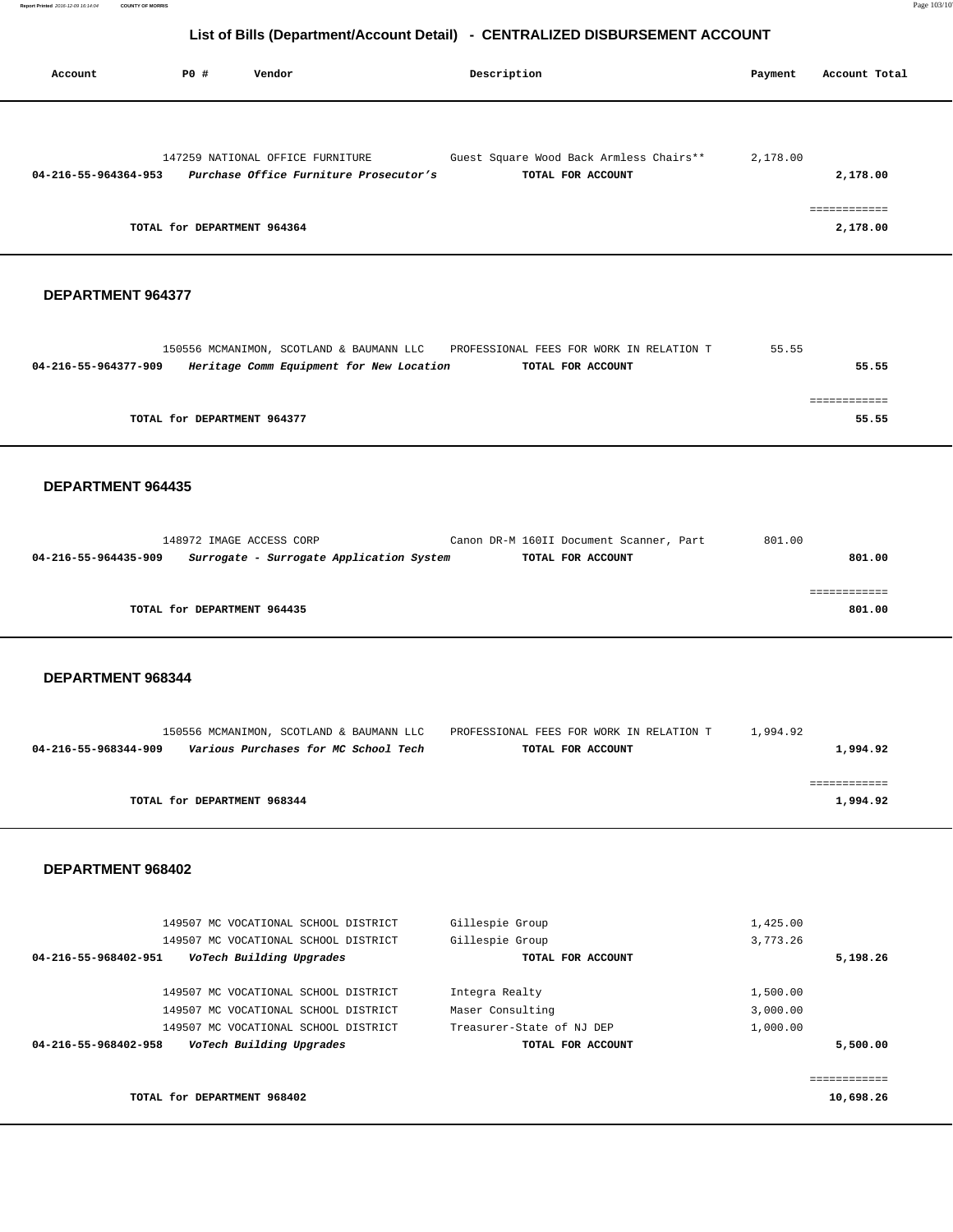| Account              | PO#                         | Vendor                                 | Description                             | Payment  | Account Total |
|----------------------|-----------------------------|----------------------------------------|-----------------------------------------|----------|---------------|
|                      |                             |                                        |                                         |          |               |
|                      |                             | 147259 NATIONAL OFFICE FURNITURE       | Guest Square Wood Back Armless Chairs** | 2,178.00 |               |
| 04-216-55-964364-953 |                             | Purchase Office Furniture Prosecutor's | TOTAL FOR ACCOUNT                       |          | 2,178.00      |
|                      |                             |                                        |                                         |          | ------------  |
|                      | TOTAL for DEPARTMENT 964364 |                                        |                                         |          | 2,178.00      |

## **DEPARTMENT 964377**

|                             | 150556 MCMANIMON, SCOTLAND & BAUMANN LLC | PROFESSIONAL FEES FOR WORK IN RELATION T | 55.55 |
|-----------------------------|------------------------------------------|------------------------------------------|-------|
| 04-216-55-964377-909        | Heritage Comm Equipment for New Location | TOTAL FOR ACCOUNT                        | 55.55 |
|                             |                                          |                                          |       |
|                             |                                          |                                          |       |
| TOTAL for DEPARTMENT 964377 |                                          |                                          | 55.55 |

#### **DEPARTMENT 964435**

| Canon DR-M 160II Document Scanner, Part                       | 801.00 |
|---------------------------------------------------------------|--------|
| Surrogate - Surrogate Application System<br>TOTAL FOR ACCOUNT | 801.00 |
|                                                               |        |
|                                                               |        |
|                                                               | 801.00 |
|                                                               |        |

#### **DEPARTMENT 968344**

|                      | 150556 MCMANIMON, SCOTLAND & BAUMANN LLC | PROFESSIONAL FEES FOR WORK IN RELATION T | 1,994.92 |
|----------------------|------------------------------------------|------------------------------------------|----------|
| 04-216-55-968344-909 | Various Purchases for MC School Tech     | TOTAL FOR ACCOUNT                        | 1,994.92 |
|                      |                                          |                                          |          |
|                      |                                          |                                          |          |
|                      | TOTAL for DEPARTMENT 968344              |                                          | 1,994.92 |
|                      |                                          |                                          |          |

|                      | 149507 MC VOCATIONAL SCHOOL DISTRICT | Gillespie Group           |                   | 1,425.00  |
|----------------------|--------------------------------------|---------------------------|-------------------|-----------|
|                      | 149507 MC VOCATIONAL SCHOOL DISTRICT | Gillespie Group           |                   | 3,773.26  |
| 04-216-55-968402-951 | VoTech Building Upgrades             |                           | TOTAL FOR ACCOUNT | 5,198.26  |
|                      |                                      |                           |                   |           |
|                      | 149507 MC VOCATIONAL SCHOOL DISTRICT | Integra Realty            |                   | 1,500.00  |
|                      | 149507 MC VOCATIONAL SCHOOL DISTRICT | Maser Consulting          |                   | 3,000.00  |
|                      | 149507 MC VOCATIONAL SCHOOL DISTRICT | Treasurer-State of NJ DEP |                   | 1,000.00  |
| 04-216-55-968402-958 | VoTech Building Upgrades             |                           | TOTAL FOR ACCOUNT | 5,500.00  |
|                      |                                      |                           |                   |           |
|                      |                                      |                           |                   | ========= |
|                      | TOTAL for DEPARTMENT 968402          |                           |                   | 10,698.26 |
|                      |                                      |                           |                   |           |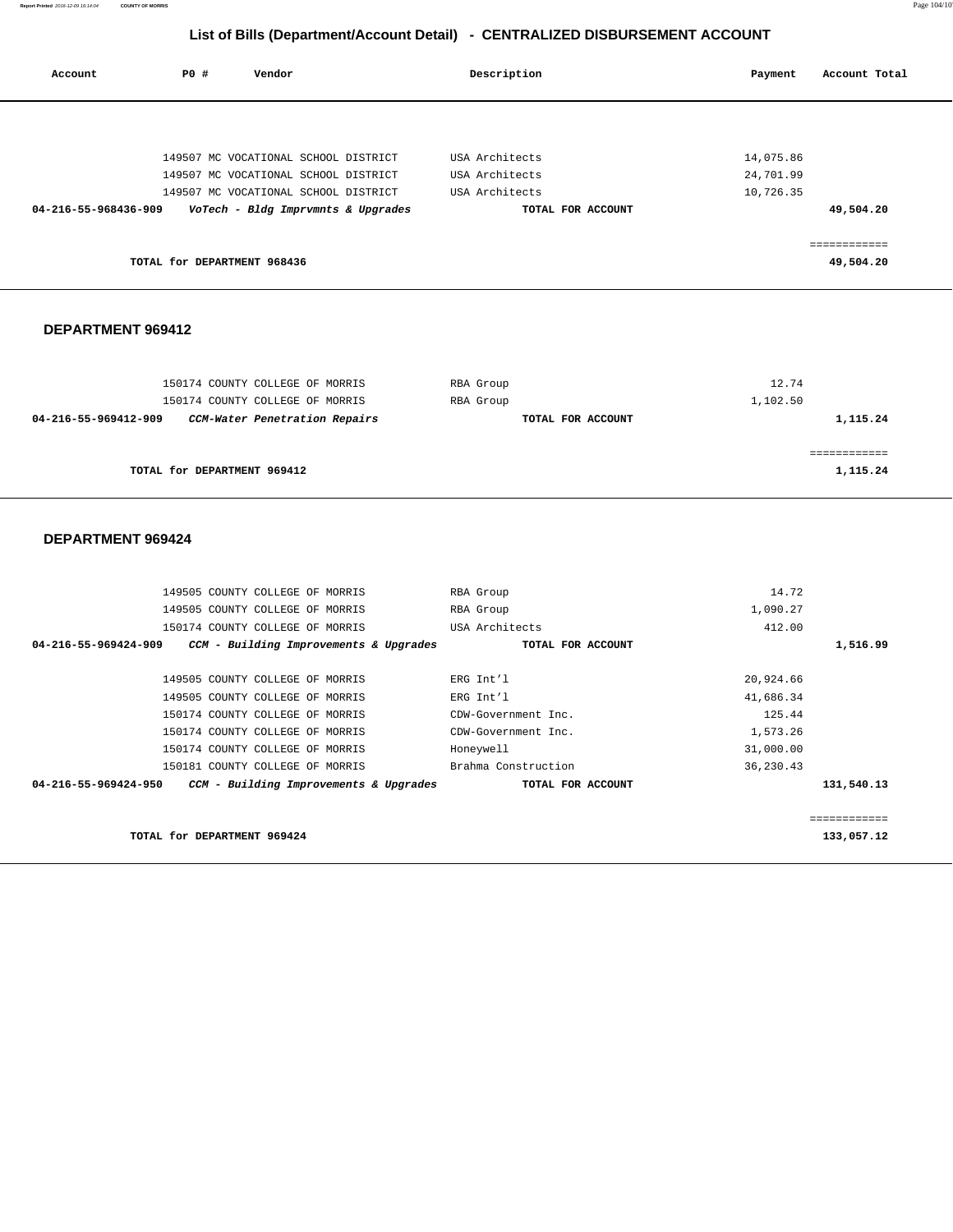**Report Printed** 2016-12-09 16:14:04 **COUNTY OF MORRIS** Page 104/107

# **List of Bills (Department/Account Detail) - CENTRALIZED DISBURSEMENT ACCOUNT**

| Account              | PO# | Vendor                               | Description       | Payment   | Account Total |
|----------------------|-----|--------------------------------------|-------------------|-----------|---------------|
|                      |     |                                      |                   |           |               |
|                      |     | 149507 MC VOCATIONAL SCHOOL DISTRICT | USA Architects    | 14,075.86 |               |
|                      |     | 149507 MC VOCATIONAL SCHOOL DISTRICT | USA Architects    | 24,701.99 |               |
|                      |     | 149507 MC VOCATIONAL SCHOOL DISTRICT | USA Architects    | 10,726.35 |               |
| 04-216-55-968436-909 |     | VoTech - Bldg Imprvmnts & Upgrades   | TOTAL FOR ACCOUNT |           | 49,504.20     |
|                      |     |                                      |                   |           | ============  |
|                      |     | TOTAL for DEPARTMENT 968436          |                   |           | 49,504.20     |
|                      |     |                                      |                   |           |               |

## **DEPARTMENT 969412**

|                             | 150174 COUNTY COLLEGE OF MORRIS | RBA Group         | 12.74    |
|-----------------------------|---------------------------------|-------------------|----------|
|                             | 150174 COUNTY COLLEGE OF MORRIS | RBA Group         | 1,102.50 |
| 04-216-55-969412-909        | CCM-Water Penetration Repairs   | TOTAL FOR ACCOUNT | 1,115.24 |
|                             |                                 |                   |          |
|                             |                                 |                   |          |
| TOTAL for DEPARTMENT 969412 |                                 |                   | 1,115.24 |
|                             |                                 |                   |          |

| 149505 COUNTY COLLEGE OF MORRIS                                | RBA Group           | 14.72      |              |
|----------------------------------------------------------------|---------------------|------------|--------------|
| 149505 COUNTY COLLEGE OF MORRIS                                | RBA Group           | 1,090.27   |              |
| 150174 COUNTY COLLEGE OF MORRIS                                | USA Architects      | 412.00     |              |
| CCM - Building Improvements & Upgrades<br>04-216-55-969424-909 | TOTAL FOR ACCOUNT   |            | 1,516.99     |
|                                                                |                     |            |              |
| 149505 COUNTY COLLEGE OF MORRIS                                | ERG Int'l           | 20,924.66  |              |
| 149505 COUNTY COLLEGE OF MORRIS                                | ERG Int'l           | 41,686.34  |              |
| 150174 COUNTY COLLEGE OF MORRIS                                | CDW-Government Inc. | 125.44     |              |
| 150174 COUNTY COLLEGE OF MORRIS                                | CDW-Government Inc. | 1,573.26   |              |
| 150174 COUNTY COLLEGE OF MORRIS                                | Honeywell           | 31,000.00  |              |
| 150181 COUNTY COLLEGE OF MORRIS                                | Brahma Construction | 36, 230.43 |              |
| CCM - Building Improvements & Upgrades<br>04-216-55-969424-950 | TOTAL FOR ACCOUNT   |            | 131,540.13   |
|                                                                |                     |            |              |
|                                                                |                     |            | ============ |
| TOTAL for DEPARTMENT 969424                                    |                     |            | 133,057.12   |
|                                                                |                     |            |              |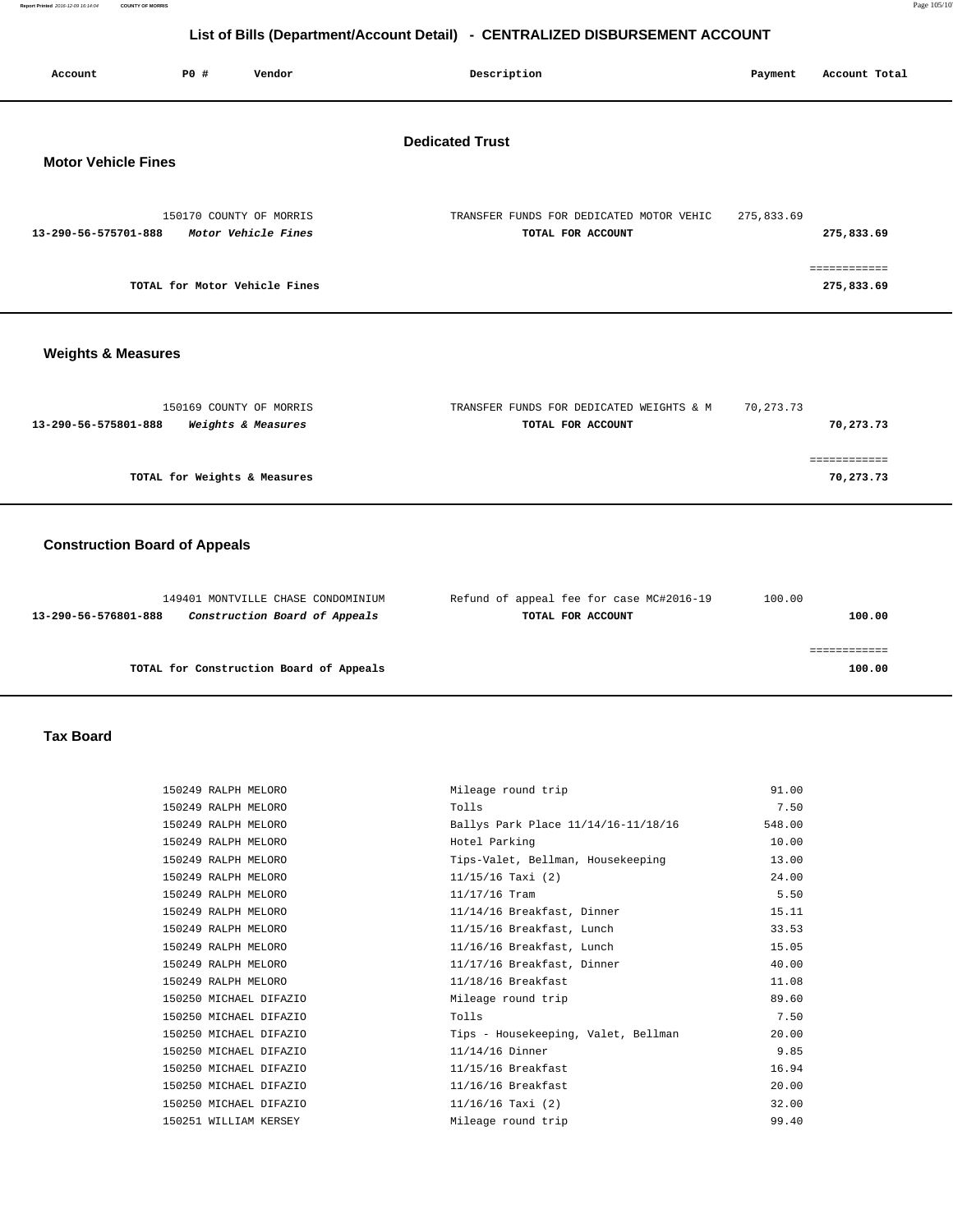**Report Printed** 2016-12-09 16:14:04 **COUNTY OF MORRIS** Page 105/107

## **List of Bills (Department/Account Detail) - CENTRALIZED DISBURSEMENT ACCOUNT**

| Account                       | P0 #<br>Vendor                                 |                        | Description                                                   | Payment     | Account Total              |
|-------------------------------|------------------------------------------------|------------------------|---------------------------------------------------------------|-------------|----------------------------|
| <b>Motor Vehicle Fines</b>    |                                                | <b>Dedicated Trust</b> |                                                               |             |                            |
| 13-290-56-575701-888          | 150170 COUNTY OF MORRIS<br>Motor Vehicle Fines |                        | TRANSFER FUNDS FOR DEDICATED MOTOR VEHIC<br>TOTAL FOR ACCOUNT | 275,833.69  | 275,833.69                 |
|                               | TOTAL for Motor Vehicle Fines                  |                        |                                                               |             | ============<br>275,833.69 |
| <b>Weights &amp; Measures</b> |                                                |                        |                                                               |             |                            |
| 13-290-56-575801-888          | 150169 COUNTY OF MORRIS<br>Weights & Measures  |                        | TRANSFER FUNDS FOR DEDICATED WEIGHTS & M<br>TOTAL FOR ACCOUNT | 70, 273. 73 | 70,273.73                  |
|                               | TOTAL for Weights & Measures                   |                        |                                                               |             | ============<br>70,273.73  |

# **Construction Board of Appeals**

|                      | 149401 MONTVILLE CHASE CONDOMINIUM      | Refund of appeal fee for case MC#2016-19 | 100.00 |
|----------------------|-----------------------------------------|------------------------------------------|--------|
| 13-290-56-576801-888 | Construction Board of Appeals           | TOTAL FOR ACCOUNT                        | 100.00 |
|                      |                                         |                                          |        |
|                      |                                         |                                          |        |
|                      | TOTAL for Construction Board of Appeals |                                          | 100.00 |

## **Tax Board**

| 150249 RALPH MELORO    | Mileage round trip                  | 91.00  |
|------------------------|-------------------------------------|--------|
| 150249 RALPH MELORO    | Tolls                               | 7.50   |
| 150249 RALPH MELORO    | Ballys Park Place 11/14/16-11/18/16 | 548.00 |
| 150249 RALPH MELORO    | Hotel Parking                       | 10.00  |
| 150249 RALPH MELORO    | Tips-Valet, Bellman, Housekeeping   | 13.00  |
| 150249 RALPH MELORO    | $11/15/16$ Taxi (2)                 | 24.00  |
| 150249 RALPH MELORO    | $11/17/16$ Tram                     | 5.50   |
| 150249 RALPH MELORO    | 11/14/16 Breakfast, Dinner          | 15.11  |
| 150249 RALPH MELORO    | 11/15/16 Breakfast, Lunch           | 33.53  |
| 150249 RALPH MELORO    | 11/16/16 Breakfast, Lunch           | 15.05  |
| 150249 RALPH MELORO    | 11/17/16 Breakfast, Dinner          | 40.00  |
| 150249 RALPH MELORO    | 11/18/16 Breakfast                  | 11.08  |
| 150250 MICHAEL DIFAZIO | Mileage round trip                  | 89.60  |
| 150250 MICHAEL DIFAZIO | Tolls                               | 7.50   |
| 150250 MICHAEL DIFAZIO | Tips - Housekeeping, Valet, Bellman | 20.00  |
| 150250 MICHAEL DIFAZIO | 11/14/16 Dinner                     | 9.85   |
| 150250 MICHAEL DIFAZIO | 11/15/16 Breakfast                  | 16.94  |
| 150250 MICHAEL DIFAZIO | 11/16/16 Breakfast                  | 20.00  |
| 150250 MICHAEL DIFAZIO | $11/16/16$ Taxi (2)                 | 32.00  |
| 150251 WILLIAM KERSEY  | Mileage round trip                  | 99.40  |
|                        |                                     |        |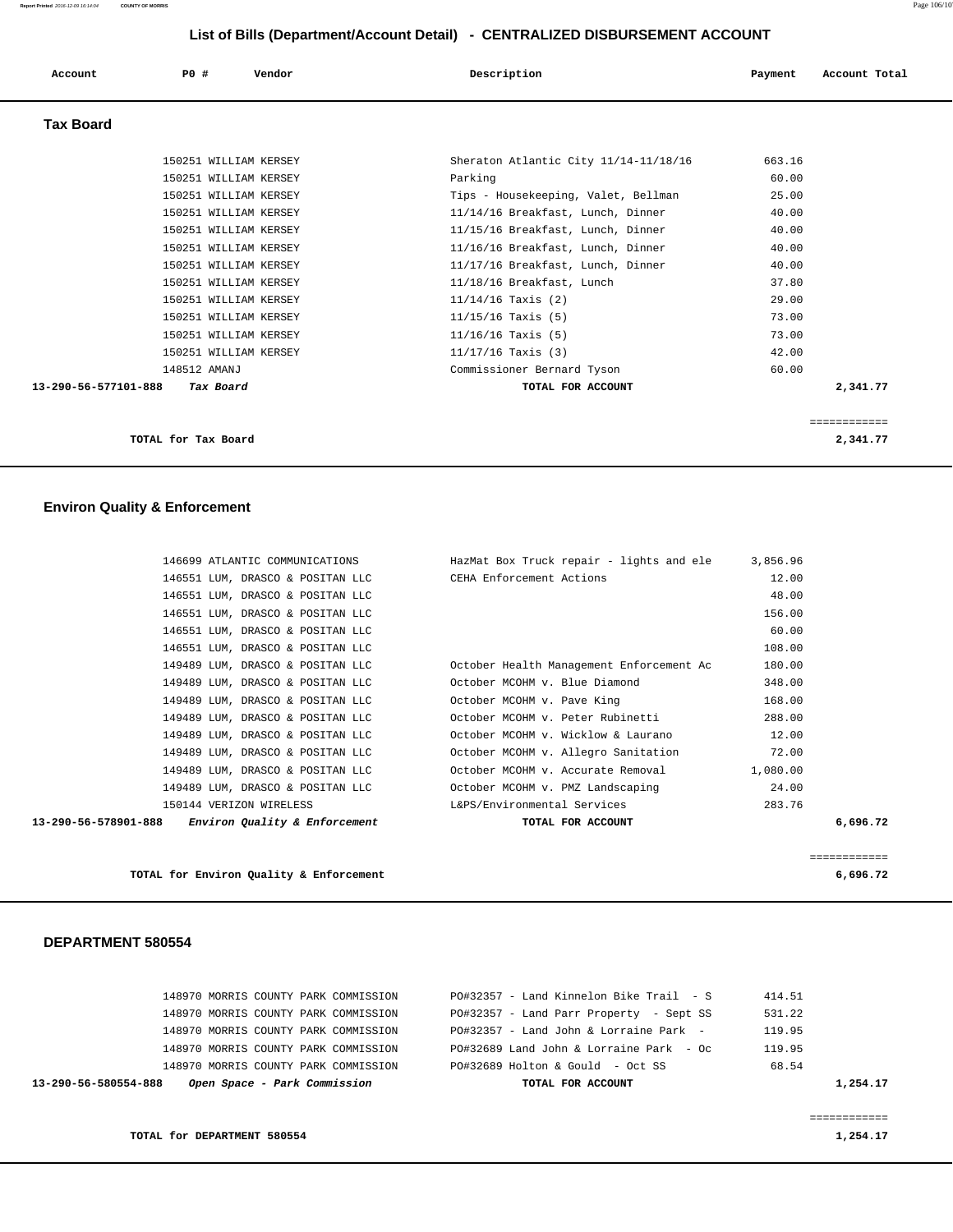|                      | List of Dills (Department/Account Detail) - CENTRALIZED DIODOROLMENT ACCOUNT |        |                                       |         |               |
|----------------------|------------------------------------------------------------------------------|--------|---------------------------------------|---------|---------------|
| Account              | PO#                                                                          | Vendor | Description                           | Payment | Account Total |
| <b>Tax Board</b>     |                                                                              |        |                                       |         |               |
|                      | 150251 WILLIAM KERSEY                                                        |        | Sheraton Atlantic City 11/14-11/18/16 | 663.16  |               |
|                      | 150251 WILLIAM KERSEY                                                        |        | Parking                               | 60.00   |               |
|                      | 150251 WILLIAM KERSEY                                                        |        | Tips - Housekeeping, Valet, Bellman   | 25.00   |               |
|                      | 150251 WILLIAM KERSEY                                                        |        | 11/14/16 Breakfast, Lunch, Dinner     | 40.00   |               |
|                      | 150251 WILLIAM KERSEY                                                        |        | 11/15/16 Breakfast, Lunch, Dinner     | 40.00   |               |
|                      | 150251 WILLIAM KERSEY                                                        |        | 11/16/16 Breakfast, Lunch, Dinner     | 40.00   |               |
|                      | 150251 WILLIAM KERSEY                                                        |        | 11/17/16 Breakfast, Lunch, Dinner     | 40.00   |               |
|                      | 150251 WILLIAM KERSEY                                                        |        | 11/18/16 Breakfast, Lunch             | 37.80   |               |
|                      | 150251 WILLIAM KERSEY                                                        |        | $11/14/16$ Taxis (2)                  | 29.00   |               |
|                      | 150251 WILLIAM KERSEY                                                        |        | $11/15/16$ Taxis (5)                  | 73.00   |               |
|                      | 150251 WILLIAM KERSEY                                                        |        | $11/16/16$ Taxis (5)                  | 73.00   |               |
|                      | 150251 WILLIAM KERSEY                                                        |        | $11/17/16$ Taxis (3)                  | 42.00   |               |
|                      | 148512 AMANJ                                                                 |        | Commissioner Bernard Tyson            | 60.00   |               |
| 13-290-56-577101-888 | Tax Board                                                                    |        | TOTAL FOR ACCOUNT                     |         | 2,341.77      |

**TOTAL for Tax Board** 2,341.77

============

# **Environ Quality & Enforcement**

| 146699 ATLANTIC COMMUNICATIONS                     | HazMat Box Truck repair - lights and ele | 3,856.96 |              |
|----------------------------------------------------|------------------------------------------|----------|--------------|
| 146551 LUM, DRASCO & POSITAN LLC                   | CEHA Enforcement Actions                 | 12.00    |              |
| 146551 LUM, DRASCO & POSITAN LLC                   |                                          | 48.00    |              |
| 146551 LUM, DRASCO & POSITAN LLC                   |                                          | 156.00   |              |
| 146551 LUM, DRASCO & POSITAN LLC                   |                                          | 60.00    |              |
| 146551 LUM, DRASCO & POSITAN LLC                   |                                          | 108.00   |              |
| 149489 LUM, DRASCO & POSITAN LLC                   | October Health Management Enforcement Ac | 180.00   |              |
| 149489 LUM, DRASCO & POSITAN LLC                   | October MCOHM v. Blue Diamond            | 348.00   |              |
| 149489 LUM, DRASCO & POSITAN LLC                   | October MCOHM v. Pave King               | 168.00   |              |
| 149489 LUM, DRASCO & POSITAN LLC                   | October MCOHM v. Peter Rubinetti         | 288.00   |              |
| 149489 LUM, DRASCO & POSITAN LLC                   | October MCOHM v. Wicklow & Laurano       | 12.00    |              |
| 149489 LUM, DRASCO & POSITAN LLC                   | October MCOHM v. Allegro Sanitation      | 72.00    |              |
| 149489 LUM, DRASCO & POSITAN LLC                   | October MCOHM v. Accurate Removal        | 1,080.00 |              |
| 149489 LUM, DRASCO & POSITAN LLC                   | October MCOHM v. PMZ Landscaping         | 24.00    |              |
| 150144 VERIZON WIRELESS                            | L&PS/Environmental Services              | 283.76   |              |
| 13-290-56-578901-888 Environ Quality & Enforcement | TOTAL FOR ACCOUNT                        |          | 6,696.72     |
|                                                    |                                          |          |              |
|                                                    |                                          |          | ============ |
| TOTAL for Environ Quality & Enforcement            |                                          |          | 6,696.72     |

## **DEPARTMENT 580554**

| 13-290-56-580554-888 |  | Open Space - Park Commission         | TOTAL FOR ACCOUNT                        |        | 1,254.17 |
|----------------------|--|--------------------------------------|------------------------------------------|--------|----------|
|                      |  | 148970 MORRIS COUNTY PARK COMMISSION | $PO#32689$ Holton & Gould - Oct SS       | 68.54  |          |
|                      |  | 148970 MORRIS COUNTY PARK COMMISSION | PO#32689 Land John & Lorraine Park - Oc  | 119.95 |          |
|                      |  | 148970 MORRIS COUNTY PARK COMMISSION | $PO#32357 - Land John & Lorraine Park -$ | 119.95 |          |
|                      |  | 148970 MORRIS COUNTY PARK COMMISSION | PO#32357 - Land Parr Property - Sept SS  | 531.22 |          |
|                      |  | 148970 MORRIS COUNTY PARK COMMISSION | PO#32357 - Land Kinnelon Bike Trail - S  | 414.51 |          |

============